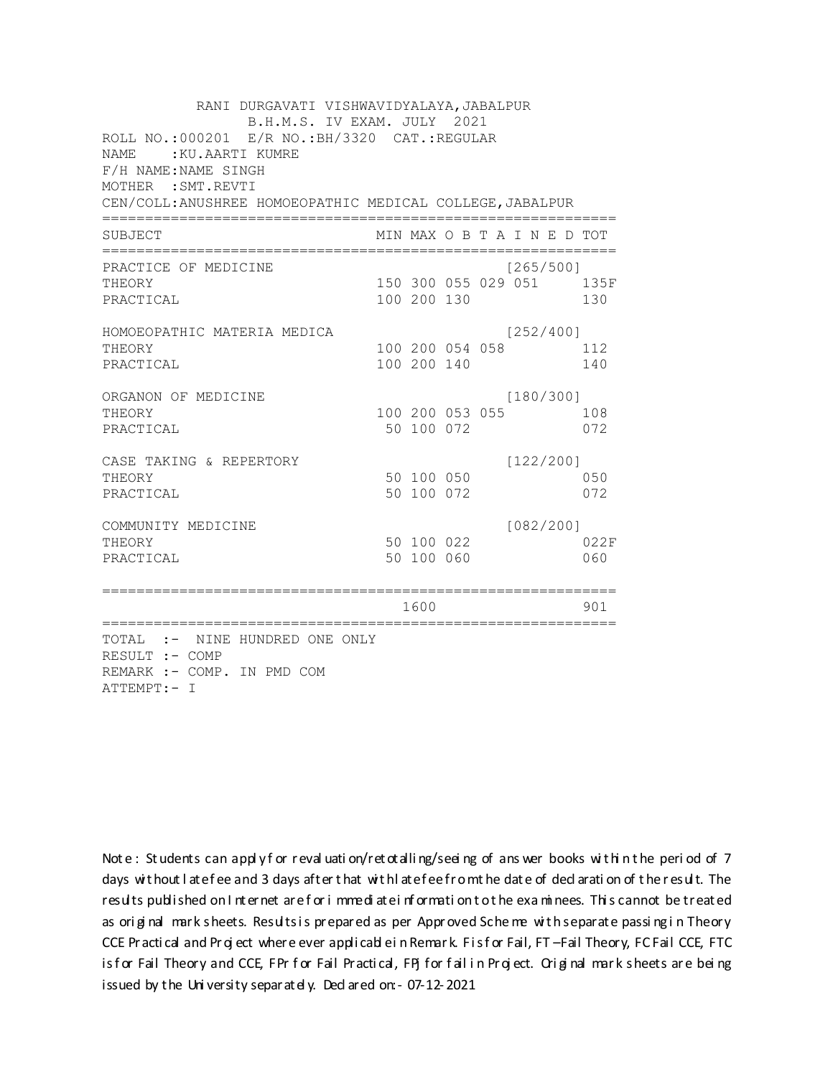| RANI DURGAVATI VISHWAVIDYALAYA, JABALPUR<br>B.H.M.S. IV EXAM. JULY 2021                                                                    |                          |                 |                                  |             |
|--------------------------------------------------------------------------------------------------------------------------------------------|--------------------------|-----------------|----------------------------------|-------------|
| ROLL NO.:000201 E/R NO.: BH/3320 CAT.: REGULAR<br>NAME.<br>:KU.AARTI KUMRE<br>F/H NAME: NAME SINGH<br>MOTHER : SMT. REVTI                  |                          |                 |                                  |             |
| CEN/COLL: ANUSHREE HOMOEOPATHIC MEDICAL COLLEGE, JABALPUR                                                                                  |                          |                 |                                  |             |
| SUBJECT                                                                                                                                    |                          |                 | MIN MAX O B T A I N E D TOT      |             |
| PRACTICE OF MEDICINE<br>THEORY<br>PRACTICAL                                                                                                | 100 200 130              |                 | [265/500]<br>150 300 055 029 051 | 135F<br>130 |
| HOMOEOPATHIC MATERIA MEDICA<br>THEORY<br>PRACTICAL                                                                                         | 100 200 140              | 100 200 054 058 | [252/400]                        | 112<br>140  |
| ORGANON OF MEDICINE<br>THEORY<br>PRACTICAL                                                                                                 | 50 100 072               | 100 200 053 055 | [180/300]                        | 108<br>072  |
| CASE TAKING & REPERTORY<br>THEORY<br>PRACTICAL                                                                                             | 50 100 050<br>50 100 072 |                 | [122/200]                        | 050<br>072  |
| COMMUNITY MEDICINE<br>THEORY<br>PRACTICAL                                                                                                  | 50 100 060               | 50 100 022      | [082/200]                        | 022F<br>060 |
| ==============                                                                                                                             | 1600                     |                 |                                  | 901         |
| :===================<br>=================<br>TOTAL :- NINE HUNDRED ONE ONLY<br>RESULT :- COMP<br>REMARK :- COMP. IN PMD COM<br>ATTEMPT:- I |                          |                 |                                  |             |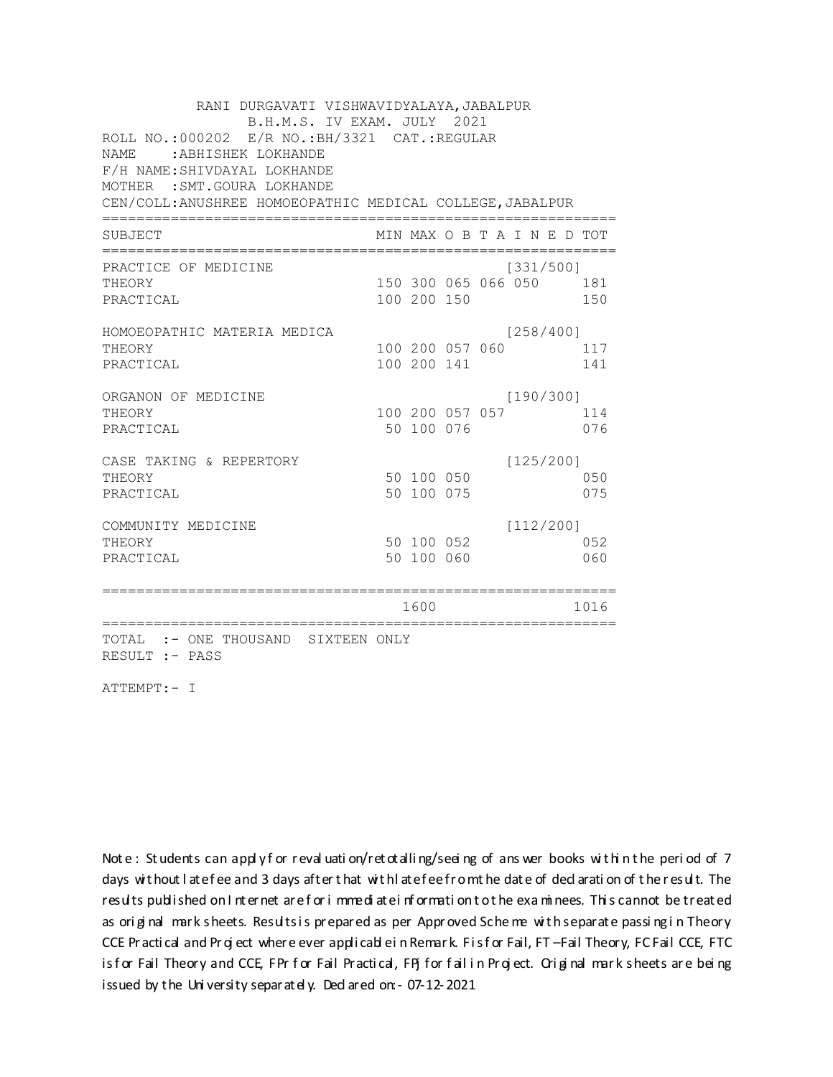| RANI DURGAVATI VISHWAVIDYALAYA, JABALPUR                  |                 |  |           |                             |
|-----------------------------------------------------------|-----------------|--|-----------|-----------------------------|
| B.H.M.S. IV EXAM. JULY 2021                               |                 |  |           |                             |
| ROLL NO.:000202 E/R NO.: BH/3321 CAT.: REGULAR            |                 |  |           |                             |
| <b>NAME</b><br>: ABHISHEK LOKHANDE                        |                 |  |           |                             |
| F/H NAME: SHIVDAYAL LOKHANDE                              |                 |  |           |                             |
| MOTHER : SMT. GOURA LOKHANDE                              |                 |  |           |                             |
| CEN/COLL: ANUSHREE HOMOEOPATHIC MEDICAL COLLEGE, JABALPUR |                 |  |           |                             |
| SUBJECT                                                   |                 |  |           | MIN MAX O B T A I N E D TOT |
| PRACTICE OF MEDICINE                                      |                 |  | [331/500] |                             |
| THEORY                                                    |                 |  |           | 150 300 065 066 050 181     |
| PRACTICAL                                                 | 100 200 150     |  |           | 150                         |
| HOMOEOPATHIC MATERIA MEDICA                               |                 |  | [258/400] |                             |
| THEORY                                                    | 100 200 057 060 |  |           | 117                         |
| PRACTICAL                                                 | 100 200 141     |  |           | 141                         |
| ORGANON OF MEDICINE                                       |                 |  | [190/300] |                             |
| THEORY                                                    | 100 200 057 057 |  |           | 114                         |
| PRACTICAL                                                 | 50 100 076      |  |           | 076                         |
| CASE TAKING & REPERTORY                                   |                 |  | [125/200] |                             |
| THEORY                                                    | 50 100 050      |  |           | 050                         |
| PRACTICAL                                                 | 50 100 075      |  |           | 075                         |
| COMMUNITY MEDICINE                                        |                 |  | [112/200] |                             |
| THEORY                                                    | 50 100 052      |  |           | 052                         |
| PRACTICAL                                                 | 50 100 060      |  |           | 060                         |
|                                                           |                 |  |           |                             |
|                                                           | 1600            |  |           | 1016                        |
| TOTAL :- ONE THOUSAND SIXTEEN ONLY<br>RESULT :- PASS      |                 |  |           |                             |

ATTEMPT:- I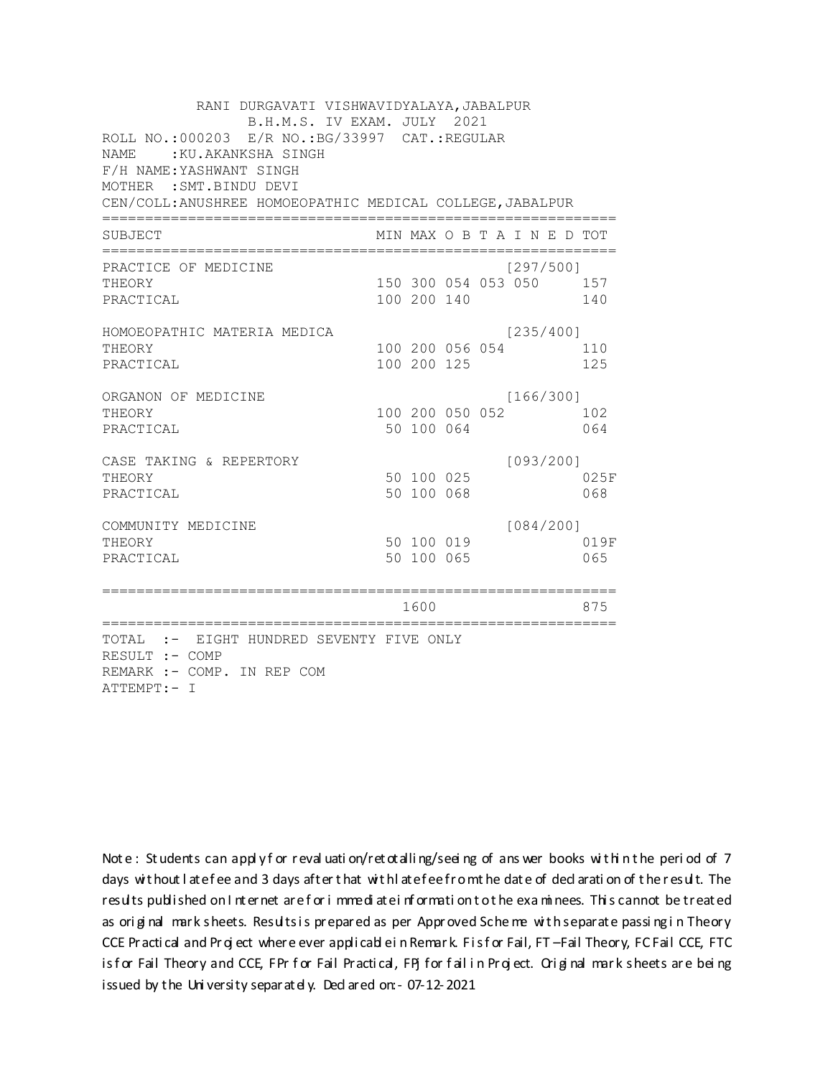| RANI DURGAVATI VISHWAVIDYALAYA, JABALPUR<br>B.H.M.S. IV EXAM. JULY 2021<br>ROLL NO.:000203 E/R NO.: BG/33997 CAT.: REGULAR<br><b>NAME</b><br>:KU.AKANKSHA SINGH<br>F/H NAME: YASHWANT SINGH<br>MOTHER : SMT. BINDU DEVI<br>CEN/COLL: ANUSHREE HOMOEOPATHIC MEDICAL COLLEGE, JABALPUR |                                |  |                                  |             |
|--------------------------------------------------------------------------------------------------------------------------------------------------------------------------------------------------------------------------------------------------------------------------------------|--------------------------------|--|----------------------------------|-------------|
| SUBJECT                                                                                                                                                                                                                                                                              |                                |  | MIN MAX O B T A I N E D TOT      |             |
| PRACTICE OF MEDICINE<br>THEORY<br>PRACTICAL                                                                                                                                                                                                                                          | 100 200 140                    |  | [297/500]<br>150 300 054 053 050 | 157<br>140  |
| HOMOEOPATHIC MATERIA MEDICA<br>THEORY<br>PRACTICAL                                                                                                                                                                                                                                   | 100 200 056 054<br>100 200 125 |  | [235/400]                        | 110<br>125  |
| ORGANON OF MEDICINE<br>THEORY<br>PRACTICAL                                                                                                                                                                                                                                           | 100 200 050 052<br>50 100 064  |  | [166/300]                        | 102<br>064  |
| CASE TAKING & REPERTORY<br>THEORY<br>PRACTICAL                                                                                                                                                                                                                                       | 50 100 025<br>50 100 068       |  | [093/200]                        | 025F<br>068 |
| COMMUNITY MEDICINE<br>THEORY<br>PRACTICAL                                                                                                                                                                                                                                            | 50 100 019<br>50 100 065       |  | [084/200]                        | 019F<br>065 |
|                                                                                                                                                                                                                                                                                      | 1600                           |  |                                  | 875         |
| TOTAL :- EIGHT HUNDRED SEVENTY FIVE ONLY<br>RESULT :- COMP<br>REMARK :- COMP. IN REP COM<br>ATTEMPT:- I                                                                                                                                                                              |                                |  |                                  |             |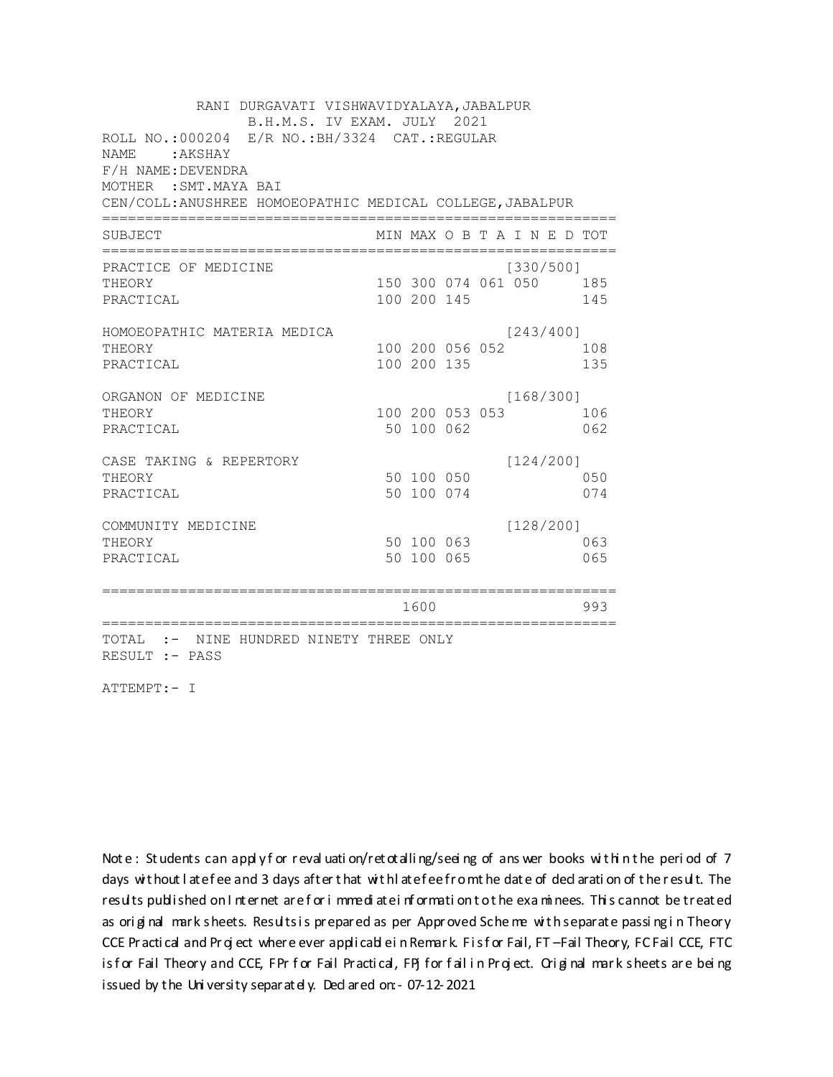RANI DURGAVATI VISHWAVIDYALAYA, JABALPUR B.H.M.S. IV EXAM. JULY 2021 ROLL NO.:000204 E/R NO.: BH/3324 CAT.: REGULAR NAME: AKSHAY F/H NAME: DEVENDRA MOTHER : SMT. MAYA BAI CEN/COLL: ANUSHREE HOMOEOPATHIC MEDICAL COLLEGE, JABALPUR MIN MAX O B T A I N E D TOT SUBJECT PRACTICE OF MEDICINE  $[330/500]$ THEORY 150 300 074 061 050 185 PRACTICAL 100 200 145 145 HOMOEOPATHIC MATERIA MEDICA  $[243/400]$ 100 200 056 052 108 THEORY PRACTICAL 100 200 135 135 ORGANON OF MEDICINE  $[168/300]$ THEORY 100 200 053 053 106 PRACTICAL 50 100 062 062 CASE TAKING & REPERTORY  $[124/200]$ 50 100 050 THEORY 050 50 100 074 PRACTICAL 074  $[128/200]$ COMMUNITY MEDICINE 50 100 063 063 THEORY PRACTICAL 50 100 065 065 1600 1600 993 TOTAL :- NINE HUNDRED NINETY THREE ONLY RESULT :- PASS

ATTEMPT:- I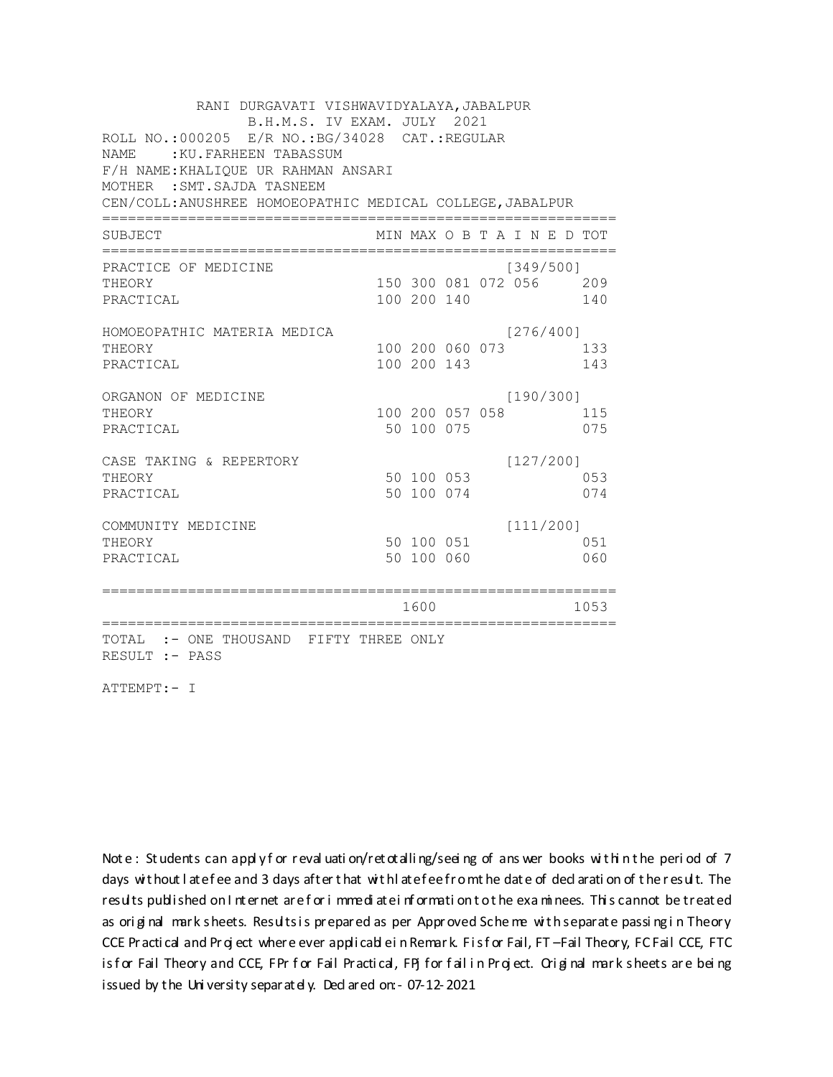| RANI DURGAVATI VISHWAVIDYALAYA, JABALPUR<br>B.H.M.S. IV EXAM. JULY 2021 |  |             |                 |  |                             |  |      |  |  |  |
|-------------------------------------------------------------------------|--|-------------|-----------------|--|-----------------------------|--|------|--|--|--|
| ROLL NO.:000205 E/R NO.: BG/34028 CAT.: REGULAR                         |  |             |                 |  |                             |  |      |  |  |  |
| NAME.<br>: KU. FARHEEN TABASSUM                                         |  |             |                 |  |                             |  |      |  |  |  |
| F/H NAME: KHALIOUE UR RAHMAN ANSARI                                     |  |             |                 |  |                             |  |      |  |  |  |
| MOTHER : SMT. SAJDA TASNEEM                                             |  |             |                 |  |                             |  |      |  |  |  |
| CEN/COLL: ANUSHREE HOMOEOPATHIC MEDICAL COLLEGE, JABALPUR               |  |             |                 |  |                             |  |      |  |  |  |
| SUBJECT                                                                 |  |             |                 |  | MIN MAX O B T A I N E D TOT |  |      |  |  |  |
| PRACTICE OF MEDICINE                                                    |  |             |                 |  | [349/500]                   |  |      |  |  |  |
| THEORY                                                                  |  |             |                 |  | 150 300 081 072 056 209     |  |      |  |  |  |
| PRACTICAL                                                               |  | 100 200 140 |                 |  |                             |  | 140  |  |  |  |
| HOMOEOPATHIC MATERIA MEDICA                                             |  |             |                 |  | [276/400]                   |  |      |  |  |  |
| THEORY                                                                  |  |             | 100 200 060 073 |  |                             |  | 133  |  |  |  |
| PRACTICAL                                                               |  | 100 200 143 |                 |  |                             |  | 143  |  |  |  |
| ORGANON OF MEDICINE                                                     |  |             |                 |  | [190/300]                   |  |      |  |  |  |
| THEORY                                                                  |  |             | 100 200 057 058 |  |                             |  | 115  |  |  |  |
| PRACTICAL                                                               |  | 50 100 075  |                 |  |                             |  | 075  |  |  |  |
| CASE TAKING & REPERTORY                                                 |  |             |                 |  | [127/200]                   |  |      |  |  |  |
| THEORY                                                                  |  | 50 100 053  |                 |  |                             |  | 053  |  |  |  |
| PRACTICAL                                                               |  | 50 100 074  |                 |  |                             |  | 074  |  |  |  |
| COMMUNITY MEDICINE                                                      |  |             |                 |  | [111/200]                   |  |      |  |  |  |
| THEORY                                                                  |  | 50 100 051  |                 |  |                             |  | 051  |  |  |  |
| PRACTICAL                                                               |  | 50 100 060  |                 |  |                             |  | 060  |  |  |  |
|                                                                         |  | 1600        |                 |  |                             |  | 1053 |  |  |  |
|                                                                         |  |             |                 |  |                             |  |      |  |  |  |
| TOTAL :- ONE THOUSAND FIFTY THREE ONLY<br>RESULT :- PASS                |  |             |                 |  |                             |  |      |  |  |  |

ATTEMPT:- I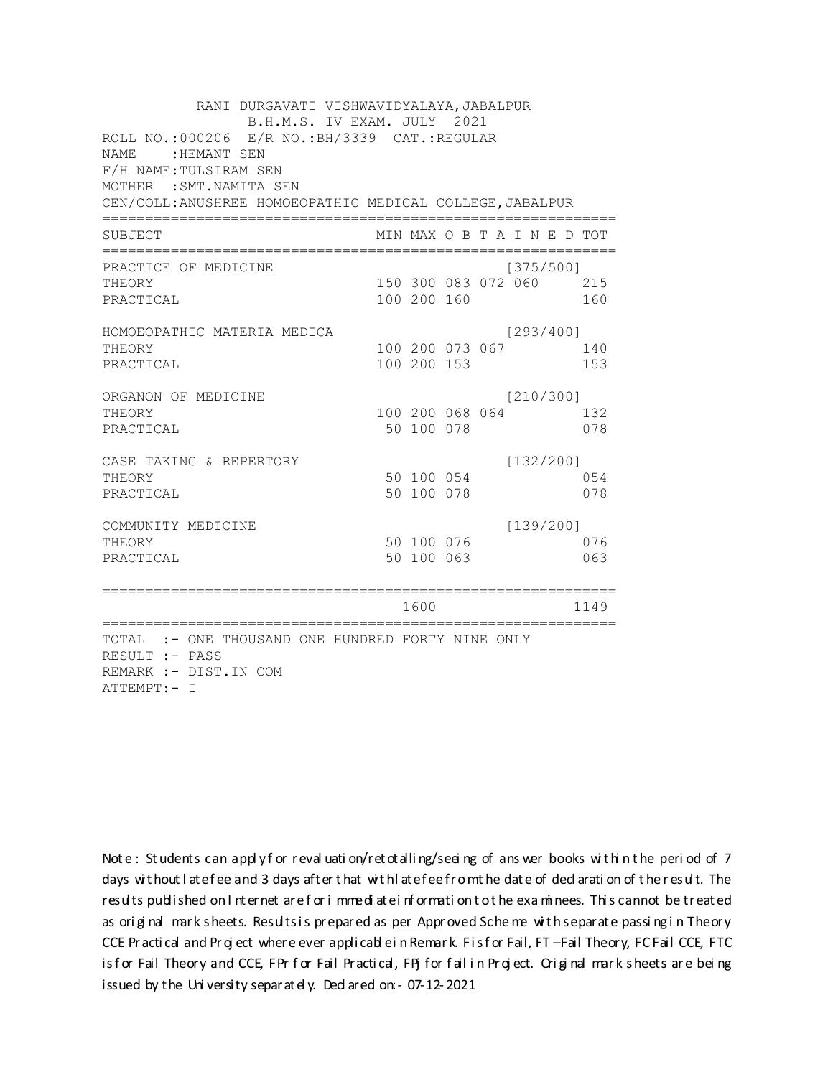| RANI DURGAVATI VISHWAVIDYALAYA, JABALPUR<br>B.H.M.S. IV EXAM. JULY 2021                                                             |  |                                |  |  |           |                                |  |  |  |  |
|-------------------------------------------------------------------------------------------------------------------------------------|--|--------------------------------|--|--|-----------|--------------------------------|--|--|--|--|
| ROLL NO.: 000206 E/R NO.: BH/3339 CAT.: REGULAR<br><b>NAME</b><br>:HEMANT SEN<br>F/H NAME: TULSIRAM SEN<br>MOTHER : SMT. NAMITA SEN |  |                                |  |  |           |                                |  |  |  |  |
| CEN/COLL: ANUSHREE HOMOEOPATHIC MEDICAL COLLEGE, JABALPUR<br>======================================                                 |  |                                |  |  |           |                                |  |  |  |  |
| SUBJECT                                                                                                                             |  |                                |  |  |           | MIN MAX O B T A I N E D TOT    |  |  |  |  |
| PRACTICE OF MEDICINE<br>THEORY<br>PRACTICAL                                                                                         |  | 100 200 160                    |  |  | [375/500] | 150 300 083 072 060 215<br>160 |  |  |  |  |
| HOMOEOPATHIC MATERIA MEDICA<br>THEORY<br>PRACTICAL                                                                                  |  | 100 200 073 067<br>100 200 153 |  |  | [293/400] | 140<br>153                     |  |  |  |  |
| ORGANON OF MEDICINE<br>THEORY<br>PRACTICAL                                                                                          |  | 100 200 068 064<br>50 100 078  |  |  | [210/300] | 132<br>078                     |  |  |  |  |
| CASE TAKING & REPERTORY<br>THEORY<br>PRACTICAL                                                                                      |  | 50 100 054<br>50 100 078       |  |  | [132/200] | 054<br>078                     |  |  |  |  |
| COMMUNITY MEDICINE<br>THEORY<br>PRACTICAL                                                                                           |  | 50 100 076<br>50 100 063       |  |  | [139/200] | 076<br>063                     |  |  |  |  |
| =================                                                                                                                   |  | 1600                           |  |  |           | 1149                           |  |  |  |  |
| TOTAL :- ONE THOUSAND ONE HUNDRED FORTY NINE ONLY<br>RESULT :- PASS<br>REMARK :- DIST. IN COM<br>ATTEMPT:- I                        |  |                                |  |  |           |                                |  |  |  |  |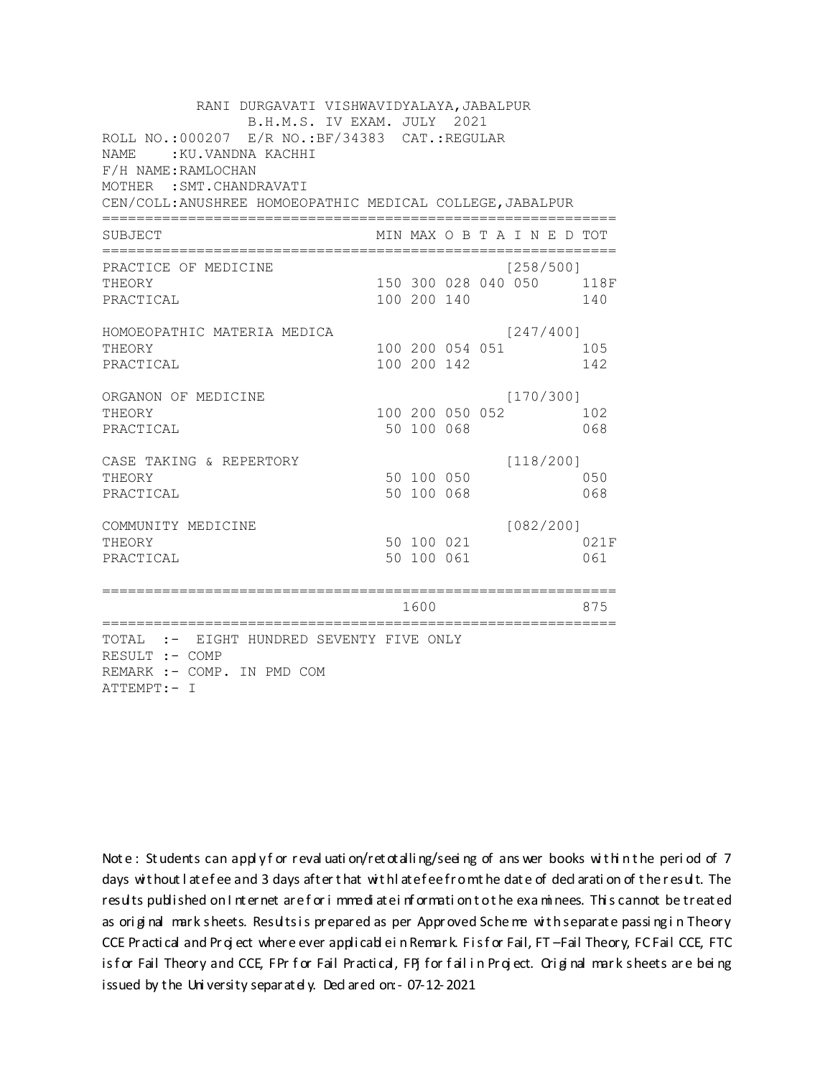| RANI DURGAVATI VISHWAVIDYALAYA, JABALPUR<br>B.H.M.S. IV EXAM. JULY 2021<br>ROLL NO.:000207 E/R NO.: BF/34383 CAT.: REGULAR<br><b>NAME</b><br>:KU.VANDNA KACHHI<br>F/H NAME: RAMLOCHAN |                          |                 |           |  |                                 |
|---------------------------------------------------------------------------------------------------------------------------------------------------------------------------------------|--------------------------|-----------------|-----------|--|---------------------------------|
| MOTHER : SMT. CHANDRAVATI                                                                                                                                                             |                          |                 |           |  |                                 |
| CEN/COLL: ANUSHREE HOMOEOPATHIC MEDICAL COLLEGE, JABALPUR<br>======================================                                                                                   |                          |                 |           |  |                                 |
| SUBJECT                                                                                                                                                                               |                          |                 |           |  | MIN MAX O B T A I N E D TOT     |
| PRACTICE OF MEDICINE<br>THEORY<br>PRACTICAL                                                                                                                                           |                          | 100 200 140     | [258/500] |  | 150 300 028 040 050 118F<br>140 |
| HOMOEOPATHIC MATERIA MEDICA<br>THEORY<br>PRACTICAL                                                                                                                                    | 100 200 142              | 100 200 054 051 | [247/400] |  | 105<br>142                      |
| ORGANON OF MEDICINE<br>THEORY<br>PRACTICAL                                                                                                                                            | 50 100 068               | 100 200 050 052 | [170/300] |  | 102<br>068                      |
| CASE TAKING & REPERTORY<br>THEORY<br>PRACTICAL                                                                                                                                        | 50 100 050<br>50 100 068 |                 | [118/200] |  | 050<br>068                      |
| COMMUNITY MEDICINE<br>THEORY<br>PRACTICAL                                                                                                                                             | 50 100 061               | 50 100 021      | [082/200] |  | 021F<br>061                     |
|                                                                                                                                                                                       | 1600                     |                 |           |  | 875                             |
| TOTAL :- EIGHT HUNDRED SEVENTY FIVE ONLY<br>RESULT :- COMP<br>REMARK :- COMP. IN PMD COM<br>ATTEMPT:- I                                                                               |                          |                 |           |  |                                 |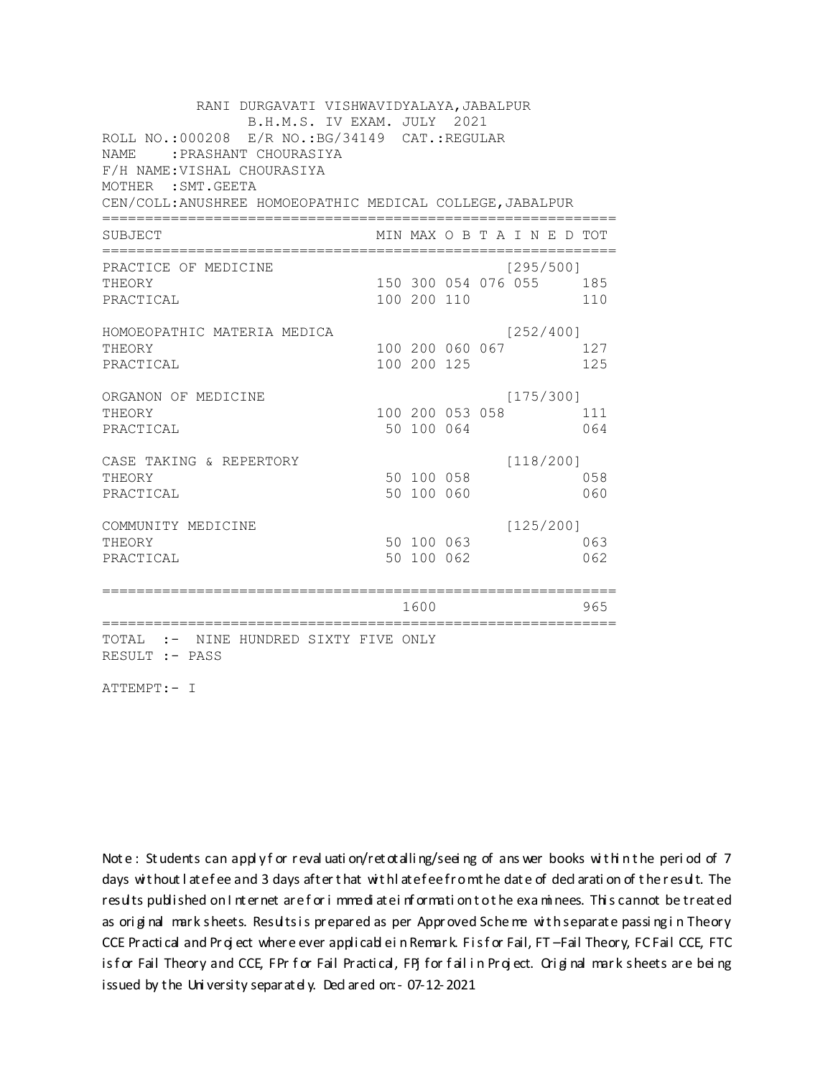| RANI DURGAVATI VISHWAVIDYALAYA, JABALPUR<br>B.H.M.S. IV EXAM. JULY 2021                                         |             |                     |           |           |                             |
|-----------------------------------------------------------------------------------------------------------------|-------------|---------------------|-----------|-----------|-----------------------------|
| ROLL NO.:000208 E/R NO.: BG/34149 CAT.: REGULAR<br>: PRASHANT CHOURASIYA<br>NAME<br>F/H NAME: VISHAL CHOURASIYA |             |                     |           |           |                             |
| MOTHER : SMT. GEETA                                                                                             |             |                     |           |           |                             |
| CEN/COLL: ANUSHREE HOMOEOPATHIC MEDICAL COLLEGE, JABALPUR                                                       |             |                     |           |           |                             |
| SUBJECT                                                                                                         |             |                     |           |           | MIN MAX O B T A I N E D TOT |
| PRACTICE OF MEDICINE                                                                                            |             |                     | [295/500] |           |                             |
| THEORY                                                                                                          |             | 150 300 054 076 055 |           |           | 185                         |
| PRACTICAL                                                                                                       | 100 200 110 |                     |           |           | 110                         |
| HOMOEOPATHIC MATERIA MEDICA                                                                                     |             |                     | [252/400] |           |                             |
| THEORY                                                                                                          |             | 100 200 060 067     |           |           | 127                         |
| PRACTICAL                                                                                                       | 100 200 125 |                     |           |           | 125                         |
| ORGANON OF MEDICINE                                                                                             |             |                     | [175/300] |           |                             |
| THEORY                                                                                                          |             | 100 200 053 058     |           |           | 111                         |
| PRACTICAL                                                                                                       | 50 100 064  |                     |           |           | 064                         |
| CASE TAKING & REPERTORY                                                                                         |             |                     | [118/200] |           |                             |
| THEORY                                                                                                          | 50 100 058  |                     |           |           | 058                         |
| PRACTICAL                                                                                                       | 50 100 060  |                     |           |           | 060                         |
| COMMUNITY MEDICINE                                                                                              |             |                     |           | [125/200] |                             |
| THEORY                                                                                                          | 50 100 063  |                     |           |           | 063                         |
| PRACTICAL                                                                                                       | 50 100 062  |                     |           |           | 062                         |
|                                                                                                                 |             |                     |           |           |                             |
|                                                                                                                 | 1600        |                     |           |           | 965                         |
| TOTAL :- NINE HUNDRED SIXTY FIVE ONLY<br>RESULT :- PASS                                                         |             |                     |           |           |                             |

ATTEMPT:- I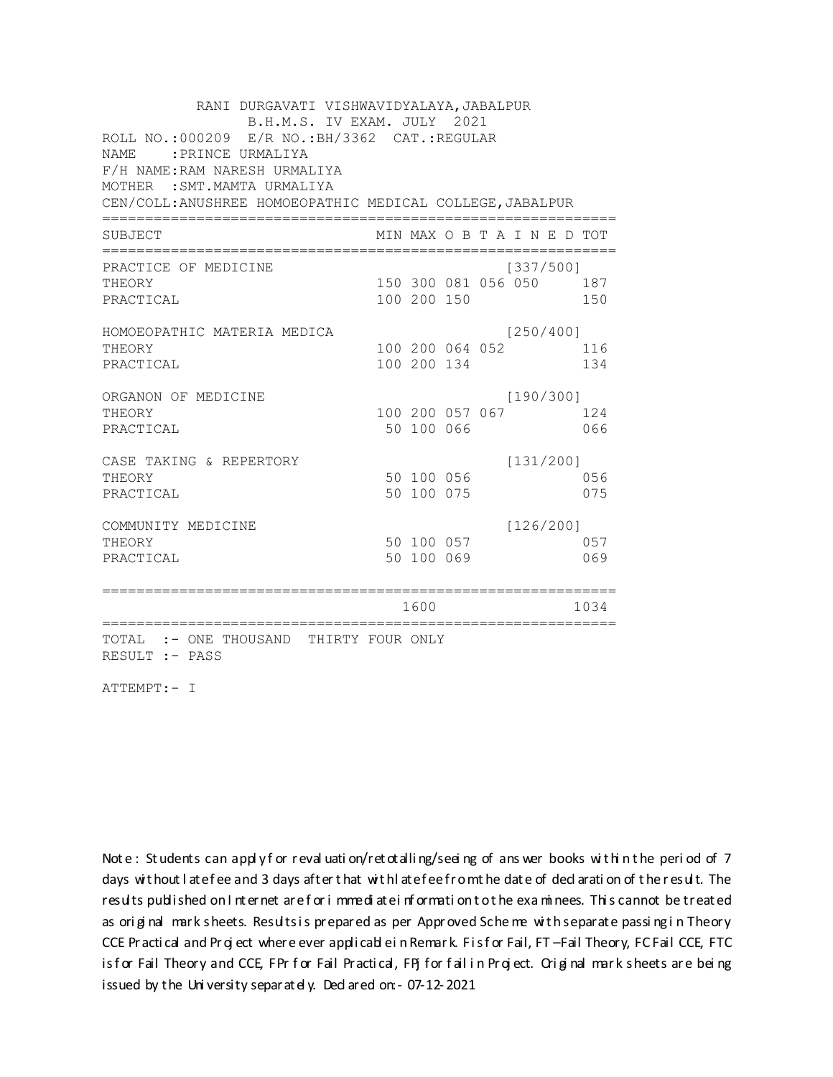| RANI DURGAVATI VISHWAVIDYALAYA, JABALPUR                  |             |                 |                             |      |
|-----------------------------------------------------------|-------------|-----------------|-----------------------------|------|
| B.H.M.S. IV EXAM. JULY 2021                               |             |                 |                             |      |
| ROLL NO.: 000209 E/R NO.: BH/3362 CAT.: REGULAR           |             |                 |                             |      |
| <b>NAME</b><br>: PRINCE URMALIYA                          |             |                 |                             |      |
| F/H NAME: RAM NARESH URMALIYA                             |             |                 |                             |      |
| MOTHER : SMT. MAMTA URMALIYA                              |             |                 |                             |      |
| CEN/COLL: ANUSHREE HOMOEOPATHIC MEDICAL COLLEGE, JABALPUR |             |                 |                             |      |
| SUBJECT                                                   |             |                 | MIN MAX O B T A I N E D TOT |      |
| PRACTICE OF MEDICINE                                      |             |                 | [337/500]                   |      |
| THEORY                                                    |             |                 | 150 300 081 056 050 187     |      |
| PRACTICAL                                                 | 100 200 150 |                 |                             | 150  |
| HOMOEOPATHIC MATERIA MEDICA                               |             |                 | [250/400]                   |      |
| THEORY                                                    |             | 100 200 064 052 |                             | 116  |
| PRACTICAL                                                 | 100 200 134 |                 |                             | 134  |
| ORGANON OF MEDICINE                                       |             |                 | [190/300]                   |      |
| THEORY                                                    |             | 100 200 057 067 |                             | 124  |
| PRACTICAL                                                 | 50 100 066  |                 |                             | 066  |
| CASE TAKING & REPERTORY                                   |             |                 | [131/200]                   |      |
| THEORY                                                    | 50 100 056  |                 |                             | 056  |
| PRACTICAL                                                 | 50 100 075  |                 |                             | 075  |
| COMMUNITY MEDICINE                                        |             |                 | [126/200]                   |      |
| THEORY                                                    | 50 100 057  |                 |                             | 057  |
| PRACTICAL                                                 | 50 100 069  |                 |                             | 069  |
|                                                           |             |                 |                             |      |
|                                                           | 1600        |                 |                             | 1034 |
| TOTAL :- ONE THOUSAND THIRTY FOUR ONLY<br>RESULT :- PASS  |             |                 |                             |      |

ATTEMPT:- I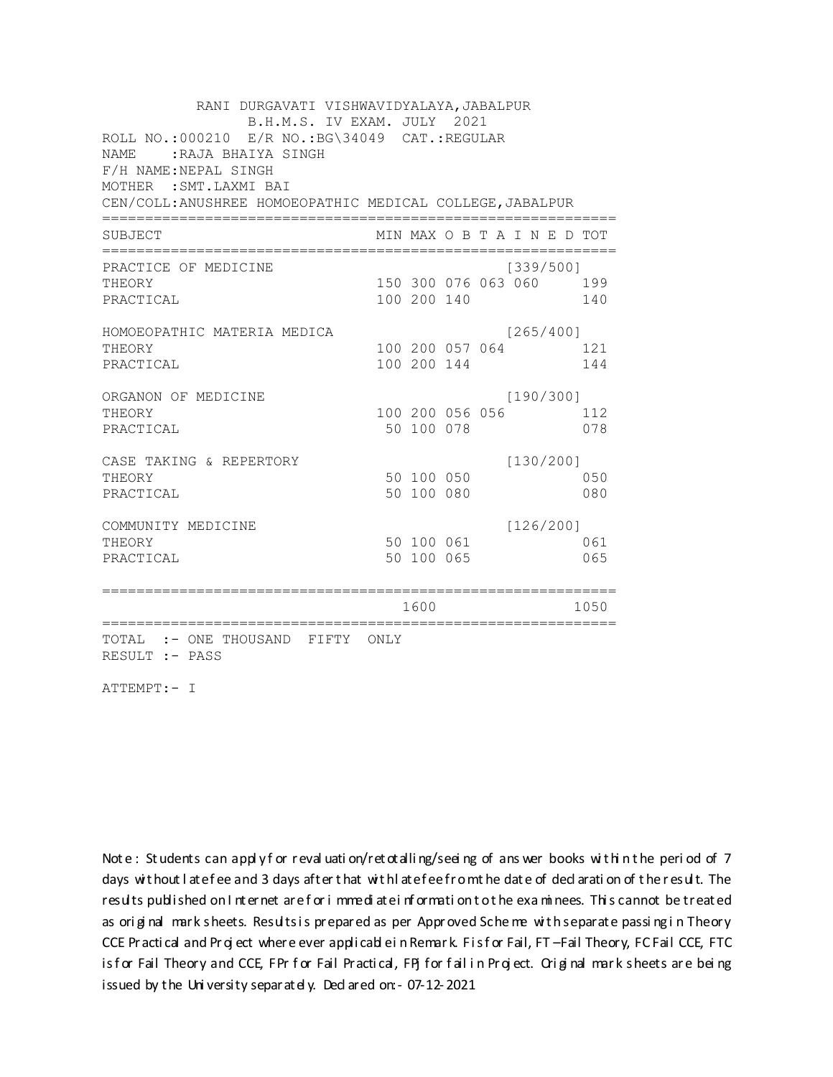RANI DURGAVATI VISHWAVIDYALAYA, JABALPUR B.H.M.S. IV EXAM. JULY 2021 ROLL NO.:000210 E/R NO.: BG\34049 CAT.: REGULAR NAME: RAJA BHAIYA SINGH F/H NAME: NEPAL SINGH MOTHER : SMT. LAXMI BAI CEN/COLL: ANUSHREE HOMOEOPATHIC MEDICAL COLLEGE, JABALPUR MIN MAX O B T A I N E D TOT SUBJECT PRACTICE OF MEDICINE  $[339/500]$ THEORY 150 300 076 063 060 199 PRACTICAL 100 200 140 140 HOMOEOPATHIC MATERIA MEDICA  $[265/400]$ 100 200 057 064 121 THEORY PRACTICAL 100 200 144 144 ORGANON OF MEDICINE  $[190/300]$ THEORY 100 200 056 056 112 PRACTICAL 50 100 078 078 CASE TAKING & REPERTORY  $[130/200]$ 50 100 050 THEORY 050 50 100 080 PRACTICAL 080  $[126/200]$ COMMUNITY MEDICINE 50 100 061 061 THEORY PRACTICAL 50 100 065 065 1600 1600 1050 TOTAL :- ONE THOUSAND FIFTY ONLY RESULT :- PASS

ATTEMPT:- I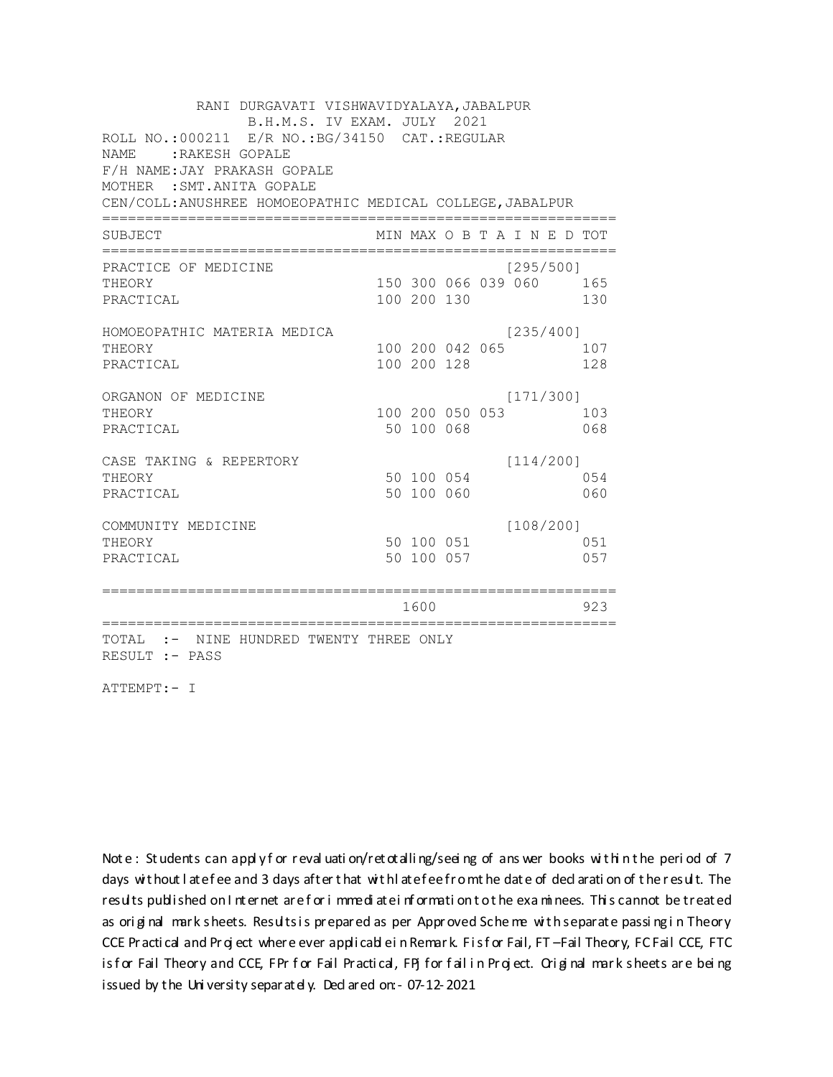RANI DURGAVATI VISHWAVIDYALAYA, JABALPUR B.H.M.S. IV EXAM. JULY 2021 ROLL NO.:000211 E/R NO.: BG/34150 CAT.: REGULAR NAME: : RAKESH GOPALE F/H NAME: JAY PRAKASH GOPALE MOTHER : SMT. ANITA GOPALE CEN/COLL: ANUSHREE HOMOEOPATHIC MEDICAL COLLEGE, JABALPUR MIN MAX O B T A I N E D TOT SUBJECT PRACTICE OF MEDICINE  $[295/500]$ THEORY 150 300 066 039 060 165 PRACTICAL 100 200 130 130 HOMOEOPATHIC MATERIA MEDICA  $[235/400]$ 100 200 042 065 107 THEORY PRACTICAL 100 200 128 128 ORGANON OF MEDICINE  $[171/300]$ THEORY 100 200 050 053 103 PRACTICAL 50 100 068 068 CASE TAKING & REPERTORY  $[114/200]$ 50 100 054 THEORY 054 50 100 060 PRACTICAL 060  $[108/200]$ COMMUNITY MEDICINE 50 100 051 051 THEORY 50 100 057 PRACTICAL 057 1600 1600 923 TOTAL :- NINE HUNDRED TWENTY THREE ONLY RESULT :- PASS

ATTEMPT:- I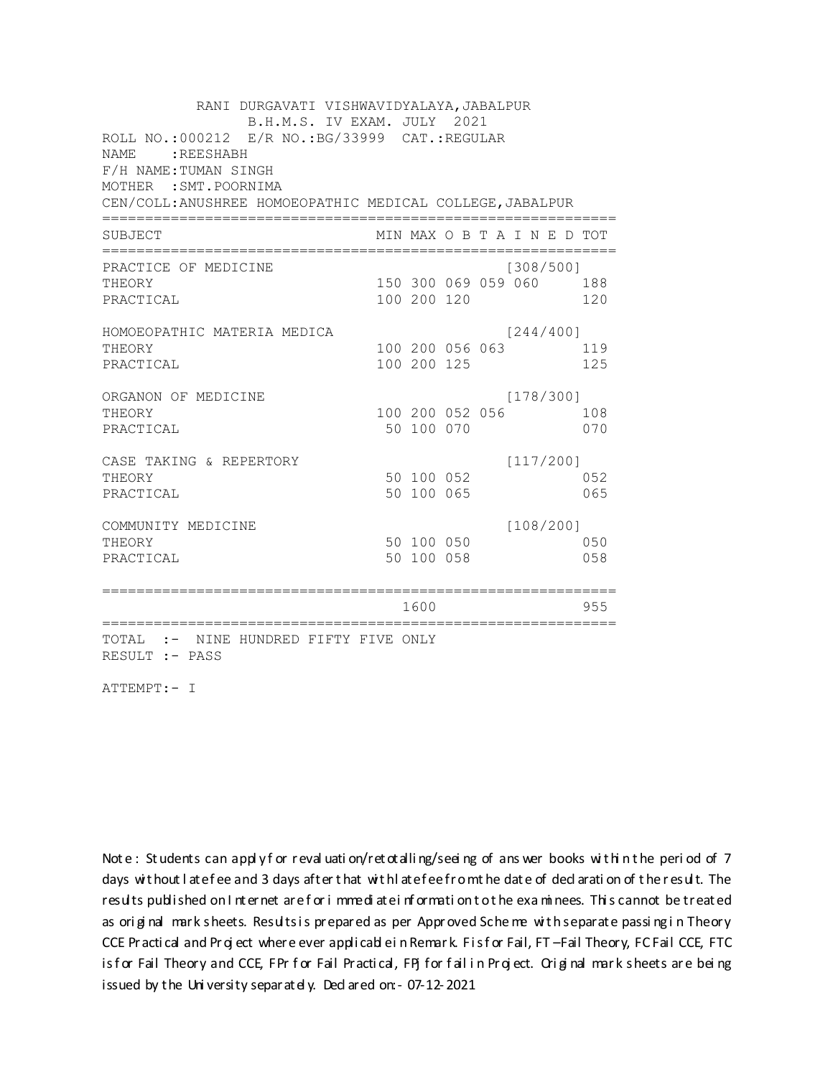RANI DURGAVATI VISHWAVIDYALAYA, JABALPUR B.H.M.S. IV EXAM. JULY 2021 ROLL NO.:000212 E/R NO.: BG/33999 CAT.: REGULAR NAME: REESHABH F/H NAME: TUMAN SINGH MOTHER : SMT. POORNIMA CEN/COLL: ANUSHREE HOMOEOPATHIC MEDICAL COLLEGE, JABALPUR MIN MAX O B T A I N E D TOT SUBJECT PRACTICE OF MEDICINE  $[308/500]$ THEORY 150 300 069 059 060 188 PRACTICAL 100 200 120 120 HOMOEOPATHIC MATERIA MEDICA  $[244/400]$ 100 200 056 063 119 THEORY PRACTICAL 100 200 125 125 ORGANON OF MEDICINE  $[178/300]$ THEORY 100 200 052 056 108 PRACTICAL 50 100 070 070 CASE TAKING & REPERTORY  $[117/200]$ 50 100 052 THEORY 052 50 100 065 PRACTICAL 065  $[108/200]$ COMMUNITY MEDICINE 50 100 050 050 THEORY PRACTICAL 50 100 058 058 1600 1600 955 TOTAL :- NINE HUNDRED FIFTY FIVE ONLY RESULT :- PASS

ATTEMPT:- I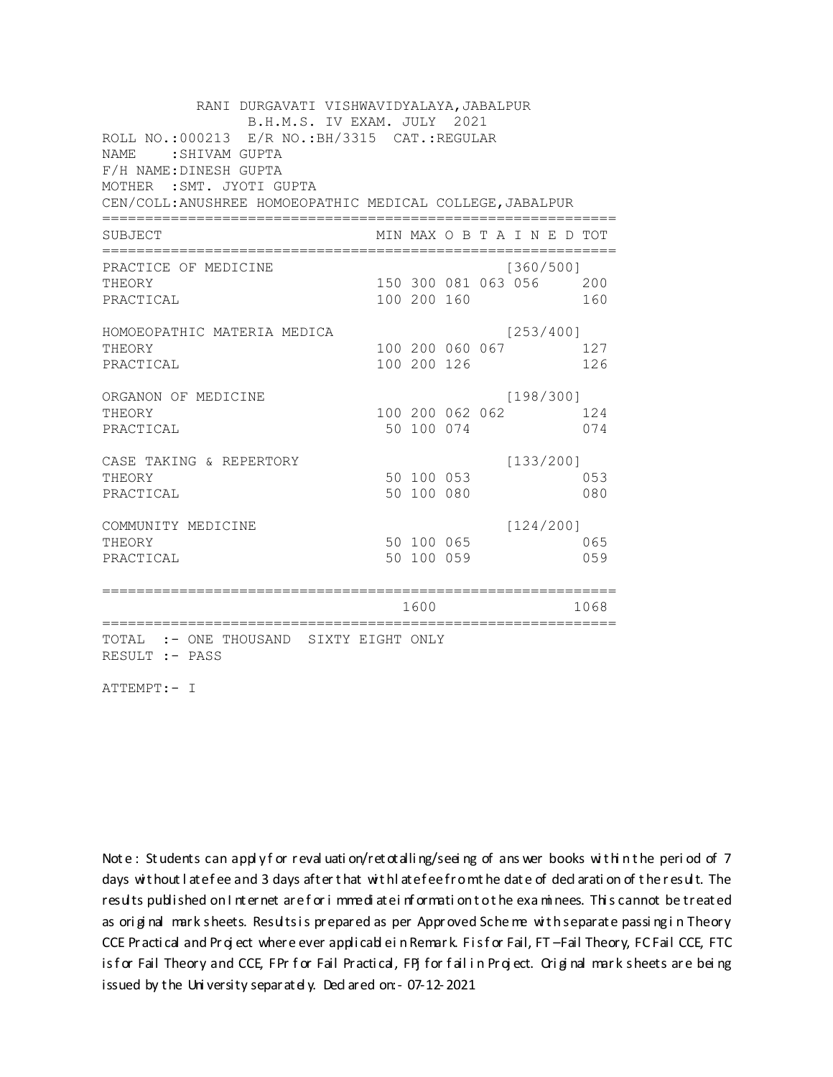| RANI DURGAVATI VISHWAVIDYALAYA, JABALPUR                    |             |                 |                             |      |
|-------------------------------------------------------------|-------------|-----------------|-----------------------------|------|
| B.H.M.S. IV EXAM. JULY 2021                                 |             |                 |                             |      |
| ROLL NO.: 000213 E/R NO.: BH/3315 CAT.: REGULAR             |             |                 |                             |      |
| <b>NAME</b><br>: SHIVAM GUPTA                               |             |                 |                             |      |
| F/H NAME: DINESH GUPTA                                      |             |                 |                             |      |
| MOTHER : SMT. JYOTI GUPTA                                   |             |                 |                             |      |
| CEN/COLL: ANUSHREE HOMOEOPATHIC MEDICAL COLLEGE, JABALPUR   |             |                 |                             |      |
| SUBJECT                                                     |             |                 | MIN MAX O B T A I N E D TOT |      |
|                                                             |             |                 |                             |      |
| PRACTICE OF MEDICINE                                        |             |                 | [360/500]                   |      |
| THEORY                                                      |             |                 | 150 300 081 063 056         | 200  |
| PRACTICAL                                                   | 100 200 160 |                 |                             | 160  |
| HOMOEOPATHIC MATERIA MEDICA                                 |             |                 | [253/400]                   |      |
| THEORY                                                      |             | 100 200 060 067 |                             | 127  |
| PRACTICAL                                                   | 100 200 126 |                 |                             | 126  |
| ORGANON OF MEDICINE                                         |             |                 | [198/300]                   |      |
| THEORY                                                      |             | 100 200 062 062 |                             | 124  |
| PRACTICAL                                                   | 50 100 074  |                 |                             | 074  |
| CASE TAKING & REPERTORY                                     |             |                 | [133/200]                   |      |
| THEORY                                                      | 50 100 053  |                 |                             | 053  |
| PRACTICAL                                                   | 50 100 080  |                 |                             | 080  |
| COMMUNITY MEDICINE                                          |             |                 | [124/200]                   |      |
| THEORY                                                      | 50 100 065  |                 |                             | 065  |
| PRACTICAL                                                   | 50 100 059  |                 |                             | 059  |
|                                                             |             |                 |                             |      |
|                                                             |             |                 |                             |      |
|                                                             | 1600        |                 |                             | 1068 |
| TOTAL<br>:- ONE THOUSAND SIXTY EIGHT ONLY<br>RESULT :- PASS |             |                 |                             |      |

ATTEMPT:- I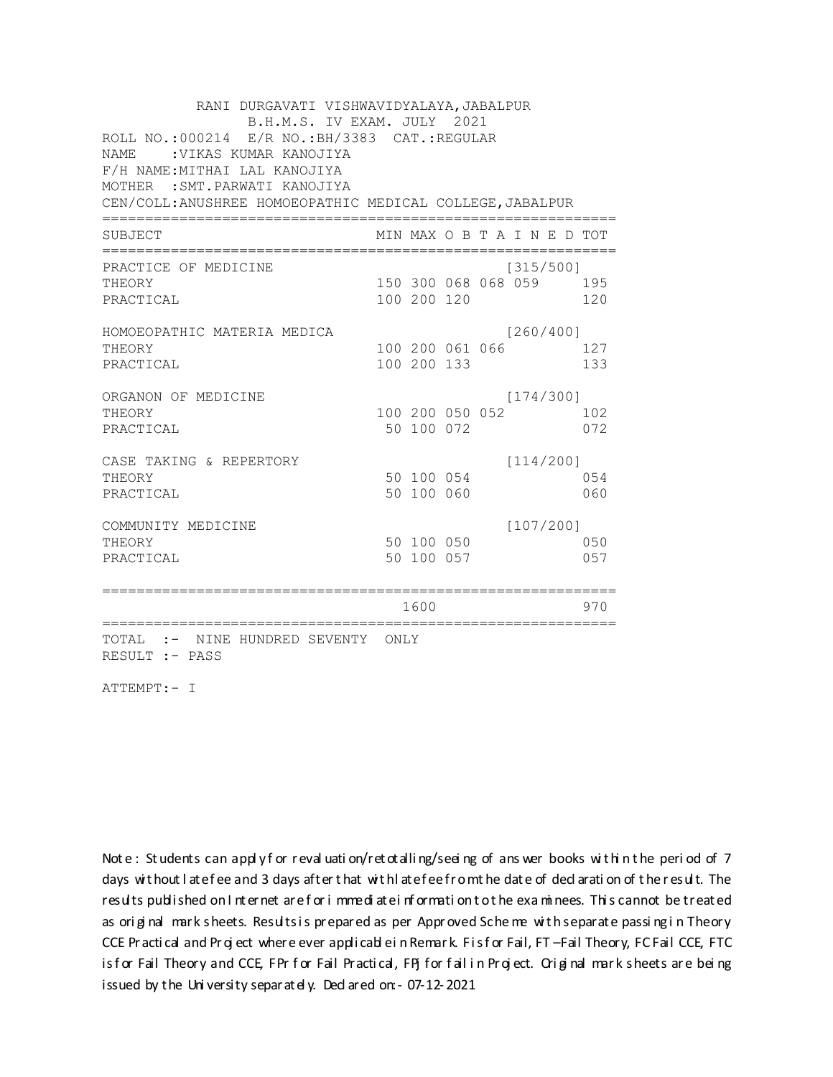| RANI DURGAVATI VISHWAVIDYALAYA, JABALPUR<br>B.H.M.S. IV EXAM. JULY 2021 |  |             |                 |  |                             |  |     |  |  |  |
|-------------------------------------------------------------------------|--|-------------|-----------------|--|-----------------------------|--|-----|--|--|--|
| ROLL NO.: 000214 E/R NO.: BH/3383 CAT.: REGULAR                         |  |             |                 |  |                             |  |     |  |  |  |
| NAME.<br>: VIKAS KUMAR KANOJIYA                                         |  |             |                 |  |                             |  |     |  |  |  |
| F/H NAME: MITHAI LAL KANOJIYA                                           |  |             |                 |  |                             |  |     |  |  |  |
| MOTHER : SMT. PARWATI KANOJIYA                                          |  |             |                 |  |                             |  |     |  |  |  |
| CEN/COLL: ANUSHREE HOMOEOPATHIC MEDICAL COLLEGE, JABALPUR               |  |             |                 |  |                             |  |     |  |  |  |
| SUBJECT                                                                 |  |             |                 |  | MIN MAX O B T A I N E D TOT |  |     |  |  |  |
| ==============<br>PRACTICE OF MEDICINE                                  |  |             |                 |  | [315/500]                   |  |     |  |  |  |
| THEORY                                                                  |  |             |                 |  | 150 300 068 068 059 195     |  |     |  |  |  |
| PRACTICAL                                                               |  | 100 200 120 |                 |  |                             |  | 120 |  |  |  |
| HOMOEOPATHIC MATERIA MEDICA                                             |  |             |                 |  | [260/400]                   |  |     |  |  |  |
| THEORY                                                                  |  |             | 100 200 061 066 |  |                             |  | 127 |  |  |  |
| PRACTICAL                                                               |  | 100 200 133 |                 |  |                             |  | 133 |  |  |  |
| ORGANON OF MEDICINE                                                     |  |             |                 |  | [174/300]                   |  |     |  |  |  |
| THEORY                                                                  |  |             | 100 200 050 052 |  |                             |  | 102 |  |  |  |
| PRACTICAL                                                               |  | 50 100 072  |                 |  |                             |  | 072 |  |  |  |
| CASE TAKING & REPERTORY                                                 |  |             |                 |  | [114/200]                   |  |     |  |  |  |
| THEORY                                                                  |  | 50 100 054  |                 |  |                             |  | 054 |  |  |  |
| PRACTICAL                                                               |  | 50 100 060  |                 |  |                             |  | 060 |  |  |  |
| COMMUNITY MEDICINE                                                      |  |             |                 |  | [107/200]                   |  |     |  |  |  |
| THEORY                                                                  |  | 50 100 050  |                 |  |                             |  | 050 |  |  |  |
| PRACTICAL                                                               |  | 50 100 057  |                 |  |                             |  | 057 |  |  |  |
|                                                                         |  | 1600        |                 |  |                             |  | 970 |  |  |  |
|                                                                         |  |             |                 |  |                             |  |     |  |  |  |
| TOTAL :- NINE HUNDRED SEVENTY ONLY<br>RESULT :- PASS                    |  |             |                 |  |                             |  |     |  |  |  |

ATTEMPT:- I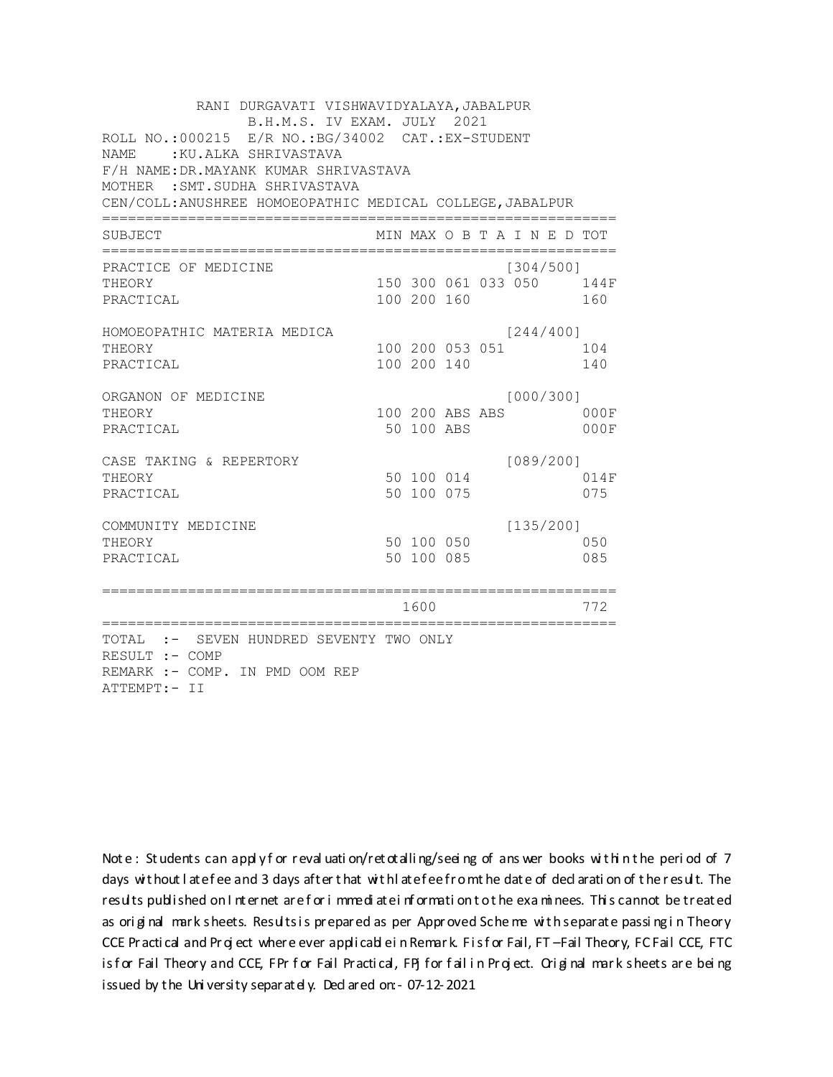| RANI DURGAVATI VISHWAVIDYALAYA, JABALPUR<br>B.H.M.S. IV EXAM. JULY 2021<br>ROLL NO.: 000215 E/R NO.: BG/34002 CAT.: EX-STUDENT<br>NAME: : KU.ALKA SHRIVASTAVA<br>F/H NAME: DR. MAYANK KUMAR SHRIVASTAVA<br>MOTHER : SMT. SUDHA SHRIVASTAVA<br>CEN/COLL: ANUSHREE HOMOEOPATHIC MEDICAL COLLEGE, JABALPUR |  |                          |                               |  |                              |  |                                 |  |  |  |  |
|---------------------------------------------------------------------------------------------------------------------------------------------------------------------------------------------------------------------------------------------------------------------------------------------------------|--|--------------------------|-------------------------------|--|------------------------------|--|---------------------------------|--|--|--|--|
|                                                                                                                                                                                                                                                                                                         |  |                          |                               |  |                              |  |                                 |  |  |  |  |
| SUBJECT                                                                                                                                                                                                                                                                                                 |  |                          |                               |  | MIN MAX O B T A I N E D TOT  |  |                                 |  |  |  |  |
| PRACTICE OF MEDICINE<br>THEORY<br>PRACTICAL                                                                                                                                                                                                                                                             |  | 100 200 160              |                               |  | [304/500]                    |  | 150 300 061 033 050 144F<br>160 |  |  |  |  |
| HOMOEOPATHIC MATERIA MEDICA<br>THEORY<br>PRACTICAL                                                                                                                                                                                                                                                      |  | 100 200 140              |                               |  | [244/400]<br>100 200 053 051 |  | 104<br>140                      |  |  |  |  |
| ORGANON OF MEDICINE<br>THEORY<br>PRACTICAL                                                                                                                                                                                                                                                              |  |                          | 100 200 ABS ABS<br>50 100 ABS |  | [000/300]                    |  | 000F<br>000F                    |  |  |  |  |
| CASE TAKING & REPERTORY<br>THEORY<br>PRACTICAL                                                                                                                                                                                                                                                          |  | 50 100 075               | 50 100 014                    |  | [089/200]                    |  | 014F<br>075                     |  |  |  |  |
| COMMUNITY MEDICINE<br>THEORY<br>PRACTICAL                                                                                                                                                                                                                                                               |  | 50 100 050<br>50 100 085 |                               |  | [135/200]                    |  | 050<br>085                      |  |  |  |  |
|                                                                                                                                                                                                                                                                                                         |  | 1600                     |                               |  |                              |  | 772                             |  |  |  |  |
| TOTAL :- SEVEN HUNDRED SEVENTY TWO ONLY<br>RESULT :- COMP<br>REMARK :- COMP. IN PMD OOM REP<br>ATTEMPT:- II                                                                                                                                                                                             |  |                          |                               |  |                              |  |                                 |  |  |  |  |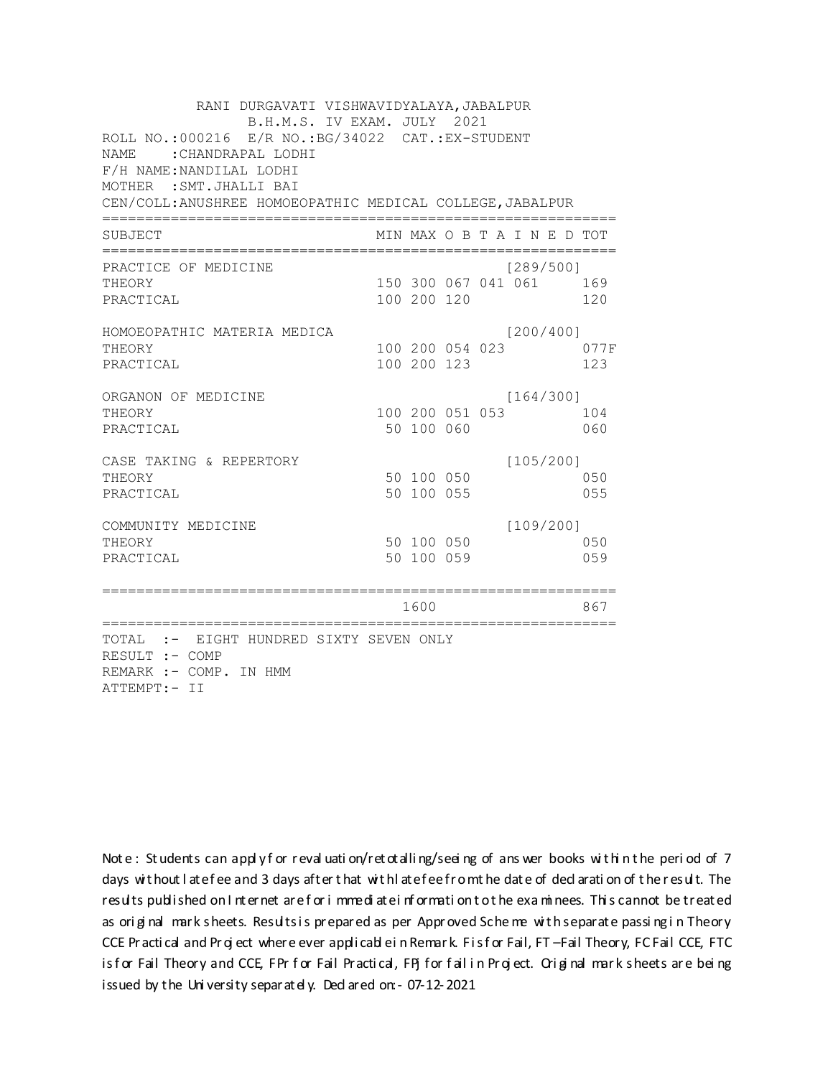RANI DURGAVATI VISHWAVIDYALAYA, JABALPUR B.H.M.S. IV EXAM. JULY 2021 ROLL NO.: 000216 E/R NO.: BG/34022 CAT.: EX-STUDENT NAME : CHANDRAPAL LODHI F/H NAME: NANDILAL LODHI MOTHER : SMT. JHALLI BAI CEN/COLL: ANUSHREE HOMOEOPATHIC MEDICAL COLLEGE, JABALPUR MIN MAX O B T A I N E D TOT SUBJECT PRACTICE OF MEDICINE  $1289/5001$ THEORY 150 300 067 041 061 169 PRACTICAL 100 200 120 120 HOMOEOPATHIC MATERIA MEDICA  $[200/400]$ 100 200 054 023 077F THEORY PRACTICAL 100 200 123 123 ORGANON OF MEDICINE  $[164/300]$ THEORY 100 200 051 053 104 PRACTICAL 50 100 060 060 CASE TAKING & REPERTORY  $[105/200]$ 50 100 050 THEORY 050 PRACTICAL 50 100 055 055  $[109/200]$ COMMUNITY MEDICINE 50 100 050 050 THEORY PRACTICAL 50 100 059 059 1600 1600 867 TOTAL :- EIGHT HUNDRED SIXTY SEVEN ONLY RESULT :- COMP REMARK :- COMP. IN HMM ATTEMPT:- II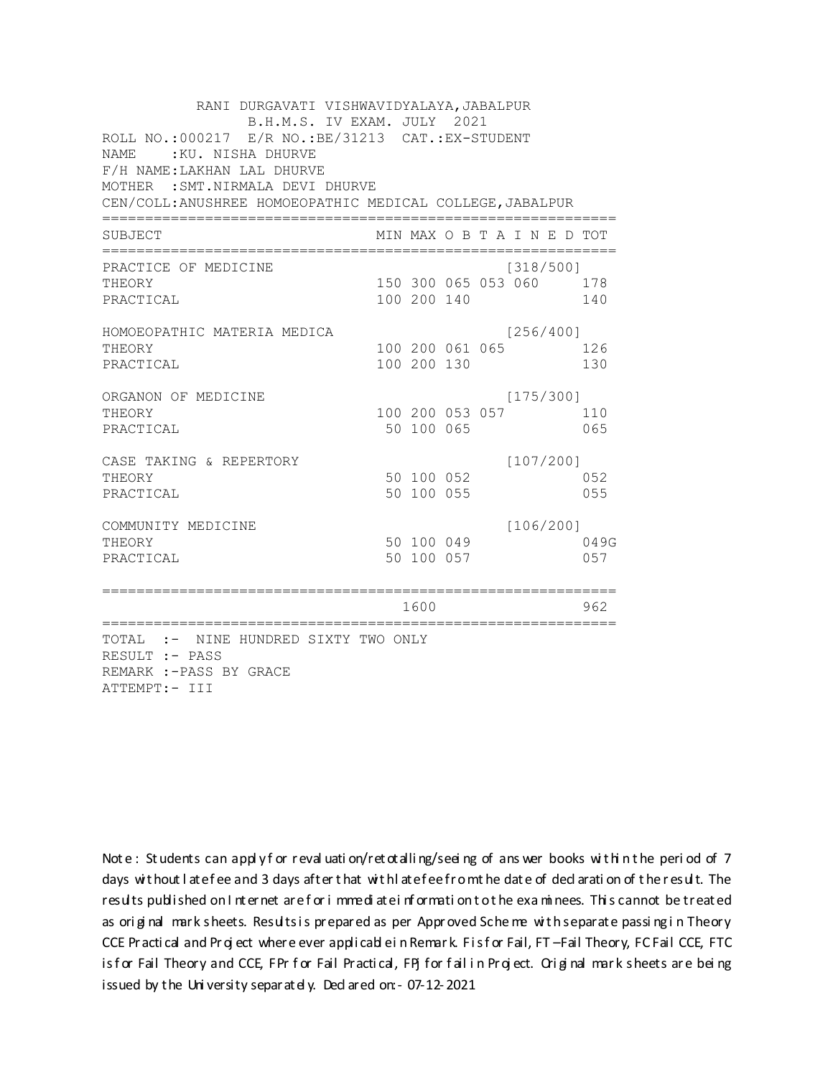| RANI DURGAVATI VISHWAVIDYALAYA, JABALPUR<br>B.H.M.S. IV EXAM. JULY 2021<br>ROLL NO.:000217 E/R NO.:BE/31213 CAT.:EX-STUDENT<br>:KU. NISHA DHURVE<br><b>NAME</b><br>F/H NAME: LAKHAN LAL DHURVE<br>MOTHER : SMT. NIRMALA DEVI DHURVE<br>CEN/COLL: ANUSHREE HOMOEOPATHIC MEDICAL COLLEGE, JABALPUR |             |                 |                                      |                                           |
|--------------------------------------------------------------------------------------------------------------------------------------------------------------------------------------------------------------------------------------------------------------------------------------------------|-------------|-----------------|--------------------------------------|-------------------------------------------|
| SUBJECT                                                                                                                                                                                                                                                                                          |             |                 | MIN MAX O B T A I N E D TOT          |                                           |
| PRACTICE OF MEDICINE<br>THEORY<br>PRACTICAL                                                                                                                                                                                                                                                      | 100 200 140 |                 | [318/500]<br>150 300 065 053 060 178 | 140                                       |
| HOMOEOPATHIC MATERIA MEDICA<br>THEORY<br>PRACTICAL                                                                                                                                                                                                                                               | 100 200 130 | 100 200 061 065 | [256/400]                            | 126<br>130                                |
| ORGANON OF MEDICINE<br>THEORY<br>PRACTICAL                                                                                                                                                                                                                                                       | 50 100 065  | 100 200 053 057 | [175/300]                            | 110<br>065                                |
| CASE TAKING & REPERTORY<br>THEORY<br>PRACTICAL                                                                                                                                                                                                                                                   | 50 100 055  | 50 100 052      | [107/200]                            | 052<br>055                                |
| COMMUNITY MEDICINE<br>THEORY<br>PRACTICAL                                                                                                                                                                                                                                                        | 50 100 057  | 50 100 049      | [106/200]                            | 049G<br>057                               |
| ==============================                                                                                                                                                                                                                                                                   | 1600        |                 |                                      | 962<br>;================================= |
| TOTAL :- NINE HUNDRED SIXTY TWO ONLY<br>RESULT :- PASS<br>REMARK :-PASS BY GRACE<br>ATTEMPT:- III                                                                                                                                                                                                |             |                 |                                      |                                           |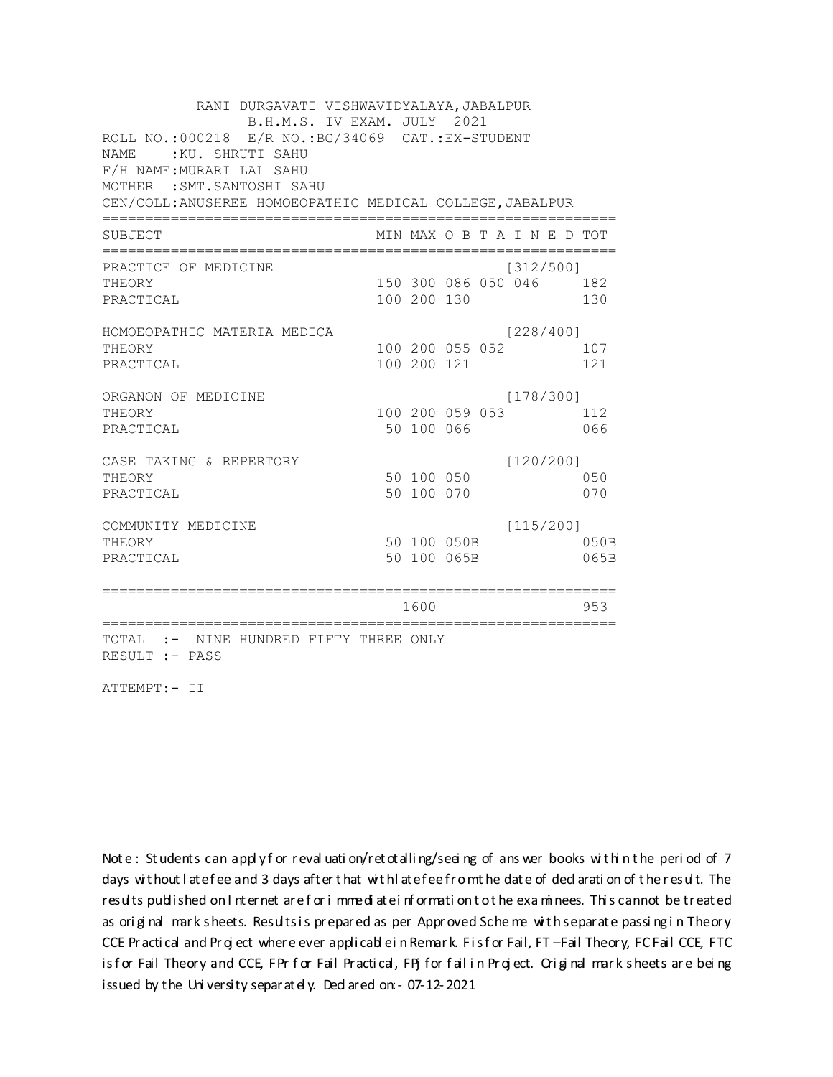RANI DURGAVATI VISHWAVIDYALAYA, JABALPUR B.H.M.S. IV EXAM. JULY 2021 ROLL NO.: 000218 E/R NO.: BG/34069 CAT.: EX-STUDENT NAME: KU. SHRUTI SAHU F/H NAME: MURARI LAL SAHU MOTHER : SMT. SANTOSHI SAHU CEN/COLL: ANUSHREE HOMOEOPATHIC MEDICAL COLLEGE, JABALPUR MIN MAX O B T A I N E D TOT SUBJECT PRACTICE OF MEDICINE  $[312/500]$ THEORY 150 300 086 050 046 182 PRACTICAL 100 200 130 130 HOMOEOPATHIC MATERIA MEDICA  $[228/400]$ 100 200 055 052 107 THEORY PRACTICAL 100 200 121 121 ORGANON OF MEDICINE  $[178/300]$ THEORY 100 200 059 053 112 PRACTICAL 50 100 066 066 CASE TAKING & REPERTORY  $[120/200]$ 50 100 050 THEORY 050 50 100 070 PRACTICAL 070  $[115/200]$ COMMUNITY MEDICINE 50 100 050B 050B THEORY PRACTICAL 50 100 065B 065B 1600 1600 953 TOTAL :- NINE HUNDRED FIFTY THREE ONLY RESULT :- PASS

ATTEMPT:- II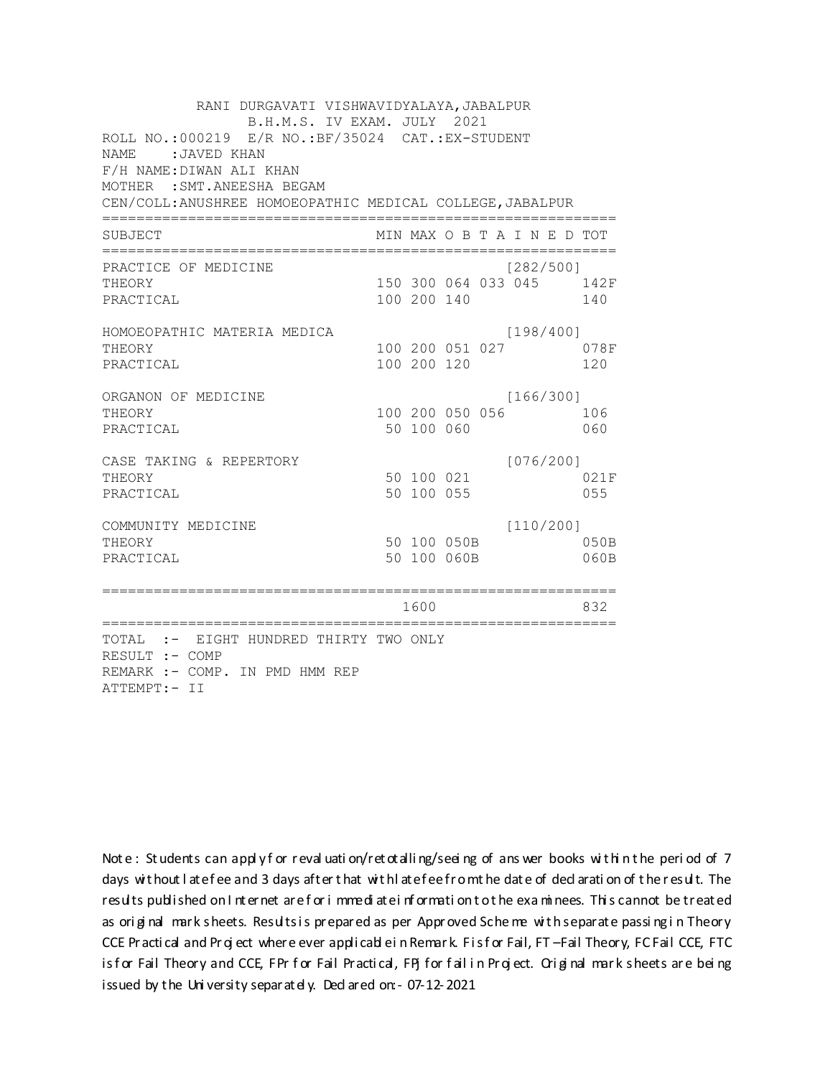RANI DURGAVATI VISHWAVIDYALAYA, JABALPUR B.H.M.S. IV EXAM. JULY 2021 ROLL NO.: 000219 E/R NO.: BF/35024 CAT.: EX-STUDENT NAME: JAVED KHAN F/H NAME: DIWAN ALI KHAN MOTHER : SMT. ANEESHA BEGAM CEN/COLL: ANUSHREE HOMOEOPATHIC MEDICAL COLLEGE, JABALPUR MIN MAX O B T A I N E D TOT SUBJECT  $[282/5001]$ PRACTICE OF MEDICINE 150 300 064 033 045 142F THEORY PRACTICAL 100 200 140 140 HOMOEOPATHIC MATERIA MEDICA  $[198/400]$ 100 200 051 027 078F THEORY PRACTICAL 100 200 120 120 ORGANON OF MEDICINE  $[166/300]$ THEORY 100 200 050 056 106 PRACTICAL 50 100 060 060  $[076/200]$ CASE TAKING & REPERTORY THEORY 021F 50 100 055 PRACTICAL 055  $[110/200]$ COMMUNITY MEDICINE 50 100 050B 050B THEORY PRACTICAL 50 100 060B 060B 1600 000 832 TOTAL :- EIGHT HUNDRED THIRTY TWO ONLY RESULT :- COMP REMARK :- COMP. IN PMD HMM REP ATTEMPT:- II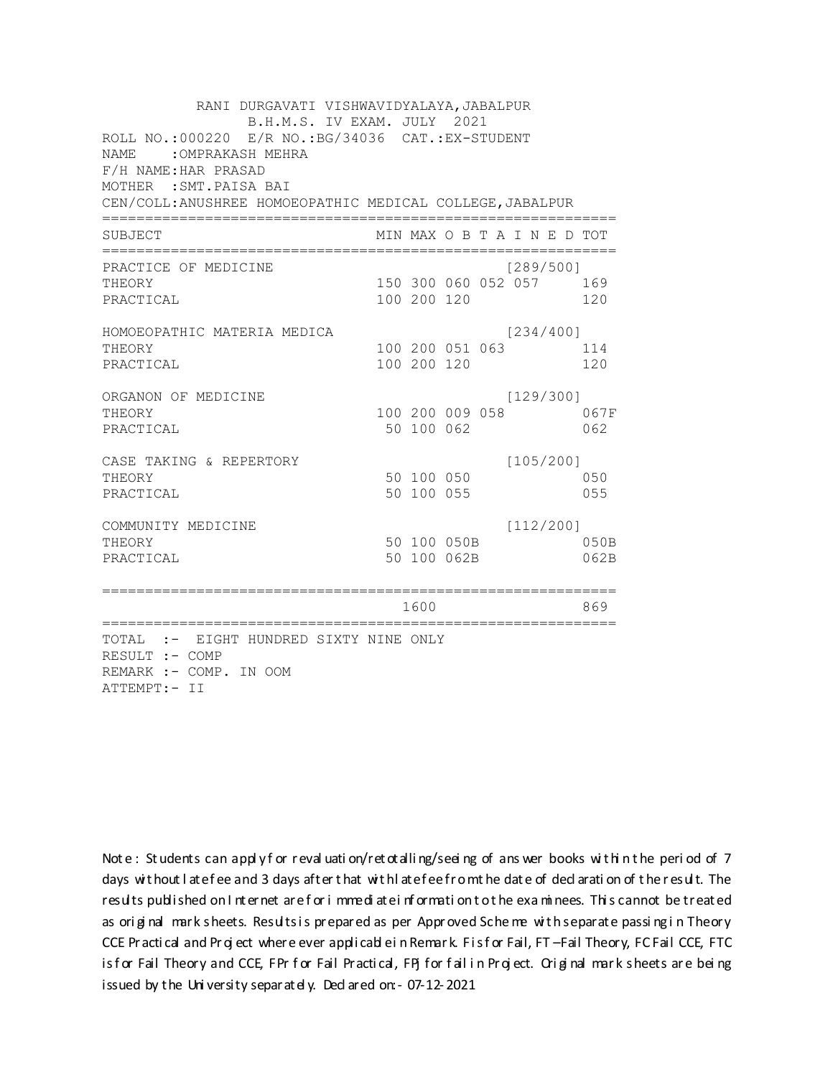RANI DURGAVATI VISHWAVIDYALAYA, JABALPUR B.H.M.S. IV EXAM. JULY 2021 ROLL NO.:000220 E/R NO.: BG/34036 CAT.: EX-STUDENT NAME : OMPRAKASH MEHRA F/H NAME: HAR PRASAD MOTHER : SMT. PAISA BAI CEN/COLL: ANUSHREE HOMOEOPATHIC MEDICAL COLLEGE, JABALPUR MIN MAX O B T A I N E D TOT SUBJECT  $[289/5001]$ PRACTICE OF MEDICINE 150 300 060 052 057 169 **THEORY** PRACTICAL 100 200 120 120 HOMOEOPATHIC MATERIA MEDICA  $[234/400]$ 100 200 051 063 114 THEORY PRACTICAL 100 200 120 120 ORGANON OF MEDICINE  $[129/300]$ THEORY 100 200 009 058 067F PRACTICAL 50 100 062 062 CASE TAKING & REPERTORY  $[105/200]$ 50 100 050 THEORY 050 50 100 055 PRACTICAL 055  $[112/200]$ COMMUNITY MEDICINE 50 100 050B 050B THEORY PRACTICAL 50 100 062B 062B 1600 1600 869 TOTAL :- EIGHT HUNDRED SIXTY NINE ONLY RESULT :- COMP REMARK :- COMP. IN OOM ATTEMPT:- II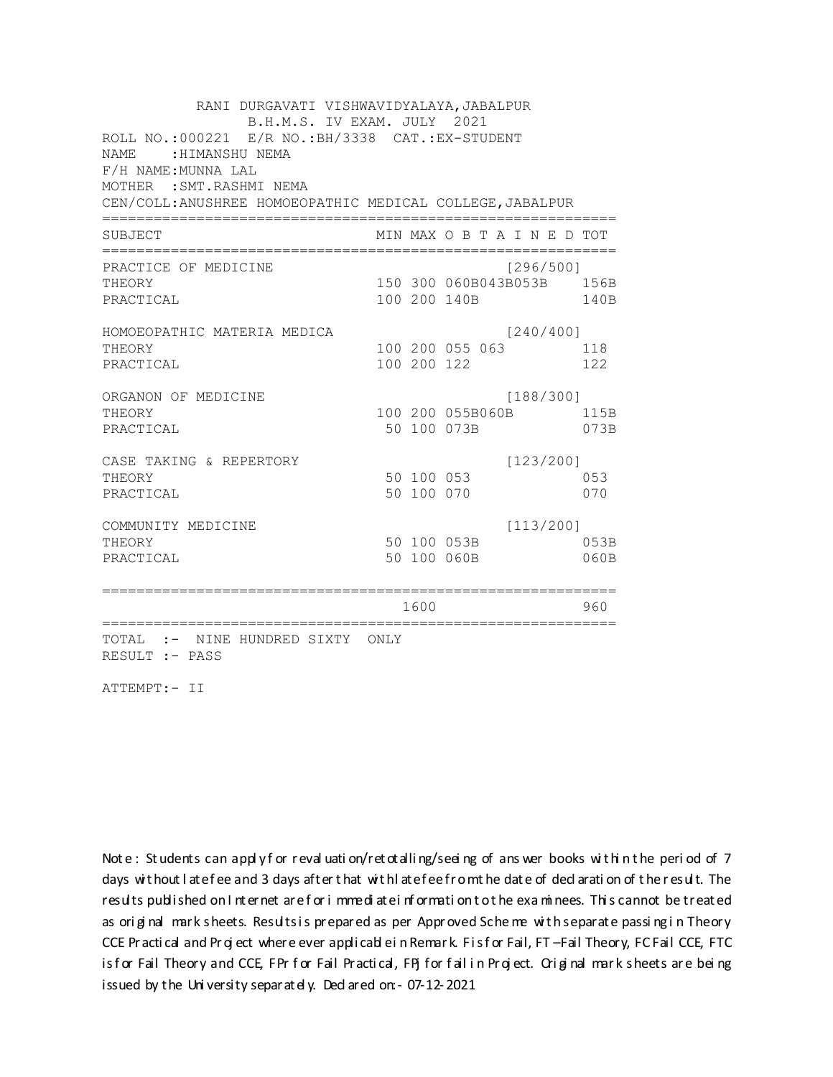RANI DURGAVATI VISHWAVIDYALAYA, JABALPUR B.H.M.S. IV EXAM. JULY 2021 ROLL NO.:000221 E/R NO.: BH/3338 CAT.: EX-STUDENT NAME : HIMANSHU NEMA F/H NAME: MUNNA LAL MOTHER : SMT. RASHMI NEMA CEN/COLL: ANUSHREE HOMOEOPATHIC MEDICAL COLLEGE, JABALPUR MIN MAX O B T A I N E D TOT SUBJECT PRACTICE OF MEDICINE  $[296/500]$ THEORY 150 300 060B043B053B 156B PRACTICAL 100 200 140B 140B HOMOEOPATHIC MATERIA MEDICA  $[240/400]$ 100 200 055 063 118 THEORY PRACTICAL 100 200 122 122 ORGANON OF MEDICINE  $[188/300]$ THEORY 100 200 055B060B 115B PRACTICAL 50 100 073B 073B CASE TAKING & REPERTORY  $[123/200]$ 50 100 053 THEORY 053 50 100 070 PRACTICAL 070  $[113/200]$ COMMUNITY MEDICINE 50 100 053B 053B THEORY PRACTICAL 50 100 060B 060B 1600 1600 960 TOTAL :- NINE HUNDRED SIXTY ONLY RESULT :- PASS

ATTEMPT:- II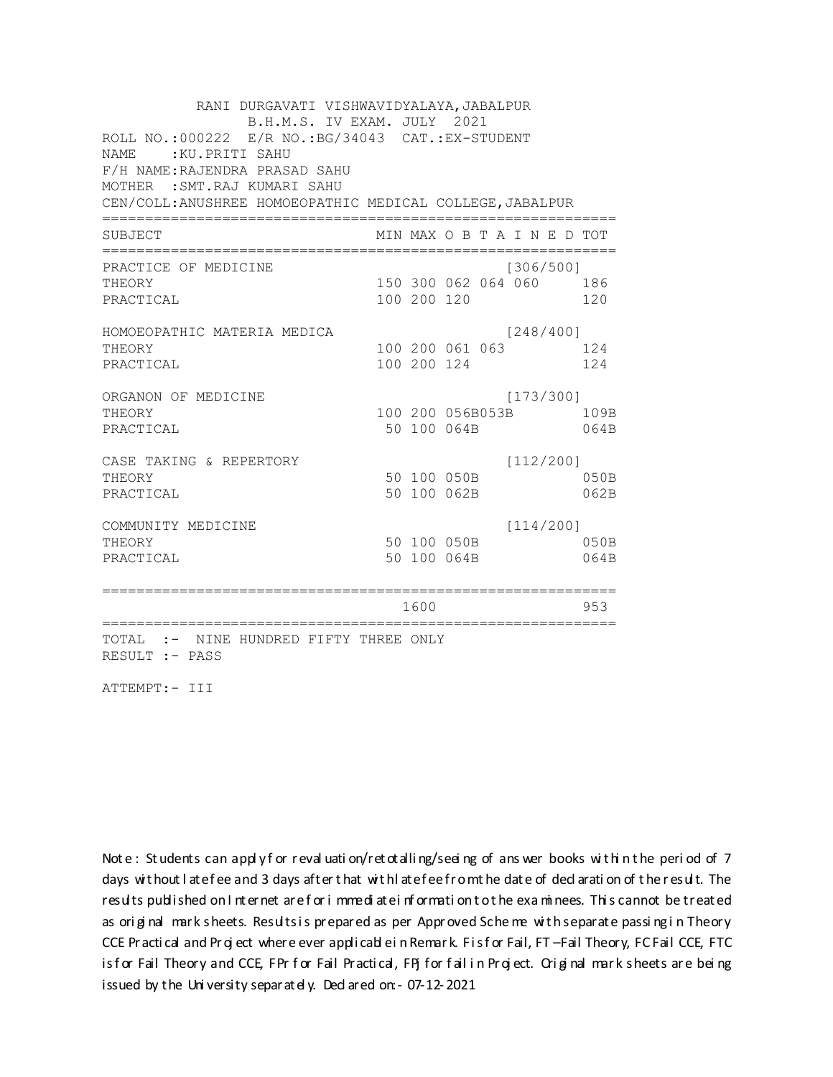RANI DURGAVATI VISHWAVIDYALAYA, JABALPUR B.H.M.S. IV EXAM. JULY 2021 ROLL NO.: 000222 E/R NO.: BG/34043 CAT.: EX-STUDENT NAME: KU. PRITI SAHU F/H NAME: RAJENDRA PRASAD SAHU MOTHER : SMT. RAJ KUMARI SAHU CEN/COLL: ANUSHREE HOMOEOPATHIC MEDICAL COLLEGE, JABALPUR MIN MAX O B T A I N E D TOT SUBJECT PRACTICE OF MEDICINE  $[306/500]$ 150 300 062 064 060 186 **THEORY** PRACTICAL 100 200 120 120 HOMOEOPATHIC MATERIA MEDICA  $[248/400]$ 100 200 061 063 124 THEORY PRACTICAL 100 200 124 124 ORGANON OF MEDICINE  $[173/300]$ THEORY 100 200 056B053B 109B PRACTICAL 50 100 064B 064B  $[112/200]$ CASE TAKING & REPERTORY 50 100 050B THEORY  $050B$ PRACTICAL 50 100 062B 062B  $[114/200]$ COMMUNITY MEDICINE 50 100 050B 050B THEORY PRACTICAL 50 100 064B 064B 1600 1600 953 TOTAL :- NINE HUNDRED FIFTY THREE ONLY RESULT :- PASS

ATTEMPT:- III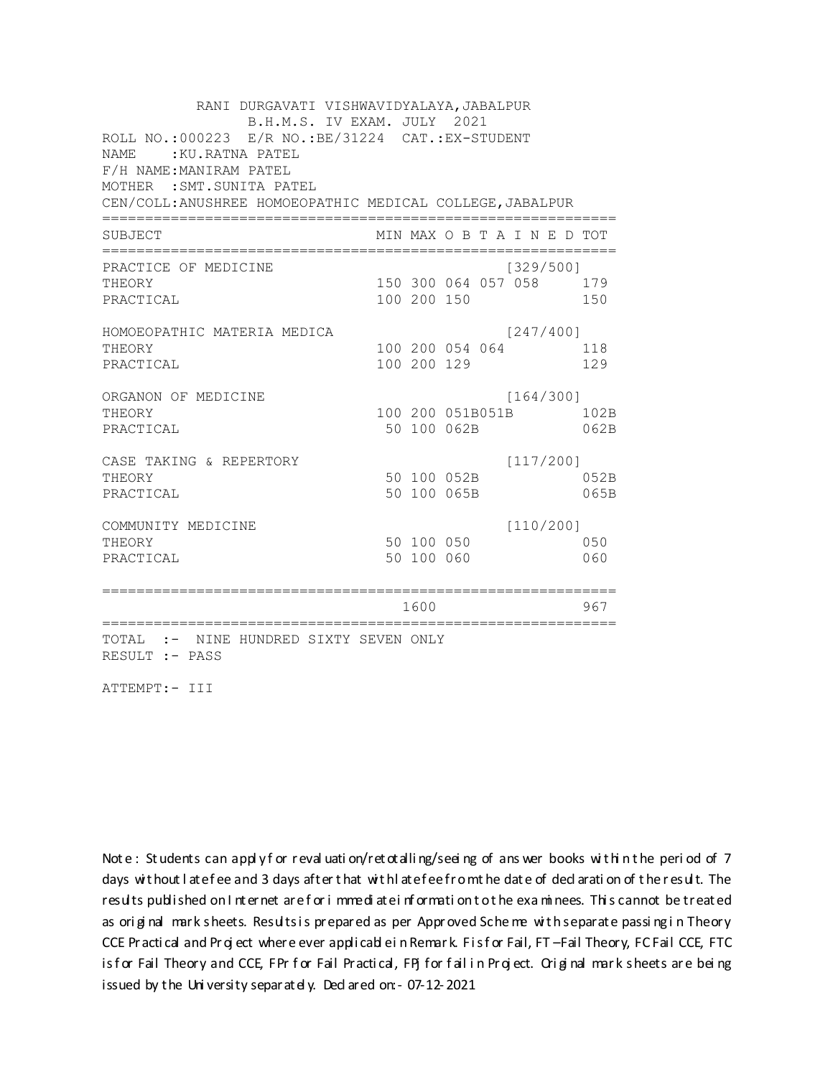RANI DURGAVATI VISHWAVIDYALAYA, JABALPUR B.H.M.S. IV EXAM. JULY 2021 ROLL NO.: 000223 E/R NO.: BE/31224 CAT.: EX-STUDENT NAME: : KU.RATNA PATEL F/H NAME: MANIRAM PATEL MOTHER : SMT. SUNITA PATEL CEN/COLL: ANUSHREE HOMOEOPATHIC MEDICAL COLLEGE, JABALPUR MIN MAX O B T A I N E D TOT SUBJECT PRACTICE OF MEDICINE  $[329/500]$ THEORY 150 300 064 057 058 179 PRACTICAL 100 200 150 150 HOMOEOPATHIC MATERIA MEDICA  $[247/400]$ 100 200 054 064 118 THEORY PRACTICAL 100 200 129 129 ORGANON OF MEDICINE  $[164/300]$ THEORY 100 200 051B051B 102B PRACTICAL 50 100 062B 062B  $[117/200]$ CASE TAKING & REPERTORY 50 100 052B THEORY 052B PRACTICAL 50 100 065B 065B  $[110/200]$ COMMUNITY MEDICINE 50 100 050 050 THEORY PRACTICAL 50 100 060 060 1600 1600 967 TOTAL :- NINE HUNDRED SIXTY SEVEN ONLY RESULT :- PASS

ATTEMPT:- III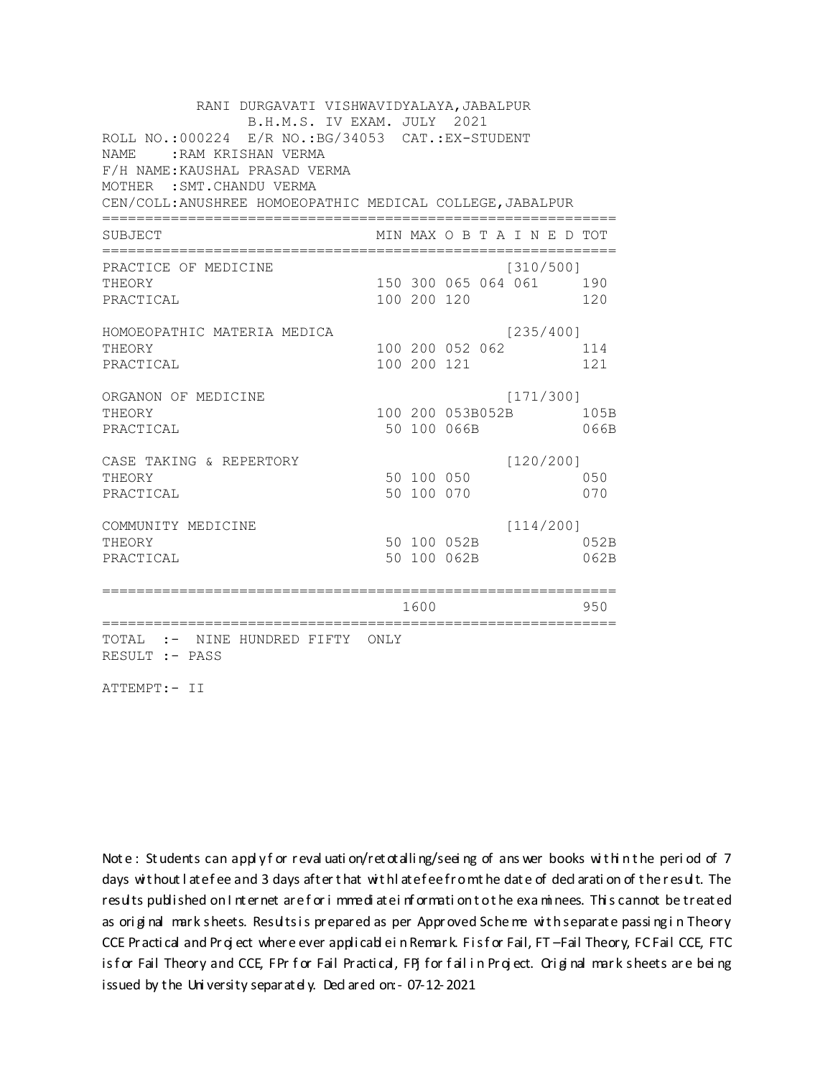RANI DURGAVATI VISHWAVIDYALAYA, JABALPUR B.H.M.S. IV EXAM. JULY 2021 ROLL NO.: 000224 E/R NO.: BG/34053 CAT.: EX-STUDENT NAME: : RAM KRISHAN VERMA F/H NAME: KAUSHAL PRASAD VERMA MOTHER : SMT. CHANDU VERMA CEN/COLL: ANUSHREE HOMOEOPATHIC MEDICAL COLLEGE, JABALPUR MIN MAX O B T A I N E D TOT SUBJECT PRACTICE OF MEDICINE  $[310/500]$ THEORY 150 300 065 064 061 190 PRACTICAL 100 200 120 120 HOMOEOPATHIC MATERIA MEDICA  $[235/400]$ 100 200 052 062 114 THEORY PRACTICAL 100 200 121 121 ORGANON OF MEDICINE  $[171/300]$ THEORY 100 200 053B052B 105B PRACTICAL 50 100 066B 066B CASE TAKING & REPERTORY  $[120/200]$ 50 100 050 THEORY 050 50 100 070 PRACTICAL 070  $[114/200]$ COMMUNITY MEDICINE 50 100 052B 052B THEORY PRACTICAL 50 100 062B 062B 1600 1600 950 TOTAL :- NINE HUNDRED FIFTY ONLY RESULT :- PASS

ATTEMPT:- II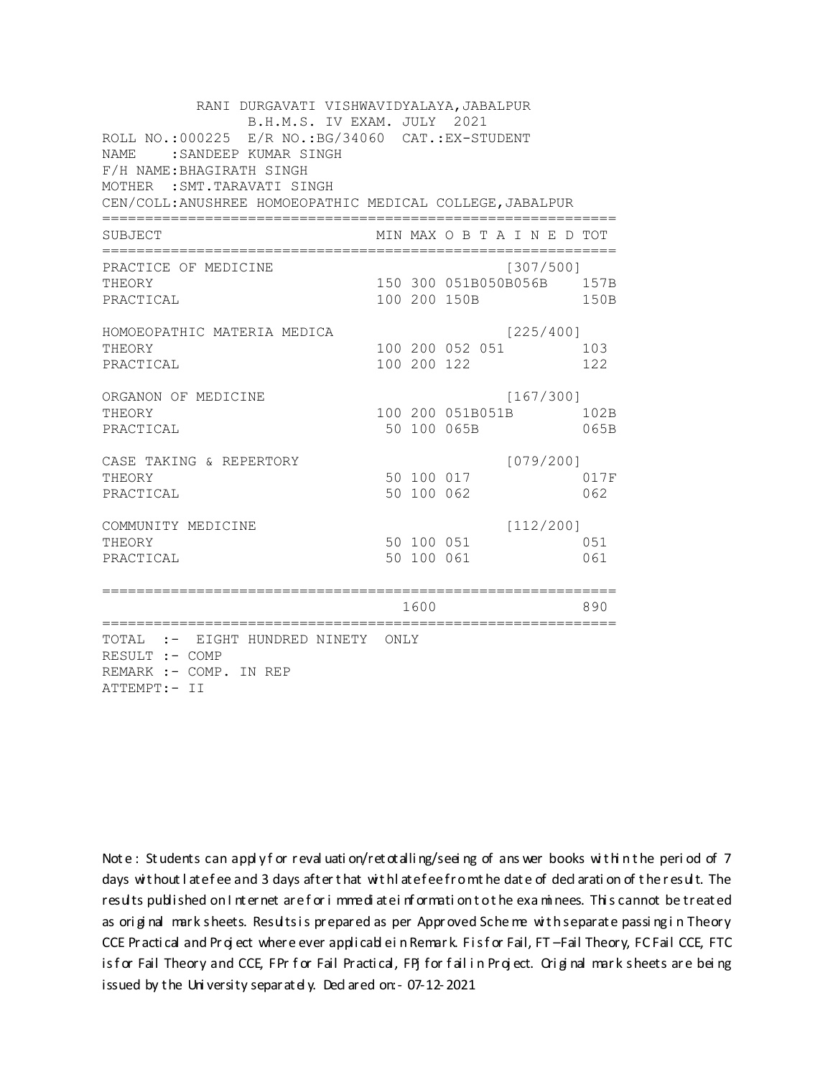RANI DURGAVATI VISHWAVIDYALAYA, JABALPUR B.H.M.S. IV EXAM. JULY 2021 ROLL NO.:000225 E/R NO.: BG/34060 CAT.: EX-STUDENT NAME : SANDEEP KUMAR SINGH F/H NAME: BHAGIRATH SINGH MOTHER : SMT. TARAVATI SINGH CEN/COLL: ANUSHREE HOMOEOPATHIC MEDICAL COLLEGE, JABALPUR MIN MAX O B T A I N E D TOT SUBJECT PRACTICE OF MEDICINE  $[307/500]$ 150 300 051B050B056B 157B THEORY PRACTICAL 100 200 150B 150B HOMOEOPATHIC MATERIA MEDICA  $[225/400]$ 100 200 052 051 103 THEORY PRACTICAL 100 200 122 122 ORGANON OF MEDICINE  $[167/300]$ THEORY 100 200 051B051B 102B PRACTICAL 50 100 065B 065B CASE TAKING & REPERTORY  $[079/200]$ 50 100 017 THEORY 017F 50 100 062 PRACTICAL 062  $[112/200]$ COMMUNITY MEDICINE 50 100 051 051 THEORY PRACTICAL 50 100 061 061 1600 1600 890 TOTAL :- EIGHT HUNDRED NINETY ONLY RESULT :- COMP REMARK :- COMP. IN REP ATTEMPT:- II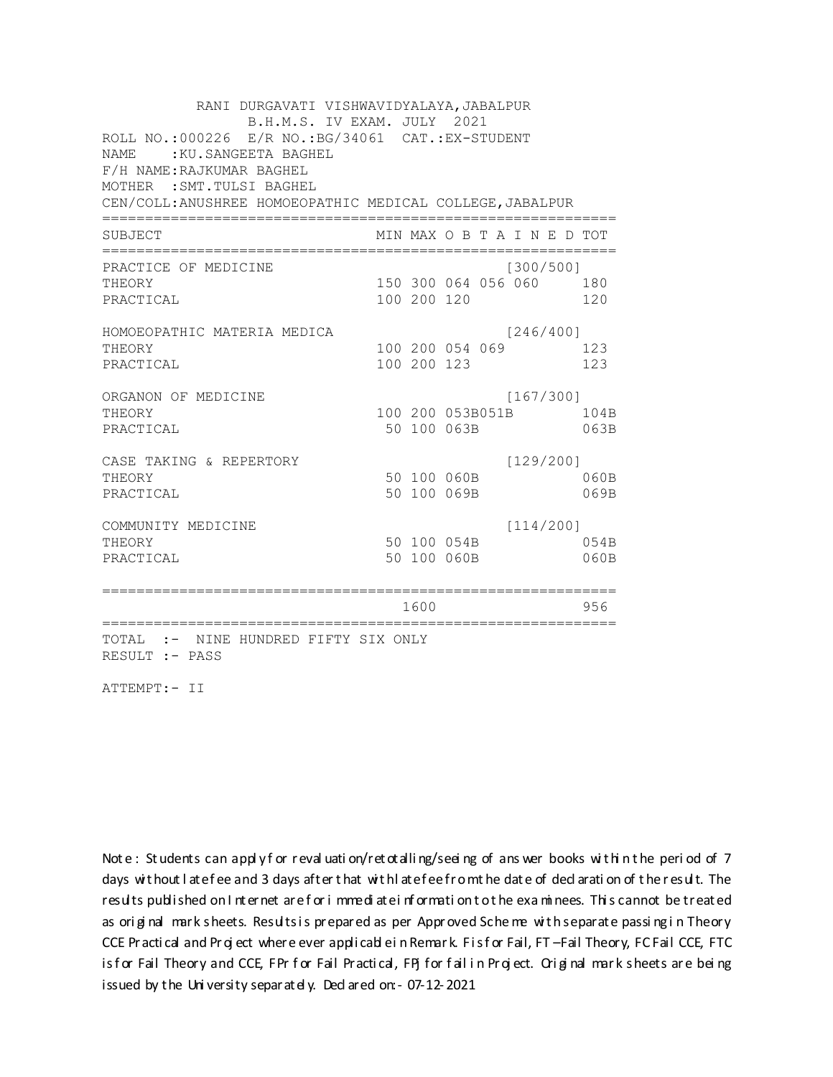RANI DURGAVATI VISHWAVIDYALAYA, JABALPUR B.H.M.S. IV EXAM. JULY 2021 ROLL NO.:000226 E/R NO.: BG/34061 CAT.: EX-STUDENT NAME : KU. SANGEETA BAGHEL F/H NAME: RAJKUMAR BAGHEL MOTHER : SMT. TULSI BAGHEL CEN/COLL: ANUSHREE HOMOEOPATHIC MEDICAL COLLEGE, JABALPUR MIN MAX O B T A I N E D TOT SUBJECT PRACTICE OF MEDICINE  $[300/500]$ 150 300 064 056 060 180 **THEORY** PRACTICAL 100 200 120 120 HOMOEOPATHIC MATERIA MEDICA  $[246/400]$ 100 200 054 069 123 THEORY PRACTICAL 100 200 123 123 ORGANON OF MEDICINE  $[167/300]$ THEORY 100 200 053B051B 104B PRACTICAL 50 100 063B 063B  $[129/200]$ CASE TAKING & REPERTORY 50 100 060B THEORY  $060B$ PRACTICAL 50 100 069B 069B  $[114/200]$ COMMUNITY MEDICINE 50 100 054B 054B THEORY PRACTICAL 50 100 060B 060B 1600 1600 956 TOTAL :- NINE HUNDRED FIFTY SIX ONLY RESULT :- PASS

ATTEMPT:- II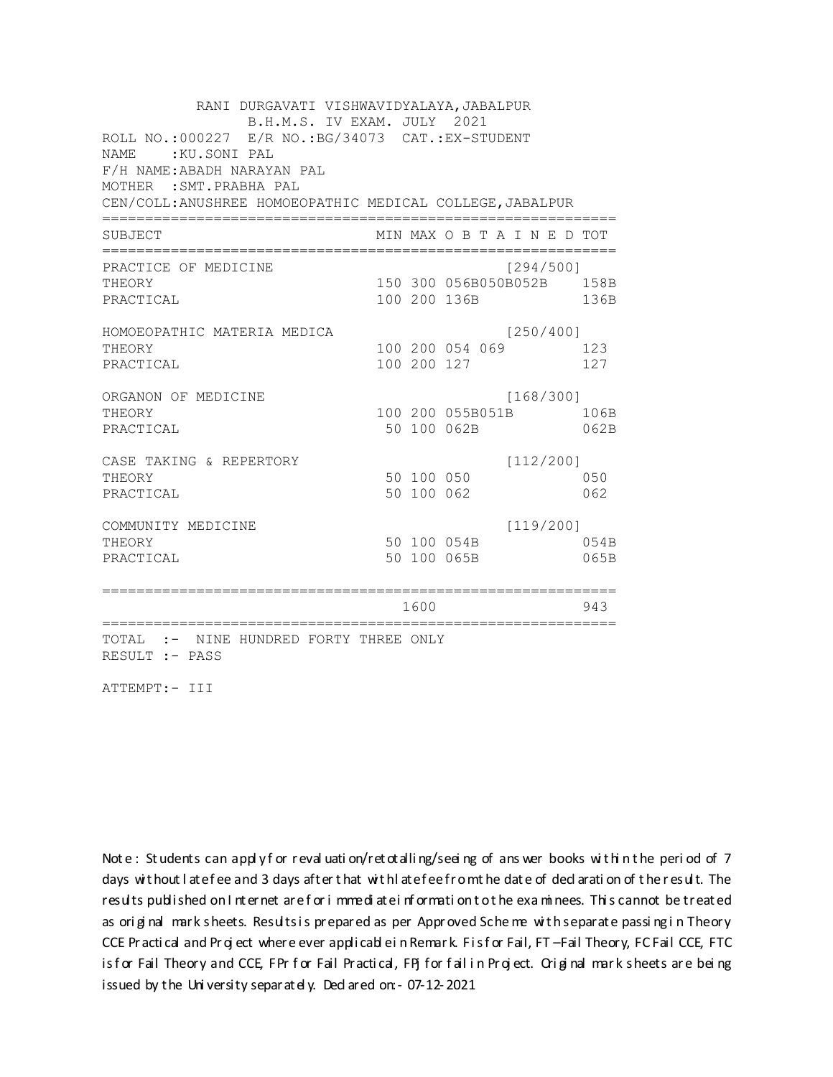RANI DURGAVATI VISHWAVIDYALAYA, JABALPUR B.H.M.S. IV EXAM. JULY 2021 ROLL NO.: 000227 E/R NO.: BG/34073 CAT.: EX-STUDENT NAME: KU.SONI PAL F/H NAME: ABADH NARAYAN PAL MOTHER : SMT. PRABHA PAL CEN/COLL: ANUSHREE HOMOEOPATHIC MEDICAL COLLEGE, JABALPUR MIN MAX O B T A I N E D TOT SUBJECT PRACTICE OF MEDICINE  $[294/500]$ 150 300 056B050B052B 158B THEORY PRACTICAL 100 200 136B 136B HOMOEOPATHIC MATERIA MEDICA  $[250/400]$ 100 200 054 069 123 THEORY PRACTICAL 100 200 127 127 ORGANON OF MEDICINE  $[168/300]$ THEORY 100 200 055B051B 106B PRACTICAL 50 100 062B 062B CASE TAKING & REPERTORY  $[112/200]$ 50 100 050 THEORY 050 50 100 062 PRACTICAL 062  $[119/200]$ COMMUNITY MEDICINE 50 100 054B 054B THEORY 50 100 065B PRACTICAL 065B 1600 1600 943 TOTAL :- NINE HUNDRED FORTY THREE ONLY RESULT :- PASS

ATTEMPT:- III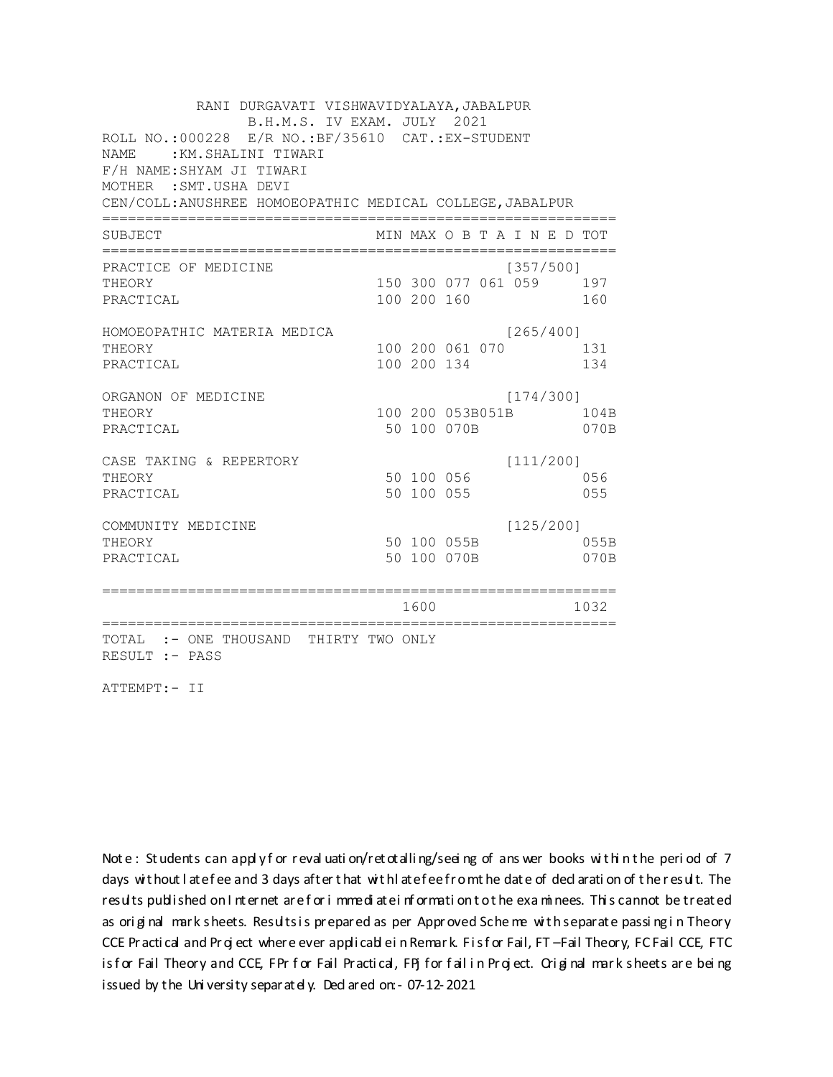RANI DURGAVATI VISHWAVIDYALAYA, JABALPUR B.H.M.S. IV EXAM. JULY 2021 ROLL NO.: 000228 E/R NO.: BF/35610 CAT.: EX-STUDENT NAME: : KM. SHALINI TIWARI F/H NAME: SHYAM JI TIWARI MOTHER : SMT. USHA DEVI CEN/COLL: ANUSHREE HOMOEOPATHIC MEDICAL COLLEGE, JABALPUR MIN MAX O B T A I N E D TOT SUBJECT PRACTICE OF MEDICINE  $[357/500]$ THEORY 150 300 077 061 059 197 PRACTICAL 100 200 160 160 HOMOEOPATHIC MATERIA MEDICA  $[265/400]$ 100 200 061 070 131 THEORY PRACTICAL 100 200 134 134 ORGANON OF MEDICINE  $[174/300]$ THEORY 100 200 053B051B 104B PRACTICAL 50 100 070B 070B CASE TAKING & REPERTORY  $[111/200]$ 50 100 056 THEORY 056 50 100 055 PRACTICAL 055  $[125/200]$ COMMUNITY MEDICINE 50 100 055B 055B THEORY 50 100 070B PRACTICAL 070B 1600 1032 TOTAL :- ONE THOUSAND THIRTY TWO ONLY RESULT :- PASS

ATTEMPT:- II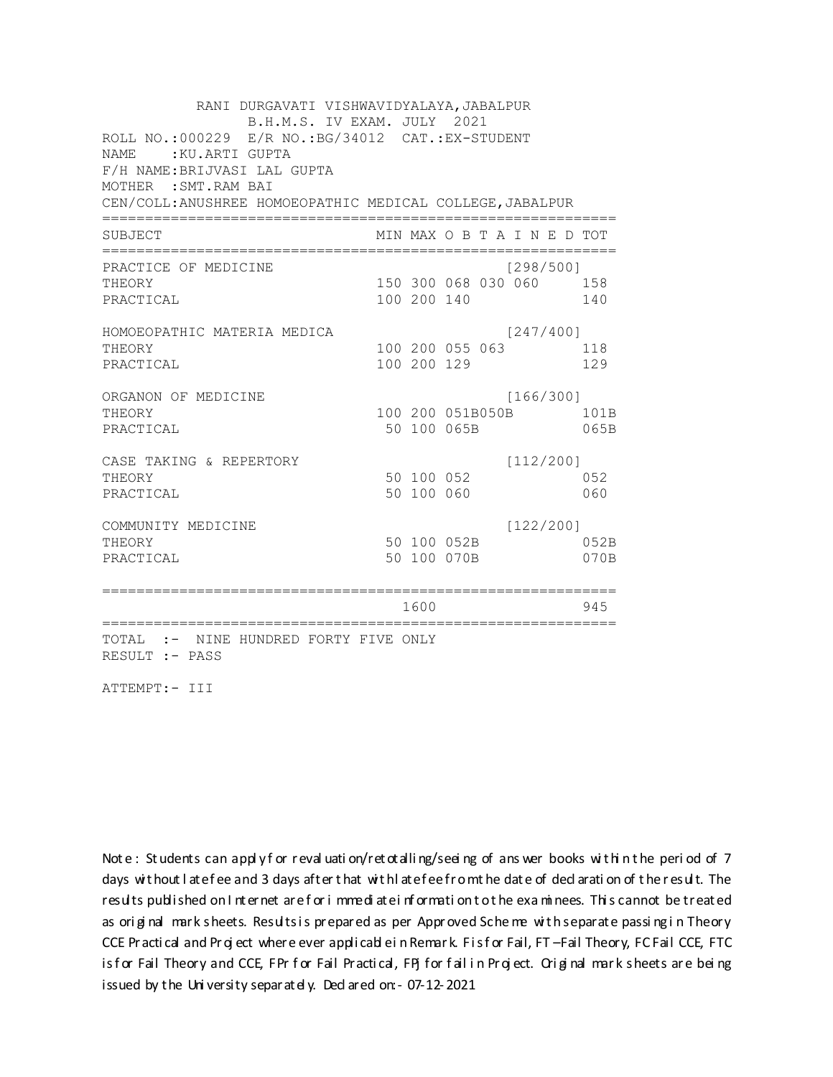RANI DURGAVATI VISHWAVIDYALAYA, JABALPUR B.H.M.S. IV EXAM. JULY 2021 ROLL NO.: 000229 E/R NO.: BG/34012 CAT.: EX-STUDENT NAME: : KU. ARTI GUPTA F/H NAME: BRIJVASI LAL GUPTA MOTHER : SMT. RAM BAI CEN/COLL: ANUSHREE HOMOEOPATHIC MEDICAL COLLEGE, JABALPUR MIN MAX O B T A I N E D TOT SUBJECT PRACTICE OF MEDICINE  $[298/500]$ 150 300 068 030 060 158 **THEORY** PRACTICAL 100 200 140 140 HOMOEOPATHIC MATERIA MEDICA  $[247/400]$ 100 200 055 063 118 THEORY PRACTICAL 100 200 129 129 ORGANON OF MEDICINE  $[166/300]$ THEORY 100 200 051B050B 101B PRACTICAL 50 100 065B 065B CASE TAKING & REPERTORY  $[112/200]$ 50 100 052 THEORY 052 50 100 060 PRACTICAL 060  $[122/200]$ COMMUNITY MEDICINE 50 100 052B 052B THEORY PRACTICAL 50 100 070B 070B 1600 1600 945 TOTAL :- NINE HUNDRED FORTY FIVE ONLY RESULT :- PASS

ATTEMPT:- III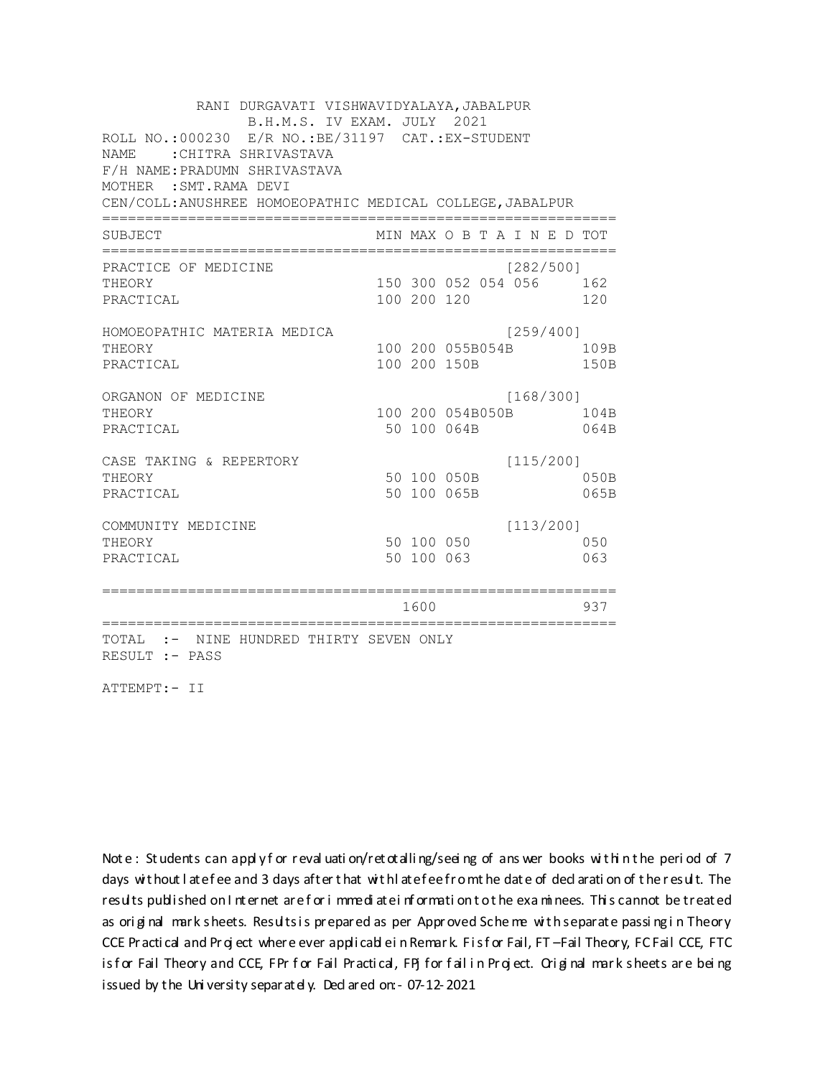RANI DURGAVATI VISHWAVIDYALAYA, JABALPUR B.H.M.S. IV EXAM. JULY 2021 ROLL NO.: 000230 E/R NO.: BE/31197 CAT.: EX-STUDENT NAME: CHITRA SHRIVASTAVA F/H NAME: PRADUMN SHRIVASTAVA MOTHER : SMT. RAMA DEVI CEN/COLL: ANUSHREE HOMOEOPATHIC MEDICAL COLLEGE, JABALPUR MIN MAX O B T A I N E D TOT SUBJECT PRACTICE OF MEDICINE  $[282/500]$ 150 300 052 054 056 162 THEORY PRACTICAL 100 200 120 120 HOMOEOPATHIC MATERIA MEDICA [259/400] 100 200 055B054B 109B THEORY PRACTICAL 100 200 150B 150B ORGANON OF MEDICINE  $[168/300]$ THEORY 100 200 054B050B 104B PRACTICAL 50 100 064B 064B  $[115/200]$ CASE TAKING & REPERTORY 50 100 050B THEORY  $050B$ PRACTICAL 50 100 065B 065B  $[113/200]$ COMMUNITY MEDICINE 50 100 050 050 THEORY PRACTICAL 50 100 063 063 1600 1600 937 TOTAL :- NINE HUNDRED THIRTY SEVEN ONLY RESULT :- PASS

ATTEMPT:- II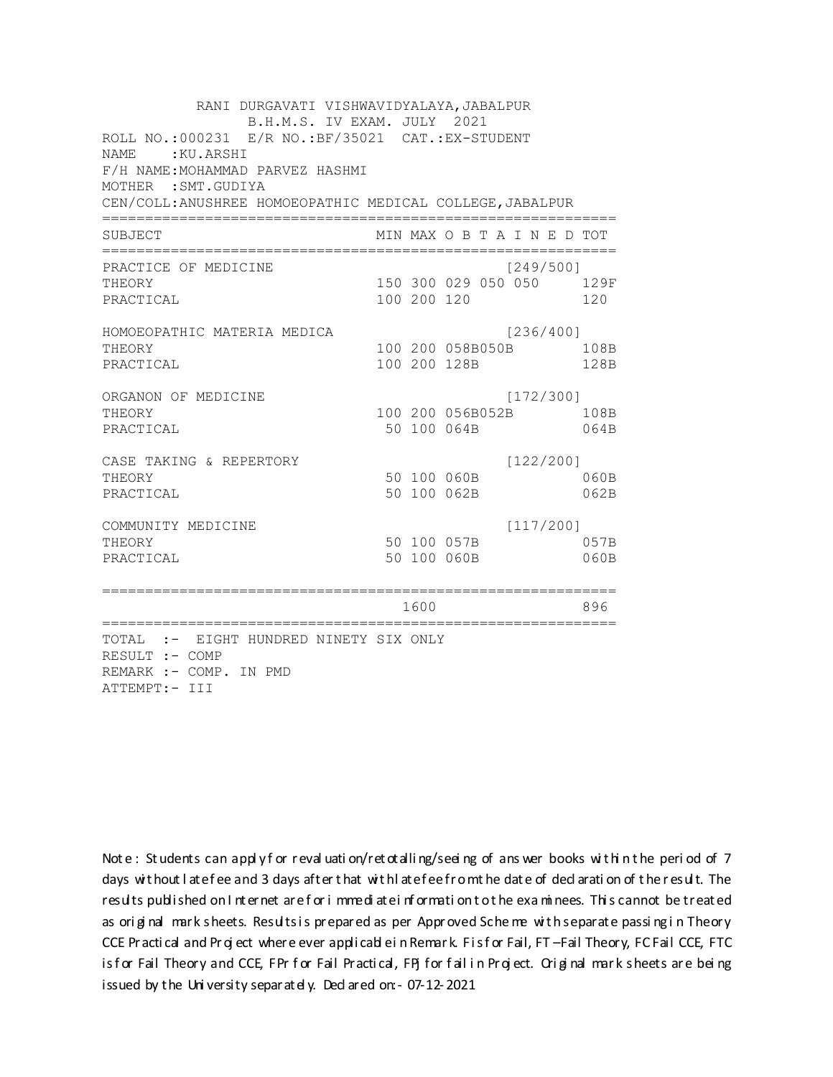RANI DURGAVATI VISHWAVIDYALAYA, JABALPUR B.H.M.S. IV EXAM. JULY 2021 ROLL NO.: 000231 E/R NO.: BF/35021 CAT.: EX-STUDENT NAME: : KU. ARSHI F/H NAME: MOHAMMAD PARVEZ HASHMI MOTHER : SMT. GUDIYA CEN/COLL: ANUSHREE HOMOEOPATHIC MEDICAL COLLEGE, JABALPUR MIN MAX O B T A I N E D TOT SUBJECT  $[249/5001]$ PRACTICE OF MEDICINE 150 300 029 050 050 129F **THEORY** PRACTICAL 100 200 120 120 HOMOEOPATHIC MATERIA MEDICA [236/400] 100 200 058B050B 108B THEORY PRACTICAL 100 200 128B 128B ORGANON OF MEDICINE  $[172/300]$ THEORY 100 200 056B052B 108B PRACTICAL 50 100 064B 064B  $[122/200]$ CASE TAKING & REPERTORY 50 100 060B THEORY  $060B$ PRACTICAL 50 100 062B 062B  $[117/200]$ COMMUNITY MEDICINE 50 100 057B 057B THEORY PRACTICAL 50 100 060B 060B 1600 1600 896 TOTAL :- EIGHT HUNDRED NINETY SIX ONLY RESULT :- COMP REMARK :- COMP. IN PMD ATTEMPT:- III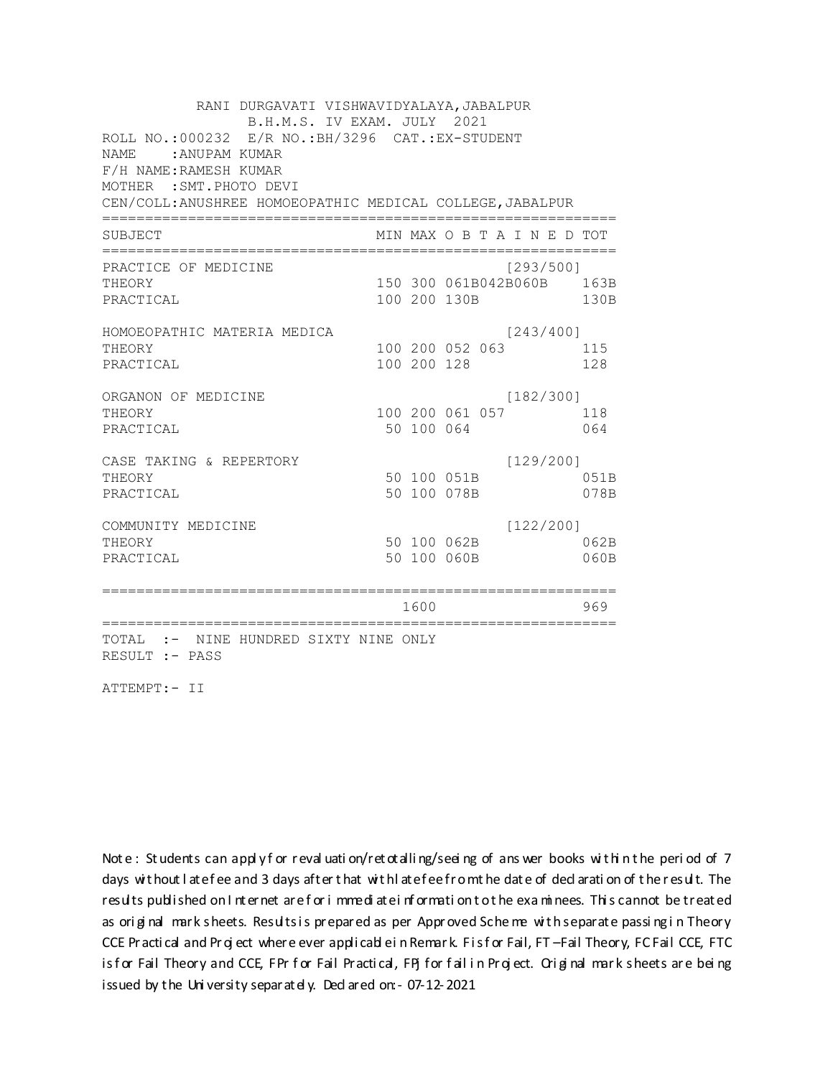RANI DURGAVATI VISHWAVIDYALAYA, JABALPUR B.H.M.S. IV EXAM. JULY 2021 ROLL NO.:000232 E/R NO.: BH/3296 CAT.: EX-STUDENT NAME: : ANUPAM KUMAR F/H NAME: RAMESH KUMAR MOTHER : SMT. PHOTO DEVI CEN/COLL: ANUSHREE HOMOEOPATHIC MEDICAL COLLEGE, JABALPUR MIN MAX O B T A I N E D TOT SUBJECT PRACTICE OF MEDICINE  $1293/5001$ 150 300 061B042B060B 163B **THEORY** PRACTICAL 100 200 130B 130B HOMOEOPATHIC MATERIA MEDICA  $[243/400]$ 100 200 052 063 115 THEORY PRACTICAL 100 200 128 128 ORGANON OF MEDICINE  $[182/300]$ THEORY 100 200 061 057 118 064 PRACTICAL 50 100 064  $[129/200]$ CASE TAKING & REPERTORY 50 100 051B THEORY 051B 50 100 078B PRACTICAL 078B  $[122/200]$ COMMUNITY MEDICINE 50 100 062B 062B THEORY PRACTICAL 50 100 060B 060B 1600 1600 969 TOTAL :- NINE HUNDRED SIXTY NINE ONLY RESULT :- PASS

ATTEMPT:- II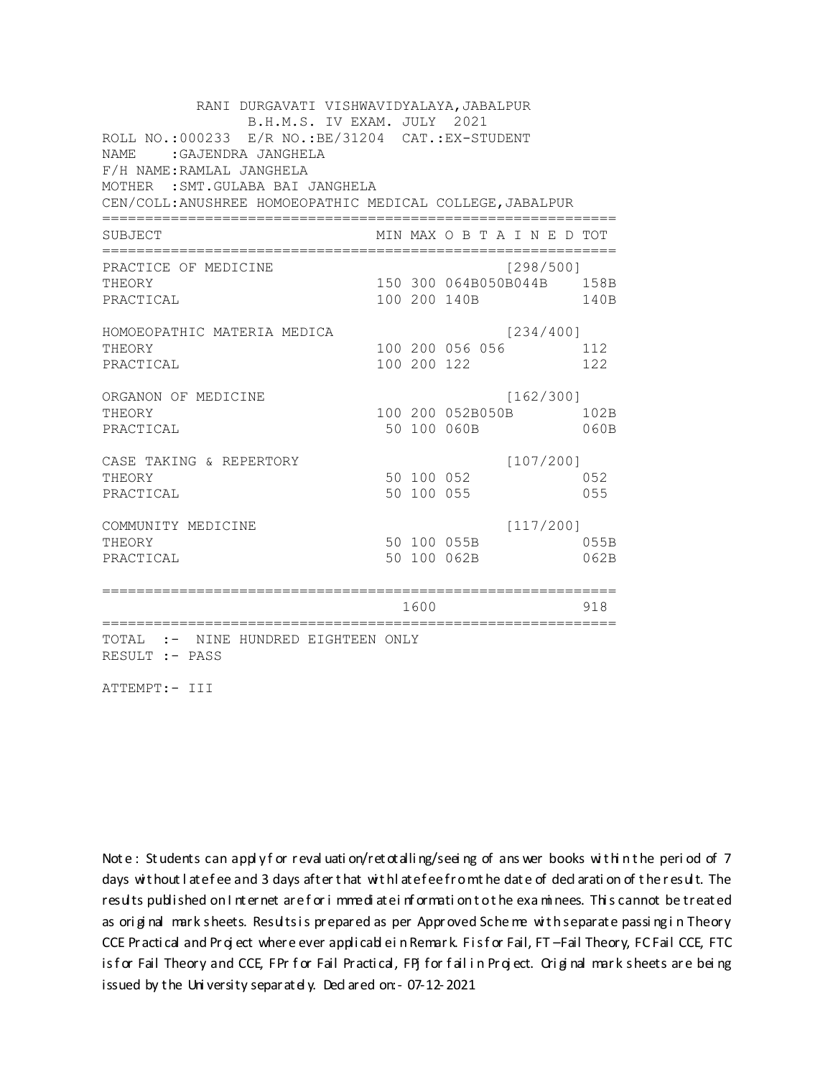RANI DURGAVATI VISHWAVIDYALAYA, JABALPUR B.H.M.S. IV EXAM. JULY 2021 ROLL NO.: 000233 E/R NO.: BE/31204 CAT.: EX-STUDENT NAME : GAJENDRA JANGHELA F/H NAME: RAMLAL JANGHELA MOTHER : SMT. GULABA BAI JANGHELA CEN/COLL: ANUSHREE HOMOEOPATHIC MEDICAL COLLEGE, JABALPUR MIN MAX O B T A I N E D TOT SUBJECT PRACTICE OF MEDICINE  $[298/500]$ 150 300 064B050B044B 158B THEORY PRACTICAL 100 200 140B 140B HOMOEOPATHIC MATERIA MEDICA  $[234/400]$ 100 200 056 056 112 THEORY PRACTICAL 100 200 122 122 ORGANON OF MEDICINE  $[162/300]$ THEORY 100 200 052B050B 102B PRACTICAL 50 100 060B 060B  $[107/200]$ CASE TAKING & REPERTORY 50 100 052 THEORY 052 50 100 055 PRACTICAL 055  $[117/200]$ COMMUNITY MEDICINE 50 100 055B 055B THEORY PRACTICAL 50 100 062B 062B 1600 1600 918 TOTAL :- NINE HUNDRED EIGHTEEN ONLY RESULT :- PASS

ATTEMPT:- III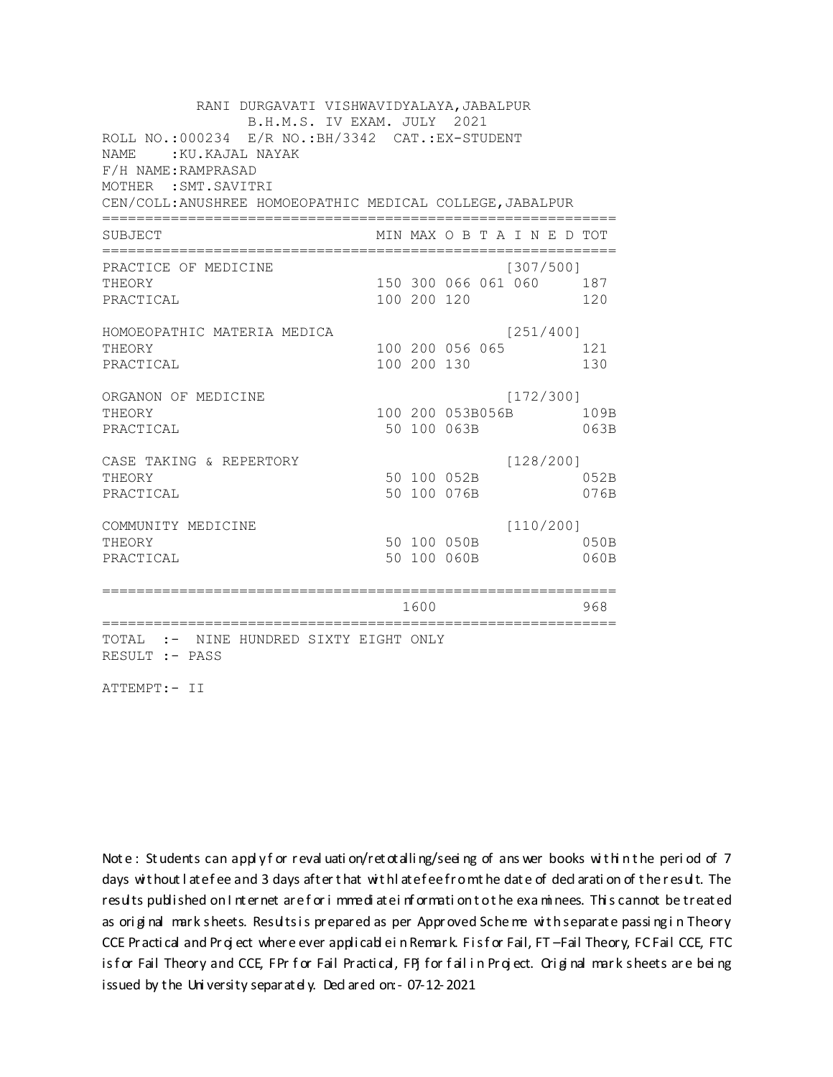RANI DURGAVATI VISHWAVIDYALAYA, JABALPUR B.H.M.S. IV EXAM. JULY 2021 ROLL NO.: 000234 E/R NO.: BH/3342 CAT.: EX-STUDENT NAME: : KU. KAJAL NAYAK F/H NAME: RAMPRASAD MOTHER : SMT. SAVITRI CEN/COLL: ANUSHREE HOMOEOPATHIC MEDICAL COLLEGE, JABALPUR MIN MAX O B T A I N E D TOT SUBJECT PRACTICE OF MEDICINE  $[307/500]$ 150 300 066 061 060 187 **THEORY** PRACTICAL 100 200 120 120 HOMOEOPATHIC MATERIA MEDICA  $[251/400]$ 100 200 056 065 121 THEORY PRACTICAL 100 200 130 130 ORGANON OF MEDICINE  $[172/300]$ THEORY 100 200 053B056B 109B PRACTICAL 50 100 063B 063B  $[128/200]$ CASE TAKING & REPERTORY 50 100 052B THEORY 052B PRACTICAL 50 100 076B 076B  $[110/200]$ COMMUNITY MEDICINE 50 100 050B 050B THEORY PRACTICAL 50 100 060B 060B 1600 1600 968 TOTAL :- NINE HUNDRED SIXTY EIGHT ONLY RESULT :- PASS

ATTEMPT:- II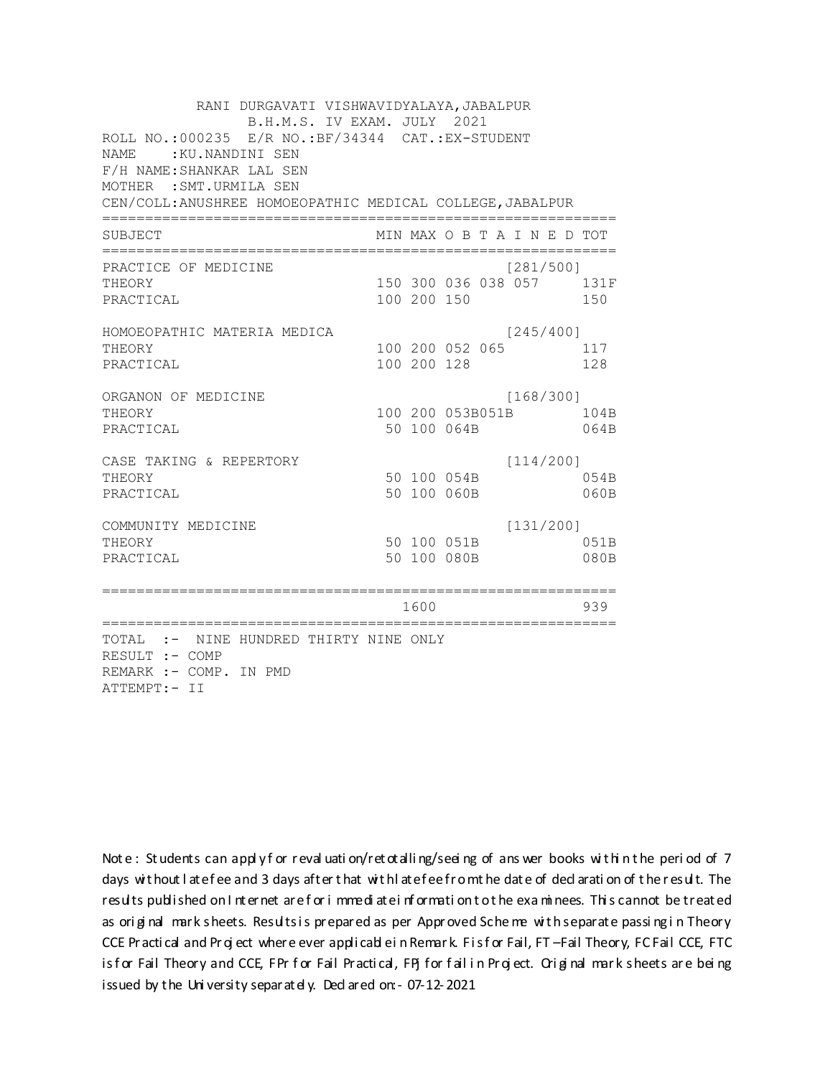RANI DURGAVATI VISHWAVIDYALAYA, JABALPUR B.H.M.S. IV EXAM. JULY 2021 ROLL NO.: 000235 E/R NO.: BF/34344 CAT.: EX-STUDENT NAME: : KU.NANDINI SEN F/H NAME: SHANKAR LAL SEN MOTHER : SMT. URMILA SEN CEN/COLL: ANUSHREE HOMOEOPATHIC MEDICAL COLLEGE, JABALPUR MIN MAX O B T A I N E D TOT SUBJECT  $[281/5001]$ PRACTICE OF MEDICINE 150 300 036 038 057 131F **THEORY** PRACTICAL 100 200 150 150 HOMOEOPATHIC MATERIA MEDICA  $[245/400]$ 100 200 052 065 117 THEORY PRACTICAL 100 200 128 128 ORGANON OF MEDICINE  $[168/300]$ THEORY 100 200 053B051B 104B PRACTICAL 50 100 064B 064B CASE TAKING & REPERTORY  $[114/200]$ 50 100 054B THEORY 054B PRACTICAL 50 100 060B 060B  $[131/200]$ COMMUNITY MEDICINE 50 100 051B 051B THEORY PRACTICAL 50 100 080B 080B 1600 1600 939 TOTAL :- NINE HUNDRED THIRTY NINE ONLY RESULT :- COMP REMARK :- COMP. IN PMD ATTEMPT:- II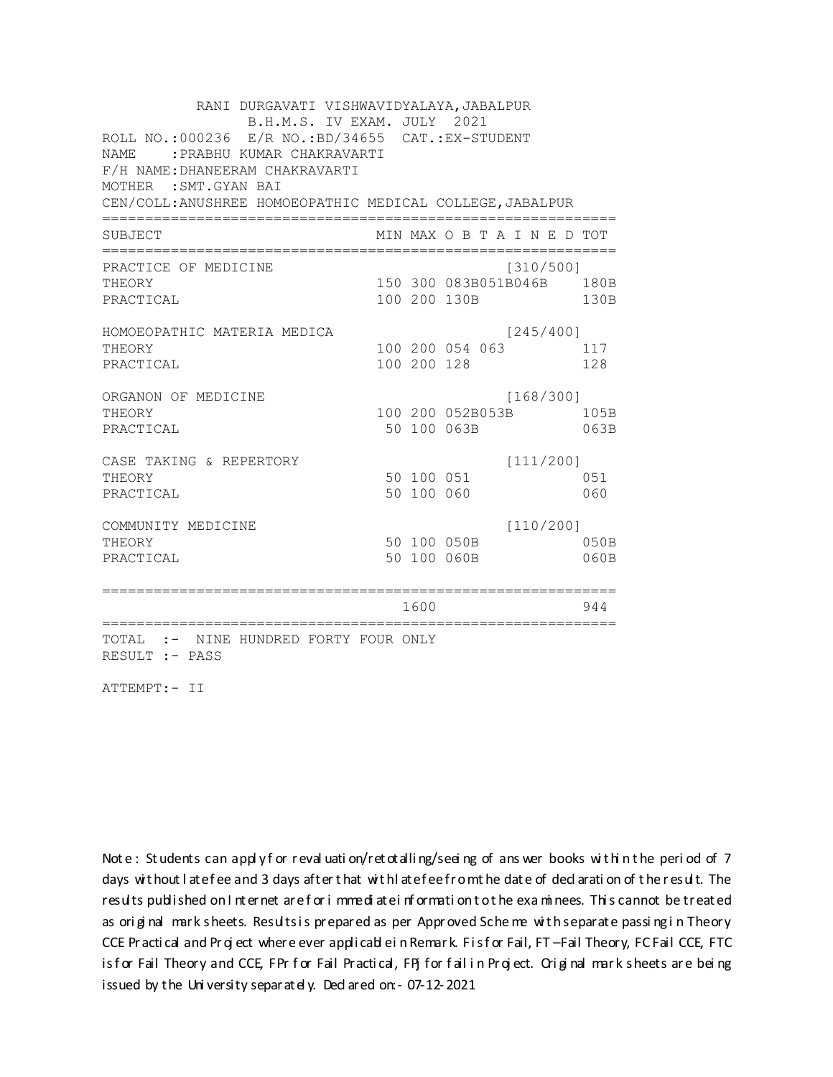RANI DURGAVATI VISHWAVIDYALAYA, JABALPUR B.H.M.S. IV EXAM. JULY 2021 ROLL NO.:000236 E/R NO.:BD/34655 CAT.:EX-STUDENT NAME :PRABHU KUMAR CHAKRAVARTI F/H NAME:DHANEERAM CHAKRAVARTI MOTHER :SMT.GYAN BAI CEN/COLL:ANUSHREE HOMOEOPATHIC MEDICAL COLLEGE,JABALPUR ============================================================ SUBJECT MIN MAX O B T A I N E D TOT ============================================================ PRACTICE OF MEDICINE [310/500] THEORY 150 300 083B051B046B 180B PRACTICAL 100 200 130B 130B HOMOEOPATHIC MATERIA MEDICA [245/400] THEORY 100 200 054 063 117 PRACTICAL 100 200 128 128 ORGANON OF MEDICINE [168/300] THEORY 100 200 052B053B 105B PRACTICAL 50 100 063B 063B CASE TAKING & REPERTORY [111/200] THEORY 50 100 051 051 PRACTICAL 50 100 060 060 COMMUNITY MEDICINE [110/200] THEORY 50 100 050B 050B PRACTICAL 50 100 060B 060B ============================================================ 1600 944 ============================================================ TOTAL :- NINE HUNDRED FORTY FOUR ONLY RESULT :- PASS

ATTEMPT:- II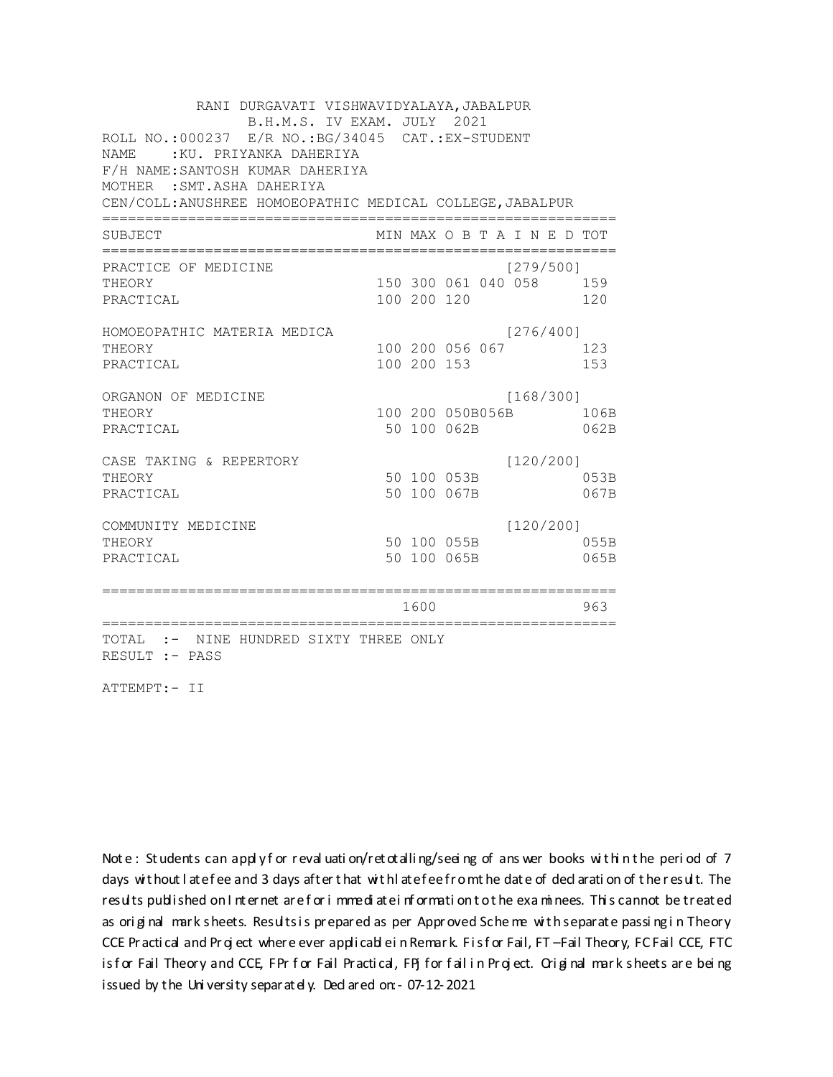RANI DURGAVATI VISHWAVIDYALAYA, JABALPUR B.H.M.S. IV EXAM. JULY 2021 ROLL NO.:000237 E/R NO.:BG/34045 CAT.:EX-STUDENT NAME :KU. PRIYANKA DAHERIYA F/H NAME:SANTOSH KUMAR DAHERIYA MOTHER :SMT.ASHA DAHERIYA CEN/COLL:ANUSHREE HOMOEOPATHIC MEDICAL COLLEGE,JABALPUR ============================================================ SUBJECT MIN MAX O B T A I N E D TOT ============================================================ PRACTICE OF MEDICINE [279/500] THEORY 150 300 061 040 058 159 PRACTICAL 100 200 120 120 HOMOEOPATHIC MATERIA MEDICA [276/400] THEORY 100 200 056 067 123 PRACTICAL 100 200 153 153 ORGANON OF MEDICINE [168/300] THEORY 100 200 050B056B 106B PRACTICAL 50 100 062B 062B CASE TAKING & REPERTORY [120/200] THEORY 50 100 053B 053B PRACTICAL 50 100 067B 067B COMMUNITY MEDICINE [120/200] THEORY 50 100 055B 055B PRACTICAL 50 100 065B 065B ============================================================ 1600 963 ============================================================ TOTAL :- NINE HUNDRED SIXTY THREE ONLY RESULT :- PASS

ATTEMPT:- II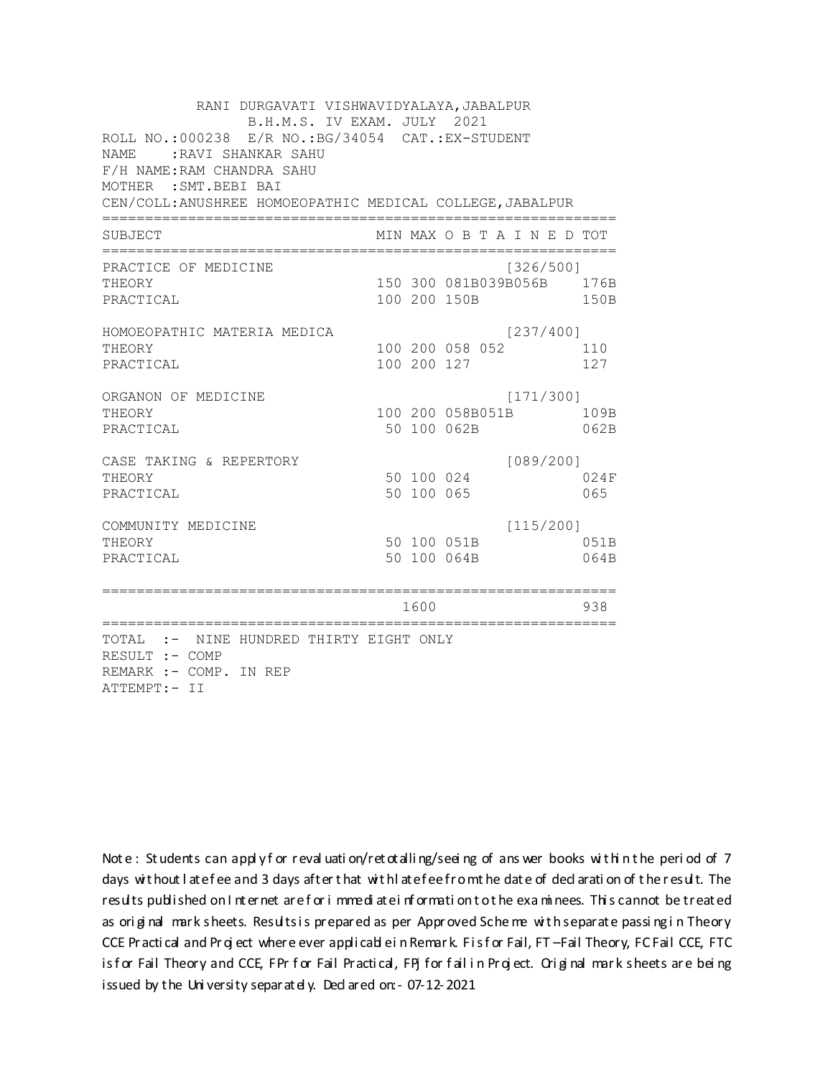RANI DURGAVATI VISHWAVIDYALAYA, JABALPUR B.H.M.S. IV EXAM. JULY 2021 ROLL NO.: 000238 E/R NO.: BG/34054 CAT.: EX-STUDENT NAME: RAVI SHANKAR SAHU F/H NAME: RAM CHANDRA SAHU MOTHER : SMT. BEBI BAI CEN/COLL: ANUSHREE HOMOEOPATHIC MEDICAL COLLEGE, JABALPUR MIN MAX O B T A I N E D TOT SUBJECT PRACTICE OF MEDICINE  $[326/500]$ 150 300 081B039B056B 176B THEORY PRACTICAL 100 200 150B 150B HOMOEOPATHIC MATERIA MEDICA  $[237/400]$ 100 200 058 052 110 THEORY PRACTICAL 100 200 127 127 ORGANON OF MEDICINE  $[171/300]$ THEORY 100 200 058B051B 109B PRACTICAL 50 100 062B 062B  $[089/200]$ CASE TAKING & REPERTORY 50 100 024 THEORY 024F 50 100 065 PRACTICAL 065  $[115/200]$ COMMUNITY MEDICINE 50 100 051B 051B THEORY PRACTICAL 50 100 064B 064B 1600 1600 938 TOTAL :- NINE HUNDRED THIRTY EIGHT ONLY RESULT :- COMP REMARK :- COMP. IN REP ATTEMPT:- II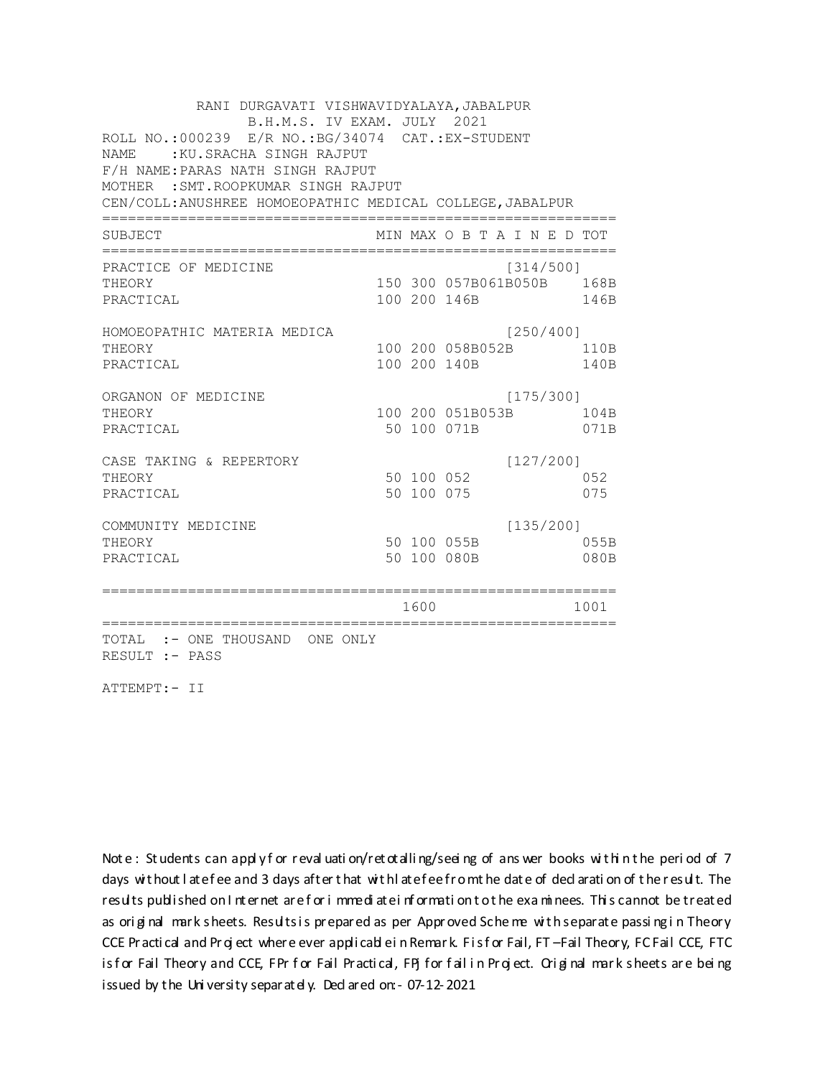RANI DURGAVATI VISHWAVIDYALAYA, JABALPUR B.H.M.S. IV EXAM. JULY 2021 ROLL NO.:000239 E/R NO.:BG/34074 CAT.:EX-STUDENT NAME : KU.SRACHA SINGH RAJPUT F/H NAME:PARAS NATH SINGH RAJPUT MOTHER :SMT.ROOPKUMAR SINGH RAJPUT CEN/COLL:ANUSHREE HOMOEOPATHIC MEDICAL COLLEGE,JABALPUR ============================================================ SUBJECT MIN MAX O B T A I N E D TOT ============================================================ PRACTICE OF MEDICINE (314/500) THEORY 150 300 057B061B050B 168B PRACTICAL 100 200 146B 146B HOMOEOPATHIC MATERIA MEDICA [250/400] THEORY 100 200 058B052B 110B PRACTICAL 100 200 140B 140B ORGANON OF MEDICINE [175/300] THEORY 100 200 051B053B 104B PRACTICAL 671B 071B 071B 071B CASE TAKING & REPERTORY [127/200] THEORY 50 100 052 052 PRACTICAL 50 100 075 075 COMMUNITY MEDICINE [135/200] THEORY 50 100 055B 055B PRACTICAL 50 100 080B 080B ============================================================ 1600 1001 ============================================================ TOTAL :- ONE THOUSAND ONE ONLY RESULT :- PASS

ATTEMPT:- II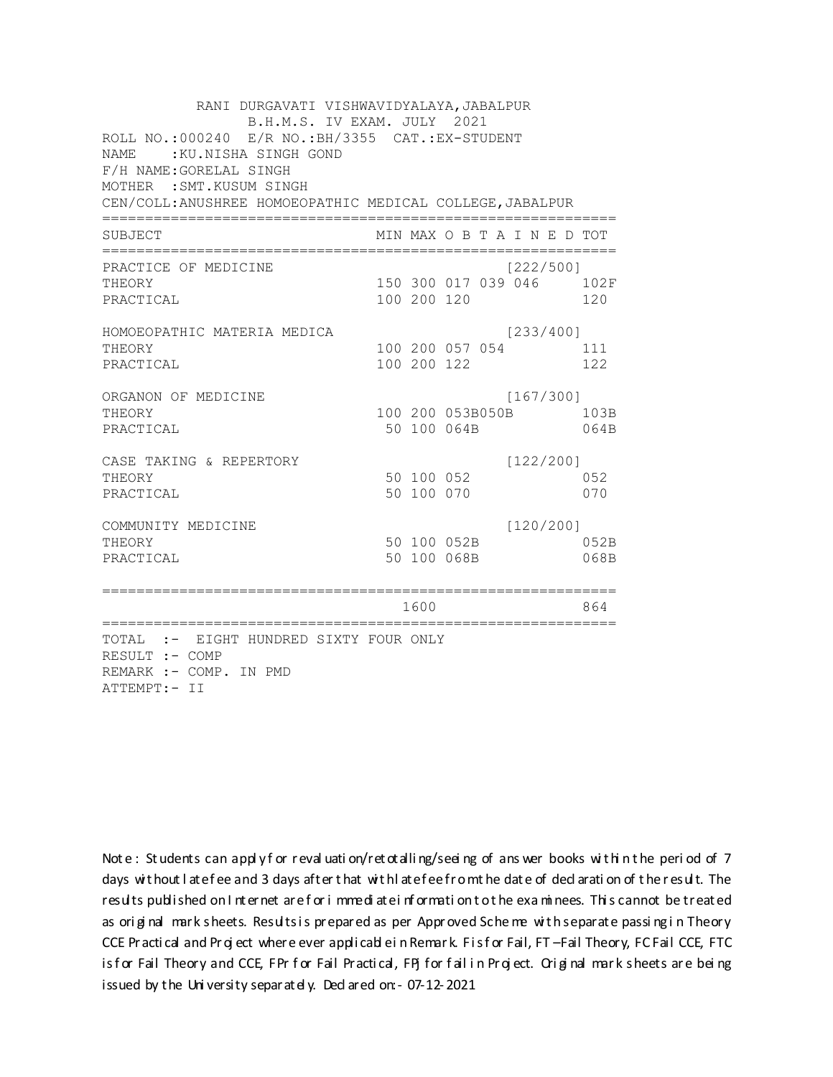RANI DURGAVATI VISHWAVIDYALAYA, JABALPUR B.H.M.S. IV EXAM. JULY 2021 ROLL NO.:000240 E/R NO.: BH/3355 CAT.: EX-STUDENT NAME: : KU.NISHA SINGH GOND F/H NAME: GORELAL SINGH MOTHER : SMT. KUSUM SINGH CEN/COLL: ANUSHREE HOMOEOPATHIC MEDICAL COLLEGE, JABALPUR MIN MAX O B T A I N E D TOT SUBJECT  $[222/5001]$ PRACTICE OF MEDICINE 150 300 017 039 046 102F **THEORY** PRACTICAL 100 200 120 120 HOMOEOPATHIC MATERIA MEDICA  $[233/400]$ 100 200 057 054 111 THEORY PRACTICAL 100 200 122 122 ORGANON OF MEDICINE  $[167/300]$ THEORY 100 200 053B050B 103B PRACTICAL 50 100 064B 064B CASE TAKING & REPERTORY  $[122/200]$ 50 100 052 THEORY 052 50 100 070 PRACTICAL 070  $[120/200]$ COMMUNITY MEDICINE 50 100 052B 052B THEORY PRACTICAL 50 100 068B 068B 1600 1600 864 TOTAL :- EIGHT HUNDRED SIXTY FOUR ONLY RESULT :- COMP REMARK :- COMP. IN PMD ATTEMPT:- II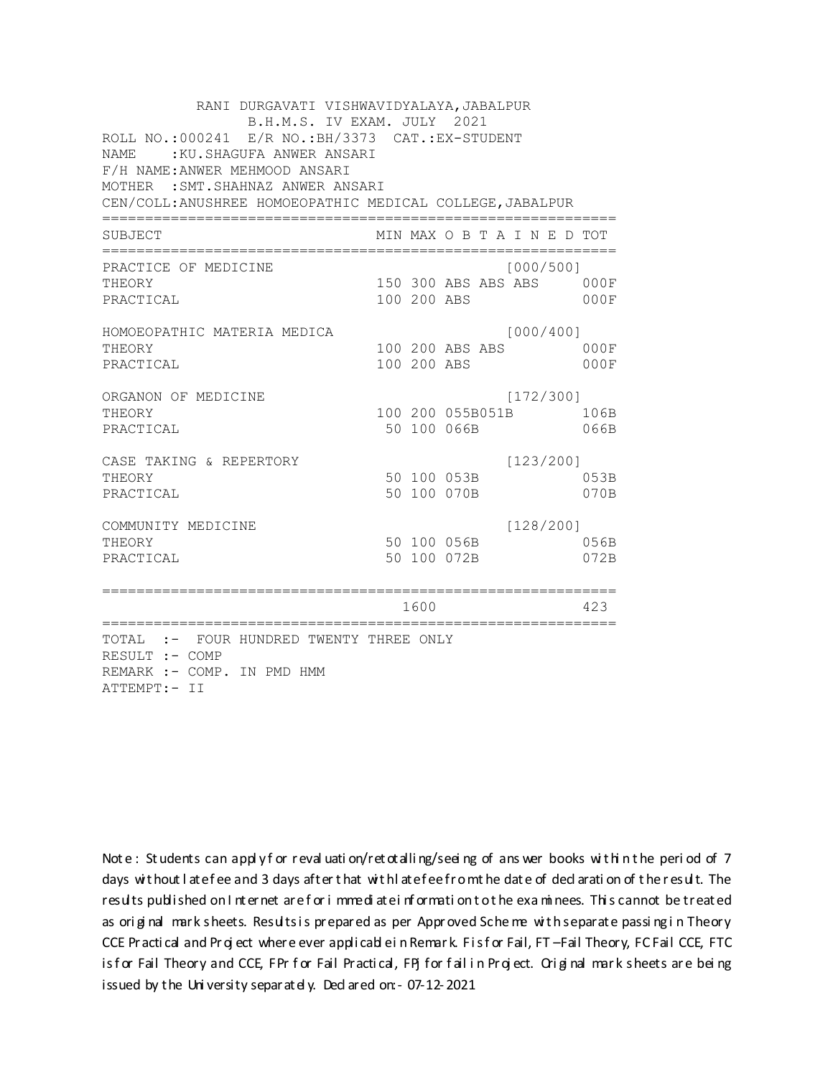RANI DURGAVATI VISHWAVIDYALAYA, JABALPUR B.H.M.S. IV EXAM. JULY 2021 ROLL NO.:000241 E/R NO.:BH/3373 CAT.:EX-STUDENT NAME : KU.SHAGUFA ANWER ANSARI F/H NAME:ANWER MEHMOOD ANSARI MOTHER :SMT.SHAHNAZ ANWER ANSARI CEN/COLL:ANUSHREE HOMOEOPATHIC MEDICAL COLLEGE,JABALPUR ============================================================ SUBJECT MIN MAX O B T A I N E D TOT ============================================================ PRACTICE OF MEDICINE  $[000/500]$ THEORY 150 300 ABS ABS ABS 000F PRACTICAL 100 200 ABS 000F HOMOEOPATHIC MATERIA MEDICA  $[000/400]$ THEORY 100 200 ABS ABS 000F PRACTICAL 100 200 ABS 000F ORGANON OF MEDICINE [172/300] THEORY 100 200 055B051B 106B PRACTICAL 60 100 100 1066B 066B CASE TAKING & REPERTORY [123/200] THEORY 3 3 3 3 4 50 100 053B PRACTICAL 50 100 070B 070B COMMUNITY MEDICINE [128/200] THEORY 50 100 056B 056B PRACTICAL 50 100 072B 072B ============================================================ 1600 423 ============================================================ TOTAL :- FOUR HUNDRED TWENTY THREE ONLY RESULT :- COMP REMARK :- COMP. IN PMD HMM ATTEMPT:- II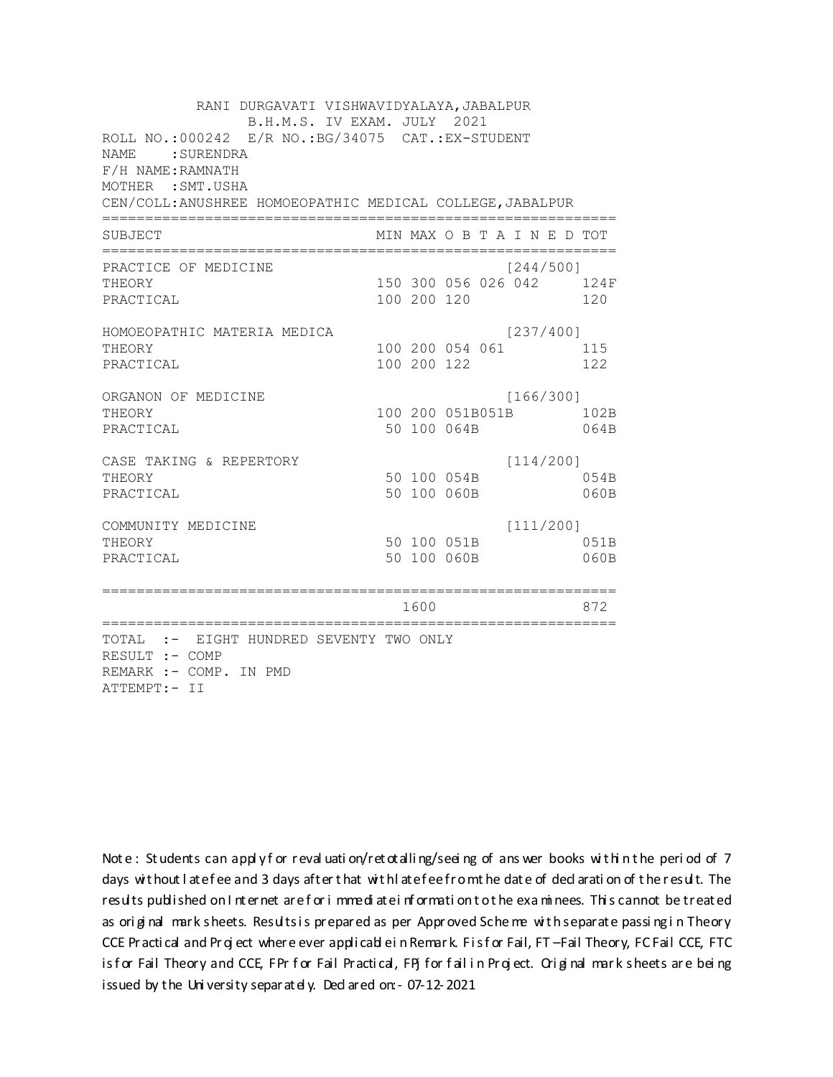RANI DURGAVATI VISHWAVIDYALAYA, JABALPUR B.H.M.S. IV EXAM. JULY 2021 ROLL NO.: 000242 E/R NO.: BG/34075 CAT.: EX-STUDENT NAME: SURENDRA F/H NAME: RAMNATH MOTHER : SMT. USHA CEN/COLL: ANUSHREE HOMOEOPATHIC MEDICAL COLLEGE, JABALPUR MIN MAX O B T A I N E D TOT SUBJECT PRACTICE OF MEDICINE  $[244/500]$ 150 300 056 026 042 124F **THEORY** PRACTICAL 100 200 120 120 HOMOEOPATHIC MATERIA MEDICA  $[237/400]$ 100 200 054 061 115 THEORY PRACTICAL 100 200 122 122 ORGANON OF MEDICINE  $[166/300]$ THEORY 100 200 051B051B 102B PRACTICAL 50 100 064B 064B  $[114/200]$ CASE TAKING & REPERTORY 50 100 054B THEORY 054B PRACTICAL 50 100 060B  $060B$  $[111/200]$ COMMUNITY MEDICINE 50 100 051B 051B THEORY PRACTICAL 50 100 060B 060B 1600 000 872 TOTAL :- EIGHT HUNDRED SEVENTY TWO ONLY RESULT :- COMP REMARK :- COMP. IN PMD ATTEMPT:- II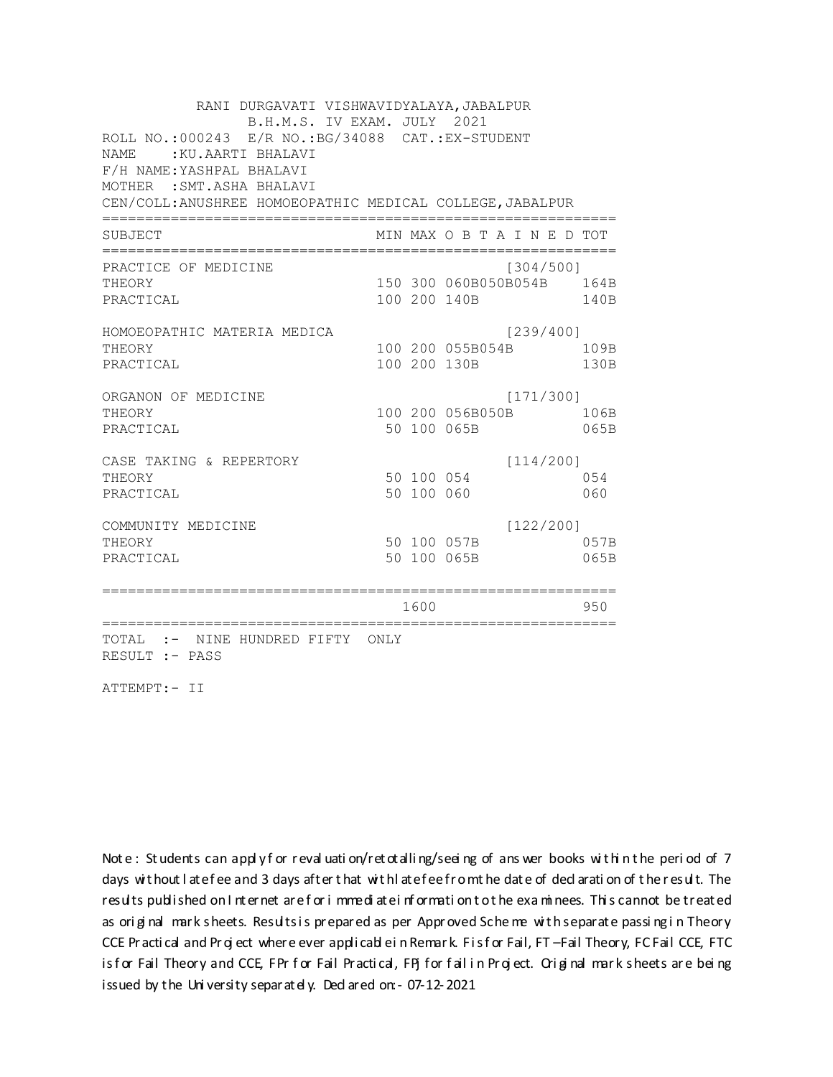RANI DURGAVATI VISHWAVIDYALAYA, JABALPUR B.H.M.S. IV EXAM. JULY 2021 ROLL NO.: 000243 E/R NO.: BG/34088 CAT.: EX-STUDENT NAME: : KU.AARTI BHALAVI F/H NAME: YASHPAL BHALAVI MOTHER : SMT. ASHA BHALAVI CEN/COLL: ANUSHREE HOMOEOPATHIC MEDICAL COLLEGE, JABALPUR MIN MAX O B T A I N E D TOT SUBJECT PRACTICE OF MEDICINE  $[304/500]$ 150 300 060B050B054B 164B THEORY PRACTICAL 100 200 140B 140B HOMOEOPATHIC MATERIA MEDICA  $[239/400]$ 100 200 055B054B 109B THEORY PRACTICAL 100 200 130B 130B ORGANON OF MEDICINE  $[171/300]$ THEORY 100 200 056B050B 106B PRACTICAL 50 100 065B 065B CASE TAKING & REPERTORY  $[114/200]$ 50 100 054 THEORY 054 50 100 060 PRACTICAL 060  $[122/200]$ COMMUNITY MEDICINE 50 100 057B 057B THEORY PRACTICAL 50 100 065B 065B 1600 1600 950 TOTAL :- NINE HUNDRED FIFTY ONLY RESULT :- PASS

ATTEMPT:- II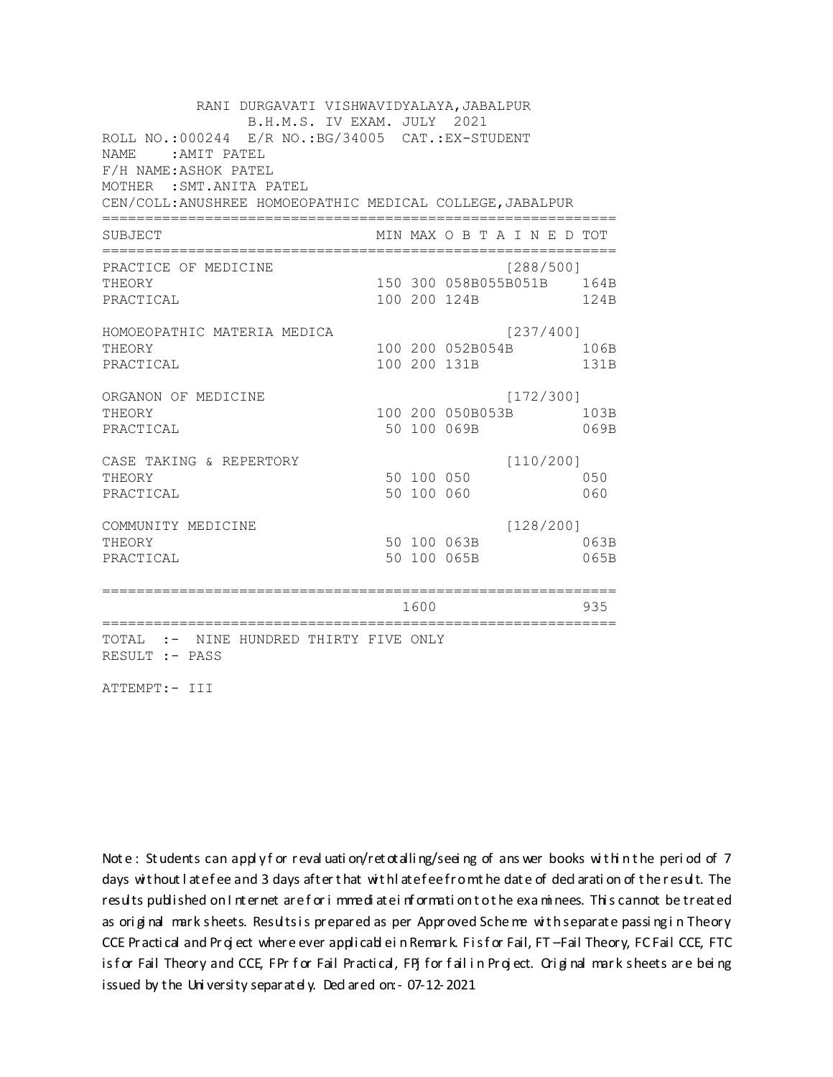RANI DURGAVATI VISHWAVIDYALAYA, JABALPUR B.H.M.S. IV EXAM. JULY 2021 ROLL NO.: 000244 E/R NO.: BG/34005 CAT.: EX-STUDENT NAME: AMIT PATEL F/H NAME:ASHOK PATEL MOTHER : SMT. ANITA PATEL CEN/COLL: ANUSHREE HOMOEOPATHIC MEDICAL COLLEGE, JABALPUR MIN MAX O B T A I N E D TOT SUBJECT PRACTICE OF MEDICINE  $1288/5001$ 150 300 058B055B051B 164B THEORY PRACTICAL 100 200 124B 124B HOMOEOPATHIC MATERIA MEDICA  $[237/400]$ 100 200 052B054B 106B THEORY PRACTICAL 100 200 131B 131B ORGANON OF MEDICINE  $[172/300]$ THEORY 100 200 050B053B 103B PRACTICAL 50 100 069B 069B CASE TAKING & REPERTORY  $[110/200]$ 50 100 050 THEORY 050 50 100 060 PRACTICAL 060  $[128/200]$ COMMUNITY MEDICINE 50 100 063B 063B THEORY PRACTICAL 50 100 065B 065B 1600 1600 935 TOTAL :- NINE HUNDRED THIRTY FIVE ONLY RESULT :- PASS

ATTEMPT:- III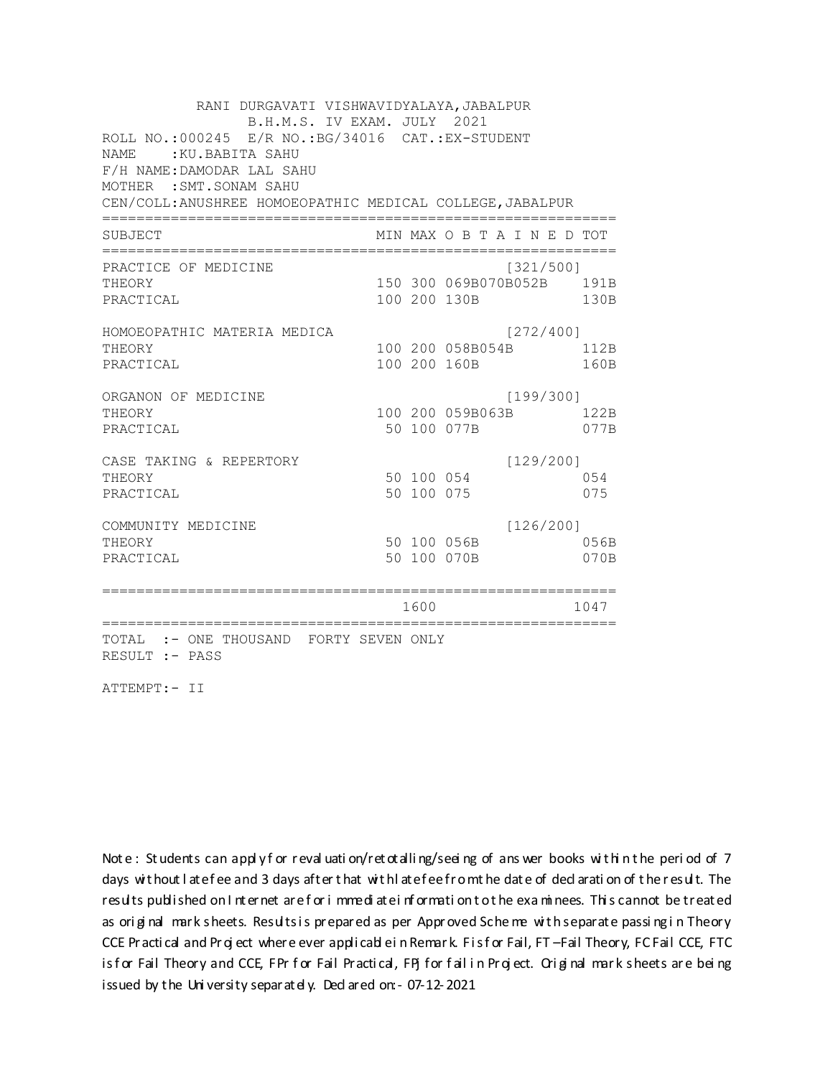RANI DURGAVATI VISHWAVIDYALAYA, JABALPUR B.H.M.S. IV EXAM. JULY 2021 ROLL NO.: 000245 E/R NO.: BG/34016 CAT.: EX-STUDENT NAME: : KU. BABITA SAHU F/H NAME: DAMODAR LAL SAHU MOTHER : SMT. SONAM SAHU CEN/COLL: ANUSHREE HOMOEOPATHIC MEDICAL COLLEGE, JABALPUR MIN MAX O B T A I N E D TOT SUBJECT PRACTICE OF MEDICINE  $[321/500]$ THEORY 150 300 069B070B052B 191B PRACTICAL 100 200 130B 130B HOMOEOPATHIC MATERIA MEDICA [272/400] 100 200 058B054B 112B THEORY PRACTICAL 100 200 160B 160B ORGANON OF MEDICINE  $[199/300]$ THEORY 100 200 059B063B 122B PRACTICAL 50 100 077B 077B  $[129/200]$ CASE TAKING & REPERTORY 50 100 054 THEORY 054 50 100 075 PRACTICAL 075  $[126/200]$ COMMUNITY MEDICINE 50 100 056B 056B THEORY 50 100 070B PRACTICAL 070B 1600 1600 1047 TOTAL :- ONE THOUSAND FORTY SEVEN ONLY RESULT :- PASS

ATTEMPT:- II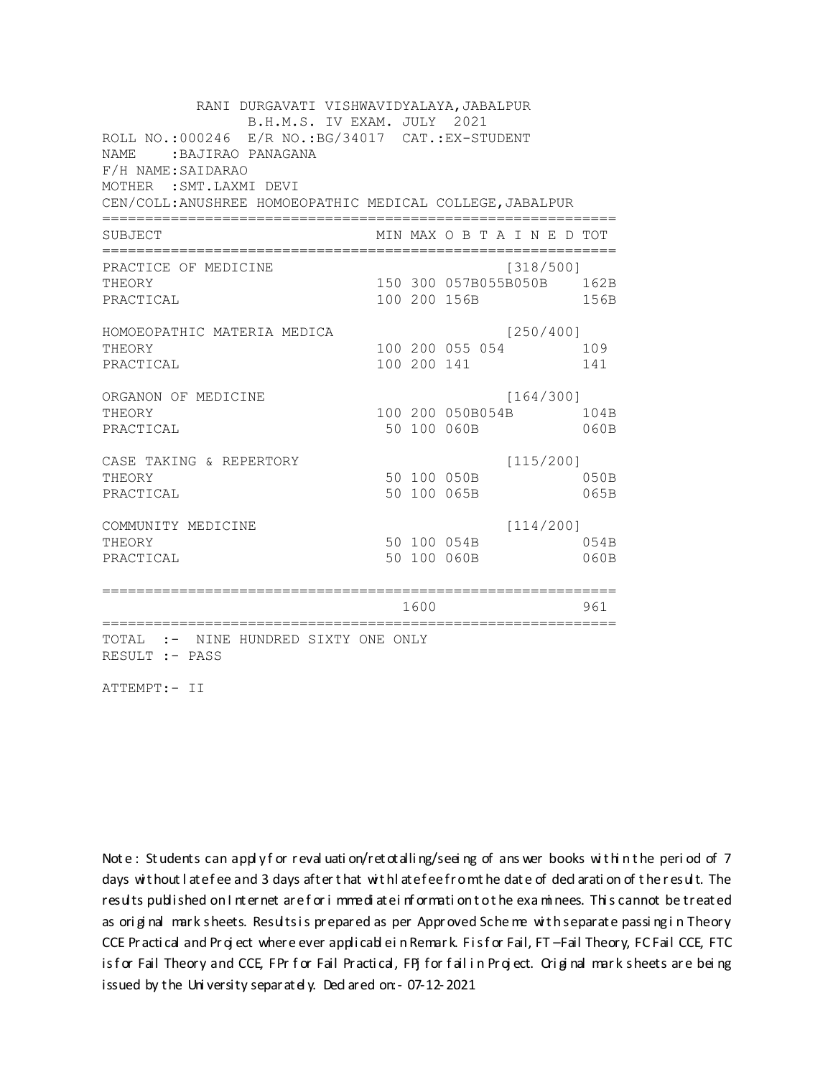RANI DURGAVATI VISHWAVIDYALAYA, JABALPUR B.H.M.S. IV EXAM. JULY 2021 ROLL NO.: 000246 E/R NO.: BG/34017 CAT.: EX-STUDENT NAME: BAJIRAO PANAGANA F/H NAME: SAIDARAO MOTHER : SMT. LAXMI DEVI CEN/COLL: ANUSHREE HOMOEOPATHIC MEDICAL COLLEGE, JABALPUR MIN MAX O B T A I N E D TOT SUBJECT PRACTICE OF MEDICINE  $[318/500]$ 150 300 057B055B050B 162B **THEORY** PRACTICAL 100 200 156B 156B HOMOEOPATHIC MATERIA MEDICA  $[250/400]$ 100 200 055 054 109 THEORY PRACTICAL 100 200 141 141 ORGANON OF MEDICINE  $[164/300]$ THEORY 100 200 050B054B 104B PRACTICAL 50 100 060B 060B  $[115/200]$ CASE TAKING & REPERTORY 50 100 050B THEORY  $050B$ PRACTICAL 50 100 065B 065B  $[114/200]$ COMMUNITY MEDICINE 50 100 054B 054B THEORY PRACTICAL 50 100 060B 060B 1600 1600 961 TOTAL :- NINE HUNDRED SIXTY ONE ONLY RESULT :- PASS

ATTEMPT:- II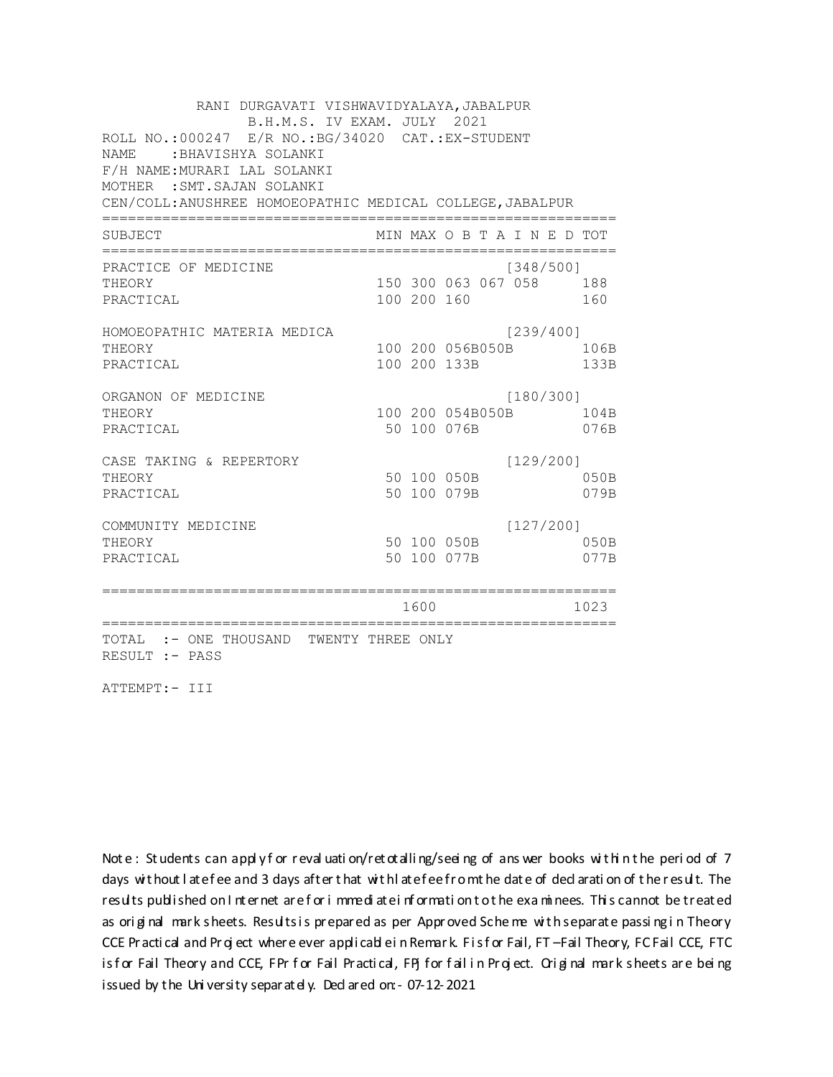RANI DURGAVATI VISHWAVIDYALAYA, JABALPUR B.H.M.S. IV EXAM. JULY 2021 ROLL NO.: 000247 E/R NO.: BG/34020 CAT.: EX-STUDENT NAME: BHAVISHYA SOLANKI F/H NAME: MURARI LAL SOLANKI MOTHER : SMT. SAJAN SOLANKI CEN/COLL: ANUSHREE HOMOEOPATHIC MEDICAL COLLEGE, JABALPUR MIN MAX O B T A I N E D TOT SUBJECT PRACTICE OF MEDICINE  $[348/500]$ THEORY 150 300 063 067 058 188 PRACTICAL 100 200 160 160 HOMOEOPATHIC MATERIA MEDICA [239/400] 100 200 056B050B 106B THEORY PRACTICAL 100 200 133B 133B ORGANON OF MEDICINE  $[180/300]$ THEORY 100 200 054B050B 104B PRACTICAL 50 100 076B 076B  $[129/200]$ CASE TAKING & REPERTORY 50 100 050B THEORY 050B PRACTICAL 50 100 079B 079B  $[127/200]$ COMMUNITY MEDICINE 50 100 050B 050B THEORY PRACTICAL 50 100 077B 077B 1600 1023 TOTAL :- ONE THOUSAND TWENTY THREE ONLY RESULT :- PASS

ATTEMPT:- III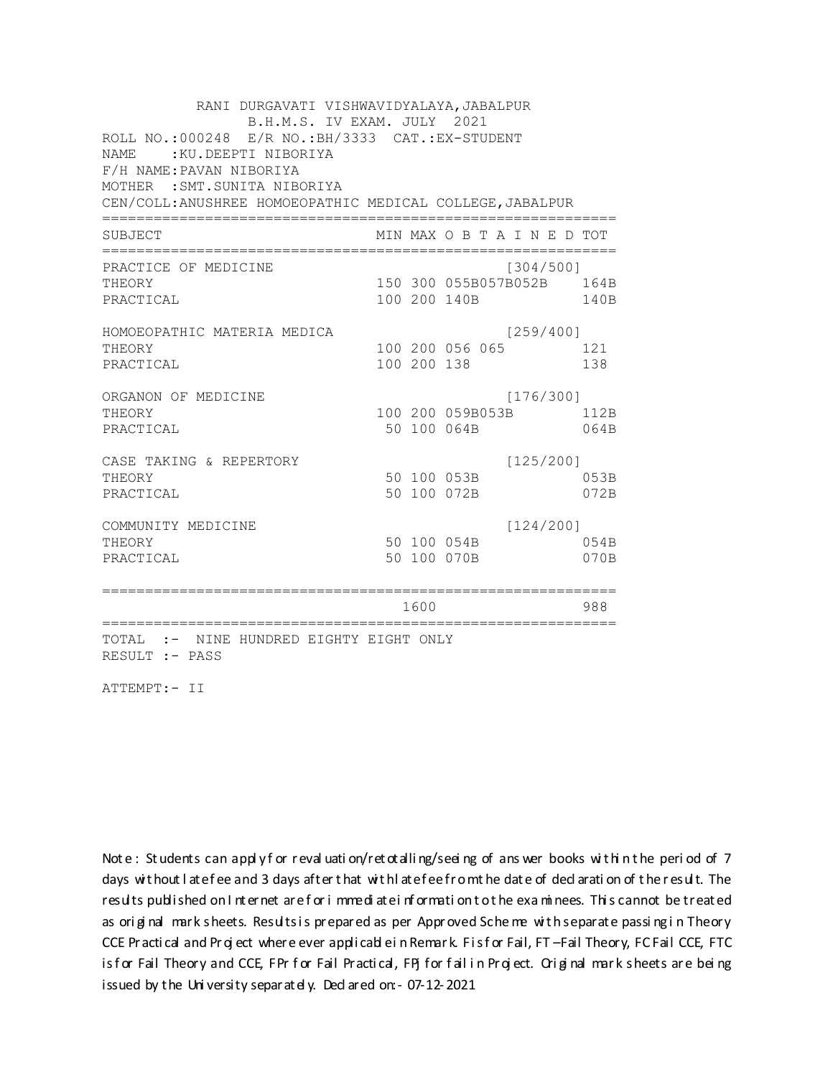RANI DURGAVATI VISHWAVIDYALAYA, JABALPUR B.H.M.S. IV EXAM. JULY 2021 ROLL NO.: 000248 E/R NO.: BH/3333 CAT.: EX-STUDENT NAME: : KU. DEEPTI NIBORIYA F/H NAME: PAVAN NIBORIYA MOTHER : SMT. SUNITA NIBORIYA CEN/COLL: ANUSHREE HOMOEOPATHIC MEDICAL COLLEGE, JABALPUR MIN MAX O B T A I N E D TOT SUBJECT PRACTICE OF MEDICINE  $[304/500]$ 150 300 055B057B052B 164B THEORY PRACTICAL 100 200 140B 140B HOMOEOPATHIC MATERIA MEDICA  $[259/400]$ 100 200 056 065 121 THEORY PRACTICAL 100 200 138 138 ORGANON OF MEDICINE  $[176/300]$ THEORY 100 200 059B053B 112B PRACTICAL 50 100 064B 064B CASE TAKING & REPERTORY  $[125/200]$ 50 100 053B THEORY 053B PRACTICAL 50 100 072B 072B  $[124/200]$ COMMUNITY MEDICINE 50 100 054B 054B THEORY PRACTICAL 50 100 070B 070B 1600 1600 988 TOTAL :- NINE HUNDRED EIGHTY EIGHT ONLY RESULT :- PASS

ATTEMPT:- II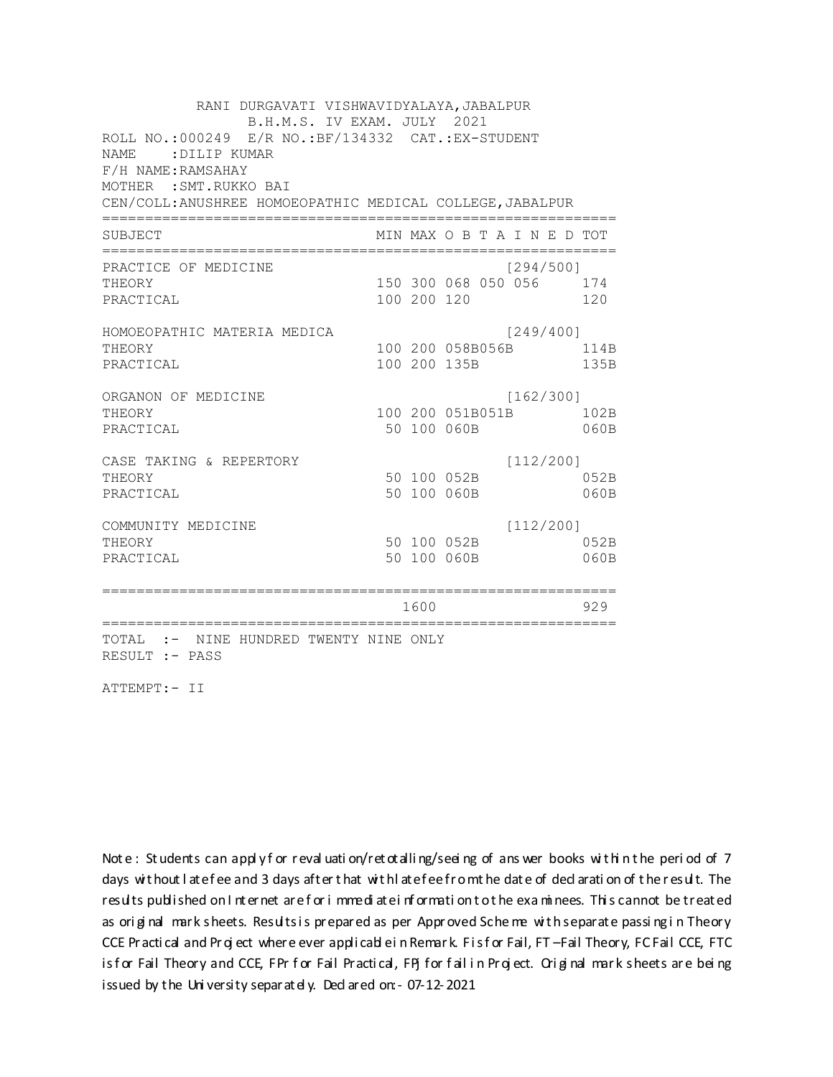RANI DURGAVATI VISHWAVIDYALAYA, JABALPUR B.H.M.S. IV EXAM. JULY 2021 ROLL NO.:000249 E/R NO.: BF/134332 CAT.: EX-STUDENT NAME: DILIP KUMAR F/H NAME: RAMSAHAY MOTHER : SMT. RUKKO BAI CEN/COLL: ANUSHREE HOMOEOPATHIC MEDICAL COLLEGE, JABALPUR MIN MAX O B T A I N E D TOT SUBJECT PRACTICE OF MEDICINE  $[294/500]$ 150 300 068 050 056 174 **THEORY** PRACTICAL 100 200 120 120 HOMOEOPATHIC MATERIA MEDICA [249/400] 100 200 058B056B 114B THEORY PRACTICAL 100 200 135B 135B ORGANON OF MEDICINE  $[162/300]$ THEORY 100 200 051B051B 102B PRACTICAL 50 100 060B  $060B$  $[112/200]$ CASE TAKING & REPERTORY 50 100 052B THEORY 052B PRACTICAL 50 100 060B  $060B$  $[112/200]$ COMMUNITY MEDICINE 50 100 052B 052B THEORY PRACTICAL 50 100 060B 060B 1600 1600 929 TOTAL :- NINE HUNDRED TWENTY NINE ONLY RESULT :- PASS

ATTEMPT:- II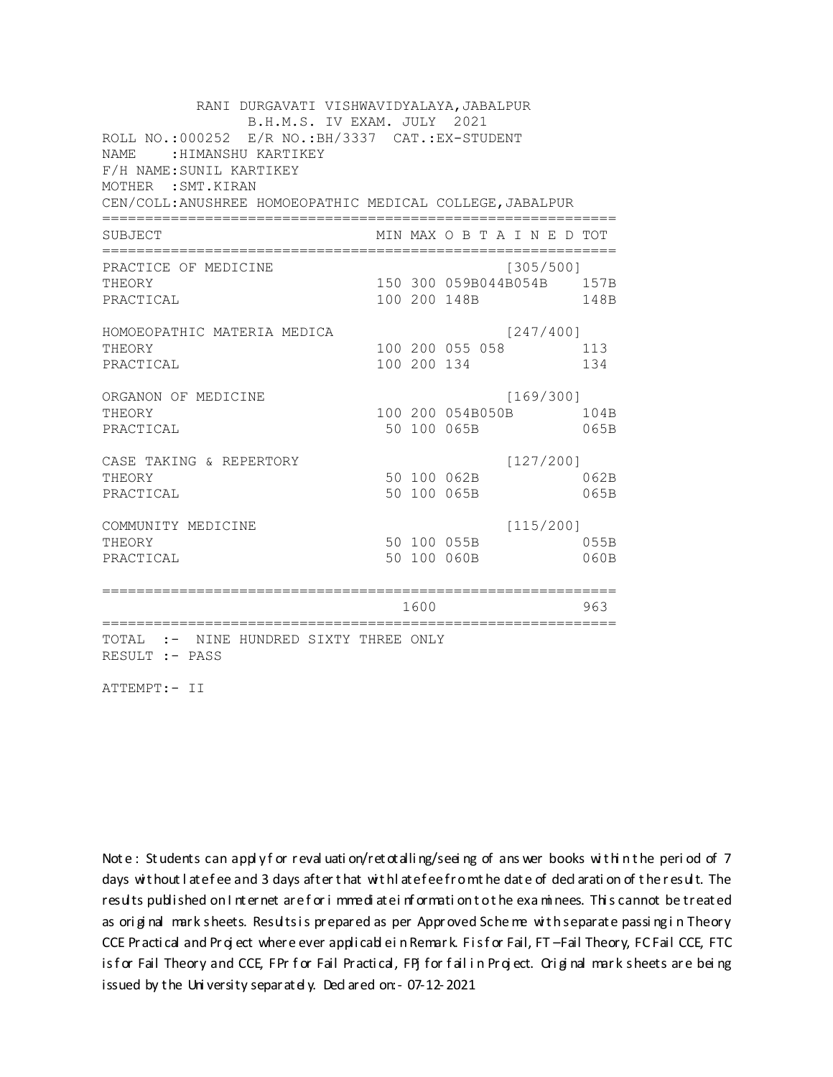RANI DURGAVATI VISHWAVIDYALAYA, JABALPUR B.H.M.S. IV EXAM. JULY 2021 ROLL NO.:000252 E/R NO.: BH/3337 CAT.: EX-STUDENT NAME: : HIMANSHU KARTIKEY F/H NAME: SUNIL KARTIKEY MOTHER : SMT. KIRAN CEN/COLL: ANUSHREE HOMOEOPATHIC MEDICAL COLLEGE, JABALPUR MIN MAX O B T A I N E D TOT SUBJECT PRACTICE OF MEDICINE  $[305/500]$ 150 300 059B044B054B 157B THEORY PRACTICAL 100 200 148B 148B HOMOEOPATHIC MATERIA MEDICA  $[247/400]$ 100 200 055 058 113 THEORY PRACTICAL 100 200 134 134 ORGANON OF MEDICINE  $[169/300]$ THEORY 100 200 054B050B 104B PRACTICAL 50 100 065B 065B  $[127/200]$ CASE TAKING & REPERTORY 50 100 062B THEORY 062B PRACTICAL 50 100 065B 065B  $[115/200]$ COMMUNITY MEDICINE 50 100 055B 055B THEORY PRACTICAL 50 100 060B 060B 1600 1600 963 TOTAL :- NINE HUNDRED SIXTY THREE ONLY RESULT :- PASS

ATTEMPT:- II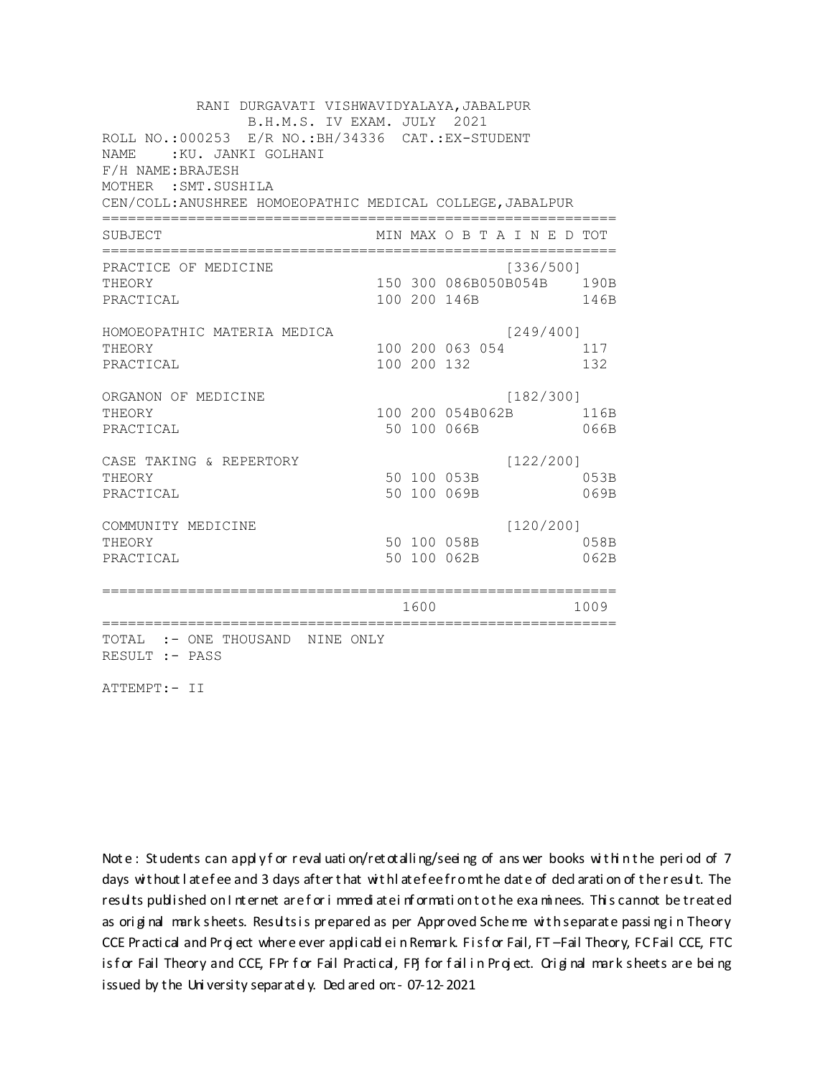RANI DURGAVATI VISHWAVIDYALAYA, JABALPUR B.H.M.S. IV EXAM. JULY 2021 ROLL NO.: 000253 E/R NO.: BH/34336 CAT.: EX-STUDENT NAME: : KU. JANKI GOLHANI F/H NAME: BRAJESH MOTHER : SMT. SUSHILA CEN/COLL: ANUSHREE HOMOEOPATHIC MEDICAL COLLEGE, JABALPUR MIN MAX O B T A I N E D TOT SUBJECT PRACTICE OF MEDICINE  $[336/500]$ 150 300 086B050B054B 190B **THEORY** PRACTICAL 100 200 146B 146B HOMOEOPATHIC MATERIA MEDICA  $[249/400]$ 100 200 063 054 117 THEORY PRACTICAL 100 200 132 132 ORGANON OF MEDICINE  $[182/300]$ THEORY 100 200 054B062B 116B PRACTICAL 50 100 066B 066B CASE TAKING & REPERTORY  $[122/200]$ 50 100 053B THEORY 053B PRACTICAL 50 100 069B 069B  $[120/200]$ COMMUNITY MEDICINE 50 100 058B 058B THEORY PRACTICAL 50 100 062B 062B 1600 1600 1009 TOTAL :- ONE THOUSAND NINE ONLY RESULT :- PASS

ATTEMPT:- II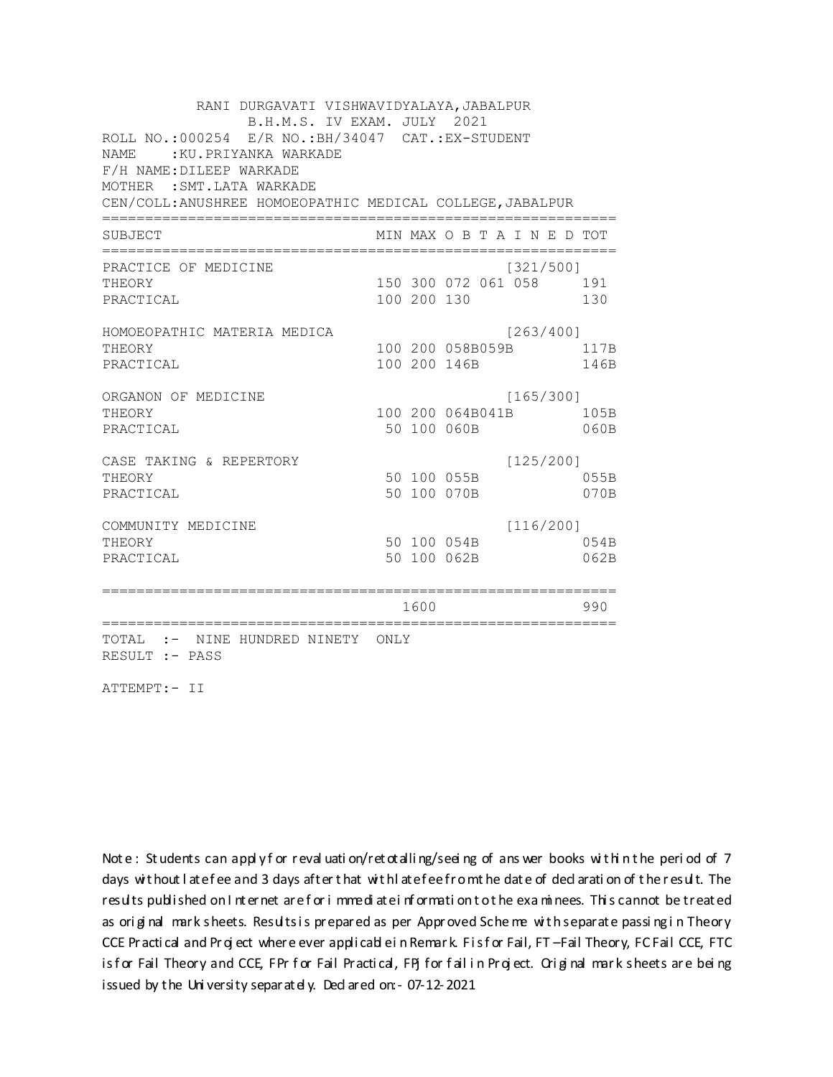RANI DURGAVATI VISHWAVIDYALAYA, JABALPUR B.H.M.S. IV EXAM. JULY 2021 ROLL NO.: 000254 E/R NO.: BH/34047 CAT.: EX-STUDENT NAME: : KU. PRIYANKA WARKADE F/H NAME: DILEEP WARKADE MOTHER : SMT. LATA WARKADE CEN/COLL: ANUSHREE HOMOEOPATHIC MEDICAL COLLEGE, JABALPUR MIN MAX O B T A I N E D TOT SUBJECT PRACTICE OF MEDICINE  $[321/500]$ 150 300 072 061 058 191 THEORY PRACTICAL 100 200 130 130 HOMOEOPATHIC MATERIA MEDICA [263/400] 100 200 058B059B 117B THEORY PRACTICAL 100 200 146B 146B ORGANON OF MEDICINE  $[165/300]$ THEORY 100 200 064B041B 105B PRACTICAL 50 100 060B  $060B$ CASE TAKING & REPERTORY  $[125/200]$ 50 100 055B THEORY 055B PRACTICAL 50 100 070B 070B  $[116/200]$ COMMUNITY MEDICINE 50 100 054B 054B THEORY PRACTICAL 50 100 062B 062B 1600 1600 990 TOTAL :- NINE HUNDRED NINETY ONLY RESULT :- PASS

ATTEMPT:- II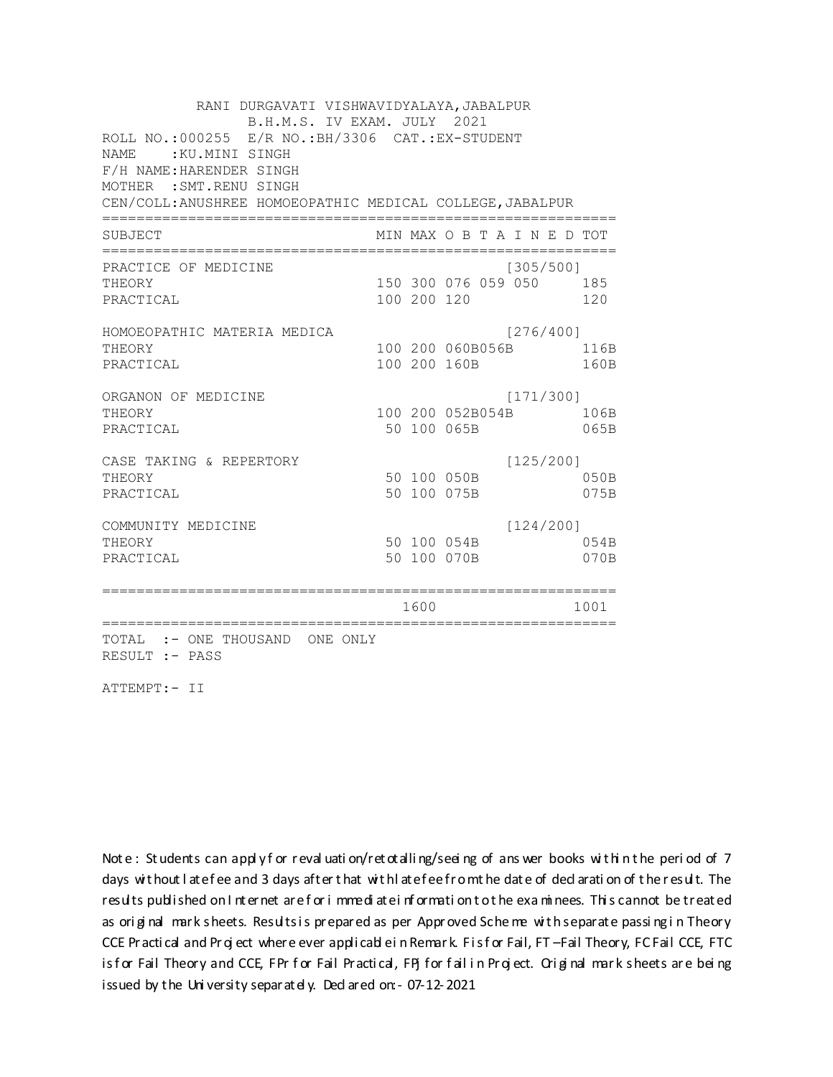RANI DURGAVATI VISHWAVIDYALAYA, JABALPUR B.H.M.S. IV EXAM. JULY 2021 ROLL NO.:000255 E/R NO.: BH/3306 CAT.: EX-STUDENT NAME: : KU.MINI SINGH F/H NAME: HARENDER SINGH MOTHER : SMT. RENU SINGH CEN/COLL: ANUSHREE HOMOEOPATHIC MEDICAL COLLEGE, JABALPUR MIN MAX O B T A I N E D TOT SUBJECT PRACTICE OF MEDICINE  $[305/500]$ THEORY 150 300 076 059 050 185 PRACTICAL 100 200 120 120 HOMOEOPATHIC MATERIA MEDICA [276/400] 100 200 060B056B 116B THEORY PRACTICAL 100 200 160B 160B ORGANON OF MEDICINE  $[171/300]$ THEORY 100 200 052B054B 106B PRACTICAL 50 100 065B 065B CASE TAKING & REPERTORY  $[125/200]$ 50 100 050B THEORY  $050B$ PRACTICAL 50 100 075B 075B  $[124/200]$ COMMUNITY MEDICINE 50 100 054B 054B THEORY PRACTICAL 50 100 070B 070B 1600 1600 1001 TOTAL :- ONE THOUSAND ONE ONLY RESULT :- PASS

ATTEMPT:- II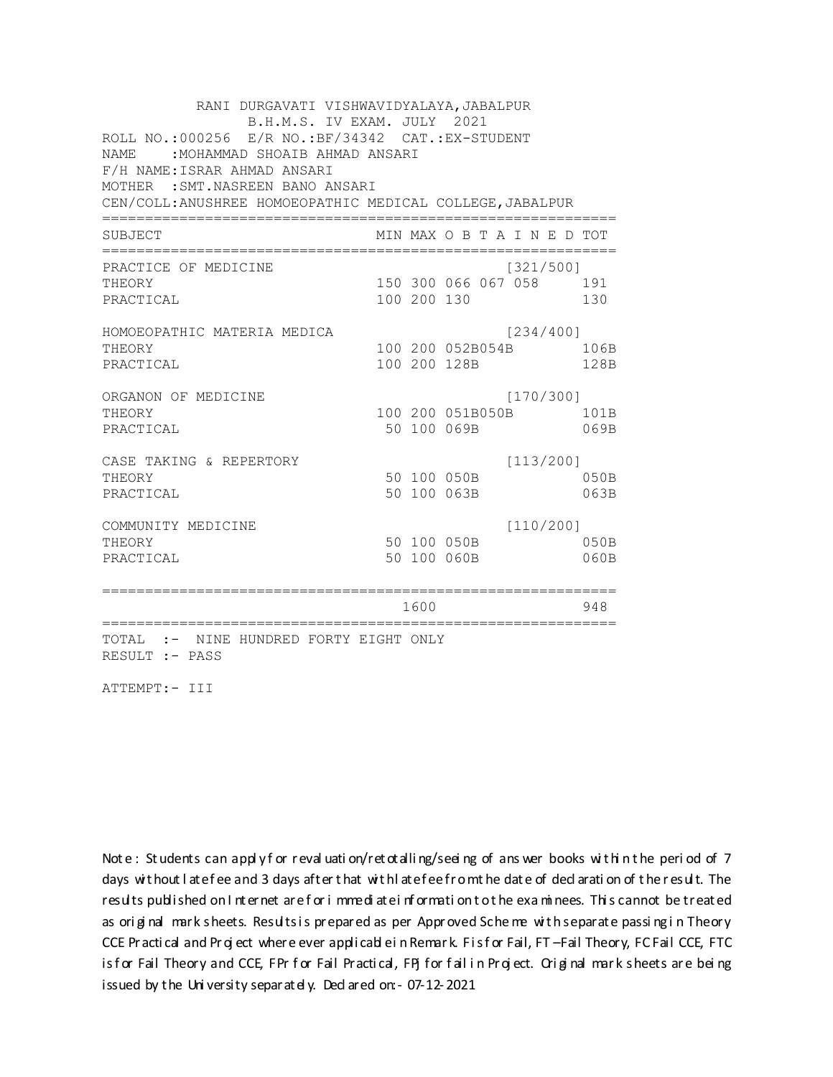RANI DURGAVATI VISHWAVIDYALAYA, JABALPUR B.H.M.S. IV EXAM. JULY 2021 ROLL NO.:000256 E/R NO.:BF/34342 CAT.:EX-STUDENT NAME :MOHAMMAD SHOAIB AHMAD ANSARI F/H NAME:ISRAR AHMAD ANSARI MOTHER :SMT.NASREEN BANO ANSARI CEN/COLL:ANUSHREE HOMOEOPATHIC MEDICAL COLLEGE,JABALPUR ============================================================ SUBJECT MIN MAX O B T A I N E D TOT ============================================================ PRACTICE OF MEDICINE (321/500] THEORY 150 300 066 067 058 191 PRACTICAL 100 200 130 130 HOMOEOPATHIC MATERIA MEDICA [234/400] THEORY 100 200 052B054B 106B PRACTICAL 100 200 128B 128B ORGANON OF MEDICINE [170/300] THEORY 100 200 051B050B 101B PRACTICAL 50 100 069B 069B CASE TAKING & REPERTORY [113/200] THEORY 50 100 050B 050B PRACTICAL 50 100 063B 063B COMMUNITY MEDICINE [110/200] THEORY 50 100 050B 050B PRACTICAL 50 100 060B 060B ============================================================ 1600 948 ============================================================ TOTAL :- NINE HUNDRED FORTY EIGHT ONLY RESULT :- PASS

ATTEMPT:- III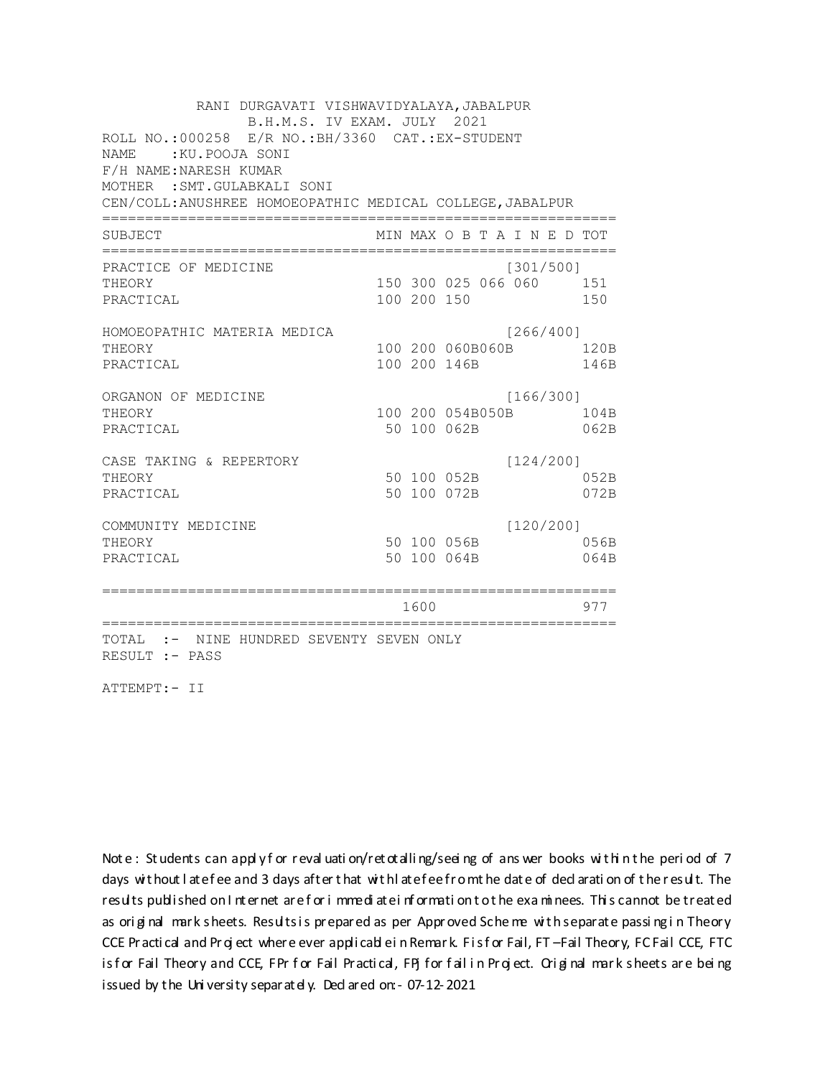RANI DURGAVATI VISHWAVIDYALAYA, JABALPUR B.H.M.S. IV EXAM. JULY 2021 ROLL NO.:000258 E/R NO.: BH/3360 CAT.: EX-STUDENT NAME: : KU. POOJA SONI F/H NAME: NARESH KUMAR MOTHER : SMT. GULABKALI SONI CEN/COLL: ANUSHREE HOMOEOPATHIC MEDICAL COLLEGE, JABALPUR MIN MAX O B T A I N E D TOT SUBJECT PRACTICE OF MEDICINE  $[301/500]$ 150 300 025 066 060 151 **THEORY** PRACTICAL 100 200 150 150 HOMOEOPATHIC MATERIA MEDICA [266/400] 100 200 060B060B 120B THEORY PRACTICAL 100 200 146B 146B ORGANON OF MEDICINE  $[166/300]$ THEORY 100 200 054B050B 104B PRACTICAL 50 100 062B 062B  $[124/200]$ CASE TAKING & REPERTORY 50 100 052B THEORY 052B PRACTICAL 50 100 072B 072B  $[120/200]$ COMMUNITY MEDICINE 50 100 056B 056B THEORY PRACTICAL 50 100 064B 064B 1600 1600 977 TOTAL :- NINE HUNDRED SEVENTY SEVEN ONLY RESULT :- PASS

ATTEMPT:- II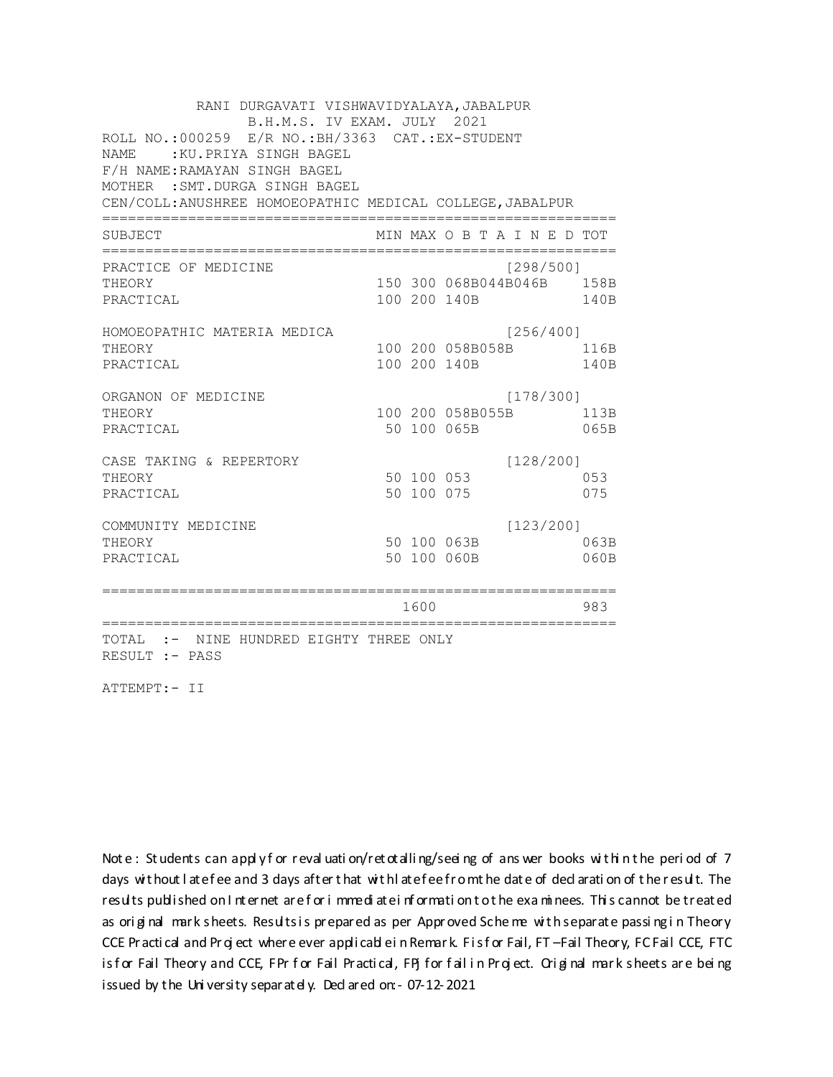RANI DURGAVATI VISHWAVIDYALAYA, JABALPUR B.H.M.S. IV EXAM. JULY 2021 ROLL NO.:000259 E/R NO.: BH/3363 CAT.: EX-STUDENT NAME : KU. PRIYA SINGH BAGEL F/H NAME: RAMAYAN SINGH BAGEL MOTHER : SMT. DURGA SINGH BAGEL CEN/COLL: ANUSHREE HOMOEOPATHIC MEDICAL COLLEGE, JABALPUR MIN MAX O B T A I N E D TOT SUBJECT PRACTICE OF MEDICINE  $[298/5001]$ 150 300 068B044B046B 158B THEORY PRACTICAL 100 200 140B 140B HOMOEOPATHIC MATERIA MEDICA  $[256/400]$ 100 200 058B058B 116B THEORY PRACTICAL 100 200 140B 140B ORGANON OF MEDICINE  $[178/300]$ THEORY 100 200 058B055B 113B PRACTICAL 50 100 065B 065B CASE TAKING & REPERTORY  $[128/200]$ 50 100 053 THEORY 053 50 100 075 PRACTICAL 075  $[123/200]$ COMMUNITY MEDICINE 50 100 063B 063B THEORY PRACTICAL 50 100 060B 060B 1600 1600 983 TOTAL :- NINE HUNDRED EIGHTY THREE ONLY RESULT :- PASS

ATTEMPT:- II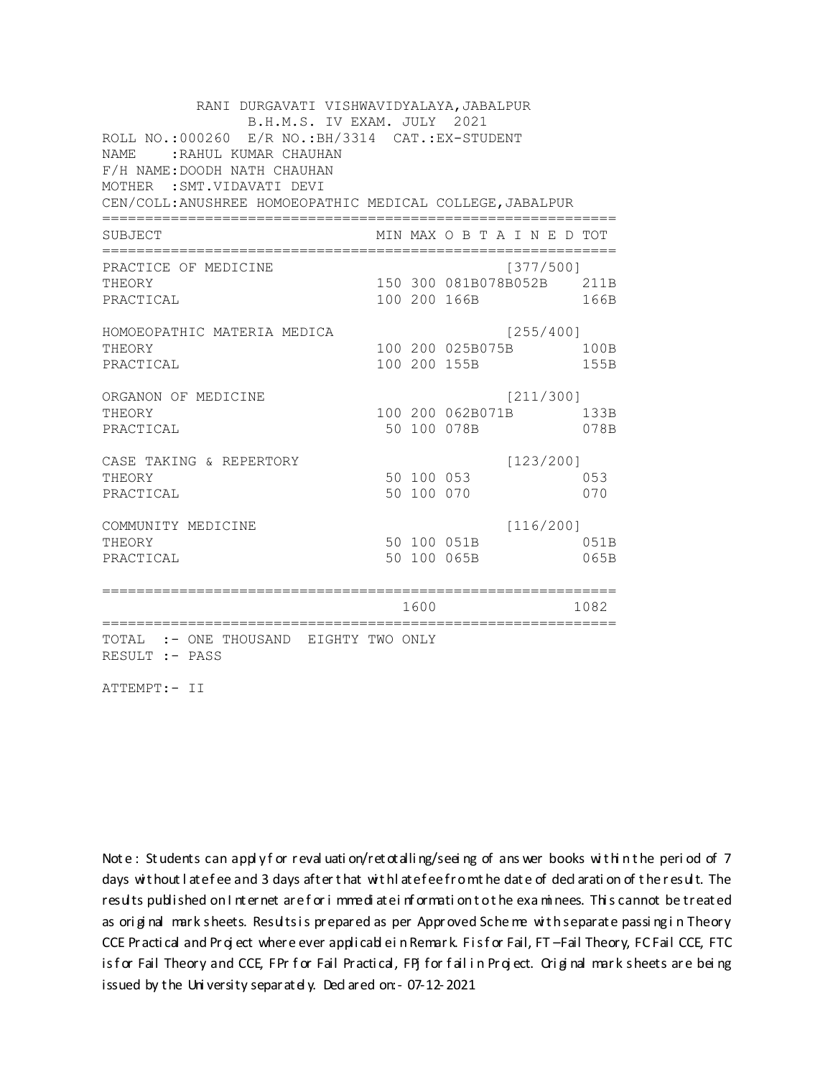RANI DURGAVATI VISHWAVIDYALAYA, JABALPUR B.H.M.S. IV EXAM. JULY 2021 ROLL NO.:000260 E/R NO.: BH/3314 CAT.: EX-STUDENT NAME: : RAHUL KUMAR CHAUHAN F/H NAME: DOODH NATH CHAUHAN MOTHER : SMT. VIDAVATI DEVI CEN/COLL: ANUSHREE HOMOEOPATHIC MEDICAL COLLEGE, JABALPUR MIN MAX O B T A I N E D TOT SUBJECT PRACTICE OF MEDICINE  $[377/500]$ THEORY 150 300 081B078B052B 211B PRACTICAL 100 200 166B 166B HOMOEOPATHIC MATERIA MEDICA  $[255/400]$ 100 200 025B075B 100B THEORY PRACTICAL 100 200 155B 155B ORGANON OF MEDICINE  $[211/300]$ THEORY 100 200 062B071B 133B PRACTICAL 50 100 078B 078B CASE TAKING & REPERTORY  $[123/200]$ 50 100 053 THEORY 053 50 100 070 PRACTICAL 070  $[116/200]$ COMMUNITY MEDICINE 50 100 051B 051B THEORY PRACTICAL 50 100 065B 065B 1600 1600 1082 TOTAL :- ONE THOUSAND EIGHTY TWO ONLY RESULT :- PASS

ATTEMPT:- II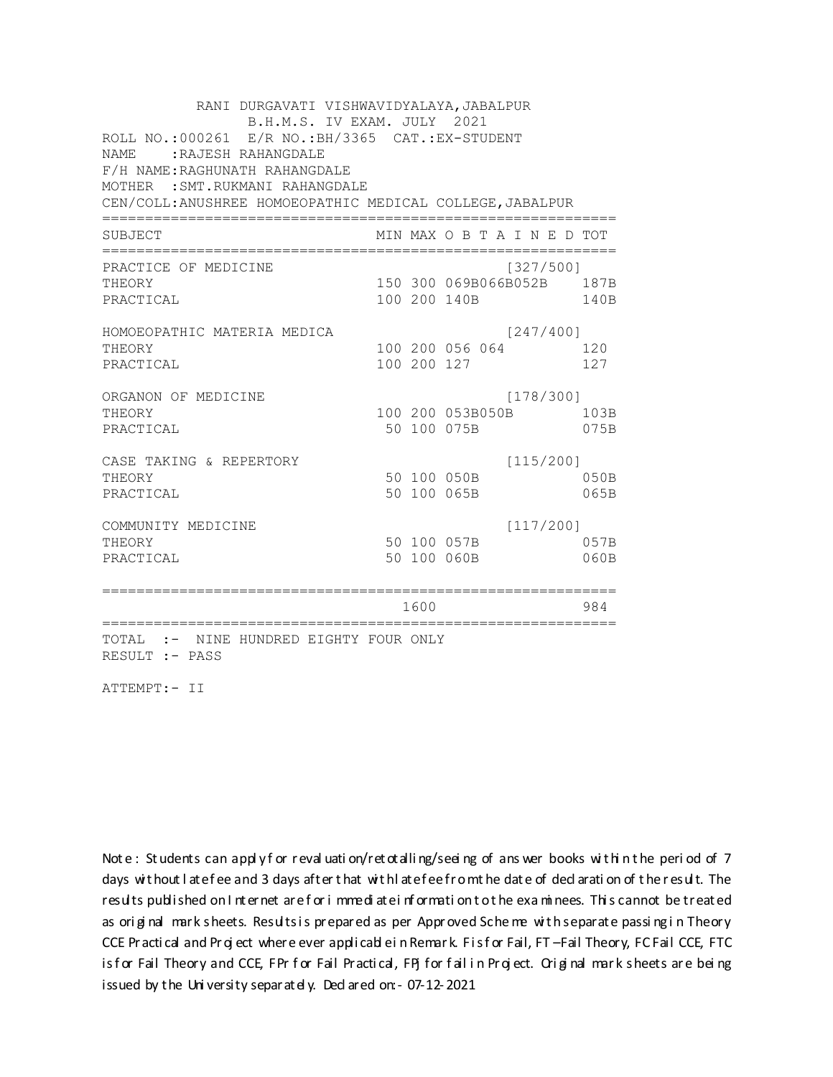RANI DURGAVATI VISHWAVIDYALAYA, JABALPUR B.H.M.S. IV EXAM. JULY 2021 ROLL NO.:000261 E/R NO.:BH/3365 CAT.:EX-STUDENT NAME :RAJESH RAHANGDALE F/H NAME:RAGHUNATH RAHANGDALE MOTHER :SMT.RUKMANI RAHANGDALE CEN/COLL:ANUSHREE HOMOEOPATHIC MEDICAL COLLEGE,JABALPUR ============================================================ SUBJECT MIN MAX O B T A I N E D TOT ============================================================ PRACTICE OF MEDICINE (327/500] THEORY 150 300 069B066B052B 187B PRACTICAL 100 200 140B 140B HOMOEOPATHIC MATERIA MEDICA [247/400] THEORY 100 200 056 064 120 PRACTICAL 100 200 127 127 ORGANON OF MEDICINE [178/300] THEORY 100 200 053B050B 103B PRACTICAL 50 100 075B 075B CASE TAKING & REPERTORY [115/200] THEORY 50 100 050B 050B PRACTICAL 50 100 065B 065B COMMUNITY MEDICINE [117/200] THEORY 50 100 057B 057B PRACTICAL 50 100 060B 060B ============================================================ 1600 984 ============================================================ TOTAL :- NINE HUNDRED EIGHTY FOUR ONLY RESULT :- PASS

ATTEMPT:- II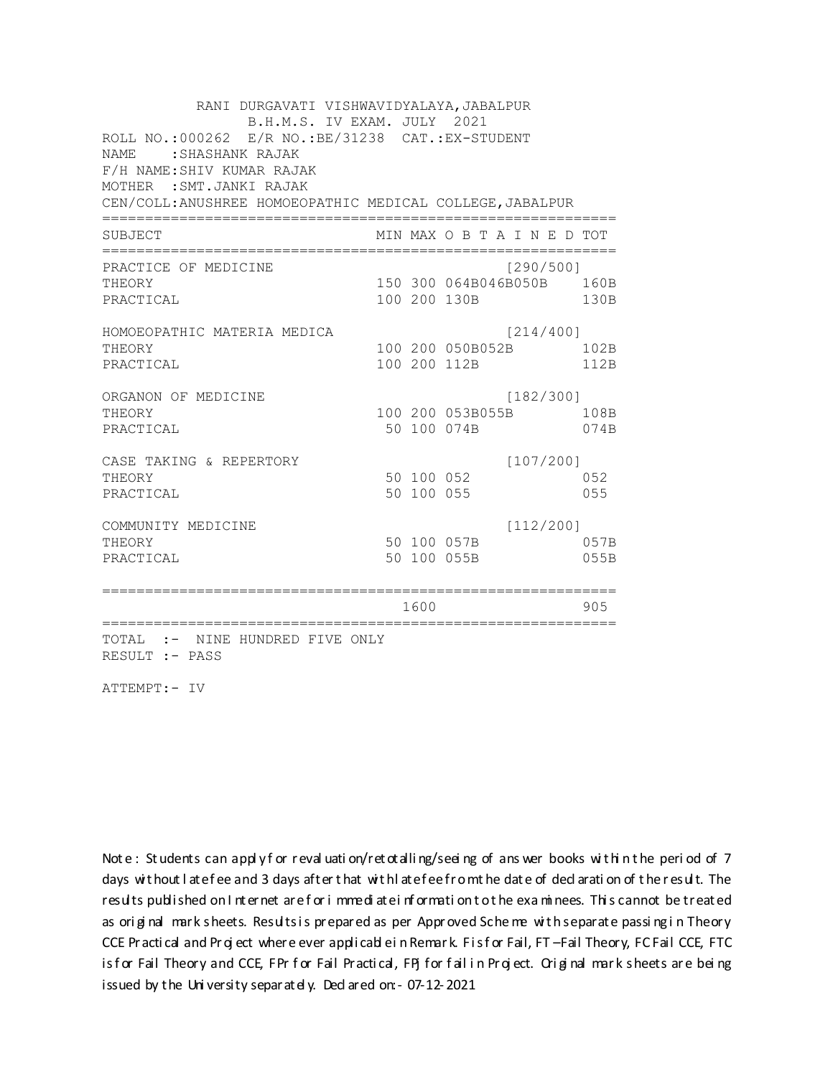RANI DURGAVATI VISHWAVIDYALAYA, JABALPUR B.H.M.S. IV EXAM. JULY 2021 ROLL NO.: 000262 E/R NO.: BE/31238 CAT.: EX-STUDENT NAME: SHASHANK RAJAK F/H NAME: SHIV KUMAR RAJAK MOTHER : SMT. JANKI RAJAK CEN/COLL: ANUSHREE HOMOEOPATHIC MEDICAL COLLEGE, JABALPUR MIN MAX O B T A I N E D TOT SUBJECT PRACTICE OF MEDICINE  $[290/500]$ THEORY 150 300 064B046B050B 160B PRACTICAL 100 200 130B 130B HOMOEOPATHIC MATERIA MEDICA  $[214/400]$ 100 200 050B052B 102B THEORY PRACTICAL 100 200 112B 112B ORGANON OF MEDICINE  $[182/300]$ THEORY 100 200 053B055B 108B PRACTICAL 50 100 074B 074B  $[107/200]$ CASE TAKING & REPERTORY 50 100 052 THEORY 052 50 100 055 PRACTICAL 055  $[112/200]$ COMMUNITY MEDICINE 50 100 057B 057B THEORY PRACTICAL 50 100 055B 055B 1600 1600 905 TOTAL :- NINE HUNDRED FIVE ONLY RESULT :- PASS

ATTEMPT:- IV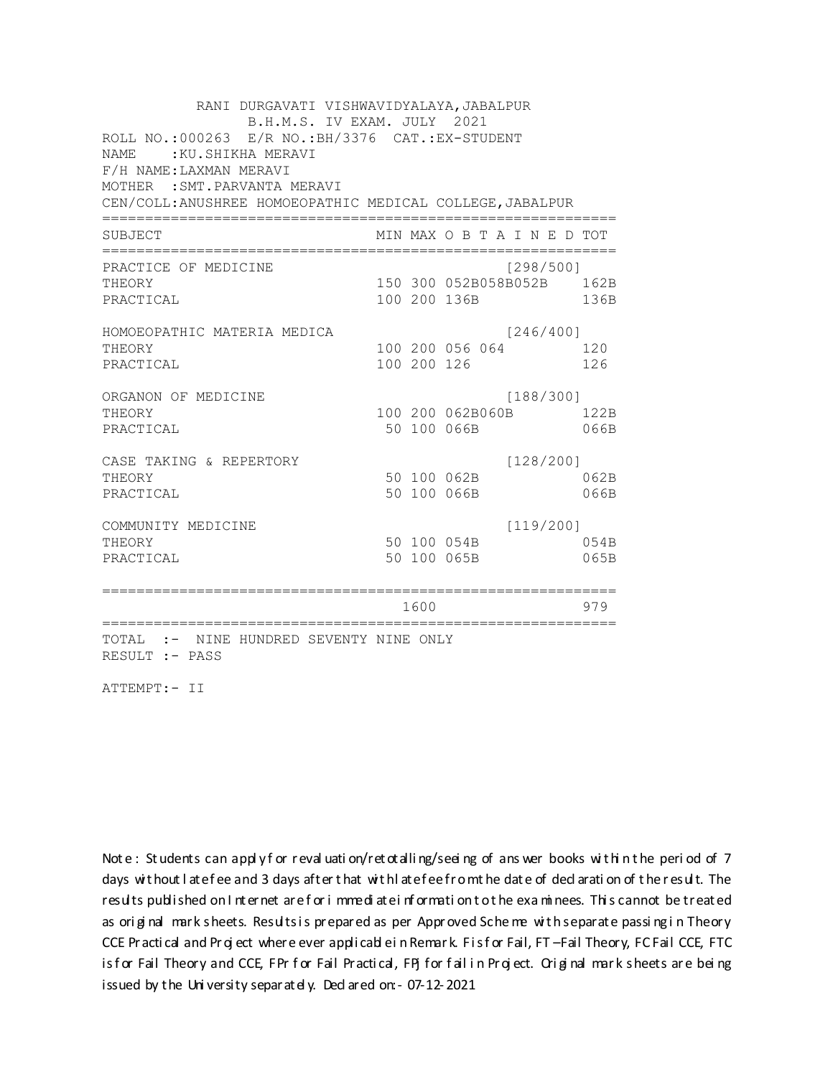RANI DURGAVATI VISHWAVIDYALAYA, JABALPUR B.H.M.S. IV EXAM. JULY 2021 ROLL NO.:000263 E/R NO.: BH/3376 CAT.: EX-STUDENT NAME: : KU. SHIKHA MERAVI F/H NAME: LAXMAN MERAVI MOTHER : SMT. PARVANTA MERAVI CEN/COLL: ANUSHREE HOMOEOPATHIC MEDICAL COLLEGE, JABALPUR MIN MAX O B T A I N E D TOT SUBJECT PRACTICE OF MEDICINE  $[298/500]$ 150 300 052B058B052B 162B THEORY PRACTICAL 100 200 136B 136B HOMOEOPATHIC MATERIA MEDICA  $[246/400]$ 100 200 056 064 120 THEORY PRACTICAL 100 200 126 126 ORGANON OF MEDICINE  $[188/300]$ THEORY 100 200 062B060B 122B PRACTICAL 50 100 066B 066B  $[128/200]$ CASE TAKING & REPERTORY 50 100 062B THEORY 062B PRACTICAL 50 100 066B 066B  $[119/200]$ COMMUNITY MEDICINE 50 100 054B 054B THEORY PRACTICAL 50 100 065B 065B 1600 1600 979 TOTAL :- NINE HUNDRED SEVENTY NINE ONLY RESULT :- PASS

ATTEMPT:- II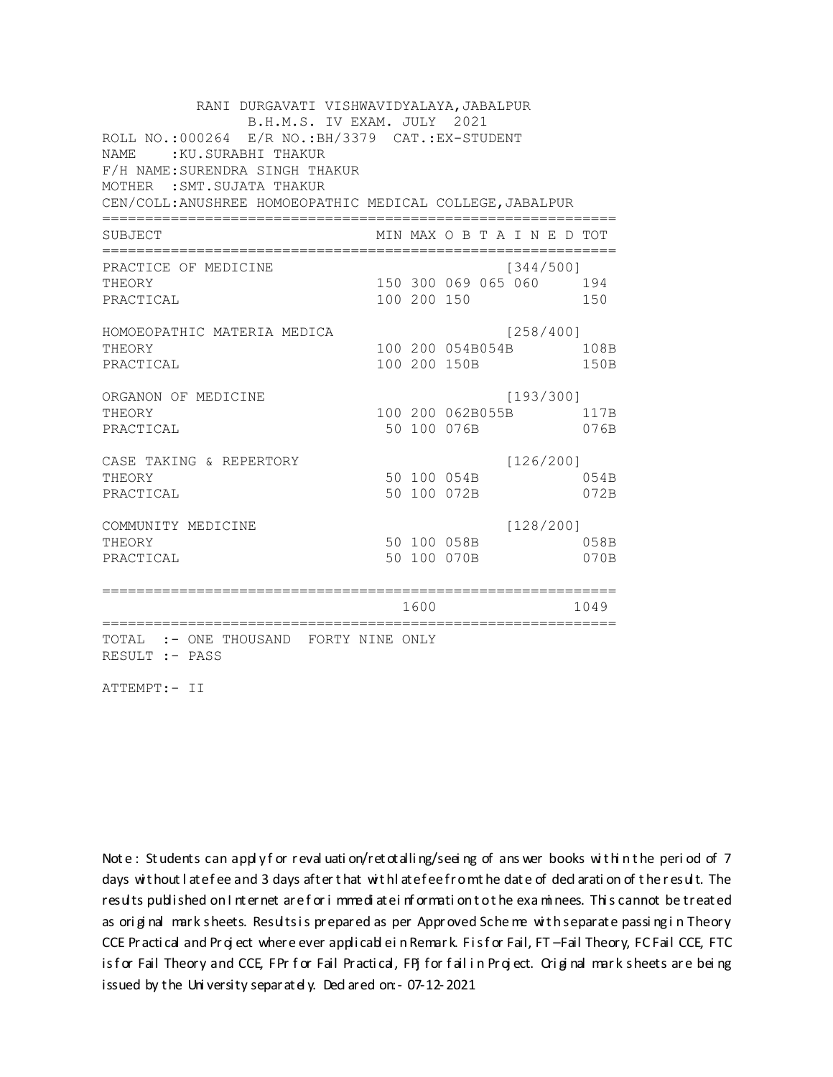RANI DURGAVATI VISHWAVIDYALAYA, JABALPUR B.H.M.S. IV EXAM. JULY 2021 ROLL NO.:000264 E/R NO.: BH/3379 CAT.: EX-STUDENT NAME: : KU. SURABHI THAKUR F/H NAME: SURENDRA SINGH THAKUR MOTHER : SMT. SUJATA THAKUR CEN/COLL: ANUSHREE HOMOEOPATHIC MEDICAL COLLEGE, JABALPUR MIN MAX O B T A I N E D TOT SUBJECT PRACTICE OF MEDICINE  $[344/500]$ THEORY 150 300 069 065 060 194 PRACTICAL 100 200 150 150 HOMOEOPATHIC MATERIA MEDICA [258/400] 100 200 054B054B 108B THEORY PRACTICAL 100 200 150B 150B ORGANON OF MEDICINE  $[193/300]$ THEORY 100 200 062B055B 117B PRACTICAL 50 100 076B 076B CASE TAKING & REPERTORY  $[126/200]$ 50 100 054B THEORY 054B PRACTICAL 50 100 072B 072B  $[128/200]$ COMMUNITY MEDICINE 50 100 058B 058B THEORY PRACTICAL 50 100 070B 070B 1600 1600 1049 TOTAL :- ONE THOUSAND FORTY NINE ONLY RESULT :- PASS

ATTEMPT:- II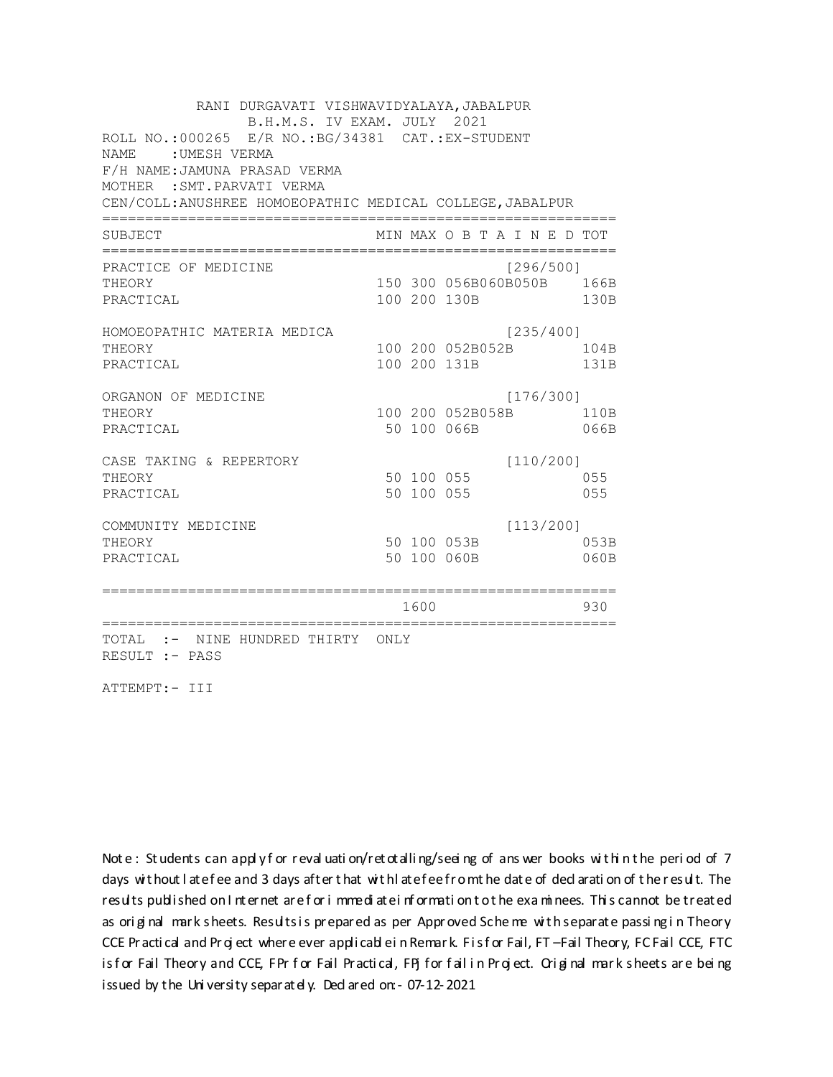RANI DURGAVATI VISHWAVIDYALAYA, JABALPUR B.H.M.S. IV EXAM. JULY 2021 ROLL NO.:000265 E/R NO.: BG/34381 CAT.: EX-STUDENT NAME : UMESH VERMA F/H NAME: JAMUNA PRASAD VERMA MOTHER : SMT. PARVATI VERMA CEN/COLL: ANUSHREE HOMOEOPATHIC MEDICAL COLLEGE, JABALPUR MIN MAX O B T A I N E D TOT SUBJECT PRACTICE OF MEDICINE  $[296/500]$ THEORY 150 300 056B060B050B 166B PRACTICAL 100 200 130B 130B HOMOEOPATHIC MATERIA MEDICA  $[235/400]$ 100 200 052B052B 104B THEORY PRACTICAL 100 200 131B 131B ORGANON OF MEDICINE  $[176/300]$ THEORY 100 200 052B058B 110B PRACTICAL 50 100 066B 066B CASE TAKING & REPERTORY  $[110/200]$ 50 100 055 THEORY 055 50 100 055 PRACTICAL 055  $[113/200]$ COMMUNITY MEDICINE 50 100 053B 053B THEORY PRACTICAL 50 100 060B 060B 1600 1600 930 TOTAL :- NINE HUNDRED THIRTY ONLY RESULT :- PASS

ATTEMPT:- III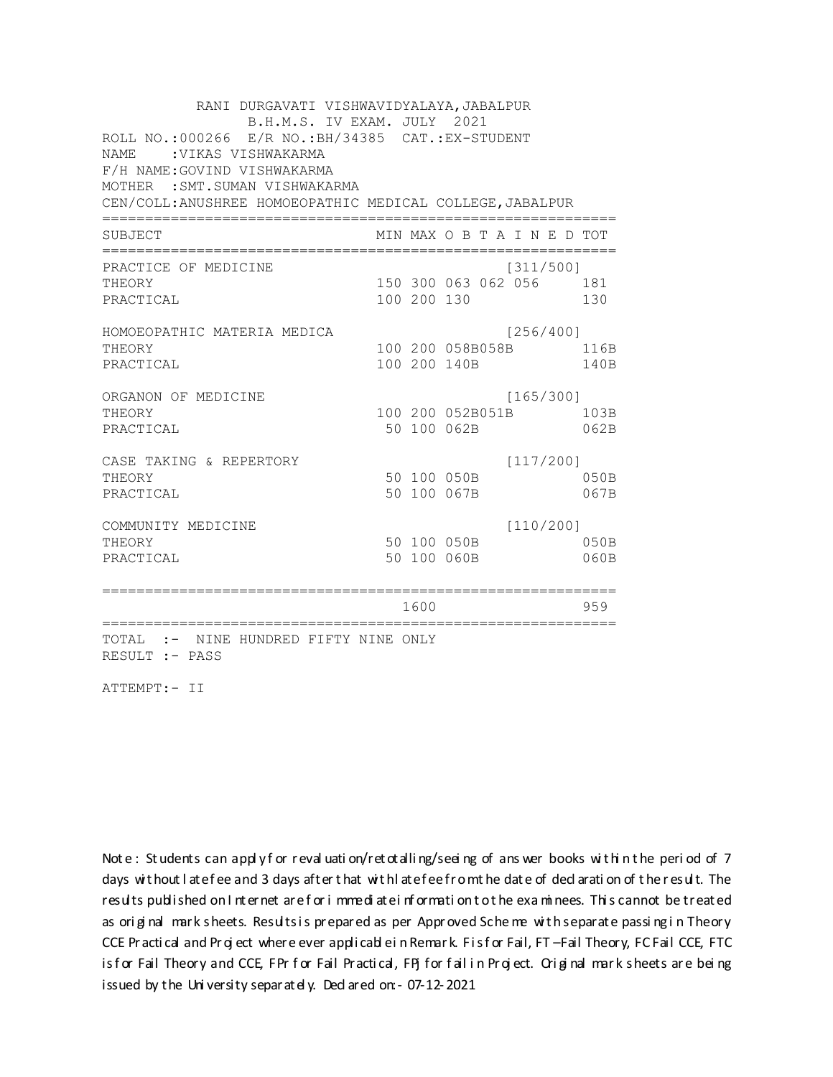RANI DURGAVATI VISHWAVIDYALAYA, JABALPUR B.H.M.S. IV EXAM. JULY 2021 ROLL NO.:000266 E/R NO.: BH/34385 CAT.: EX-STUDENT NAME: VIKAS VISHWAKARMA F/H NAME: GOVIND VISHWAKARMA MOTHER : SMT. SUMAN VISHWAKARMA CEN/COLL: ANUSHREE HOMOEOPATHIC MEDICAL COLLEGE, JABALPUR MIN MAX O B T A I N E D TOT SUBJECT PRACTICE OF MEDICINE  $[311/500]$ 150 300 063 062 056 181 THEORY PRACTICAL 100 200 130 130 HOMOEOPATHIC MATERIA MEDICA [256/400] 100 200 058B058B 116B THEORY PRACTICAL 100 200 140B 140B ORGANON OF MEDICINE  $[165/300]$ THEORY 100 200 052B051B 103B PRACTICAL 50 100 062B 062B  $[117/200]$ CASE TAKING & REPERTORY 50 100 050B THEORY  $050B$ PRACTICAL 50 100 067B 067B  $[110/200]$ COMMUNITY MEDICINE 50 100 050B 050B THEORY PRACTICAL 50 100 060B 060B 1600 1600 959 TOTAL :- NINE HUNDRED FIFTY NINE ONLY RESULT :- PASS

ATTEMPT:- II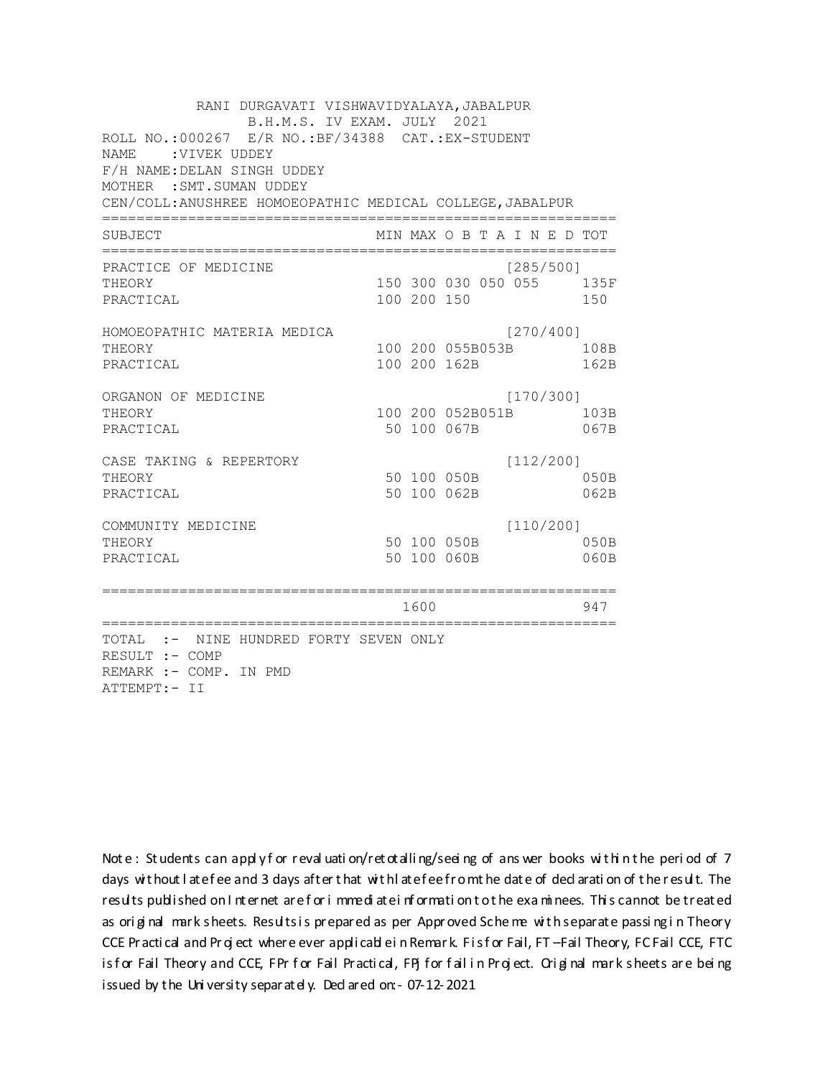RANI DURGAVATI VISHWAVIDYALAYA, JABALPUR B.H.M.S. IV EXAM. JULY 2021 ROLL NO.:000267 E/R NO.: BF/34388 CAT.: EX-STUDENT NAME : VIVEK UDDEY F/H NAME: DELAN SINGH UDDEY MOTHER : SMT. SUMAN UDDEY CEN/COLL: ANUSHREE HOMOEOPATHIC MEDICAL COLLEGE, JABALPUR MIN MAX O B T A I N E D TOT SUBJECT  $[285/5001]$ PRACTICE OF MEDICINE 150 300 030 050 055 135F **THEORY** PRACTICAL 100 200 150 150 HOMOEOPATHIC MATERIA MEDICA [270/400] 100 200 055B053B 108B THEORY PRACTICAL 100 200 162B 162B ORGANON OF MEDICINE  $[170/300]$ THEORY 100 200 052B051B 103B PRACTICAL 50 100 067B 067B  $[112/200]$ CASE TAKING & REPERTORY 50 100 050B THEORY  $050B$ PRACTICAL 50 100 062B 062B  $[110/200]$ COMMUNITY MEDICINE 50 100 050B 050B THEORY PRACTICAL 50 100 060B 060B 947 1600 000 TOTAL :- NINE HUNDRED FORTY SEVEN ONLY RESULT :- COMP REMARK :- COMP. IN PMD ATTEMPT:- II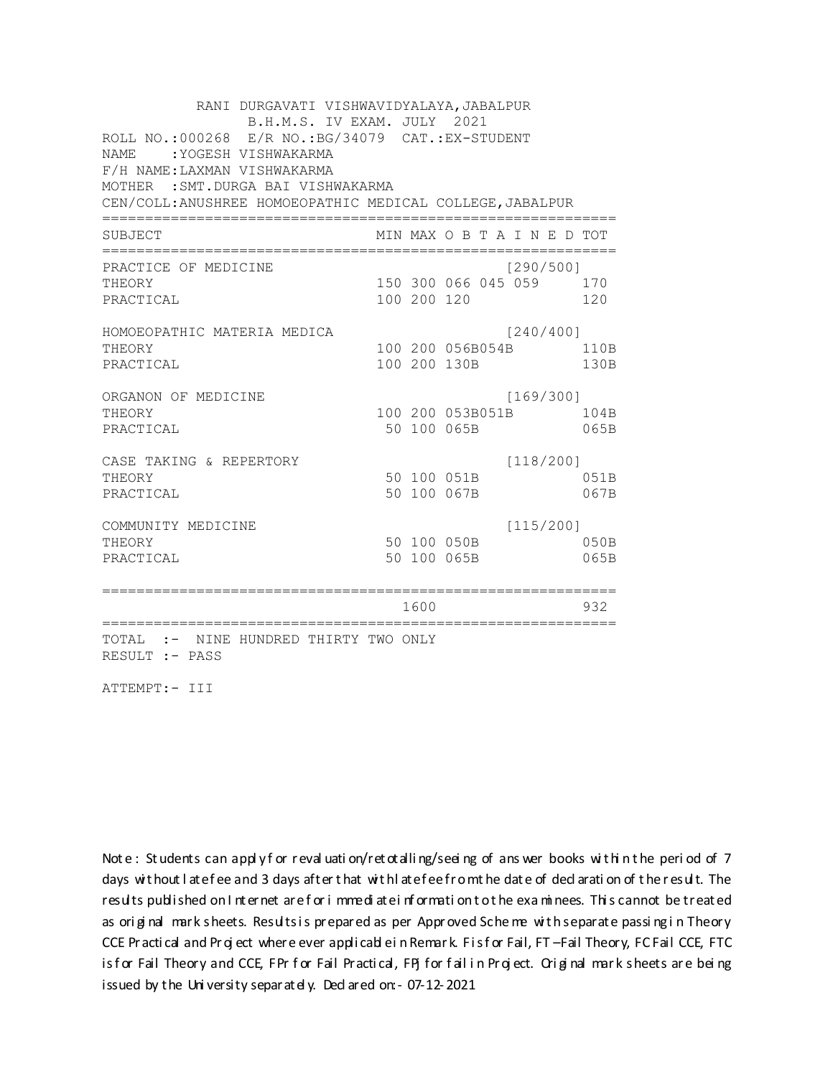| RANI DURGAVATI VISHWAVIDYALAYA, JABALPUR<br>B.H.M.S. IV EXAM. JULY 2021                                                   |                  |             |                                  |           |  |              |  |  |
|---------------------------------------------------------------------------------------------------------------------------|------------------|-------------|----------------------------------|-----------|--|--------------|--|--|
| ROLL NO.: 000268 E/R NO.: BG/34079 CAT.: EX-STUDENT<br><b>NAME</b><br>:YOGESH VISHWAKARMA<br>F/H NAME: LAXMAN VISHWAKARMA |                  |             |                                  |           |  |              |  |  |
| MOTHER : SMT. DURGA BAI VISHWAKARMA<br>CEN/COLL: ANUSHREE HOMOEOPATHIC MEDICAL COLLEGE, JABALPUR                          |                  |             |                                  |           |  |              |  |  |
| <b>SUBJECT</b>                                                                                                            |                  |             | MIN MAX O B T A I N E D TOT      |           |  |              |  |  |
| PRACTICE OF MEDICINE<br>THEORY                                                                                            |                  |             | 150 300 066 045 059              | [290/500] |  | 170          |  |  |
| PRACTICAL                                                                                                                 |                  | 100 200 120 |                                  |           |  | 120          |  |  |
| HOMOEOPATHIC MATERIA MEDICA<br>THEORY<br>PRACTICAL                                                                        |                  |             | 100 200 056B054B<br>100 200 130B | [240/400] |  | 110B<br>130B |  |  |
| ORGANON OF MEDICINE<br>THEORY<br>PRACTICAL                                                                                |                  |             | 100 200 053B051B<br>50 100 065B  | [169/300] |  | 104B<br>065B |  |  |
| CASE TAKING & REPERTORY<br>THEORY<br>PRACTICAL                                                                            |                  |             | 50 100 051B<br>50 100 067B       | [118/200] |  | 051B<br>067B |  |  |
| COMMUNITY MEDICINE<br>THEORY<br>PRACTICAL                                                                                 |                  |             | 50 100 050B<br>50 100 065B       | [115/200] |  | 050B<br>065B |  |  |
|                                                                                                                           | ---------------- | 1600        |                                  |           |  | 932          |  |  |
| TOTAL<br>:- NINE HUNDRED THIRTY TWO ONLY<br>RESULT :- PASS                                                                |                  |             |                                  |           |  |              |  |  |

ATTEMPT:- III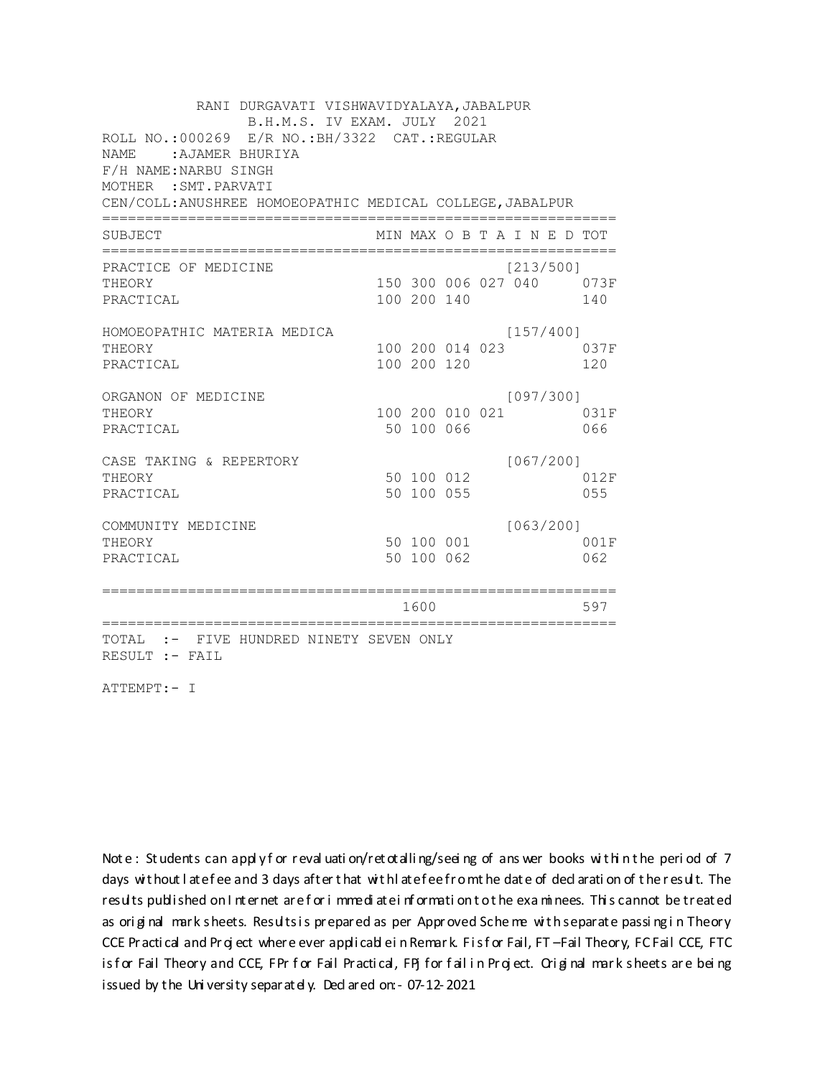RANI DURGAVATI VISHWAVIDYALAYA, JABALPUR B.H.M.S. IV EXAM. JULY 2021 ROLL NO.:000269 E/R NO.: BH/3322 CAT.: REGULAR NAME: AJAMER BHURIYA F/H NAME: NARBU SINGH MOTHER : SMT. PARVATI CEN/COLL: ANUSHREE HOMOEOPATHIC MEDICAL COLLEGE, JABALPUR MIN MAX O B T A I N E D TOT SUBJECT  $[213/500]$ PRACTICE OF MEDICINE THEORY 150 300 006 027 040 073F PRACTICAL 100 200 140 140 HOMOEOPATHIC MATERIA MEDICA  $[157/400]$ 100 200 014 023 037F THEORY PRACTICAL 100 200 120 120 ORGANON OF MEDICINE  $[097/300]$ THEORY 100 200 010 021 031F PRACTICAL 50 100 066 066 CASE TAKING & REPERTORY  $[067/200]$ 50 100 012 THEORY 012F 50 100 055 PRACTICAL 055  $[063/200]$ COMMUNITY MEDICINE 50 100 001 001F THEORY PRACTICAL 50 100 062 062 1600 1600 597 TOTAL :- FIVE HUNDRED NINETY SEVEN ONLY RESULT :- FAIL

ATTEMPT:- I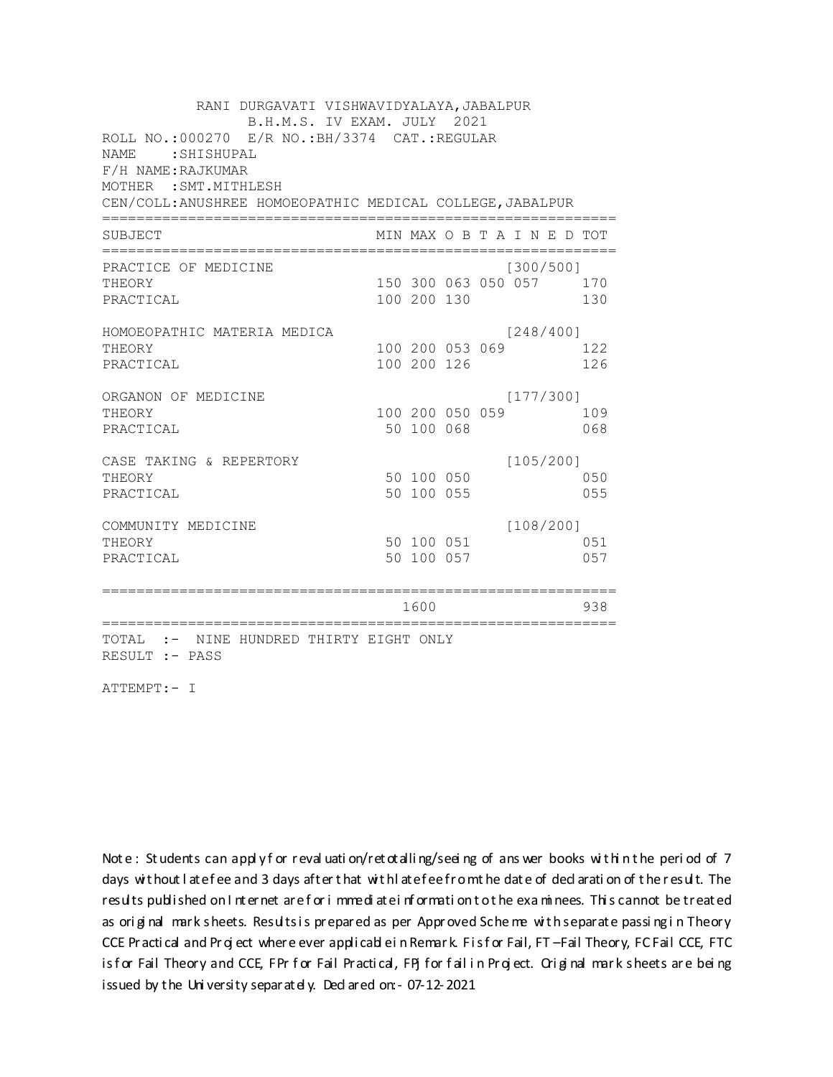RANI DURGAVATI VISHWAVIDYALAYA, JABALPUR B.H.M.S. IV EXAM. JULY 2021 ROLL NO.:000270 E/R NO.: BH/3374 CAT.: REGULAR NAME: SHISHUPAL F/H NAME: RAJKUMAR MOTHER : SMT. MITHLESH CEN/COLL: ANUSHREE HOMOEOPATHIC MEDICAL COLLEGE, JABALPUR MIN MAX O B T A I N E D TOT SUBJECT PRACTICE OF MEDICINE  $[300/500]$ THEORY 150 300 063 050 057 170 PRACTICAL 100 200 130 130 HOMOEOPATHIC MATERIA MEDICA  $[248/400]$ 100 200 053 069 122 THEORY PRACTICAL 100 200 126 126 ORGANON OF MEDICINE  $[177/300]$ THEORY 100 200 050 059 109 PRACTICAL 50 100 068 068 CASE TAKING & REPERTORY  $[105/200]$ 50 100 050 THEORY 050 50 100 055 PRACTICAL 055  $[108/200]$ COMMUNITY MEDICINE 50 100 051 051 THEORY 50 100 057 PRACTICAL 057 1600 1600 938 TOTAL :- NINE HUNDRED THIRTY EIGHT ONLY RESULT :- PASS

ATTEMPT:- I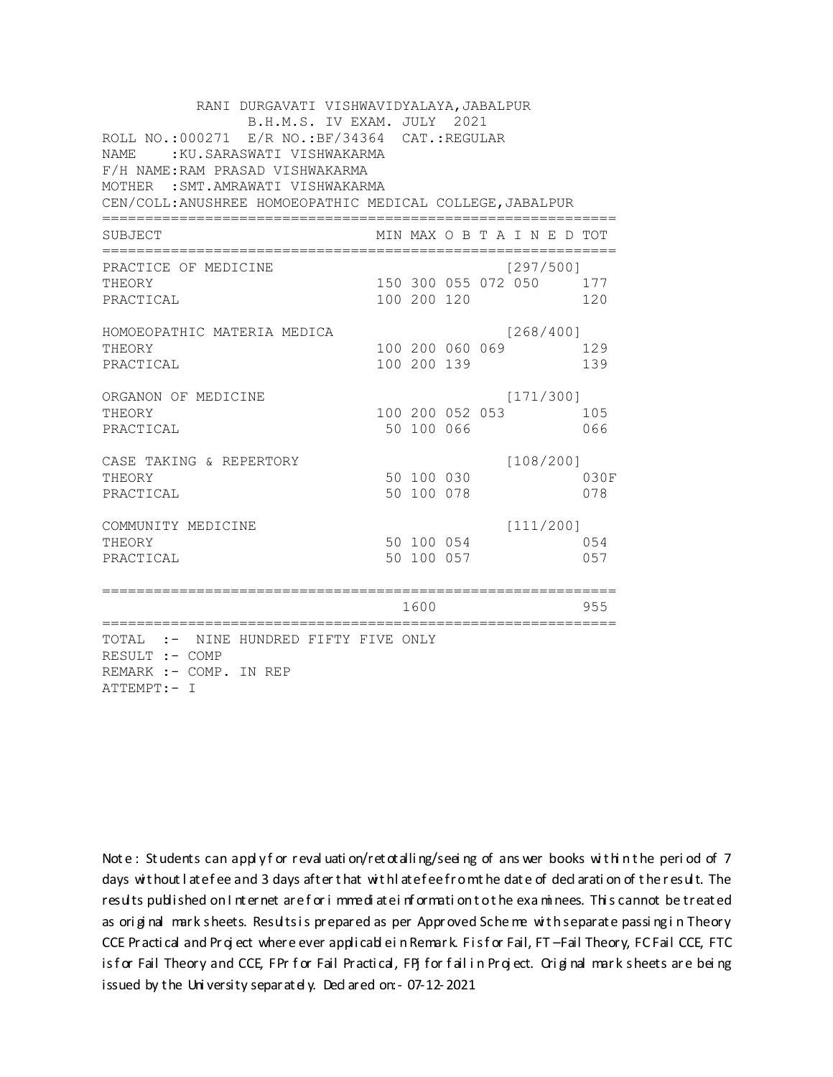| RANI DURGAVATI VISHWAVIDYALAYA, JABALPUR<br>B.H.M.S. IV EXAM. JULY 2021<br>ROLL NO.: 000271 E/R NO.: BF/34364 CAT.: REGULAR<br>:KU.SARASWATI VISHWAKARMA<br>NAME<br>F/H NAME: RAM PRASAD VISHWAKARMA<br>MOTHER : SMT. AMRAWATI VISHWAKARMA<br>CEN/COLL: ANUSHREE HOMOEOPATHIC MEDICAL COLLEGE, JABALPUR |                |                          |                 |  |                                  |  |             |  |  |
|---------------------------------------------------------------------------------------------------------------------------------------------------------------------------------------------------------------------------------------------------------------------------------------------------------|----------------|--------------------------|-----------------|--|----------------------------------|--|-------------|--|--|
| SUBJECT                                                                                                                                                                                                                                                                                                 |                |                          |                 |  | MIN MAX O B T A I N E D TOT      |  |             |  |  |
| PRACTICE OF MEDICINE<br>THEORY<br>PRACTICAL                                                                                                                                                                                                                                                             |                | 100 200 120              |                 |  | [297/500]<br>150 300 055 072 050 |  | 177<br>120  |  |  |
| HOMOEOPATHIC MATERIA MEDICA<br>THEORY<br>PRACTICAL                                                                                                                                                                                                                                                      |                | 100 200 139              | 100 200 060 069 |  | [268/400]                        |  | 129<br>139  |  |  |
| ORGANON OF MEDICINE<br>THEORY<br>PRACTICAL                                                                                                                                                                                                                                                              |                | 50 100 066               | 100 200 052 053 |  | [171/300]                        |  | 105<br>066  |  |  |
| CASE TAKING & REPERTORY<br>THEORY<br>PRACTICAL                                                                                                                                                                                                                                                          |                | 50 100 030<br>50 100 078 |                 |  | [108/200]                        |  | 030F<br>078 |  |  |
| COMMUNITY MEDICINE<br>THEORY<br>PRACTICAL                                                                                                                                                                                                                                                               |                | 50 100 057               | 50 100 054      |  | [111/200]                        |  | 0.54<br>057 |  |  |
| ==============<br>======================                                                                                                                                                                                                                                                                | :============= | 1600                     |                 |  |                                  |  | 955         |  |  |
| TOTAL :- NINE HUNDRED FIFTY FIVE ONLY<br>RESULT :- COMP<br>REMARK :- COMP. IN REP<br>ATTEMPT:- I                                                                                                                                                                                                        |                |                          |                 |  |                                  |  |             |  |  |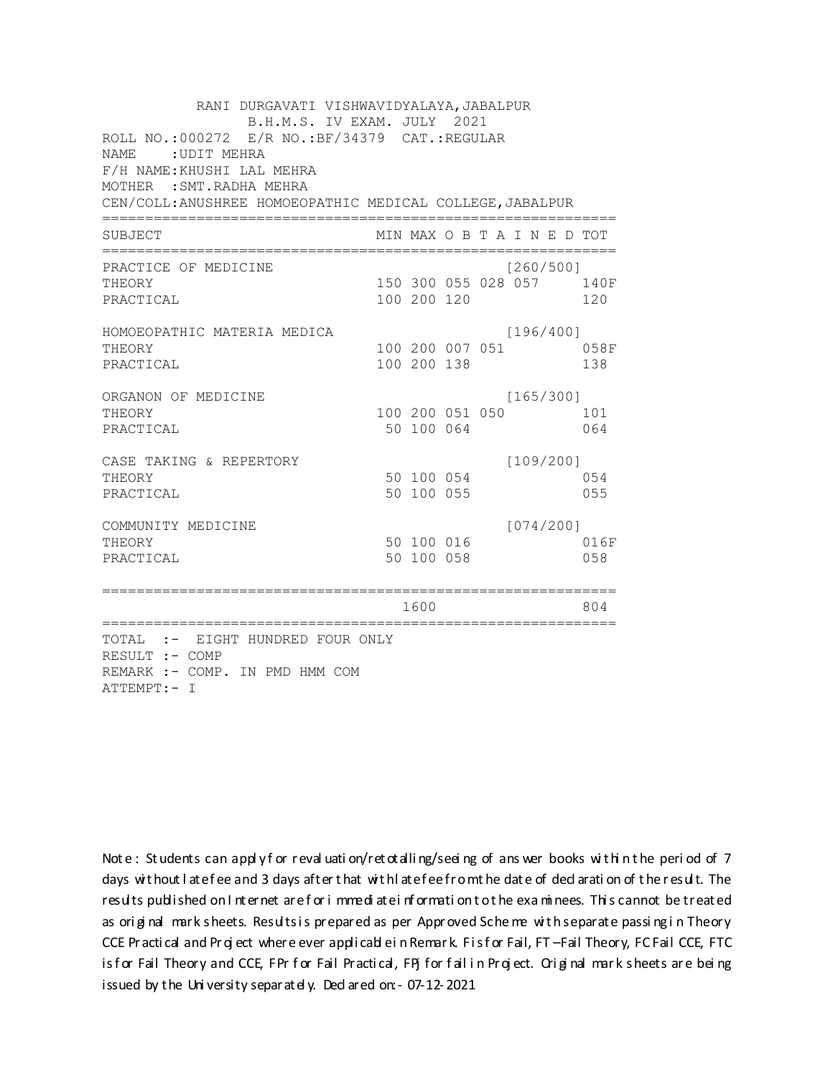RANI DURGAVATI VISHWAVIDYALAYA, JABALPUR B.H.M.S. IV EXAM. JULY 2021 ROLL NO.:000272 E/R NO.: BF/34379 CAT.: REGULAR NAME: UDIT MEHRA F/H NAME: KHUSHI LAL MEHRA MOTHER : SMT. RADHA MEHRA CEN/COLL: ANUSHREE HOMOEOPATHIC MEDICAL COLLEGE, JABALPUR MIN MAX O B T A I N E D TOT SUBJECT  $[260/5001]$ PRACTICE OF MEDICINE THEORY 150 300 055 028 057 140F PRACTICAL 100 200 120 120 HOMOEOPATHIC MATERIA MEDICA  $[196/400]$ 100 200 007 051 058F THEORY PRACTICAL 100 200 138 138 ORGANON OF MEDICINE  $[165/300]$ THEORY 100 200 051 050 101 PRACTICAL 50 100 064 064 CASE TAKING & REPERTORY  $[109/200]$ 50 100 054 THEORY 054 50 100 055 PRACTICAL 055  $[074/200]$ COMMUNITY MEDICINE 50 100 016 016F THEORY PRACTICAL 50 100 058 058 1600 1600 804 TOTAL :- EIGHT HUNDRED FOUR ONLY RESULT :- COMP REMARK :- COMP. IN PMD HMM COM ATTEMPT:- I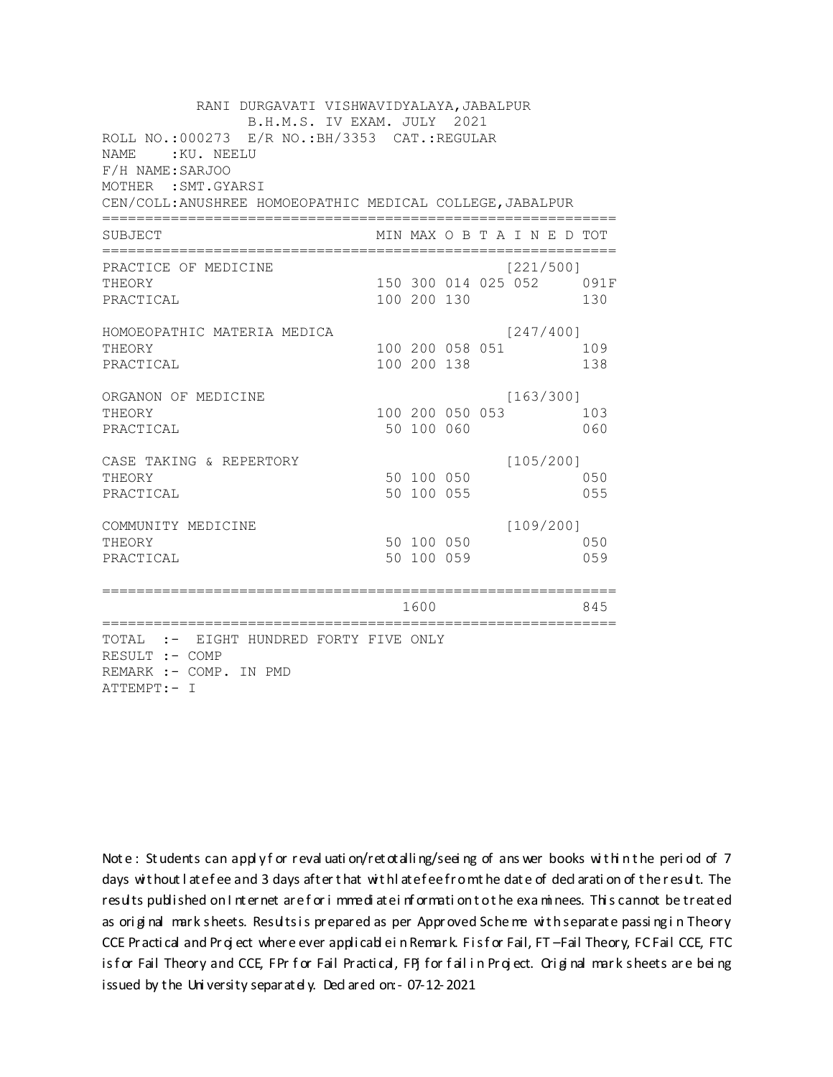RANI DURGAVATI VISHWAVIDYALAYA, JABALPUR B.H.M.S. IV EXAM. JULY 2021 ROLL NO.:000273 E/R NO.: BH/3353 CAT.: REGULAR NAME: KU, NEELU F/H NAME: SARJOO MOTHER : SMT. GYARSI CEN/COLL: ANUSHREE HOMOEOPATHIC MEDICAL COLLEGE, JABALPUR MIN MAX O B T A I N E D TOT SUBJECT  $[221/5001]$ PRACTICE OF MEDICINE 150 300 014 025 052 091F **THEORY** PRACTICAL 100 200 130 130 HOMOEOPATHIC MATERIA MEDICA  $[247/400]$ 100 200 058 051 109 THEORY PRACTICAL 100 200 138 138 ORGANON OF MEDICINE  $[163/300]$ THEORY 100 200 050 053 103 PRACTICAL 50 100 060 060 CASE TAKING & REPERTORY  $[105/200]$ 50 100 050 THEORY 050 PRACTICAL 50 100 055 055  $[109/200]$ COMMUNITY MEDICINE 50 100 050 050 THEORY PRACTICAL 50 100 059 059 1600 1600 845 TOTAL :- EIGHT HUNDRED FORTY FIVE ONLY RESULT :- COMP REMARK :- COMP. IN PMD ATTEMPT:- I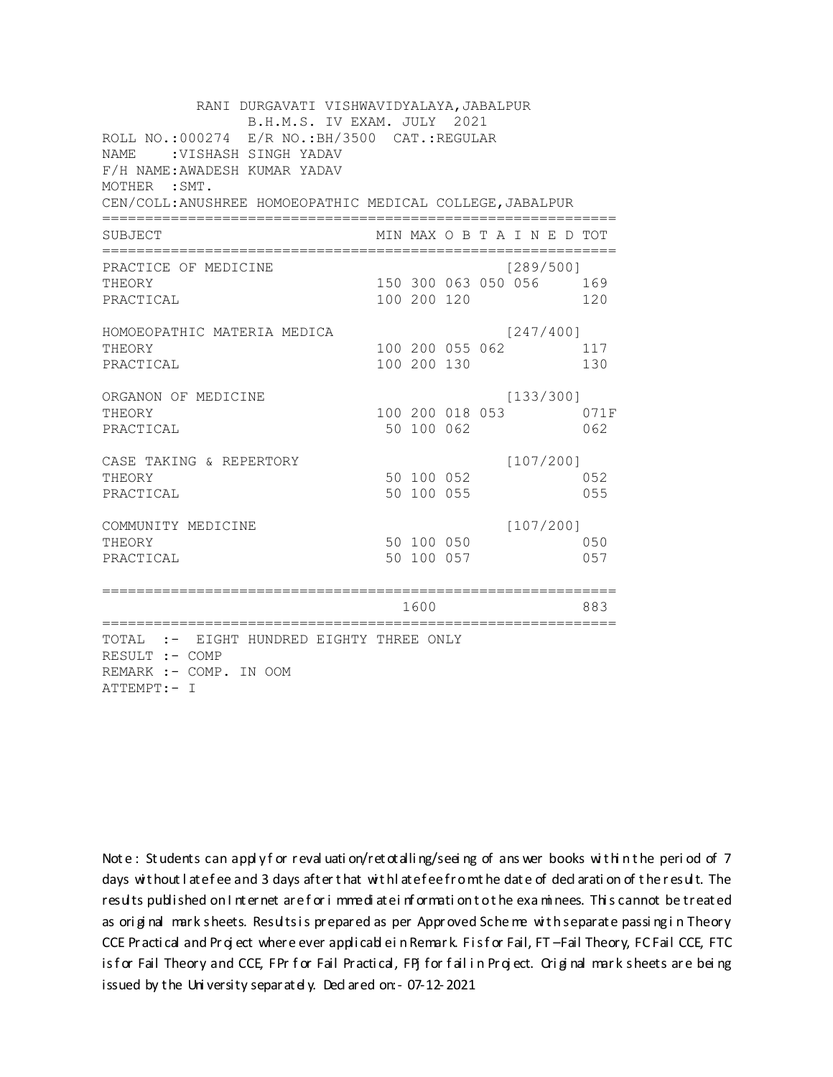RANI DURGAVATI VISHWAVIDYALAYA, JABALPUR B.H.M.S. IV EXAM. JULY 2021 ROLL NO.:000274 E/R NO.: BH/3500 CAT.: REGULAR NAME : VISHASH SINGH YADAV F/H NAME: AWADESH KUMAR YADAV MOTHER : SMT. CEN/COLL: ANUSHREE HOMOEOPATHIC MEDICAL COLLEGE, JABALPUR MIN MAX O B T A I N E D TOT SUBJECT  $[289/5001]$ PRACTICE OF MEDICINE 150 300 063 050 056 169 THEORY PRACTICAL 100 200 120 120 HOMOEOPATHIC MATERIA MEDICA  $[247/400]$ 100 200 055 062 117 THEORY PRACTICAL 100 200 130 130 ORGANON OF MEDICINE  $[133/300]$ THEORY 100 200 018 053 071F PRACTICAL 50 100 062 062 CASE TAKING & REPERTORY  $[107/200]$ 50 100 052 THEORY 052 50 100 055 PRACTICAL 055  $[107/200]$ COMMUNITY MEDICINE 50 100 050 050 THEORY PRACTICAL 50 100 057 057 1600 1600 883 TOTAL :- EIGHT HUNDRED EIGHTY THREE ONLY RESULT :- COMP REMARK :- COMP. IN OOM ATTEMPT:- I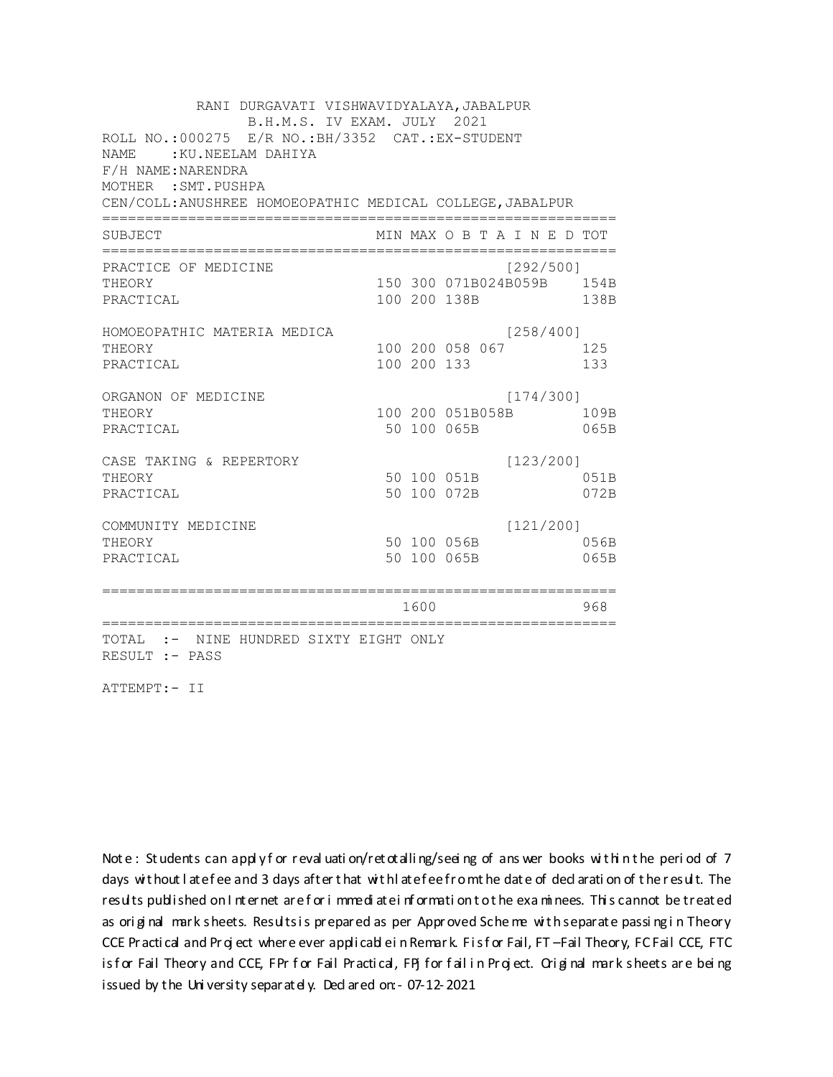RANI DURGAVATI VISHWAVIDYALAYA, JABALPUR B.H.M.S. IV EXAM. JULY 2021 ROLL NO.:000275 E/R NO.: BH/3352 CAT.: EX-STUDENT NAME: : KU.NEELAM DAHIYA F/H NAME: NARENDRA MOTHER : SMT. PUSHPA CEN/COLL: ANUSHREE HOMOEOPATHIC MEDICAL COLLEGE, JABALPUR MIN MAX O B T A I N E D TOT SUBJECT PRACTICE OF MEDICINE  $[292/500]$ 150 300 071B024B059B 154B THEORY PRACTICAL 100 200 138B 138B HOMOEOPATHIC MATERIA MEDICA  $[258/400]$ 100 200 058 067 125 THEORY PRACTICAL 100 200 133 133 ORGANON OF MEDICINE  $[174/300]$ THEORY 100 200 051B058B 109B PRACTICAL 50 100 065B 065B  $[123/200]$ CASE TAKING & REPERTORY 50 100 051B THEORY 051B PRACTICAL 50 100 072B 072B  $[121/200]$ COMMUNITY MEDICINE 50 100 056B 056B THEORY PRACTICAL 50 100 065B 065B 1600 1600 968 TOTAL :- NINE HUNDRED SIXTY EIGHT ONLY RESULT :- PASS

ATTEMPT:- II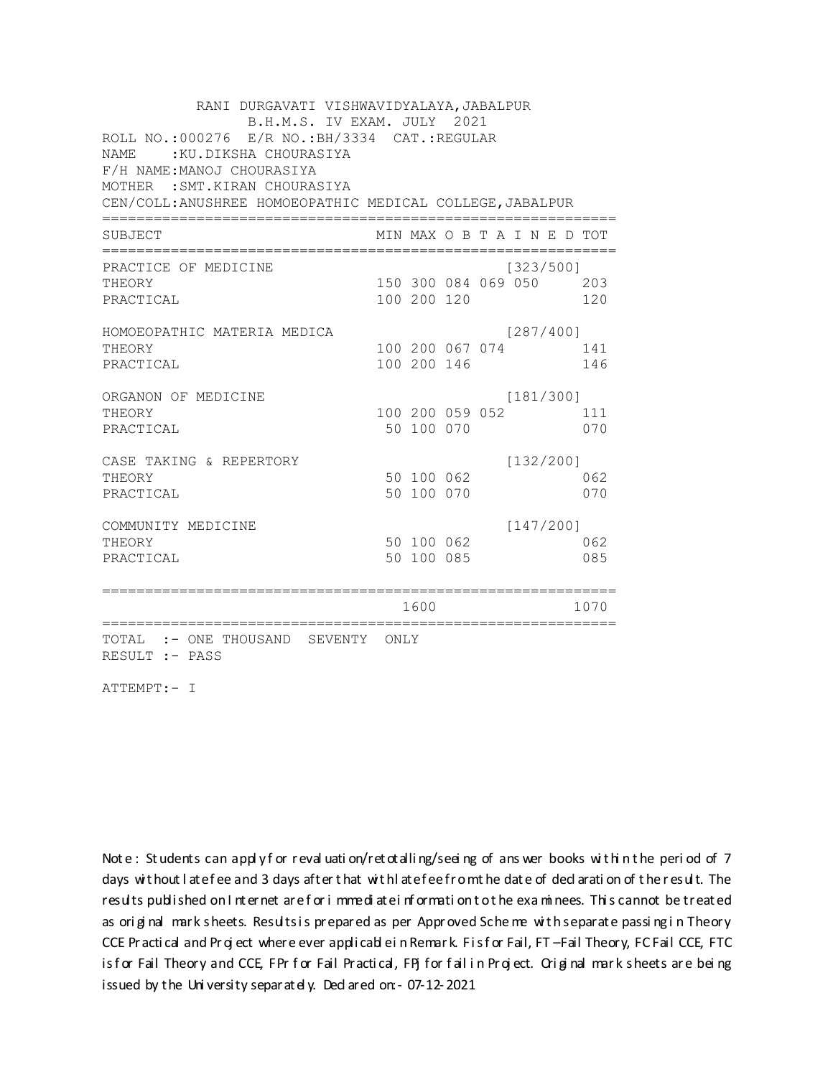| RANI DURGAVATI VISHWAVIDYALAYA, JABALPUR<br>B.H.M.S. IV EXAM. JULY 2021 |             |             |                             |  |  |  |           |      |  |  |
|-------------------------------------------------------------------------|-------------|-------------|-----------------------------|--|--|--|-----------|------|--|--|
| ROLL NO.:000276 E/R NO.: BH/3334 CAT.: REGULAR                          |             |             |                             |  |  |  |           |      |  |  |
| :KU.DIKSHA CHOURASIYA<br>NAME                                           |             |             |                             |  |  |  |           |      |  |  |
| F/H NAME: MANOJ CHOURASIYA                                              |             |             |                             |  |  |  |           |      |  |  |
| MOTHER : SMT. KIRAN CHOURASIYA                                          |             |             |                             |  |  |  |           |      |  |  |
| CEN/COLL: ANUSHREE HOMOEOPATHIC MEDICAL COLLEGE, JABALPUR               |             |             |                             |  |  |  |           |      |  |  |
| <b>SUBJECT</b>                                                          |             |             | MIN MAX O B T A I N E D TOT |  |  |  |           |      |  |  |
| PRACTICE OF MEDICINE                                                    |             |             |                             |  |  |  | [323/500] |      |  |  |
| THEORY                                                                  |             |             | 150 300 084 069 050 203     |  |  |  |           |      |  |  |
| PRACTICAL                                                               |             | 100 200 120 |                             |  |  |  |           | 120  |  |  |
| HOMOEOPATHIC MATERIA MEDICA                                             |             |             |                             |  |  |  | [287/400] |      |  |  |
| THEORY                                                                  |             |             | 100 200 067 074             |  |  |  |           | 141  |  |  |
| PRACTICAL                                                               |             | 100 200 146 |                             |  |  |  |           | 146  |  |  |
| ORGANON OF MEDICINE                                                     |             |             |                             |  |  |  | [181/300] |      |  |  |
| THEORY                                                                  |             |             | 100 200 059 052             |  |  |  |           | 111  |  |  |
| PRACTICAL                                                               |             | 50 100 070  |                             |  |  |  |           | 070  |  |  |
| CASE TAKING & REPERTORY                                                 |             |             |                             |  |  |  | [132/200] |      |  |  |
| THEORY                                                                  |             | 50 100 062  |                             |  |  |  |           | 062  |  |  |
| PRACTICAL                                                               |             | 50 100 070  |                             |  |  |  |           | 070  |  |  |
| COMMUNITY MEDICINE                                                      |             |             |                             |  |  |  | [147/200] |      |  |  |
| THEORY                                                                  |             | 50 100 062  |                             |  |  |  |           | 062  |  |  |
| PRACTICAL                                                               |             | 50 100 085  |                             |  |  |  |           | 085  |  |  |
|                                                                         |             | 1600        |                             |  |  |  |           | 1070 |  |  |
| ============================                                            | =========== |             |                             |  |  |  |           |      |  |  |
| TOTAL :- ONE THOUSAND SEVENTY ONLY<br>RESULT :- PASS                    |             |             |                             |  |  |  |           |      |  |  |

ATTEMPT:- I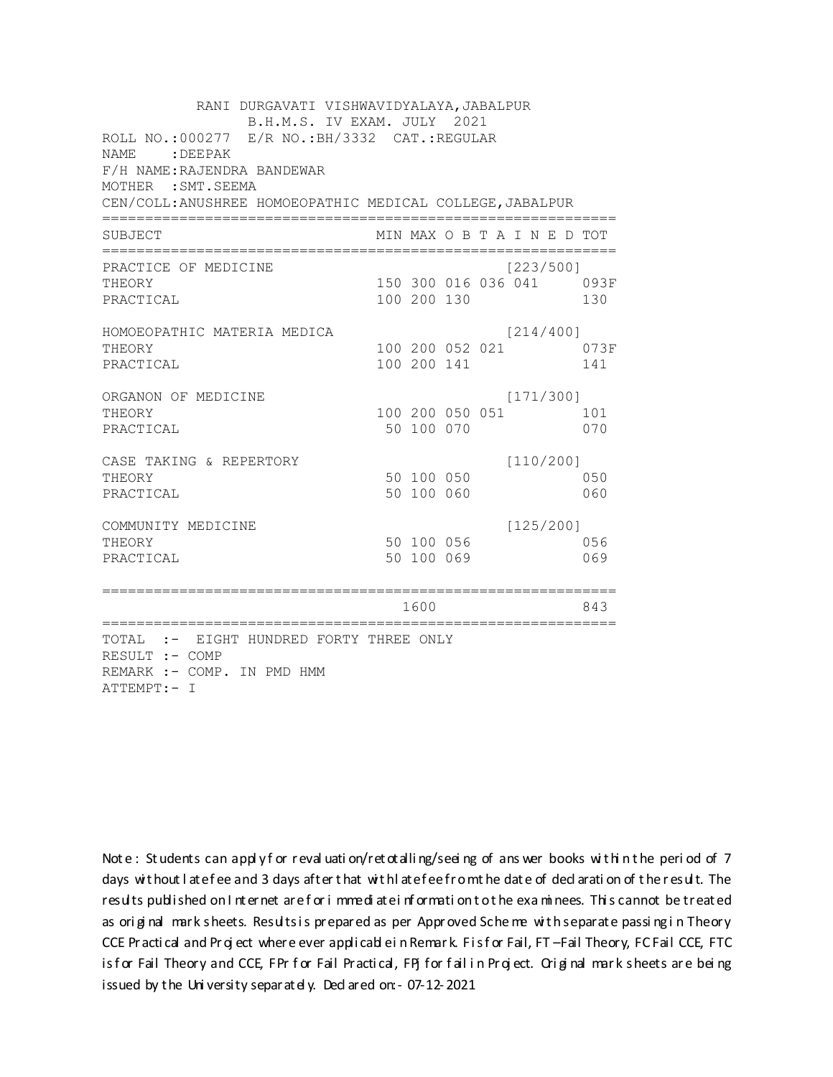RANI DURGAVATI VISHWAVIDYALAYA, JABALPUR B.H.M.S. IV EXAM. JULY 2021 ROLL NO.:000277 E/R NO.: BH/3332 CAT.: REGULAR NAME: DEEPAK F/H NAME: RAJENDRA BANDEWAR MOTHER : SMT. SEEMA CEN/COLL: ANUSHREE HOMOEOPATHIC MEDICAL COLLEGE, JABALPUR MIN MAX O B T A I N E D TOT SUBJECT PRACTICE OF MEDICINE  $[223/500]$ THEORY 150 300 016 036 041 093F PRACTICAL 100 200 130 130 HOMOEOPATHIC MATERIA MEDICA  $[214/400]$ 100 200 052 021 073F THEORY PRACTICAL 100 200 141 141 ORGANON OF MEDICINE  $[171/300]$ THEORY 100 200 050 051 101 PRACTICAL 50 100 070 070 CASE TAKING & REPERTORY  $[110/200]$ 50 100 050 THEORY 050 50 100 060 PRACTICAL 060  $[125/200]$ COMMUNITY MEDICINE 50 100 056 056 THEORY PRACTICAL 50 100 069 069 1600 1600 843 TOTAL :- EIGHT HUNDRED FORTY THREE ONLY RESULT :- COMP REMARK :- COMP. IN PMD HMM ATTEMPT:- I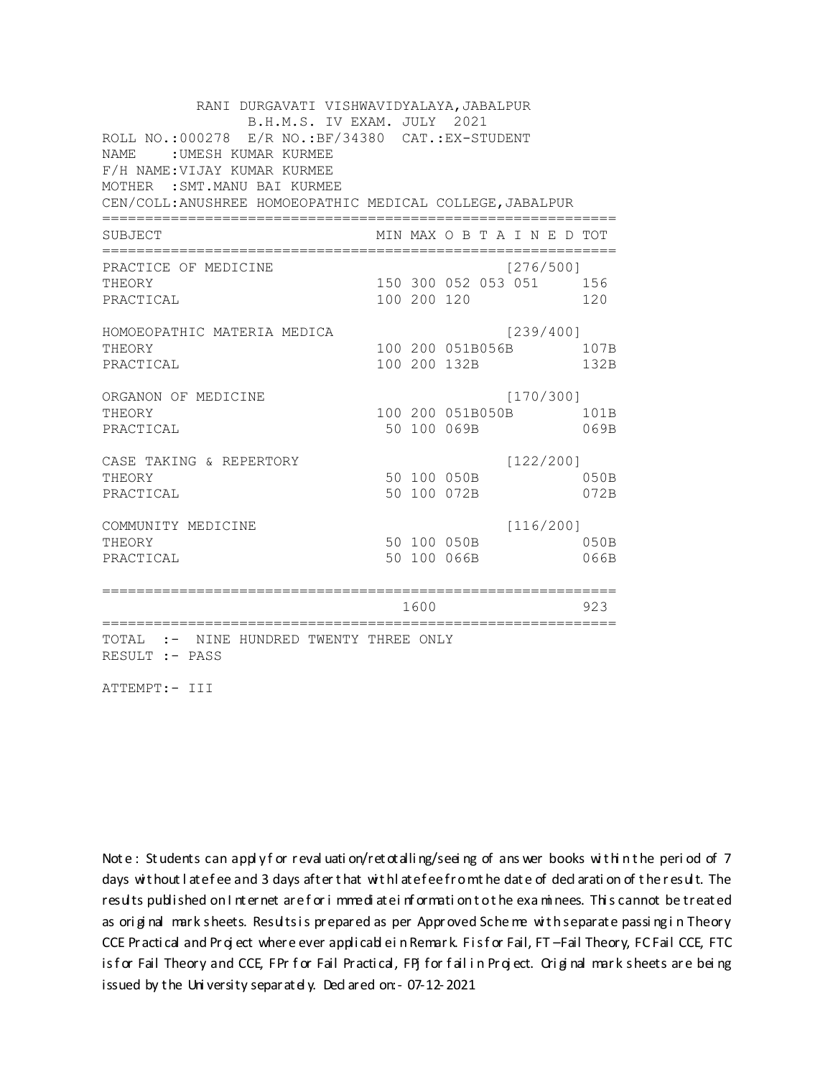RANI DURGAVATI VISHWAVIDYALAYA, JABALPUR B.H.M.S. IV EXAM. JULY 2021 ROLL NO.:000278 E/R NO.:BF/34380 CAT.:EX-STUDENT NAME : UMESH KUMAR KURMEE F/H NAME:VIJAY KUMAR KURMEE MOTHER :SMT.MANU BAI KURMEE CEN/COLL:ANUSHREE HOMOEOPATHIC MEDICAL COLLEGE,JABALPUR ============================================================ SUBJECT MIN MAX O B T A I N E D TOT ============================================================ PRACTICE OF MEDICINE [276/500] THEORY 150 300 052 053 051 156 PRACTICAL 100 200 120 120 HOMOEOPATHIC MATERIA MEDICA [239/400] THEORY 100 200 051B056B 107B PRACTICAL 100 200 132B 132B ORGANON OF MEDICINE [170/300] THEORY 100 200 051B050B 101B PRACTICAL 50 100 069B 069B CASE TAKING & REPERTORY [122/200] THEORY 50 100 050B 050B PRACTICAL 50 100 072B 072B COMMUNITY MEDICINE [116/200] THEORY 50 100 050B 050B PRACTICAL 50 100 066B 066B ============================================================ 1600 923 ============================================================ TOTAL :- NINE HUNDRED TWENTY THREE ONLY RESULT :- PASS

ATTEMPT:- III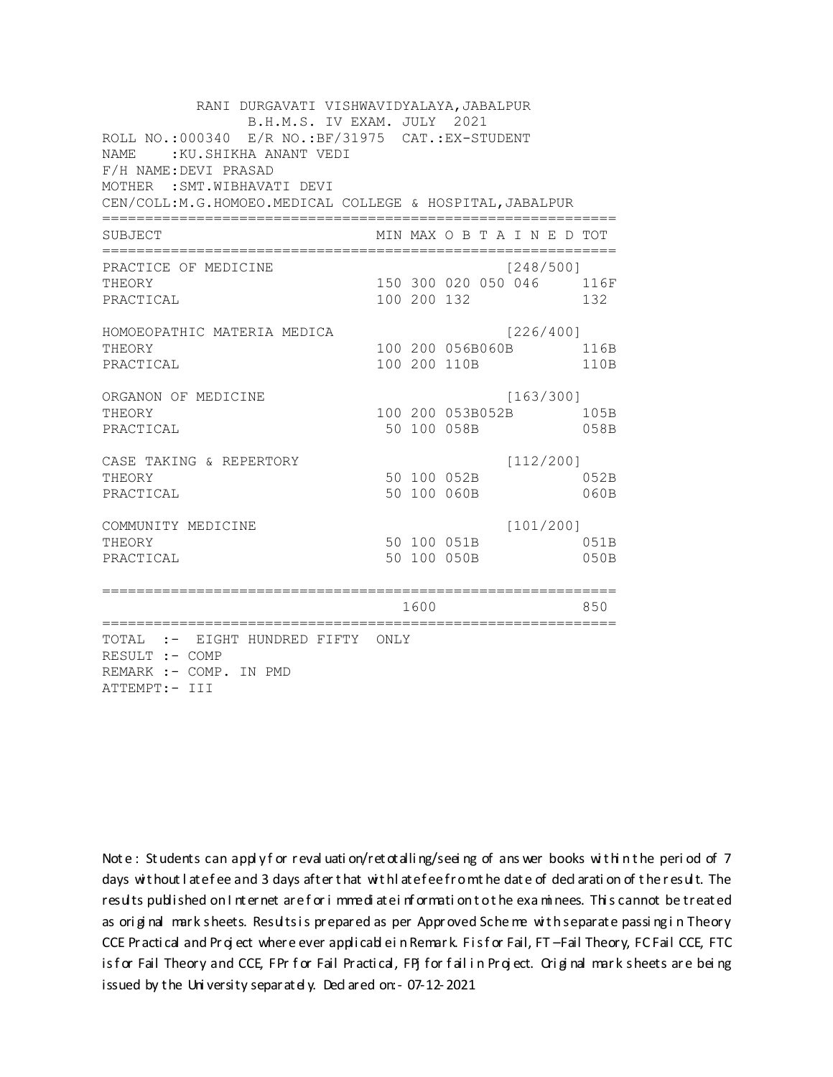RANI DURGAVATI VISHWAVIDYALAYA, JABALPUR B.H.M.S. IV EXAM. JULY 2021 ROLL NO.: 000340 E/R NO.: BF/31975 CAT.: EX-STUDENT NAME: : KU. SHIKHA ANANT VEDI F/H NAME: DEVI PRASAD MOTHER : SMT. WIBHAVATI DEVI CEN/COLL:M.G.HOMOEO.MEDICAL COLLEGE & HOSPITAL, JABALPUR MIN MAX O B T A I N E D TOT SUBJECT  $[248/5001]$ PRACTICE OF MEDICINE 150 300 020 050 046 116F **THEORY** PRACTICAL 100 200 132 132 HOMOEOPATHIC MATERIA MEDICA [226/400] 100 200 056B060B 116B THEORY PRACTICAL 100 200 110B 110B ORGANON OF MEDICINE  $[163/300]$ THEORY 100 200 053B052B 105B PRACTICAL 50 100 058B 058B  $[112/200]$ CASE TAKING & REPERTORY 50 100 052B THEORY 052B PRACTICAL 50 100 060B  $060B$  $[101/200]$ COMMUNITY MEDICINE 50 100 051B 051B THEORY PRACTICAL 50 100 050B 050B 1600 1600 850 TOTAL :- EIGHT HUNDRED FIFTY ONLY RESULT :- COMP REMARK :- COMP. IN PMD ATTEMPT:- III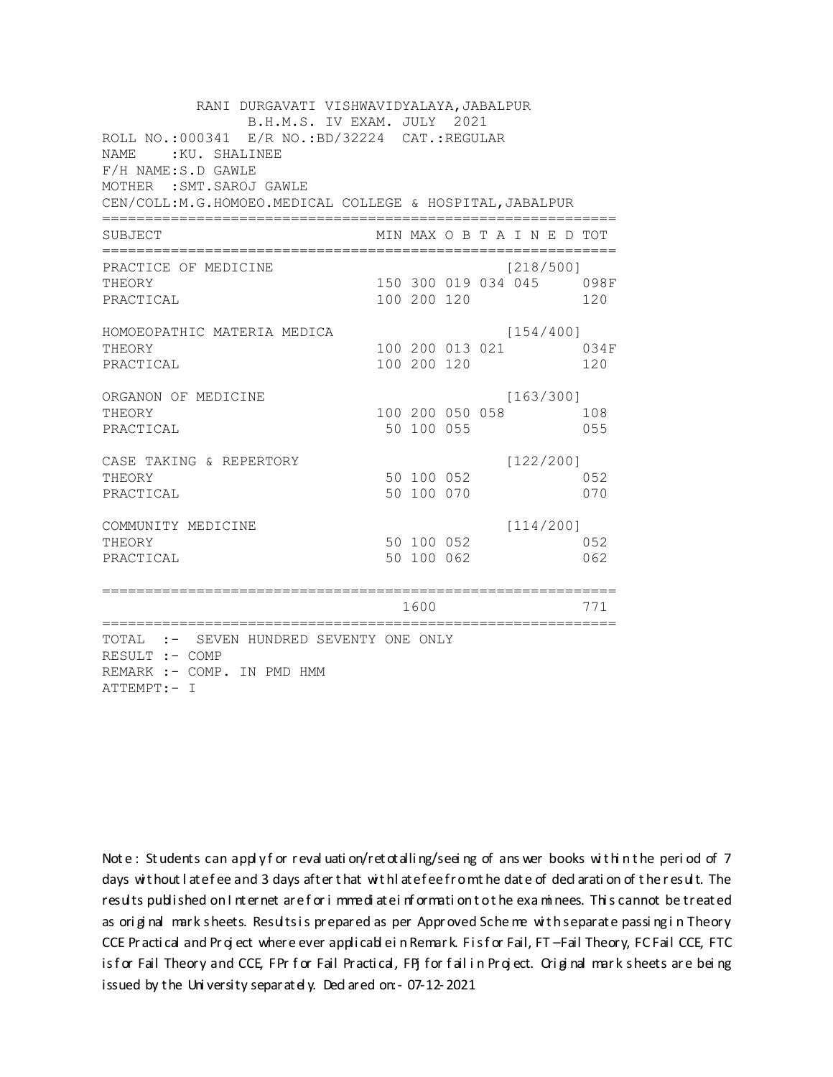| RANI DURGAVATI VISHWAVIDYALAYA, JABALPUR<br>B.H.M.S. IV EXAM. JULY 2021<br>ROLL NO.:000341 E/R NO.:BD/32224 CAT.:REGULAR |                               |  |                              |                                 |
|--------------------------------------------------------------------------------------------------------------------------|-------------------------------|--|------------------------------|---------------------------------|
| <b>NAME</b><br>:KU. SHALINEE<br>F/H NAME:S.D GAWLE                                                                       |                               |  |                              |                                 |
| MOTHER : SMT. SAROJ GAWLE<br>CEN/COLL:M.G.HOMOEO.MEDICAL COLLEGE & HOSPITAL, JABALPUR                                    |                               |  |                              |                                 |
| SUBJECT                                                                                                                  |                               |  | MIN MAX O B T A I N E D TOT  |                                 |
| PRACTICE OF MEDICINE<br>THEORY<br>PRACTICAL                                                                              | 100 200 120                   |  | [218/500]                    | 150 300 019 034 045 098F<br>120 |
| HOMOEOPATHIC MATERIA MEDICA<br>THEORY<br>PRACTICAL                                                                       | 100 200 120                   |  | [154/400]<br>100 200 013 021 | 034F<br>120                     |
| ORGANON OF MEDICINE<br>THEORY<br>PRACTICAL                                                                               | 100 200 050 058<br>50 100 055 |  | [163/300]                    | 108<br>055                      |
| CASE TAKING & REPERTORY<br>THEORY<br>PRACTICAL                                                                           | 50 100 052<br>50 100 070      |  | [122/200]                    | 052<br>070                      |
| COMMUNITY MEDICINE<br>THEORY<br>PRACTICAL                                                                                | 50 100 052<br>50 100 062      |  | [114/200]                    | 052<br>062                      |
| =============================                                                                                            | 1600                          |  |                              | 771                             |
| TOTAL :- SEVEN HUNDRED SEVENTY ONE ONLY<br>RESULT :- COMP<br>REMARK :- COMP. IN PMD HMM<br>ATTEMPT:- I                   |                               |  |                              |                                 |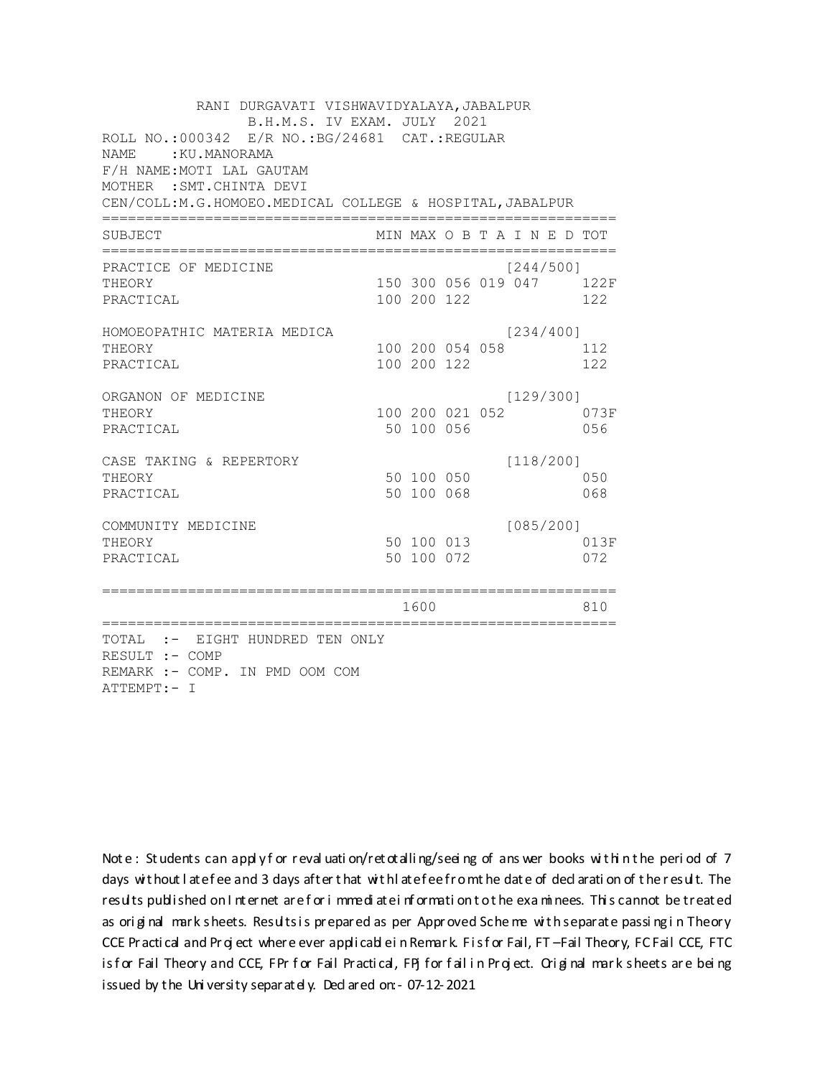| RANI DURGAVATI VISHWAVIDYALAYA, JABALPUR<br>B.H.M.S. IV EXAM. JULY 2021<br>ROLL NO.:000342 E/R NO.: BG/24681 CAT.: REGULAR<br>NAME.<br>:KU.MANORAMA<br>F/H NAME: MOTI LAL GAUTAM<br>MOTHER : SMT. CHINTA DEVI |                                |  |                             |                                 |
|---------------------------------------------------------------------------------------------------------------------------------------------------------------------------------------------------------------|--------------------------------|--|-----------------------------|---------------------------------|
| CEN/COLL: M.G.HOMOEO. MEDICAL COLLEGE & HOSPITAL, JABALPUR                                                                                                                                                    |                                |  |                             |                                 |
| SUBJECT                                                                                                                                                                                                       |                                |  | MIN MAX O B T A I N E D TOT |                                 |
| PRACTICE OF MEDICINE<br>THEORY<br>PRACTICAL                                                                                                                                                                   | 100 200 122                    |  | [244/500]                   | 150 300 056 019 047 122F<br>122 |
| HOMOEOPATHIC MATERIA MEDICA<br>THEORY<br>PRACTICAL                                                                                                                                                            | 100 200 054 058<br>100 200 122 |  | [234/400]                   | 112<br>122                      |
| ORGANON OF MEDICINE<br>THEORY<br>PRACTICAL                                                                                                                                                                    | 100 200 021 052<br>50 100 056  |  | [129/300]                   | 073F<br>056                     |
| CASE TAKING & REPERTORY<br>THEORY<br>PRACTICAL                                                                                                                                                                | 50 100 050<br>50 100 068       |  | [118/200]                   | 050<br>068                      |
| COMMUNITY MEDICINE<br>THEORY<br>PRACTICAL                                                                                                                                                                     | 50 100 013<br>50 100 072       |  | [085/200]                   | 013F<br>072                     |
| :===================                                                                                                                                                                                          | 1600                           |  |                             | 810                             |
| ===================<br>TOTAL :- EIGHT HUNDRED TEN ONLY<br>RESULT :- COMP<br>REMARK :- COMP. IN PMD OOM COM<br>ATTEMPT:- I                                                                                     |                                |  |                             |                                 |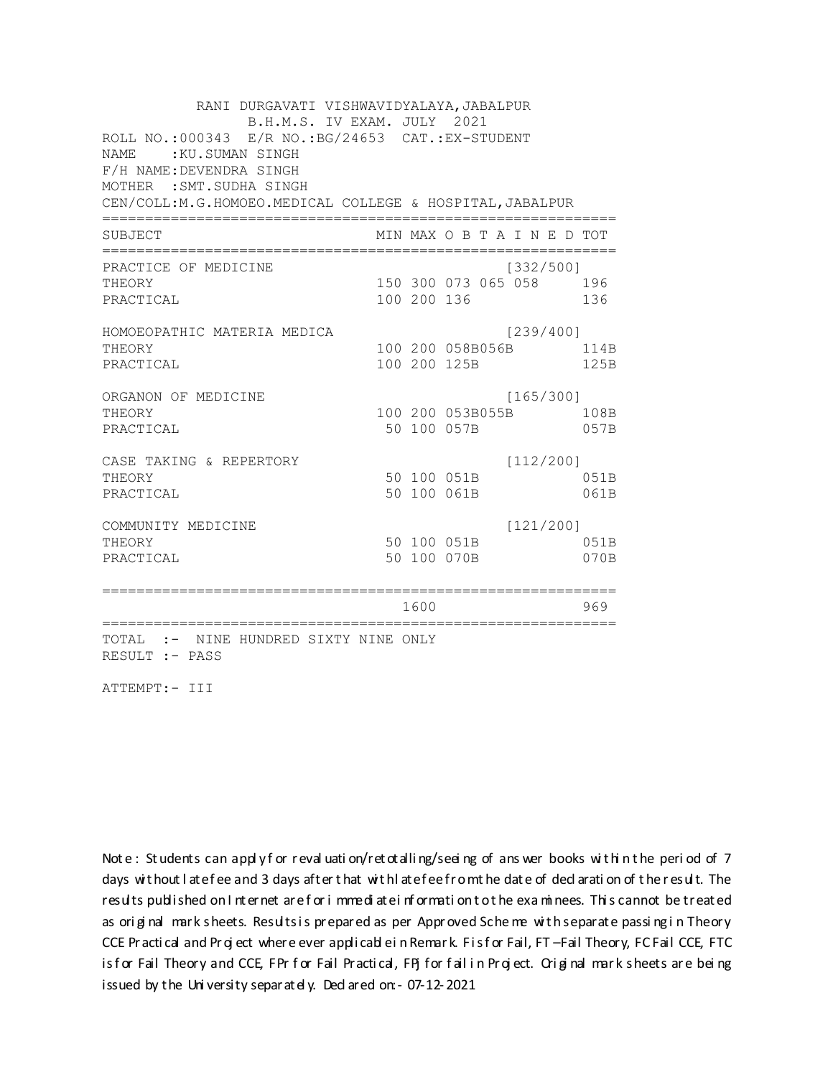RANI DURGAVATI VISHWAVIDYALAYA, JABALPUR B.H.M.S. IV EXAM. JULY 2021 ROLL NO.: 000343 E/R NO.: BG/24653 CAT.: EX-STUDENT NAME: : KU.SUMAN SINGH F/H NAME: DEVENDRA SINGH MOTHER : SMT. SUDHA SINGH CEN/COLL: M.G.HOMOEO. MEDICAL COLLEGE & HOSPITAL, JABALPUR MIN MAX O B T A I N E D TOT SUBJECT PRACTICE OF MEDICINE  $[332/500]$ 150 300 073 065 058 196 THEORY PRACTICAL 100 200 136 136 HOMOEOPATHIC MATERIA MEDICA [239/400] 100 200 058B056B 114B THEORY PRACTICAL 100 200 125B 125B ORGANON OF MEDICINE  $[165/300]$ THEORY 100 200 053B055B 108B PRACTICAL 50 100 057B 057B  $[112/200]$ CASE TAKING & REPERTORY 50 100 051B THEORY 051B PRACTICAL 50 100 061B 061B  $[121/200]$ COMMUNITY MEDICINE 50 100 051B 051B THEORY PRACTICAL 50 100 070B 070B 1600 1600 969 TOTAL :- NINE HUNDRED SIXTY NINE ONLY RESULT :- PASS

ATTEMPT:- III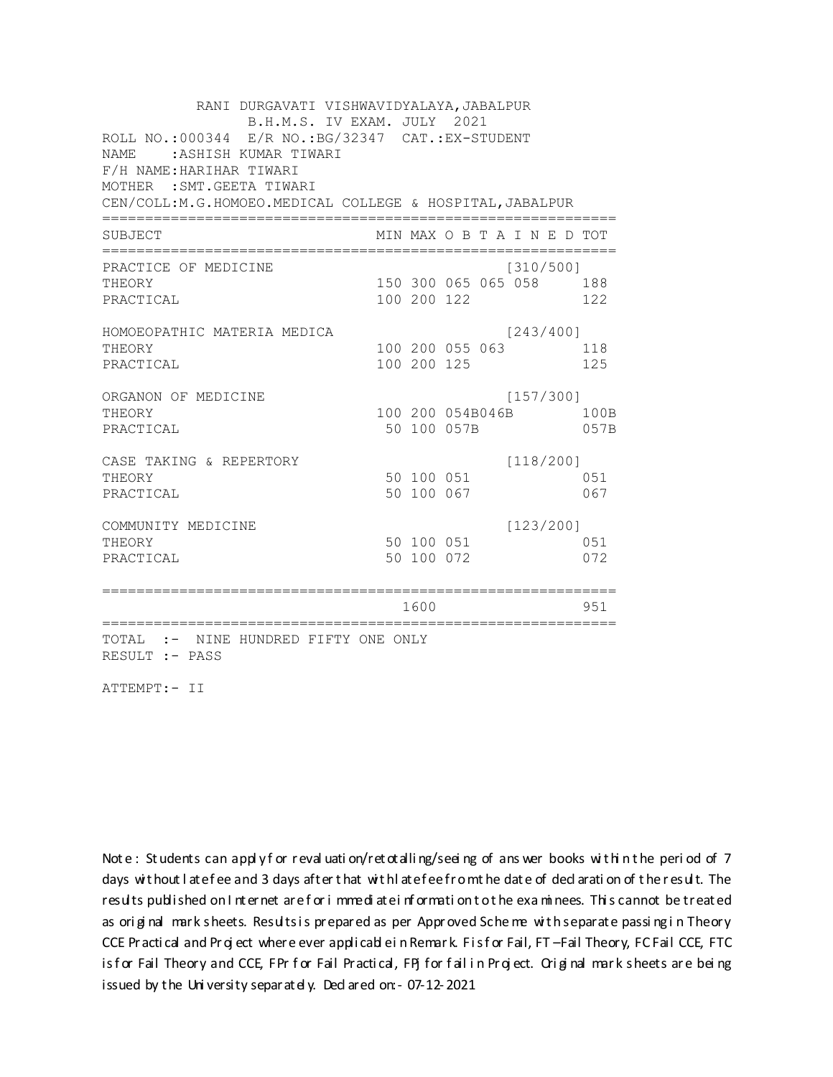RANI DURGAVATI VISHWAVIDYALAYA, JABALPUR B.H.M.S. IV EXAM. JULY 2021 ROLL NO.: 000344 E/R NO.: BG/32347 CAT.: EX-STUDENT NAME: : ASHISH KUMAR TIWARI F/H NAME: HARIHAR TIWARI MOTHER : SMT. GEETA TIWARI CEN/COLL:M.G.HOMOEO.MEDICAL COLLEGE & HOSPITAL, JABALPUR MIN MAX O B T A I N E D TOT SUBJECT PRACTICE OF MEDICINE  $[310/500]$ THEORY 150 300 065 065 058 188 PRACTICAL 100 200 122 122 HOMOEOPATHIC MATERIA MEDICA  $[243/400]$ 100 200 055 063 118 THEORY PRACTICAL 100 200 125 125 ORGANON OF MEDICINE  $[157/300]$ THEORY 100 200 054B046B 100B PRACTICAL 50 100 057B 057B  $[118/200]$ CASE TAKING & REPERTORY 50 100 051 THEORY 051 50 100 067 PRACTICAL 067  $[123/200]$ COMMUNITY MEDICINE 50 100 051 051 THEORY PRACTICAL 50 100 072 072 1600 1600 951 TOTAL :- NINE HUNDRED FIFTY ONE ONLY RESULT :- PASS

ATTEMPT:- II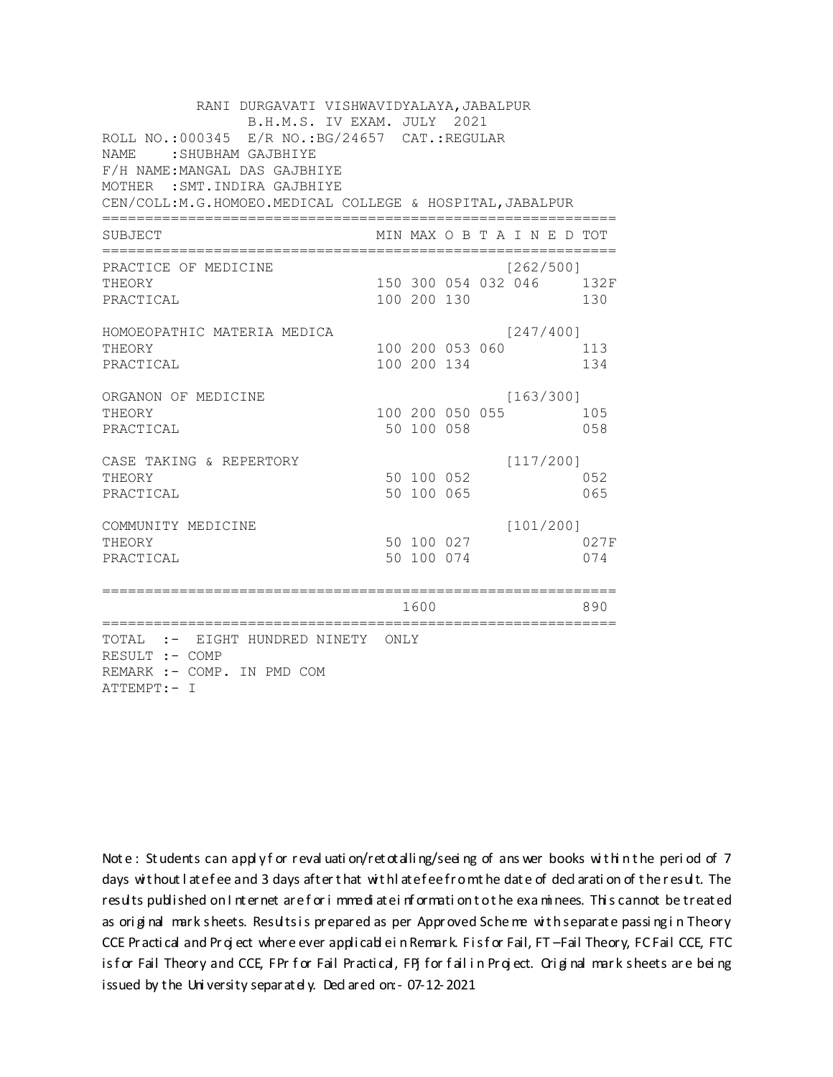| RANI DURGAVATI VISHWAVIDYALAYA, JABALPUR<br>B.H.M.S. IV EXAM. JULY 2021<br>ROLL NO.:000345 E/R NO.:BG/24657 CAT.:REGULAR<br><b>NAME</b><br>SHUBHAM GAJBHIYE:<br>F/H NAME: MANGAL DAS GAJBHIYE<br>MOTHER : SMT. INDIRA GAJBHIYE<br>CEN/COLL:M.G.HOMOEO.MEDICAL COLLEGE & HOSPITAL, JABALPUR |                |             |                 |                             |                                 |
|--------------------------------------------------------------------------------------------------------------------------------------------------------------------------------------------------------------------------------------------------------------------------------------------|----------------|-------------|-----------------|-----------------------------|---------------------------------|
| SUBJECT                                                                                                                                                                                                                                                                                    |                |             |                 | MIN MAX O B T A I N E D TOT |                                 |
| PRACTICE OF MEDICINE<br>THEORY<br>PRACTICAL                                                                                                                                                                                                                                                |                | 100 200 130 |                 | 1262/5001                   | 150 300 054 032 046 132F<br>130 |
| HOMOEOPATHIC MATERIA MEDICA<br>THEORY<br>PRACTICAL                                                                                                                                                                                                                                         |                | 100 200 134 | 100 200 053 060 | [247/400]                   | 113<br>134                      |
| ORGANON OF MEDICINE<br>THEORY<br>PRACTICAL                                                                                                                                                                                                                                                 |                | 50 100 058  | 100 200 050 055 | [163/300]                   | 105<br>058                      |
| CASE TAKING & REPERTORY<br>THEORY<br>PRACTICAL                                                                                                                                                                                                                                             |                | 50 100 065  | 50 100 052      | [117/200]                   | 052<br>065                      |
| COMMUNITY MEDICINE<br>THEORY<br>PRACTICAL                                                                                                                                                                                                                                                  |                | 50 100 074  | 50 100 027      | [101/200]                   | 027F<br>074                     |
| ==============================                                                                                                                                                                                                                                                             | ============== | 1600        |                 |                             | 890                             |
| TOTAL :- EIGHT HUNDRED NINETY ONLY<br>RESULT :- COMP<br>REMARK :- COMP. IN PMD COM<br>ATTEMPT:- I                                                                                                                                                                                          |                |             |                 |                             |                                 |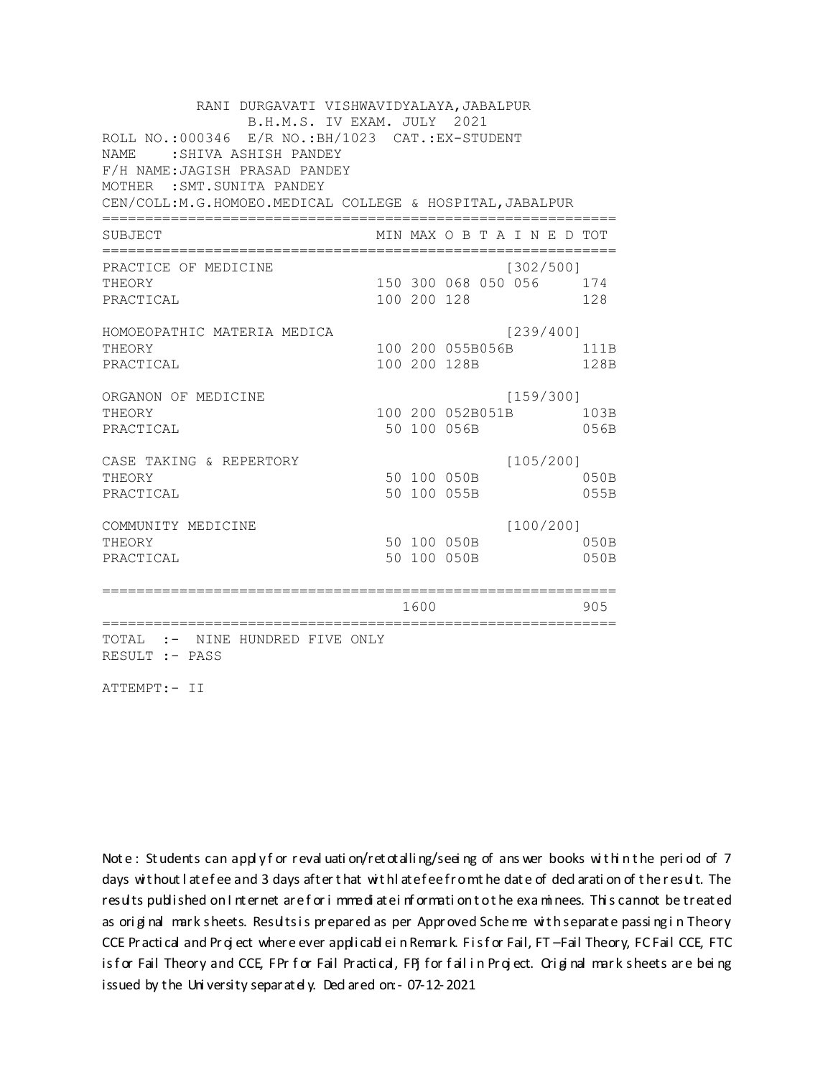RANI DURGAVATI VISHWAVIDYALAYA, JABALPUR B.H.M.S. IV EXAM. JULY 2021 ROLL NO.:000346 E/R NO.: BH/1023 CAT.: EX-STUDENT NAME : SHIVA ASHISH PANDEY F/H NAME: JAGISH PRASAD PANDEY MOTHER : SMT. SUNITA PANDEY CEN/COLL: M.G.HOMOEO. MEDICAL COLLEGE & HOSPITAL, JABALPUR MIN MAX O B T A I N E D TOT SUBJECT PRACTICE OF MEDICINE  $[302/500]$ 150 300 068 050 056 174 **THEORY** PRACTICAL 100 200 128 128 HOMOEOPATHIC MATERIA MEDICA [239/400] 100 200 055B056B 111B THEORY PRACTICAL 100 200 128B 128B ORGANON OF MEDICINE  $[159/300]$ THEORY 100 200 052B051B 103B PRACTICAL 50 100 056B 056B  $[105/200]$ CASE TAKING & REPERTORY 50 100 050B THEORY  $050B$ PRACTICAL 50 100 055B 055B  $[100/200]$ COMMUNITY MEDICINE 50 100 050B 050B THEORY PRACTICAL 50 100 050B 050B 1600 1600 905 TOTAL :- NINE HUNDRED FIVE ONLY RESULT :- PASS

ATTEMPT:- II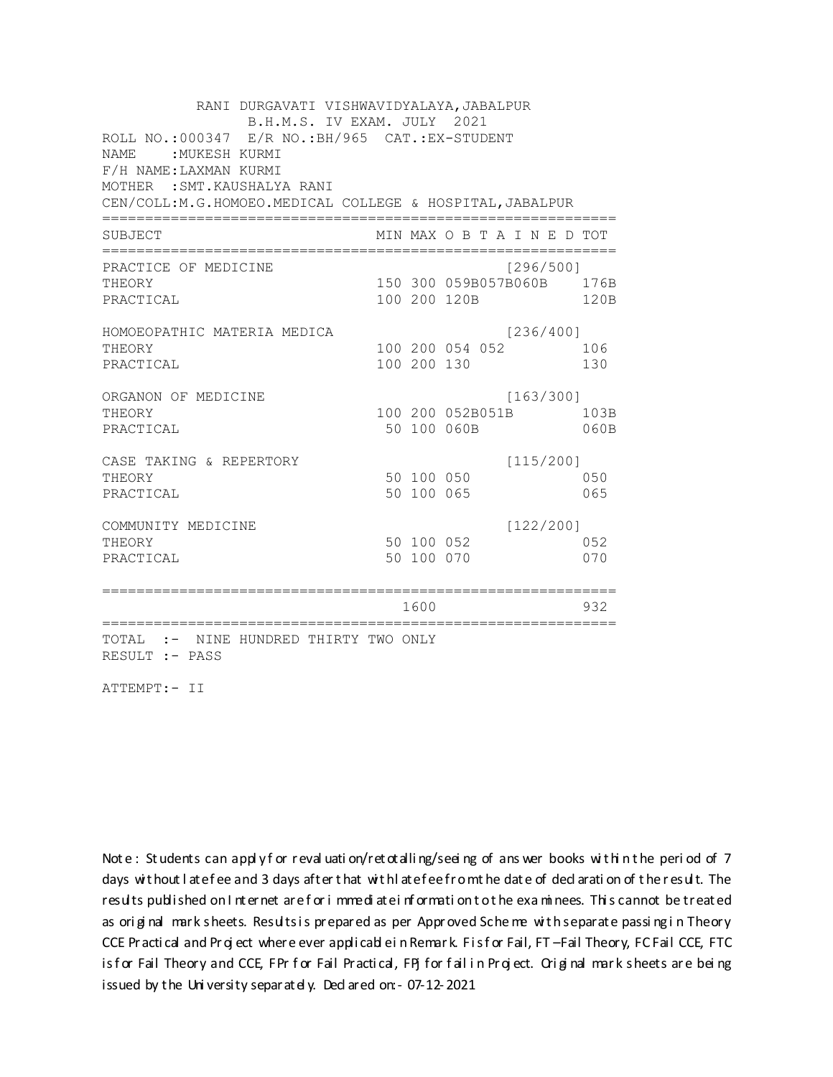RANI DURGAVATI VISHWAVIDYALAYA, JABALPUR B.H.M.S. IV EXAM. JULY 2021 ROLL NO.:000347 E/R NO.: BH/965 CAT.: EX-STUDENT NAME : MUKESH KURMI F/H NAME: LAXMAN KURMI MOTHER : SMT. KAUSHALYA RANI CEN/COLL:M.G.HOMOEO.MEDICAL COLLEGE & HOSPITAL, JABALPUR MIN MAX O B T A I N E D TOT SUBJECT PRACTICE OF MEDICINE  $[296/500]$ 150 300 059B057B060B 176B THEORY PRACTICAL 100 200 120B 120B HOMOEOPATHIC MATERIA MEDICA  $[236/400]$ 100 200 054 052 106 THEORY PRACTICAL 100 200 130 130 ORGANON OF MEDICINE  $[163/300]$ THEORY 100 200 052B051B 103B PRACTICAL 50 100 060B 060B CASE TAKING & REPERTORY  $[115/200]$ 50 100 050 THEORY 050 50 100 065 PRACTICAL 065  $[122/200]$ COMMUNITY MEDICINE 50 100 052 052 THEORY PRACTICAL 50 100 070 070 1600 1600 932 TOTAL :- NINE HUNDRED THIRTY TWO ONLY RESULT :- PASS

ATTEMPT:- II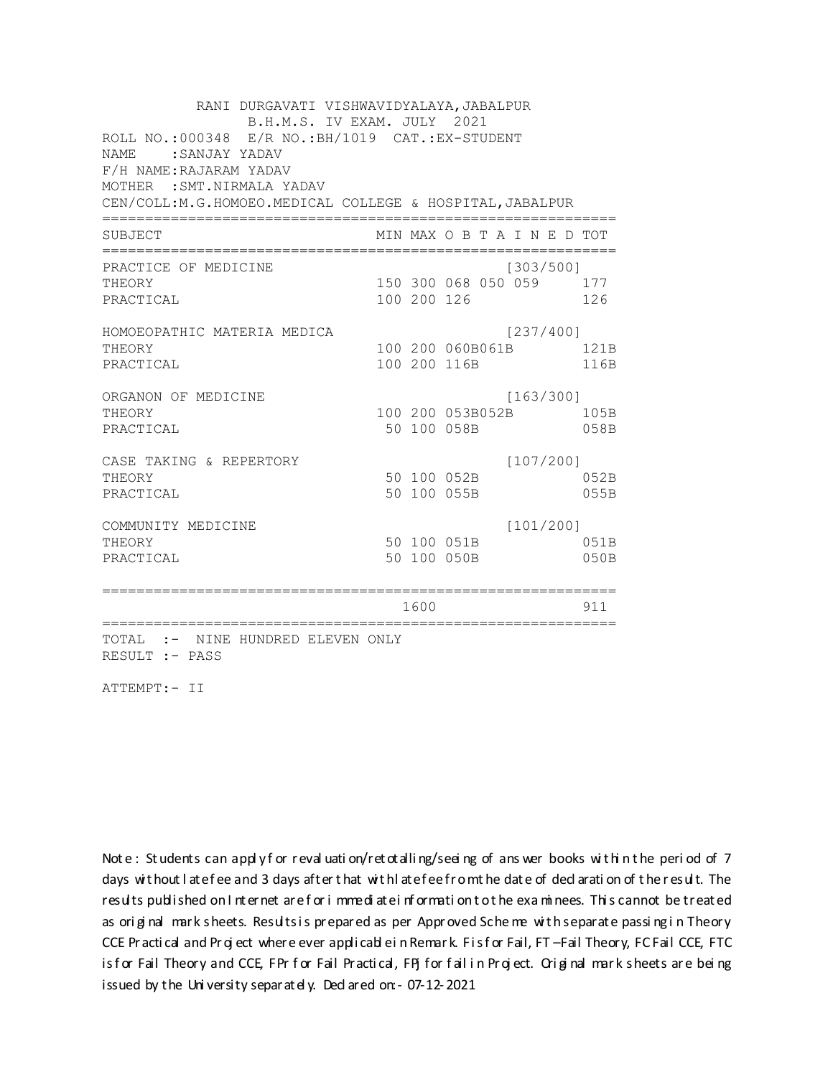RANI DURGAVATI VISHWAVIDYALAYA, JABALPUR B.H.M.S. IV EXAM. JULY 2021 ROLL NO.:000348 E/R NO.: BH/1019 CAT.: EX-STUDENT NAME: SANJAY YADAV F/H NAME: RAJARAM YADAV MOTHER : SMT. NIRMALA YADAV CEN/COLL:M.G.HOMOEO.MEDICAL COLLEGE & HOSPITAL, JABALPUR MIN MAX O B T A I N E D TOT SUBJECT  $[303/500]$ PRACTICE OF MEDICINE THEORY 150 300 068 050 059 177 PRACTICAL 100 200 126 126 HOMOEOPATHIC MATERIA MEDICA [237/400] 100 200 060B061B 121B THEORY PRACTICAL 100 200 116B 116B ORGANON OF MEDICINE  $[163/300]$ THEORY 100 200 053B052B 105B PRACTICAL 50 100 058B 058B  $[107/200]$ CASE TAKING & REPERTORY 50 100 052B THEORY 052B PRACTICAL 50 100 055B 055B  $[101/200]$ COMMUNITY MEDICINE 50 100 051B 051B THEORY PRACTICAL 50 100 050B 050B 1600 1600 911 TOTAL :- NINE HUNDRED ELEVEN ONLY RESULT :- PASS

ATTEMPT:- II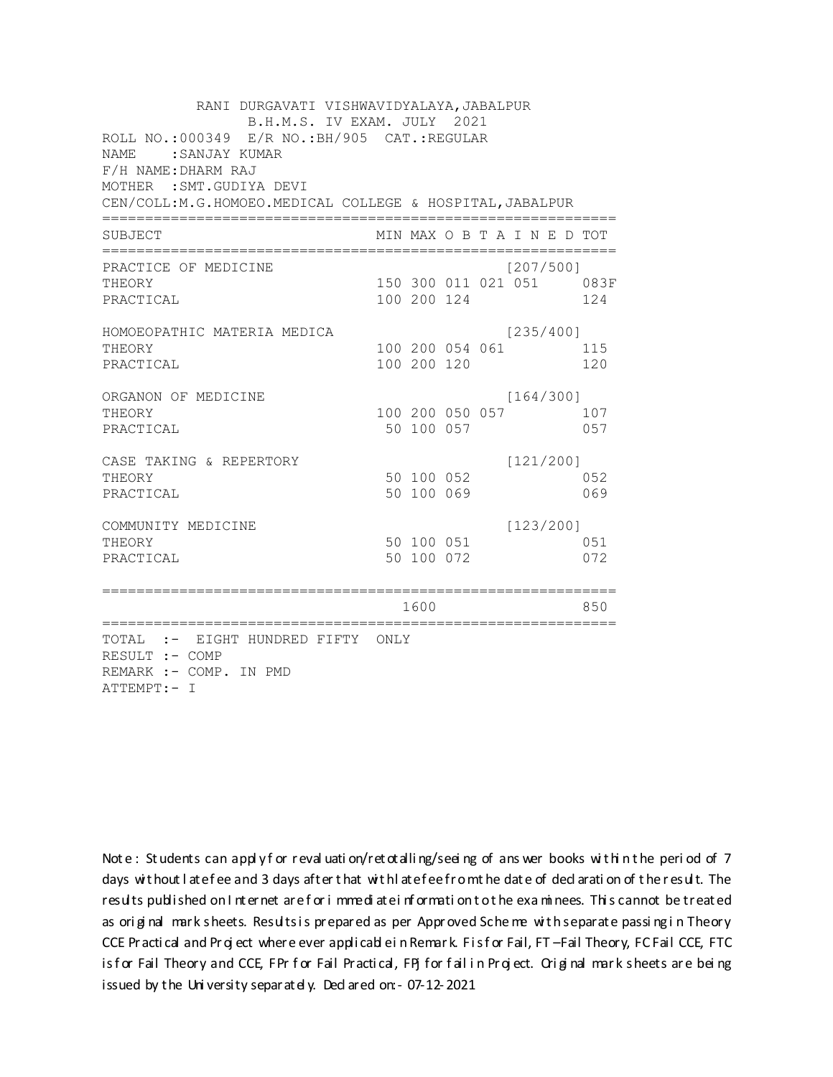| RANI DURGAVATI VISHWAVIDYALAYA, JABALPUR<br>B.H.M.S. IV EXAM. JULY 2021<br>ROLL NO.:000349 E/R NO.: BH/905 CAT.: REGULAR<br><b>NAME</b><br>:SANJAY KUMAR<br>F/H NAME: DHARM RAJ |                        |             |                 |  |                             |  |                                 |  |  |  |  |
|---------------------------------------------------------------------------------------------------------------------------------------------------------------------------------|------------------------|-------------|-----------------|--|-----------------------------|--|---------------------------------|--|--|--|--|
| MOTHER : SMT. GUDIYA DEVI<br>CEN/COLL:M.G.HOMOEO.MEDICAL COLLEGE & HOSPITAL, JABALPUR                                                                                           |                        |             |                 |  |                             |  |                                 |  |  |  |  |
| SUBJECT                                                                                                                                                                         |                        |             |                 |  | MIN MAX O B T A I N E D TOT |  |                                 |  |  |  |  |
| PRACTICE OF MEDICINE<br>THEORY<br>PRACTICAL                                                                                                                                     |                        |             | 100 200 124     |  | [207/500]                   |  | 150 300 011 021 051 083F<br>124 |  |  |  |  |
| HOMOEOPATHIC MATERIA MEDICA<br>THEORY<br>PRACTICAL                                                                                                                              |                        | 100 200 120 | 100 200 054 061 |  | [235/400]                   |  | 115<br>120                      |  |  |  |  |
| ORGANON OF MEDICINE<br>THEORY<br>PRACTICAL                                                                                                                                      |                        | 50 100 057  | 100 200 050 057 |  | [164/300]                   |  | 107<br>057                      |  |  |  |  |
| CASE TAKING & REPERTORY<br>THEORY<br>PRACTICAL                                                                                                                                  |                        | 50 100 052  | 50 100 069      |  | [121/200]                   |  | 052<br>069                      |  |  |  |  |
| COMMUNITY MEDICINE<br>THEORY<br>PRACTICAL                                                                                                                                       |                        | 50 100 072  | 50 100 051      |  | [123/200]                   |  | 051<br>072                      |  |  |  |  |
|                                                                                                                                                                                 | ====================== | 1600        |                 |  |                             |  | 850                             |  |  |  |  |
| =============================<br>TOTAL :- EIGHT HUNDRED FIFTY ONLY<br>RESULT :- COMP<br>REMARK :- COMP. IN PMD<br>ATTEMPT:- I                                                   |                        |             |                 |  |                             |  |                                 |  |  |  |  |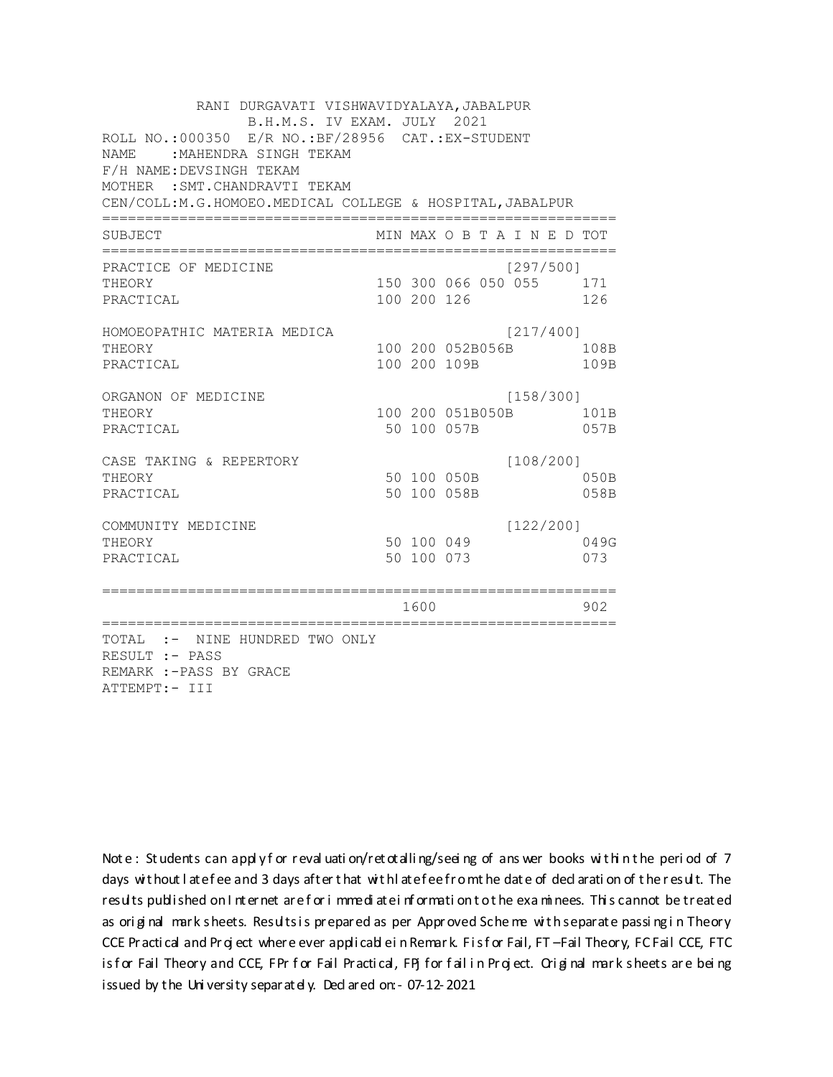RANI DURGAVATI VISHWAVIDYALAYA, JABALPUR B.H.M.S. IV EXAM. JULY 2021 ROLL NO.:000350 E/R NO.:BF/28956 CAT.:EX-STUDENT NAME :MAHENDRA SINGH TEKAM F/H NAME:DEVSINGH TEKAM MOTHER :SMT.CHANDRAVTI TEKAM CEN/COLL:M.G.HOMOEO.MEDICAL COLLEGE & HOSPITAL,JABALPUR ============================================================ SUBJECT MIN MAX O B T A I N E D TOT ============================================================ PRACTICE OF MEDICINE [297/500] THEORY 150 300 066 050 055 171 PRACTICAL 100 200 126 126 HOMOEOPATHIC MATERIA MEDICA [217/400] THEORY 100 200 052B056B 108B PRACTICAL 100 200 109B 109B ORGANON OF MEDICINE [158/300] THEORY 100 200 051B050B 101B PRACTICAL 50 100 057B 057B CASE TAKING & REPERTORY [108/200] THEORY 50 100 050B 050B PRACTICAL 50 100 058B 058B COMMUNITY MEDICINE [122/200] THEORY 50 100 049 049G PRACTICAL 50 100 073 073 ============================================================ 1600 902 ============================================================ TOTAL :- NINE HUNDRED TWO ONLY RESULT :- PASS REMARK :-PASS BY GRACE ATTEMPT:- III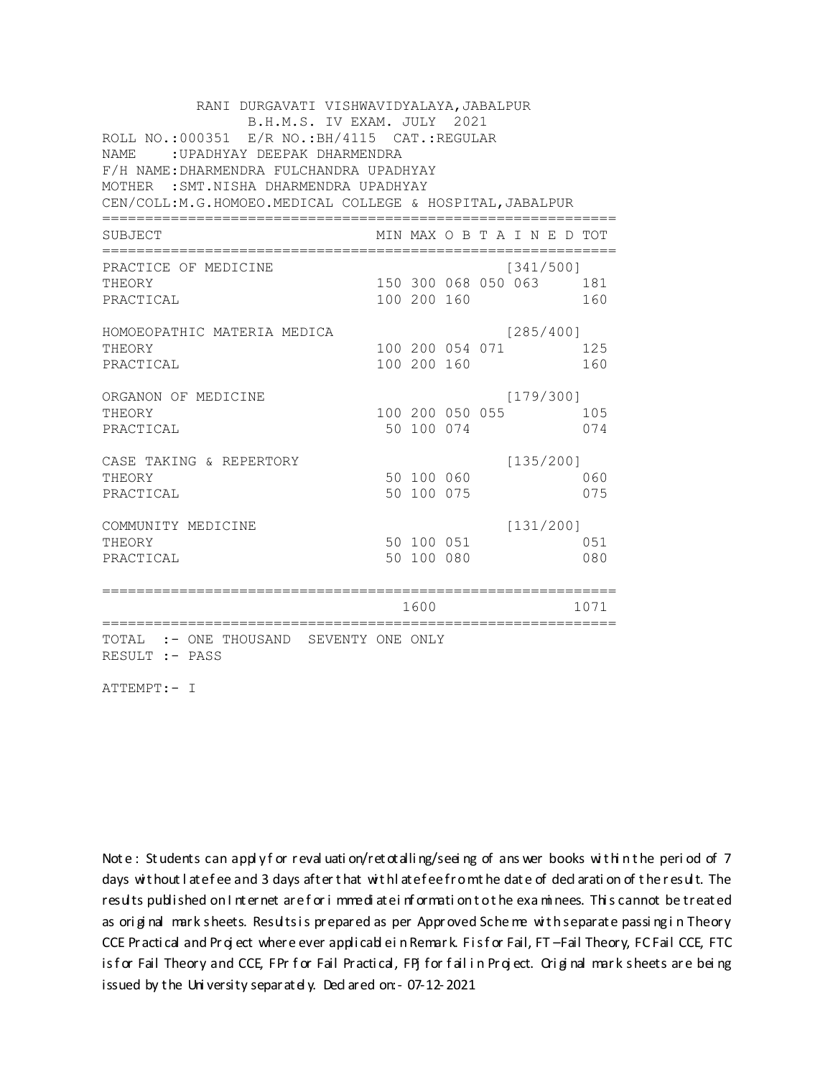| RANI DURGAVATI VISHWAVIDYALAYA, JABALPUR<br>B.H.M.S. IV EXAM. JULY 2021<br>ROLL NO.: 000351 E/R NO.: BH/4115 CAT.: REGULAR |  |                          |  |  |                             |  |            |  |  |  |  |
|----------------------------------------------------------------------------------------------------------------------------|--|--------------------------|--|--|-----------------------------|--|------------|--|--|--|--|
| NAME.<br>: UPADHYAY DEEPAK DHARMENDRA<br>F/H NAME: DHARMENDRA FULCHANDRA UPADHYAY                                          |  |                          |  |  |                             |  |            |  |  |  |  |
| MOTHER : SMT. NISHA DHARMENDRA UPADHYAY<br>CEN/COLL:M.G.HOMOEO.MEDICAL COLLEGE & HOSPITAL, JABALPUR                        |  |                          |  |  |                             |  |            |  |  |  |  |
| SUBJECT                                                                                                                    |  |                          |  |  | MIN MAX O B T A I N E D TOT |  |            |  |  |  |  |
| ================<br>PRACTICE OF MEDICINE                                                                                   |  |                          |  |  | [341/500]                   |  |            |  |  |  |  |
| THEORY<br>PRACTICAL                                                                                                        |  | 100 200 160              |  |  | 150 300 068 050 063 181     |  | 160        |  |  |  |  |
| HOMOEOPATHIC MATERIA MEDICA<br>THEORY                                                                                      |  | 100 200 054 071          |  |  | [285/400]                   |  | 125        |  |  |  |  |
| PRACTICAL                                                                                                                  |  | 100 200 160              |  |  |                             |  | 160        |  |  |  |  |
| ORGANON OF MEDICINE<br>THEORY                                                                                              |  | 100 200 050 055          |  |  | [179/300]                   |  | 105        |  |  |  |  |
| PRACTICAL                                                                                                                  |  | 50 100 074               |  |  |                             |  | 074        |  |  |  |  |
| CASE TAKING & REPERTORY<br>THEORY<br>PRACTICAL                                                                             |  | 50 100 060<br>50 100 075 |  |  | [135/200]                   |  | 060<br>075 |  |  |  |  |
| COMMUNITY MEDICINE<br>THEORY<br>PRACTICAL                                                                                  |  | 50 100 051<br>50 100 080 |  |  | [131/200]                   |  | 051<br>080 |  |  |  |  |
|                                                                                                                            |  | 1600                     |  |  |                             |  | 1071       |  |  |  |  |
| TOTAL :- ONE THOUSAND SEVENTY ONE ONLY<br>RESULT :- PASS                                                                   |  |                          |  |  |                             |  |            |  |  |  |  |

ATTEMPT:- I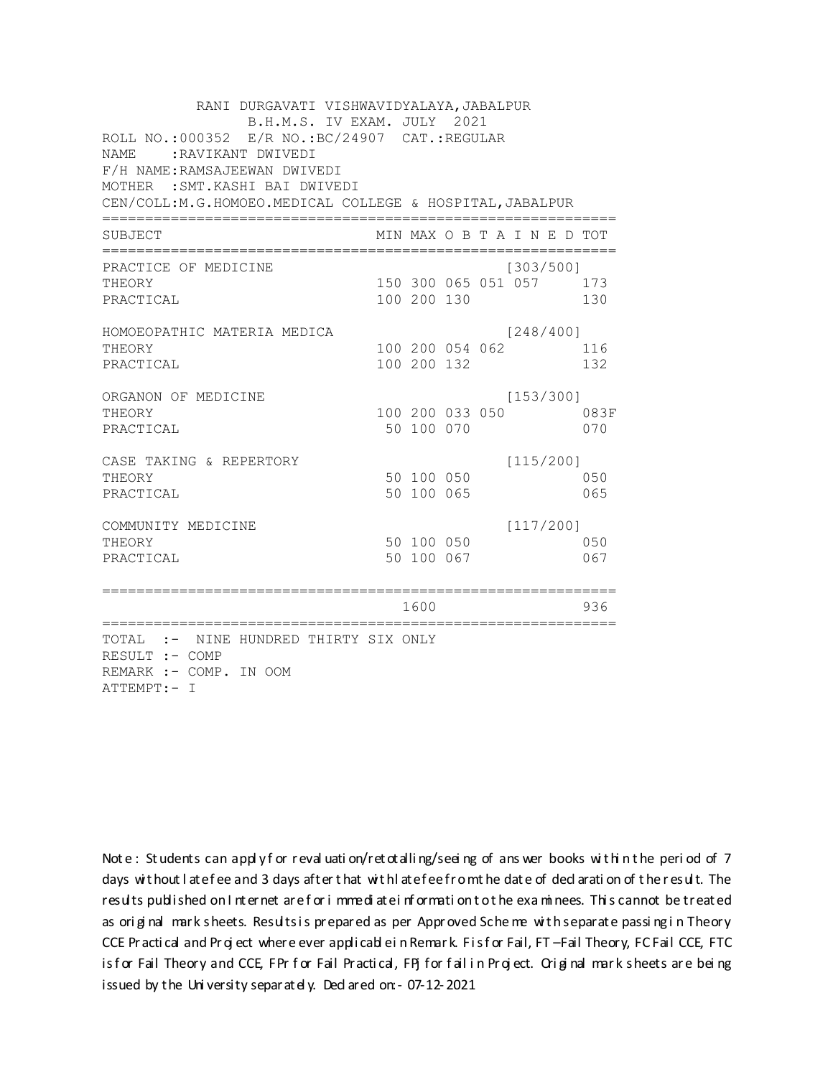| RANI DURGAVATI VISHWAVIDYALAYA, JABALPUR<br>B.H.M.S. IV EXAM. JULY 2021<br>ROLL NO.:000352 E/R NO.:BC/24907 CAT.:REGULAR<br>NAME.<br>:RAVIKANT DWIVEDI<br>F/H NAME: RAMSAJEEWAN DWIVEDI<br>MOTHER : SMT. KASHI BAI DWIVEDI<br>CEN/COLL: M. G. HOMOEO. MEDICAL COLLEGE & HOSPITAL, JABALPUR |                                   |             |                 |                                      |             |
|--------------------------------------------------------------------------------------------------------------------------------------------------------------------------------------------------------------------------------------------------------------------------------------------|-----------------------------------|-------------|-----------------|--------------------------------------|-------------|
| SUBJECT                                                                                                                                                                                                                                                                                    |                                   |             |                 | MIN MAX O B T A I N E D TOT          |             |
| PRACTICE OF MEDICINE<br>THEORY<br>PRACTICAL                                                                                                                                                                                                                                                |                                   | 100 200 130 |                 | [303/500]<br>150 300 065 051 057 173 | 130         |
| HOMOEOPATHIC MATERIA MEDICA<br>THEORY<br>PRACTICAL                                                                                                                                                                                                                                         |                                   | 100 200 132 | 100 200 054 062 | [248/400]                            | 116<br>132  |
| ORGANON OF MEDICINE<br>THEORY<br>PRACTICAL                                                                                                                                                                                                                                                 |                                   | 50 100 070  | 100 200 033 050 | [153/300]                            | 083F<br>070 |
| CASE TAKING & REPERTORY<br>THEORY<br>PRACTICAL                                                                                                                                                                                                                                             |                                   | 50 100 065  | 50 100 050      | [115/200]                            | 050<br>065  |
| COMMUNITY MEDICINE<br>THEORY<br>PRACTICAL                                                                                                                                                                                                                                                  |                                   | 50 100 067  | 50 100 050      | [117/200]                            | 050<br>067  |
| ==============================                                                                                                                                                                                                                                                             | ================================= | 1600        |                 |                                      | 936         |
| TOTAL :- NINE HUNDRED THIRTY SIX ONLY<br>RESULT :- COMP<br>REMARK :- COMP. IN OOM<br>ATTEMPT:- I                                                                                                                                                                                           |                                   |             |                 |                                      |             |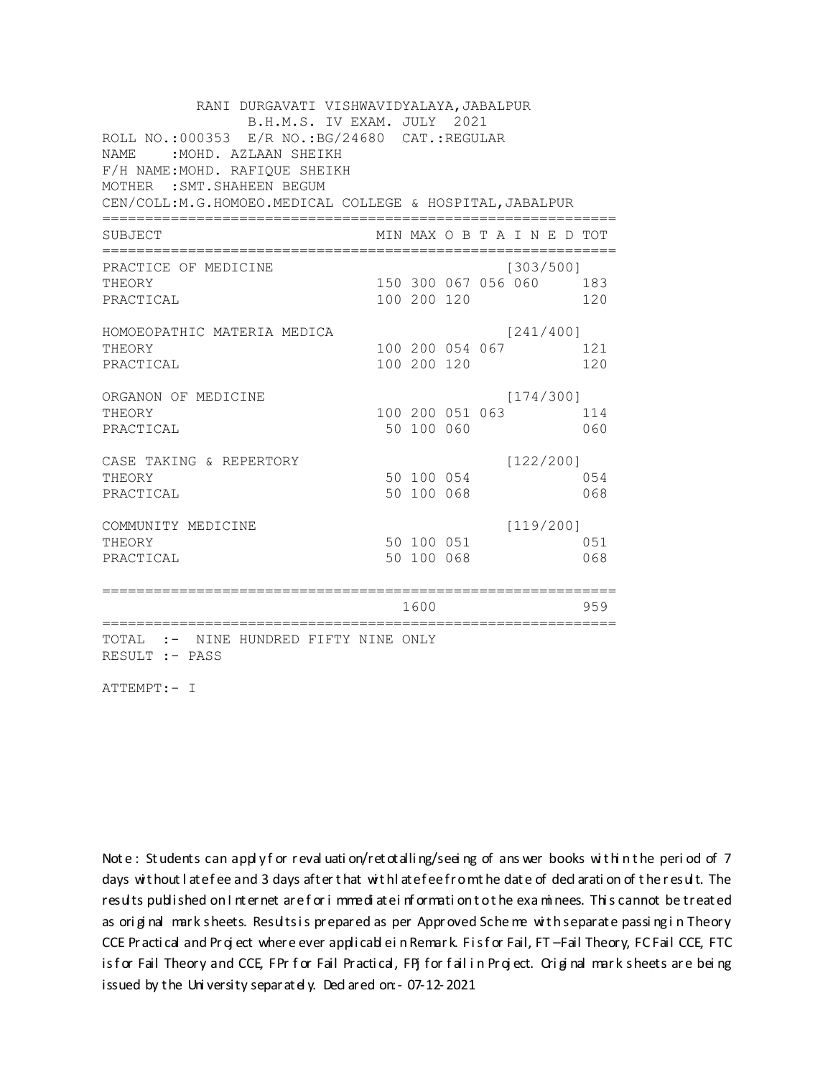| RANI DURGAVATI VISHWAVIDYALAYA, JABALPUR<br>B.H.M.S. IV EXAM. JULY 2021 |               |                 |  |  |                             |  |      |  |  |  |
|-------------------------------------------------------------------------|---------------|-----------------|--|--|-----------------------------|--|------|--|--|--|
| ROLL NO.:000353 E/R NO.: BG/24680 CAT.: REGULAR                         |               |                 |  |  |                             |  |      |  |  |  |
| <b>NAME</b><br>: MOHD. AZLAAN SHEIKH                                    |               |                 |  |  |                             |  |      |  |  |  |
| F/H NAME: MOHD. RAFIQUE SHEIKH<br>MOTHER : SMT. SHAHEEN BEGUM           |               |                 |  |  |                             |  |      |  |  |  |
| CEN/COLL: M. G. HOMOEO. MEDICAL COLLEGE & HOSPITAL, JABALPUR            |               |                 |  |  |                             |  |      |  |  |  |
|                                                                         |               |                 |  |  |                             |  |      |  |  |  |
| SUBJECT                                                                 |               |                 |  |  | MIN MAX O B T A I N E D TOT |  |      |  |  |  |
| PRACTICE OF MEDICINE                                                    |               |                 |  |  | [303/500]                   |  |      |  |  |  |
| THEORY                                                                  |               |                 |  |  | 150 300 067 056 060 183     |  |      |  |  |  |
| PRACTICAL                                                               |               | 100 200 120     |  |  |                             |  | 120  |  |  |  |
| HOMOEOPATHIC MATERIA MEDICA                                             |               |                 |  |  | [241/400]                   |  |      |  |  |  |
| THEORY                                                                  |               | 100 200 054 067 |  |  |                             |  | 121  |  |  |  |
| PRACTICAL                                                               |               | 100 200 120     |  |  |                             |  | 120  |  |  |  |
| ORGANON OF MEDICINE                                                     |               |                 |  |  | [174/300]                   |  |      |  |  |  |
| THEORY                                                                  |               | 100 200 051 063 |  |  |                             |  | 114  |  |  |  |
| PRACTICAL                                                               |               | 50 100 060      |  |  |                             |  | 060  |  |  |  |
| CASE TAKING & REPERTORY                                                 |               |                 |  |  | [122/200]                   |  |      |  |  |  |
| THEORY                                                                  |               | 50 100 054      |  |  |                             |  | 0.54 |  |  |  |
| PRACTICAL                                                               |               | 50 100 068      |  |  |                             |  | 068  |  |  |  |
| COMMUNITY MEDICINE                                                      |               |                 |  |  | [119/200]                   |  |      |  |  |  |
| THEORY                                                                  |               | 50 100 051      |  |  |                             |  | 0.51 |  |  |  |
| PRACTICAL                                                               |               | 50 100 068      |  |  |                             |  | 068  |  |  |  |
|                                                                         | ============= |                 |  |  |                             |  |      |  |  |  |
| ====================<br>==============                                  |               | 1600            |  |  |                             |  | 959  |  |  |  |
| TOTAL :- NINE HUNDRED FIFTY NINE ONLY                                   |               |                 |  |  |                             |  |      |  |  |  |
| RESULT :- PASS                                                          |               |                 |  |  |                             |  |      |  |  |  |

ATTEMPT:- I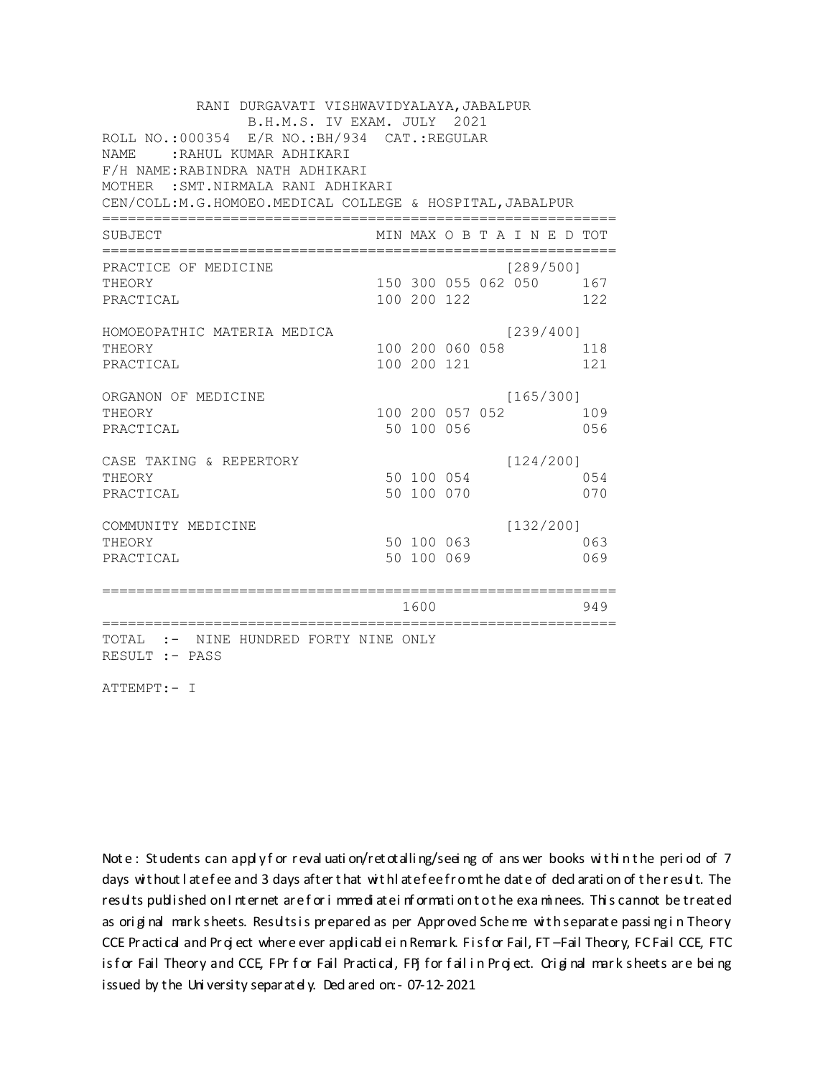RANI DURGAVATI VISHWAVIDYALAYA, JABALPUR B.H.M.S. IV EXAM. JULY 2021 ROLL NO.:000354 E/R NO.: BH/934 CAT.: REGULAR NAME: : RAHUL KUMAR ADHIKARI F/H NAME: RABINDRA NATH ADHIKARI MOTHER : SMT. NIRMALA RANI ADHIKARI CEN/COLL:M.G.HOMOEO.MEDICAL COLLEGE & HOSPITAL, JABALPUR MIN MAX O B T A I N E D TOT SUBJECT PRACTICE OF MEDICINE  $[289/500]$ THEORY 150 300 055 062 050 167 PRACTICAL 100 200 122 122 HOMOEOPATHIC MATERIA MEDICA  $[239/400]$ 100 200 060 058 118 THEORY PRACTICAL 100 200 121 121 ORGANON OF MEDICINE  $[165/300]$ THEORY 100 200 057 052 109 PRACTICAL 50 100 056 056 CASE TAKING & REPERTORY  $[124/200]$ 50 100 054 THEORY 054 50 100 070 PRACTICAL 070  $[132/200]$ COMMUNITY MEDICINE 50 100 063 063 THEORY PRACTICAL 50 100 069 069 1600 1600 949 TOTAL :- NINE HUNDRED FORTY NINE ONLY RESULT :- PASS

ATTEMPT:- I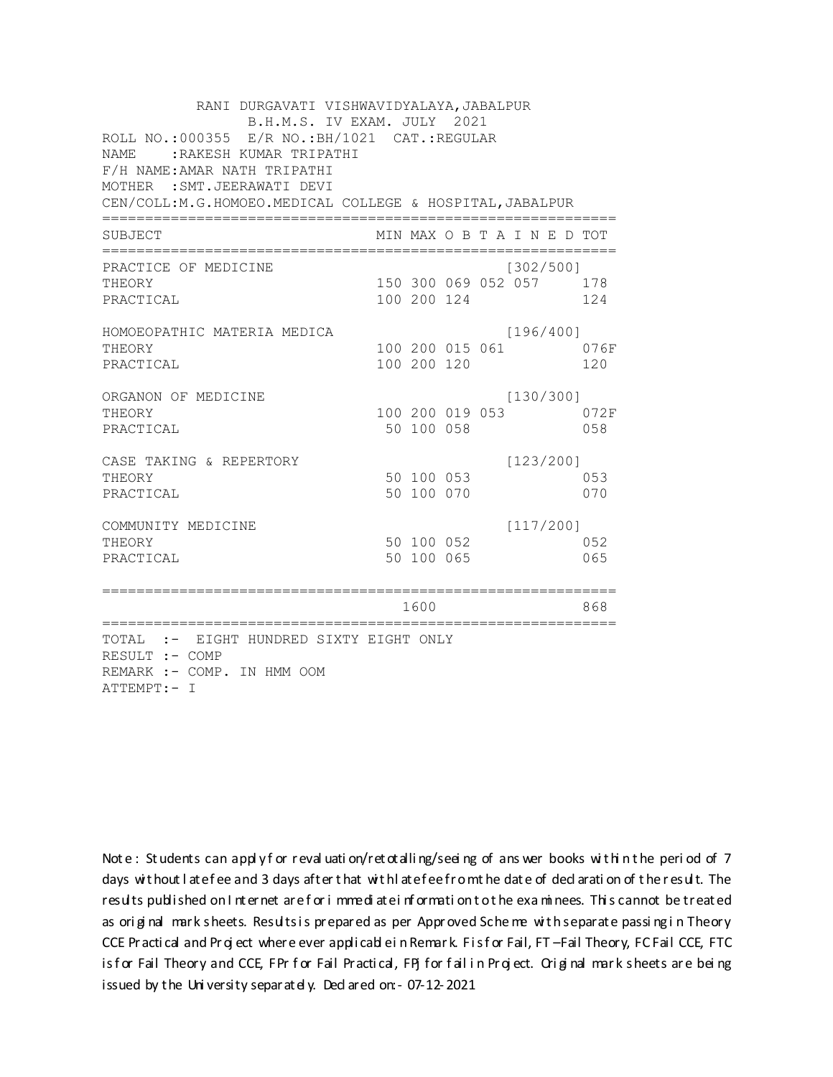| RANI DURGAVATI VISHWAVIDYALAYA, JABALPUR<br>B.H.M.S. IV EXAM. JULY 2021<br>ROLL NO.:000355 E/R NO.: BH/1021 CAT.: REGULAR<br><b>NAME</b><br>RAKESH KUMAR TRIPATHI:<br>F/H NAME: AMAR NATH TRIPATHI<br>MOTHER : SMT. JEERAWATI DEVI<br>CEN/COLL: M.G.HOMOEO. MEDICAL COLLEGE & HOSPITAL, JABALPUR |  |                          |  |  |                                      |     |             |  |  |  |
|--------------------------------------------------------------------------------------------------------------------------------------------------------------------------------------------------------------------------------------------------------------------------------------------------|--|--------------------------|--|--|--------------------------------------|-----|-------------|--|--|--|
| SUBJECT                                                                                                                                                                                                                                                                                          |  |                          |  |  | MIN MAX O B T A I N E D TOT          |     |             |  |  |  |
| PRACTICE OF MEDICINE<br>THEORY<br>PRACTICAL                                                                                                                                                                                                                                                      |  | 100 200 124              |  |  | [302/500]<br>150 300 069 052 057 178 | 124 |             |  |  |  |
| HOMOEOPATHIC MATERIA MEDICA<br>THEORY<br>PRACTICAL                                                                                                                                                                                                                                               |  | 100 200 120              |  |  | [196/400]<br>100 200 015 061         |     | 076F<br>120 |  |  |  |
| ORGANON OF MEDICINE<br>THEORY<br>PRACTICAL                                                                                                                                                                                                                                                       |  | 50 100 058               |  |  | [130/300]<br>100 200 019 053         |     | 072F<br>058 |  |  |  |
| CASE TAKING & REPERTORY<br>THEORY<br>PRACTICAL                                                                                                                                                                                                                                                   |  | 50 100 053<br>50 100 070 |  |  | [123/200]                            |     | 053<br>070  |  |  |  |
| COMMUNITY MEDICINE<br>THEORY<br>PRACTICAL                                                                                                                                                                                                                                                        |  | 50 100 052<br>50 100 065 |  |  | [117/200]                            |     | 052<br>065  |  |  |  |
| ===================                                                                                                                                                                                                                                                                              |  | 1600                     |  |  |                                      |     | 868         |  |  |  |
| TOTAL :- EIGHT HUNDRED SIXTY EIGHT ONLY<br>RESULT :- COMP<br>REMARK :- COMP. IN HMM OOM<br>ATTEMPT:- I                                                                                                                                                                                           |  |                          |  |  |                                      |     |             |  |  |  |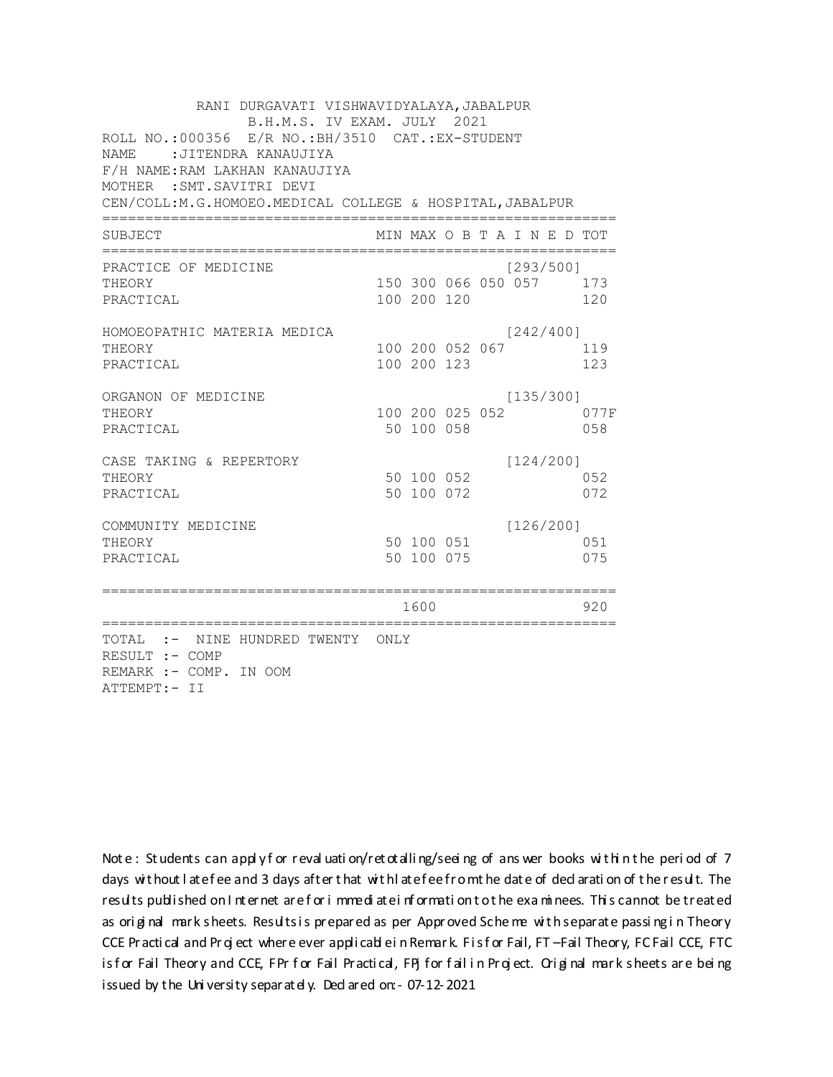| RANI DURGAVATI VISHWAVIDYALAYA, JABALPUR<br>B.H.M.S. IV EXAM. JULY 2021<br>ROLL NO.:000356 E/R NO.: BH/3510 CAT.: EX-STUDENT<br><b>NAME</b><br>:JITENDRA KANAUJIYA<br>F/H NAME: RAM LAKHAN KANAUJIYA<br>MOTHER : SMT. SAVITRI DEVI<br>CEN/COLL: M.G.HOMOEO. MEDICAL COLLEGE & HOSPITAL, JABALPUR |                |                          |                 |                                      |             |
|--------------------------------------------------------------------------------------------------------------------------------------------------------------------------------------------------------------------------------------------------------------------------------------------------|----------------|--------------------------|-----------------|--------------------------------------|-------------|
| SUBJECT                                                                                                                                                                                                                                                                                          |                |                          |                 | MIN MAX O B T A I N E D TOT          |             |
| PRACTICE OF MEDICINE<br>THEORY<br>PRACTICAL                                                                                                                                                                                                                                                      |                | 100 200 120              |                 | [293/500]<br>150 300 066 050 057 173 | 120         |
| HOMOEOPATHIC MATERIA MEDICA<br>THEORY<br>PRACTICAL                                                                                                                                                                                                                                               |                | 100 200 123              | 100 200 052 067 | [242/400]                            | 119<br>123  |
| ORGANON OF MEDICINE<br>THEORY<br>PRACTICAL                                                                                                                                                                                                                                                       |                | 50 100 058               |                 | [135/300]<br>100 200 025 052         | 077F<br>058 |
| CASE TAKING & REPERTORY<br>THEORY<br>PRACTICAL                                                                                                                                                                                                                                                   |                | 50 100 052<br>50 100 072 |                 | [124/200]                            | 052<br>072  |
| COMMUNITY MEDICINE<br>THEORY<br>PRACTICAL                                                                                                                                                                                                                                                        |                | 50 100 075               | 50 100 051      | [126/200]                            | 051<br>075  |
| =====================<br>============================                                                                                                                                                                                                                                            | ============== | 1600                     |                 |                                      | 920         |
| TOTAL :- NINE HUNDRED TWENTY ONLY<br>RESULT :- COMP<br>REMARK :- COMP. IN OOM<br>ATTEMPT:- II                                                                                                                                                                                                    |                |                          |                 |                                      |             |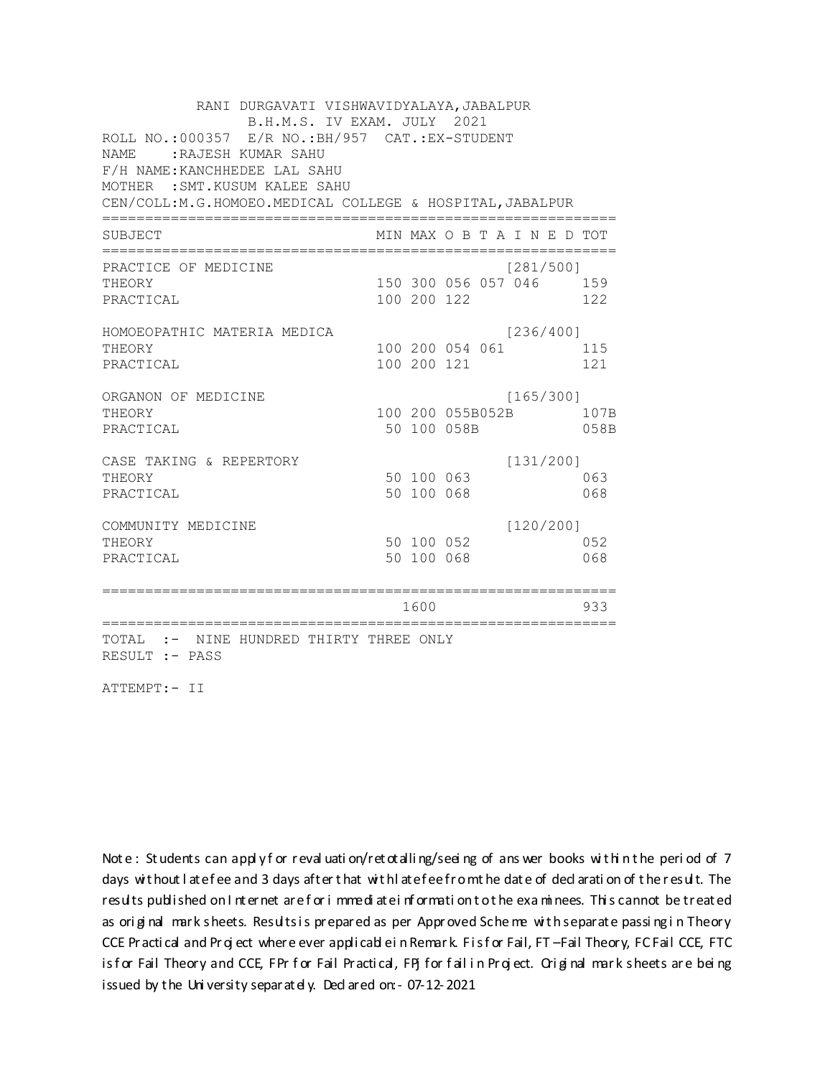RANI DURGAVATI VISHWAVIDYALAYA, JABALPUR B.H.M.S. IV EXAM. JULY 2021 ROLL NO.: 000357 E/R NO.: BH/957 CAT.: EX-STUDENT NAME: RAJESH KUMAR SAHU F/H NAME: KANCHHEDEE LAL SAHU MOTHER : SMT. KUSUM KALEE SAHU CEN/COLL:M.G.HOMOEO.MEDICAL COLLEGE & HOSPITAL, JABALPUR MIN MAX O B T A I N E D TOT SUBJECT  $[281/500]$ PRACTICE OF MEDICINE THEORY 150 300 056 057 046 159 PRACTICAL 100 200 122 122 HOMOEOPATHIC MATERIA MEDICA  $[236/400]$ 100 200 054 061 115 THEORY PRACTICAL 100 200 121 121 ORGANON OF MEDICINE  $[165/300]$ THEORY 100 200 055B052B 107B PRACTICAL 50 100 058B 058B CASE TAKING & REPERTORY  $[131/200]$ 50 100 063 THEORY 063 50 100 068 PRACTICAL 068  $[120/200]$ COMMUNITY MEDICINE 50 100 052 052 THEORY PRACTICAL 50 100 068 068 1600 1600 933 TOTAL :- NINE HUNDRED THIRTY THREE ONLY RESULT :- PASS

ATTEMPT:- II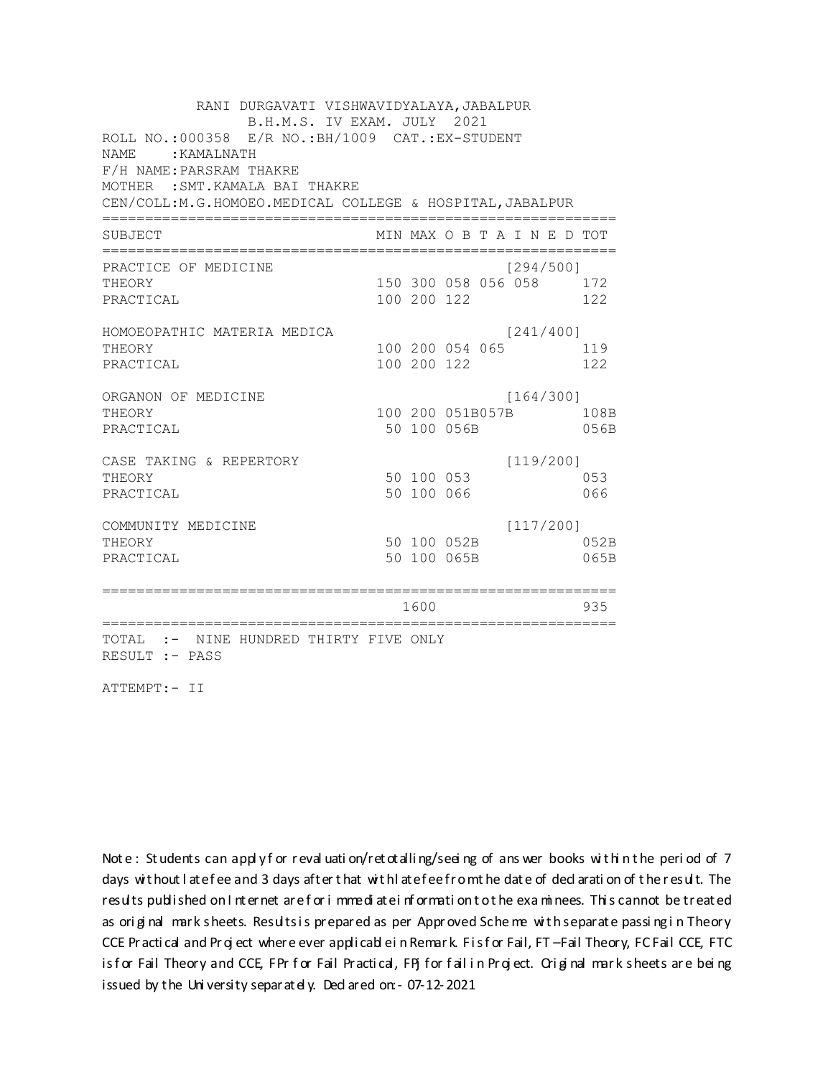RANI DURGAVATI VISHWAVIDYALAYA, JABALPUR B.H.M.S. IV EXAM. JULY 2021 ROLL NO.:000358 E/R NO.: BH/1009 CAT.: EX-STUDENT NAME: : KAMALNATH F/H NAME: PARSRAM THAKRE MOTHER : SMT. KAMALA BAI THAKRE CEN/COLL:M.G.HOMOEO.MEDICAL COLLEGE & HOSPITAL, JABALPUR MIN MAX O B T A I N E D TOT SUBJECT PRACTICE OF MEDICINE  $[294/500]$ 150 300 058 056 058 172 THEORY PRACTICAL 100 200 122 122 HOMOEOPATHIC MATERIA MEDICA  $[241/400]$ 100 200 054 065 119 THEORY PRACTICAL 100 200 122 122 ORGANON OF MEDICINE  $[164/300]$ THEORY 100 200 051B057B 108B PRACTICAL 50 100 056B 056B  $[119/200]$ CASE TAKING & REPERTORY 50 100 053 THEORY 053 50 100 066 PRACTICAL 066  $[117/200]$ COMMUNITY MEDICINE 50 100 052B 052B THEORY PRACTICAL 50 100 065B 065B 1600 1600 935 TOTAL :- NINE HUNDRED THIRTY FIVE ONLY RESULT :- PASS

ATTEMPT:- II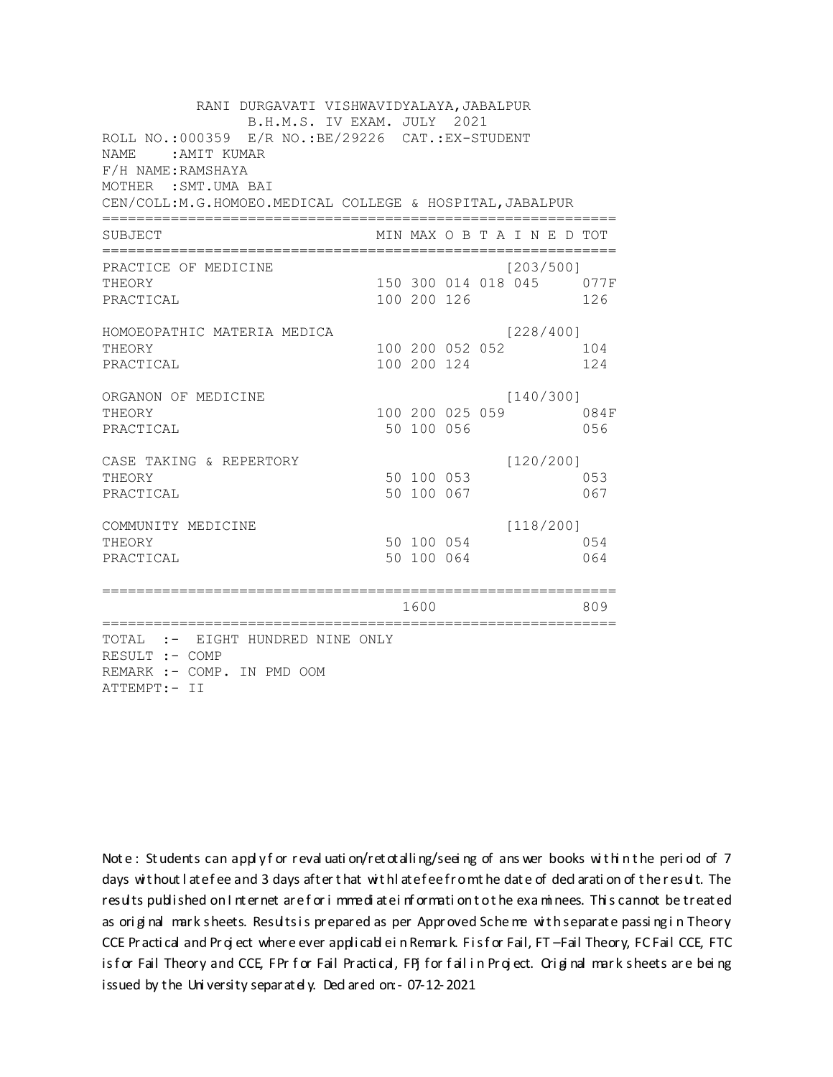RANI DURGAVATI VISHWAVIDYALAYA, JABALPUR B.H.M.S. IV EXAM. JULY 2021 ROLL NO.: 000359 E/R NO.: BE/29226 CAT.: EX-STUDENT NAME: AMIT KUMAR F/H NAME: RAMSHAYA MOTHER : SMT.UMA BAI CEN/COLL:M.G.HOMOEO.MEDICAL COLLEGE & HOSPITAL, JABALPUR MIN MAX O B T A I N E D TOT SUBJECT  $[203/500]$ PRACTICE OF MEDICINE 150 300 014 018 045 077F **THEORY** PRACTICAL 100 200 126 126 HOMOEOPATHIC MATERIA MEDICA  $[228/400]$ 100 200 052 052 104 THEORY PRACTICAL 100 200 124 124 ORGANON OF MEDICINE  $[140/300]$ THEORY 100 200 025 059 084F PRACTICAL 50 100 056 056 CASE TAKING & REPERTORY  $[120/200]$ 50 100 053 THEORY 053 50 100 067 PRACTICAL 067  $[118/200]$ COMMUNITY MEDICINE 50 100 054 054 THEORY PRACTICAL 50 100 064 064 1600 1600 809 TOTAL :- EIGHT HUNDRED NINE ONLY RESULT :- COMP REMARK :- COMP. IN PMD OOM ATTEMPT:- II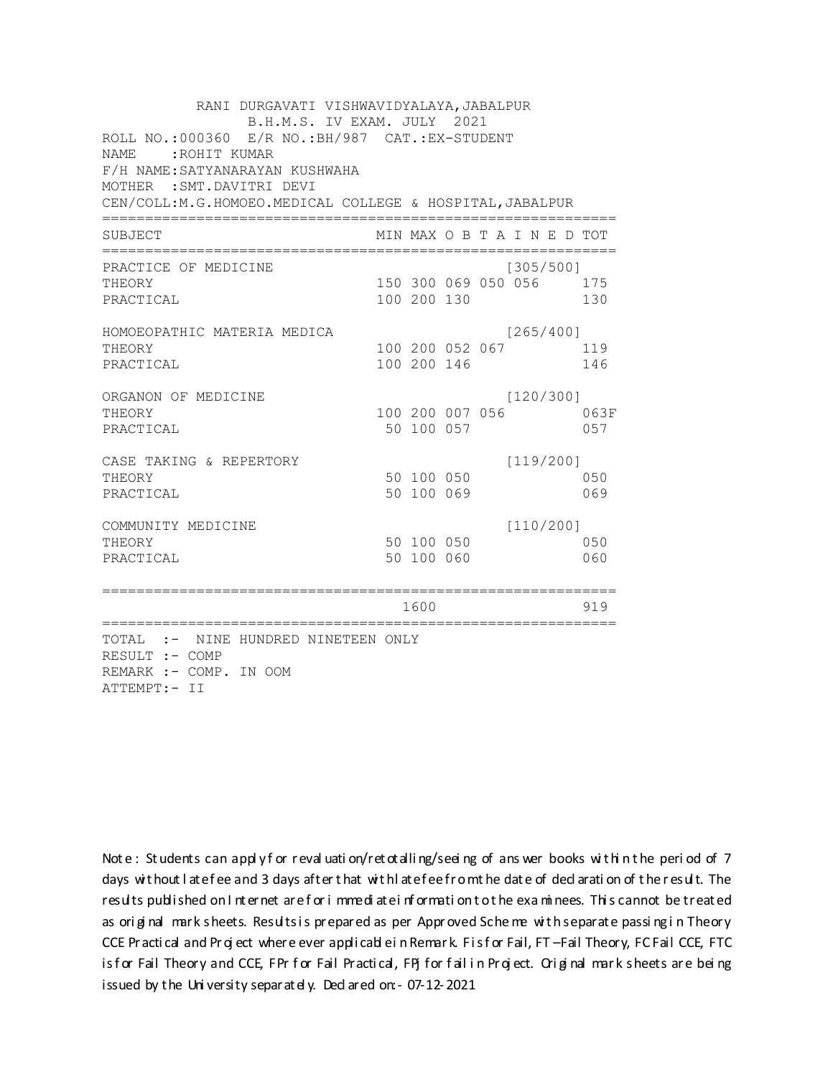RANI DURGAVATI VISHWAVIDYALAYA, JABALPUR B.H.M.S. IV EXAM. JULY 2021 ROLL NO.:000360 E/R NO.: BH/987 CAT.: EX-STUDENT NAME: : ROHIT KUMAR F/H NAME: SATYANARAYAN KUSHWAHA MOTHER : SMT. DAVITRI DEVI CEN/COLL: M.G.HOMOEO. MEDICAL COLLEGE & HOSPITAL, JABALPUR MIN MAX O B T A I N E D TOT SUBJECT PRACTICE OF MEDICINE  $[305/500]$ THEORY 150 300 069 050 056 175 PRACTICAL 100 200 130 130 HOMOEOPATHIC MATERIA MEDICA  $[265/400]$ 100 200 052 067 119 THEORY PRACTICAL 100 200 146 146 ORGANON OF MEDICINE  $[120/300]$ THEORY 100 200 007 056 063F PRACTICAL 50 100 057 057 CASE TAKING & REPERTORY  $[119/200]$ 50 100 050 THEORY 050 50 100 069 PRACTICAL 069  $[110/200]$ COMMUNITY MEDICINE 50 100 050 050 THEORY PRACTICAL 50 100 060 060 1600 1600 919 TOTAL :- NINE HUNDRED NINETEEN ONLY RESULT :- COMP REMARK :- COMP. IN OOM ATTEMPT:- II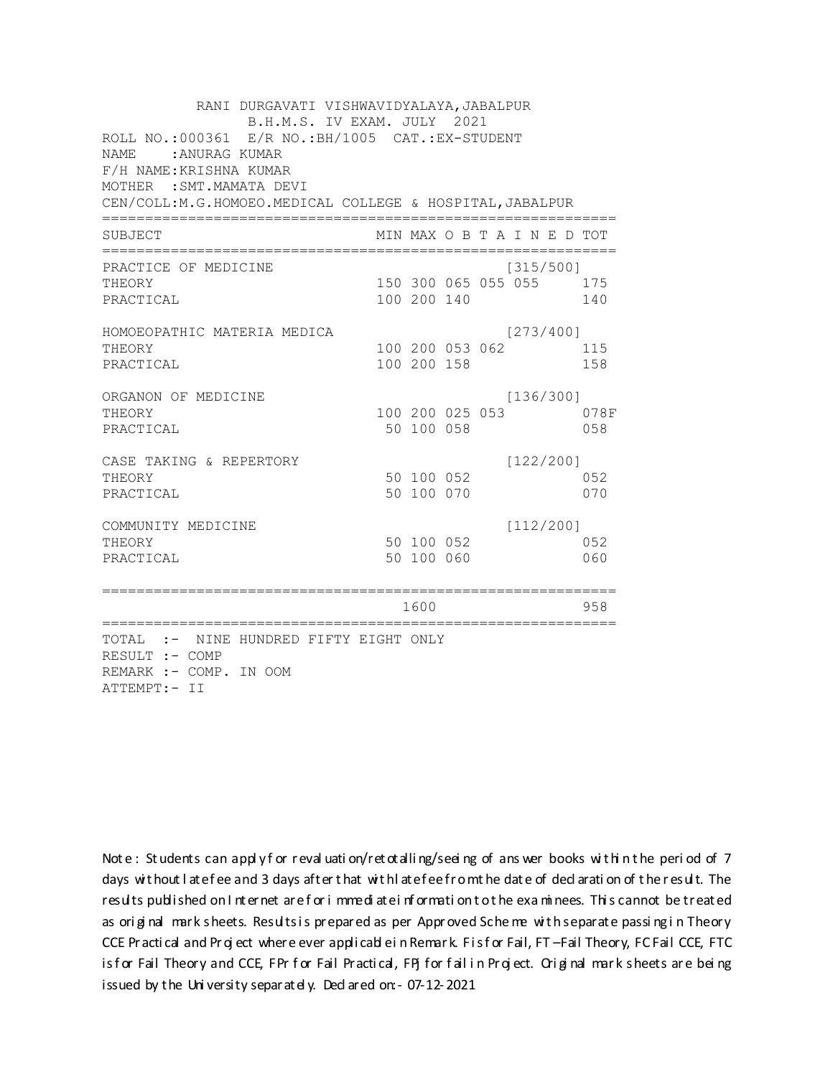RANI DURGAVATI VISHWAVIDYALAYA, JABALPUR B.H.M.S. IV EXAM. JULY 2021 ROLL NO.:000361 E/R NO.: BH/1005 CAT.: EX-STUDENT NAME: : ANURAG KUMAR F/H NAME: KRISHNA KUMAR MOTHER : SMT. MAMATA DEVI CEN/COLL: M.G.HOMOEO. MEDICAL COLLEGE & HOSPITAL, JABALPUR MIN MAX O B T A I N E D TOT SUBJECT  $[315/500]$ PRACTICE OF MEDICINE THEORY 150 300 065 055 055 175 PRACTICAL 100 200 140 140 HOMOEOPATHIC MATERIA MEDICA  $[273/400]$ 100 200 053 062 115 THEORY PRACTICAL 100 200 158 158 ORGANON OF MEDICINE  $[136/300]$ THEORY 100 200 025 053 078F PRACTICAL 50 100 058 058 CASE TAKING & REPERTORY  $[122/200]$ 50 100 052 THEORY 052 50 100 070 PRACTICAL 070  $[112/200]$ COMMUNITY MEDICINE 50 100 052 052 THEORY PRACTICAL 50 100 060 060 1600 1600 958 TOTAL :- NINE HUNDRED FIFTY EIGHT ONLY RESULT :- COMP REMARK :- COMP. IN OOM ATTEMPT:- II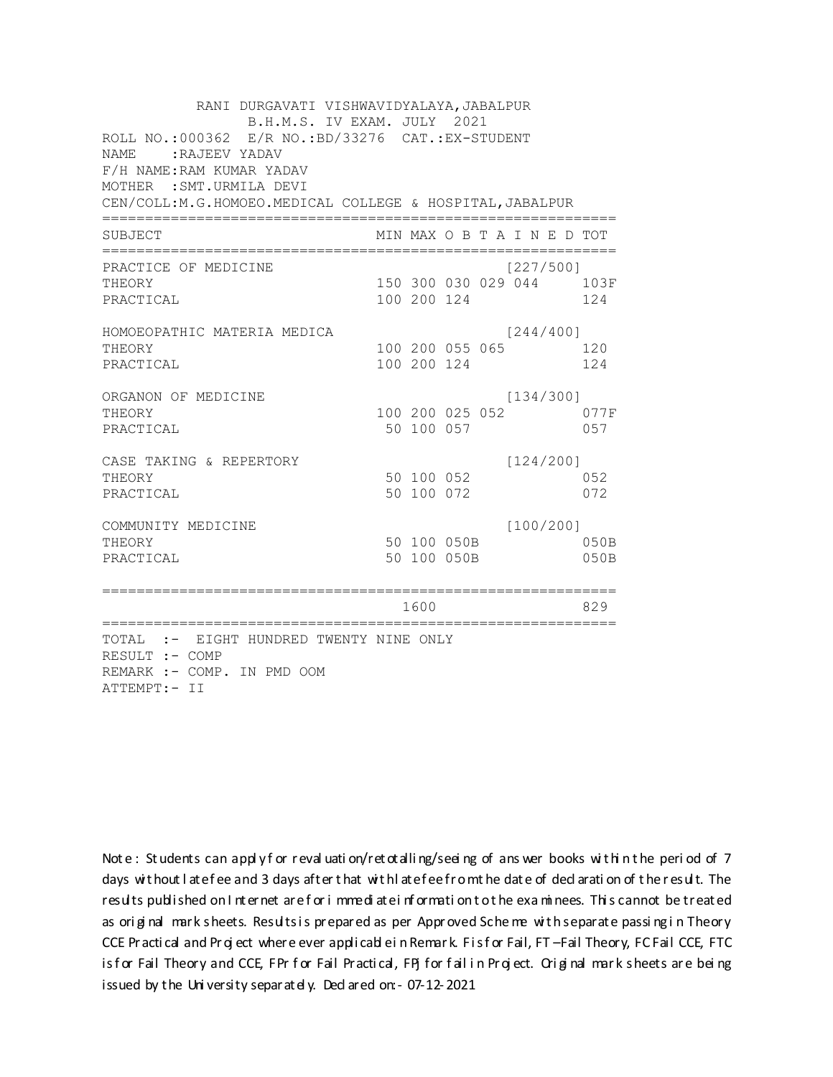RANI DURGAVATI VISHWAVIDYALAYA, JABALPUR B.H.M.S. IV EXAM. JULY 2021 ROLL NO.:000362 E/R NO.:BD/33276 CAT.:EX-STUDENT NAME: : RAJEEV YADAV F/H NAME: RAM KUMAR YADAV MOTHER : SMT. URMILA DEVI CEN/COLL:M.G.HOMOEO.MEDICAL COLLEGE & HOSPITAL, JABALPUR MIN MAX O B T A I N E D TOT SUBJECT  $[227/5001]$ PRACTICE OF MEDICINE 150 300 030 029 044 103F THEORY PRACTICAL 100 200 124 124 HOMOEOPATHIC MATERIA MEDICA  $[244/400]$ 100 200 055 065 120 THEORY PRACTICAL 100 200 124 124 ORGANON OF MEDICINE  $[134/300]$ THEORY 100 200 025 052 077F PRACTICAL 50 100 057 057 CASE TAKING & REPERTORY  $[124/200]$ 50 100 052 THEORY 052 50 100 072 PRACTICAL 072  $[100/200]$ COMMUNITY MEDICINE 50 100 050B 050B THEORY PRACTICAL 50 100 050B 050B 829 TOTAL :- EIGHT HUNDRED TWENTY NINE ONLY RESULT :- COMP REMARK :- COMP. IN PMD OOM ATTEMPT:- II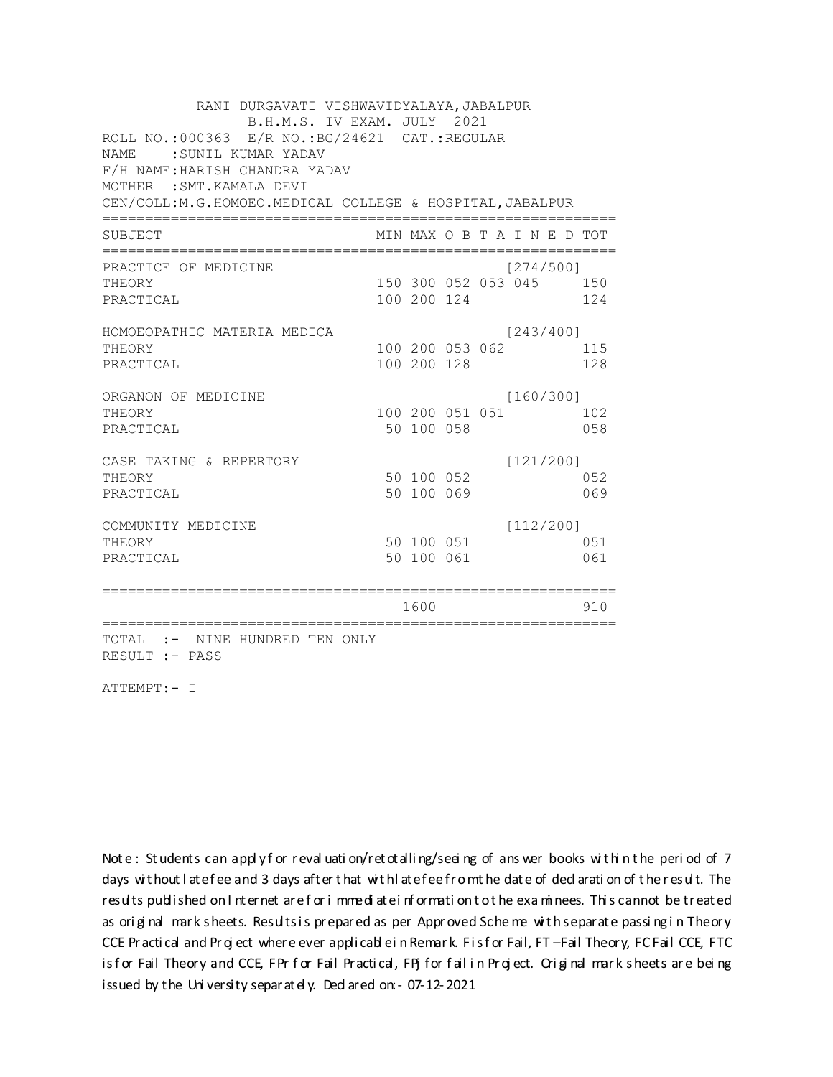| RANI DURGAVATI VISHWAVIDYALAYA, JABALPUR<br>B.H.M.S. IV EXAM. JULY 2021 |  |             |                 |  |                             |  |     |  |  |  |
|-------------------------------------------------------------------------|--|-------------|-----------------|--|-----------------------------|--|-----|--|--|--|
| ROLL NO.:000363 E/R NO.: BG/24621 CAT.: REGULAR                         |  |             |                 |  |                             |  |     |  |  |  |
| : SUNIL KUMAR YADAV<br><b>NAME</b>                                      |  |             |                 |  |                             |  |     |  |  |  |
| F/H NAME: HARISH CHANDRA YADAV                                          |  |             |                 |  |                             |  |     |  |  |  |
| MOTHER : SMT. KAMALA DEVI                                               |  |             |                 |  |                             |  |     |  |  |  |
| CEN/COLL:M.G.HOMOEO.MEDICAL COLLEGE & HOSPITAL, JABALPUR                |  |             |                 |  |                             |  |     |  |  |  |
| SUBJECT                                                                 |  |             |                 |  | MIN MAX O B T A I N E D TOT |  |     |  |  |  |
| PRACTICE OF MEDICINE                                                    |  |             |                 |  | [274/500]                   |  |     |  |  |  |
| THEORY                                                                  |  |             |                 |  | 150 300 052 053 045 150     |  |     |  |  |  |
| PRACTICAL                                                               |  | 100 200 124 |                 |  |                             |  | 124 |  |  |  |
| HOMOEOPATHIC MATERIA MEDICA                                             |  |             |                 |  | [243/400]                   |  |     |  |  |  |
| THEORY                                                                  |  |             | 100 200 053 062 |  |                             |  | 115 |  |  |  |
| PRACTICAL                                                               |  | 100 200 128 |                 |  |                             |  | 128 |  |  |  |
| ORGANON OF MEDICINE                                                     |  |             |                 |  | [160/300]                   |  |     |  |  |  |
| THEORY                                                                  |  |             | 100 200 051 051 |  |                             |  | 102 |  |  |  |
| PRACTICAL                                                               |  | 50 100 058  |                 |  |                             |  | 058 |  |  |  |
| CASE TAKING & REPERTORY                                                 |  |             |                 |  | [121/200]                   |  |     |  |  |  |
| THEORY                                                                  |  | 50 100 052  |                 |  |                             |  | 052 |  |  |  |
| PRACTICAL                                                               |  | 50 100 069  |                 |  |                             |  | 069 |  |  |  |
| COMMUNITY MEDICINE                                                      |  |             |                 |  | [112/200]                   |  |     |  |  |  |
| THEORY                                                                  |  | 50 100 051  |                 |  |                             |  | 051 |  |  |  |
| PRACTICAL                                                               |  | 50 100 061  |                 |  |                             |  | 061 |  |  |  |
|                                                                         |  |             |                 |  |                             |  |     |  |  |  |
|                                                                         |  | 1600        |                 |  |                             |  | 910 |  |  |  |
| TOTAL :- NINE HUNDRED TEN ONLY<br>RESULT :- PASS                        |  |             |                 |  |                             |  |     |  |  |  |
|                                                                         |  |             |                 |  |                             |  |     |  |  |  |

ATTEMPT:- I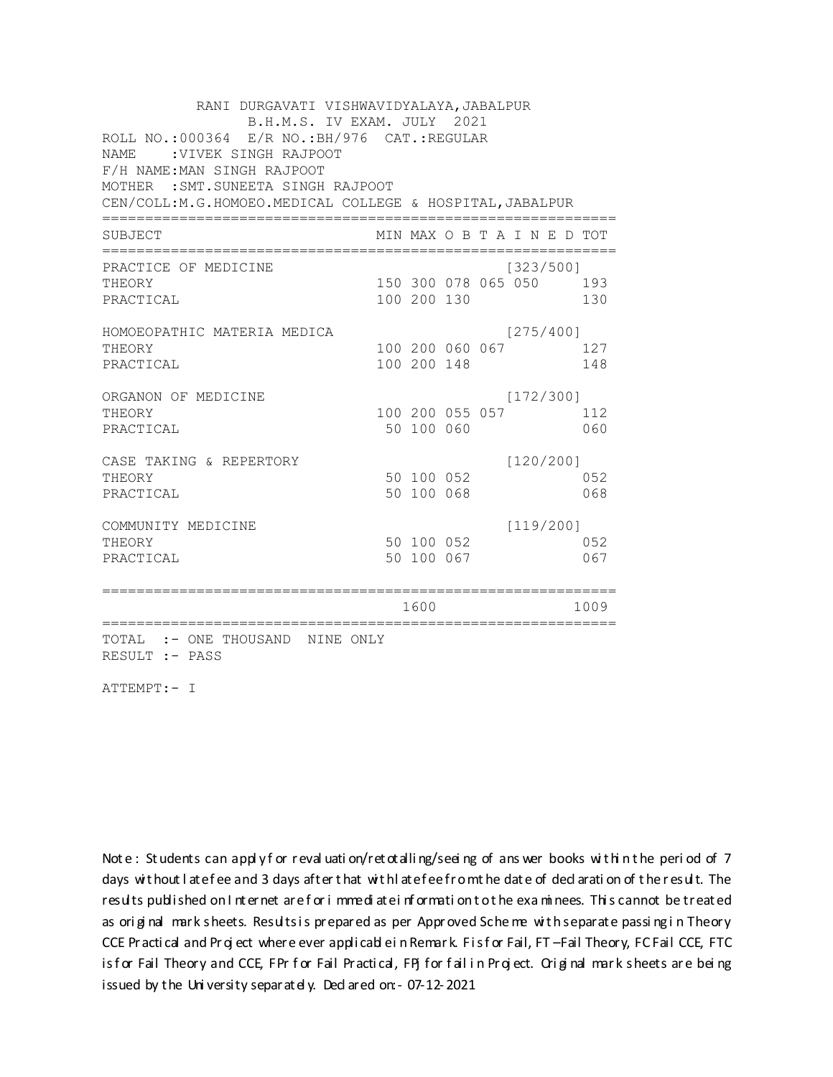| RANI DURGAVATI VISHWAVIDYALAYA, JABALPUR                 |  |                 |  |  |                             |  |      |  |  |  |
|----------------------------------------------------------|--|-----------------|--|--|-----------------------------|--|------|--|--|--|
| B.H.M.S. IV EXAM. JULY 2021                              |  |                 |  |  |                             |  |      |  |  |  |
| ROLL NO.:000364 E/R NO.: BH/976 CAT.: REGULAR            |  |                 |  |  |                             |  |      |  |  |  |
| :VIVEK SINGH RAJPOOT<br><b>NAME</b>                      |  |                 |  |  |                             |  |      |  |  |  |
| F/H NAME: MAN SINGH RAJPOOT                              |  |                 |  |  |                             |  |      |  |  |  |
| MOTHER : SMT. SUNEETA SINGH RAJPOOT                      |  |                 |  |  |                             |  |      |  |  |  |
| CEN/COLL:M.G.HOMOEO.MEDICAL COLLEGE & HOSPITAL, JABALPUR |  |                 |  |  |                             |  |      |  |  |  |
| SUBJECT                                                  |  |                 |  |  | MIN MAX O B T A I N E D TOT |  |      |  |  |  |
| PRACTICE OF MEDICINE                                     |  |                 |  |  | [323/500]                   |  |      |  |  |  |
| THEORY                                                   |  |                 |  |  | 150 300 078 065 050 193     |  |      |  |  |  |
| PRACTICAL                                                |  | 100 200 130     |  |  |                             |  | 130  |  |  |  |
| HOMOEOPATHIC MATERIA MEDICA                              |  |                 |  |  | [275/400]                   |  |      |  |  |  |
| THEORY                                                   |  | 100 200 060 067 |  |  |                             |  | 127  |  |  |  |
| PRACTICAL                                                |  | 100 200 148     |  |  |                             |  | 148  |  |  |  |
| ORGANON OF MEDICINE                                      |  |                 |  |  | [172/300]                   |  |      |  |  |  |
| THEORY                                                   |  | 100 200 055 057 |  |  |                             |  | 112  |  |  |  |
| PRACTICAL                                                |  | 50 100 060      |  |  |                             |  | 060  |  |  |  |
| CASE TAKING & REPERTORY                                  |  |                 |  |  | [120/200]                   |  |      |  |  |  |
| THEORY                                                   |  | 50 100 052      |  |  |                             |  | 0.52 |  |  |  |
| PRACTICAL                                                |  | 50 100 068      |  |  |                             |  | 068  |  |  |  |
| COMMUNITY MEDICINE                                       |  |                 |  |  | [119/200]                   |  |      |  |  |  |
| THEORY                                                   |  | 50 100 052      |  |  |                             |  | 052  |  |  |  |
| PRACTICAL                                                |  | 50 100 067      |  |  |                             |  | 067  |  |  |  |
| ======================                                   |  |                 |  |  |                             |  |      |  |  |  |
|                                                          |  | 1600            |  |  |                             |  | 1009 |  |  |  |
| TOTAL :- ONE THOUSAND NINE ONLY<br>RESULT :- PASS        |  |                 |  |  |                             |  |      |  |  |  |

ATTEMPT:- I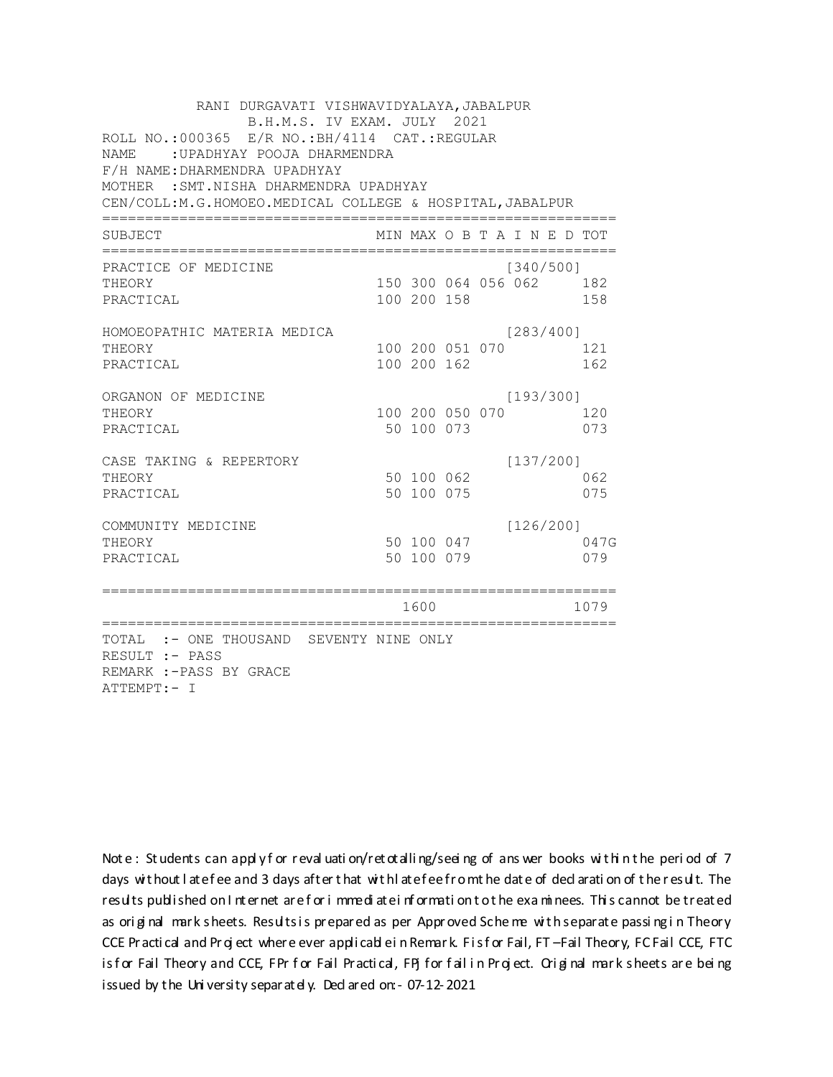| RANI DURGAVATI VISHWAVIDYALAYA, JABALPUR<br>B.H.M.S. IV EXAM. JULY 2021<br>ROLL NO.: 000365 E/R NO.: BH/4114 CAT.: REGULAR<br>NAME : UPADHYAY POOJA DHARMENDRA<br>F/H NAME: DHARMENDRA UPADHYAY<br>MOTHER : SMT. NISHA DHARMENDRA UPADHYAY<br>CEN/COLL: M. G. HOMOEO. MEDICAL COLLEGE & HOSPITAL, JABALPUR |  |                                |  |  |                                      |  |             |
|------------------------------------------------------------------------------------------------------------------------------------------------------------------------------------------------------------------------------------------------------------------------------------------------------------|--|--------------------------------|--|--|--------------------------------------|--|-------------|
|                                                                                                                                                                                                                                                                                                            |  |                                |  |  |                                      |  |             |
| PRACTICE OF MEDICINE<br>THEORY<br>PRACTICAL                                                                                                                                                                                                                                                                |  | 100 200 158                    |  |  | [340/500]<br>150 300 064 056 062 182 |  | 158         |
| HOMOEOPATHIC MATERIA MEDICA<br>THEORY<br>PRACTICAL                                                                                                                                                                                                                                                         |  | 100 200 051 070<br>100 200 162 |  |  | [283/400]                            |  | 121<br>162  |
| ORGANON OF MEDICINE<br>THEORY<br>PRACTICAL                                                                                                                                                                                                                                                                 |  | 100 200 050 070<br>50 100 073  |  |  | [193/300]                            |  | 120<br>073  |
| CASE TAKING & REPERTORY<br>THEORY<br>PRACTICAL                                                                                                                                                                                                                                                             |  | 50 100 062<br>50 100 075       |  |  | [137/200]                            |  | 062<br>075  |
| COMMUNITY MEDICINE<br>THEORY<br>PRACTICAL                                                                                                                                                                                                                                                                  |  | 50 100 047<br>50 100 079       |  |  | [126/200]                            |  | 047G<br>079 |
|                                                                                                                                                                                                                                                                                                            |  | 1600                           |  |  |                                      |  | 1079        |
| TOTAL :- ONE THOUSAND SEVENTY NINE ONLY<br>RESULT :- PASS<br>REMARK :- PASS BY GRACE<br>ATTEMPT:- I                                                                                                                                                                                                        |  |                                |  |  |                                      |  |             |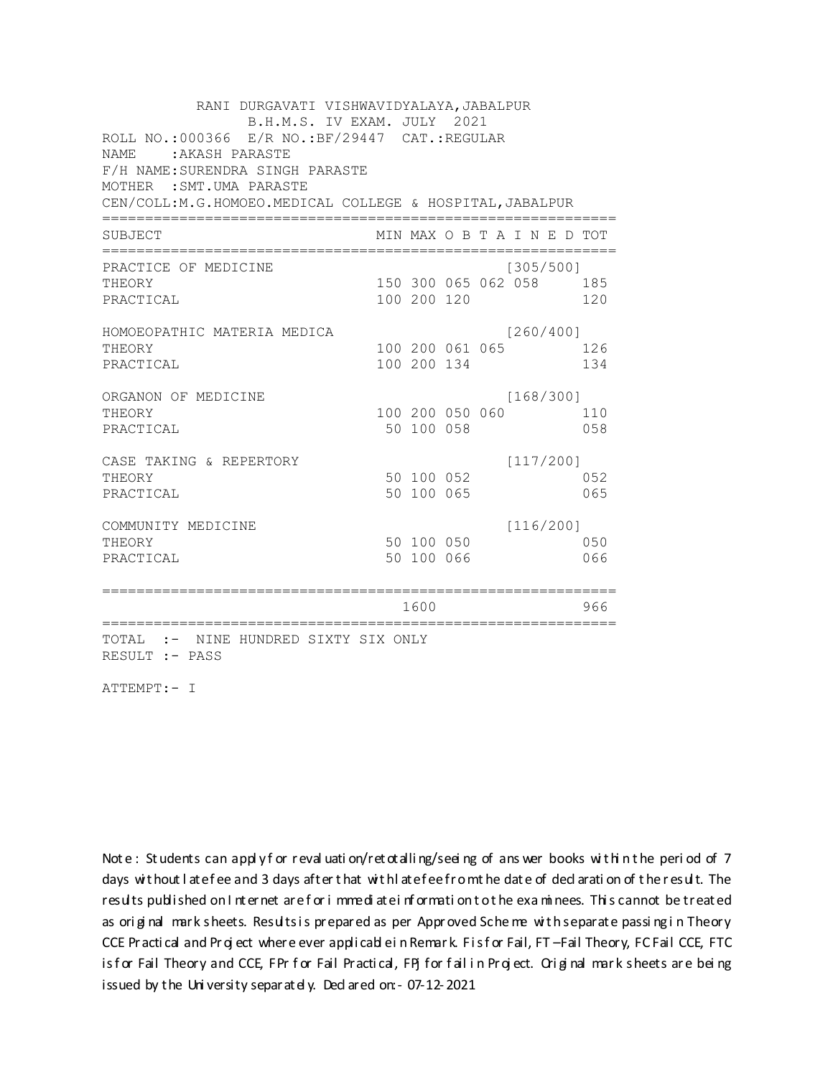RANI DURGAVATI VISHWAVIDYALAYA, JABALPUR B.H.M.S. IV EXAM. JULY 2021 ROLL NO.:000366 E/R NO.: BF/29447 CAT.: REGULAR NAME : AKASH PARASTE F/H NAME: SURENDRA SINGH PARASTE MOTHER : SMT.UMA PARASTE CEN/COLL:M.G.HOMOEO.MEDICAL COLLEGE & HOSPITAL, JABALPUR MIN MAX O B T A I N E D TOT SUBJECT PRACTICE OF MEDICINE  $[305/500]$ THEORY 150 300 065 062 058 185 PRACTICAL 100 200 120 120 HOMOEOPATHIC MATERIA MEDICA  $[260/400]$ 100 200 061 065 126 THEORY PRACTICAL 100 200 134 134 ORGANON OF MEDICINE  $[168/300]$ THEORY 100 200 050 060 110 PRACTICAL 50 100 058 058 CASE TAKING & REPERTORY  $[117/200]$ 50 100 052 THEORY 052 50 100 065 PRACTICAL 065  $[116/200]$ COMMUNITY MEDICINE 50 100 050 050 THEORY PRACTICAL 50 100 066 066 1600 1600 - 966 TOTAL :- NINE HUNDRED SIXTY SIX ONLY RESULT :- PASS

ATTEMPT:- I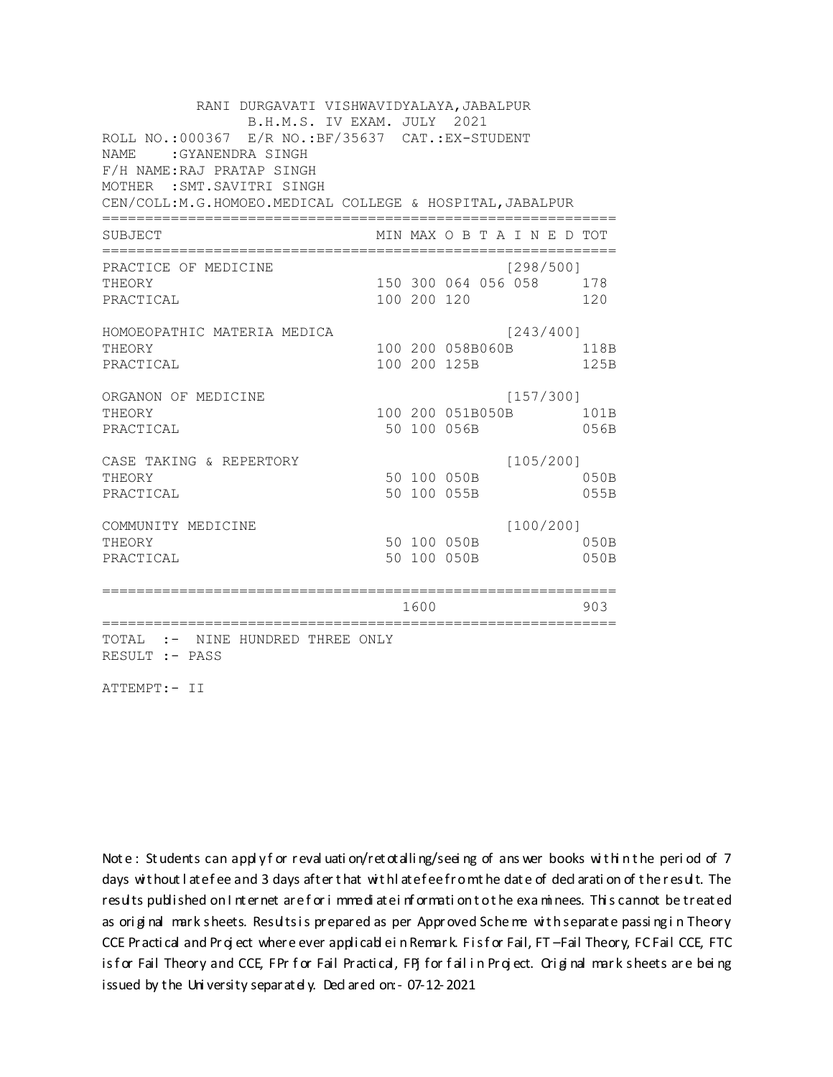RANI DURGAVATI VISHWAVIDYALAYA, JABALPUR B.H.M.S. IV EXAM. JULY 2021 ROLL NO.:000367 E/R NO.: BF/35637 CAT.: EX-STUDENT NAME: GYANENDRA SINGH F/H NAME: RAJ PRATAP SINGH MOTHER : SMT. SAVITRI SINGH CEN/COLL:M.G.HOMOEO.MEDICAL COLLEGE & HOSPITAL, JABALPUR MIN MAX O B T A I N E D TOT SUBJECT PRACTICE OF MEDICINE  $[298/500]$ 150 300 064 056 058 178 THEORY PRACTICAL 100 200 120 120 HOMOEOPATHIC MATERIA MEDICA [243/400] 100 200 058B060B 118B THEORY PRACTICAL 100 200 125B 125B ORGANON OF MEDICINE  $[157/300]$ THEORY 100 200 051B050B 101B PRACTICAL 50 100 056B 056B  $[105/200]$ CASE TAKING & REPERTORY 50 100 050B THEORY  $050B$ PRACTICAL 50 100 055B 055B  $[100/200]$ COMMUNITY MEDICINE 50 100 050B 050B THEORY PRACTICAL 50 100 050B 050B 1600 1600 903 TOTAL :- NINE HUNDRED THREE ONLY RESULT :- PASS

ATTEMPT:- II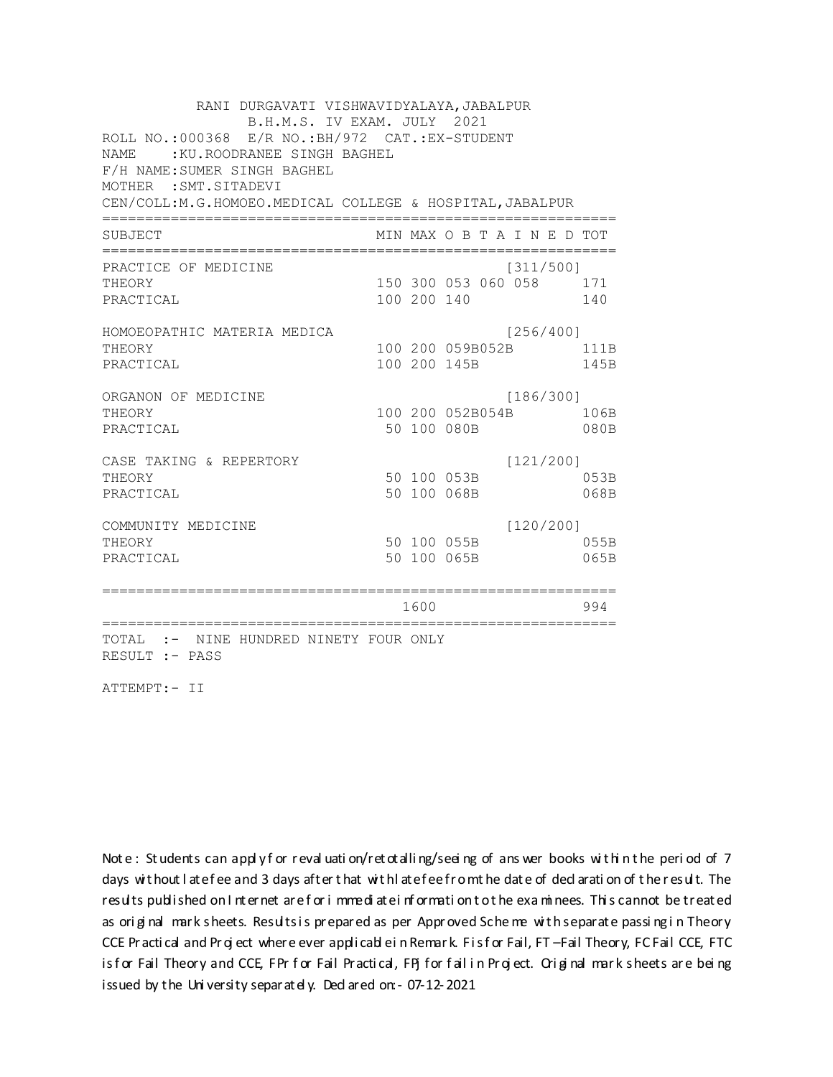RANI DURGAVATI VISHWAVIDYALAYA, JABALPUR B.H.M.S. IV EXAM. JULY 2021 ROLL NO.: 000368 E/R NO.: BH/972 CAT.: EX-STUDENT NAME : KU. ROODRANEE SINGH BAGHEL F/H NAME: SUMER SINGH BAGHEL MOTHER : SMT. SITADEVI CEN/COLL:M.G.HOMOEO.MEDICAL COLLEGE & HOSPITAL, JABALPUR MIN MAX O B T A I N E D TOT SUBJECT PRACTICE OF MEDICINE  $[311/500]$ 150 300 053 060 058 171 THEORY PRACTICAL 100 200 140 140 HOMOEOPATHIC MATERIA MEDICA [256/400] 100 200 059B052B 111B THEORY PRACTICAL 100 200 145B 145B ORGANON OF MEDICINE  $[186/300]$ THEORY 100 200 052B054B 106B PRACTICAL 50 100 080B  $080B$ CASE TAKING & REPERTORY  $[121/200]$ 50 100 053B THEORY 053B PRACTICAL 50 100 068B 068B  $[120/200]$ COMMUNITY MEDICINE 50 100 055B 055B THEORY PRACTICAL 50 100 065B 065B 1600 1600 994 TOTAL :- NINE HUNDRED NINETY FOUR ONLY RESULT :- PASS

ATTEMPT:- II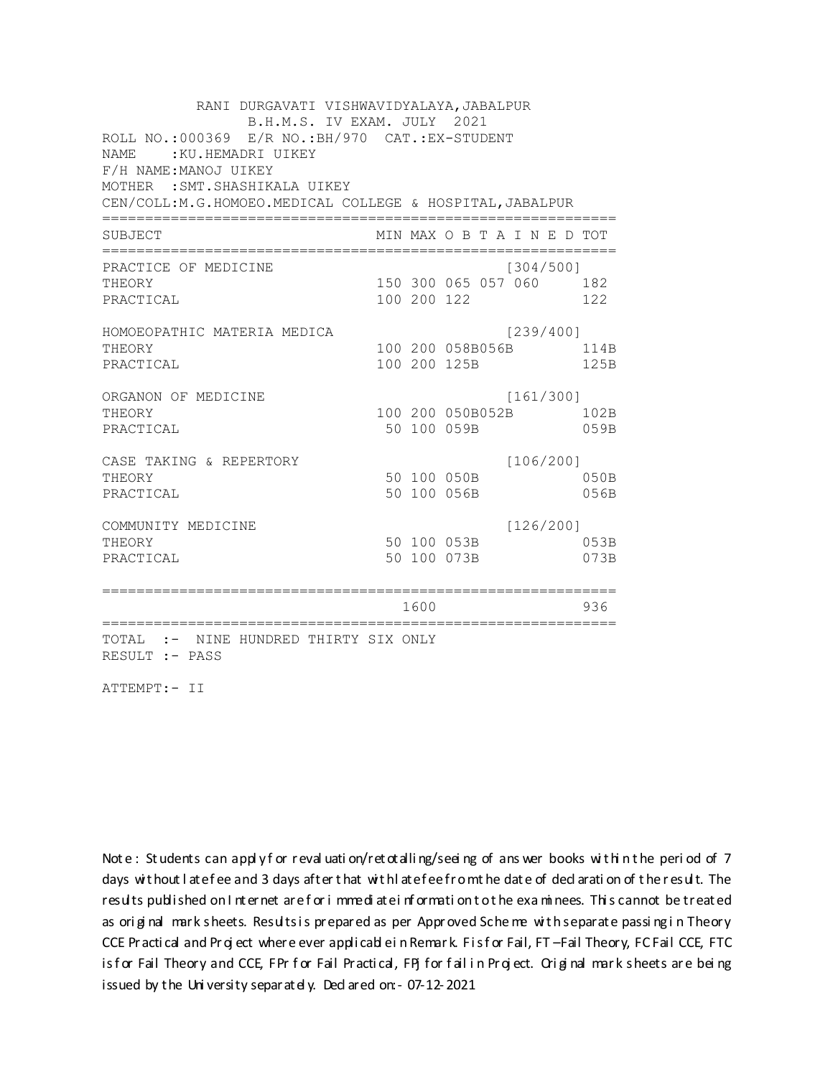RANI DURGAVATI VISHWAVIDYALAYA, JABALPUR B.H.M.S. IV EXAM. JULY 2021 ROLL NO.:000369 E/R NO.: BH/970 CAT.: EX-STUDENT NAME: : KU.HEMADRI UIKEY F/H NAME: MANOJ UIKEY MOTHER : SMT. SHASHIKALA UIKEY CEN/COLL:M.G.HOMOEO.MEDICAL COLLEGE & HOSPITAL, JABALPUR MIN MAX O B T A I N E D TOT SUBJECT PRACTICE OF MEDICINE  $[304/500]$ 150 300 065 057 060 182 THEORY PRACTICAL 100 200 122 122 HOMOEOPATHIC MATERIA MEDICA [239/400] 100 200 058B056B 114B THEORY PRACTICAL 100 200 125B 125B ORGANON OF MEDICINE  $[161/300]$ THEORY 100 200 050B052B 102B PRACTICAL 50 100 059B 059B CASE TAKING & REPERTORY  $[106/200]$ 50 100 050B THEORY  $050B$ PRACTICAL 50 100 056B 056B  $[126/200]$ COMMUNITY MEDICINE 50 100 053B 053B THEORY PRACTICAL 50 100 073B 073B 1600 1600 936 TOTAL :- NINE HUNDRED THIRTY SIX ONLY RESULT :- PASS

ATTEMPT:- II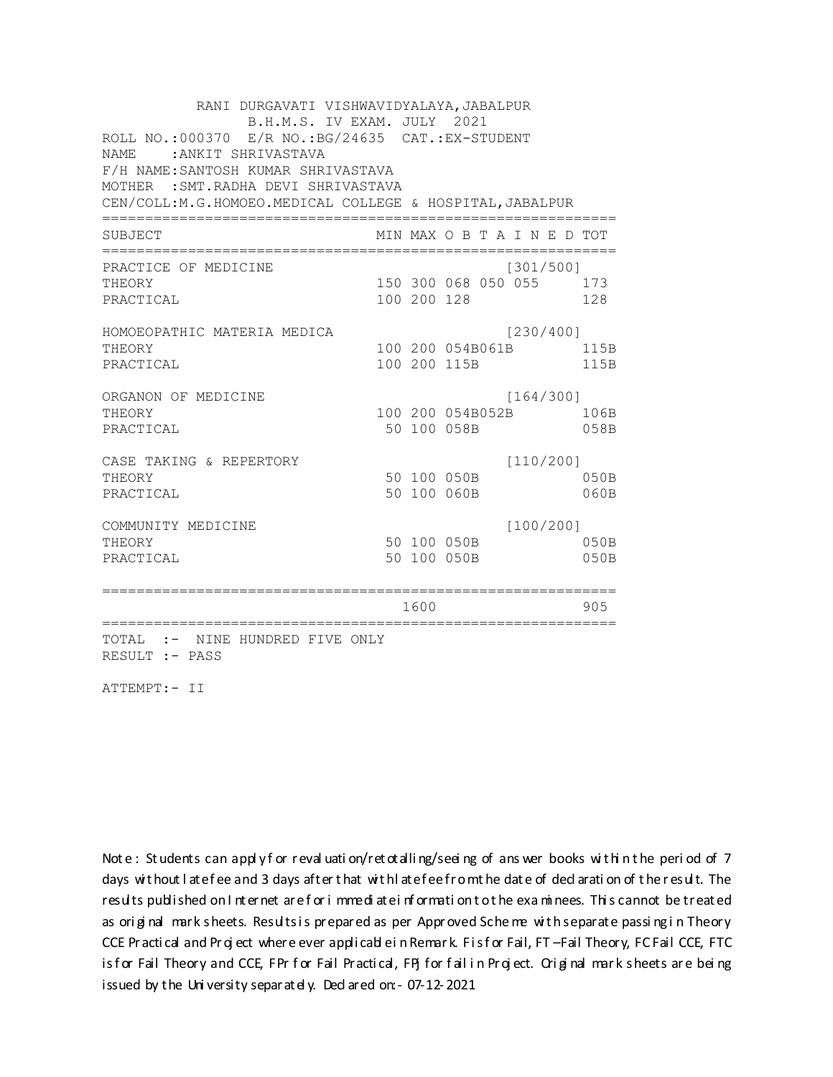RANI DURGAVATI VISHWAVIDYALAYA, JABALPUR B.H.M.S. IV EXAM. JULY 2021 ROLL NO.:000370 E/R NO.:BG/24635 CAT.:EX-STUDENT NAME :ANKIT SHRIVASTAVA F/H NAME:SANTOSH KUMAR SHRIVASTAVA MOTHER :SMT.RADHA DEVI SHRIVASTAVA CEN/COLL:M.G.HOMOEO.MEDICAL COLLEGE & HOSPITAL,JABALPUR ============================================================ SUBJECT MIN MAX O B T A I N E D TOT ============================================================ PRACTICE OF MEDICINE [301/500] THEORY 150 300 068 050 055 173 PRACTICAL 100 200 128 128 HOMOEOPATHIC MATERIA MEDICA [230/400] THEORY 100 200 054B061B 115B PRACTICAL 100 200 115B 115B ORGANON OF MEDICINE [164/300] THEORY 106B 106B 100 200 054B052B 106B PRACTICAL 50 100 058B 058B CASE TAKING & REPERTORY [110/200] THEORY 50 100 050B 050B PRACTICAL 50 100 060B 060B COMMUNITY MEDICINE [100/200] THEORY 50 100 050B 050B PRACTICAL 50 100 050B 050B ============================================================ 1600 905 ============================================================ TOTAL :- NINE HUNDRED FIVE ONLY RESULT :- PASS

ATTEMPT:- II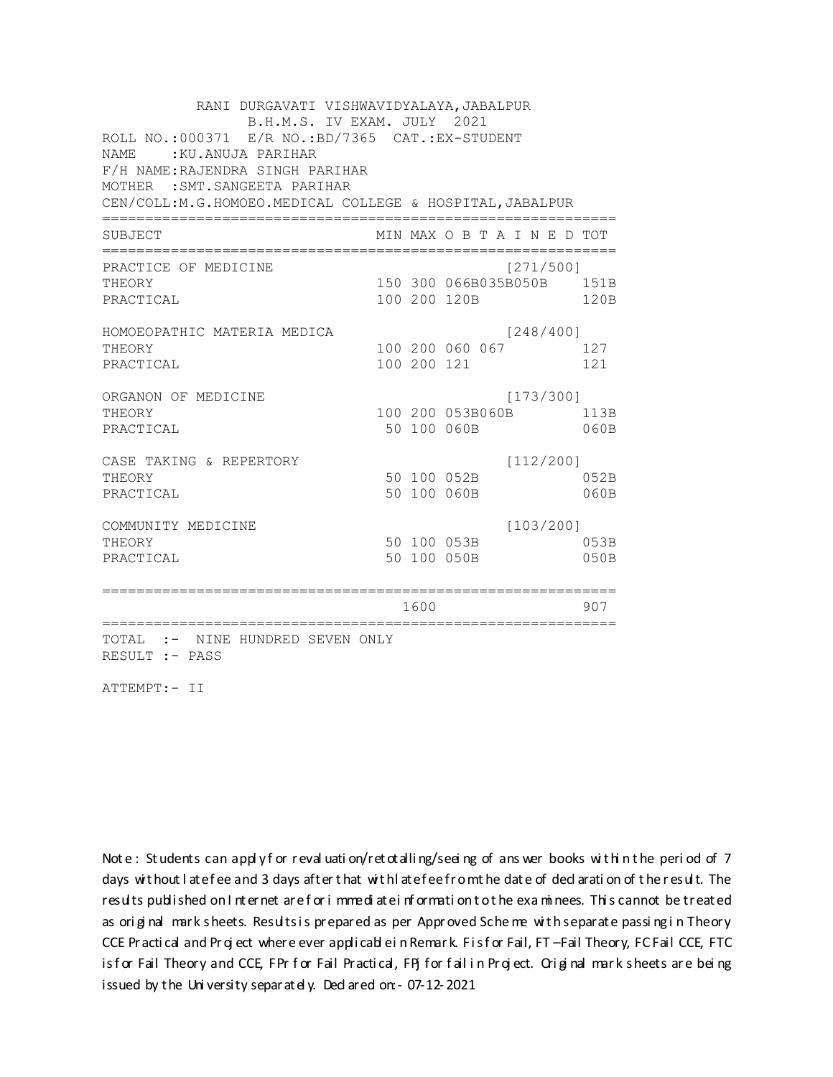RANI DURGAVATI VISHWAVIDYALAYA, JABALPUR B.H.M.S. IV EXAM. JULY 2021 ROLL NO.:000371 E/R NO.:BD/7365 CAT.:EX-STUDENT NAME :KU.ANUJA PARIHAR F/H NAME:RAJENDRA SINGH PARIHAR MOTHER :SMT.SANGEETA PARIHAR CEN/COLL:M.G.HOMOEO.MEDICAL COLLEGE & HOSPITAL,JABALPUR ============================================================ SUBJECT MIN MAX O B T A I N E D TOT ============================================================ PRACTICE OF MEDICINE (271/500) THEORY 150 300 066B035B050B 151B PRACTICAL 100 200 120B 120B HOMOEOPATHIC MATERIA MEDICA [248/400] THEORY 100 200 060 067 127 PRACTICAL 100 200 121 121 ORGANON OF MEDICINE [173/300] THEORY 100 200 053B060B 113B PRACTICAL 50 100 060B 060B CASE TAKING & REPERTORY [112/200] THEORY 50 100 052B 052B PRACTICAL 50 100 060B 060B COMMUNITY MEDICINE [103/200] THEORY 50 100 053B 053B PRACTICAL 50 100 050B 050B ============================================================ 1600 907 ============================================================ TOTAL :- NINE HUNDRED SEVEN ONLY RESULT :- PASS

ATTEMPT:- II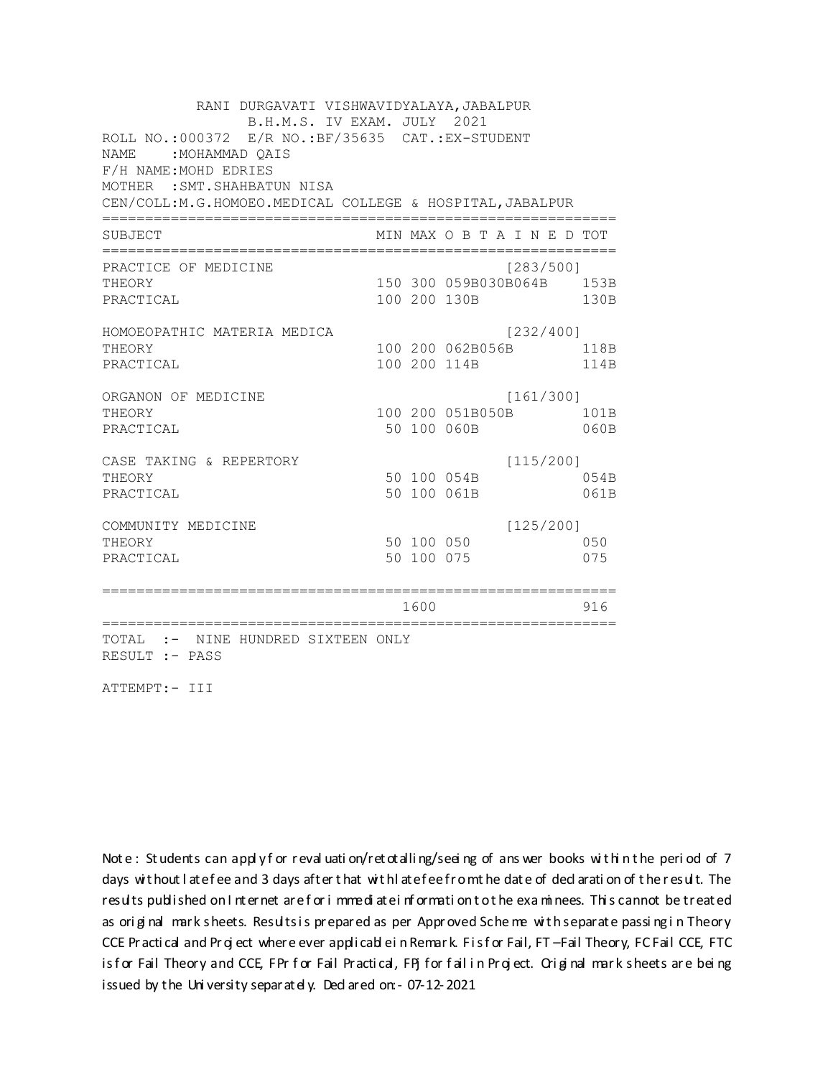RANI DURGAVATI VISHWAVIDYALAYA, JABALPUR B.H.M.S. IV EXAM. JULY 2021 ROLL NO.: 000372 E/R NO.: BF/35635 CAT.: EX-STUDENT NAME: MOHAMMAD OAIS F/H NAME: MOHD EDRIES MOTHER : SMT. SHAHBATUN NISA CEN/COLL:M.G.HOMOEO.MEDICAL COLLEGE & HOSPITAL, JABALPUR MIN MAX O B T A I N E D TOT SUBJECT PRACTICE OF MEDICINE  $[283/500]$ 150 300 059B030B064B 153B **THEORY** PRACTICAL 100 200 130B 130B HOMOEOPATHIC MATERIA MEDICA [232/400] 100 200 062B056B 118B THEORY PRACTICAL 100 200 114B 114B ORGANON OF MEDICINE  $[161/300]$ THEORY 100 200 051B050B 101B PRACTICAL 50 100 060B 060B  $[115/200]$ CASE TAKING & REPERTORY 50 100 054B THEORY 054B PRACTICAL 50 100 061B 061B  $[125/200]$ COMMUNITY MEDICINE 50 100 050 050 THEORY PRACTICAL 50 100 075 075 1600 1600 916 TOTAL :- NINE HUNDRED SIXTEEN ONLY RESULT :- PASS

ATTEMPT:- III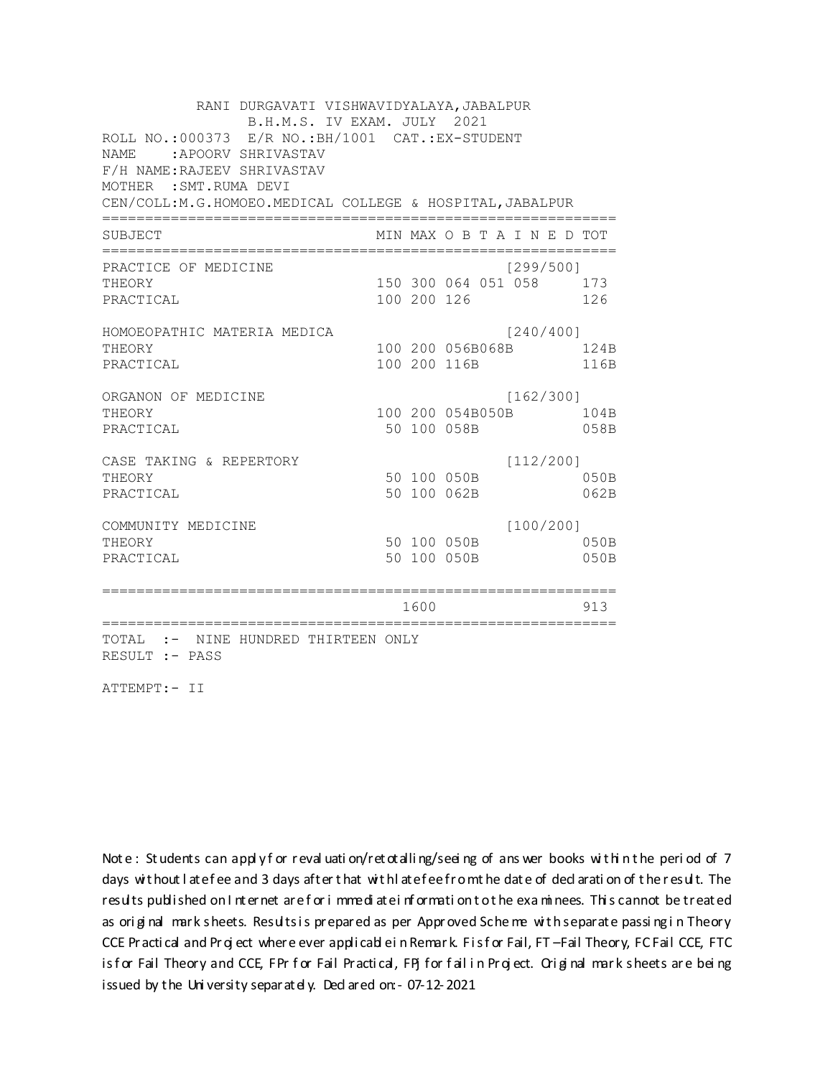| RANI DURGAVATI VISHWAVIDYALAYA, JABALPUR<br>B.H.M.S. IV EXAM. JULY 2021                                                                     |  |             |                            |                               |              |
|---------------------------------------------------------------------------------------------------------------------------------------------|--|-------------|----------------------------|-------------------------------|--------------|
| ROLL NO.: 000373 E/R NO.: BH/1001 CAT.: EX-STUDENT<br>NAME.<br>APOORV SHRIVASTAV:<br>F/H NAME: RAJEEV SHRIVASTAV<br>MOTHER : SMT. RUMA DEVI |  |             |                            |                               |              |
| CEN/COLL:M.G.HOMOEO.MEDICAL COLLEGE & HOSPITAL, JABALPUR                                                                                    |  |             |                            |                               |              |
| SUBJECT                                                                                                                                     |  |             |                            | MIN MAX O B T A I N E D TOT   |              |
| PRACTICE OF MEDICINE                                                                                                                        |  |             |                            | [299/500]                     |              |
| THEORY<br>PRACTICAL                                                                                                                         |  | 100 200 126 |                            | 150 300 064 051 058 173       | 126          |
| HOMOEOPATHIC MATERIA MEDICA                                                                                                                 |  |             |                            | [240/400]                     |              |
| THEORY<br>PRACTICAL                                                                                                                         |  |             | 100 200 116B               | 100 200 056B068B              | 124B<br>116B |
| ORGANON OF MEDICINE<br>THEORY<br>PRACTICAL                                                                                                  |  |             | 50 100 058B                | [162/300]<br>100 200 054B050B | 104B<br>058B |
| CASE TAKING & REPERTORY<br>THEORY<br>PRACTICAL                                                                                              |  |             | 50 100 050B<br>50 100 062B | [112/200]                     | 050B<br>062B |
| COMMUNITY MEDICINE<br>THEORY<br>PRACTICAL                                                                                                   |  |             | 50 100 050B<br>50 100 050B | [100/200]                     | 050B<br>050B |
|                                                                                                                                             |  | 1600        |                            |                               | 913          |
| TOTAL :- NINE HUNDRED THIRTEEN ONLY<br>RESULT :- PASS                                                                                       |  |             |                            |                               |              |

ATTEMPT:- II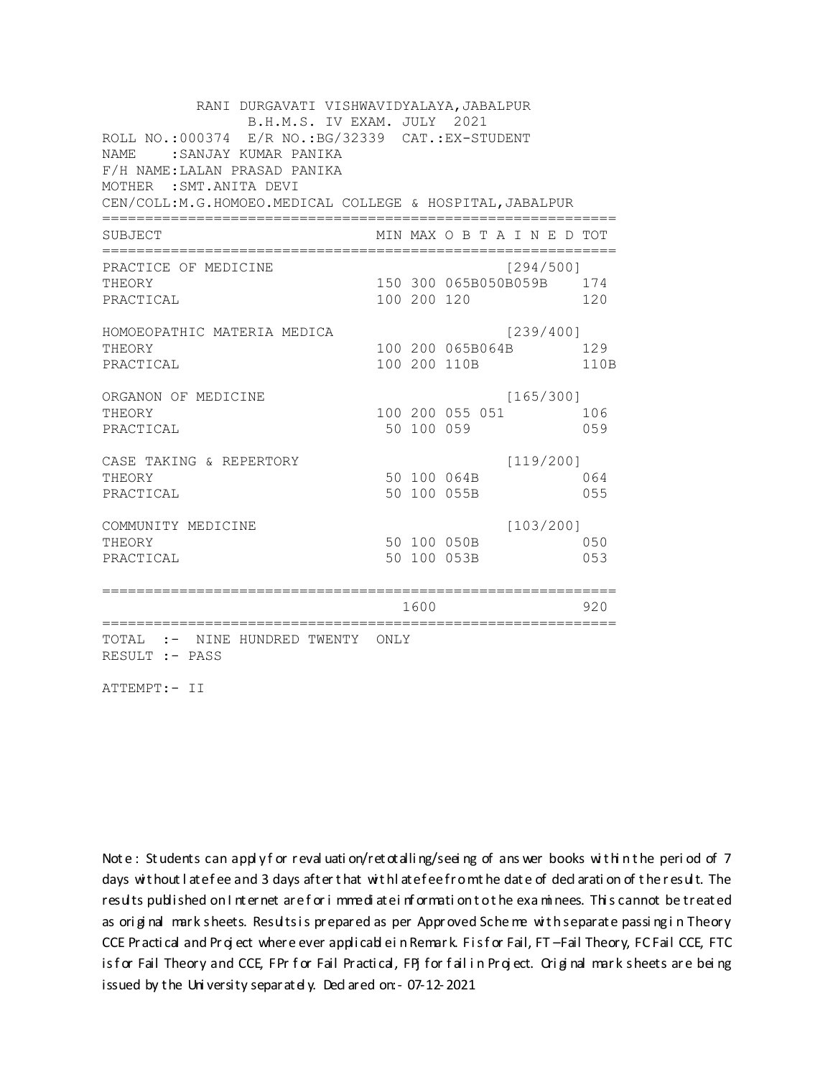RANI DURGAVATI VISHWAVIDYALAYA, JABALPUR B.H.M.S. IV EXAM. JULY 2021 ROLL NO.:000374 E/R NO.:BG/32339 CAT.:EX-STUDENT NAME :SANJAY KUMAR PANIKA F/H NAME:LALAN PRASAD PANIKA MOTHER :SMT.ANITA DEVI CEN/COLL:M.G.HOMOEO.MEDICAL COLLEGE & HOSPITAL,JABALPUR ============================================================ SUBJECT MIN MAX O B T A I N E D TOT ============================================================ PRACTICE OF MEDICINE (294/500] THEORY 150 300 065B050B059B 174 PRACTICAL 100 200 120 120 HOMOEOPATHIC MATERIA MEDICA [239/400] THEORY 100 200 065B064B 129 PRACTICAL 100 200 110B 110B ORGANON OF MEDICINE [165/300] THEORY 100 200 055 051 106 PRACTICAL 50 100 059 059 CASE TAKING & REPERTORY [119/200] THEORY 50 100 064B 064 PRACTICAL 50 100 055B 055 COMMUNITY MEDICINE [103/200] THEORY 50 100 050B 050 PRACTICAL 50 100 053B 053 ============================================================ 1600 920 ============================================================ TOTAL :- NINE HUNDRED TWENTY ONLY RESULT :- PASS

ATTEMPT:- II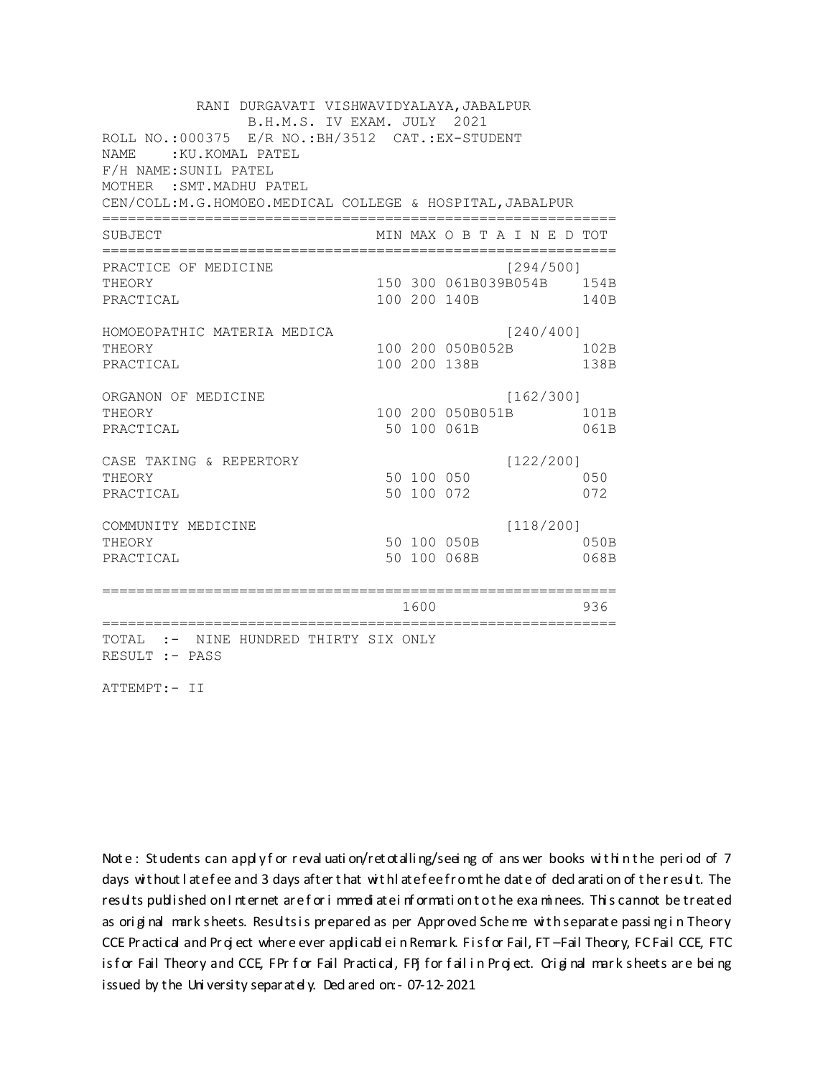RANI DURGAVATI VISHWAVIDYALAYA, JABALPUR B.H.M.S. IV EXAM. JULY 2021 ROLL NO.:000375 E/R NO.: BH/3512 CAT.: EX-STUDENT NAME: : KU. KOMAL PATEL F/H NAME: SUNIL PATEL MOTHER : SMT. MADHU PATEL CEN/COLL: M.G.HOMOEO. MEDICAL COLLEGE & HOSPITAL, JABALPUR MIN MAX O B T A I N E D TOT SUBJECT PRACTICE OF MEDICINE  $[294/500]$ 150 300 061B039B054B 154B **THEORY** PRACTICAL 100 200 140B 140B HOMOEOPATHIC MATERIA MEDICA  $[240/400]$ 100 200 050B052B 102B THEORY PRACTICAL 100 200 138B 138B ORGANON OF MEDICINE  $[162/300]$ THEORY 100 200 050B051B 101B PRACTICAL 50 100 061B 061B CASE TAKING & REPERTORY  $[122/200]$ 50 100 050 THEORY 050 50 100 072 PRACTICAL 072  $[118/200]$ COMMUNITY MEDICINE 50 100 050B 050B THEORY PRACTICAL 50 100 068B 068B 1600 1600 936 TOTAL :- NINE HUNDRED THIRTY SIX ONLY RESULT :- PASS

ATTEMPT:- II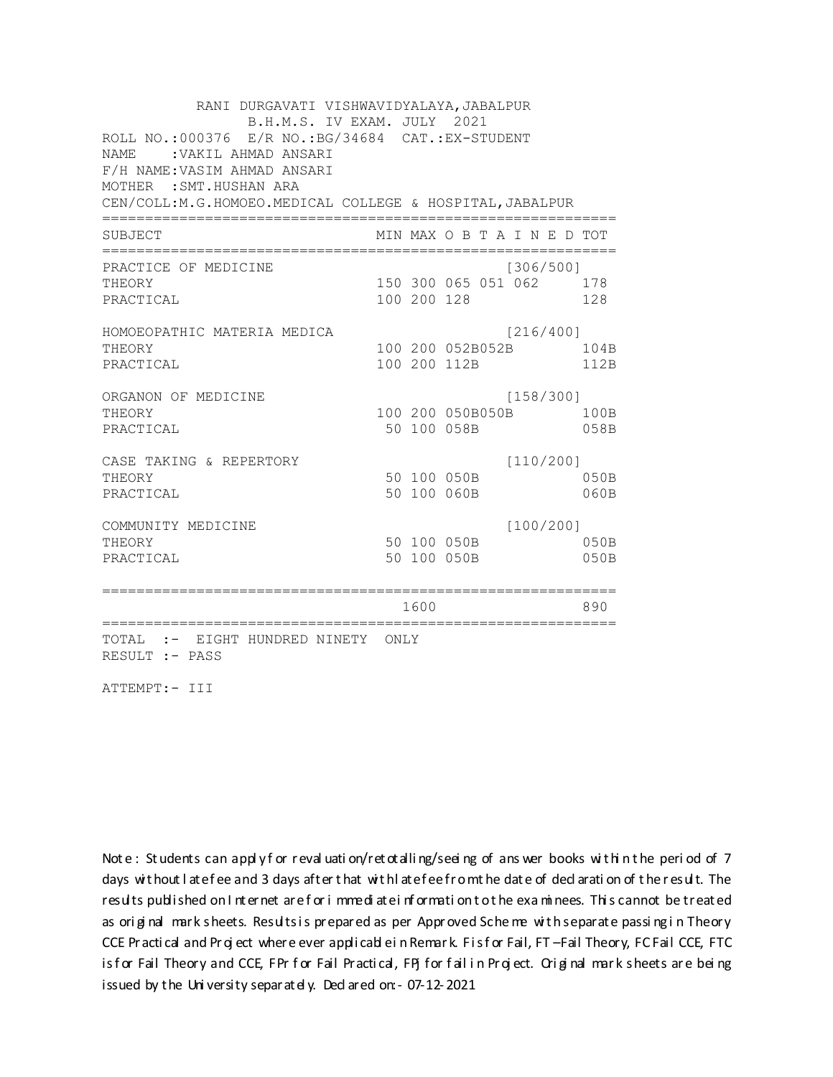RANI DURGAVATI VISHWAVIDYALAYA, JABALPUR B.H.M.S. IV EXAM. JULY 2021 ROLL NO.:000376 E/R NO.:BG/34684 CAT.:EX-STUDENT NAME :VAKIL AHMAD ANSARI F/H NAME:VASIM AHMAD ANSARI MOTHER :SMT.HUSHAN ARA CEN/COLL:M.G.HOMOEO.MEDICAL COLLEGE & HOSPITAL,JABALPUR ============================================================ SUBJECT MIN MAX O B T A I N E D TOT ============================================================ PRACTICE OF MEDICINE [306/500] THEORY 150 300 065 051 062 178 PRACTICAL 100 200 128 128 HOMOEOPATHIC MATERIA MEDICA [216/400] THEORY 100 200 052B052B 104B PRACTICAL 100 200 112B 112B ORGANON OF MEDICINE [158/300] THEORY 100 200 050B050B 100B PRACTICAL 50 100 058B 058B CASE TAKING & REPERTORY [110/200] THEORY 50 100 050B 050B PRACTICAL 50 100 060B 060B COMMUNITY MEDICINE [100/200] THEORY 50 100 050B 050B PRACTICAL 50 100 050B 050B ============================================================ 1600 890 ============================================================ TOTAL :- EIGHT HUNDRED NINETY ONLY RESULT :- PASS

ATTEMPT:- III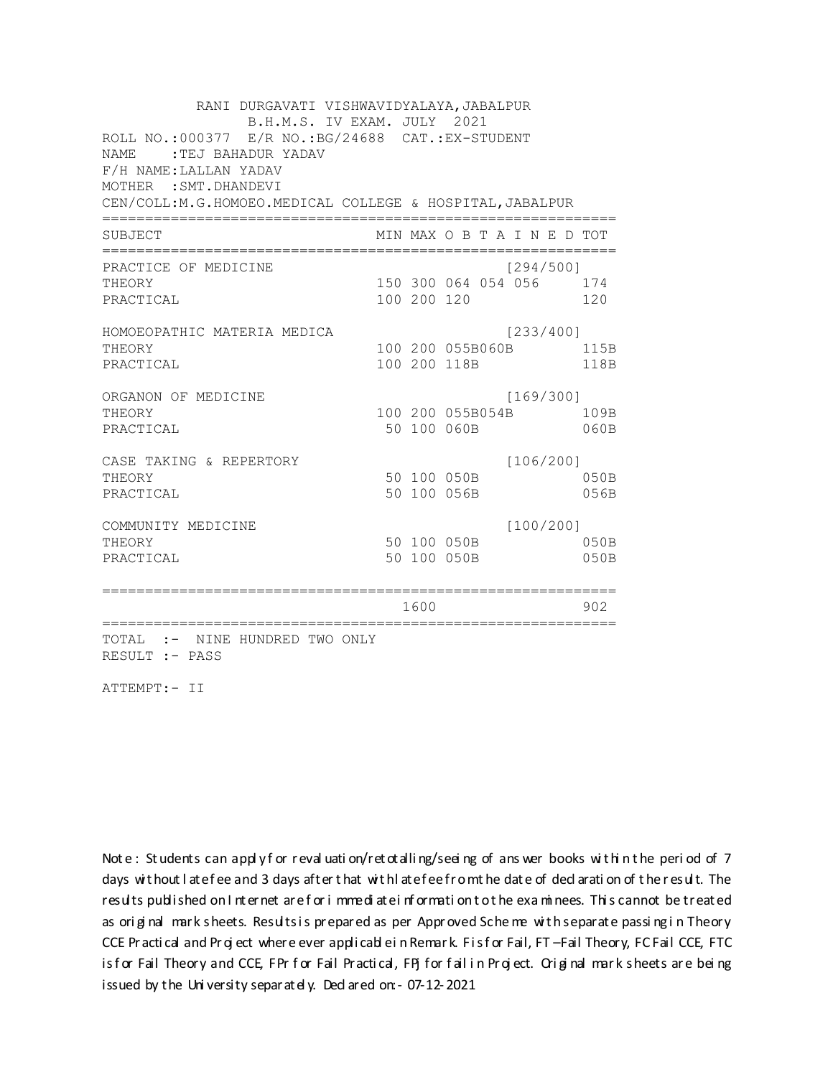RANI DURGAVATI VISHWAVIDYALAYA, JABALPUR B.H.M.S. IV EXAM. JULY 2021 ROLL NO.:000377 E/R NO.: BG/24688 CAT.: EX-STUDENT NAME: TEJ BAHADUR YADAV F/H NAME: LALLAN YADAV MOTHER : SMT. DHANDEVI CEN/COLL:M.G.HOMOEO.MEDICAL COLLEGE & HOSPITAL, JABALPUR MIN MAX O B T A I N E D TOT SUBJECT  $[294/5001]$ PRACTICE OF MEDICINE 150 300 064 054 056 174 **THEORY** PRACTICAL 100 200 120 120 HOMOEOPATHIC MATERIA MEDICA [233/400] 100 200 055B060B 115B THEORY PRACTICAL 100 200 118B 118B ORGANON OF MEDICINE  $[169/300]$ THEORY 100 200 055B054B 109B PRACTICAL 50 100 060B 060B CASE TAKING & REPERTORY  $[106/200]$ 50 100 050B THEORY  $050B$ PRACTICAL 50 100 056B 056B  $[100/200]$ COMMUNITY MEDICINE 50 100 050B 050B THEORY PRACTICAL 50 100 050B 050B 1600 1600 902 TOTAL :- NINE HUNDRED TWO ONLY RESULT :- PASS

ATTEMPT:- II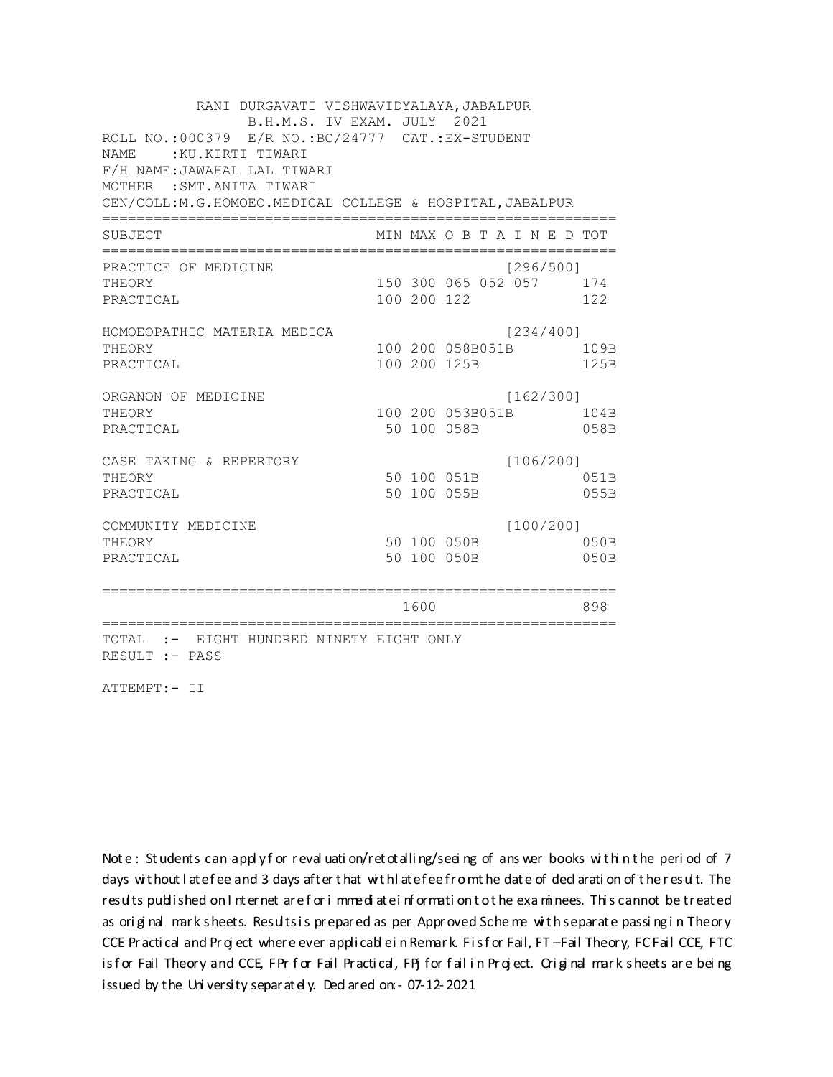RANI DURGAVATI VISHWAVIDYALAYA, JABALPUR B.H.M.S. IV EXAM. JULY 2021 ROLL NO.: 000379 E/R NO.: BC/24777 CAT.: EX-STUDENT NAME: KU.KIRTI TIWARI F/H NAME: JAWAHAL LAL TIWARI MOTHER : SMT. ANITA TIWARI CEN/COLL: M.G.HOMOEO. MEDICAL COLLEGE & HOSPITAL, JABALPUR MIN MAX O B T A I N E D TOT SUBJECT [296/5001 PRACTICE OF MEDICINE 150 300 065 052 057 174 THEORY PRACTICAL 100 200 122 122 HOMOEOPATHIC MATERIA MEDICA [234/400] 100 200 058B051B 109B THEORY 125B PRACTICAL 100 200 125B ORGANON OF MEDICINE  $[162/300]$ THEORY 100 200 053B051B 104B PRACTICAL 50 100 058B 058B CASE TAKING & REPERTORY  $[106/200]$ 50 100 051B THEORY 051B PRACTICAL 50 100 055B 055B  $[100/200]$ COMMUNITY MEDICINE 50 100 050B 050B THEORY PRACTICAL 50 100 050B 050B 1600 1600 898 TOTAL :- EIGHT HUNDRED NINETY EIGHT ONLY RESULT :- PASS

ATTEMPT:- II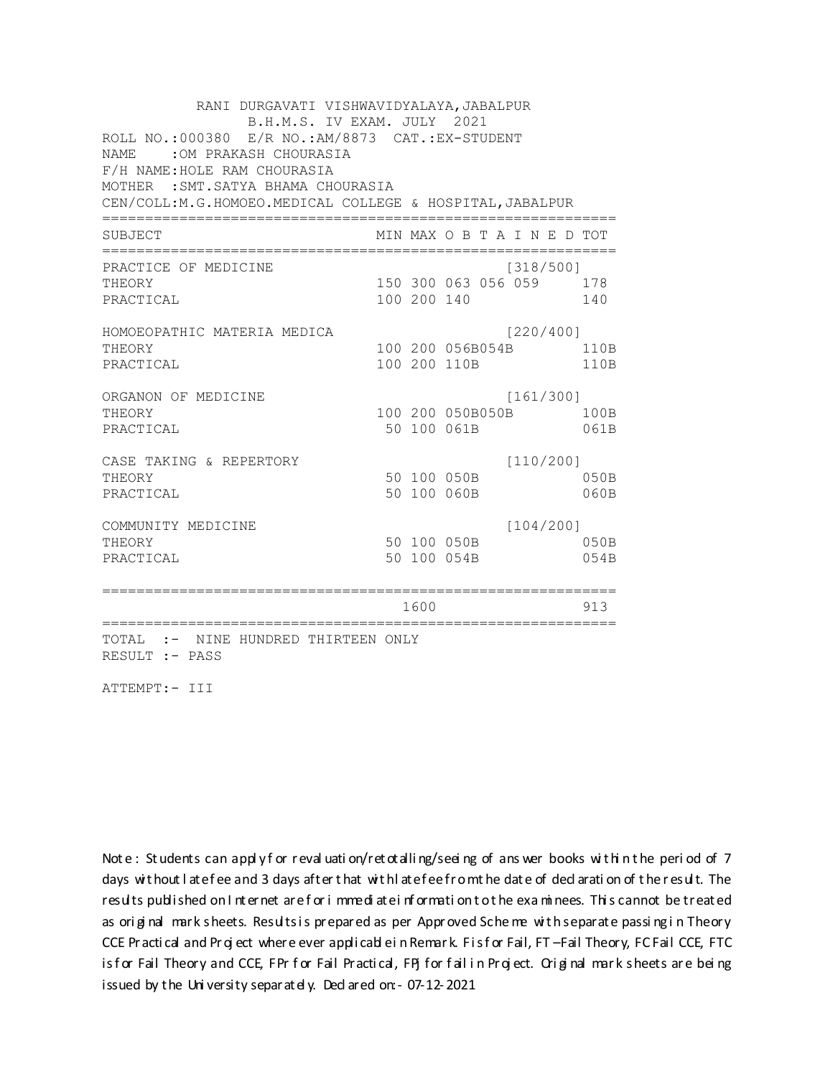RANI DURGAVATI VISHWAVIDYALAYA, JABALPUR B.H.M.S. IV EXAM. JULY 2021 ROLL NO.:000380 E/R NO.:AM/8873 CAT.:EX-STUDENT NAME : OM PRAKASH CHOURASIA F/H NAME: HOLE RAM CHOURASIA MOTHER : SMT. SATYA BHAMA CHOURASIA CEN/COLL:M.G.HOMOEO.MEDICAL COLLEGE & HOSPITAL, JABALPUR MIN MAX O B T A I N E D TOT SUBJECT PRACTICE OF MEDICINE  $[318/500]$ 150 300 063 056 059 178 **THEORY** PRACTICAL 100 200 140 140 HOMOEOPATHIC MATERIA MEDICA [220/400] 100 200 056B054B 110B THEORY PRACTICAL 100 200 110B 110B ORGANON OF MEDICINE  $[161/300]$ THEORY 100 200 050B050B 100B PRACTICAL 50 100 061B 061B  $[110/200]$ CASE TAKING & REPERTORY 50 100 050B THEORY 050B PRACTICAL 50 100 060B  $060B$  $[104/200]$ COMMUNITY MEDICINE 50 100 050B 050B THEORY PRACTICAL 50 100 054B 054B 1600 1600 913 TOTAL :- NINE HUNDRED THIRTEEN ONLY RESULT :- PASS

ATTEMPT:- III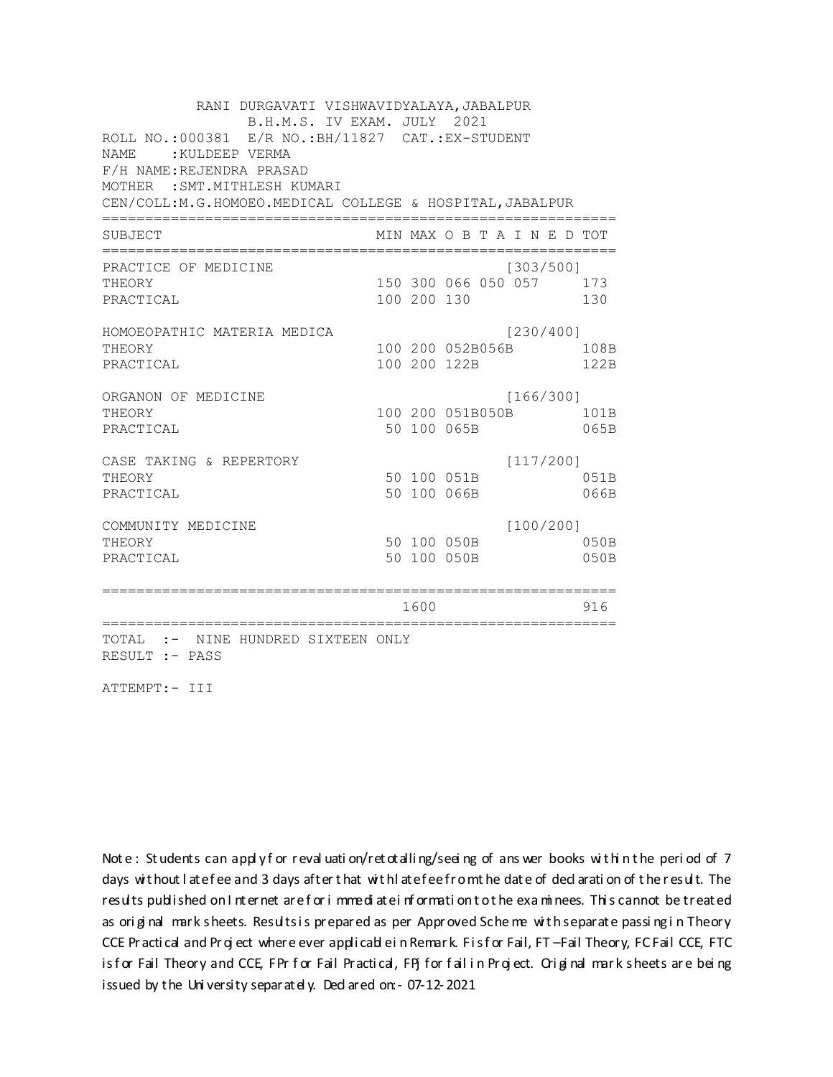RANI DURGAVATI VISHWAVIDYALAYA, JABALPUR B.H.M.S. IV EXAM. JULY 2021 ROLL NO.: 000381 E/R NO.: BH/11827 CAT.: EX-STUDENT NAME : KULDEEP VERMA F/H NAME:REJENDRA PRASAD MOTHER : SMT. MITHLESH KUMARI CEN/COLL:M.G.HOMOEO.MEDICAL COLLEGE & HOSPITAL, JABALPUR MIN MAX O B T A I N E D TOT SUBJECT PRACTICE OF MEDICINE  $[303/500]$ 150 300 066 050 057 173 THEORY PRACTICAL 100 200 130 130 HOMOEOPATHIC MATERIA MEDICA  $[230/400]$ 100 200 052B056B 108B THEORY PRACTICAL 100 200 122B 122B ORGANON OF MEDICINE  $[166/300]$ THEORY 100 200 051B050B 101B PRACTICAL 50 100 065B 065B  $[117/200]$ CASE TAKING & REPERTORY 50 100 051B THEORY 051B PRACTICAL 50 100 066B 066B  $[100/200]$ COMMUNITY MEDICINE 50 100 050B 050B THEORY PRACTICAL 50 100 050B 050B 1600 1600 916 TOTAL :- NINE HUNDRED SIXTEEN ONLY RESULT :- PASS

ATTEMPT:- III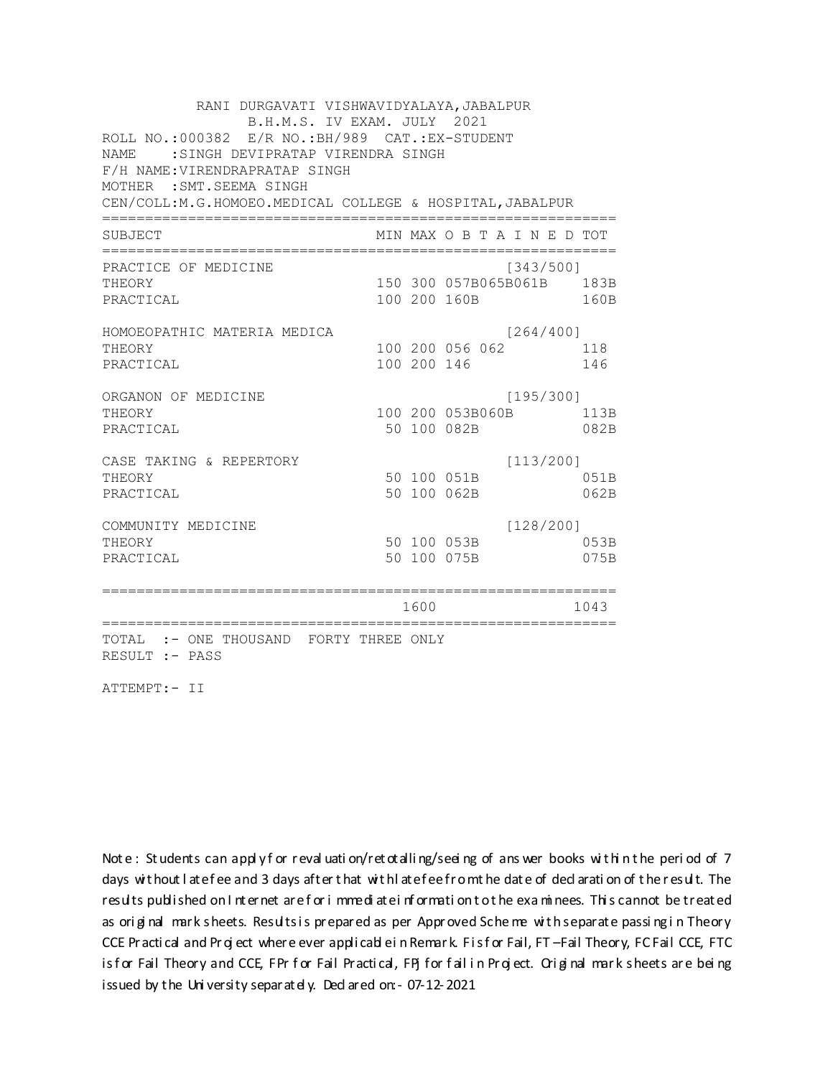RANI DURGAVATI VISHWAVIDYALAYA, JABALPUR B.H.M.S. IV EXAM. JULY 2021 ROLL NO.: 000382 E/R NO.: BH/989 CAT.: EX-STUDENT NAME: : SINGH DEVIPRATAP VIRENDRA SINGH F/H NAME: VIRENDRAPRATAP SINGH MOTHER : SMT. SEEMA SINGH CEN/COLL: M.G.HOMOEO. MEDICAL COLLEGE & HOSPITAL, JABALPUR MIN MAX O B T A I N E D TOT SUBJECT PRACTICE OF MEDICINE  $[343/500]$ 150 300 057B065B061B 183B THEORY PRACTICAL 100 200 160B 160B HOMOEOPATHIC MATERIA MEDICA  $[264/400]$ 100 200 056 062 118 THEORY PRACTICAL 100 200 146 146 ORGANON OF MEDICINE  $[195/300]$ THEORY 100 200 053B060B 113B PRACTICAL 50 100 082B 082B  $[113/200]$ CASE TAKING & REPERTORY 50 100 051B THEORY 051B PRACTICAL 50 100 062B 062B  $[128/200]$ COMMUNITY MEDICINE 50 100 053B 053B THEORY PRACTICAL 50 100 075B 075B 1600 1600 1043 TOTAL :- ONE THOUSAND FORTY THREE ONLY RESULT :- PASS

ATTEMPT:- II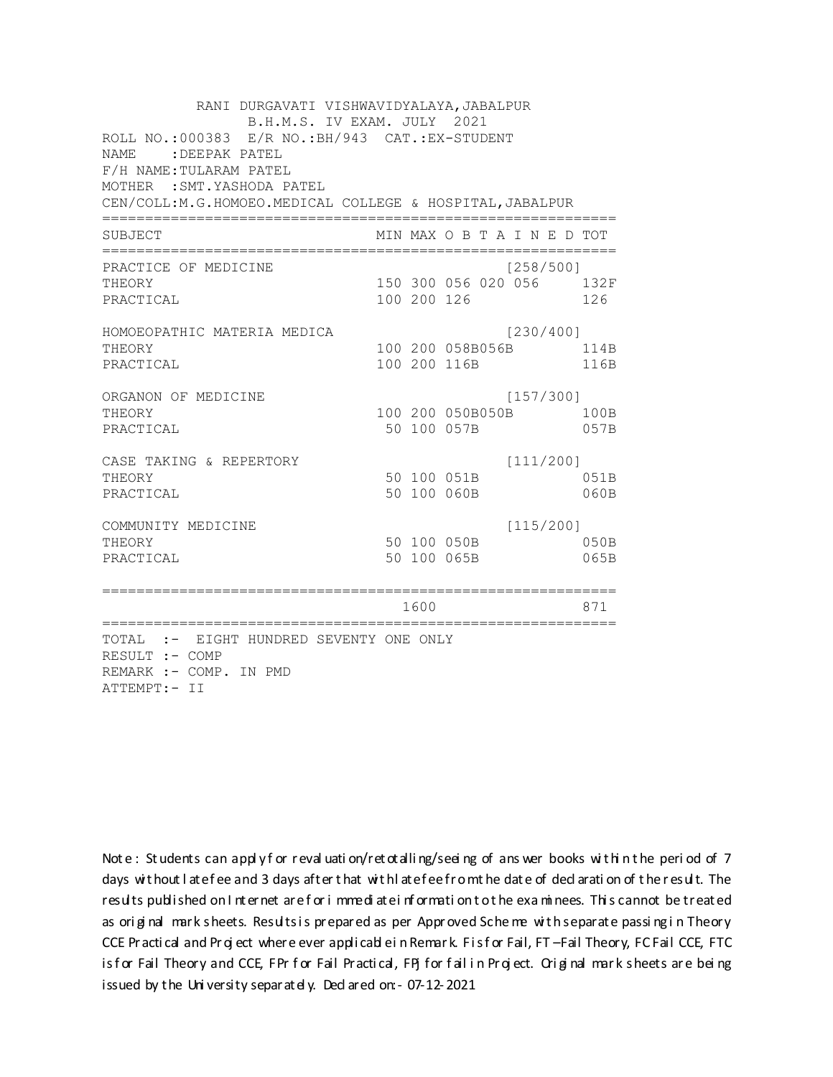RANI DURGAVATI VISHWAVIDYALAYA, JABALPUR B.H.M.S. IV EXAM. JULY 2021 ROLL NO.: 000383 E/R NO.: BH/943 CAT.: EX-STUDENT NAME: : DEEPAK PATEL F/H NAME: TULARAM PATEL MOTHER : SMT. YASHODA PATEL CEN/COLL:M.G.HOMOEO.MEDICAL COLLEGE & HOSPITAL, JABALPUR MIN MAX O B T A I N E D TOT SUBJECT PRACTICE OF MEDICINE  $[258/500]$ 150 300 056 020 056 132F **THEORY** PRACTICAL 100 200 126 126 HOMOEOPATHIC MATERIA MEDICA  $[230/400]$ 100 200 058B056B 114B THEORY PRACTICAL 100 200 116B 116B ORGANON OF MEDICINE  $[157/300]$ THEORY 100 200 050B050B 100B PRACTICAL 50 100 057B 057B  $[111/200]$ CASE TAKING & REPERTORY 50 100 051B THEORY 051B PRACTICAL 50 100 060B  $060B$  $[115/200]$ COMMUNITY MEDICINE 50 100 050B 050B THEORY PRACTICAL 50 100 065B 065B 1600 1600 871 TOTAL :- EIGHT HUNDRED SEVENTY ONE ONLY RESULT :- COMP REMARK :- COMP. IN PMD ATTEMPT:- II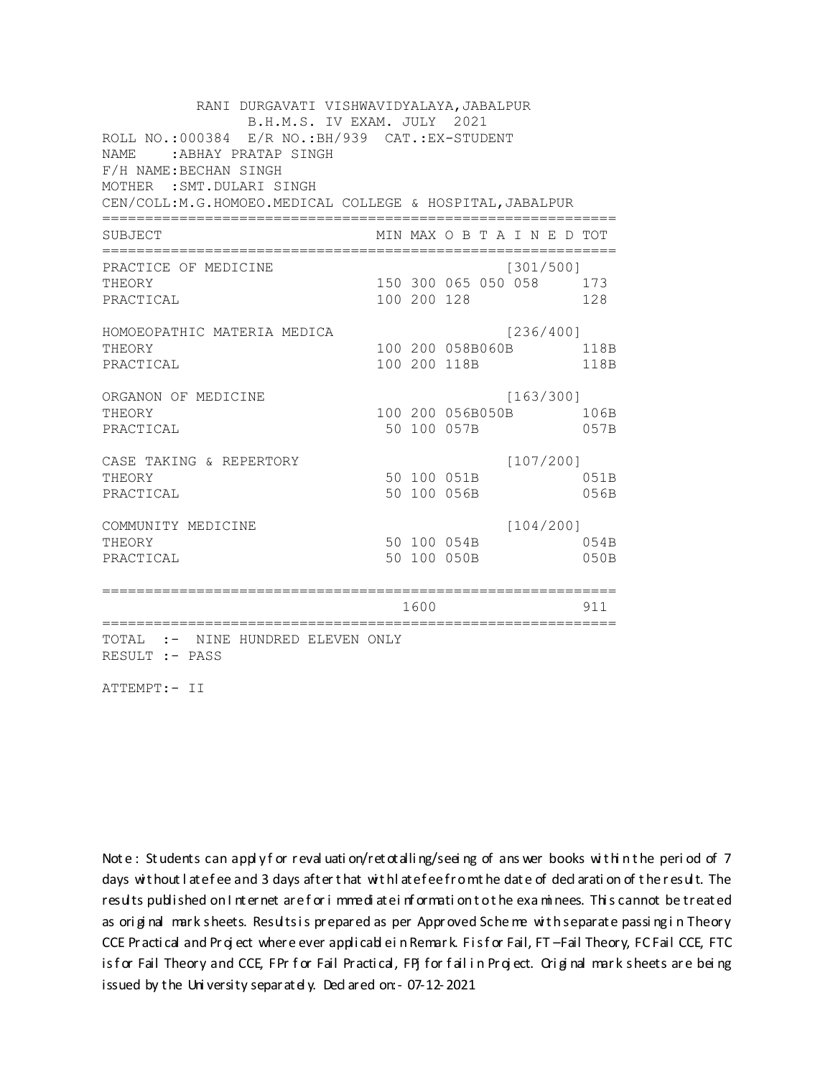RANI DURGAVATI VISHWAVIDYALAYA, JABALPUR B.H.M.S. IV EXAM. JULY 2021 ROLL NO.: 000384 E/R NO.: BH/939 CAT.: EX-STUDENT NAME : ABHAY PRATAP SINGH F/H NAME: BECHAN SINGH MOTHER : SMT. DULARI SINGH CEN/COLL:M.G.HOMOEO.MEDICAL COLLEGE & HOSPITAL, JABALPUR MIN MAX O B T A I N E D TOT SUBJECT PRACTICE OF MEDICINE  $[301/500]$ THEORY 150 300 065 050 058 173 PRACTICAL 100 200 128 128 HOMOEOPATHIC MATERIA MEDICA [236/400] 100 200 058B060B 118B THEORY PRACTICAL 100 200 118B 118B ORGANON OF MEDICINE  $[163/300]$ THEORY 100 200 056B050B 106B PRACTICAL 50 100 057B 057B  $[107/200]$ CASE TAKING & REPERTORY 50 100 051B THEORY 051B PRACTICAL 50 100 056B 056B  $[104/200]$ COMMUNITY MEDICINE 50 100 054B 054B THEORY PRACTICAL 50 100 050B 050B 1600 1600 911 TOTAL :- NINE HUNDRED ELEVEN ONLY RESULT :- PASS

ATTEMPT:- II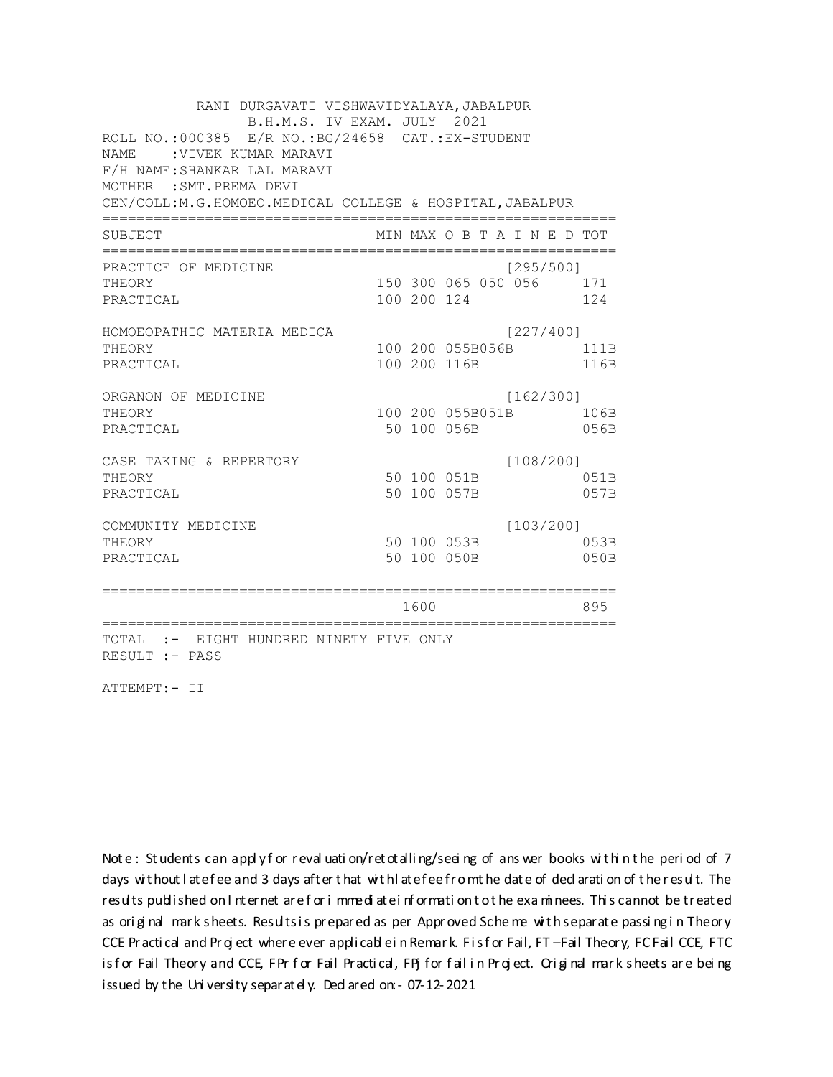RANI DURGAVATI VISHWAVIDYALAYA, JABALPUR B.H.M.S. IV EXAM. JULY 2021 ROLL NO.:000385 E/R NO.: BG/24658 CAT.: EX-STUDENT NAME : VIVEK KUMAR MARAVI F/H NAME: SHANKAR LAL MARAVI MOTHER : SMT. PREMA DEVI CEN/COLL:M.G.HOMOEO.MEDICAL COLLEGE & HOSPITAL, JABALPUR MIN MAX O B T A I N E D TOT SUBJECT PRACTICE OF MEDICINE  $[295/500]$ 150 300 065 050 056 171 THEORY PRACTICAL 100 200 124 124 HOMOEOPATHIC MATERIA MEDICA [227/400] 100 200 055B056B 111B THEORY PRACTICAL 100 200 116B 116B ORGANON OF MEDICINE  $[162/300]$ THEORY 100 200 055B051B 106B PRACTICAL 50 100 056B 056B  $[108/200]$ CASE TAKING & REPERTORY 50 100 051B THEORY 051B PRACTICAL 50 100 057B 057B  $[103/200]$ COMMUNITY MEDICINE 50 100 053B 053B THEORY PRACTICAL 50 100 050B 050B 1600 1600 895 TOTAL :- EIGHT HUNDRED NINETY FIVE ONLY RESULT :- PASS

ATTEMPT:- II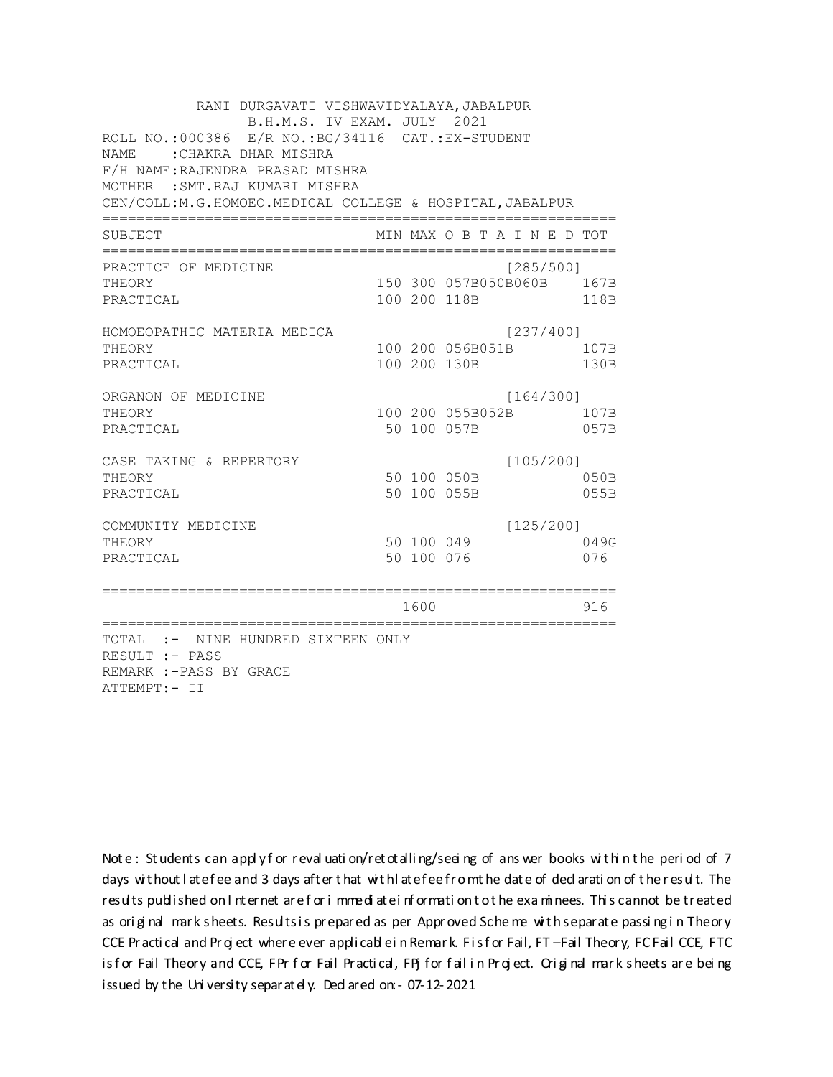RANI DURGAVATI VISHWAVIDYALAYA, JABALPUR B.H.M.S. IV EXAM. JULY 2021 ROLL NO.: 000386 E/R NO.: BG/34116 CAT.: EX-STUDENT NAME: : CHAKRA DHAR MISHRA F/H NAME: RAJENDRA PRASAD MISHRA MOTHER : SMT. RAJ KUMARI MISHRA CEN/COLL: M.G.HOMOEO. MEDICAL COLLEGE & HOSPITAL, JABALPUR MIN MAX O B T A I N E D TOT SUBJECT PRACTICE OF MEDICINE  $[285/500]$ 150 300 057B050B060B 167B THEORY PRACTICAL 100 200 118B 118B HOMOEOPATHIC MATERIA MEDICA  $[237/400]$ 100 200 056B051B 107B THEORY PRACTICAL 100 200 130B 130B ORGANON OF MEDICINE  $[164/300]$ THEORY 100 200 055B052B 107B PRACTICAL 50 100 057B 057B  $[105/200]$ CASE TAKING & REPERTORY 50 100 050B THEORY  $050B$ PRACTICAL 50 100 055B 055B  $[125/200]$ COMMUNITY MEDICINE 50 100 049 049G THEORY PRACTICAL 50 100 076 076 1600 1600 916 TOTAL :- NINE HUNDRED SIXTEEN ONLY RESULT :- PASS REMARK :- PASS BY GRACE ATTEMPT:- II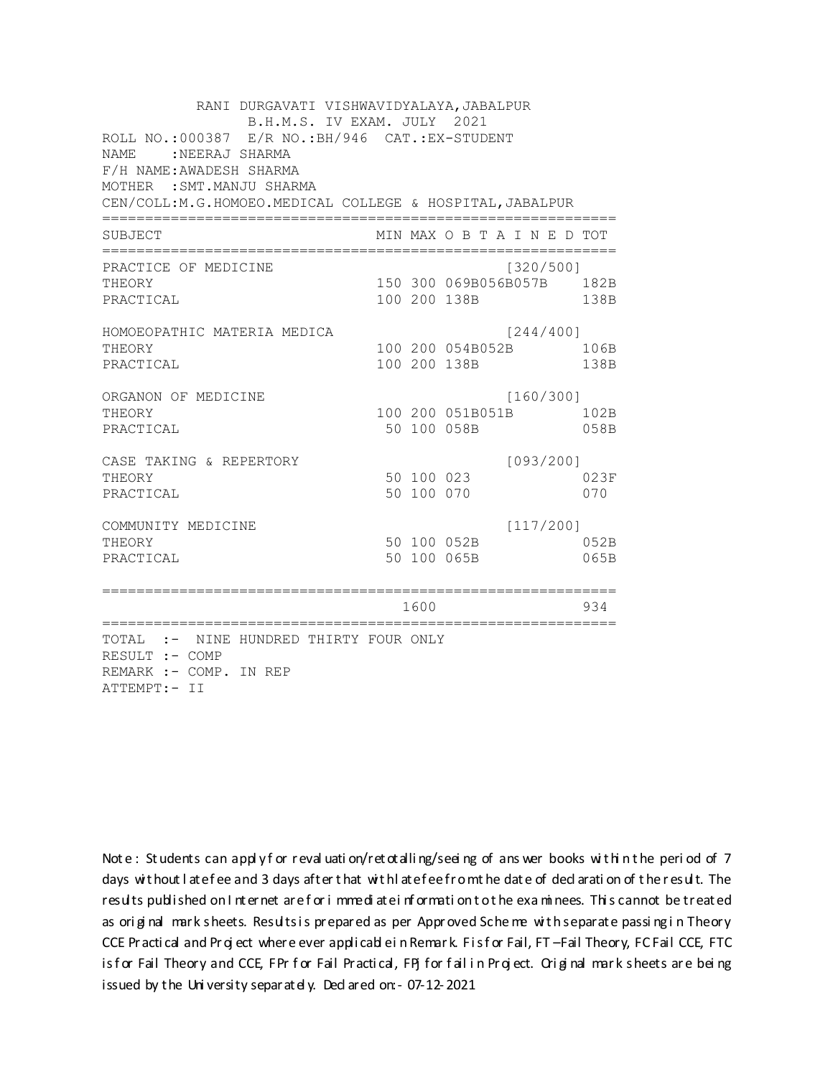RANI DURGAVATI VISHWAVIDYALAYA, JABALPUR B.H.M.S. IV EXAM. JULY 2021 ROLL NO.: 000387 E/R NO.: BH/946 CAT.: EX-STUDENT NAME : NEERAJ SHARMA F/H NAME: AWADESH SHARMA MOTHER : SMT. MANJU SHARMA CEN/COLL:M.G.HOMOEO.MEDICAL COLLEGE & HOSPITAL, JABALPUR MIN MAX O B T A I N E D TOT SUBJECT PRACTICE OF MEDICINE  $[320/500]$ 150 300 069B056B057B 182B THEORY PRACTICAL 100 200 138B 138B HOMOEOPATHIC MATERIA MEDICA  $[244/400]$ 100 200 054B052B 106B THEORY PRACTICAL 100 200 138B 138B ORGANON OF MEDICINE  $[160/300]$ THEORY 100 200 051B051B 102B PRACTICAL 50 100 058B 058B  $[093/200]$ CASE TAKING & REPERTORY 50 100 023 THEORY 023F 50 100 070 PRACTICAL 070  $[117/200]$ COMMUNITY MEDICINE 50 100 052B 052B THEORY PRACTICAL 50 100 065B 065B 1600 1600 934 TOTAL :- NINE HUNDRED THIRTY FOUR ONLY RESULT :- COMP REMARK :- COMP. IN REP ATTEMPT:- II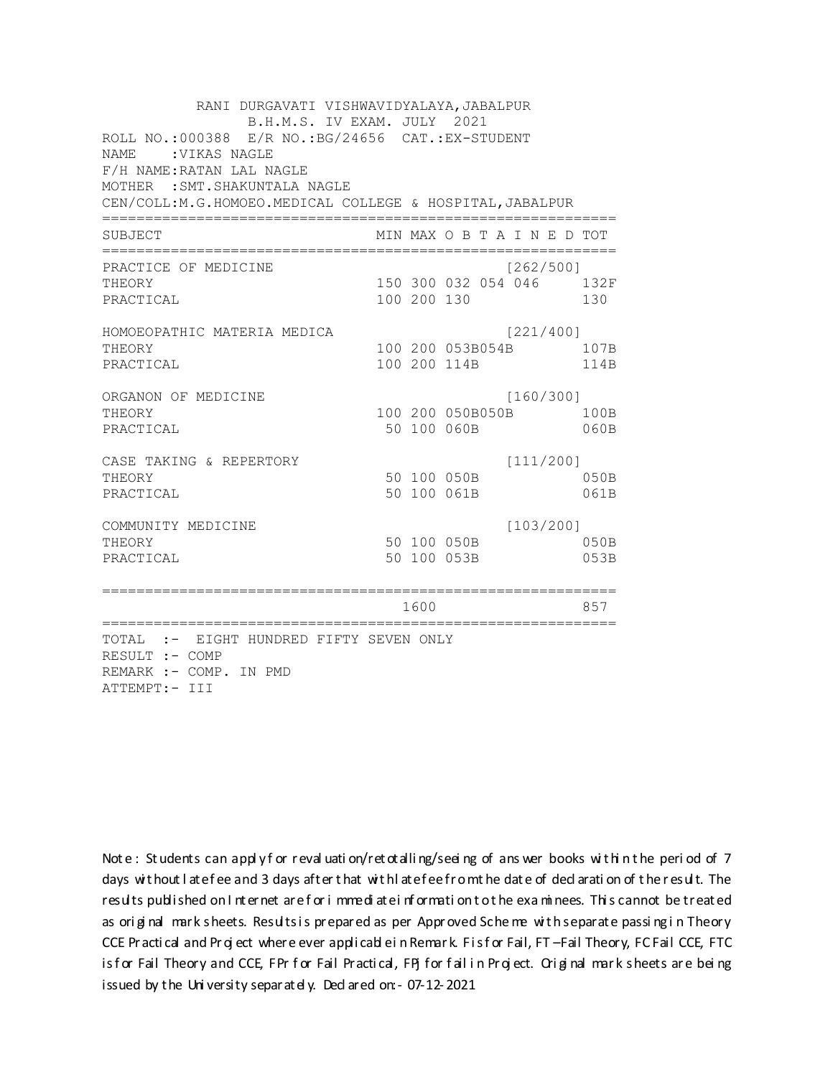RANI DURGAVATI VISHWAVIDYALAYA, JABALPUR B.H.M.S. IV EXAM. JULY 2021 ROLL NO.:000388 E/R NO.: BG/24656 CAT.: EX-STUDENT NAME : VIKAS NAGLE F/H NAME: RATAN LAL NAGLE MOTHER : SMT. SHAKUNTALA NAGLE CEN/COLL:M.G.HOMOEO.MEDICAL COLLEGE & HOSPITAL, JABALPUR MIN MAX O B T A I N E D TOT SUBJECT  $[262/5001]$ PRACTICE OF MEDICINE 150 300 032 054 046 132F **THEORY** PRACTICAL 100 200 130 130 HOMOEOPATHIC MATERIA MEDICA [221/400] 100 200 053B054B 107B THEORY PRACTICAL 100 200 114B 114B ORGANON OF MEDICINE  $[160/300]$ THEORY 100 200 050B050B 100B PRACTICAL 50 100 060B  $060B$ CASE TAKING & REPERTORY  $[111/200]$ 50 100 050B THEORY  $050B$ PRACTICAL 50 100 061B 061B  $[103/200]$ COMMUNITY MEDICINE 50 100 050B 050B THEORY 50 100 053B PRACTICAL 053B 1600 1600 857 TOTAL :- EIGHT HUNDRED FIFTY SEVEN ONLY RESULT :- COMP REMARK :- COMP. IN PMD ATTEMPT:- III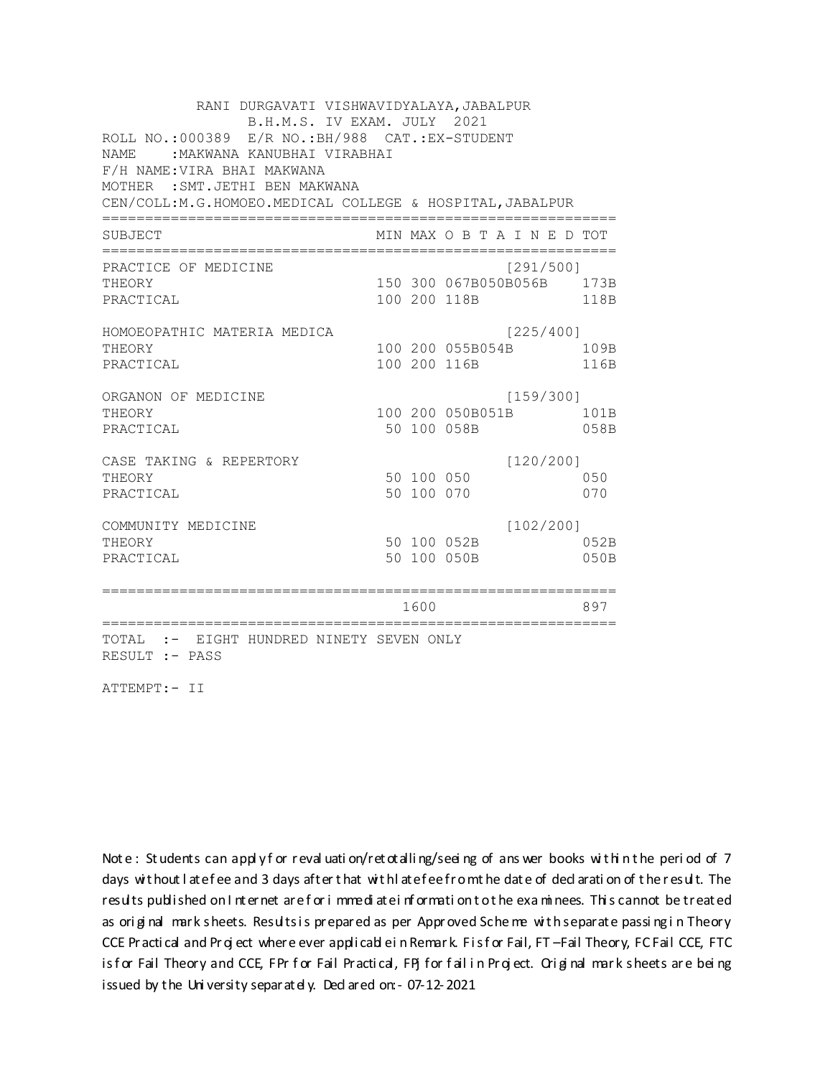RANI DURGAVATI VISHWAVIDYALAYA, JABALPUR B.H.M.S. IV EXAM. JULY 2021 ROLL NO.: 000389 E/R NO.: BH/988 CAT.: EX-STUDENT NAME: : MAKWANA KANUBHAI VIRABHAI F/H NAME: VIRA BHAI MAKWANA MOTHER : SMT. JETHI BEN MAKWANA CEN/COLL:M.G.HOMOEO.MEDICAL COLLEGE & HOSPITAL, JABALPUR MIN MAX O B T A I N E D TOT SUBJECT PRACTICE OF MEDICINE  $[291/500]$ 150 300 067B050B056B 173B THEORY PRACTICAL 100 200 118B 118B HOMOEOPATHIC MATERIA MEDICA  $[225/400]$ 100 200 055B054B 109B THEORY PRACTICAL 100 200 116B 116B ORGANON OF MEDICINE  $[159/300]$ THEORY 100 200 050B051B 101B PRACTICAL 50 100 058B 058B CASE TAKING & REPERTORY  $[120/200]$ 50 100 050 THEORY 050 50 100 070 PRACTICAL 070  $[102/200]$ COMMUNITY MEDICINE 50 100 052B 052B THEORY PRACTICAL 50 100 050B 050B 1600 1600 897 TOTAL :- EIGHT HUNDRED NINETY SEVEN ONLY RESULT :- PASS

ATTEMPT:- II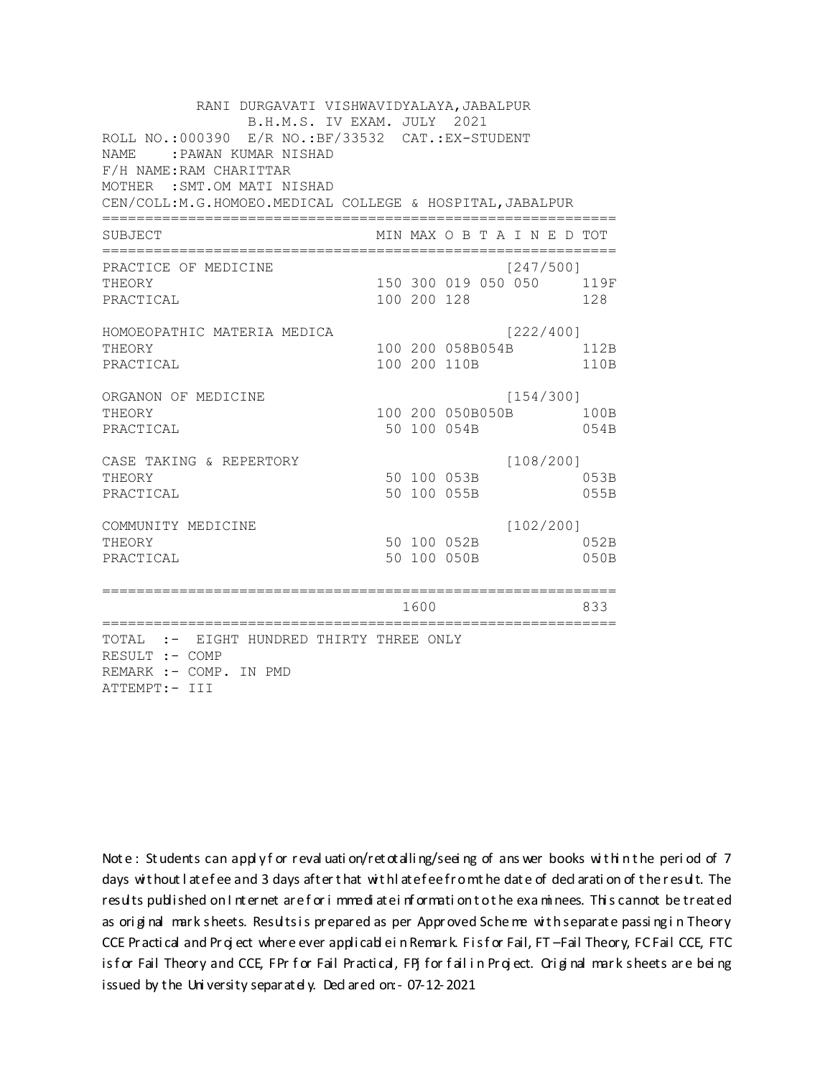RANI DURGAVATI VISHWAVIDYALAYA, JABALPUR B.H.M.S. IV EXAM. JULY 2021 ROLL NO.:000390 E/R NO.: BF/33532 CAT.: EX-STUDENT NAME: : PAWAN KUMAR NISHAD F/H NAME: RAM CHARITTAR MOTHER : SMT.OM MATI NISHAD CEN/COLL:M.G.HOMOEO.MEDICAL COLLEGE & HOSPITAL, JABALPUR MIN MAX O B T A I N E D TOT SUBJECT  $[247/5001]$ PRACTICE OF MEDICINE 150 300 019 050 050 119F **THEORY** PRACTICAL 100 200 128 128 HOMOEOPATHIC MATERIA MEDICA [222/400] 100 200 058B054B 112B THEORY PRACTICAL 100 200 110B 110B ORGANON OF MEDICINE  $[154/300]$ THEORY 100 200 050B050B 100B PRACTICAL 50 100 054B 054B  $[108/200]$ CASE TAKING & REPERTORY 50 100 053B THEORY 053B PRACTICAL 50 100 055B 055B  $[102/200]$ COMMUNITY MEDICINE 50 100 052B 052B THEORY PRACTICAL 50 100 050B 050B 1600 1600 833 TOTAL :- EIGHT HUNDRED THIRTY THREE ONLY RESULT :- COMP REMARK :- COMP. IN PMD ATTEMPT:- III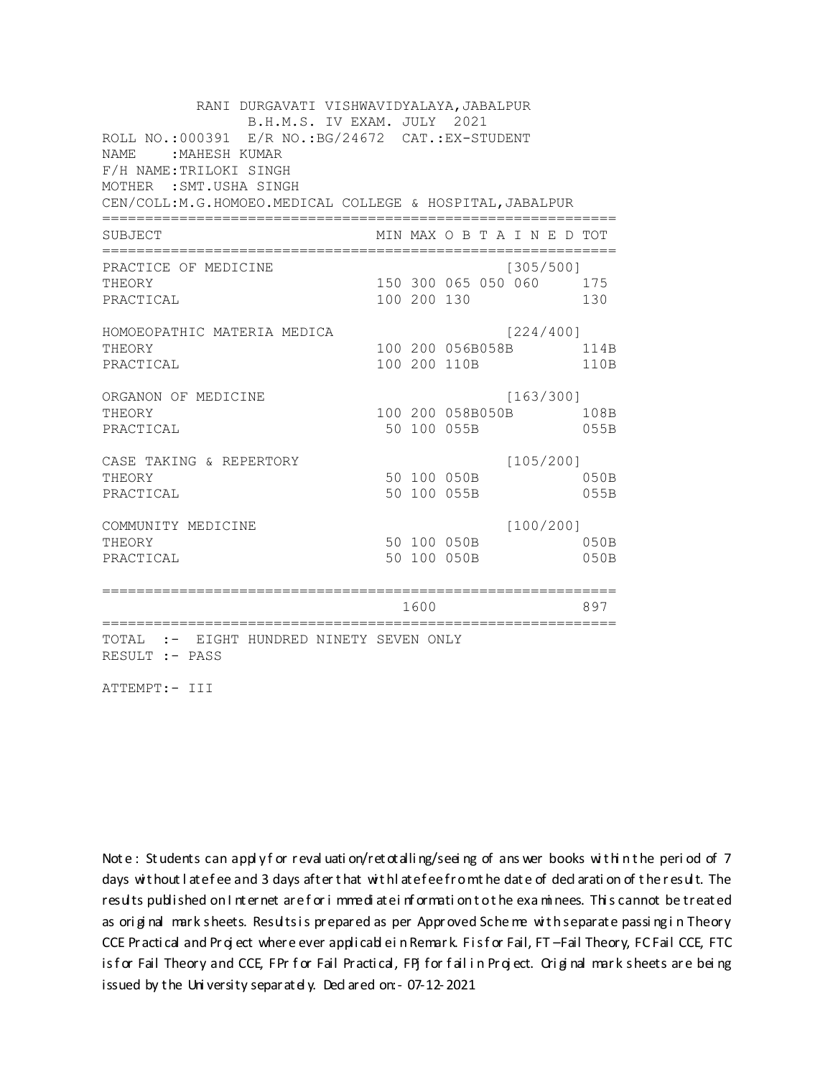RANI DURGAVATI VISHWAVIDYALAYA, JABALPUR B.H.M.S. IV EXAM. JULY 2021 ROLL NO.: 000391 E/R NO.: BG/24672 CAT.: EX-STUDENT NAME : MAHESH KUMAR F/H NAME: TRILOKI SINGH MOTHER : SMT. USHA SINGH CEN/COLL: M.G.HOMOEO. MEDICAL COLLEGE & HOSPITAL, JABALPUR MIN MAX O B T A I N E D TOT SUBJECT  $[305/5001]$ PRACTICE OF MEDICINE 150 300 065 050 060 175 **THEORY** PRACTICAL 100 200 130 130 HOMOEOPATHIC MATERIA MEDICA [224/400] 100 200 056B058B 114B THEORY PRACTICAL 100 200 110B 110B ORGANON OF MEDICINE  $[163/300]$ THEORY 100 200 058B050B 108B PRACTICAL 50 100 055B 055B  $[105/200]$ CASE TAKING & REPERTORY 50 100 050B THEORY  $050B$ PRACTICAL 50 100 055B 055B  $[100/200]$ COMMUNITY MEDICINE 50 100 050B 050B THEORY PRACTICAL 50 100 050B 050B 1600 1600 897 TOTAL :- EIGHT HUNDRED NINETY SEVEN ONLY RESULT :- PASS

ATTEMPT:- III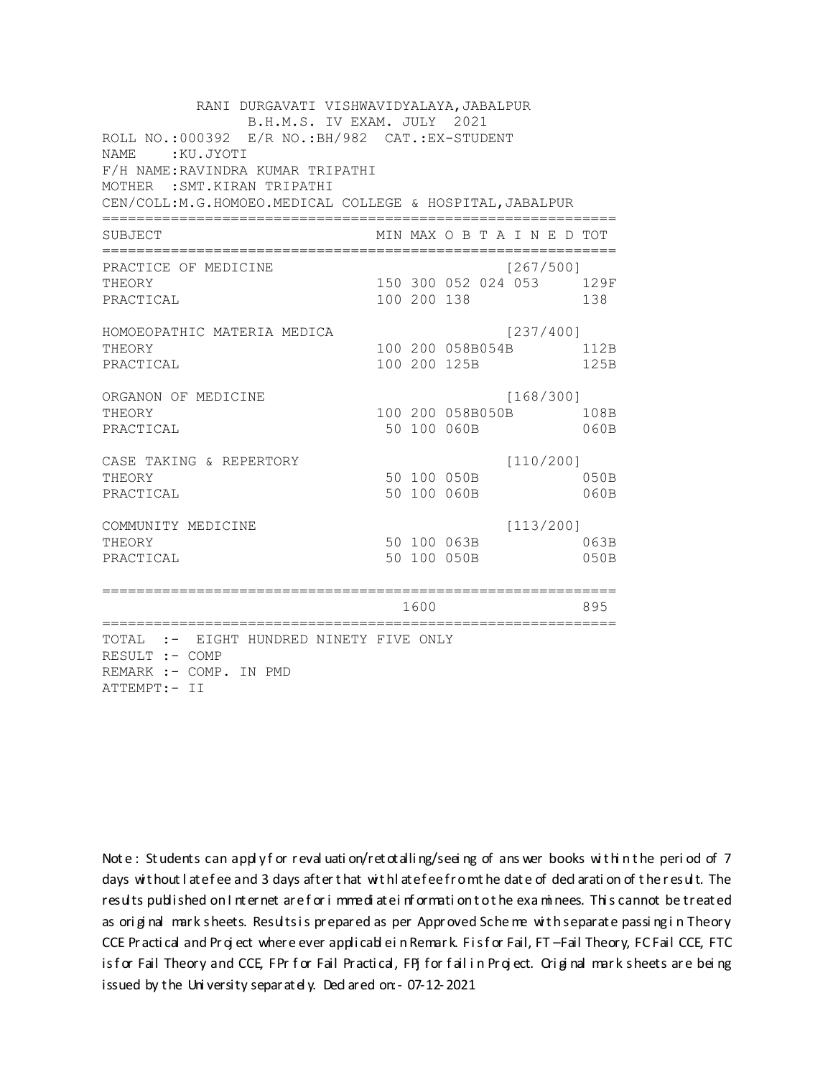RANI DURGAVATI VISHWAVIDYALAYA, JABALPUR B.H.M.S. IV EXAM. JULY 2021 ROLL NO.:000392 E/R NO.: BH/982 CAT.: EX-STUDENT NAME: : KU.JYOTI F/H NAME: RAVINDRA KUMAR TRIPATHI MOTHER : SMT. KIRAN TRIPATHI CEN/COLL:M.G.HOMOEO.MEDICAL COLLEGE & HOSPITAL, JABALPUR MIN MAX O B T A I N E D TOT SUBJECT  $[267/5001]$ PRACTICE OF MEDICINE 150 300 052 024 053 129F **THEORY** PRACTICAL 100 200 138 138 HOMOEOPATHIC MATERIA MEDICA [237/400] 100 200 058B054B 112B THEORY PRACTICAL 100 200 125B 125B ORGANON OF MEDICINE  $[168/300]$ THEORY 100 200 058B050B 108B PRACTICAL 50 100 060B 060B  $[110/200]$ CASE TAKING & REPERTORY 50 100 050B THEORY 050B PRACTICAL 50 100 060B 060B  $[113/200]$ COMMUNITY MEDICINE 50 100 063B 063B THEORY PRACTICAL 50 100 050B 050B 1600 1600 895 TOTAL :- EIGHT HUNDRED NINETY FIVE ONLY RESULT :- COMP REMARK :- COMP. IN PMD ATTEMPT:- II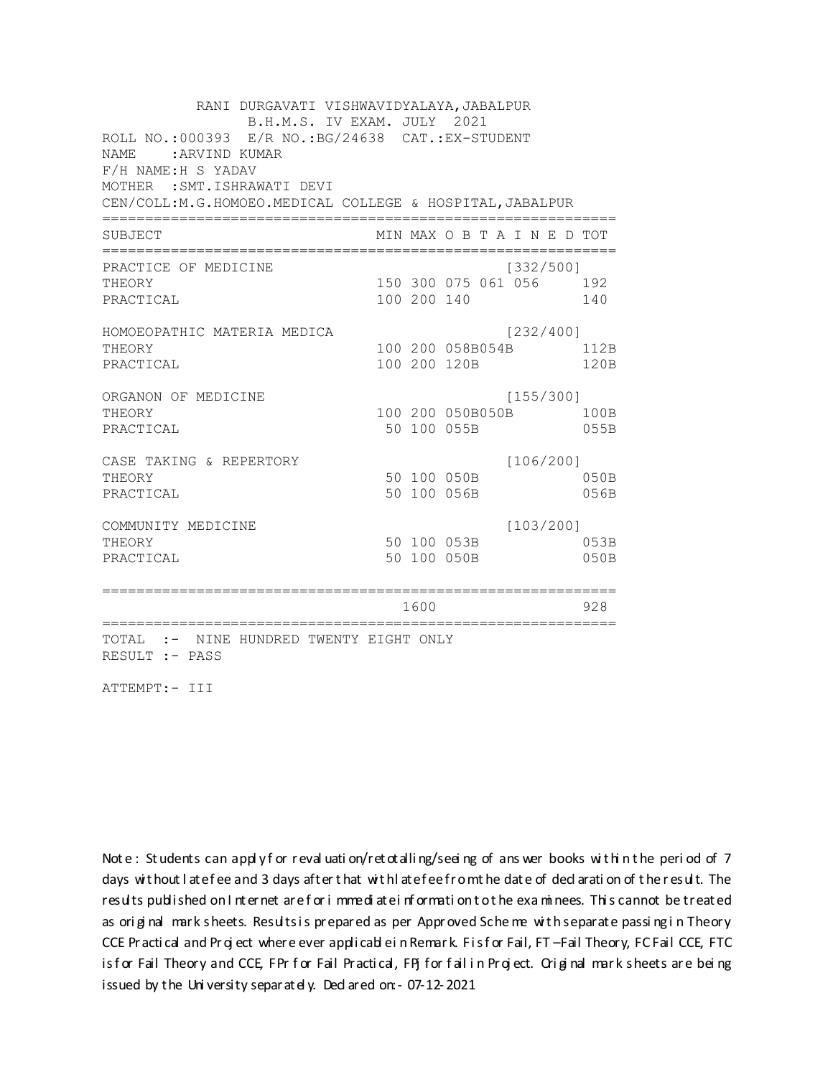RANI DURGAVATI VISHWAVIDYALAYA, JABALPUR B.H.M.S. IV EXAM. JULY 2021 ROLL NO.: 000393 E/R NO.: BG/24638 CAT.: EX-STUDENT NAME: : ARVIND KUMAR F/H NAME:H S YADAV MOTHER : SMT. ISHRAWATI DEVI CEN/COLL:M.G.HOMOEO.MEDICAL COLLEGE & HOSPITAL, JABALPUR MIN MAX O B T A I N E D TOT SUBJECT PRACTICE OF MEDICINE  $[332/500]$ 150 300 075 061 056 192 **THEORY** PRACTICAL 100 200 140 140 HOMOEOPATHIC MATERIA MEDICA [232/400] 100 200 058B054B 112B THEORY PRACTICAL 100 200 120B 120B ORGANON OF MEDICINE  $[155/300]$ THEORY 100 200 050B050B 100B PRACTICAL 50 100 055B 055B CASE TAKING & REPERTORY  $[106/200]$ 50 100 050B THEORY  $050B$ PRACTICAL 50 100 056B 056B  $[103/200]$ COMMUNITY MEDICINE 50 100 053B 053B THEORY PRACTICAL 50 100 050B 050B 1600 1600 928 TOTAL :- NINE HUNDRED TWENTY EIGHT ONLY RESULT :- PASS

ATTEMPT:- III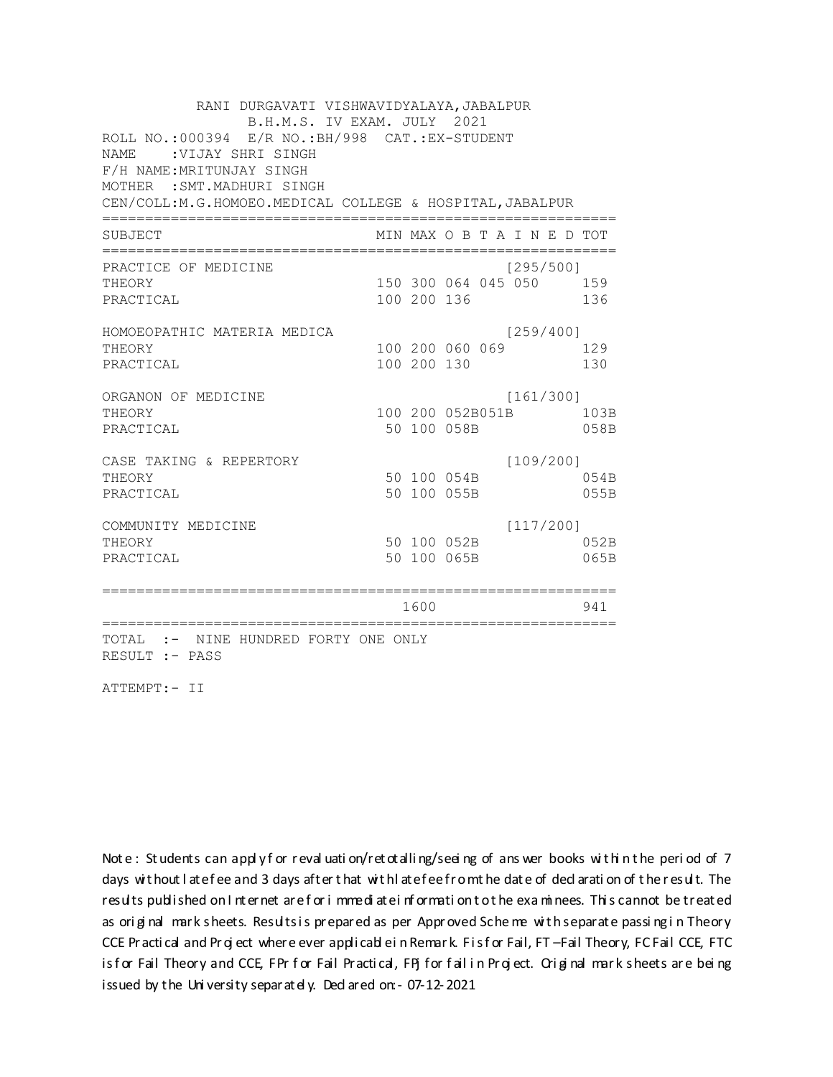RANI DURGAVATI VISHWAVIDYALAYA, JABALPUR B.H.M.S. IV EXAM. JULY 2021 ROLL NO.:000394 E/R NO.: BH/998 CAT.: EX-STUDENT NAME: VIJAY SHRI SINGH F/H NAME: MRITUNJAY SINGH MOTHER : SMT. MADHURI SINGH CEN/COLL:M.G.HOMOEO.MEDICAL COLLEGE & HOSPITAL, JABALPUR MIN MAX O B T A I N E D TOT SUBJECT  $[295/500]$ PRACTICE OF MEDICINE 150 300 064 045 050 159 **THEORY** PRACTICAL 100 200 136 136 HOMOEOPATHIC MATERIA MEDICA  $[259/400]$ 100 200 060 069 129 THEORY PRACTICAL 100 200 130 130 ORGANON OF MEDICINE  $[161/300]$ THEORY 100 200 052B051B 103B PRACTICAL 50 100 058B 058B  $[109/200]$ CASE TAKING & REPERTORY 50 100 054B THEORY 054B PRACTICAL 50 100 055B 055B  $[117/200]$ COMMUNITY MEDICINE 50 100 052B 052B THEORY PRACTICAL 50 100 065B 065B 1600 1600 941 TOTAL :- NINE HUNDRED FORTY ONE ONLY RESULT :- PASS

ATTEMPT:- II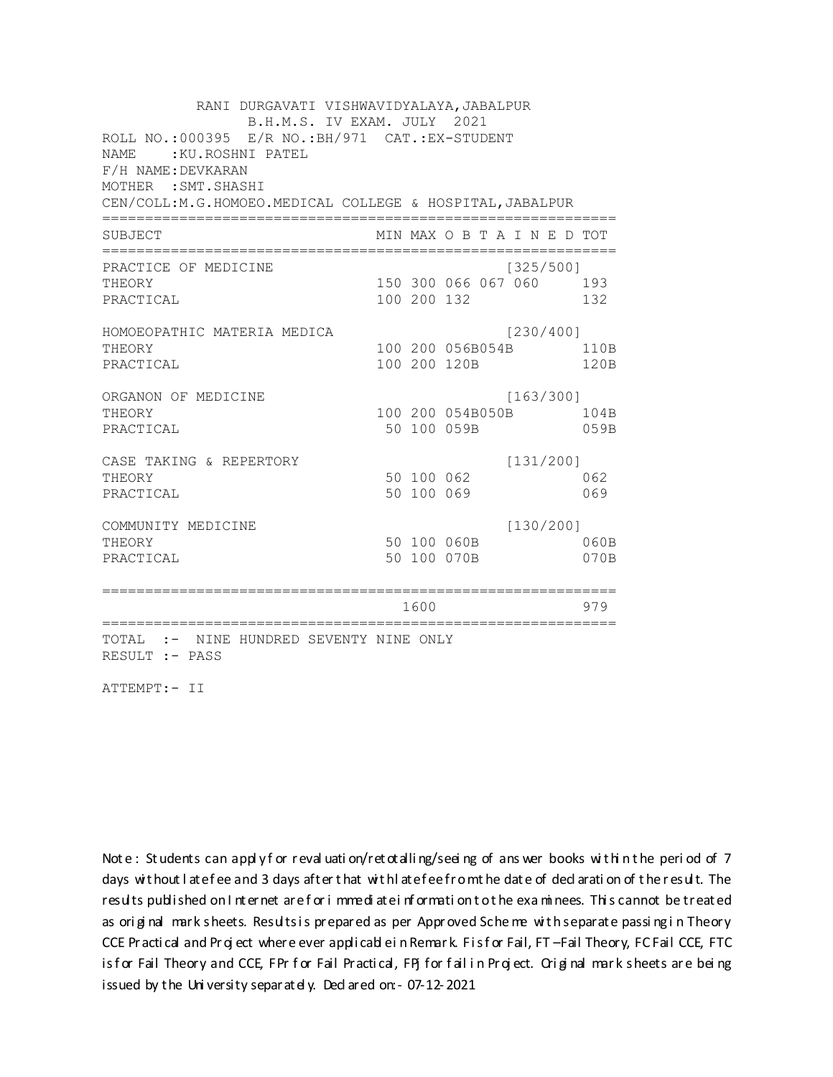RANI DURGAVATI VISHWAVIDYALAYA, JABALPUR B.H.M.S. IV EXAM. JULY 2021 ROLL NO.: 000395 E/R NO.: BH/971 CAT.: EX-STUDENT NAME : KU.ROSHNI PATEL F/H NAME: DEVKARAN MOTHER : SMT. SHASHI CEN/COLL:M.G.HOMOEO.MEDICAL COLLEGE & HOSPITAL, JABALPUR MIN MAX O B T A I N E D TOT SUBJECT PRACTICE OF MEDICINE  $[325/500]$ 150 300 066 067 060 193 **THEORY** PRACTICAL 100 200 132 132 HOMOEOPATHIC MATERIA MEDICA [230/400] 100 200 056B054B 110B THEORY PRACTICAL 100 200 120B 120B ORGANON OF MEDICINE  $[163/300]$ THEORY 100 200 054B050B 104B PRACTICAL 50 100 059B 059B CASE TAKING & REPERTORY  $[131/200]$ 50 100 062 THEORY 062 50 100 069 PRACTICAL 069  $[130/200]$ COMMUNITY MEDICINE 50 100 060B 060B THEORY PRACTICAL 50 100 070B 070B 1600 1600 979 TOTAL :- NINE HUNDRED SEVENTY NINE ONLY RESULT :- PASS

ATTEMPT:- II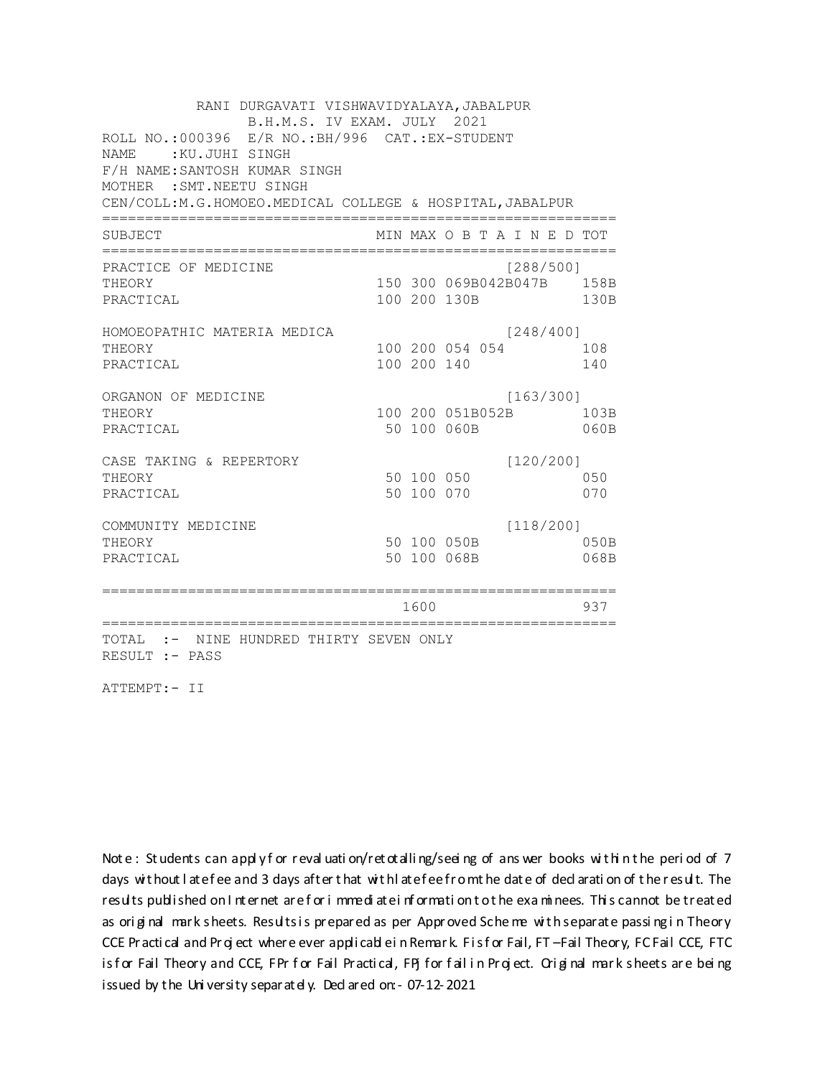RANI DURGAVATI VISHWAVIDYALAYA, JABALPUR B.H.M.S. IV EXAM. JULY 2021 ROLL NO.:000396 E/R NO.: BH/996 CAT.: EX-STUDENT NAME: KU.JUHI SINGH F/H NAME: SANTOSH KUMAR SINGH MOTHER : SMT. NEETU SINGH CEN/COLL:M.G.HOMOEO.MEDICAL COLLEGE & HOSPITAL, JABALPUR MIN MAX O B T A I N E D TOT SUBJECT PRACTICE OF MEDICINE  $[288/500]$ 150 300 069B042B047B 158B THEORY PRACTICAL 100 200 130B 130B HOMOEOPATHIC MATERIA MEDICA  $[248/400]$ 100 200 054 054 108 THEORY PRACTICAL 100 200 140 140 ORGANON OF MEDICINE  $[163/300]$ THEORY 100 200 051B052B 103B PRACTICAL 50 100 060B 060B CASE TAKING & REPERTORY  $[120/200]$ 50 100 050 THEORY 050 50 100 070 PRACTICAL 070  $[118/200]$ COMMUNITY MEDICINE 50 100 050B 050B THEORY PRACTICAL 50 100 068B 068B 1600 1600 937 TOTAL :- NINE HUNDRED THIRTY SEVEN ONLY RESULT :- PASS

ATTEMPT:- II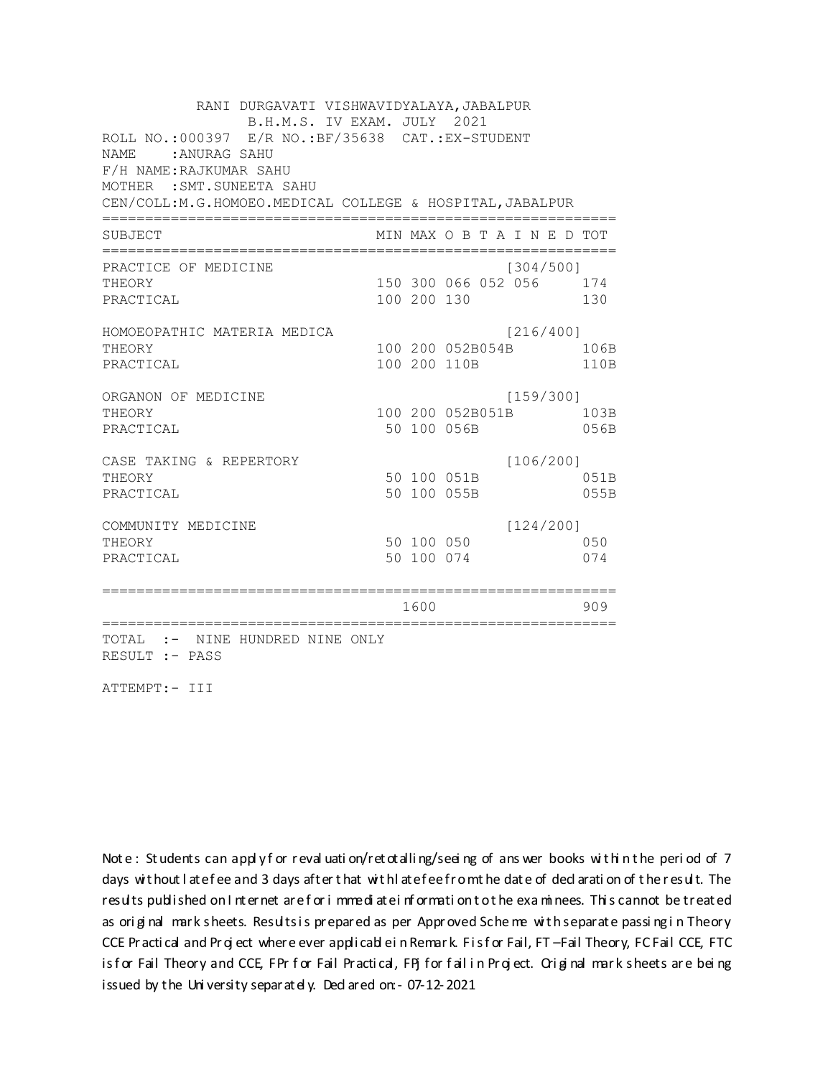RANI DURGAVATI VISHWAVIDYALAYA, JABALPUR B.H.M.S. IV EXAM. JULY 2021 ROLL NO.:000397 E/R NO.: BF/35638 CAT.: EX-STUDENT NAME: ANURAG SAHU F/H NAME: RAJKUMAR SAHU MOTHER : SMT. SUNEETA SAHU CEN/COLL: M.G.HOMOEO. MEDICAL COLLEGE & HOSPITAL, JABALPUR MIN MAX O B T A I N E D TOT SUBJECT PRACTICE OF MEDICINE  $[304/500]$ THEORY 150 300 066 052 056 174 PRACTICAL 100 200 130 130 HOMOEOPATHIC MATERIA MEDICA  $[216/400]$ 100 200 052B054B 106B THEORY PRACTICAL 100 200 110B 110B ORGANON OF MEDICINE  $[159/300]$ THEORY 100 200 052B051B 103B PRACTICAL 50 100 056B 056B CASE TAKING & REPERTORY  $[106/200]$ 50 100 051B THEORY 051B PRACTICAL 50 100 055B 055B  $[124/200]$ COMMUNITY MEDICINE 50 100 050 050 THEORY PRACTICAL 50 100 074 074 1600 1600 909 TOTAL :- NINE HUNDRED NINE ONLY RESULT :- PASS

ATTEMPT:- III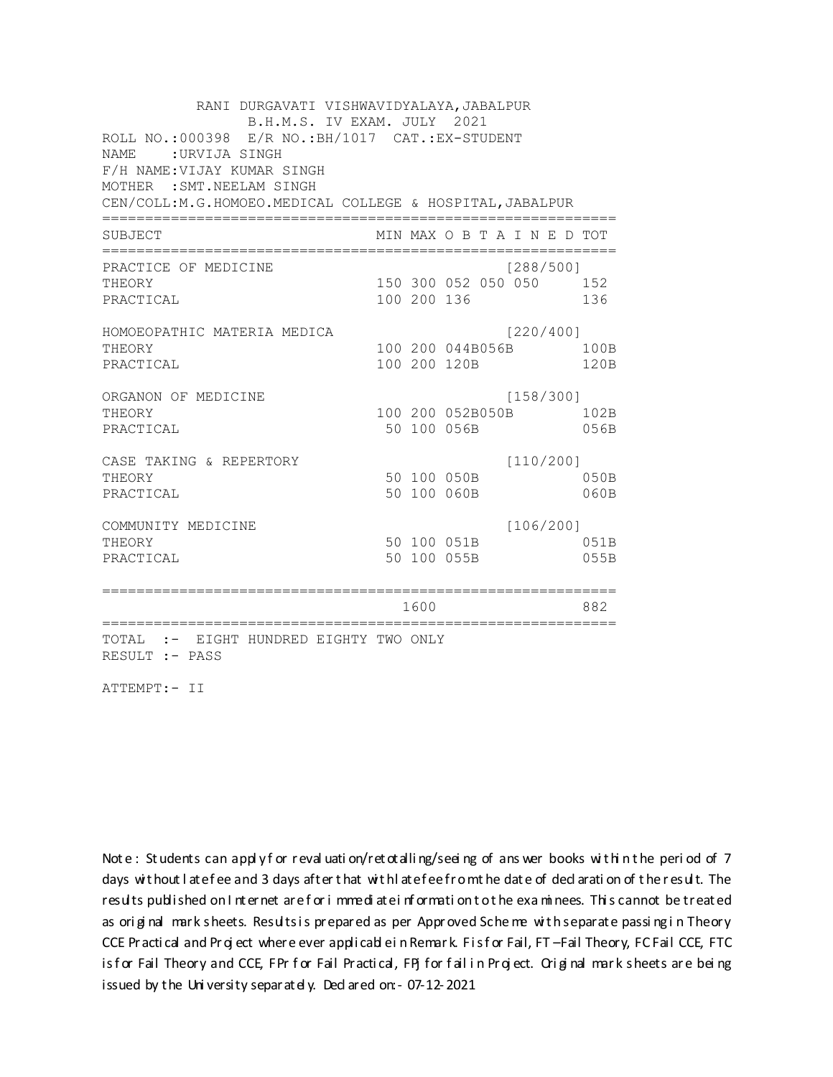RANI DURGAVATI VISHWAVIDYALAYA, JABALPUR B.H.M.S. IV EXAM. JULY 2021 ROLL NO.:000398 E/R NO.: BH/1017 CAT.: EX-STUDENT NAME: URVIJA SINGH F/H NAME: VIJAY KUMAR SINGH MOTHER : SMT. NEELAM SINGH CEN/COLL:M.G.HOMOEO.MEDICAL COLLEGE & HOSPITAL, JABALPUR MIN MAX O B T A I N E D TOT SUBJECT  $[288/5001]$ PRACTICE OF MEDICINE 150 300 052 050 050 152 **THEORY** PRACTICAL 100 200 136 136 HOMOEOPATHIC MATERIA MEDICA [220/400] 100 200 044B056B 100B THEORY PRACTICAL 100 200 120B 120B ORGANON OF MEDICINE  $[158/300]$ THEORY 100 200 052B050B 102B PRACTICAL 50 100 056B 056B  $[110/200]$ CASE TAKING & REPERTORY 50 100 050B THEORY  $050B$ PRACTICAL 50 100 060B 060B  $[106/200]$ COMMUNITY MEDICINE 50 100 051B 051B THEORY PRACTICAL 50 100 055B 055B 1600 000 882 TOTAL :- EIGHT HUNDRED EIGHTY TWO ONLY RESULT :- PASS

ATTEMPT:- II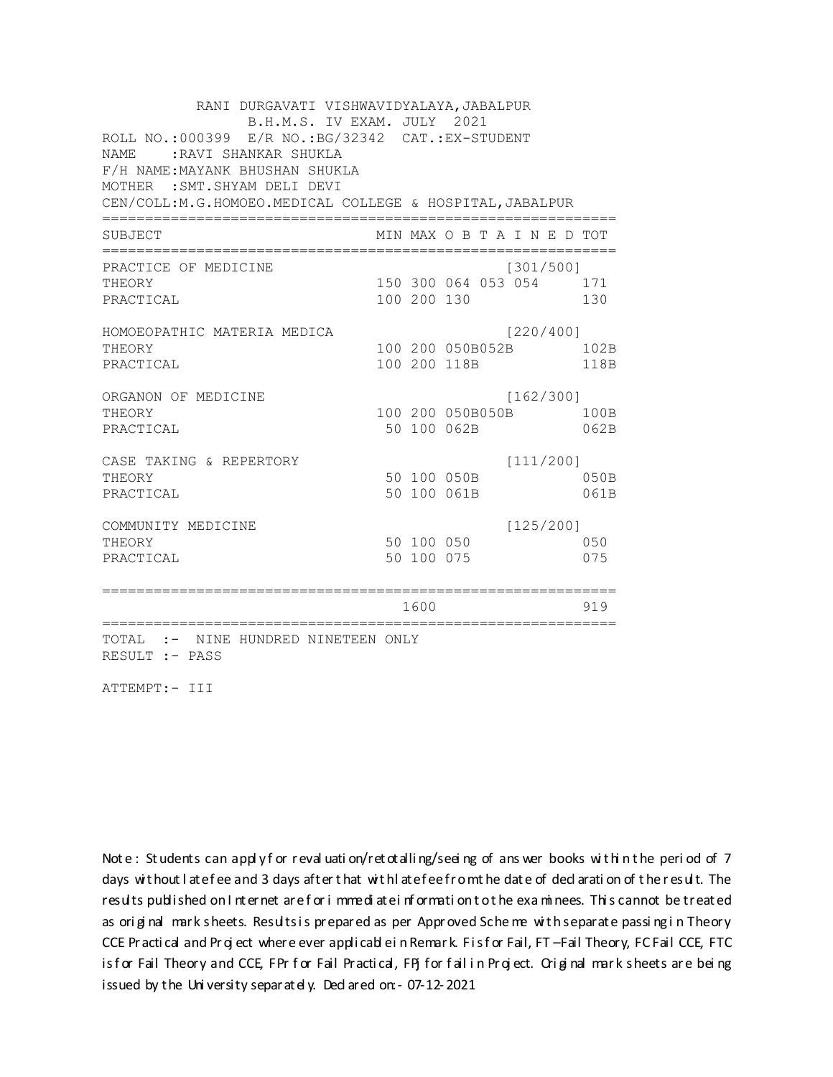RANI DURGAVATI VISHWAVIDYALAYA, JABALPUR B.H.M.S. IV EXAM. JULY 2021 ROLL NO.: 000399 E/R NO.: BG/32342 CAT.: EX-STUDENT NAME: : RAVI SHANKAR SHUKLA F/H NAME: MAYANK BHUSHAN SHUKLA MOTHER : SMT. SHYAM DELI DEVI CEN/COLL: M.G.HOMOEO. MEDICAL COLLEGE & HOSPITAL, JABALPUR MIN MAX O B T A I N E D TOT SUBJECT PRACTICE OF MEDICINE  $[301/500]$ THEORY 150 300 064 053 054 171 PRACTICAL 100 200 130 130 HOMOEOPATHIC MATERIA MEDICA [220/400] 100 200 050B052B 102B THEORY PRACTICAL 100 200 118B 118B ORGANON OF MEDICINE  $[162/300]$ THEORY 100 200 050B050B 100B PRACTICAL 50 100 062B 062B CASE TAKING & REPERTORY  $[111/200]$ 50 100 050B THEORY 050B PRACTICAL 50 100 061B 061B  $[125/200]$ COMMUNITY MEDICINE 50 100 050 050 THEORY PRACTICAL 50 100 075 075 1600 1600 919 TOTAL :- NINE HUNDRED NINETEEN ONLY RESULT :- PASS

ATTEMPT:- III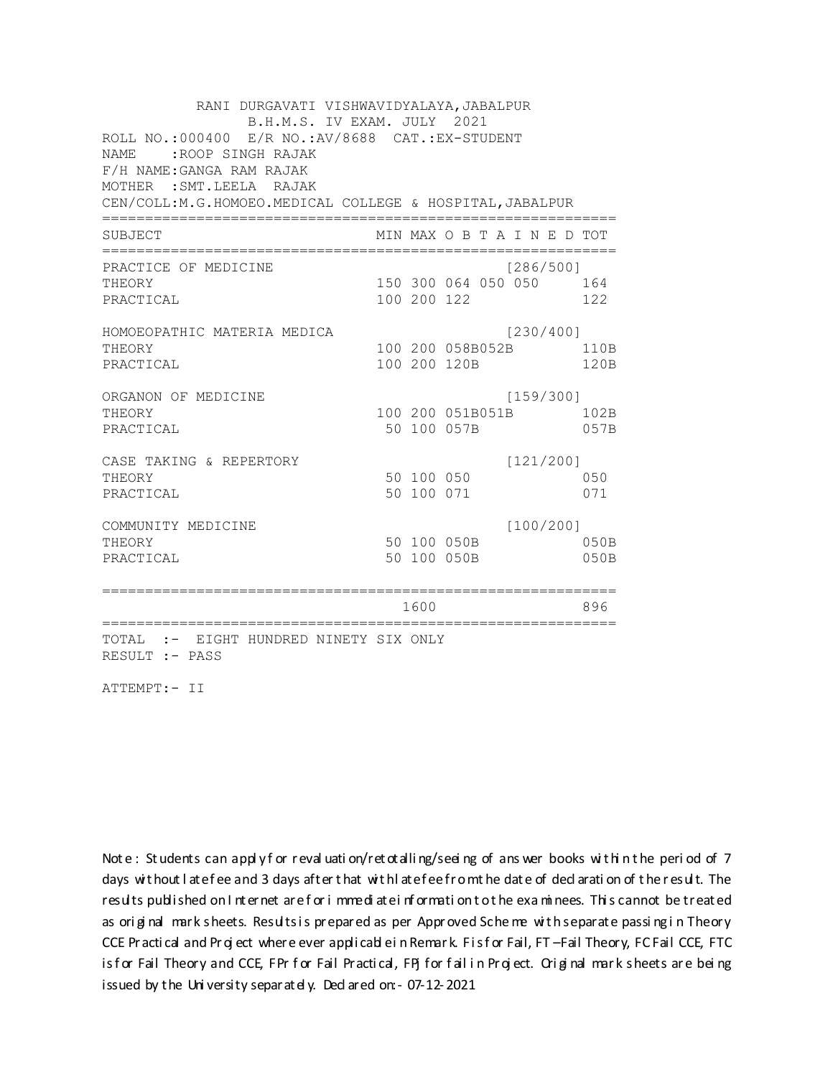RANI DURGAVATI VISHWAVIDYALAYA, JABALPUR B.H.M.S. IV EXAM. JULY 2021 ROLL NO.:000400 E/R NO.:AV/8688 CAT.:EX-STUDENT NAME :ROOP SINGH RAJAK F/H NAME:GANGA RAM RAJAK MOTHER :SMT.LEELA RAJAK CEN/COLL:M.G.HOMOEO.MEDICAL COLLEGE & HOSPITAL,JABALPUR ============================================================ SUBJECT MIN MAX O B T A I N E D TOT ============================================================ PRACTICE OF MEDICINE [286/500] THEORY 150 300 064 050 050 164 PRACTICAL 100 200 122 122 HOMOEOPATHIC MATERIA MEDICA [230/400] THEORY 100 200 058B052B 110B PRACTICAL 100 200 120B 120B ORGANON OF MEDICINE [159/300] THEORY 100 200 051B051B 102B PRACTICAL 50 100 057B 057B CASE TAKING & REPERTORY [121/200] THEORY 50 100 050 050 PRACTICAL 50 100 071 071 COMMUNITY MEDICINE [100/200] THEORY 50 100 050B 050B PRACTICAL 50 100 050B 050B ============================================================ 1600 896 ============================================================ TOTAL :- EIGHT HUNDRED NINETY SIX ONLY RESULT :- PASS

ATTEMPT:- II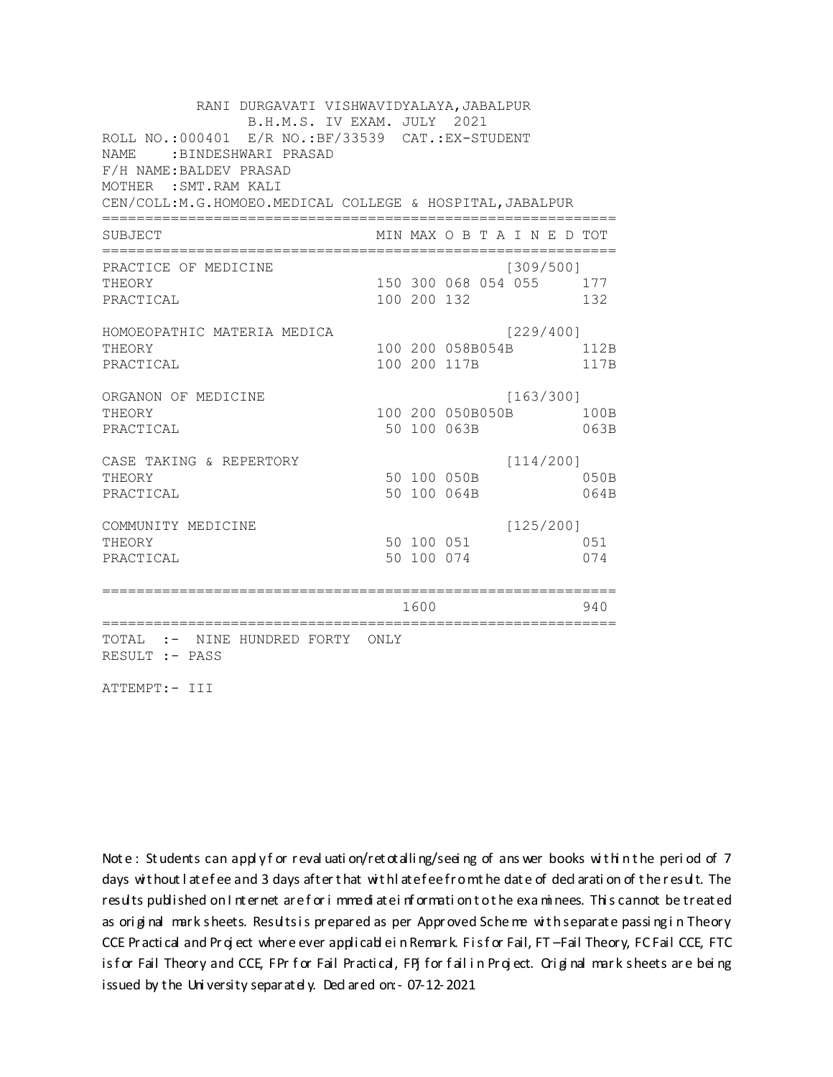RANI DURGAVATI VISHWAVIDYALAYA, JABALPUR B.H.M.S. IV EXAM. JULY 2021 ROLL NO.: 000401 E/R NO.: BF/33539 CAT.: EX-STUDENT NAME: BINDESHWARI PRASAD F/H NAME: BALDEV PRASAD MOTHER : SMT. RAM KALI CEN/COLL:M.G.HOMOEO.MEDICAL COLLEGE & HOSPITAL, JABALPUR MIN MAX O B T A I N E D TOT SUBJECT PRACTICE OF MEDICINE  $[309/500]$ THEORY 150 300 068 054 055 177 PRACTICAL 100 200 132 132 HOMOEOPATHIC MATERIA MEDICA [229/400] 100 200 058B054B 112B THEORY PRACTICAL 100 200 117B 117B ORGANON OF MEDICINE  $[163/300]$ THEORY 100 200 050B050B 100B PRACTICAL 50 100 063B 063B  $[114/200]$ CASE TAKING & REPERTORY 50 100 050B THEORY 050B PRACTICAL 50 100 064B 064B  $[125/200]$ COMMUNITY MEDICINE 50 100 051 051 THEORY 50 100 074 PRACTICAL 074 1600 1600 940 TOTAL :- NINE HUNDRED FORTY ONLY RESULT :- PASS

ATTEMPT:- III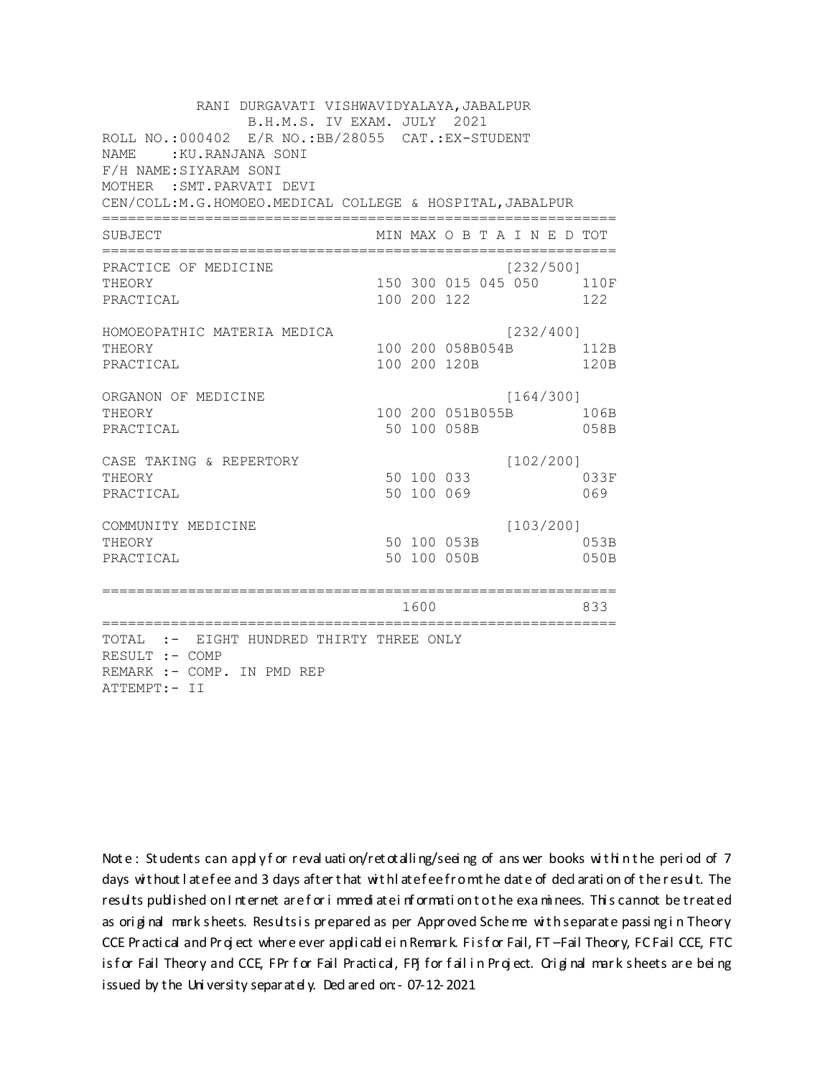RANI DURGAVATI VISHWAVIDYALAYA, JABALPUR B.H.M.S. IV EXAM. JULY 2021 ROLL NO.:000402 E/R NO.:BB/28055 CAT.:EX-STUDENT NAME: : KU.RANJANA SONI F/H NAME: SIYARAM SONI MOTHER : SMT. PARVATI DEVI CEN/COLL:M.G.HOMOEO.MEDICAL COLLEGE & HOSPITAL, JABALPUR MIN MAX O B T A I N E D TOT SUBJECT  $[232/500]$ PRACTICE OF MEDICINE 150 300 015 045 050 110F **THEORY** PRACTICAL 100 200 122 122 HOMOEOPATHIC MATERIA MEDICA [232/400] 100 200 058B054B 112B THEORY PRACTICAL 100 200 120B 120B ORGANON OF MEDICINE  $[164/300]$ THEORY 100 200 051B055B 106B PRACTICAL 50 100 058B 058B CASE TAKING & REPERTORY  $[102/200]$ 50 100 033 THEORY 033F 50 100 069 PRACTICAL 069  $[103/200]$ COMMUNITY MEDICINE 50 100 053B 053B THEORY PRACTICAL 50 100 050B 050B 1600 000 833 TOTAL :- EIGHT HUNDRED THIRTY THREE ONLY RESULT :- COMP REMARK :- COMP. IN PMD REP ATTEMPT:- II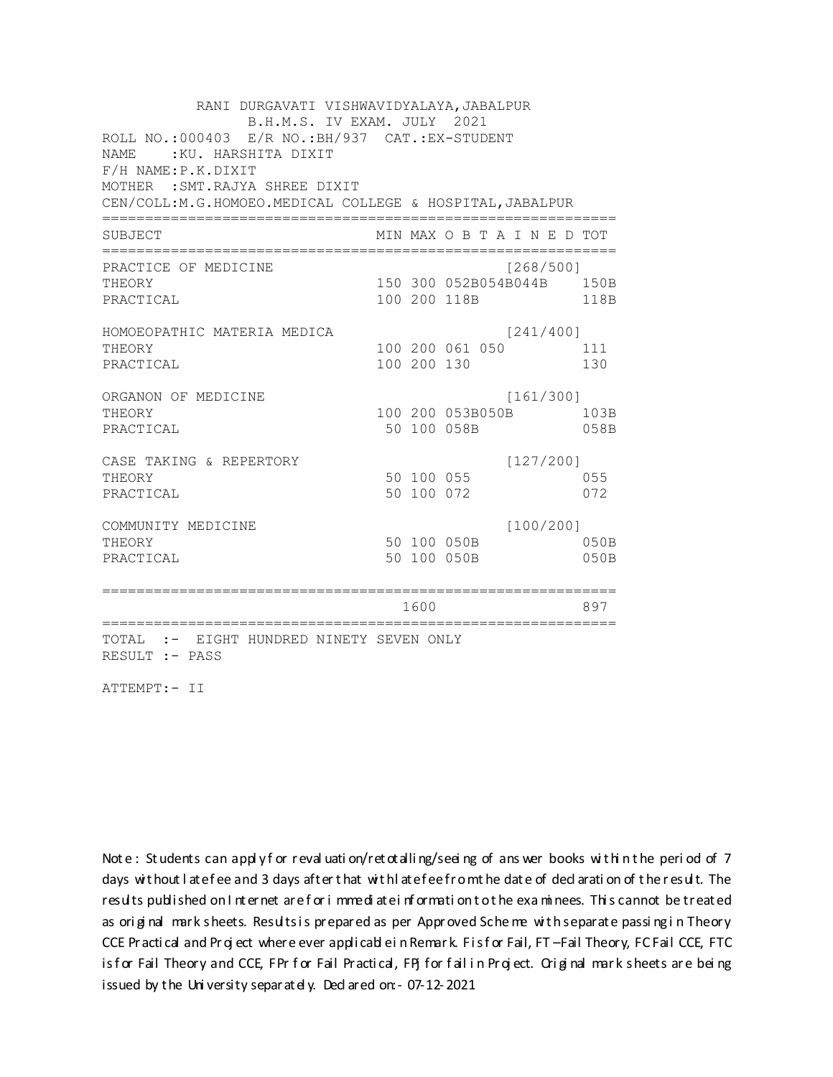RANI DURGAVATI VISHWAVIDYALAYA, JABALPUR B.H.M.S. IV EXAM. JULY 2021 ROLL NO.: 000403 E/R NO.: BH/937 CAT.: EX-STUDENT NAME: : KU. HARSHITA DIXIT F/H NAME: P.K.DIXIT MOTHER : SMT. RAJYA SHREE DIXIT CEN/COLL:M.G.HOMOEO.MEDICAL COLLEGE & HOSPITAL, JABALPUR MIN MAX O B T A I N E D TOT SUBJECT PRACTICE OF MEDICINE  $[268/500]$ 150 300 052B054B044B 150B THEORY PRACTICAL 100 200 118B 118B HOMOEOPATHIC MATERIA MEDICA  $[241/400]$ 100 200 061 050 111 THEORY PRACTICAL 100 200 130 130 ORGANON OF MEDICINE  $[161/300]$ THEORY 100 200 053B050B 103B PRACTICAL 50 100 058B 058B CASE TAKING & REPERTORY  $[127/200]$ 50 100 055 THEORY 055 50 100 072 PRACTICAL 072  $[100/200]$ COMMUNITY MEDICINE 50 100 050B 050B THEORY PRACTICAL 50 100 050B 050B 1600 1600 897 TOTAL :- EIGHT HUNDRED NINETY SEVEN ONLY RESULT :- PASS

ATTEMPT:- II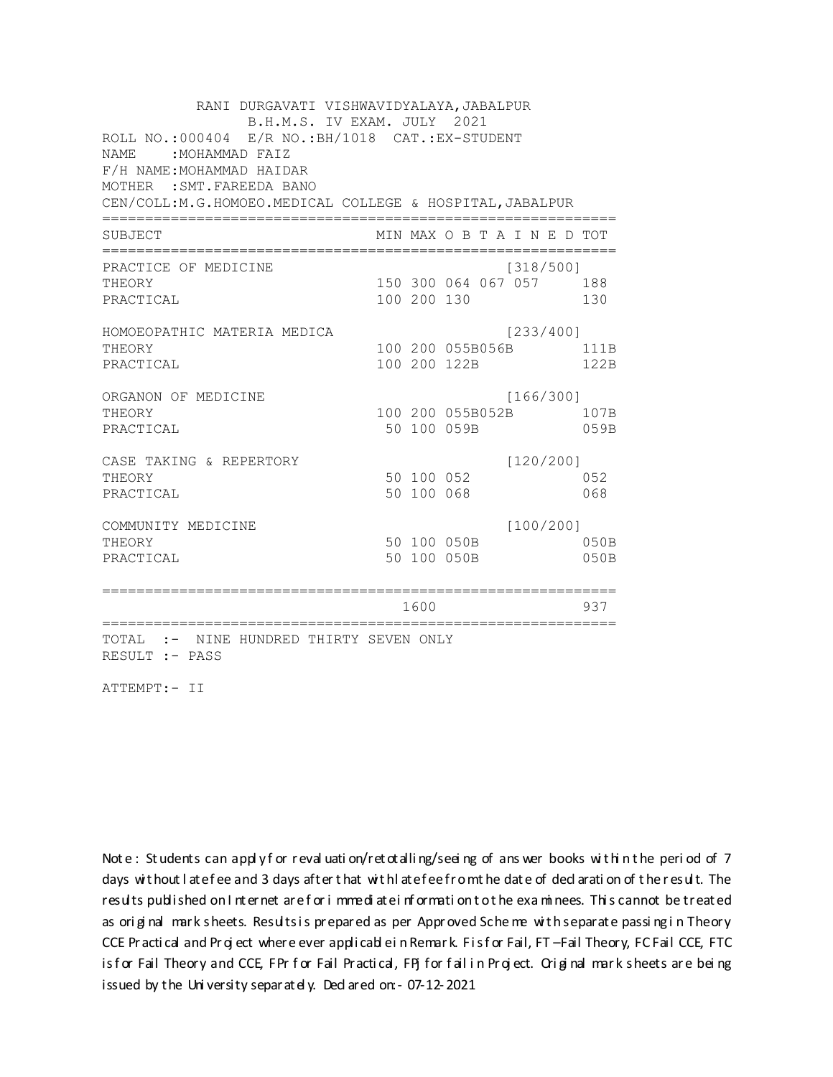RANI DURGAVATI VISHWAVIDYALAYA, JABALPUR B.H.M.S. IV EXAM. JULY 2021 ROLL NO.:000404 E/R NO.: BH/1018 CAT.: EX-STUDENT NAME: MOHAMMAD FAIZ F/H NAME: MOHAMMAD HAIDAR MOTHER : SMT. FAREEDA BANO CEN/COLL: M.G.HOMOEO. MEDICAL COLLEGE & HOSPITAL, JABALPUR MIN MAX O B T A I N E D TOT SUBJECT PRACTICE OF MEDICINE  $[318/500]$ 150 300 064 067 057 188 THEORY PRACTICAL 100 200 130 130 HOMOEOPATHIC MATERIA MEDICA [233/400] 100 200 055B056B 111B THEORY PRACTICAL 100 200 122B 122B ORGANON OF MEDICINE  $[166/300]$ THEORY 100 200 055B052B 107B PRACTICAL 50 100 059B 059B CASE TAKING & REPERTORY  $[120/200]$ 50 100 052 THEORY 052 50 100 068 PRACTICAL 068  $[100/200]$ COMMUNITY MEDICINE 50 100 050B 050B THEORY PRACTICAL 50 100 050B 050B 1600 1600 937 TOTAL :- NINE HUNDRED THIRTY SEVEN ONLY RESULT :- PASS

ATTEMPT:- II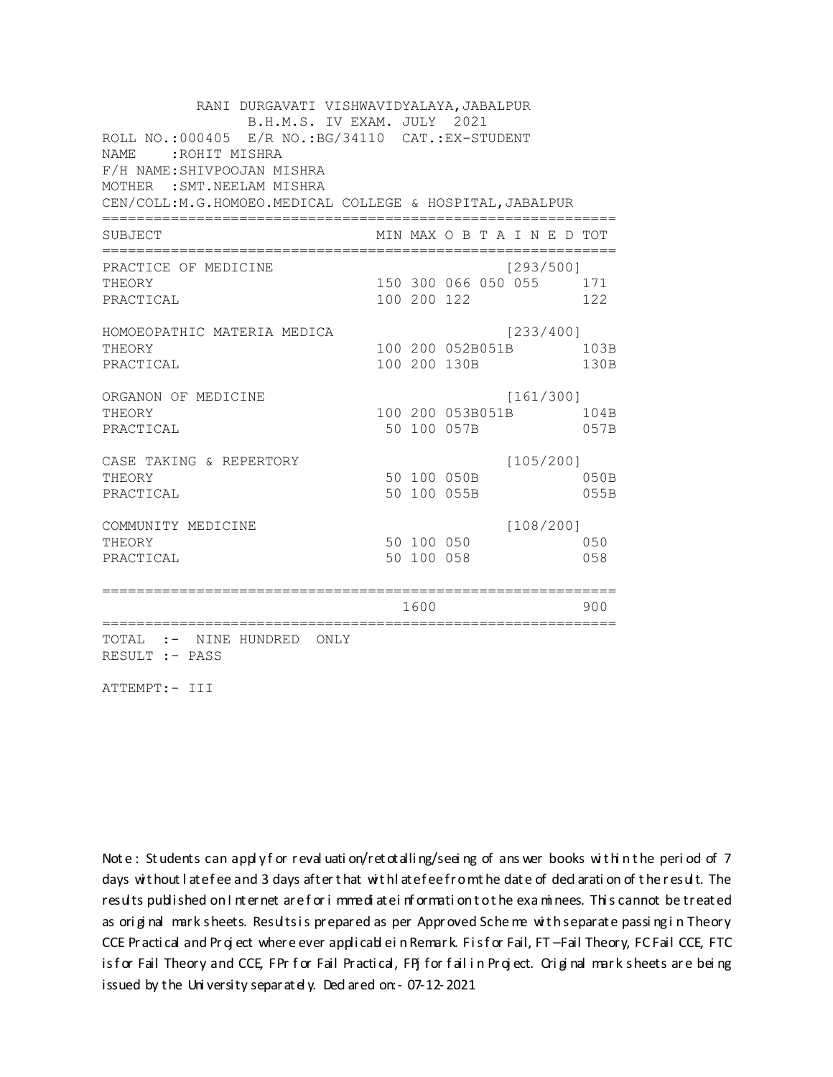RANI DURGAVATI VISHWAVIDYALAYA, JABALPUR B.H.M.S. IV EXAM. JULY 2021 ROLL NO.: 000405 E/R NO.: BG/34110 CAT.: EX-STUDENT NAME: : ROHIT MISHRA F/H NAME: SHIVPOOJAN MISHRA MOTHER : SMT. NEELAM MISHRA CEN/COLL:M.G.HOMOEO.MEDICAL COLLEGE & HOSPITAL, JABALPUR MIN MAX O B T A I N E D TOT SUBJECT PRACTICE OF MEDICINE  $[293/500]$ THEORY 150 300 066 050 055 171 PRACTICAL 100 200 122 122 HOMOEOPATHIC MATERIA MEDICA  $[233/400]$ 100 200 052B051B 103B THEORY PRACTICAL 100 200 130B 130B ORGANON OF MEDICINE  $[161/300]$ THEORY 100 200 053B051B 104B PRACTICAL 50 100 057B 057B  $[105/200]$ CASE TAKING & REPERTORY 50 100 050B THEORY 050B PRACTICAL 50 100 055B 055B  $[108/200]$ COMMUNITY MEDICINE 50 100 050 050 THEORY PRACTICAL 50 100 058 058 1600 1600 900 TOTAL :- NINE HUNDRED ONLY RESULT :- PASS

ATTEMPT:- III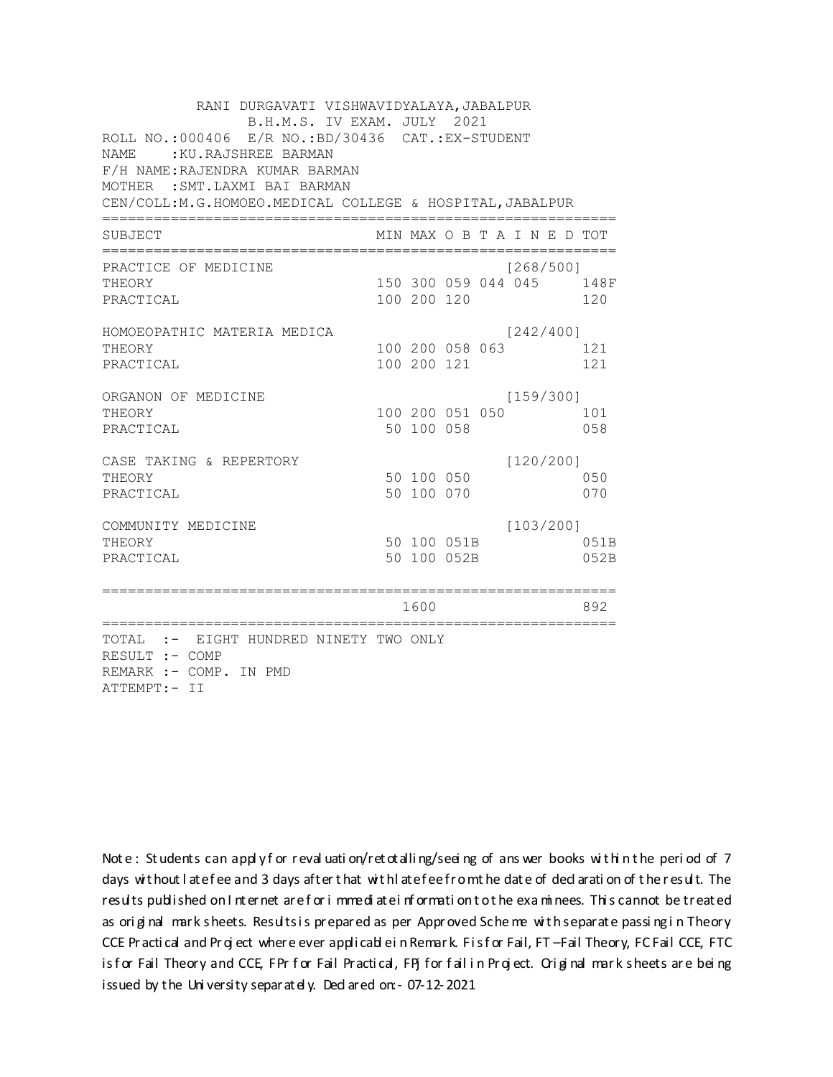RANI DURGAVATI VISHWAVIDYALAYA, JABALPUR B.H.M.S. IV EXAM. JULY 2021 ROLL NO.:000406 E/R NO.:BD/30436 CAT.:EX-STUDENT NAME : KU.RAJSHREE BARMAN F/H NAME:RAJENDRA KUMAR BARMAN MOTHER :SMT.LAXMI BAI BARMAN CEN/COLL:M.G.HOMOEO.MEDICAL COLLEGE & HOSPITAL,JABALPUR ============================================================ SUBJECT MIN MAX O B T A I N E D TOT ============================================================ PRACTICE OF MEDICINE [268/500] THEORY 150 300 059 044 045 148F PRACTICAL 100 200 120 120 HOMOEOPATHIC MATERIA MEDICA [242/400] THEORY 100 200 058 063 121 PRACTICAL 100 200 121 121 ORGANON OF MEDICINE [159/300] THEORY 100 200 051 050 101 PRACTICAL 50 100 058 058 CASE TAKING & REPERTORY [120/200] THEORY 50 100 050 050 PRACTICAL 50 100 070 070 COMMUNITY MEDICINE [103/200] THEORY 50 100 051B 051B PRACTICAL 50 100 052B 052B ============================================================ 1600 892 ============================================================ TOTAL :- EIGHT HUNDRED NINETY TWO ONLY RESULT :- COMP REMARK :- COMP. IN PMD ATTEMPT:- II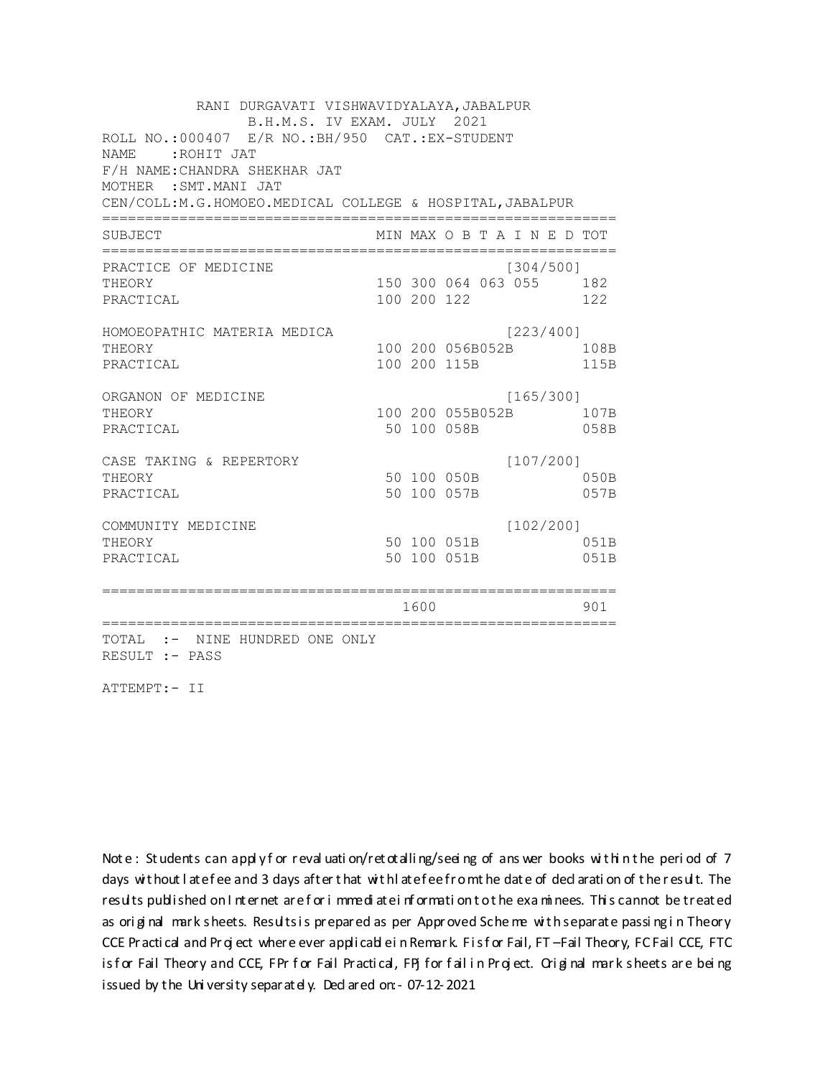RANI DURGAVATI VISHWAVIDYALAYA, JABALPUR B.H.M.S. IV EXAM. JULY 2021 ROLL NO.:000407 E/R NO.: BH/950 CAT.: EX-STUDENT NAME: ROHIT JAT F/H NAME: CHANDRA SHEKHAR JAT MOTHER : SMT. MANI JAT CEN/COLL:M.G.HOMOEO.MEDICAL COLLEGE & HOSPITAL, JABALPUR MIN MAX O B T A I N E D TOT SUBJECT PRACTICE OF MEDICINE  $[304/500]$ 150 300 064 063 055 182 **THEORY** PRACTICAL 100 200 122 122 HOMOEOPATHIC MATERIA MEDICA [223/400] 100 200 056B052B 108B THEORY 115B PRACTICAL 100 200 115B ORGANON OF MEDICINE  $[165/300]$ THEORY 100 200 055B052B 107B PRACTICAL 50 100 058B 058B  $[107/200]$ CASE TAKING & REPERTORY 50 100 050B THEORY  $050B$ PRACTICAL 50 100 057B 057B  $[102/200]$ COMMUNITY MEDICINE 50 100 051B 051B THEORY PRACTICAL 50 100 051B 051B 1600 000 901 TOTAL :- NINE HUNDRED ONE ONLY RESULT :- PASS

ATTEMPT:- II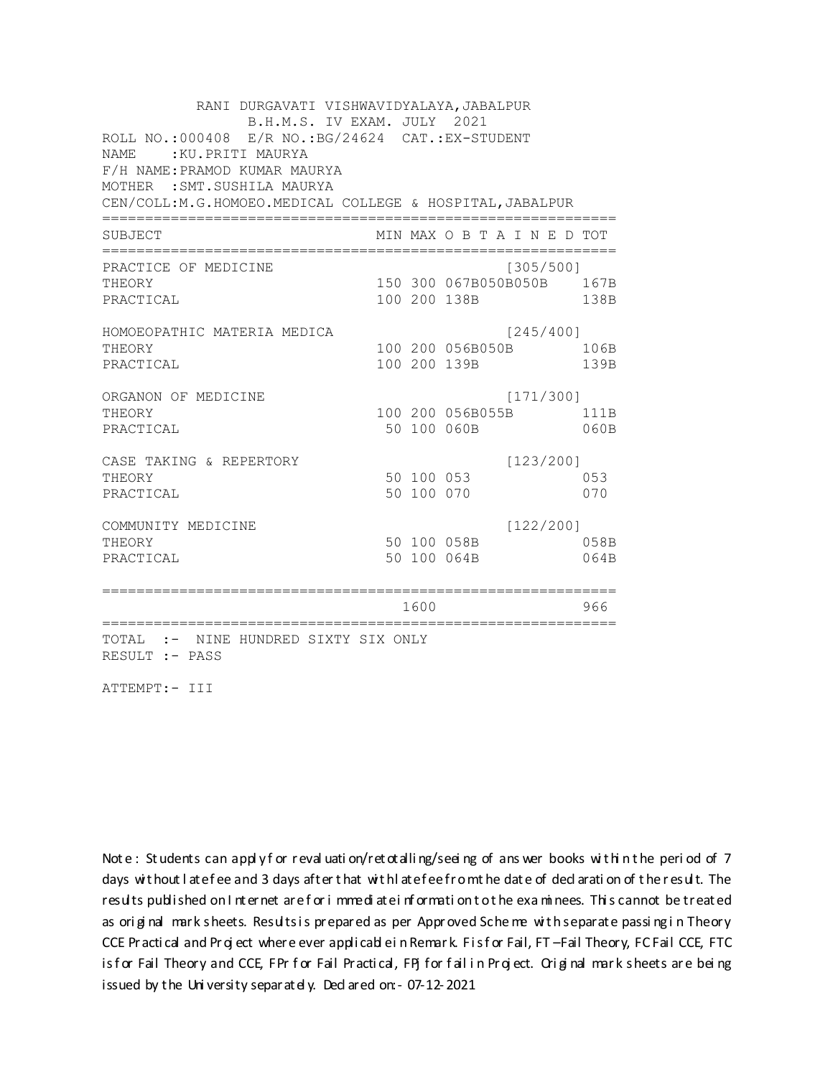RANI DURGAVATI VISHWAVIDYALAYA, JABALPUR B.H.M.S. IV EXAM. JULY 2021 ROLL NO.:000408 E/R NO.:BG/24624 CAT.:EX-STUDENT NAME : KU.PRITI MAURYA F/H NAME:PRAMOD KUMAR MAURYA MOTHER :SMT.SUSHILA MAURYA CEN/COLL:M.G.HOMOEO.MEDICAL COLLEGE & HOSPITAL,JABALPUR ============================================================ SUBJECT MIN MAX O B T A I N E D TOT ============================================================ PRACTICE OF MEDICINE [305/500] THEORY 150 300 067B050B050B 167B PRACTICAL 100 200 138B 138B HOMOEOPATHIC MATERIA MEDICA [245/400] THEORY 100 200 056B050B 106B PRACTICAL 100 200 139B 139B ORGANON OF MEDICINE [171/300] THEORY 100 200 056B055B 111B PRACTICAL 50 100 060B 060B CASE TAKING & REPERTORY [123/200] THEORY 50 100 053 053 PRACTICAL 50 100 070 070 COMMUNITY MEDICINE [122/200] THEORY 50 100 058B 058B PRACTICAL 50 100 064B 064B ============================================================ 1600 966 ============================================================ TOTAL :- NINE HUNDRED SIXTY SIX ONLY RESULT :- PASS

ATTEMPT:- III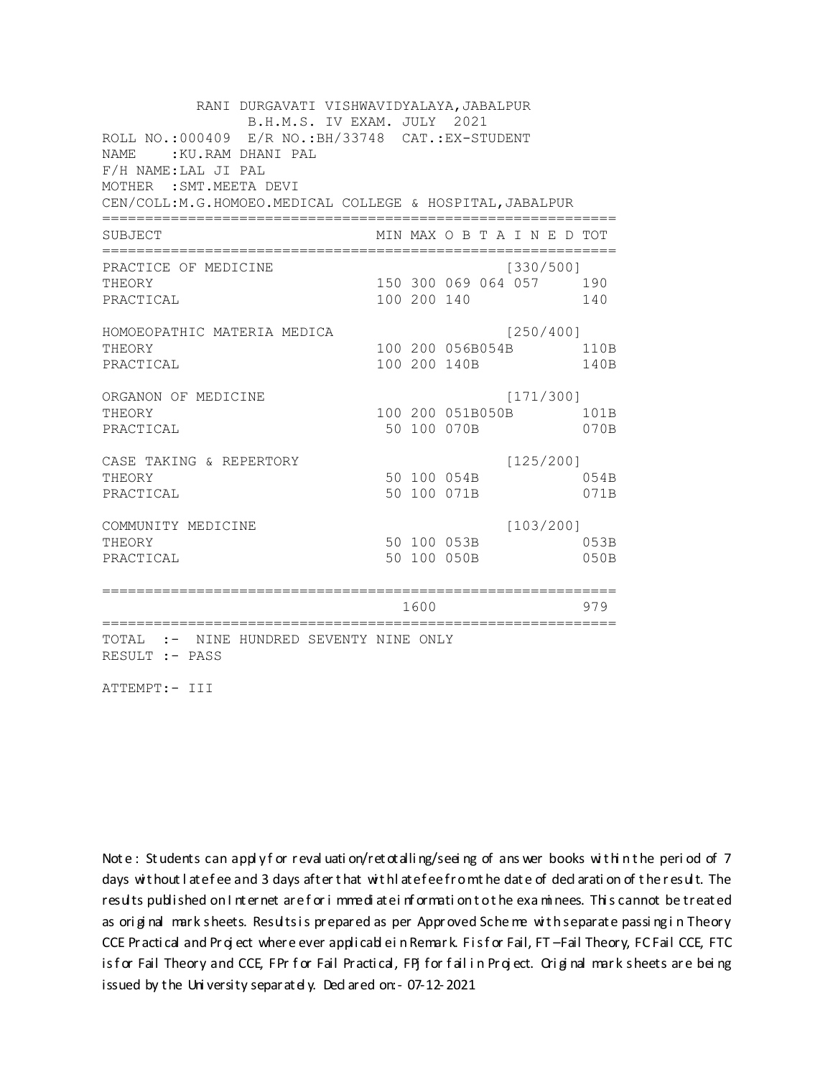RANI DURGAVATI VISHWAVIDYALAYA, JABALPUR B.H.M.S. IV EXAM. JULY 2021 ROLL NO.: 000409 E/R NO.: BH/33748 CAT.: EX-STUDENT NAME: : KU.RAM DHANI PAL F/H NAME: LAL JI PAL MOTHER : SMT. MEETA DEVI CEN/COLL: M.G.HOMOEO. MEDICAL COLLEGE & HOSPITAL, JABALPUR MIN MAX O B T A I N E D TOT SUBJECT PRACTICE OF MEDICINE  $[330/500]$ 150 300 069 064 057 190 **THEORY** PRACTICAL 100 200 140 140 HOMOEOPATHIC MATERIA MEDICA [250/400] 100 200 056B054B 110B THEORY PRACTICAL 100 200 140B 140B ORGANON OF MEDICINE  $[171/300]$ THEORY 100 200 051B050B 101B PRACTICAL 50 100 070B 070B  $[125/200]$ CASE TAKING & REPERTORY 50 100 054B THEORY 054B PRACTICAL 50 100 071B 071B  $[103/200]$ COMMUNITY MEDICINE 50 100 053B 053B THEORY PRACTICAL 50 100 050B 050B 1600 1600 979 TOTAL :- NINE HUNDRED SEVENTY NINE ONLY RESULT :- PASS

ATTEMPT:- III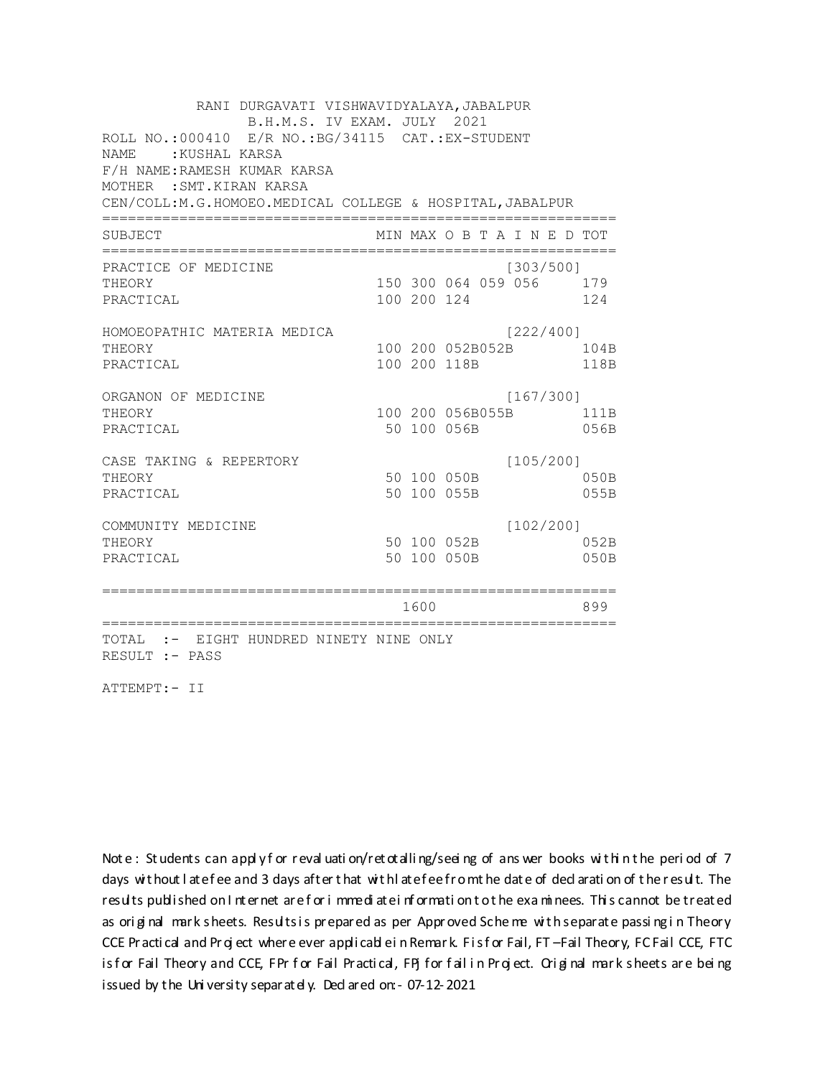RANI DURGAVATI VISHWAVIDYALAYA, JABALPUR B.H.M.S. IV EXAM. JULY 2021 ROLL NO.: 000410 E/R NO.: BG/34115 CAT.: EX-STUDENT NAME: : KUSHAL KARSA F/H NAME: RAMESH KUMAR KARSA MOTHER : SMT. KIRAN KARSA CEN/COLL:M.G.HOMOEO.MEDICAL COLLEGE & HOSPITAL, JABALPUR MIN MAX O B T A I N E D TOT SUBJECT PRACTICE OF MEDICINE  $[303/500]$ 150 300 064 059 056 179 **THEORY** PRACTICAL 100 200 124 124 HOMOEOPATHIC MATERIA MEDICA [222/400] 100 200 052B052B 104B THEORY PRACTICAL 100 200 118B 118B ORGANON OF MEDICINE  $[167/300]$ THEORY 100 200 056B055B 111B PRACTICAL 50 100 056B 056B  $[105/200]$ CASE TAKING & REPERTORY 50 100 050B THEORY 050B PRACTICAL 50 100 055B 055B  $[102/200]$ COMMUNITY MEDICINE 50 100 052B 052B THEORY PRACTICAL 50 100 050B 050B 1600 1600 899 TOTAL :- EIGHT HUNDRED NINETY NINE ONLY RESULT :- PASS

ATTEMPT:- II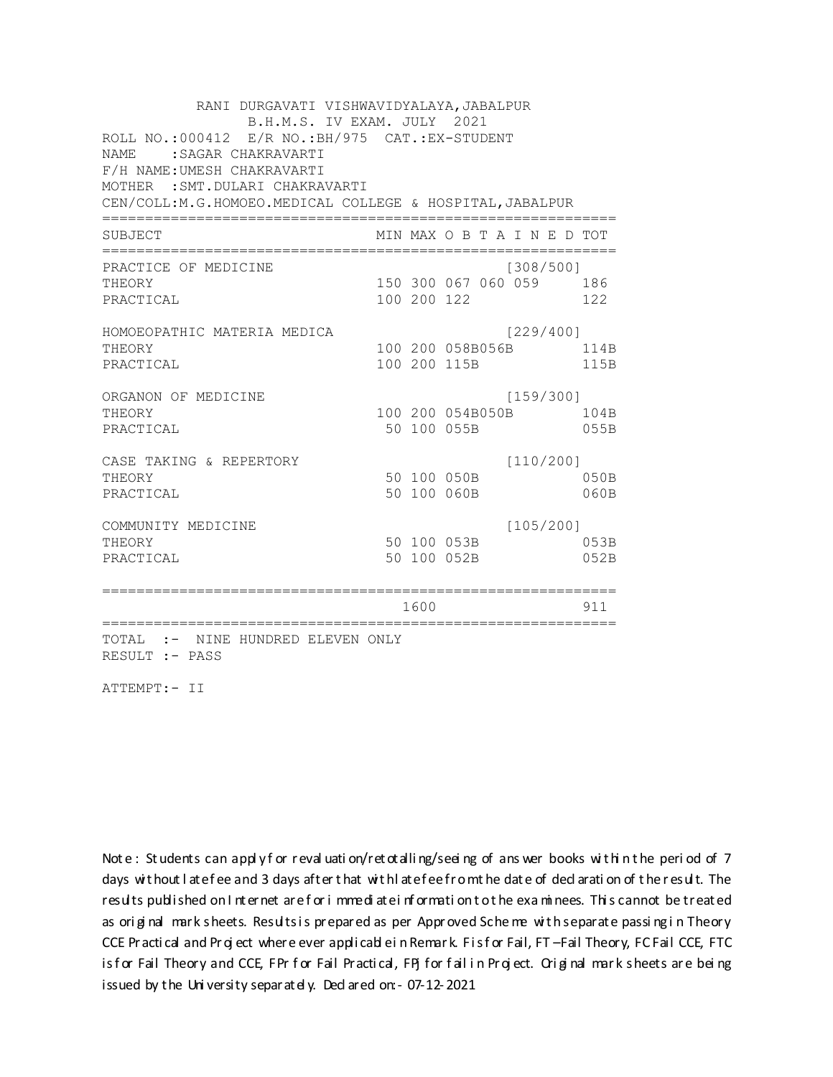| RANI DURGAVATI VISHWAVIDYALAYA, JABALPUR<br>B.H.M.S. IV EXAM. JULY 2021 |            |             |              |                                          |      |  |  |  |
|-------------------------------------------------------------------------|------------|-------------|--------------|------------------------------------------|------|--|--|--|
| ROLL NO.:000412 E/R NO.:BH/975 CAT.:EX-STUDENT                          |            |             |              |                                          |      |  |  |  |
| NAME.<br>: SAGAR CHAKRAVARTI                                            |            |             |              |                                          |      |  |  |  |
| F/H NAME: UMESH CHAKRAVARTI                                             |            |             |              |                                          |      |  |  |  |
| MOTHER : SMT. DULARI CHAKRAVARTI                                        |            |             |              |                                          |      |  |  |  |
| CEN/COLL:M.G.HOMOEO.MEDICAL COLLEGE & HOSPITAL, JABALPUR                |            |             |              |                                          |      |  |  |  |
| SUBJECT                                                                 |            |             |              | MIN MAX O B T A I N E D TOT              |      |  |  |  |
| ==============<br>PRACTICE OF MEDICINE                                  |            |             |              | ;==========================<br>[308/500] |      |  |  |  |
| THEORY                                                                  |            |             |              | 150 300 067 060 059 186                  |      |  |  |  |
| PRACTICAL                                                               |            | 100 200 122 |              |                                          | 122  |  |  |  |
| HOMOEOPATHIC MATERIA MEDICA                                             |            |             |              | [229/400]                                |      |  |  |  |
| THEORY                                                                  |            |             |              | 100 200 058B056B                         | 114B |  |  |  |
| PRACTICAL                                                               |            |             | 100 200 115B |                                          | 115B |  |  |  |
| ORGANON OF MEDICINE                                                     |            |             |              | [159/300]                                |      |  |  |  |
| THEORY                                                                  |            |             |              | 100 200 054B050B                         | 104B |  |  |  |
| PRACTICAL                                                               |            |             | 50 100 055B  |                                          | 055B |  |  |  |
| CASE TAKING & REPERTORY                                                 |            |             |              | [110/200]                                |      |  |  |  |
| THEORY                                                                  |            |             | 50 100 050B  |                                          | 050B |  |  |  |
| PRACTICAL                                                               |            |             | 50 100 060B  |                                          | 060B |  |  |  |
| COMMUNITY MEDICINE                                                      |            |             |              | [105/200]                                |      |  |  |  |
| THEORY                                                                  |            |             | 50 100 053B  |                                          | 053B |  |  |  |
| PRACTICAL                                                               |            |             | 50 100 052B  |                                          | 052B |  |  |  |
|                                                                         | ========== | 1600        |              |                                          | 911  |  |  |  |
|                                                                         |            |             |              |                                          |      |  |  |  |
| TOTAL :- NINE HUNDRED ELEVEN ONLY<br>RESULT :- PASS                     |            |             |              |                                          |      |  |  |  |

ATTEMPT:- II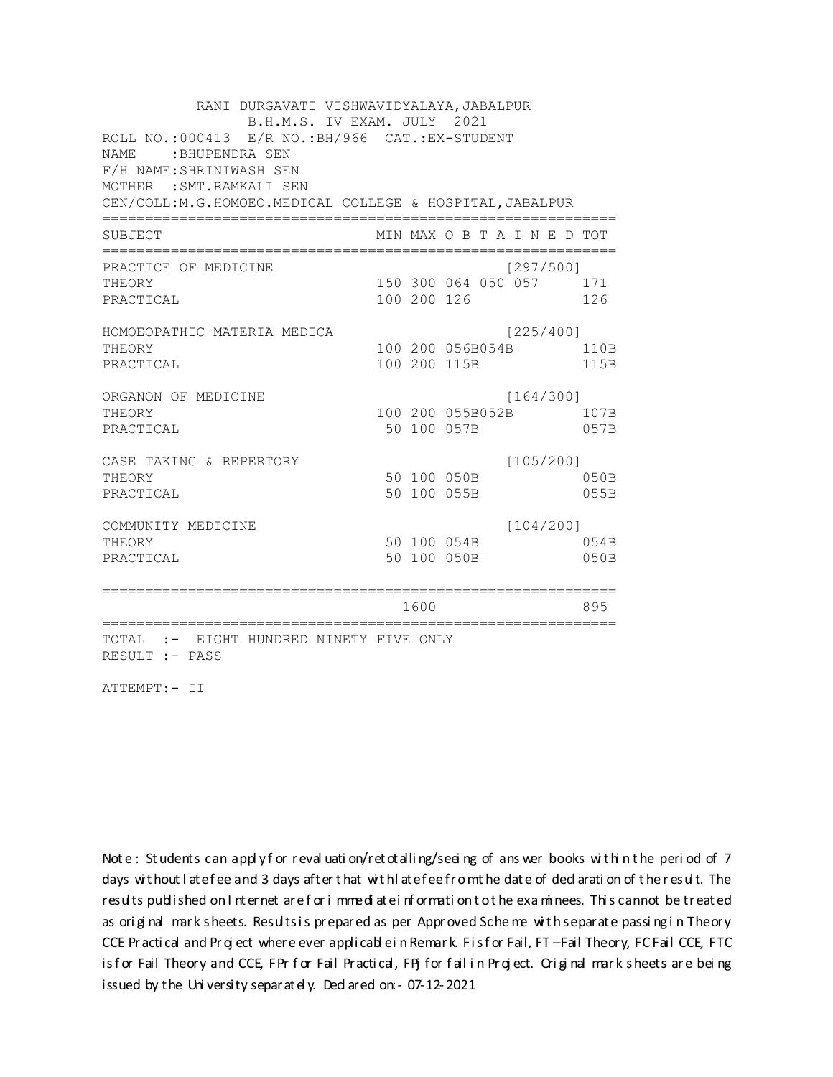RANI DURGAVATI VISHWAVIDYALAYA, JABALPUR B.H.M.S. IV EXAM. JULY 2021 ROLL NO.: 000413 E/R NO.: BH/966 CAT.: EX-STUDENT NAME: BHUPENDRA SEN F/H NAME: SHRINIWASH SEN MOTHER : SMT. RAMKALI SEN CEN/COLL: M.G.HOMOEO. MEDICAL COLLEGE & HOSPITAL, JABALPUR MIN MAX O B T A I N E D TOT SUBJECT PRACTICE OF MEDICINE  $[297/500]$ 150 300 064 050 057 171 THEORY PRACTICAL 100 200 126 126 HOMOEOPATHIC MATERIA MEDICA [225/400] 100 200 056B054B 110B THEORY PRACTICAL 100 200 115B 115B ORGANON OF MEDICINE  $[164/300]$ THEORY 100 200 055B052B 107B PRACTICAL 50 100 057B 057B  $[105/200]$ CASE TAKING & REPERTORY 50 100 050B THEORY  $050B$ PRACTICAL 50 100 055B 055B  $[104/200]$ COMMUNITY MEDICINE 50 100 054B 054B THEORY PRACTICAL 50 100 050B 050B 1600 1600 895 TOTAL :- EIGHT HUNDRED NINETY FIVE ONLY RESULT :- PASS

ATTEMPT:- II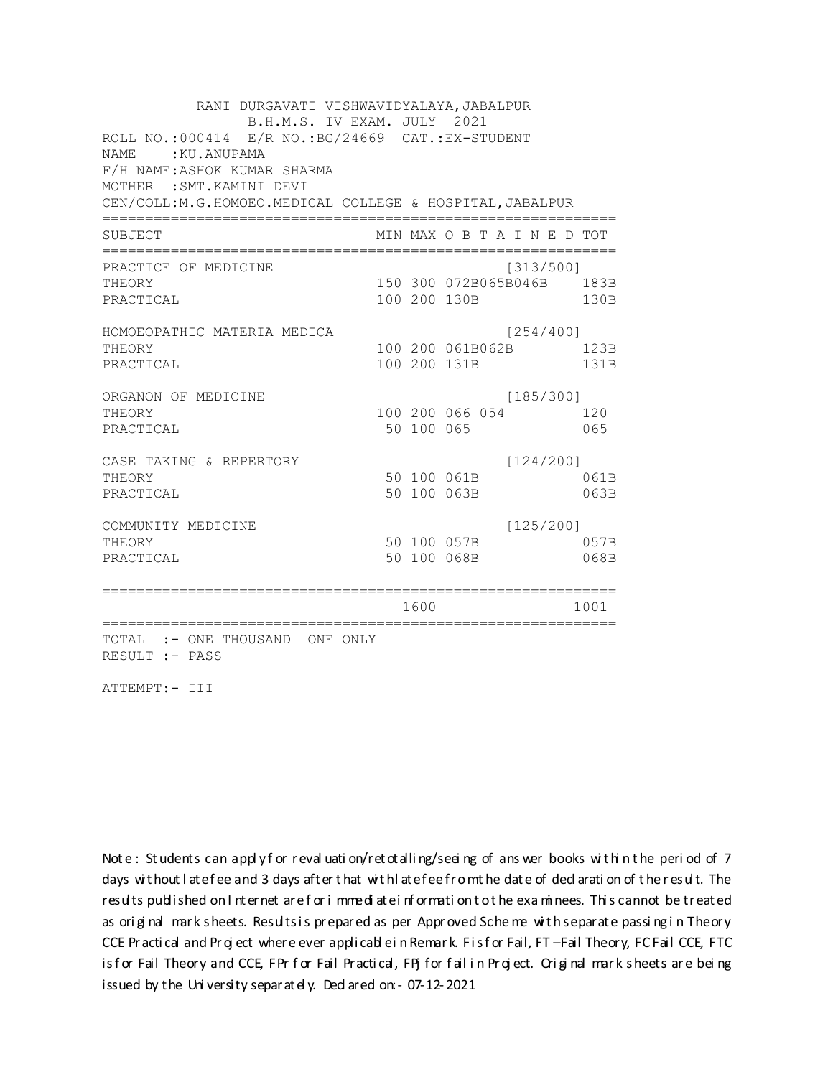RANI DURGAVATI VISHWAVIDYALAYA, JABALPUR B.H.M.S. IV EXAM. JULY 2021 ROLL NO.: 000414 E/R NO.: BG/24669 CAT.: EX-STUDENT NAME: KU. ANUPAMA F/H NAME: ASHOK KUMAR SHARMA MOTHER : SMT. KAMINI DEVI CEN/COLL:M.G.HOMOEO.MEDICAL COLLEGE & HOSPITAL, JABALPUR MIN MAX O B T A I N E D TOT SUBJECT PRACTICE OF MEDICINE  $[313/500]$ THEORY 150 300 072B065B046B 183B PRACTICAL 100 200 130B 130B HOMOEOPATHIC MATERIA MEDICA [254/400] 100 200 061B062B 123B THEORY PRACTICAL 100 200 131B 131B ORGANON OF MEDICINE  $[185/300]$ THEORY 100 200 066 054 120 PRACTICAL 50 100 065 065 CASE TAKING & REPERTORY  $[124/200]$ 50 100 061B THEORY 061B PRACTICAL 50 100 063B 063B  $[125/200]$ COMMUNITY MEDICINE 50 100 057B 057B THEORY PRACTICAL 50 100 068B 068B 1600 1600 1001 TOTAL :- ONE THOUSAND ONE ONLY RESULT :- PASS

ATTEMPT:- III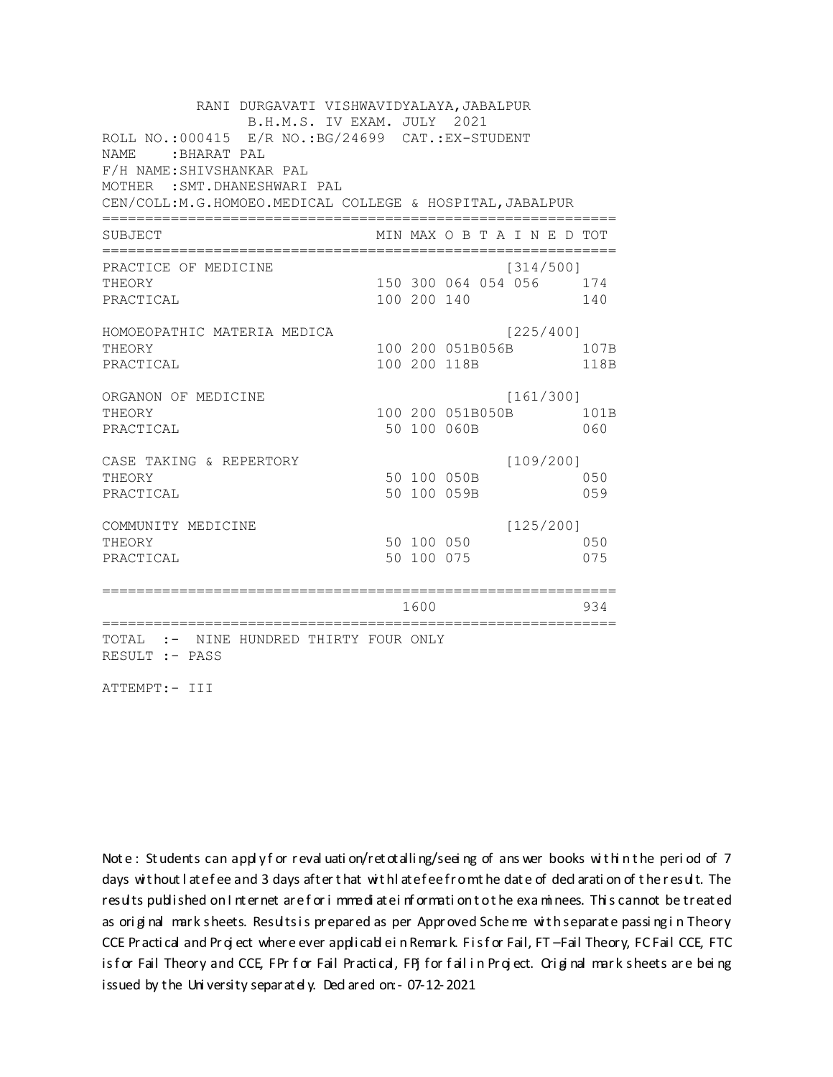RANI DURGAVATI VISHWAVIDYALAYA, JABALPUR B.H.M.S. IV EXAM. JULY 2021 ROLL NO.: 000415 E/R NO.: BG/24699 CAT.: EX-STUDENT NAME: BHARAT PAL F/H NAME: SHIVSHANKAR PAL MOTHER : SMT. DHANESHWARI PAL CEN/COLL:M.G.HOMOEO.MEDICAL COLLEGE & HOSPITAL, JABALPUR MIN MAX O B T A I N E D TOT SUBJECT PRACTICE OF MEDICINE  $[314/500]$ THEORY 150 300 064 054 056 174 PRACTICAL 100 200 140 140 HOMOEOPATHIC MATERIA MEDICA [225/400] 100 200 051B056B 107B THEORY PRACTICAL 100 200 118B 118B ORGANON OF MEDICINE  $[161/300]$ THEORY 100 200 051B050B 101B PRACTICAL 50 100 060B 060  $[109/200]$ CASE TAKING & REPERTORY 50 100 050B THEORY 050 PRACTICAL 50 100 059B 059  $[125/200]$ COMMUNITY MEDICINE 50 100 050 050 THEORY PRACTICAL 50 100 075 075 1600 1600 934 TOTAL :- NINE HUNDRED THIRTY FOUR ONLY RESULT :- PASS

ATTEMPT:- III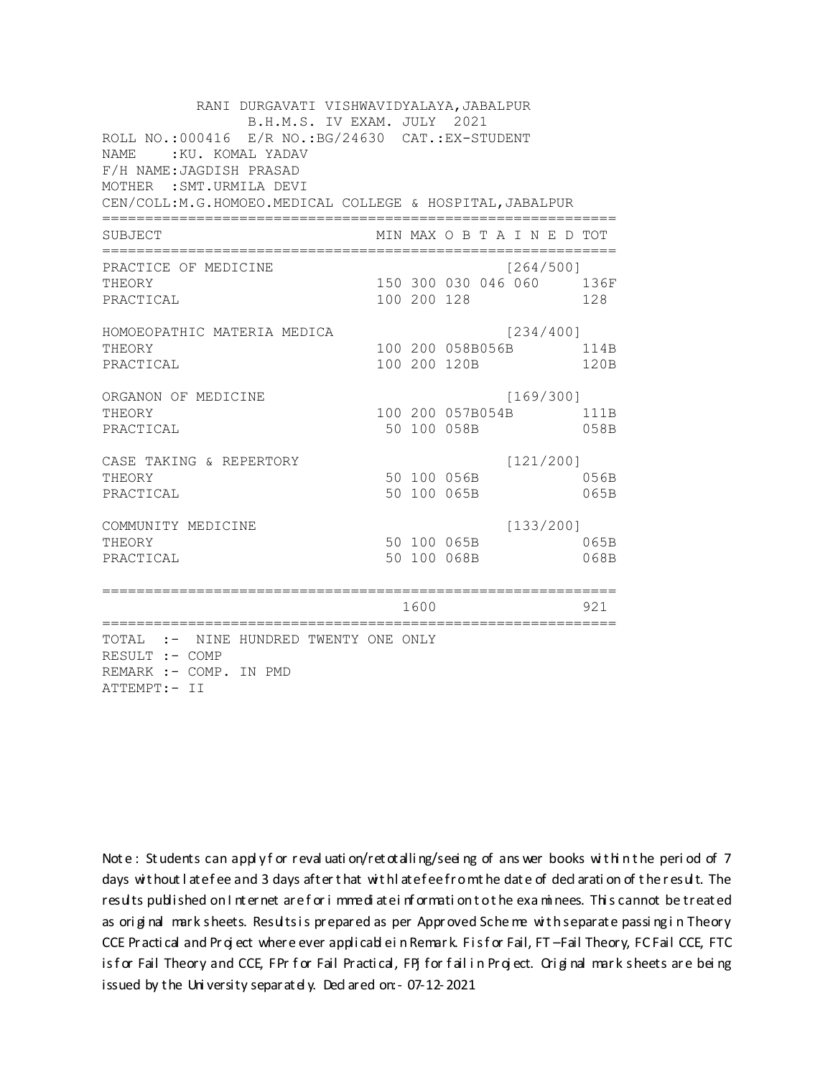RANI DURGAVATI VISHWAVIDYALAYA, JABALPUR B.H.M.S. IV EXAM. JULY 2021 ROLL NO.: 000416 E/R NO.: BG/24630 CAT.: EX-STUDENT NAME: KU. KOMAL YADAV F/H NAME: JAGDISH PRASAD MOTHER : SMT. URMILA DEVI CEN/COLL: M.G.HOMOEO. MEDICAL COLLEGE & HOSPITAL, JABALPUR MIN MAX O B T A I N E D TOT SUBJECT PRACTICE OF MEDICINE  $[264/500]$ 150 300 030 046 060 136F THEORY PRACTICAL 100 200 128 128 HOMOEOPATHIC MATERIA MEDICA [234/400] 100 200 058B056B 114B THEORY PRACTICAL 100 200 120B 120B ORGANON OF MEDICINE  $[169/300]$ THEORY 100 200 057B054B 111B PRACTICAL 50 100 058B 058B CASE TAKING & REPERTORY  $[121/200]$ 50 100 056B THEORY 056B PRACTICAL 50 100 065B 065B  $[133/200]$ COMMUNITY MEDICINE 50 100 065B 065B THEORY PRACTICAL 50 100 068B 068B 1600 1600 921 TOTAL :- NINE HUNDRED TWENTY ONE ONLY RESULT :- COMP REMARK :- COMP. IN PMD ATTEMPT:- II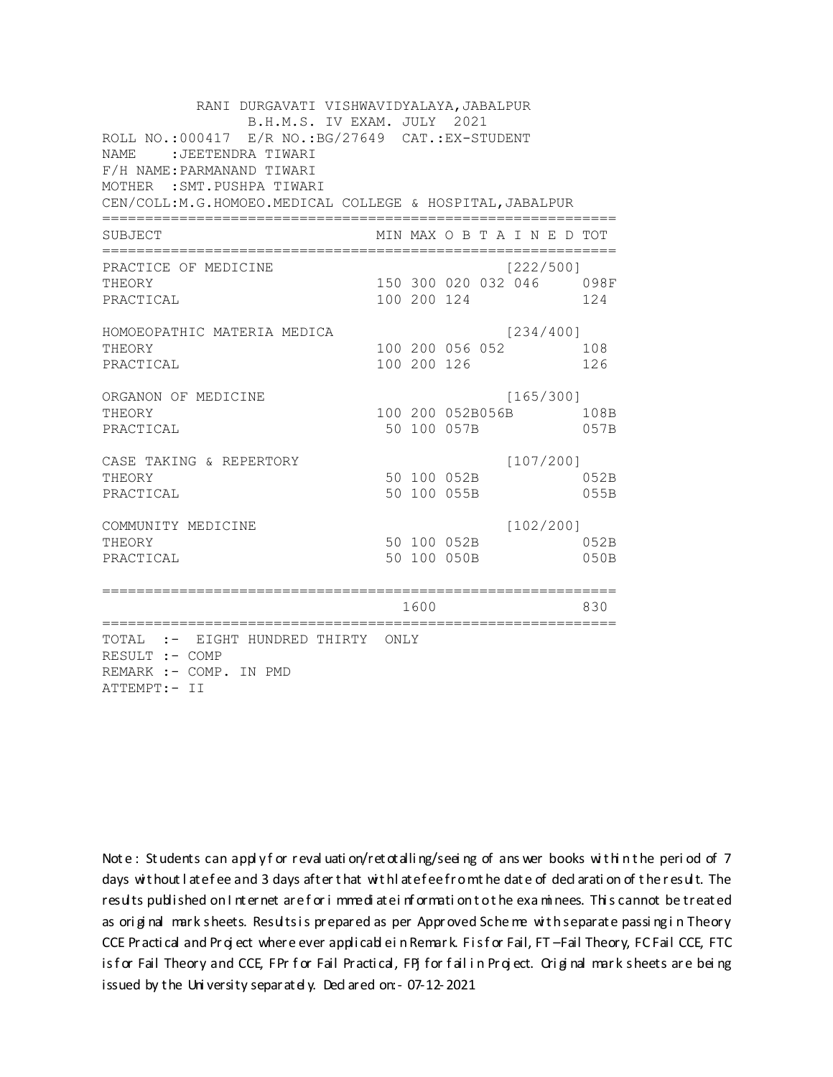RANI DURGAVATI VISHWAVIDYALAYA, JABALPUR B.H.M.S. IV EXAM. JULY 2021 ROLL NO.: 000417 E/R NO.: BG/27649 CAT.: EX-STUDENT NAME : JEETENDRA TIWARI F/H NAME: PARMANAND TIWARI MOTHER : SMT. PUSHPA TIWARI CEN/COLL:M.G.HOMOEO.MEDICAL COLLEGE & HOSPITAL, JABALPUR MIN MAX O B T A I N E D TOT SUBJECT  $[222/5001]$ PRACTICE OF MEDICINE 150 300 020 032 046 098F **THEORY** PRACTICAL 100 200 124 124 HOMOEOPATHIC MATERIA MEDICA  $[234/400]$ 100 200 056 052 108 THEORY PRACTICAL 100 200 126 126 ORGANON OF MEDICINE  $[165/300]$ THEORY 100 200 052B056B 108B PRACTICAL 50 100 057B 057B  $[107/200]$ CASE TAKING & REPERTORY 50 100 052B THEORY 052B PRACTICAL 50 100 055B 055B  $[102/200]$ COMMUNITY MEDICINE 50 100 052B 052B THEORY PRACTICAL 50 100 050B 050B 1600 1600 830 TOTAL :- EIGHT HUNDRED THIRTY ONLY RESULT :- COMP REMARK :- COMP. IN PMD ATTEMPT:- II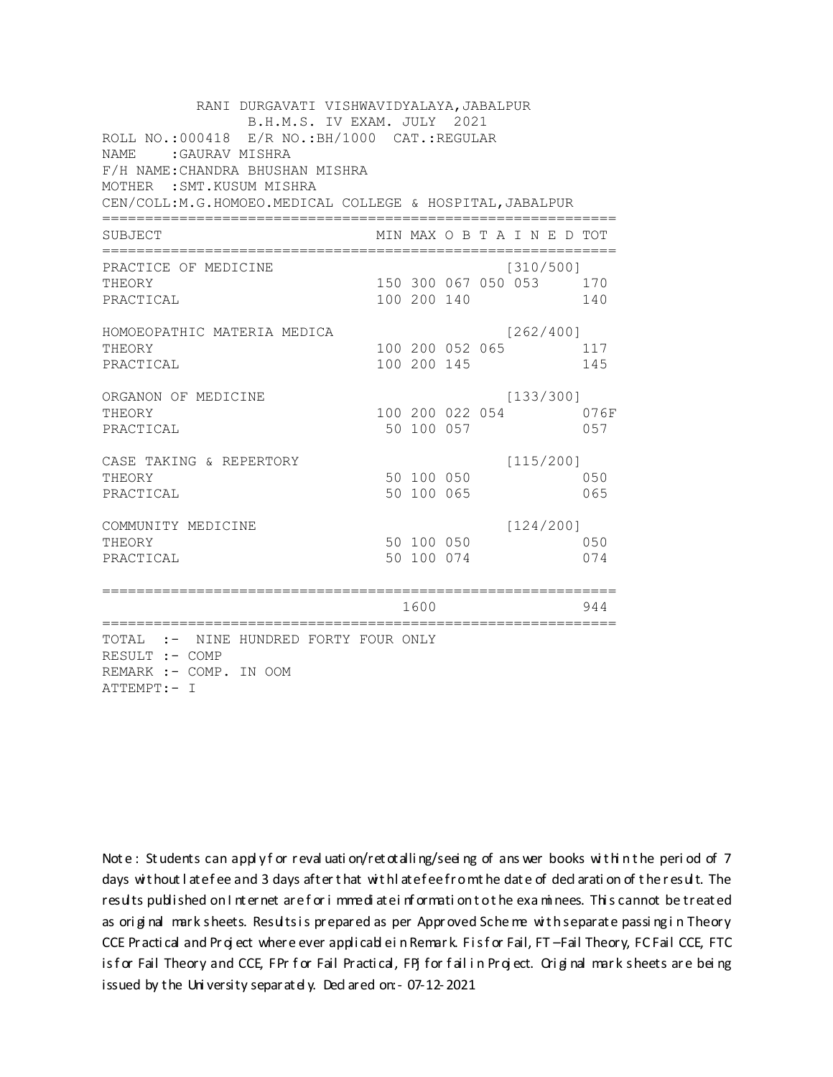RANI DURGAVATI VISHWAVIDYALAYA, JABALPUR B.H.M.S. IV EXAM. JULY 2021 ROLL NO.:000418 E/R NO.: BH/1000 CAT.: REGULAR NAME : GAURAV MISHRA F/H NAME: CHANDRA BHUSHAN MISHRA MOTHER : SMT. KUSUM MISHRA CEN/COLL:M.G.HOMOEO.MEDICAL COLLEGE & HOSPITAL, JABALPUR MIN MAX O B T A I N E D TOT SUBJECT PRACTICE OF MEDICINE  $[310/500]$ THEORY 150 300 067 050 053 170 PRACTICAL 100 200 140 140 HOMOEOPATHIC MATERIA MEDICA  $[262/400]$ 100 200 052 065 117 THEORY PRACTICAL 100 200 145 145 ORGANON OF MEDICINE  $[133/300]$ THEORY 100 200 022 054 076F PRACTICAL 50 100 057 057 CASE TAKING & REPERTORY  $[115/200]$ 50 100 050 THEORY 050 50 100 065 PRACTICAL 065  $[124/200]$ COMMUNITY MEDICINE 50 100 050 050 THEORY PRACTICAL 50 100 074 074 1600 1600 944 TOTAL :- NINE HUNDRED FORTY FOUR ONLY RESULT :- COMP REMARK :- COMP. IN OOM ATTEMPT:- I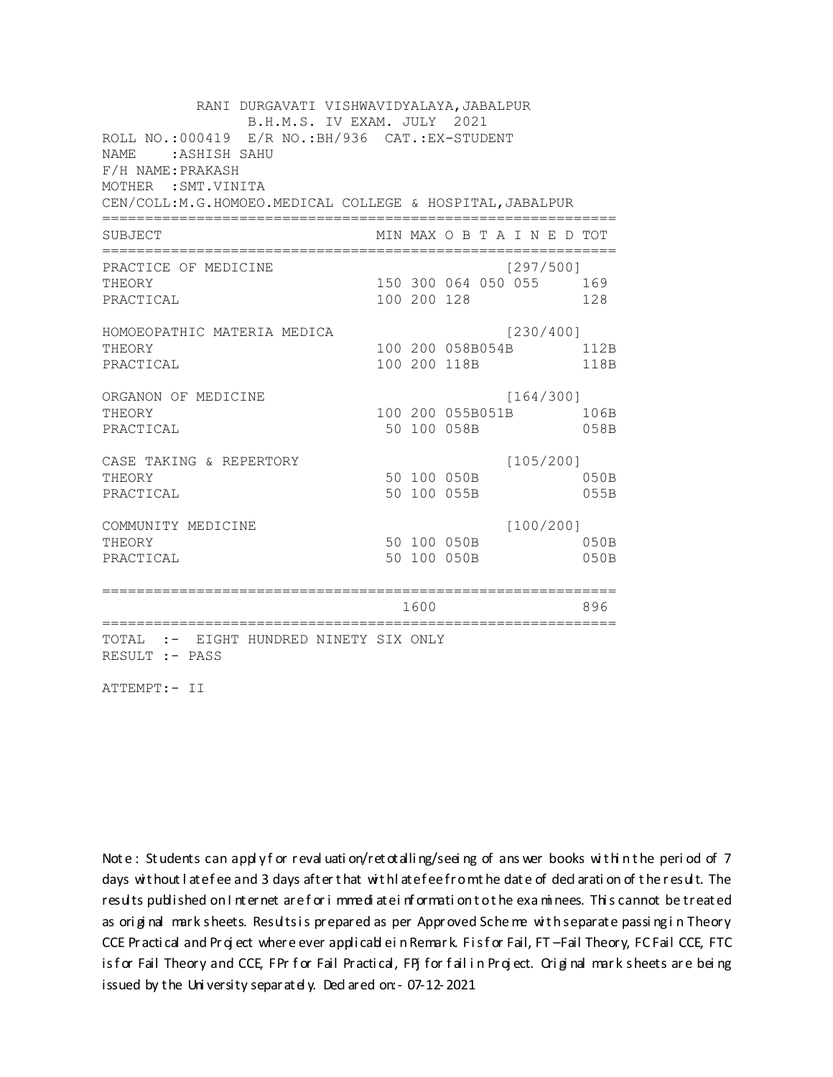RANI DURGAVATI VISHWAVIDYALAYA, JABALPUR B.H.M.S. IV EXAM. JULY 2021 ROLL NO.: 000419 E/R NO.: BH/936 CAT.: EX-STUDENT NAME : ASHISH SAHU F/H NAME: PRAKASH MOTHER : SMT. VINITA CEN/COLL:M.G.HOMOEO.MEDICAL COLLEGE & HOSPITAL, JABALPUR MIN MAX O B T A I N E D TOT SUBJECT  $[297/5001]$ PRACTICE OF MEDICINE 150 300 064 050 055 169 **THEORY** PRACTICAL 100 200 128 128 HOMOEOPATHIC MATERIA MEDICA [230/400] 100 200 058B054B 112B THEORY PRACTICAL 100 200 118B 118B ORGANON OF MEDICINE  $[164/300]$ THEORY 100 200 055B051B 106B PRACTICAL 50 100 058B 058B  $[105/200]$ CASE TAKING & REPERTORY 50 100 050B THEORY  $050B$ PRACTICAL 50 100 055B 055B  $[100/200]$ COMMUNITY MEDICINE 50 100 050B 050B THEORY PRACTICAL 50 100 050B 050B 1600 1600 896 TOTAL :- EIGHT HUNDRED NINETY SIX ONLY RESULT :- PASS

ATTEMPT:- II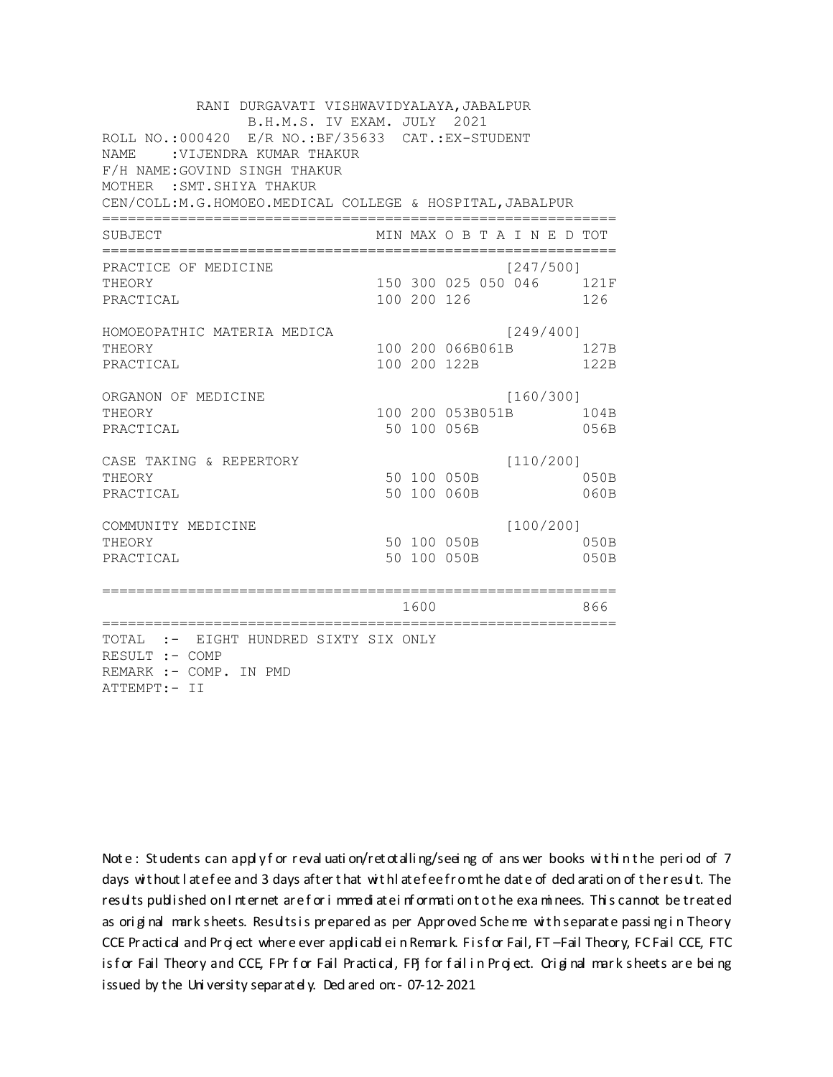RANI DURGAVATI VISHWAVIDYALAYA, JABALPUR B.H.M.S. IV EXAM. JULY 2021 ROLL NO.: 000420 E/R NO.: BF/35633 CAT.: EX-STUDENT NAME : VIJENDRA KUMAR THAKUR F/H NAME: GOVIND SINGH THAKUR MOTHER : SMT. SHIYA THAKUR CEN/COLL:M.G.HOMOEO.MEDICAL COLLEGE & HOSPITAL, JABALPUR MIN MAX O B T A I N E D TOT SUBJECT  $[247/5001]$ PRACTICE OF MEDICINE 150 300 025 050 046 121F **THEORY** PRACTICAL 100 200 126 126 HOMOEOPATHIC MATERIA MEDICA [249/400] 100 200 066B061B 127B THEORY PRACTICAL 100 200 122B 122B ORGANON OF MEDICINE  $[160/300]$ THEORY 100 200 053B051B 104B PRACTICAL 50 100 056B 056B  $[110/200]$ CASE TAKING & REPERTORY 50 100 050B THEORY 050B PRACTICAL 50 100 060B 060B  $[100/200]$ COMMUNITY MEDICINE 50 100 050B 050B THEORY PRACTICAL 50 100 050B 050B 1600 1600 866 TOTAL :- EIGHT HUNDRED SIXTY SIX ONLY RESULT :- COMP REMARK :- COMP. IN PMD ATTEMPT:- II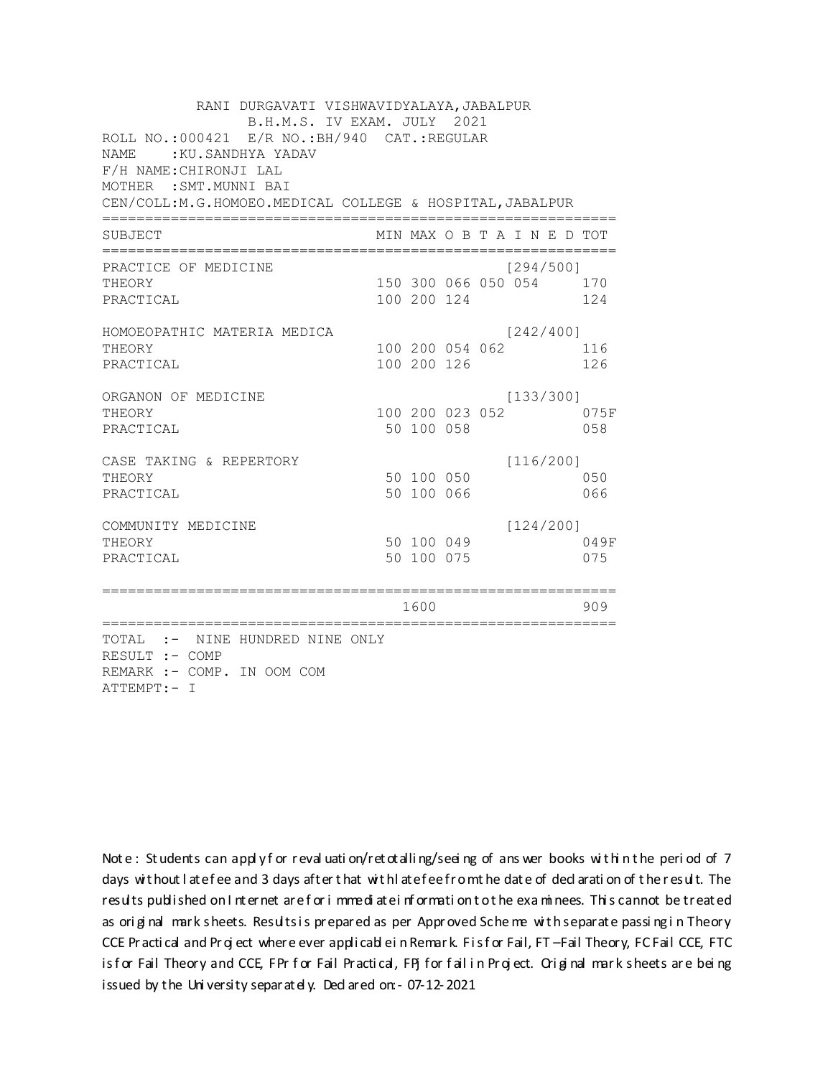RANI DURGAVATI VISHWAVIDYALAYA, JABALPUR B.H.M.S. IV EXAM. JULY 2021 ROLL NO.:000421 E/R NO.: BH/940 CAT.: REGULAR NAME: : KU. SANDHYA YADAV F/H NAME: CHIRONJI LAL MOTHER : SMT. MUNNI BAI CEN/COLL: M.G.HOMOEO. MEDICAL COLLEGE & HOSPITAL, JABALPUR MIN MAX O B T A I N E D TOT SUBJECT  $[294/500]$ PRACTICE OF MEDICINE THEORY 150 300 066 050 054 170 PRACTICAL 100 200 124 124 HOMOEOPATHIC MATERIA MEDICA  $[242/400]$ 100 200 054 062 116 THEORY PRACTICAL 100 200 126 126 ORGANON OF MEDICINE  $[133/300]$ THEORY 100 200 023 052 075F PRACTICAL 50 100 058 058 CASE TAKING & REPERTORY  $[116/200]$ 50 100 050 THEORY 050 50 100 066 PRACTICAL 066  $[124/200]$ COMMUNITY MEDICINE 50 100 049 049F THEORY PRACTICAL 50 100 075 075 1600 1600 909 TOTAL :- NINE HUNDRED NINE ONLY RESULT :- COMP REMARK :- COMP. IN OOM COM ATTEMPT:- I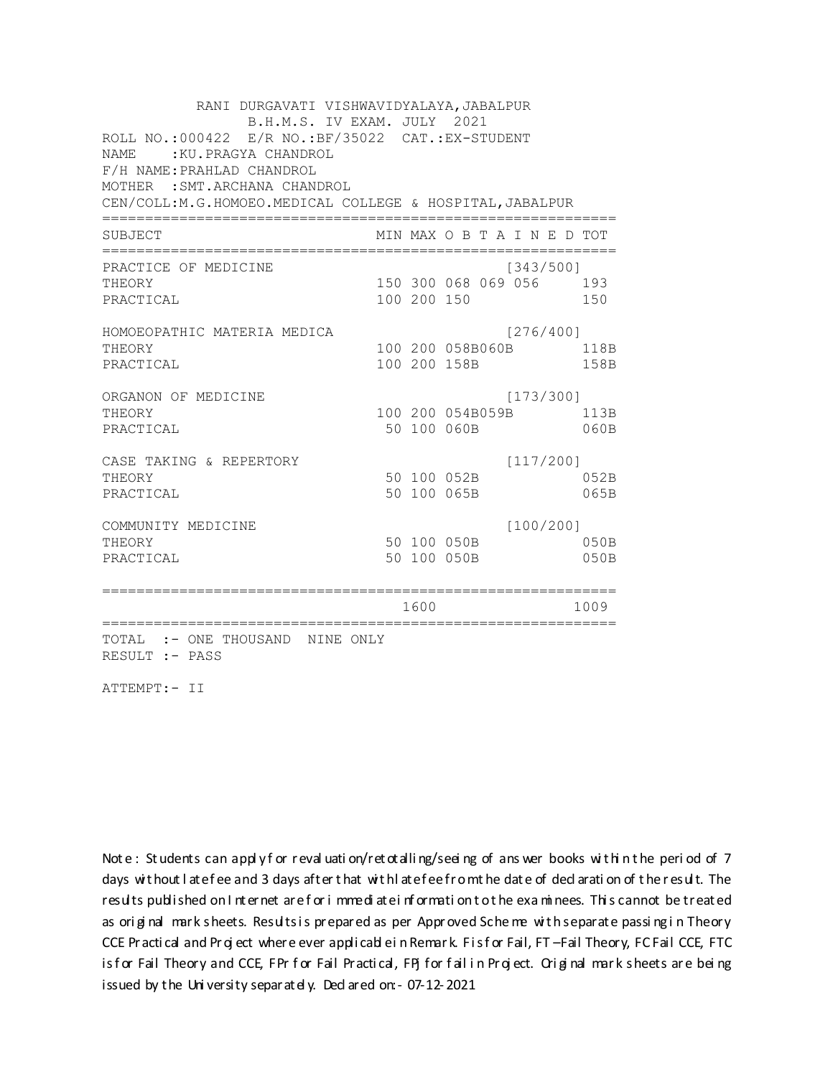RANI DURGAVATI VISHWAVIDYALAYA, JABALPUR B.H.M.S. IV EXAM. JULY 2021 ROLL NO.:000422 E/R NO.:BF/35022 CAT.:EX-STUDENT NAME : KU.PRAGYA CHANDROL F/H NAME:PRAHLAD CHANDROL MOTHER :SMT.ARCHANA CHANDROL CEN/COLL:M.G.HOMOEO.MEDICAL COLLEGE & HOSPITAL,JABALPUR ============================================================ SUBJECT MIN MAX O B T A I N E D TOT ============================================================ PRACTICE OF MEDICINE (343/500) THEORY 150 300 068 069 056 193 PRACTICAL 100 200 150 150 HOMOEOPATHIC MATERIA MEDICA [276/400] THEORY 100 200 058B060B 118B PRACTICAL 100 200 158B 158B ORGANON OF MEDICINE [173/300] THEORY 100 200 054B059B 113B PRACTICAL 50 100 060B 060B CASE TAKING & REPERTORY [117/200] THEORY 50 100 052B 052B PRACTICAL 50 100 065B 065B COMMUNITY MEDICINE [100/200] THEORY 50 100 050B 050B PRACTICAL 50 100 050B 050B ============================================================ 1600 1009 ============================================================ TOTAL :- ONE THOUSAND NINE ONLY RESULT :- PASS

ATTEMPT:- II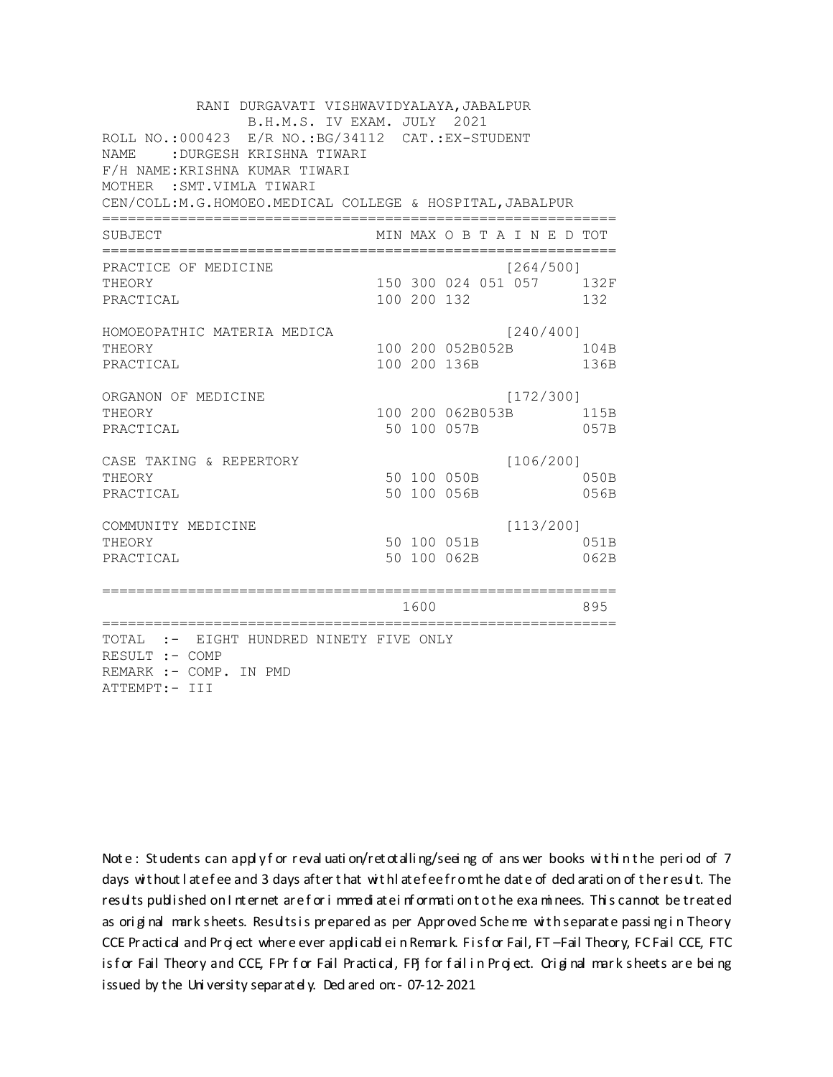RANI DURGAVATI VISHWAVIDYALAYA, JABALPUR B.H.M.S. IV EXAM. JULY 2021 ROLL NO.: 000423 E/R NO.: BG/34112 CAT.: EX-STUDENT NAME : DURGESH KRISHNA TIWARI F/H NAME: KRISHNA KUMAR TIWARI MOTHER : SMT. VIMLA TIWARI CEN/COLL: M.G.HOMOEO. MEDICAL COLLEGE & HOSPITAL, JABALPUR MIN MAX O B T A I N E D TOT SUBJECT  $[264/500]$ PRACTICE OF MEDICINE 150 300 024 051 057 132F **THEORY** PRACTICAL 100 200 132 132 HOMOEOPATHIC MATERIA MEDICA [240/400] 100 200 052B052B 104B THEORY PRACTICAL 100 200 136B 136B ORGANON OF MEDICINE  $[172/300]$ THEORY 100 200 062B053B 115B PRACTICAL 50 100 057B 057B CASE TAKING & REPERTORY  $[106/200]$ 50 100 050B THEORY 050B PRACTICAL 50 100 056B 056B  $[113/200]$ COMMUNITY MEDICINE 50 100 051B 051B THEORY 50 100 062B PRACTICAL 062B 1600 1600 895 TOTAL :- EIGHT HUNDRED NINETY FIVE ONLY RESULT :- COMP REMARK :- COMP. IN PMD ATTEMPT:- III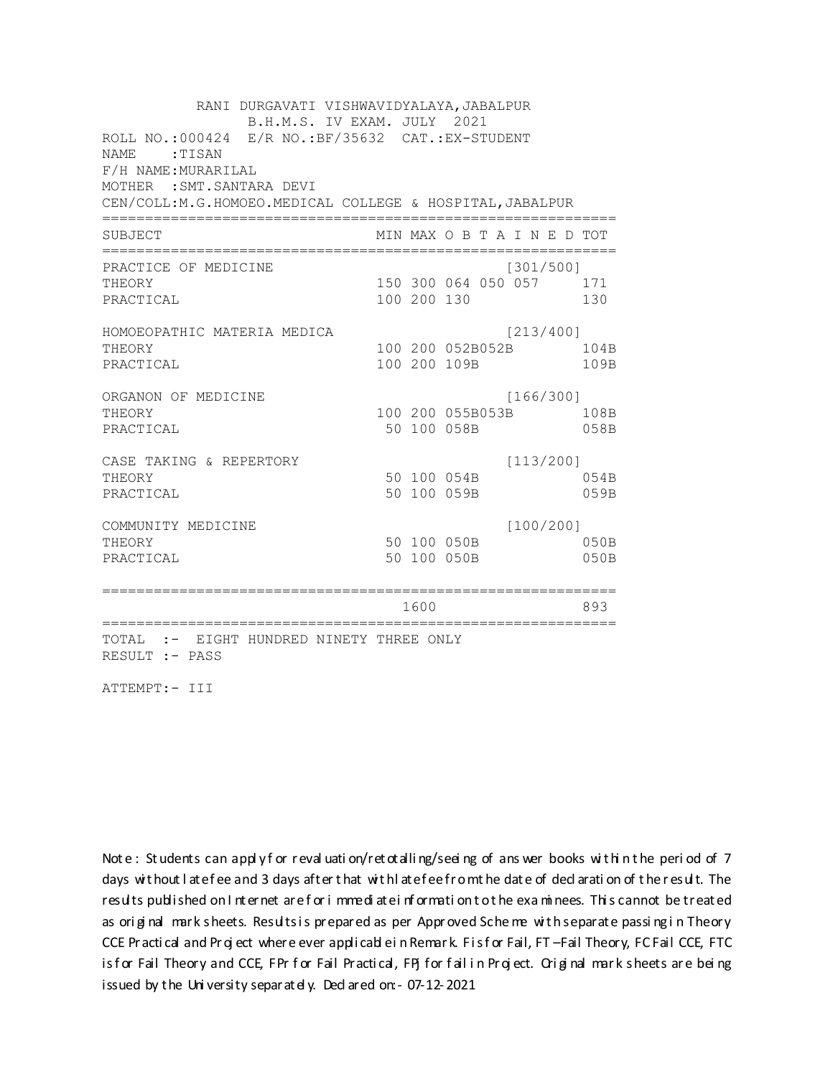RANI DURGAVATI VISHWAVIDYALAYA, JABALPUR B.H.M.S. IV EXAM. JULY 2021 ROLL NO.: 000424 E/R NO.: BF/35632 CAT.: EX-STUDENT NAME: TISAN F/H NAME: MURARILAL MOTHER : SMT. SANTARA DEVI CEN/COLL:M.G.HOMOEO.MEDICAL COLLEGE & HOSPITAL, JABALPUR MIN MAX O B T A I N E D TOT SUBJECT PRACTICE OF MEDICINE  $[301/500]$ 150 300 064 050 057 171 **THEORY** PRACTICAL 100 200 130 130 HOMOEOPATHIC MATERIA MEDICA  $[213/400]$ 100 200 052B052B 104B THEORY 109B PRACTICAL 100 200 109B ORGANON OF MEDICINE  $[166/300]$ THEORY 100 200 055B053B 108B PRACTICAL 50 100 058B 058B  $[113/200]$ CASE TAKING & REPERTORY 50 100 054B THEORY 054B PRACTICAL 50 100 059B 059B  $[100/200]$ COMMUNITY MEDICINE 50 100 050B 050B THEORY PRACTICAL 50 100 050B 050B 1600 1600 893 TOTAL :- EIGHT HUNDRED NINETY THREE ONLY RESULT :- PASS

ATTEMPT:- III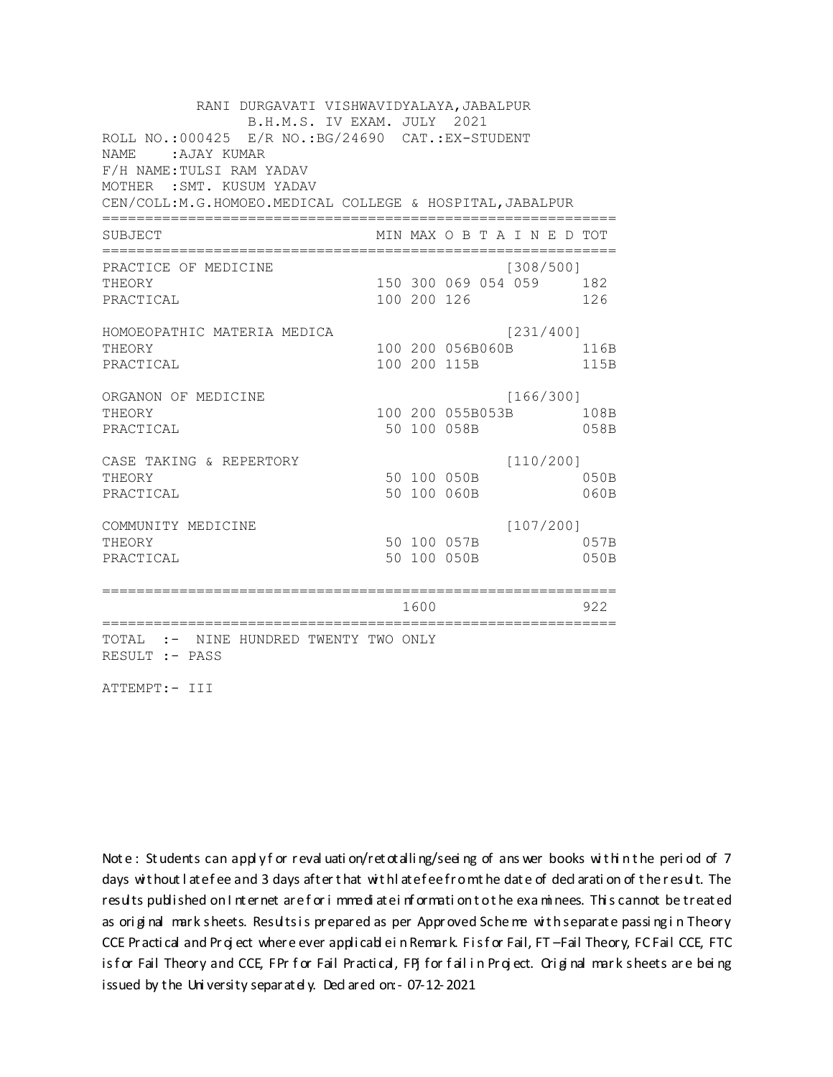RANI DURGAVATI VISHWAVIDYALAYA, JABALPUR B.H.M.S. IV EXAM. JULY 2021 ROLL NO.: 000425 E/R NO.: BG/24690 CAT.: EX-STUDENT NAME: AJAY KUMAR F/H NAME: TULSI RAM YADAV MOTHER : SMT. KUSUM YADAV CEN/COLL:M.G.HOMOEO.MEDICAL COLLEGE & HOSPITAL, JABALPUR MIN MAX O B T A I N E D TOT SUBJECT PRACTICE OF MEDICINE  $[308/500]$ 150 300 069 054 059 182 THEORY PRACTICAL 100 200 126 126 HOMOEOPATHIC MATERIA MEDICA [231/400] 100 200 056B060B 116B THEORY PRACTICAL 100 200 115B 115B ORGANON OF MEDICINE  $[166/300]$ THEORY 100 200 055B053B 108B PRACTICAL 50 100 058B 058B  $[110/200]$ CASE TAKING & REPERTORY 50 100 050B THEORY  $050B$ PRACTICAL 50 100 060B  $060B$  $[107/200]$ COMMUNITY MEDICINE 50 100 057B 057B THEORY PRACTICAL 50 100 050B 050B 1600 000 922 TOTAL :- NINE HUNDRED TWENTY TWO ONLY RESULT :- PASS

ATTEMPT:- III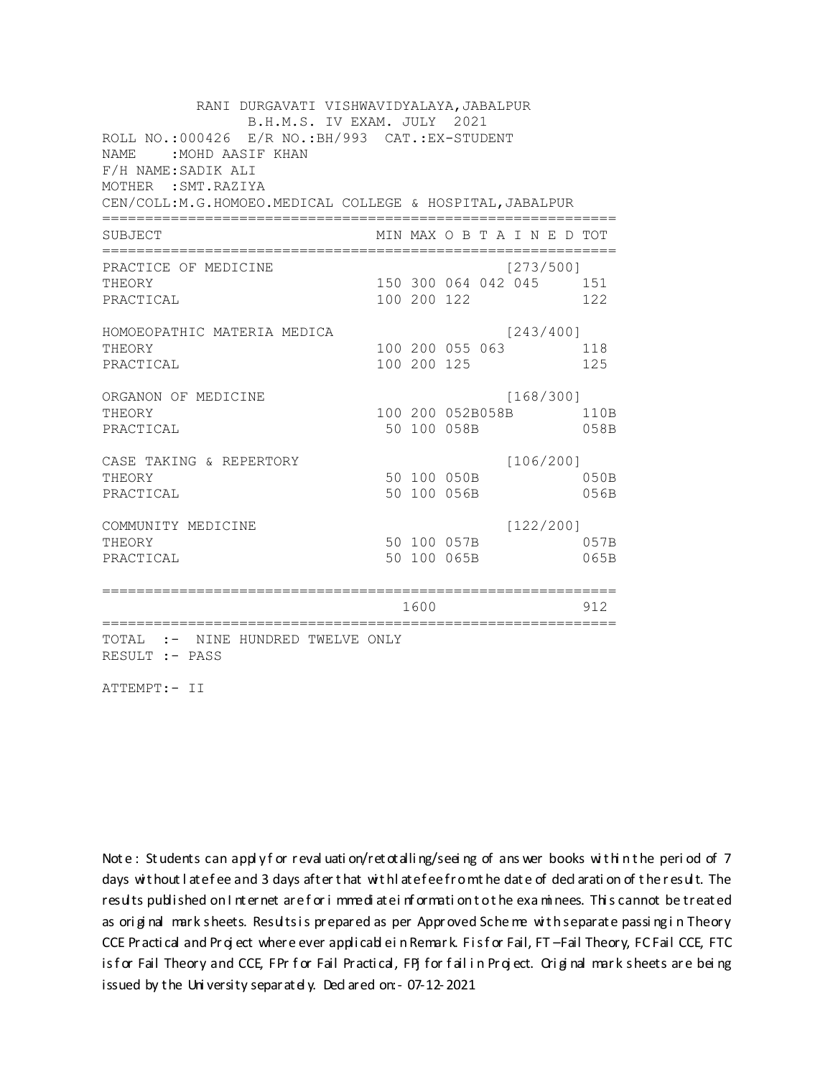RANI DURGAVATI VISHWAVIDYALAYA, JABALPUR B.H.M.S. IV EXAM. JULY 2021 ROLL NO.:000426 E/R NO.: BH/993 CAT.: EX-STUDENT NAME: MOHD AASIF KHAN F/H NAME: SADIK ALI MOTHER : SMT. RAZIYA CEN/COLL:M.G.HOMOEO.MEDICAL COLLEGE & HOSPITAL, JABALPUR MIN MAX O B T A I N E D TOT SUBJECT  $[273/500]$ PRACTICE OF MEDICINE 150 300 064 042 045 151 **THEORY** PRACTICAL 100 200 122 122 HOMOEOPATHIC MATERIA MEDICA  $[243/400]$ 100 200 055 063 118 THEORY PRACTICAL 100 200 125 125 ORGANON OF MEDICINE  $[168/300]$ THEORY 100 200 052B058B 110B PRACTICAL 50 100 058B 058B CASE TAKING & REPERTORY  $[106/200]$ 50 100 050B THEORY  $050B$ PRACTICAL 50 100 056B 056B  $[122/200]$ COMMUNITY MEDICINE 50 100 057B 057B THEORY PRACTICAL 50 100 065B 065B 1600 1600 912 TOTAL :- NINE HUNDRED TWELVE ONLY RESULT :- PASS

ATTEMPT:- II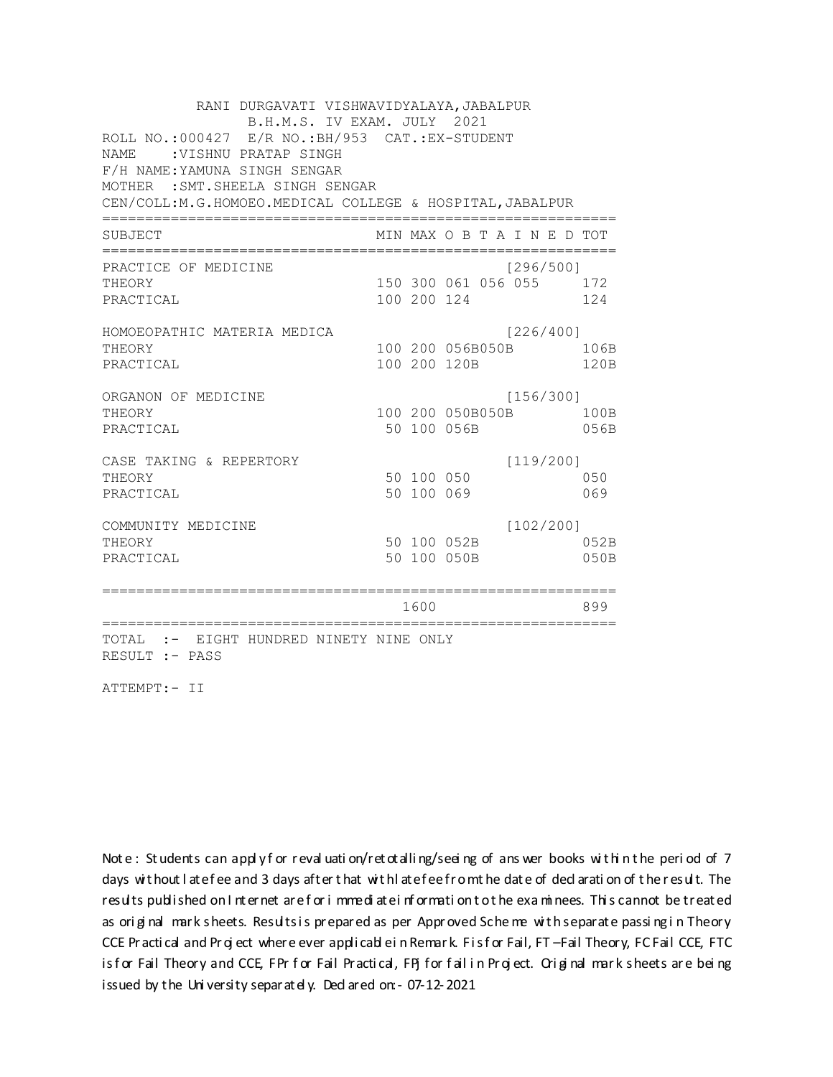RANI DURGAVATI VISHWAVIDYALAYA, JABALPUR B.H.M.S. IV EXAM. JULY 2021 ROLL NO.: 000427 E/R NO.: BH/953 CAT.: EX-STUDENT NAME : VISHNU PRATAP SINGH F/H NAME: YAMUNA SINGH SENGAR MOTHER : SMT. SHEELA SINGH SENGAR CEN/COLL:M.G.HOMOEO.MEDICAL COLLEGE & HOSPITAL, JABALPUR MIN MAX O B T A I N E D TOT SUBJECT PRACTICE OF MEDICINE  $[296/500]$ 150 300 061 056 055 172 THEORY PRACTICAL 100 200 124 124 HOMOEOPATHIC MATERIA MEDICA [226/400] 100 200 056B050B 106B THEORY PRACTICAL 100 200 120B 120B ORGANON OF MEDICINE  $[156/300]$ THEORY 100 200 050B050B 100B PRACTICAL 50 100 056B 056B CASE TAKING & REPERTORY  $[119/200]$ 50 100 050 THEORY 050 50 100 069 PRACTICAL 069  $[102/200]$ COMMUNITY MEDICINE 50 100 052B 052B THEORY PRACTICAL 50 100 050B 050B 1600 1600 899 TOTAL :- EIGHT HUNDRED NINETY NINE ONLY RESULT :- PASS

ATTEMPT:- II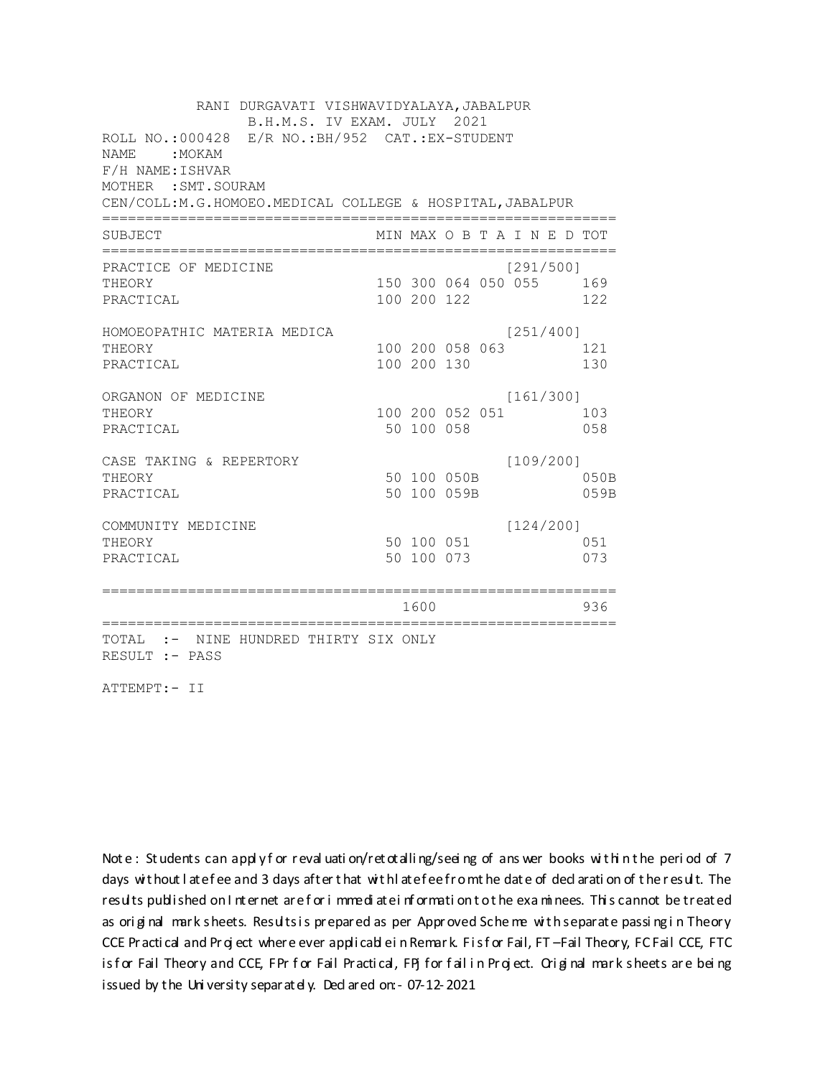RANI DURGAVATI VISHWAVIDYALAYA, JABALPUR B.H.M.S. IV EXAM. JULY 2021 ROLL NO.:000428 E/R NO.: BH/952 CAT.: EX-STUDENT NAME: MOKAM F/H NAME: ISHVAR MOTHER : SMT. SOURAM CEN/COLL:M.G.HOMOEO.MEDICAL COLLEGE & HOSPITAL, JABALPUR MIN MAX O B T A I N E D TOT SUBJECT  $[291/500]$ PRACTICE OF MEDICINE THEORY 150 300 064 050 055 169 PRACTICAL 100 200 122 122 HOMOEOPATHIC MATERIA MEDICA  $[251/400]$ 100 200 058 063 121 THEORY PRACTICAL 100 200 130 130 ORGANON OF MEDICINE  $[161/300]$ THEORY 100 200 052 051 103 PRACTICAL 50 100 058 058  $[109/200]$ CASE TAKING & REPERTORY 50 100 050B THEORY 050B PRACTICAL 50 100 059B 059B  $[124/200]$ COMMUNITY MEDICINE 50 100 051 051 THEORY 50 100 073 PRACTICAL 073 1600 1600 - 936 TOTAL :- NINE HUNDRED THIRTY SIX ONLY RESULT :- PASS

ATTEMPT:- II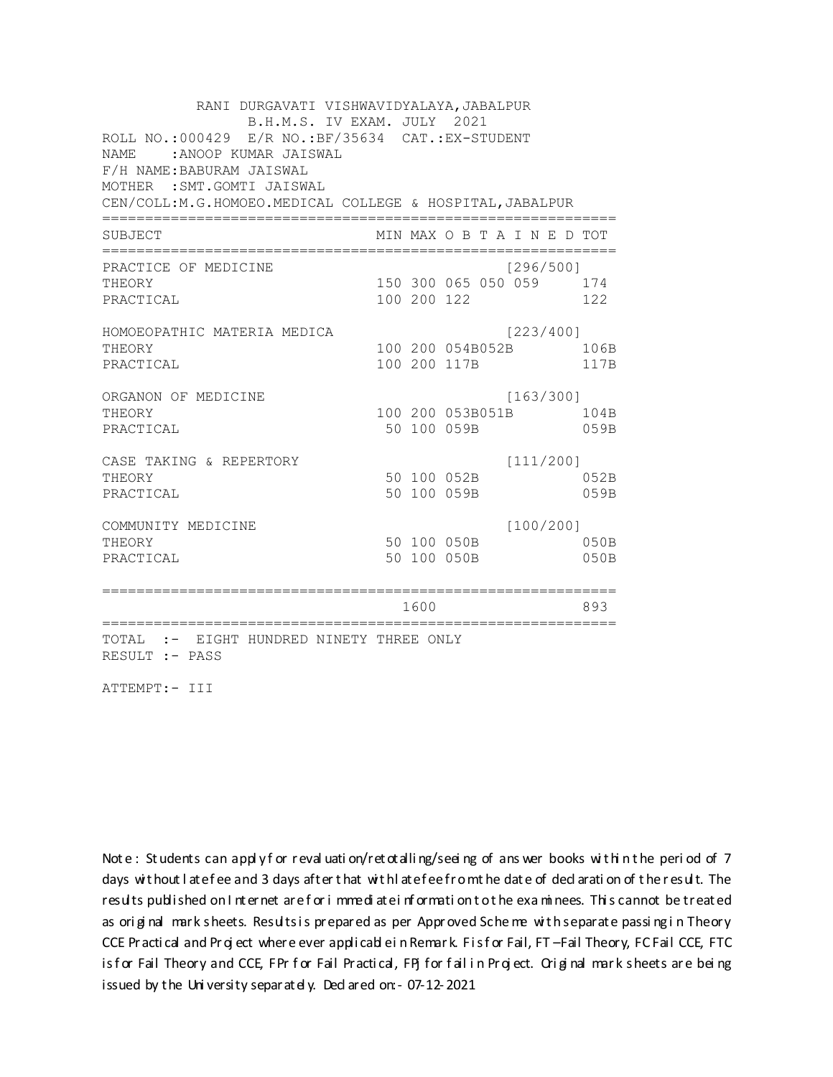RANI DURGAVATI VISHWAVIDYALAYA, JABALPUR B.H.M.S. IV EXAM. JULY 2021 ROLL NO.: 000429 E/R NO.: BF/35634 CAT.: EX-STUDENT NAME: : ANOOP KUMAR JAISWAL F/H NAME: BABURAM JAISWAL MOTHER : SMT.GOMTI JAISWAL CEN/COLL:M.G.HOMOEO.MEDICAL COLLEGE & HOSPITAL, JABALPUR MIN MAX O B T A I N E D TOT SUBJECT [296/5001 PRACTICE OF MEDICINE 150 300 065 050 059 174 THEORY PRACTICAL 100 200 122 122 HOMOEOPATHIC MATERIA MEDICA [223/400] 100 200 054B052B 106B THEORY PRACTICAL 100 200 117B 117B ORGANON OF MEDICINE  $[163/300]$ THEORY 100 200 053B051B 104B PRACTICAL 50 100 059B 059B CASE TAKING & REPERTORY  $[111/200]$ 50 100 052B THEORY 052B PRACTICAL 50 100 059B 059B  $[100/200]$ COMMUNITY MEDICINE 50 100 050B 050B THEORY PRACTICAL 50 100 050B 050B 1600 1600 893 TOTAL :- EIGHT HUNDRED NINETY THREE ONLY RESULT :- PASS

ATTEMPT:- III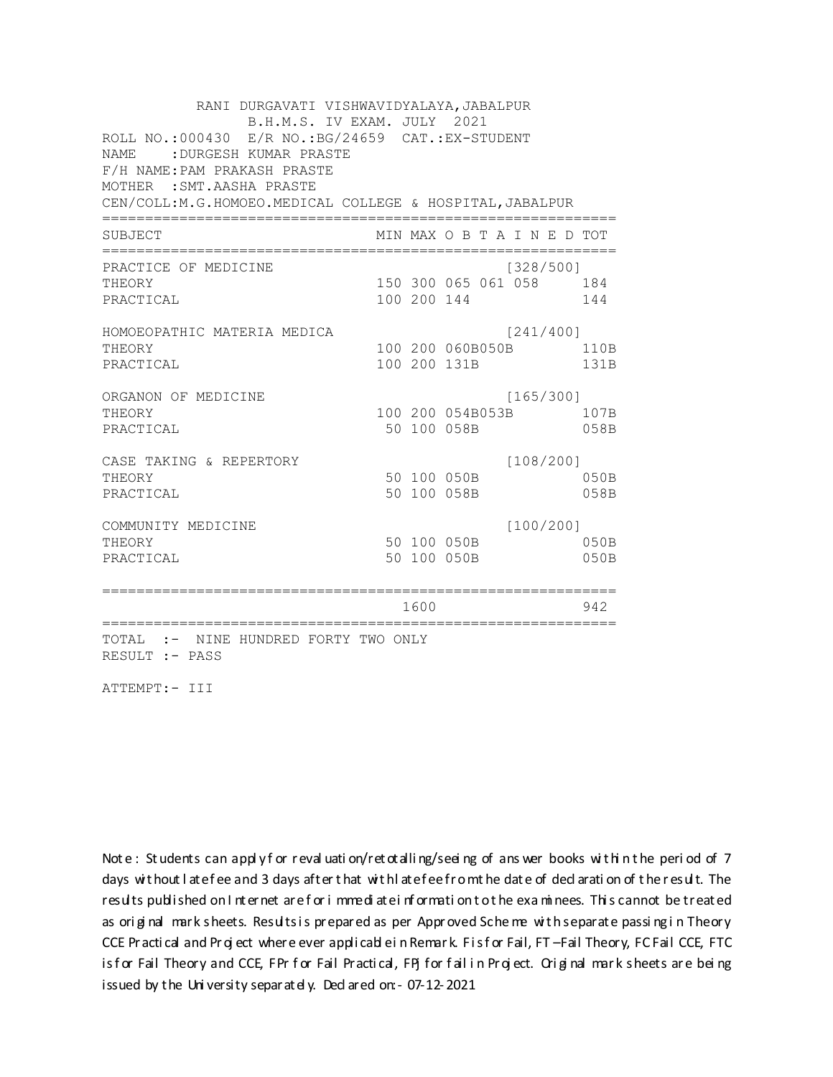RANI DURGAVATI VISHWAVIDYALAYA, JABALPUR B.H.M.S. IV EXAM. JULY 2021 ROLL NO.:000430 E/R NO.:BG/24659 CAT.:EX-STUDENT NAME :DURGESH KUMAR PRASTE F/H NAME:PAM PRAKASH PRASTE MOTHER :SMT.AASHA PRASTE CEN/COLL:M.G.HOMOEO.MEDICAL COLLEGE & HOSPITAL,JABALPUR ============================================================ SUBJECT MIN MAX O B T A I N E D TOT ============================================================ PRACTICE OF MEDICINE [328/500] THEORY 150 300 065 061 058 184 PRACTICAL 100 200 144 144 HOMOEOPATHIC MATERIA MEDICA [241/400] THEORY 100 200 060B050B 110B PRACTICAL 100 200 131B 131B ORGANON OF MEDICINE [165/300] THEORY 100 200 054B053B 107B PRACTICAL 50 100 058B 058B CASE TAKING & REPERTORY [108/200] THEORY 50 100 050B 050B PRACTICAL 50 100 058B 058B COMMUNITY MEDICINE [100/200] THEORY 50 100 050B 050B PRACTICAL 50 100 050B 050B ============================================================ 1600 942 ============================================================ TOTAL :- NINE HUNDRED FORTY TWO ONLY RESULT :- PASS

ATTEMPT:- III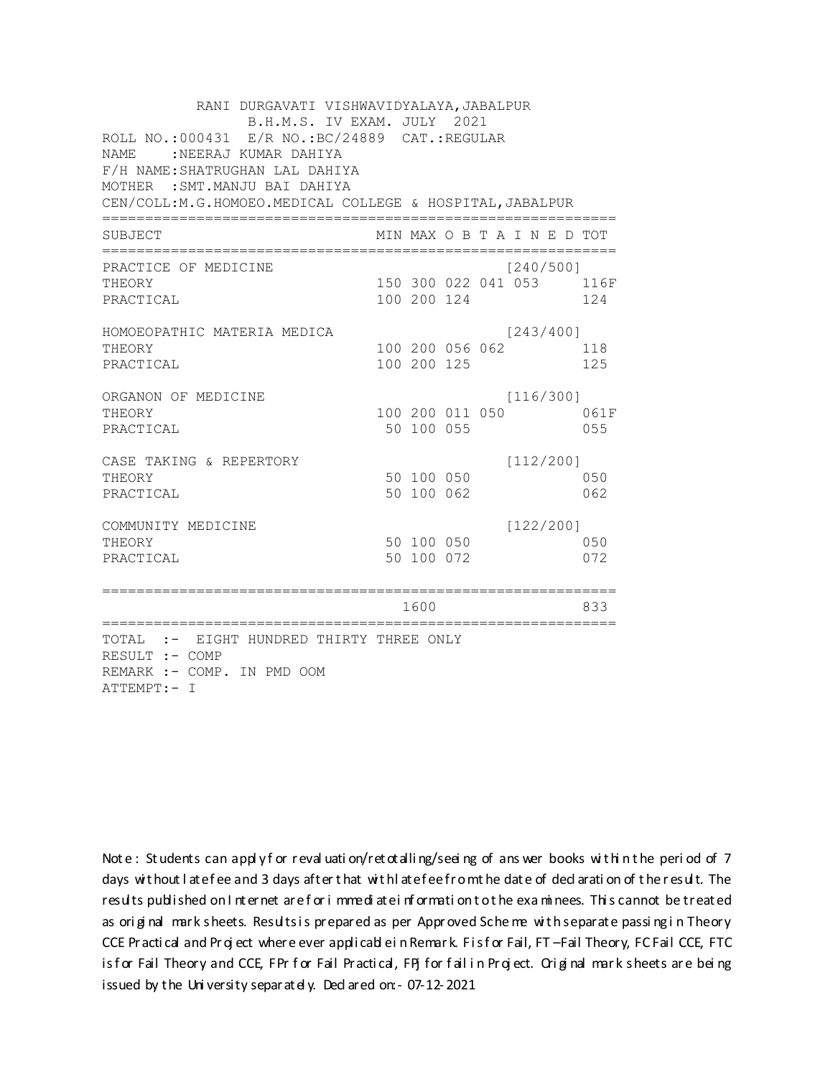| RANI DURGAVATI VISHWAVIDYALAYA, JABALPUR<br>B.H.M.S. IV EXAM. JULY 2021<br>ROLL NO.:000431 E/R NO.: BC/24889 CAT.: REGULAR<br><b>NAME</b><br>:NEERAJ KUMAR DAHIYA<br>F/H NAME: SHATRUGHAN LAL DAHIYA<br>MOTHER : SMT. MANJU BAI DAHIYA<br>CEN/COLL:M.G.HOMOEO.MEDICAL COLLEGE & HOSPITAL, JABALPUR |  |                                |  |  |                             |  |                                 |  |
|----------------------------------------------------------------------------------------------------------------------------------------------------------------------------------------------------------------------------------------------------------------------------------------------------|--|--------------------------------|--|--|-----------------------------|--|---------------------------------|--|
| SUBJECT                                                                                                                                                                                                                                                                                            |  |                                |  |  | MIN MAX O B T A I N E D TOT |  |                                 |  |
| PRACTICE OF MEDICINE<br>THEORY<br>PRACTICAL                                                                                                                                                                                                                                                        |  | 100 200 124                    |  |  | [240/500]                   |  | 150 300 022 041 053 116F<br>124 |  |
| HOMOEOPATHIC MATERIA MEDICA<br>THEORY<br>PRACTICAL                                                                                                                                                                                                                                                 |  | 100 200 056 062<br>100 200 125 |  |  | [243/400]                   |  | 118<br>125                      |  |
| ORGANON OF MEDICINE<br>THEORY<br>PRACTICAL                                                                                                                                                                                                                                                         |  | 100 200 011 050<br>50 100 055  |  |  | [116/300]                   |  | 061F<br>055                     |  |
| CASE TAKING & REPERTORY<br>THEORY<br>PRACTICAL                                                                                                                                                                                                                                                     |  | 50 100 050<br>50 100 062       |  |  | [112/200]                   |  | 050<br>062                      |  |
| COMMUNITY MEDICINE<br>THEORY<br>PRACTICAL                                                                                                                                                                                                                                                          |  | 50 100 050<br>50 100 072       |  |  | [122/200]                   |  | 050<br>072                      |  |
| ====================================                                                                                                                                                                                                                                                               |  | 1600                           |  |  |                             |  | 833                             |  |
| TOTAL :- EIGHT HUNDRED THIRTY THREE ONLY<br>RESULT :- COMP<br>REMARK :- COMP. IN PMD OOM<br>ATTEMPT:- I                                                                                                                                                                                            |  |                                |  |  |                             |  |                                 |  |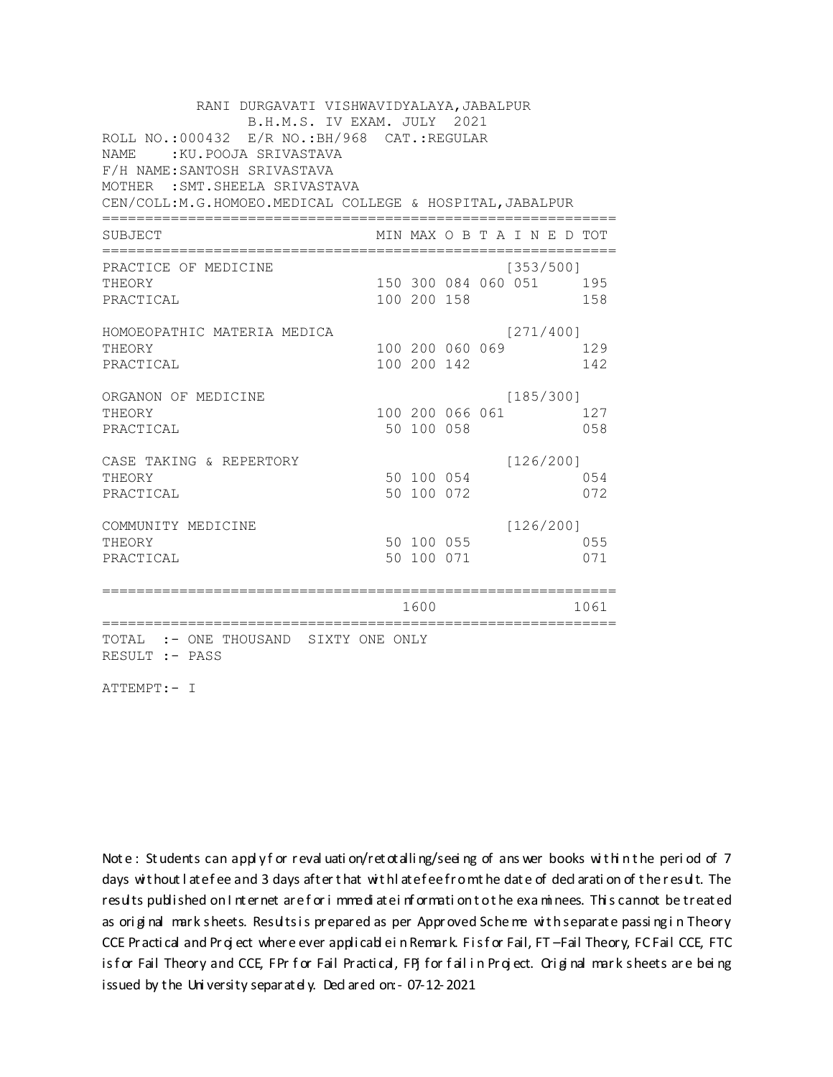| RANI DURGAVATI VISHWAVIDYALAYA, JABALPUR                 |  |                 |  |  |                             |  |      |
|----------------------------------------------------------|--|-----------------|--|--|-----------------------------|--|------|
| B.H.M.S. IV EXAM. JULY 2021                              |  |                 |  |  |                             |  |      |
| ROLL NO.:000432 E/R NO.: BH/968 CAT.: REGULAR            |  |                 |  |  |                             |  |      |
| :KU.POOJA SRIVASTAVA<br>NAME                             |  |                 |  |  |                             |  |      |
| F/H NAME: SANTOSH SRIVASTAVA                             |  |                 |  |  |                             |  |      |
| MOTHER : SMT. SHEELA SRIVASTAVA                          |  |                 |  |  |                             |  |      |
| CEN/COLL:M.G.HOMOEO.MEDICAL COLLEGE & HOSPITAL, JABALPUR |  |                 |  |  |                             |  |      |
| SUBJECT                                                  |  |                 |  |  | MIN MAX O B T A I N E D TOT |  |      |
| PRACTICE OF MEDICINE                                     |  |                 |  |  | [353/500]                   |  |      |
| THEORY                                                   |  |                 |  |  | 150 300 084 060 051 195     |  |      |
| PRACTICAL                                                |  | 100 200 158     |  |  |                             |  | 158  |
| HOMOEOPATHIC MATERIA MEDICA                              |  |                 |  |  | [271/400]                   |  |      |
| THEORY                                                   |  | 100 200 060 069 |  |  |                             |  | 129  |
| PRACTICAL                                                |  | 100 200 142     |  |  |                             |  | 142  |
| ORGANON OF MEDICINE                                      |  |                 |  |  | [185/300]                   |  |      |
| THEORY                                                   |  | 100 200 066 061 |  |  |                             |  | 127  |
| PRACTICAL                                                |  | 50 100 058      |  |  |                             |  | 058  |
| CASE TAKING & REPERTORY                                  |  |                 |  |  | [126/200]                   |  |      |
| THEORY                                                   |  | 50 100 054      |  |  |                             |  | 054  |
| PRACTICAL                                                |  | 50 100 072      |  |  |                             |  | 072  |
| COMMUNITY MEDICINE                                       |  |                 |  |  | [126/200]                   |  |      |
| THEORY                                                   |  | 50 100 055      |  |  |                             |  | 055  |
| PRACTICAL                                                |  | 50 100 071      |  |  |                             |  | 071  |
|                                                          |  | 1600            |  |  |                             |  | 1061 |
|                                                          |  |                 |  |  |                             |  |      |
| TOTAL :- ONE THOUSAND SIXTY ONE ONLY<br>RESULT :- PASS   |  |                 |  |  |                             |  |      |

ATTEMPT:- I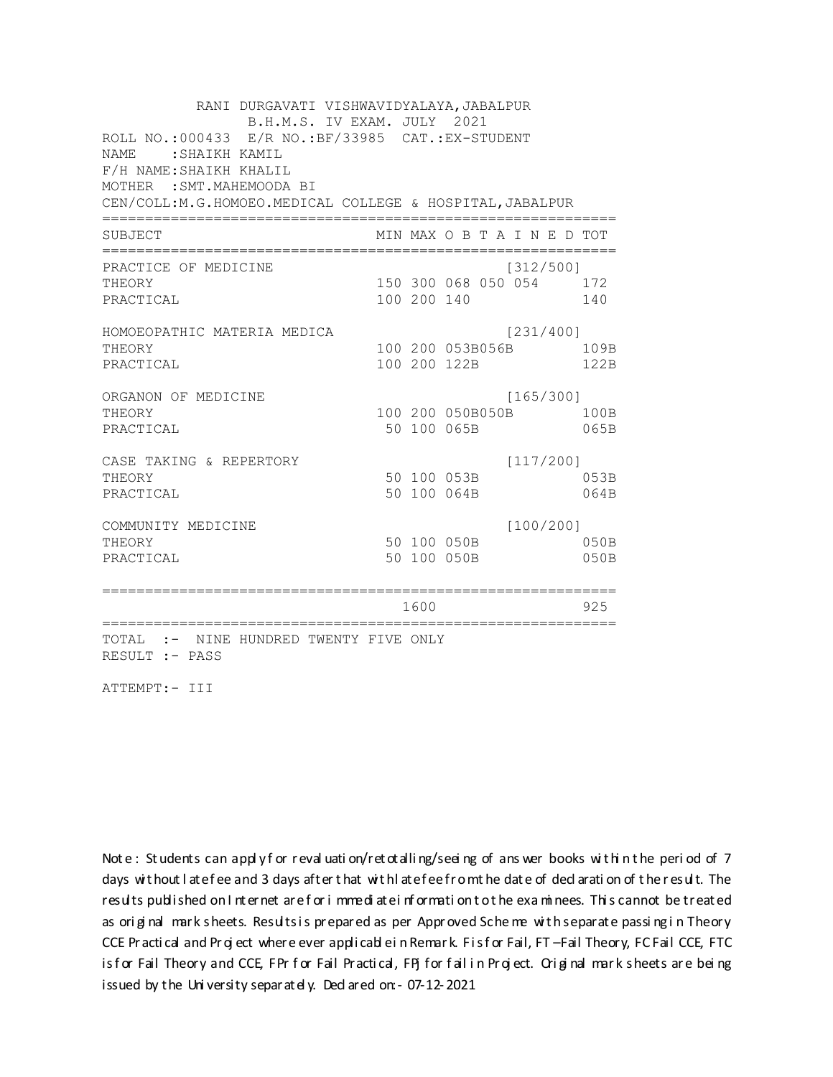RANI DURGAVATI VISHWAVIDYALAYA, JABALPUR B.H.M.S. IV EXAM. JULY 2021 ROLL NO.: 000433 E/R NO.: BF/33985 CAT.: EX-STUDENT NAME: SHAIKH KAMIL F/H NAME: SHAIKH KHALIL MOTHER : SMT. MAHEMOODA BI CEN/COLL: M.G.HOMOEO. MEDICAL COLLEGE & HOSPITAL, JABALPUR MIN MAX O B T A I N E D TOT SUBJECT PRACTICE OF MEDICINE  $[312/500]$ 150 300 068 050 054 172 **THEORY** PRACTICAL 100 200 140 140 HOMOEOPATHIC MATERIA MEDICA  $[231/400]$ 100 200 053B056B 109B THEORY PRACTICAL 100 200 122B 122B ORGANON OF MEDICINE  $[165/300]$ THEORY 100 200 050B050B 100B PRACTICAL 50 100 065B 065B  $[117/200]$ CASE TAKING & REPERTORY 50 100 053B THEORY 053B PRACTICAL 50 100 064B 064B  $[100/200]$ COMMUNITY MEDICINE 50 100 050B 050B THEORY PRACTICAL 50 100 050B 050B 1600 1600 925 TOTAL :- NINE HUNDRED TWENTY FIVE ONLY RESULT :- PASS

ATTEMPT:- III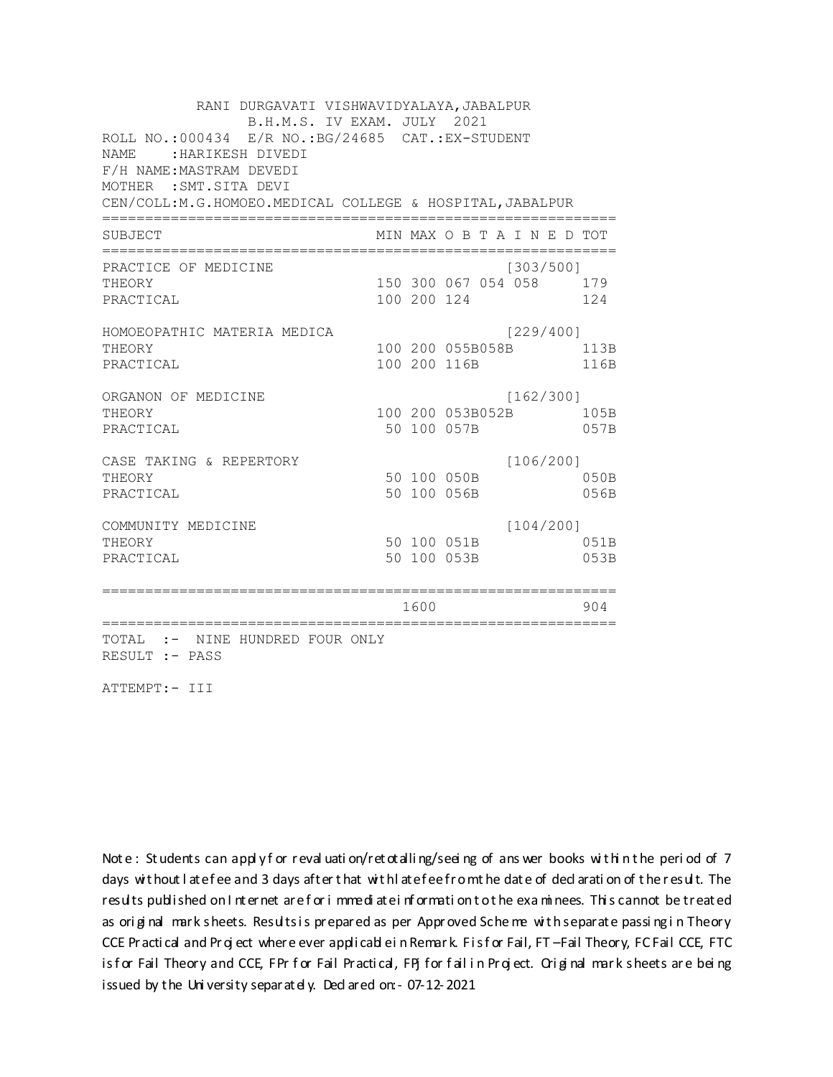RANI DURGAVATI VISHWAVIDYALAYA, JABALPUR B.H.M.S. IV EXAM. JULY 2021 ROLL NO.: 000434 E/R NO.: BG/24685 CAT.: EX-STUDENT NAME: : HARIKESH DIVEDI F/H NAME: MASTRAM DEVEDI MOTHER : SMT. SITA DEVI CEN/COLL: M.G.HOMOEO. MEDICAL COLLEGE & HOSPITAL, JABALPUR MIN MAX O B T A I N E D TOT SUBJECT PRACTICE OF MEDICINE  $[303/500]$ 150 300 067 054 058 179 **THEORY** PRACTICAL 100 200 124 124 HOMOEOPATHIC MATERIA MEDICA [229/400] 100 200 055B058B 113B THEORY PRACTICAL 100 200 116B 116B ORGANON OF MEDICINE  $[162/300]$ THEORY 100 200 053B052B 105B PRACTICAL 50 100 057B 057B CASE TAKING & REPERTORY  $[106/200]$ 50 100 050B THEORY  $050B$ PRACTICAL 50 100 056B 056B  $[104/200]$ COMMUNITY MEDICINE 50 100 051B 051B THEORY PRACTICAL 50 100 053B 053B 1600 1600 904 TOTAL :- NINE HUNDRED FOUR ONLY RESULT :- PASS

ATTEMPT:- III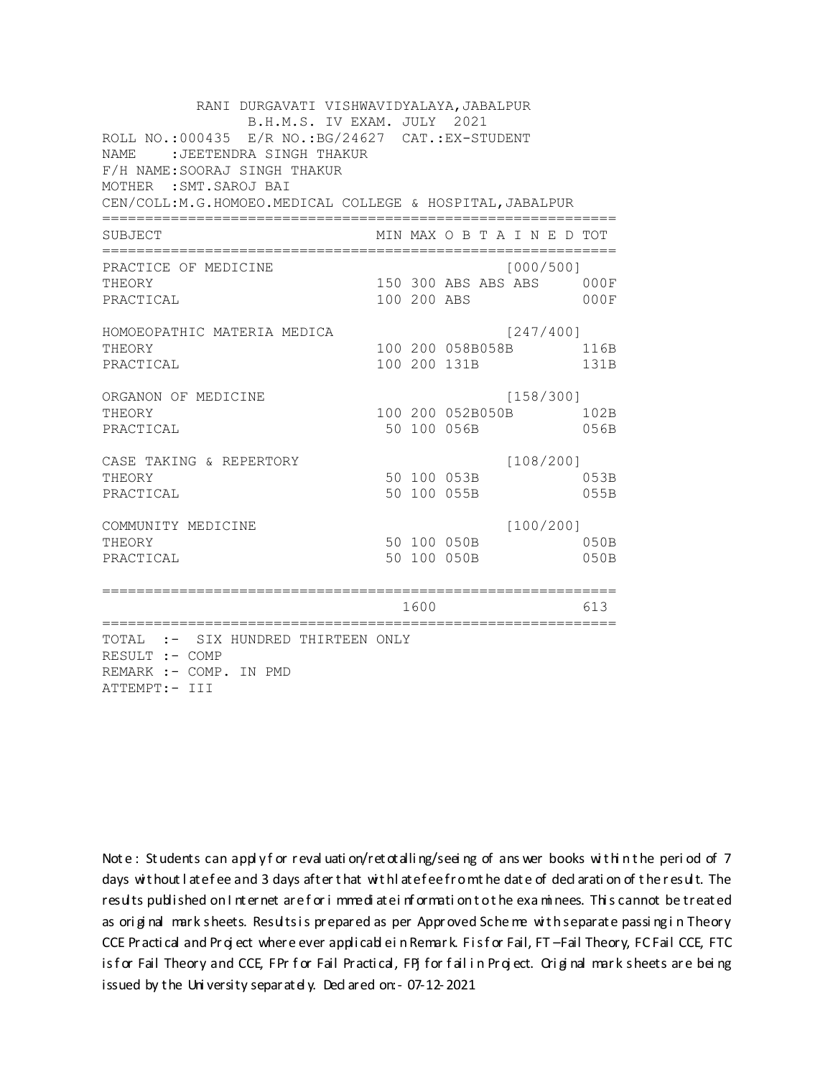RANI DURGAVATI VISHWAVIDYALAYA, JABALPUR B.H.M.S. IV EXAM. JULY 2021 ROLL NO.:000435 E/R NO.: BG/24627 CAT.: EX-STUDENT NAME : JEETENDRA SINGH THAKUR F/H NAME: SOORAJ SINGH THAKUR MOTHER : SMT. SAROJ BAI CEN/COLL: M.G.HOMOEO. MEDICAL COLLEGE & HOSPITAL, JABALPUR MIN MAX O B T A I N E D TOT SUBJECT  $[000/500]$ PRACTICE OF MEDICINE 150 300 ABS ABS ABS 000F THEORY PRACTICAL 100 200 ABS  $000F$ HOMOEOPATHIC MATERIA MEDICA [247/400] 100 200 058B058B 116B THEORY PRACTICAL 100 200 131B 131B ORGANON OF MEDICINE  $[158/300]$ THEORY 100 200 052B050B 102B PRACTICAL 50 100 056B 056B  $[108/200]$ CASE TAKING & REPERTORY 50 100 053B THEORY 053B PRACTICAL 50 100 055B 055B  $[100/200]$ COMMUNITY MEDICINE 50 100 050B 050B THEORY PRACTICAL 50 100 050B 050B 1600 1600 613 TOTAL :- SIX HUNDRED THIRTEEN ONLY RESULT :- COMP REMARK :- COMP. IN PMD ATTEMPT:- III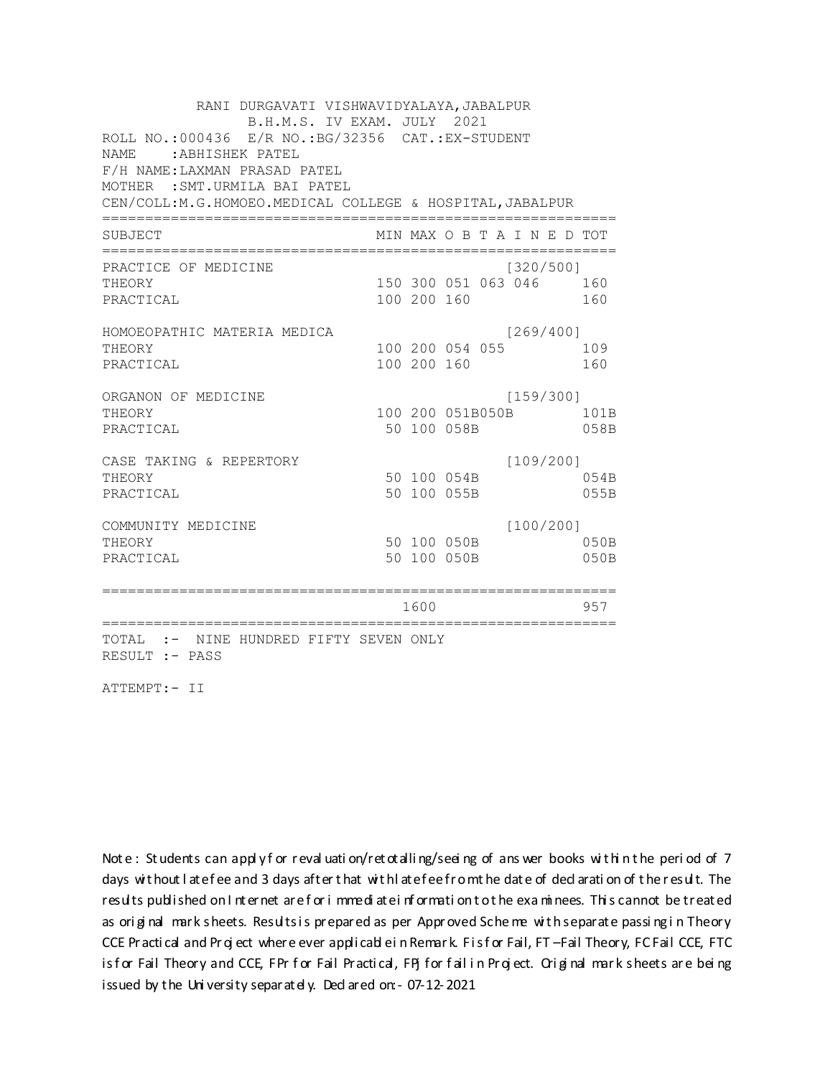RANI DURGAVATI VISHWAVIDYALAYA, JABALPUR B.H.M.S. IV EXAM. JULY 2021 ROLL NO.:000436 E/R NO.: BG/32356 CAT.: EX-STUDENT NAME : ABHISHEK PATEL F/H NAME: LAXMAN PRASAD PATEL MOTHER : SMT.URMILA BAI PATEL CEN/COLL: M.G.HOMOEO. MEDICAL COLLEGE & HOSPITAL, JABALPUR MIN MAX O B T A I N E D TOT SUBJECT PRACTICE OF MEDICINE  $[320/500]$ 150 300 051 063 046 160 THEORY PRACTICAL 100 200 160 160 HOMOEOPATHIC MATERIA MEDICA  $[269/400]$ 100 200 054 055 109 THEORY PRACTICAL 100 200 160 160 ORGANON OF MEDICINE  $[159/300]$ THEORY 100 200 051B050B 101B PRACTICAL 50 100 058B 058B  $[109/200]$ CASE TAKING & REPERTORY 50 100 054B THEORY 054B PRACTICAL 50 100 055B 055B  $[100/200]$ COMMUNITY MEDICINE 50 100 050B 050B THEORY PRACTICAL 50 100 050B 050B 1600 1600 957 TOTAL :- NINE HUNDRED FIFTY SEVEN ONLY RESULT :- PASS

ATTEMPT:- II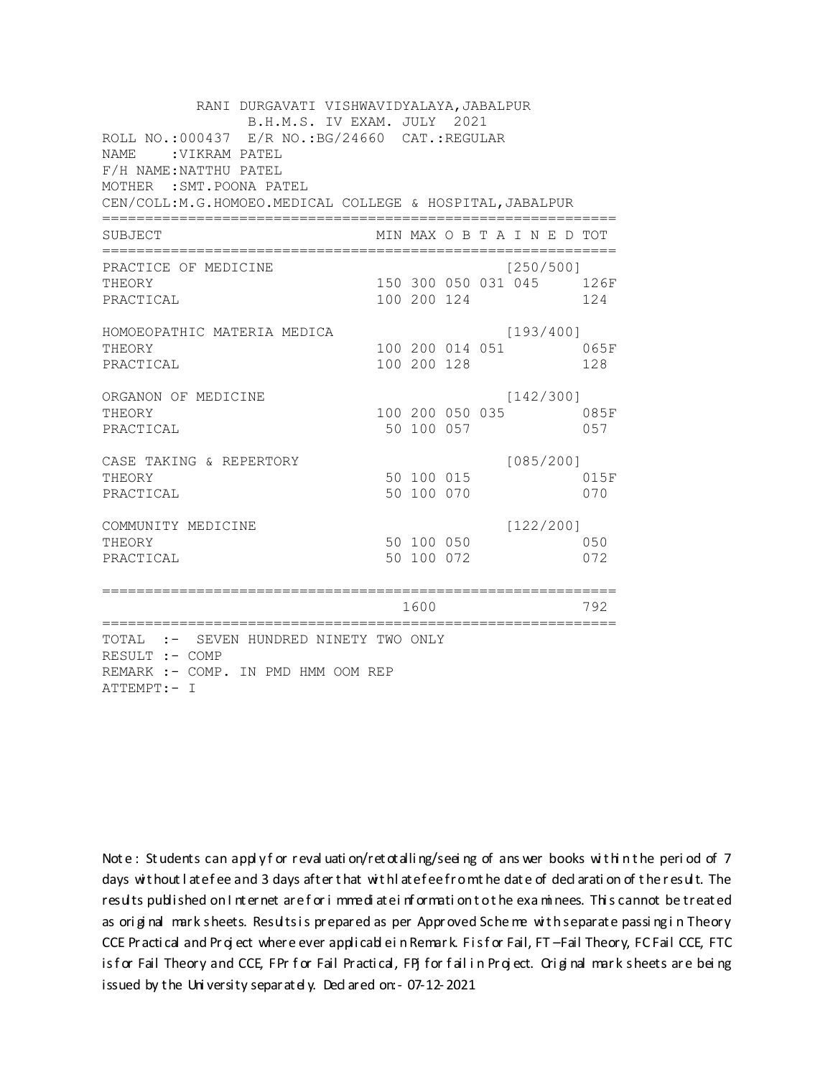| RANI DURGAVATI VISHWAVIDYALAYA, JABALPUR<br>B.H.M.S. IV EXAM. JULY 2021<br>ROLL NO.:000437 E/R NO.: BG/24660 CAT.: REGULAR |  |                 |  |  |                 |  |                             |  |
|----------------------------------------------------------------------------------------------------------------------------|--|-----------------|--|--|-----------------|--|-----------------------------|--|
| <b>NAME</b><br>:VIKRAM PATEL                                                                                               |  |                 |  |  |                 |  |                             |  |
| F/H NAME: NATTHU PATEL                                                                                                     |  |                 |  |  |                 |  |                             |  |
| MOTHER : SMT. POONA PATEL<br>CEN/COLL:M.G.HOMOEO.MEDICAL COLLEGE & HOSPITAL, JABALPUR                                      |  |                 |  |  |                 |  |                             |  |
|                                                                                                                            |  |                 |  |  |                 |  |                             |  |
| SUBJECT                                                                                                                    |  |                 |  |  |                 |  | MIN MAX O B T A I N E D TOT |  |
| PRACTICE OF MEDICINE                                                                                                       |  |                 |  |  | [250/500]       |  |                             |  |
| THEORY                                                                                                                     |  |                 |  |  |                 |  | 150 300 050 031 045 126F    |  |
| PRACTICAL                                                                                                                  |  | 100 200 124     |  |  |                 |  | 124                         |  |
| HOMOEOPATHIC MATERIA MEDICA                                                                                                |  |                 |  |  | [193/400]       |  |                             |  |
| THEORY                                                                                                                     |  |                 |  |  | 100 200 014 051 |  | 065F                        |  |
| PRACTICAL                                                                                                                  |  | 100 200 128     |  |  |                 |  | 128                         |  |
| ORGANON OF MEDICINE                                                                                                        |  |                 |  |  | [142/300]       |  |                             |  |
| THEORY                                                                                                                     |  | 100 200 050 035 |  |  |                 |  | 085F                        |  |
| PRACTICAL                                                                                                                  |  | 50 100 057      |  |  |                 |  | 057                         |  |
| CASE TAKING & REPERTORY                                                                                                    |  |                 |  |  | [085/200]       |  |                             |  |
| THEORY                                                                                                                     |  | 50 100 015      |  |  |                 |  | 015F                        |  |
| PRACTICAL                                                                                                                  |  | 50 100 070      |  |  |                 |  | 070                         |  |
| COMMUNITY MEDICINE                                                                                                         |  |                 |  |  | [122/200]       |  |                             |  |
| THEORY                                                                                                                     |  | 50 100 050      |  |  |                 |  | 050                         |  |
| PRACTICAL                                                                                                                  |  | 50 100 072      |  |  |                 |  | 072                         |  |
| =================                                                                                                          |  |                 |  |  |                 |  |                             |  |
|                                                                                                                            |  | 1600            |  |  |                 |  | 792                         |  |
| TOTAL :- SEVEN HUNDRED NINETY TWO ONLY                                                                                     |  |                 |  |  |                 |  |                             |  |
| RESULT :- COMP                                                                                                             |  |                 |  |  |                 |  |                             |  |
| REMARK :- COMP. IN PMD HMM OOM REP                                                                                         |  |                 |  |  |                 |  |                             |  |
| ATTEMPT:- I                                                                                                                |  |                 |  |  |                 |  |                             |  |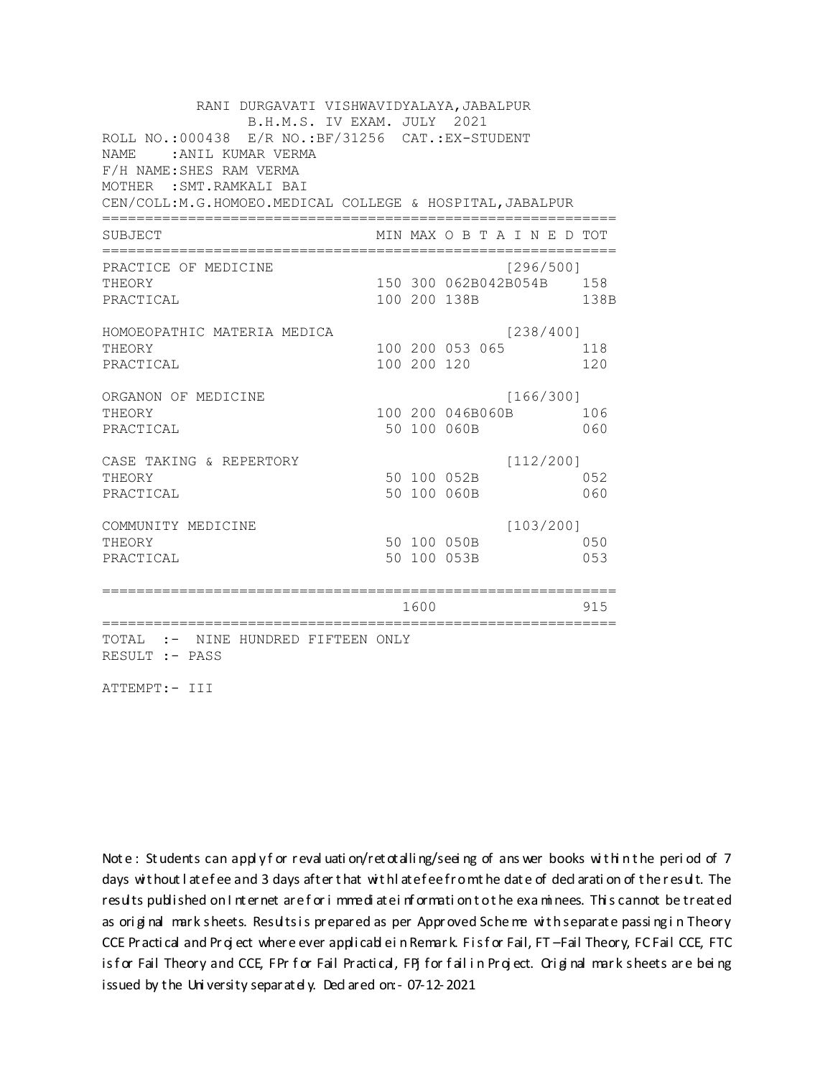RANI DURGAVATI VISHWAVIDYALAYA, JABALPUR B.H.M.S. IV EXAM. JULY 2021 ROLL NO.: 000438 E/R NO.: BF/31256 CAT.: EX-STUDENT NAME: : ANIL KUMAR VERMA F/H NAME: SHES RAM VERMA MOTHER : SMT. RAMKALI BAI CEN/COLL: M.G.HOMOEO. MEDICAL COLLEGE & HOSPITAL, JABALPUR MIN MAX O B T A I N E D TOT SUBJECT PRACTICE OF MEDICINE  $[296/500]$ THEORY 150 300 062B042B054B 158 PRACTICAL 100 200 138B 138B HOMOEOPATHIC MATERIA MEDICA  $[238/400]$ 100 200 053 065 118 THEORY PRACTICAL 100 200 120 120 ORGANON OF MEDICINE  $[166/300]$ THEORY 100 200 046B060B 106 PRACTICAL 50 100 060B 060 CASE TAKING & REPERTORY  $[112/200]$ 50 100 052B THEORY 052 PRACTICAL 50 100 060B 060  $[103/200]$ COMMUNITY MEDICINE 50 100 050B 050 THEORY PRACTICAL 50 100 053B 053 1600 1600 915 TOTAL :- NINE HUNDRED FIFTEEN ONLY RESULT :- PASS

ATTEMPT:- III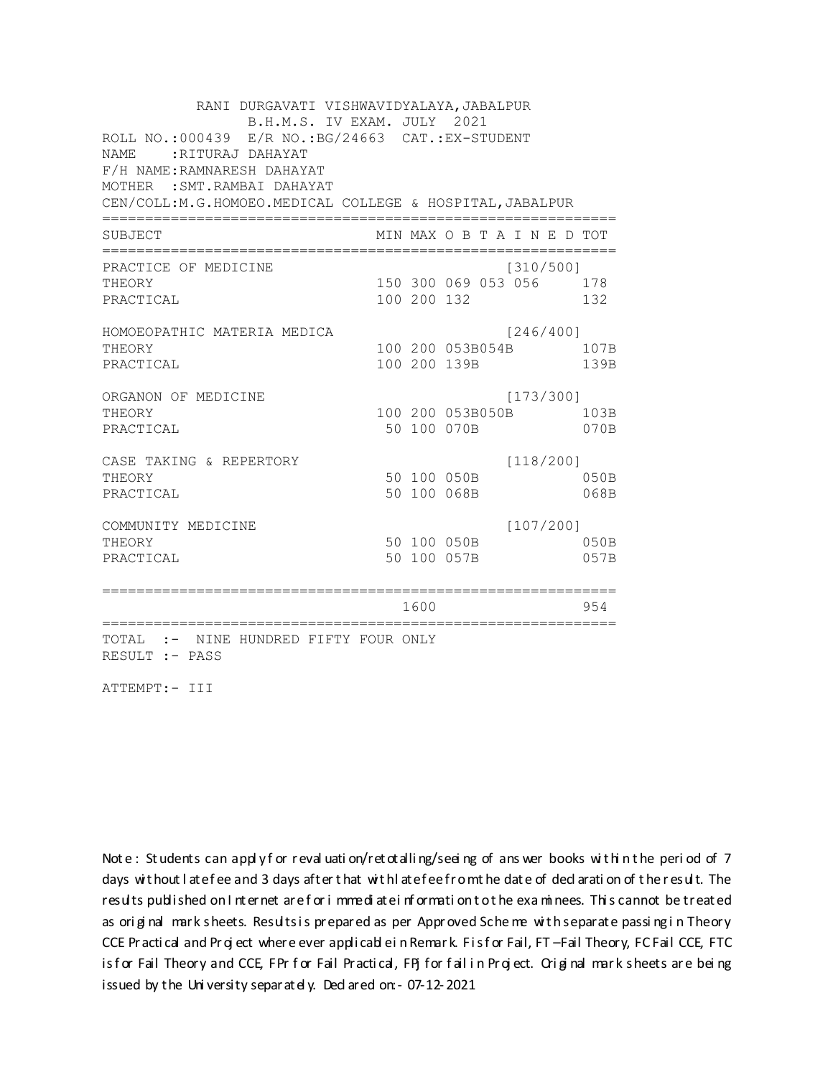RANI DURGAVATI VISHWAVIDYALAYA, JABALPUR B.H.M.S. IV EXAM. JULY 2021 ROLL NO.:000439 E/R NO.:BG/24663 CAT.:EX-STUDENT NAME :RITURAJ DAHAYAT F/H NAME:RAMNARESH DAHAYAT MOTHER :SMT.RAMBAI DAHAYAT CEN/COLL:M.G.HOMOEO.MEDICAL COLLEGE & HOSPITAL,JABALPUR ============================================================ SUBJECT MIN MAX O B T A I N E D TOT ============================================================ PRACTICE OF MEDICINE [310/500] THEORY 150 300 069 053 056 178 PRACTICAL 100 200 132 132 HOMOEOPATHIC MATERIA MEDICA [246/400] THEORY 100 200 053B054B 107B PRACTICAL 100 200 139B 139B ORGANON OF MEDICINE [173/300] THEORY 100 200 053B050B 103B PRACTICAL 60 100 100 100 070B 070B CASE TAKING & REPERTORY [118/200] THEORY 50 100 050B 050B PRACTICAL 50 100 068B 068B COMMUNITY MEDICINE [107/200] THEORY 50 100 050B 050B PRACTICAL 50 100 057B 057B ============================================================ 1600 954 ============================================================ TOTAL :- NINE HUNDRED FIFTY FOUR ONLY RESULT :- PASS

ATTEMPT:- III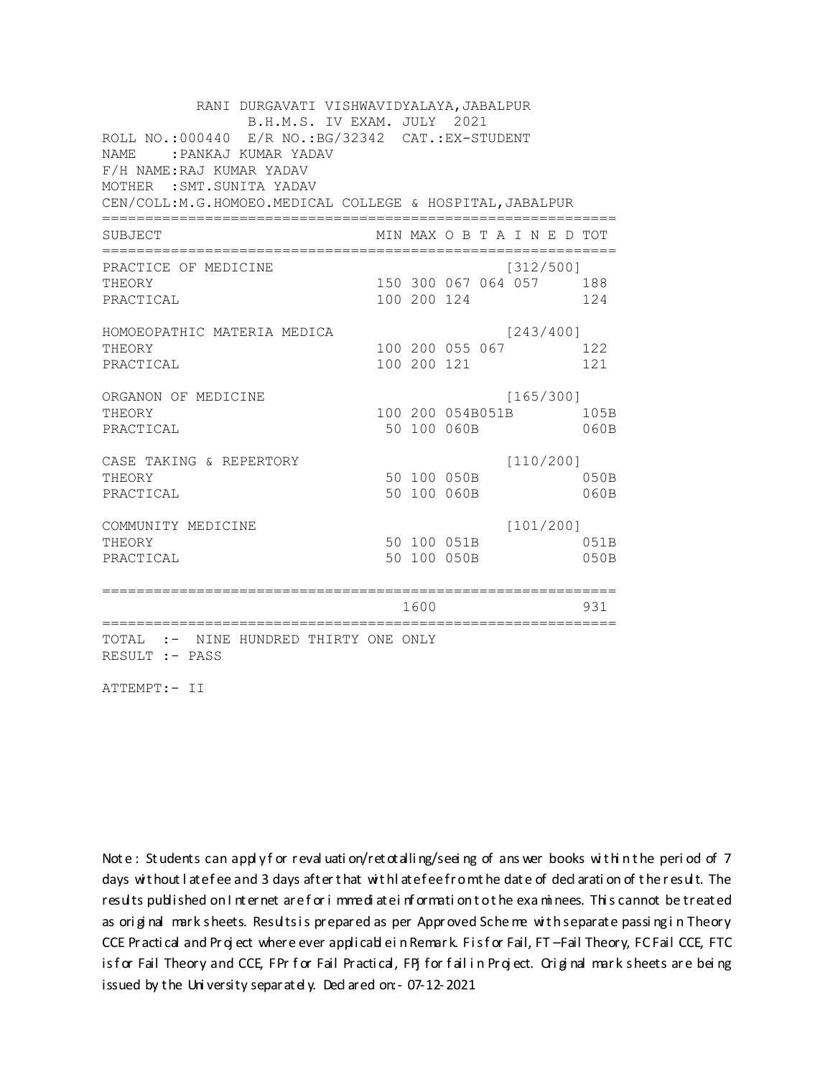RANI DURGAVATI VISHWAVIDYALAYA, JABALPUR B.H.M.S. IV EXAM. JULY 2021 ROLL NO.: 000440 E/R NO.: BG/32342 CAT.: EX-STUDENT NAME: PANKAJ KUMAR YADAV F/H NAME:RAJ KUMAR YADAV MOTHER : SMT. SUNITA YADAV CEN/COLL:M.G.HOMOEO.MEDICAL COLLEGE & HOSPITAL, JABALPUR MIN MAX O B T A I N E D TOT SUBJECT PRACTICE OF MEDICINE  $[312/500]$ 150 300 067 064 057 188 **THEORY** PRACTICAL 100 200 124 124 HOMOEOPATHIC MATERIA MEDICA  $[243/400]$ 100 200 055 067 122 THEORY PRACTICAL 100 200 121 121 ORGANON OF MEDICINE  $[165/300]$ THEORY 100 200 054B051B 105B PRACTICAL 50 100 060B 060B  $[110/200]$ CASE TAKING & REPERTORY 50 100 050B THEORY 050B PRACTICAL 50 100 060B  $060B$  $[101/200]$ COMMUNITY MEDICINE 50 100 051B 051B THEORY PRACTICAL 50 100 050B 050B 1600 1600 931 TOTAL :- NINE HUNDRED THIRTY ONE ONLY RESULT :- PASS

ATTEMPT:- II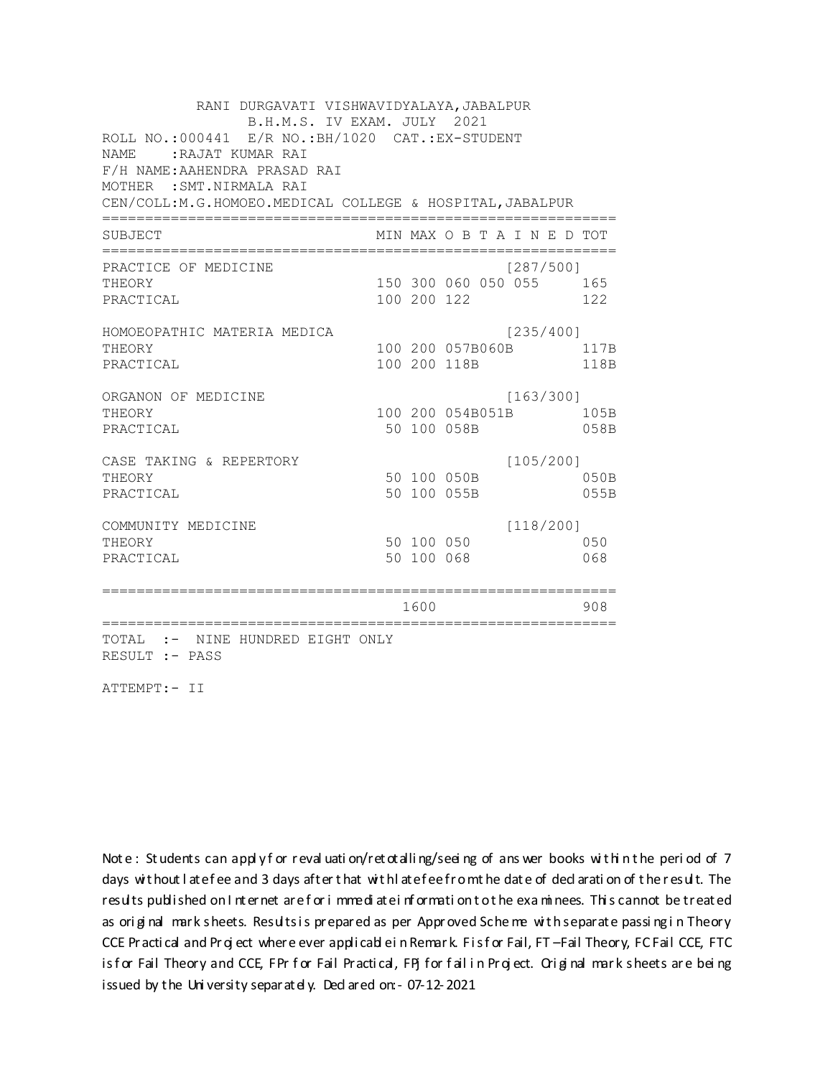RANI DURGAVATI VISHWAVIDYALAYA, JABALPUR B.H.M.S. IV EXAM. JULY 2021 ROLL NO.:000441 E/R NO.: BH/1020 CAT.: EX-STUDENT NAME: RAJAT KUMAR RAI F/H NAME: AAHENDRA PRASAD RAI MOTHER : SMT. NIRMALA RAI CEN/COLL: M.G.HOMOEO. MEDICAL COLLEGE & HOSPITAL, JABALPUR MIN MAX O B T A I N E D TOT SUBJECT  $[287/5001]$ PRACTICE OF MEDICINE THEORY 150 300 060 050 055 165 PRACTICAL 100 200 122 122 HOMOEOPATHIC MATERIA MEDICA [235/400] 100 200 057B060B 117B THEORY PRACTICAL 100 200 118B 118B ORGANON OF MEDICINE  $[163/300]$ THEORY 100 200 054B051B 105B PRACTICAL 50 100 058B 058B  $[105/200]$ CASE TAKING & REPERTORY 50 100 050B THEORY 050B PRACTICAL 50 100 055B 055B  $[118/200]$ COMMUNITY MEDICINE 50 100 050 050 THEORY PRACTICAL 50 100 068 068 1600 1600 908 TOTAL :- NINE HUNDRED EIGHT ONLY RESULT :- PASS

ATTEMPT:- II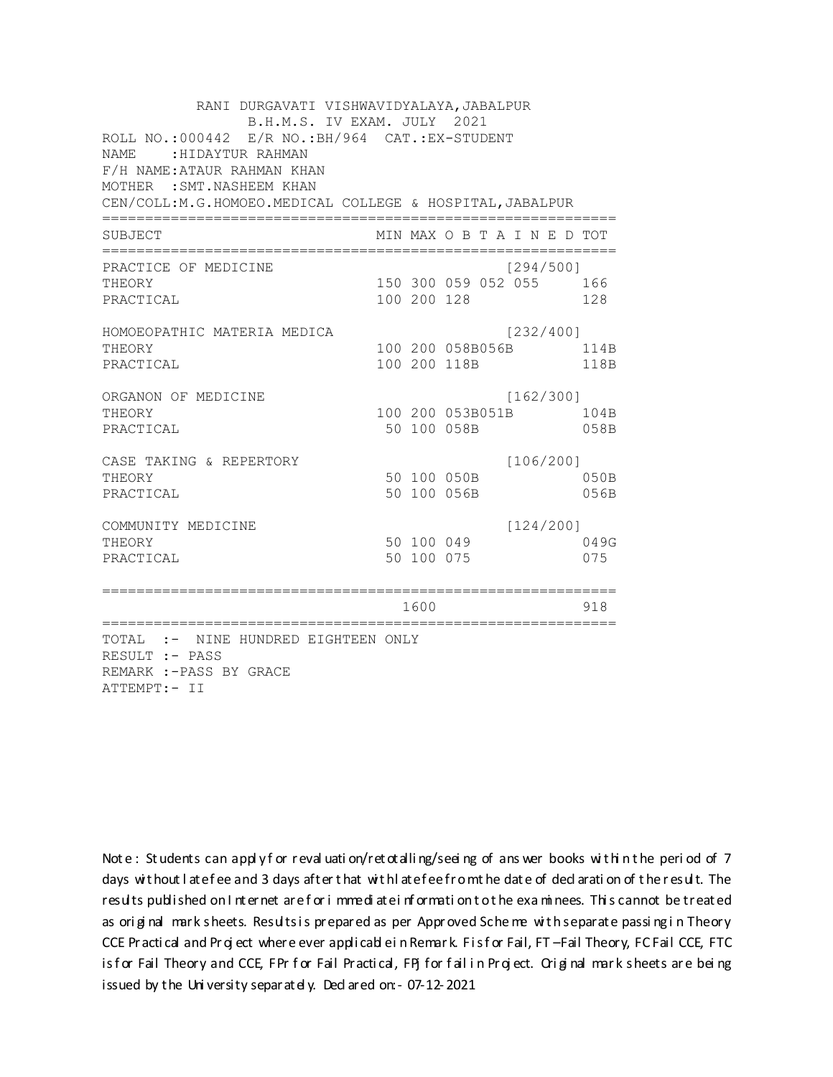RANI DURGAVATI VISHWAVIDYALAYA, JABALPUR B.H.M.S. IV EXAM. JULY 2021 ROLL NO.: 000442 E/R NO.: BH/964 CAT.: EX-STUDENT NAME: HIDAYTUR RAHMAN F/H NAME: ATAUR RAHMAN KHAN MOTHER : SMT. NASHEEM KHAN CEN/COLL:M.G.HOMOEO.MEDICAL COLLEGE & HOSPITAL, JABALPUR MIN MAX O B T A I N E D TOT SUBJECT PRACTICE OF MEDICINE  $[294/500]$ 150 300 059 052 055 166 **THEORY** PRACTICAL 100 200 128 128 HOMOEOPATHIC MATERIA MEDICA [232/400] 100 200 058B056B 114B THEORY PRACTICAL 100 200 118B 118B ORGANON OF MEDICINE  $[162/300]$ THEORY 100 200 053B051B 104B PRACTICAL 50 100 058B 058B CASE TAKING & REPERTORY  $[106/200]$ 50 100 050B THEORY 050B PRACTICAL 50 100 056B 056B  $[124/200]$ COMMUNITY MEDICINE 50 100 049 049G THEORY PRACTICAL 50 100 075 075 1600 1600 918 TOTAL :- NINE HUNDRED EIGHTEEN ONLY RESULT :- PASS REMARK :- PASS BY GRACE ATTEMPT:- II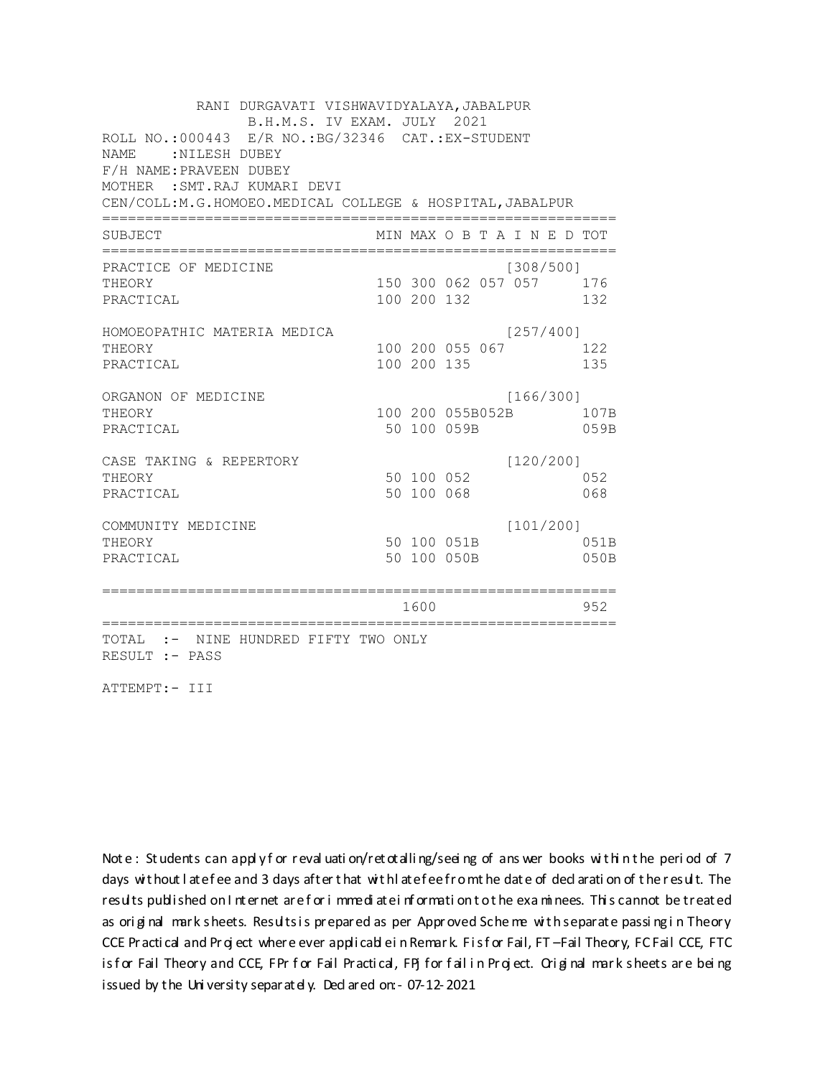RANI DURGAVATI VISHWAVIDYALAYA, JABALPUR B.H.M.S. IV EXAM. JULY 2021 ROLL NO.: 000443 E/R NO.: BG/32346 CAT.: EX-STUDENT NAME : NILESH DUBEY F/H NAME: PRAVEEN DUBEY MOTHER : SMT. RAJ KUMARI DEVI CEN/COLL:M.G.HOMOEO.MEDICAL COLLEGE & HOSPITAL, JABALPUR MIN MAX O B T A I N E D TOT SUBJECT PRACTICE OF MEDICINE  $[308/500]$ 150 300 062 057 057 176 **THEORY** PRACTICAL 100 200 132 132 HOMOEOPATHIC MATERIA MEDICA  $[257/400]$ 100 200 055 067 122 THEORY PRACTICAL 100 200 135 135 ORGANON OF MEDICINE  $[166/300]$ THEORY 100 200 055B052B 107B PRACTICAL 50 100 059B 059B  $[120/200]$ CASE TAKING & REPERTORY 50 100 052 THEORY 052 50 100 068 PRACTICAL 068  $[101/200]$ COMMUNITY MEDICINE 50 100 051B 051B THEORY PRACTICAL 50 100 050B 050B 1600 1600 952 TOTAL :- NINE HUNDRED FIFTY TWO ONLY RESULT :- PASS

ATTEMPT:- III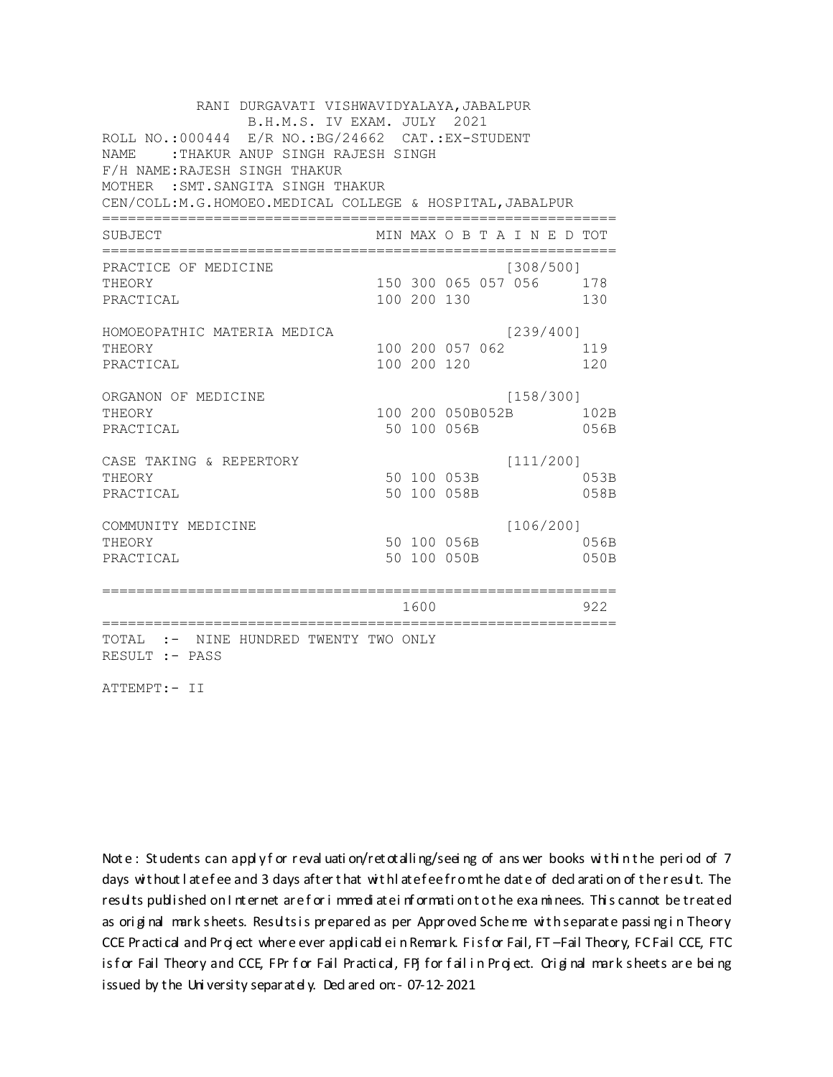RANI DURGAVATI VISHWAVIDYALAYA, JABALPUR B.H.M.S. IV EXAM. JULY 2021 ROLL NO.:000444 E/R NO.:BG/24662 CAT.:EX-STUDENT NAME :THAKUR ANUP SINGH RAJESH SINGH F/H NAME:RAJESH SINGH THAKUR MOTHER :SMT.SANGITA SINGH THAKUR CEN/COLL:M.G.HOMOEO.MEDICAL COLLEGE & HOSPITAL,JABALPUR ============================================================ SUBJECT MIN MAX O B T A I N E D TOT ============================================================ PRACTICE OF MEDICINE [308/500] THEORY 150 300 065 057 056 178 PRACTICAL 100 200 130 130 HOMOEOPATHIC MATERIA MEDICA [239/400] THEORY 100 200 057 062 119 PRACTICAL 100 200 120 120 120 ORGANON OF MEDICINE [158/300] THEORY 100 200 050B052B 102B PRACTICAL 50 100 056B 056B CASE TAKING & REPERTORY [111/200] THEORY 50 100 053B 053B PRACTICAL 50 100 058B 058B COMMUNITY MEDICINE [106/200] THEORY 50 100 056B 056B PRACTICAL 50 100 050B 050B ============================================================ 1600 922 ============================================================ TOTAL :- NINE HUNDRED TWENTY TWO ONLY RESULT :- PASS

ATTEMPT:- II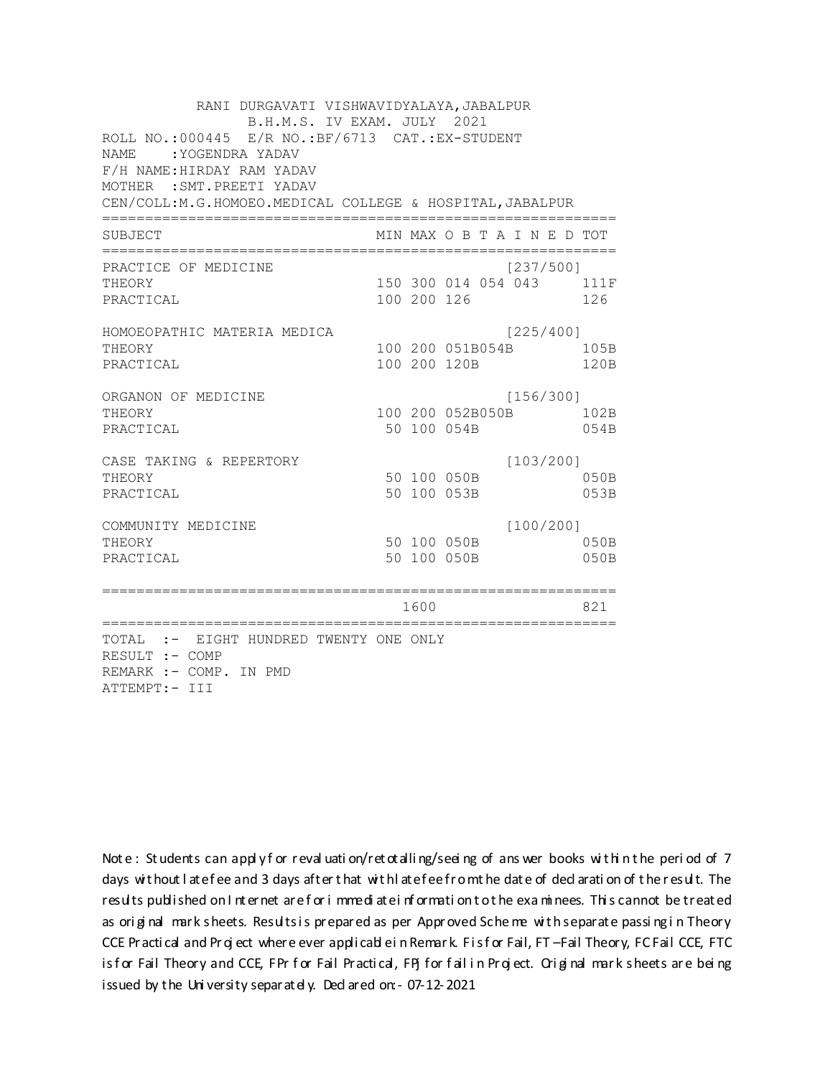RANI DURGAVATI VISHWAVIDYALAYA, JABALPUR B.H.M.S. IV EXAM. JULY 2021 ROLL NO.:000445 E/R NO.: BF/6713 CAT.: EX-STUDENT NAME : YOGENDRA YADAV F/H NAME: HIRDAY RAM YADAV MOTHER : SMT. PREETI YADAV CEN/COLL:M.G.HOMOEO.MEDICAL COLLEGE & HOSPITAL, JABALPUR MIN MAX O B T A I N E D TOT SUBJECT  $[237/5001]$ PRACTICE OF MEDICINE 150 300 014 054 043 111F **THEORY** PRACTICAL 100 200 126 126 HOMOEOPATHIC MATERIA MEDICA [225/400] 100 200 051B054B 105B THEORY PRACTICAL 100 200 120B 120B ORGANON OF MEDICINE  $[156/300]$ THEORY 100 200 052B050B 102B PRACTICAL 50 100 054B 054B  $[103/200]$ CASE TAKING & REPERTORY 50 100 050B THEORY  $050B$ PRACTICAL 50 100 053B 053B  $[100/200]$ COMMUNITY MEDICINE 50 100 050B 050B THEORY PRACTICAL 50 100 050B 050B 1600 000 821 TOTAL :- EIGHT HUNDRED TWENTY ONE ONLY RESULT :- COMP REMARK :- COMP. IN PMD ATTEMPT:- III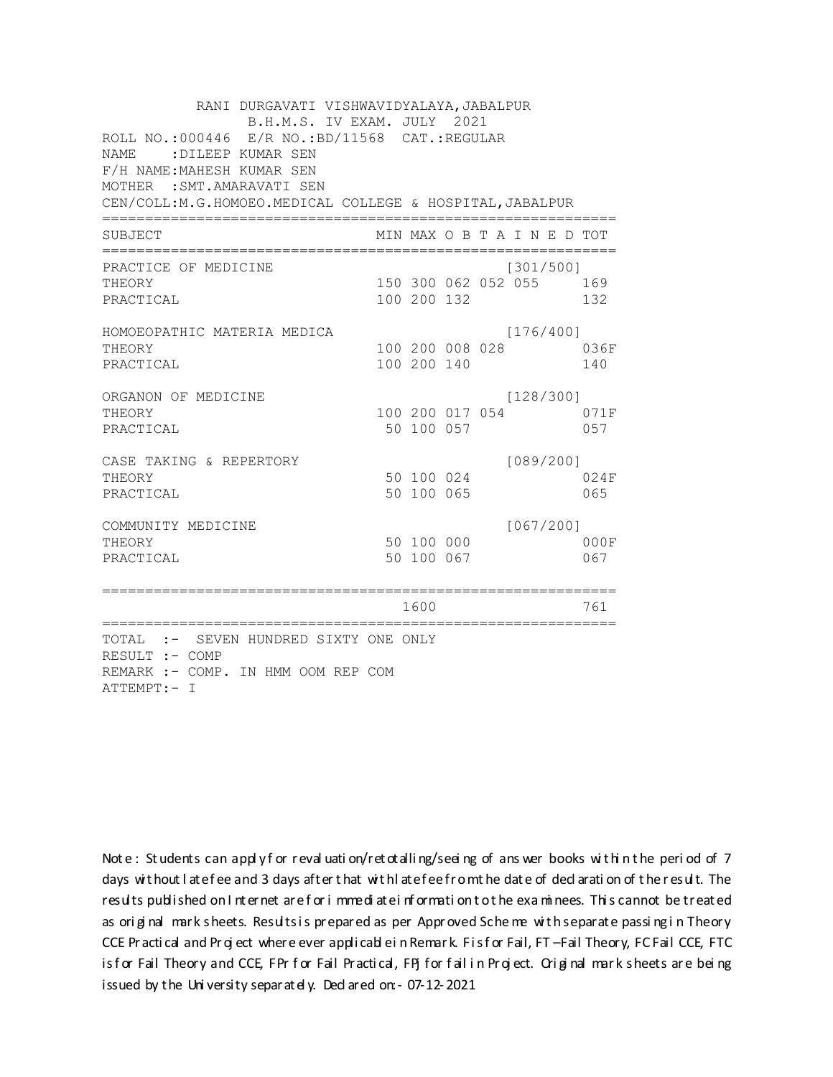| RANI DURGAVATI VISHWAVIDYALAYA, JABALPUR<br>B.H.M.S. IV EXAM. JULY 2021<br>ROLL NO.:000446 E/R NO.:BD/11568 CAT.:REGULAR<br>:DILEEP KUMAR SEN<br><b>NAME</b><br>F/H NAME: MAHESH KUMAR SEN<br>MOTHER : SMT. AMARAVATI SEN<br>CEN/COLL:M.G.HOMOEO.MEDICAL COLLEGE & HOSPITAL, JABALPUR |                 |                          |  |                                      |     |             |
|---------------------------------------------------------------------------------------------------------------------------------------------------------------------------------------------------------------------------------------------------------------------------------------|-----------------|--------------------------|--|--------------------------------------|-----|-------------|
| SUBJECT                                                                                                                                                                                                                                                                               |                 |                          |  | MIN MAX O B T A I N E D TOT          |     |             |
| PRACTICE OF MEDICINE<br>THEORY<br>PRACTICAL                                                                                                                                                                                                                                           |                 | 100 200 132              |  | [301/500]<br>150 300 062 052 055 169 | 132 |             |
| HOMOEOPATHIC MATERIA MEDICA<br>THEORY<br>PRACTICAL                                                                                                                                                                                                                                    |                 | 100 200 140              |  | [176/400]<br>100 200 008 028         |     | 036F<br>140 |
| ORGANON OF MEDICINE<br>THEORY<br>PRACTICAL                                                                                                                                                                                                                                            |                 | 50 100 057               |  | [128/300]<br>100 200 017 054         |     | 071F<br>057 |
| CASE TAKING & REPERTORY<br>THEORY<br>PRACTICAL                                                                                                                                                                                                                                        |                 | 50 100 024<br>50 100 065 |  | [089/200]                            |     | 024F<br>065 |
| COMMUNITY MEDICINE<br>THEORY<br>PRACTICAL                                                                                                                                                                                                                                             |                 | 50 100 000<br>50 100 067 |  | [067/200]                            |     | 000F<br>067 |
| ==========================                                                                                                                                                                                                                                                            | .============== | 1600                     |  |                                      |     | 761         |
| TOTAL :- SEVEN HUNDRED SIXTY ONE ONLY<br>RESULT :- COMP<br>REMARK :- COMP. IN HMM OOM REP COM<br>ATTEMPT:- I                                                                                                                                                                          |                 |                          |  |                                      |     |             |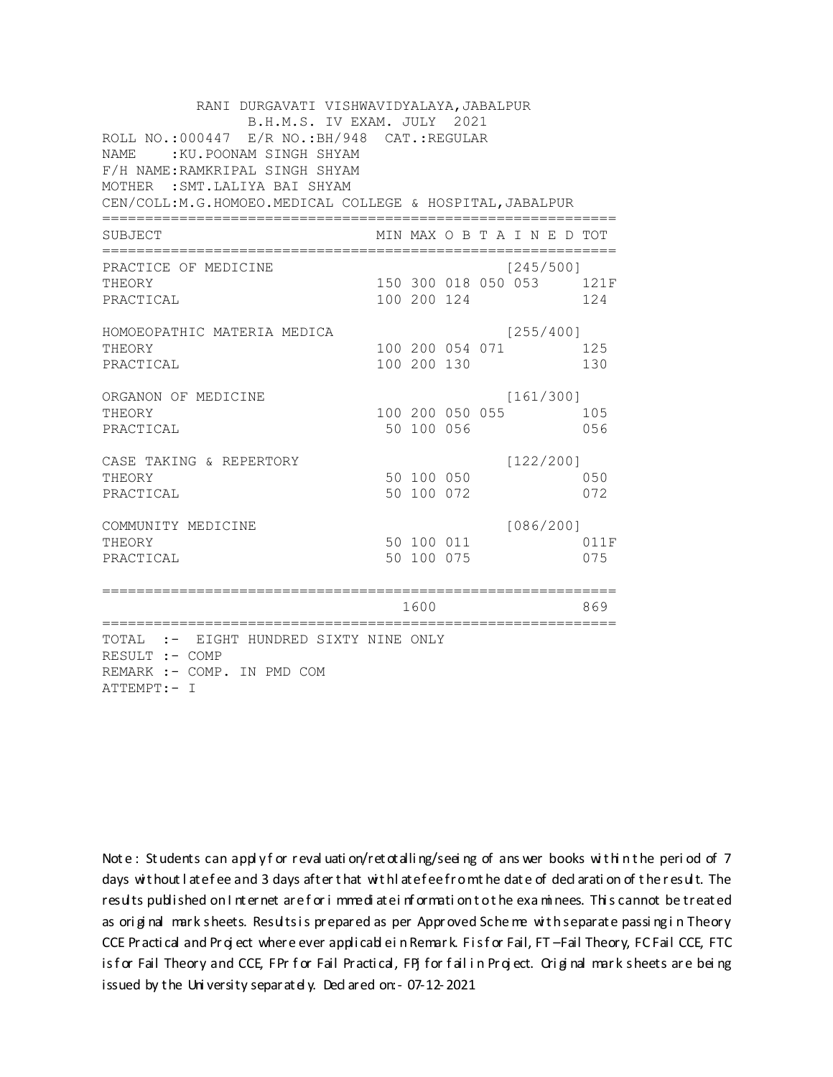| RANI DURGAVATI VISHWAVIDYALAYA, JABALPUR<br>B.H.M.S. IV EXAM. JULY 2021<br>ROLL NO.: 000447 E/R NO.: BH/948 CAT.: REGULAR<br>:KU.POONAM SINGH SHYAM<br><b>NAME</b><br>F/H NAME: RAMKRIPAL SINGH SHYAM<br>MOTHER : SMT. LALIYA BAI SHYAM<br>CEN/COLL: M. G. HOMOEO. MEDICAL COLLEGE & HOSPITAL, JABALPUR |                 |                          |             |  |                              |  |                                 |  |  |
|---------------------------------------------------------------------------------------------------------------------------------------------------------------------------------------------------------------------------------------------------------------------------------------------------------|-----------------|--------------------------|-------------|--|------------------------------|--|---------------------------------|--|--|
| SUBJECT                                                                                                                                                                                                                                                                                                 |                 |                          |             |  | MIN MAX O B T A I N E D TOT  |  |                                 |  |  |
| PRACTICE OF MEDICINE<br>THEORY<br>PRACTICAL                                                                                                                                                                                                                                                             |                 |                          | 100 200 124 |  | [245/500]                    |  | 150 300 018 050 053 121F<br>124 |  |  |
| HOMOEOPATHIC MATERIA MEDICA<br>THEORY<br>PRACTICAL                                                                                                                                                                                                                                                      |                 | 100 200 130              |             |  | [255/400]<br>100 200 054 071 |  | 125<br>130                      |  |  |
| ORGANON OF MEDICINE<br>THEORY<br>PRACTICAL                                                                                                                                                                                                                                                              |                 | 50 100 056               |             |  | [161/300]<br>100 200 050 055 |  | 105<br>056                      |  |  |
| CASE TAKING & REPERTORY<br>THEORY<br>PRACTICAL                                                                                                                                                                                                                                                          |                 | 50 100 050<br>50 100 072 |             |  | [122/200]                    |  | 050<br>072                      |  |  |
| COMMUNITY MEDICINE<br>THEORY<br>PRACTICAL                                                                                                                                                                                                                                                               |                 | 50 100 075               | 50 100 011  |  | [086/200]                    |  | 011F<br>075                     |  |  |
| =======================                                                                                                                                                                                                                                                                                 | :============== | 1600                     |             |  |                              |  | 869                             |  |  |
| TOTAL :- EIGHT HUNDRED SIXTY NINE ONLY<br>RESULT :- COMP<br>REMARK :- COMP. IN PMD COM<br>ATTEMPT:- I                                                                                                                                                                                                   |                 |                          |             |  |                              |  |                                 |  |  |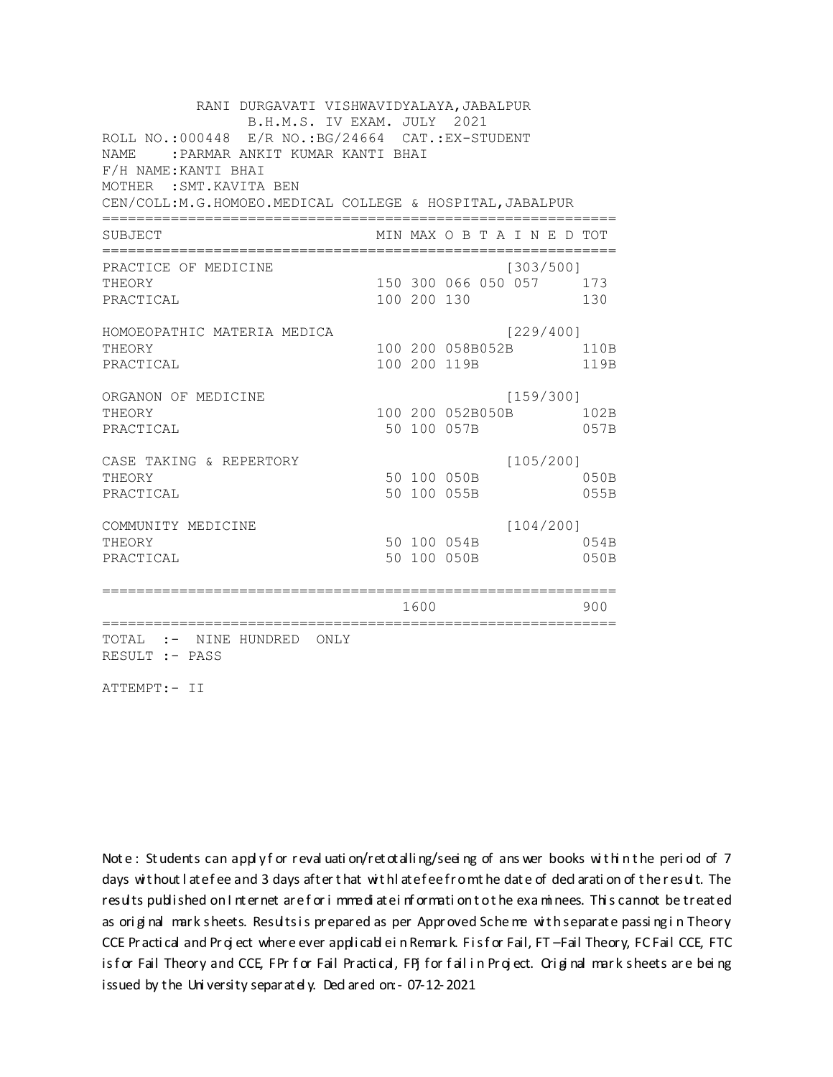RANI DURGAVATI VISHWAVIDYALAYA, JABALPUR B.H.M.S. IV EXAM. JULY 2021 ROLL NO.: 000448 E/R NO.: BG/24664 CAT.: EX-STUDENT NAME: : PARMAR ANKIT KUMAR KANTI BHAI F/H NAME: KANTI BHAI MOTHER : SMT. KAVITA BEN CEN/COLL: M.G.HOMOEO. MEDICAL COLLEGE & HOSPITAL, JABALPUR MIN MAX O B T A I N E D TOT SUBJECT PRACTICE OF MEDICINE  $[303/500]$ 150 300 066 050 057 173 **THEORY** PRACTICAL 100 200 130 130 HOMOEOPATHIC MATERIA MEDICA [229/400] 100 200 058B052B 110B THEORY PRACTICAL 100 200 119B 119B ORGANON OF MEDICINE  $[159/300]$ THEORY 100 200 052B050B 102B PRACTICAL 50 100 057B 057B  $[105/200]$ CASE TAKING & REPERTORY 50 100 050B THEORY  $050B$ PRACTICAL 50 100 055B 055B  $[104/200]$ COMMUNITY MEDICINE 50 100 054B 054B THEORY PRACTICAL 50 100 050B 050B 1600 1600 900 TOTAL :- NINE HUNDRED ONLY RESULT :- PASS

ATTEMPT:- II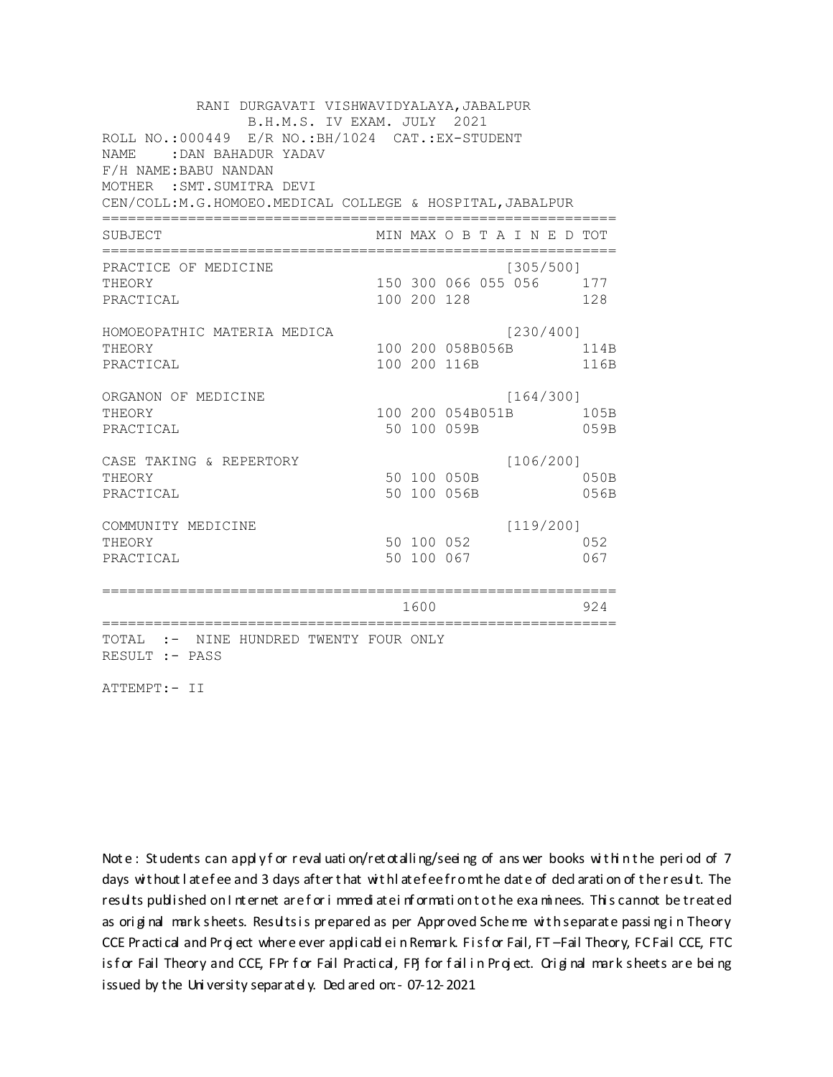RANI DURGAVATI VISHWAVIDYALAYA, JABALPUR B.H.M.S. IV EXAM. JULY 2021 ROLL NO.:000449 E/R NO.: BH/1024 CAT.: EX-STUDENT NAME: DAN BAHADUR YADAV F/H NAME: BABU NANDAN MOTHER : SMT. SUMITRA DEVI CEN/COLL:M.G.HOMOEO.MEDICAL COLLEGE & HOSPITAL, JABALPUR MIN MAX O B T A I N E D TOT SUBJECT PRACTICE OF MEDICINE  $[305/500]$ THEORY 150 300 066 055 056 177 PRACTICAL 100 200 128 128 HOMOEOPATHIC MATERIA MEDICA [230/400] 100 200 058B056B 114B THEORY PRACTICAL 100 200 116B 116B ORGANON OF MEDICINE  $[164/300]$ THEORY 100 200 054B051B 105B PRACTICAL 50 100 059B 059B CASE TAKING & REPERTORY  $[106/200]$ 50 100 050B THEORY  $050B$ PRACTICAL 50 100 056B 056B  $[119/200]$ COMMUNITY MEDICINE 50 100 052 052 THEORY 50 100 067 PRACTICAL 067 1600 1600 924 TOTAL :- NINE HUNDRED TWENTY FOUR ONLY RESULT :- PASS

ATTEMPT:- II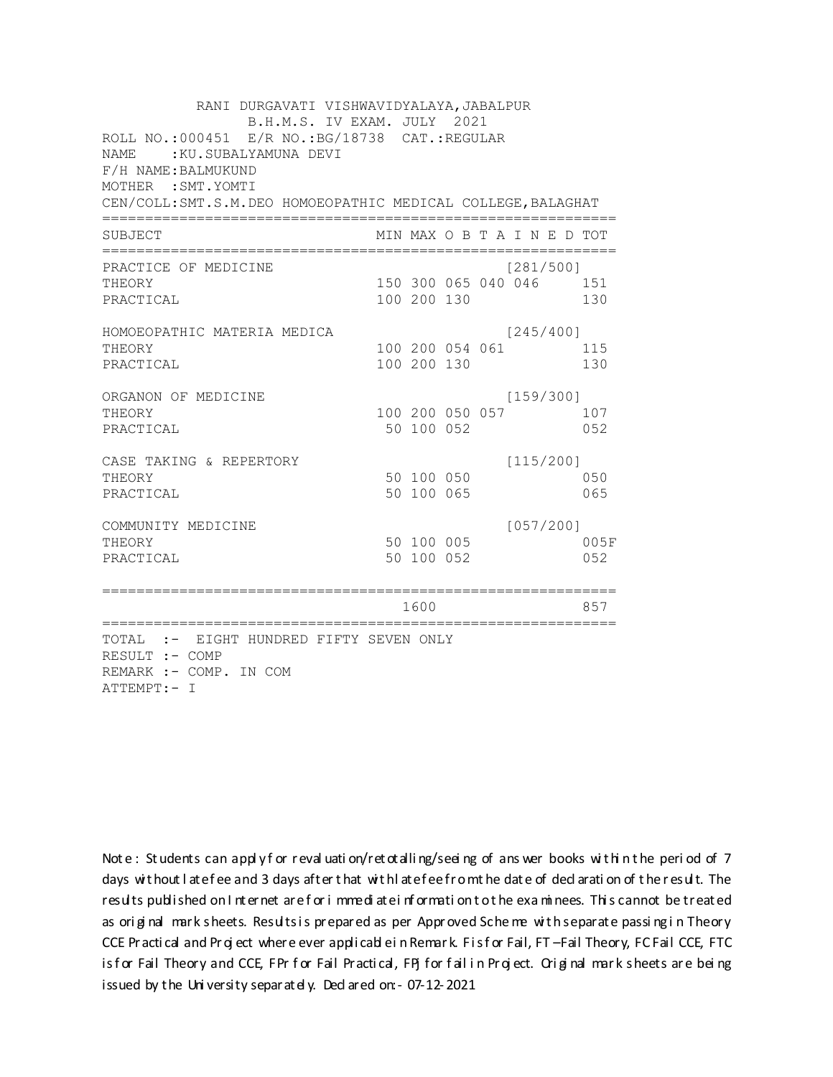RANI DURGAVATI VISHWAVIDYALAYA, JABALPUR B.H.M.S. IV EXAM. JULY 2021 ROLL NO.:000451 E/R NO.: BG/18738 CAT.: REGULAR NAME: : KU. SUBALYAMUNA DEVI F/H NAME: BALMUKUND MOTHER : SMT. YOMTI CEN/COLL: SMT.S.M. DEO HOMOEOPATHIC MEDICAL COLLEGE, BALAGHAT MIN MAX O B T A I N E D TOT SUBJECT  $[281/500]$ PRACTICE OF MEDICINE 150 300 065 040 046 151 THEORY PRACTICAL 100 200 130 130 HOMOEOPATHIC MATERIA MEDICA  $[245/400]$ 100 200 054 061 115 THEORY PRACTICAL 100 200 130 130 ORGANON OF MEDICINE  $[159/300]$ THEORY 100 200 050 057 107 PRACTICAL 50 100 052 052 CASE TAKING & REPERTORY  $[115/200]$ 50 100 050 THEORY 050 PRACTICAL 50 100 065 065  $[057/200]$ COMMUNITY MEDICINE 50 100 005 005F THEORY PRACTICAL 50 100 052 052 1600 1600 857 TOTAL :- EIGHT HUNDRED FIFTY SEVEN ONLY RESULT :- COMP REMARK :- COMP. IN COM ATTEMPT:- I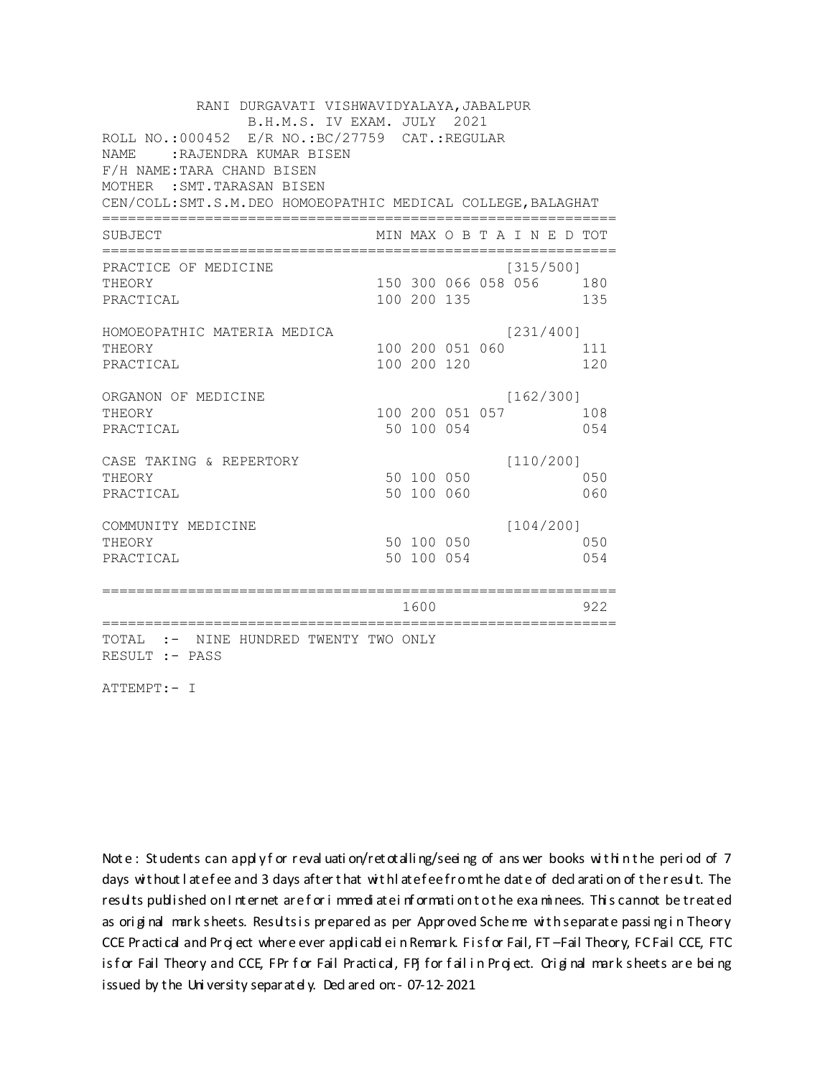RANI DURGAVATI VISHWAVIDYALAYA, JABALPUR B.H.M.S. IV EXAM. JULY 2021 ROLL NO.:000452 E/R NO.:BC/27759 CAT.:REGULAR NAME :RAJENDRA KUMAR BISEN F/H NAME:TARA CHAND BISEN MOTHER :SMT.TARASAN BISEN CEN/COLL:SMT.S.M.DEO HOMOEOPATHIC MEDICAL COLLEGE,BALAGHAT ============================================================ SUBJECT MIN MAX O B T A I N E D TOT ============================================================ PRACTICE OF MEDICINE (315/500] THEORY 150 300 066 058 056 180 PRACTICAL 100 200 135 135 HOMOEOPATHIC MATERIA MEDICA [231/400] THEORY 100 200 051 060 111 PRACTICAL 100 200 120 120 120 ORGANON OF MEDICINE [162/300] THEORY 100 200 051 057 108 PRACTICAL 650 100 054 054 CASE TAKING & REPERTORY [110/200] THEORY 50 100 050 050 PRACTICAL 50 100 060 060 COMMUNITY MEDICINE [104/200] THEORY 50 100 050 050 PRACTICAL 50 100 054 054 ============================================================ 1600 922 ============================================================ TOTAL :- NINE HUNDRED TWENTY TWO ONLY RESULT :- PASS

ATTEMPT:- I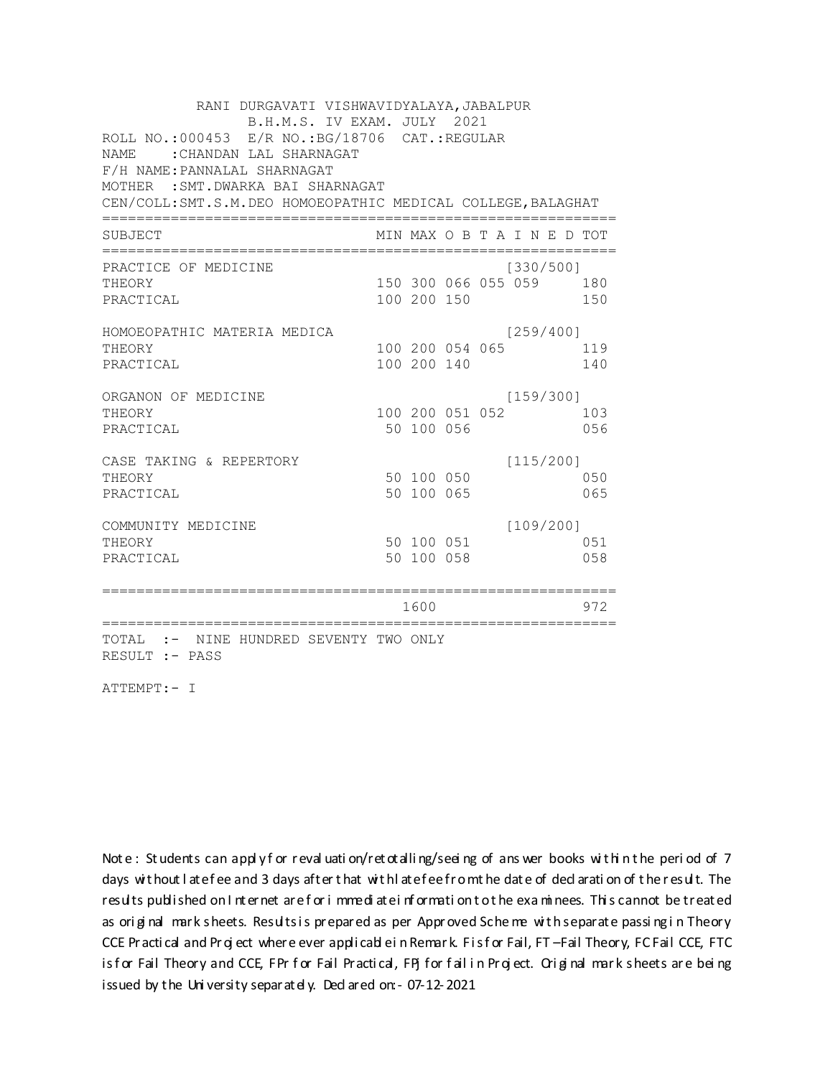| RANI DURGAVATI VISHWAVIDYALAYA, JABALPUR                      |  |                 |  |  |                             |  |     |  |
|---------------------------------------------------------------|--|-----------------|--|--|-----------------------------|--|-----|--|
| B.H.M.S. IV EXAM. JULY 2021                                   |  |                 |  |  |                             |  |     |  |
| ROLL NO.:000453 E/R NO.:BG/18706 CAT.:REGULAR                 |  |                 |  |  |                             |  |     |  |
| : CHANDAN LAL SHARNAGAT<br>NAME.                              |  |                 |  |  |                             |  |     |  |
| F/H NAME: PANNALAL SHARNAGAT                                  |  |                 |  |  |                             |  |     |  |
| MOTHER : SMT. DWARKA BAI SHARNAGAT                            |  |                 |  |  |                             |  |     |  |
| CEN/COLL: SMT.S.M. DEO HOMOEOPATHIC MEDICAL COLLEGE, BALAGHAT |  |                 |  |  |                             |  |     |  |
| SUBJECT                                                       |  |                 |  |  | MIN MAX O B T A I N E D TOT |  |     |  |
| PRACTICE OF MEDICINE                                          |  |                 |  |  | [330/500]                   |  |     |  |
| THEORY                                                        |  |                 |  |  | 150 300 066 055 059 180     |  |     |  |
| PRACTICAL                                                     |  | 100 200 150     |  |  |                             |  | 150 |  |
| HOMOEOPATHIC MATERIA MEDICA                                   |  |                 |  |  | [259/400]                   |  |     |  |
| THEORY                                                        |  | 100 200 054 065 |  |  |                             |  | 119 |  |
| PRACTICAL                                                     |  | 100 200 140     |  |  |                             |  | 140 |  |
| ORGANON OF MEDICINE                                           |  |                 |  |  | [159/300]                   |  |     |  |
| THEORY                                                        |  | 100 200 051 052 |  |  |                             |  | 103 |  |
| PRACTICAL                                                     |  | 50 100 056      |  |  |                             |  | 056 |  |
| CASE TAKING & REPERTORY                                       |  |                 |  |  | [115/200]                   |  |     |  |
| THEORY                                                        |  | 50 100 050      |  |  |                             |  | 050 |  |
| PRACTICAL                                                     |  | 50 100 065      |  |  |                             |  | 065 |  |
| COMMUNITY MEDICINE                                            |  |                 |  |  | [109/200]                   |  |     |  |
| THEORY                                                        |  | 50 100 051      |  |  |                             |  | 051 |  |
| PRACTICAL                                                     |  | 50 100 058      |  |  |                             |  | 058 |  |
|                                                               |  |                 |  |  |                             |  |     |  |
|                                                               |  | 1600            |  |  |                             |  | 972 |  |
| TOTAL :- NINE HUNDRED SEVENTY TWO ONLY<br>RESULT :- PASS      |  |                 |  |  |                             |  |     |  |

ATTEMPT:- I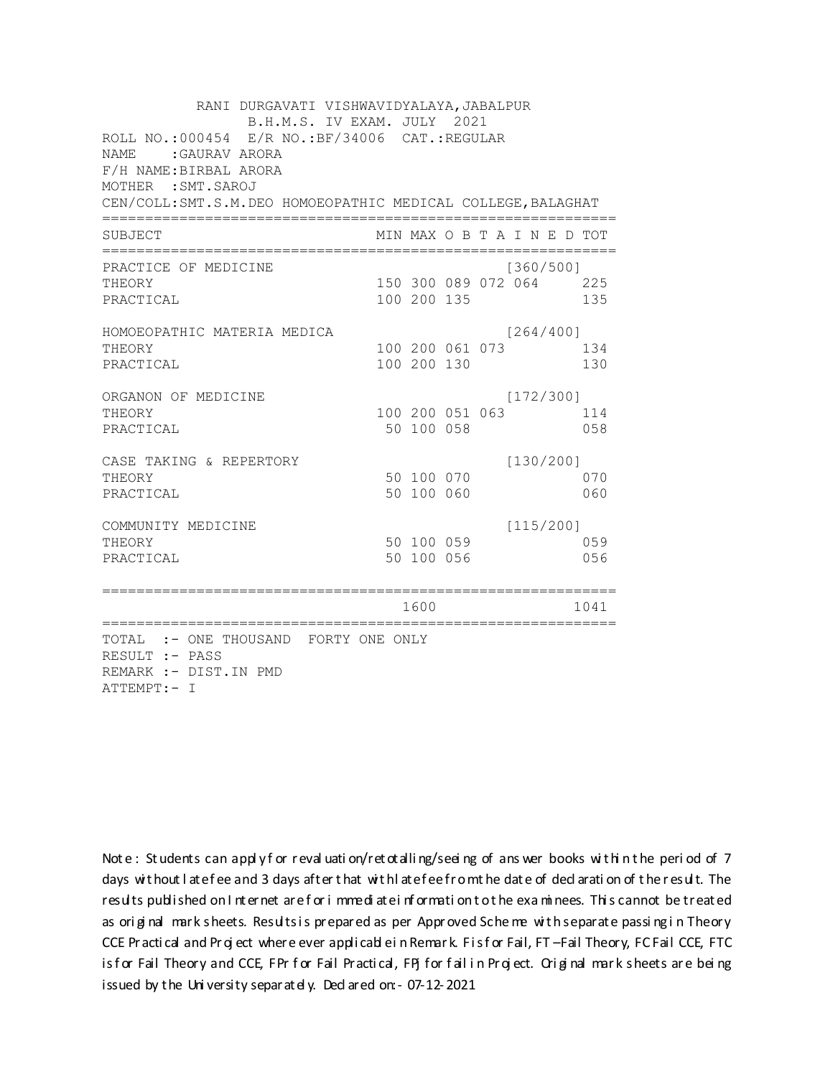| RANI DURGAVATI VISHWAVIDYALAYA, JABALPUR<br>B.H.M.S. IV EXAM. JULY 2021<br>ROLL NO.:000454 E/R NO.: BF/34006 CAT.: REGULAR<br><b>NAME</b><br>:GAURAV ARORA<br>F/H NAME: BIRBAL ARORA<br>MOTHER : SMT. SAROJ<br>CEN/COLL: SMT.S.M.DEO HOMOEOPATHIC MEDICAL COLLEGE, BALAGHAT |  |                               |  |                                      |            |  |  |  |  |  |
|-----------------------------------------------------------------------------------------------------------------------------------------------------------------------------------------------------------------------------------------------------------------------------|--|-------------------------------|--|--------------------------------------|------------|--|--|--|--|--|
| SUBJECT                                                                                                                                                                                                                                                                     |  |                               |  | MIN MAX O B T A I N E D TOT          |            |  |  |  |  |  |
| PRACTICE OF MEDICINE<br>THEORY<br>PRACTICAL                                                                                                                                                                                                                                 |  | 100 200 135                   |  | [360/500]<br>150 300 089 072 064 225 | 135        |  |  |  |  |  |
| HOMOEOPATHIC MATERIA MEDICA<br>THEORY<br>PRACTICAL                                                                                                                                                                                                                          |  | 100 200 130                   |  | [264/400]<br>100 200 061 073         | 134<br>130 |  |  |  |  |  |
| ORGANON OF MEDICINE<br>THEORY<br>PRACTICAL                                                                                                                                                                                                                                  |  | 100 200 051 063<br>50 100 058 |  | [172/300]                            | 114<br>058 |  |  |  |  |  |
| CASE TAKING & REPERTORY<br>THEORY<br>PRACTICAL                                                                                                                                                                                                                              |  | 50 100 070<br>50 100 060      |  | [130/200]                            | 070<br>060 |  |  |  |  |  |
| COMMUNITY MEDICINE<br>THEORY<br>PRACTICAL                                                                                                                                                                                                                                   |  | 50 100 059<br>50 100 056      |  | [115/200]                            | 059<br>056 |  |  |  |  |  |
|                                                                                                                                                                                                                                                                             |  | 1600                          |  |                                      | 1041       |  |  |  |  |  |
| TOTAL :- ONE THOUSAND FORTY ONE ONLY<br>RESULT :- PASS<br>REMARK :- DIST. IN PMD<br>ATTEMPT:- I                                                                                                                                                                             |  |                               |  |                                      |            |  |  |  |  |  |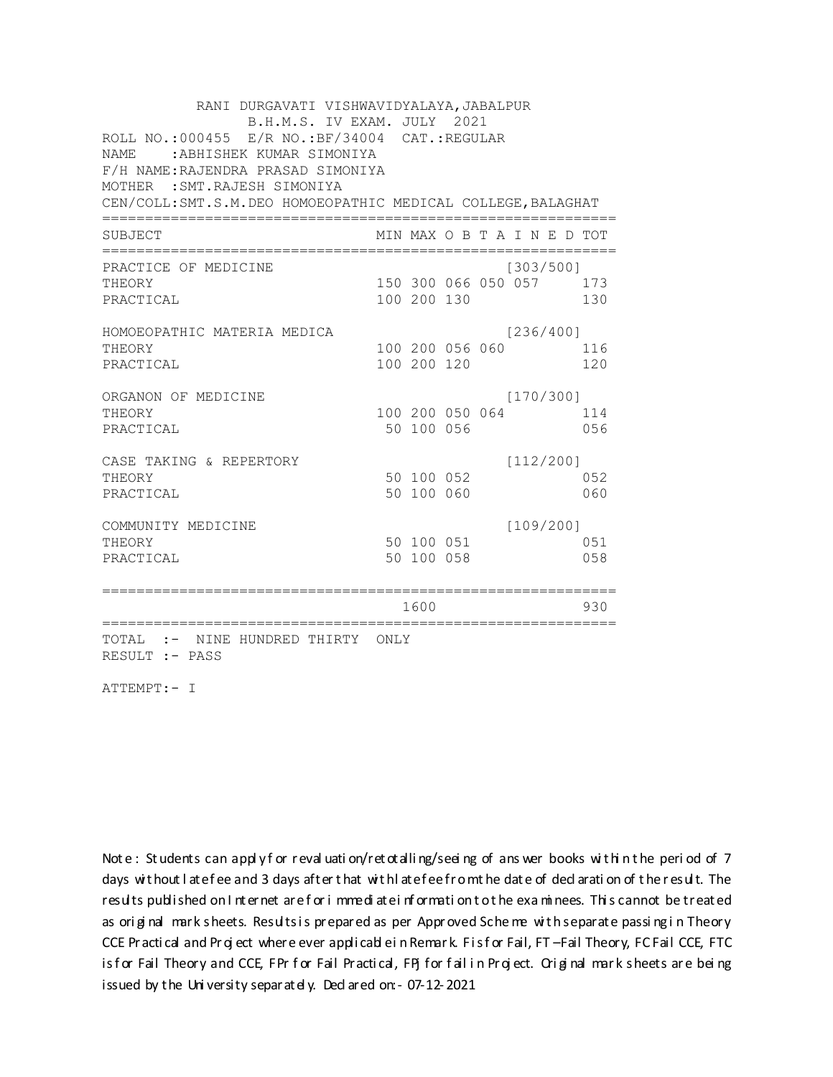| RANI DURGAVATI VISHWAVIDYALAYA, JABALPUR<br>B.H.M.S. IV EXAM. JULY 2021                  |  |             |                 |  |                             |  |     |  |  |
|------------------------------------------------------------------------------------------|--|-------------|-----------------|--|-----------------------------|--|-----|--|--|
| ROLL NO.:000455 E/R NO.:BF/34004 CAT.:REGULAR<br><b>NAME</b><br>:ABHISHEK KUMAR SIMONIYA |  |             |                 |  |                             |  |     |  |  |
| F/H NAME: RAJENDRA PRASAD SIMONIYA                                                       |  |             |                 |  |                             |  |     |  |  |
| MOTHER : SMT. RAJESH SIMONIYA                                                            |  |             |                 |  |                             |  |     |  |  |
| CEN/COLL: SMT.S.M. DEO HOMOEOPATHIC MEDICAL COLLEGE, BALAGHAT                            |  |             |                 |  |                             |  |     |  |  |
| <b>SUBJECT</b>                                                                           |  |             |                 |  | MIN MAX O B T A I N E D TOT |  |     |  |  |
| PRACTICE OF MEDICINE                                                                     |  |             |                 |  | [303/500]                   |  |     |  |  |
| THEORY                                                                                   |  |             |                 |  | 150 300 066 050 057 173     |  |     |  |  |
| PRACTICAL                                                                                |  | 100 200 130 |                 |  |                             |  | 130 |  |  |
| HOMOEOPATHIC MATERIA MEDICA                                                              |  |             |                 |  | [236/400]                   |  |     |  |  |
| THEORY                                                                                   |  |             | 100 200 056 060 |  |                             |  | 116 |  |  |
| PRACTICAL                                                                                |  | 100 200 120 |                 |  |                             |  | 120 |  |  |
| ORGANON OF MEDICINE                                                                      |  |             |                 |  | [170/300]                   |  |     |  |  |
| THEORY                                                                                   |  |             | 100 200 050 064 |  |                             |  | 114 |  |  |
| PRACTICAL                                                                                |  | 50 100 056  |                 |  |                             |  | 056 |  |  |
| CASE TAKING & REPERTORY                                                                  |  |             |                 |  | [112/200]                   |  |     |  |  |
| THEORY                                                                                   |  | 50 100 052  |                 |  |                             |  | 052 |  |  |
| PRACTICAL                                                                                |  | 50 100 060  |                 |  |                             |  | 060 |  |  |
| COMMUNITY MEDICINE                                                                       |  |             |                 |  | [109/200]                   |  |     |  |  |
| THEORY                                                                                   |  | 50 100 051  |                 |  |                             |  | 051 |  |  |
| PRACTICAL                                                                                |  | 50 100 058  |                 |  |                             |  | 058 |  |  |
|                                                                                          |  |             |                 |  |                             |  |     |  |  |
|                                                                                          |  | 1600        |                 |  |                             |  | 930 |  |  |
| TOTAL :- NINE HUNDRED THIRTY ONLY<br>RESULT :- PASS                                      |  |             |                 |  |                             |  |     |  |  |

ATTEMPT:- I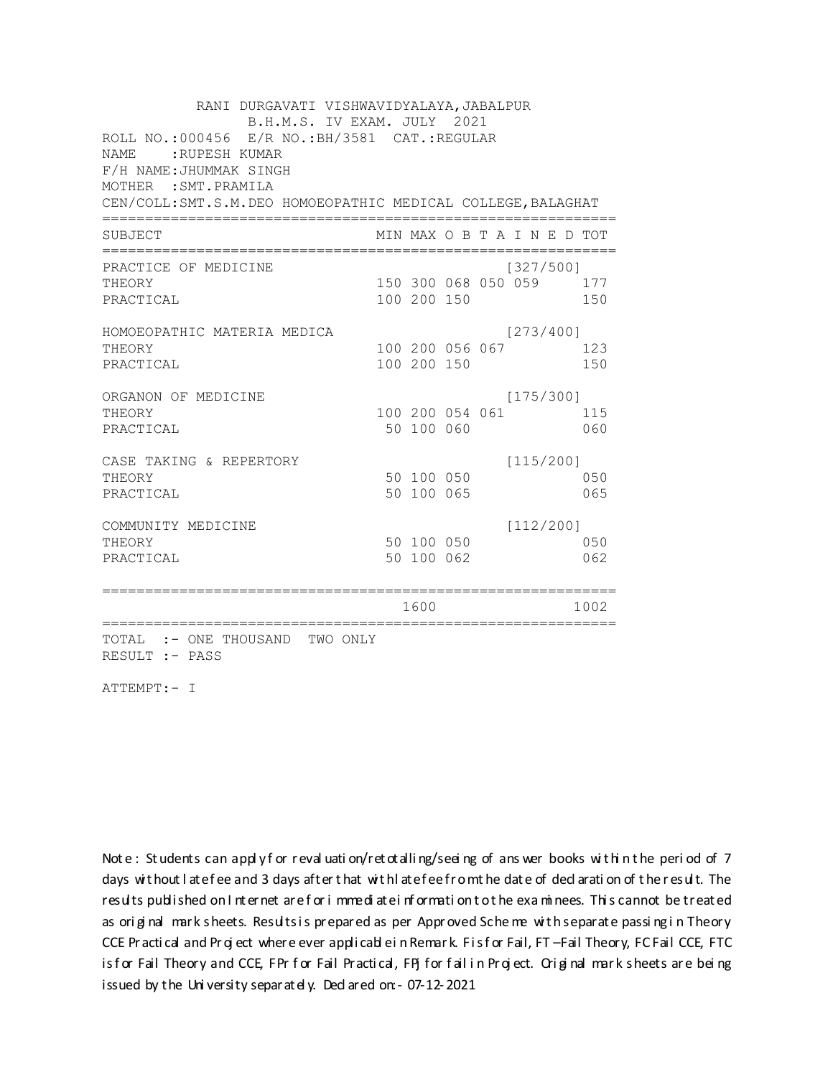| RANI DURGAVATI VISHWAVIDYALAYA, JABALPUR<br>B.H.M.S. IV EXAM. JULY 2021                                                                                                                             |  |                          |                 |  |           |                             |            |  |  |
|-----------------------------------------------------------------------------------------------------------------------------------------------------------------------------------------------------|--|--------------------------|-----------------|--|-----------|-----------------------------|------------|--|--|
| ROLL NO.:000456 E/R NO.: BH/3581 CAT.: REGULAR<br><b>NAME</b><br>:RUPESH KUMAR<br>F/H NAME: JHUMMAK SINGH<br>MOTHER : SMT. PRAMILA<br>CEN/COLL: SMT.S.M. DEO HOMOEOPATHIC MEDICAL COLLEGE, BALAGHAT |  |                          |                 |  |           |                             |            |  |  |
| SUBJECT                                                                                                                                                                                             |  |                          |                 |  |           | MIN MAX O B T A I N E D TOT |            |  |  |
| PRACTICE OF MEDICINE<br>THEORY<br>PRACTICAL                                                                                                                                                         |  | 100 200 150              |                 |  | [327/500] | 150 300 068 050 059 177     | 150        |  |  |
| HOMOEOPATHIC MATERIA MEDICA<br>THEORY<br>PRACTICAL                                                                                                                                                  |  | 100 200 150              | 100 200 056 067 |  | [273/400] |                             | 123<br>150 |  |  |
| ORGANON OF MEDICINE<br>THEORY<br>PRACTICAL                                                                                                                                                          |  | 50 100 060               | 100 200 054 061 |  | [175/300] |                             | 115<br>060 |  |  |
| CASE TAKING & REPERTORY<br>THEORY<br>PRACTICAL                                                                                                                                                      |  | 50 100 050<br>50 100 065 |                 |  | [115/200] |                             | 050<br>065 |  |  |
| COMMUNITY MEDICINE<br>THEORY<br>PRACTICAL                                                                                                                                                           |  | 50 100 050<br>50 100 062 |                 |  | [112/200] |                             | 050<br>062 |  |  |
|                                                                                                                                                                                                     |  | 1600                     |                 |  |           |                             | 1002       |  |  |
| TOTAL :- ONE THOUSAND TWO ONLY<br>RESULT :- PASS                                                                                                                                                    |  |                          |                 |  |           |                             |            |  |  |

ATTEMPT:- I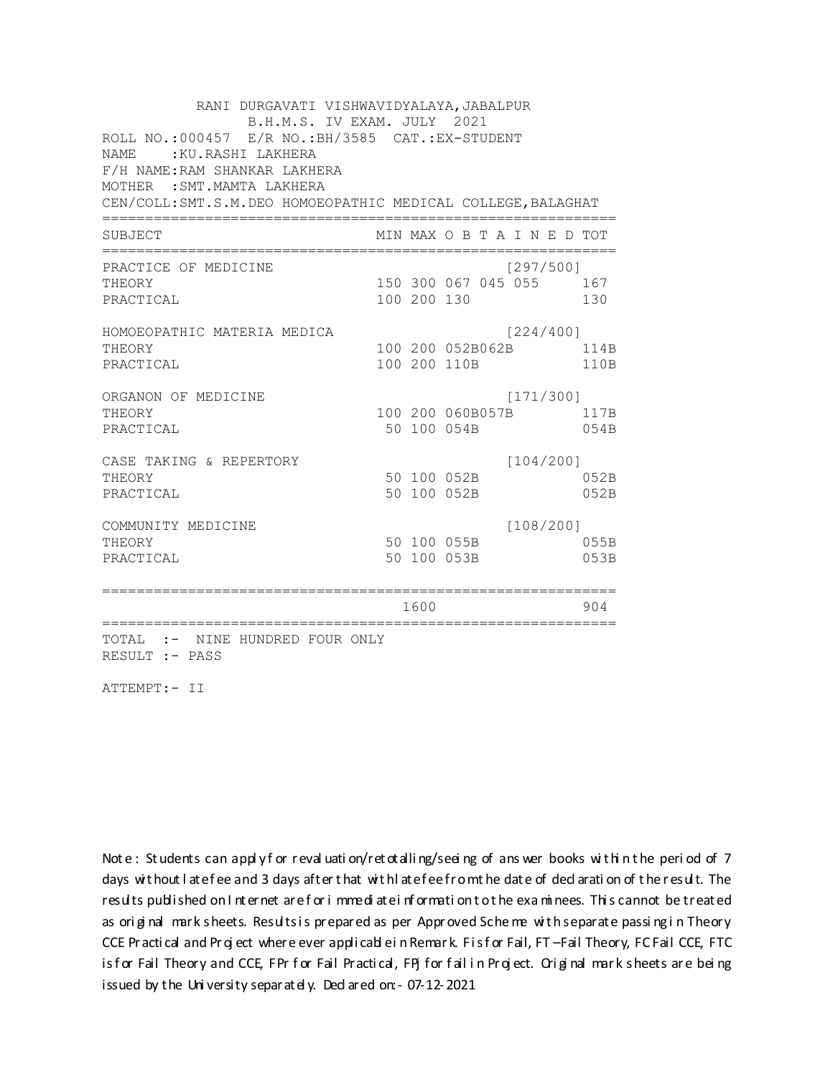RANI DURGAVATI VISHWAVIDYALAYA, JABALPUR B.H.M.S. IV EXAM. JULY 2021 ROLL NO.:000457 E/R NO.: BH/3585 CAT.: EX-STUDENT NAME: : KU.RASHI LAKHERA F/H NAME: RAM SHANKAR LAKHERA MOTHER : SMT. MAMTA LAKHERA CEN/COLL: SMT.S.M. DEO HOMOEOPATHIC MEDICAL COLLEGE, BALAGHAT MIN MAX O B T A I N E D TOT SUBJECT  $[297/5001]$ PRACTICE OF MEDICINE 150 300 067 045 055 167 THEORY PRACTICAL 100 200 130 130 HOMOEOPATHIC MATERIA MEDICA [224/400] 100 200 052B062B 114B THEORY PRACTICAL 100 200 110B 110B ORGANON OF MEDICINE  $[171/300]$ THEORY 100 200 060B057B 117B PRACTICAL 50 100 054B 054B  $[104/200]$ CASE TAKING & REPERTORY 50 100 052B THEORY 052B PRACTICAL 50 100 052B 052B  $[108/200]$ COMMUNITY MEDICINE 50 100 055B 055B THEORY PRACTICAL 50 100 053B 053B 1600 000 904 TOTAL :- NINE HUNDRED FOUR ONLY RESULT :- PASS

ATTEMPT:- II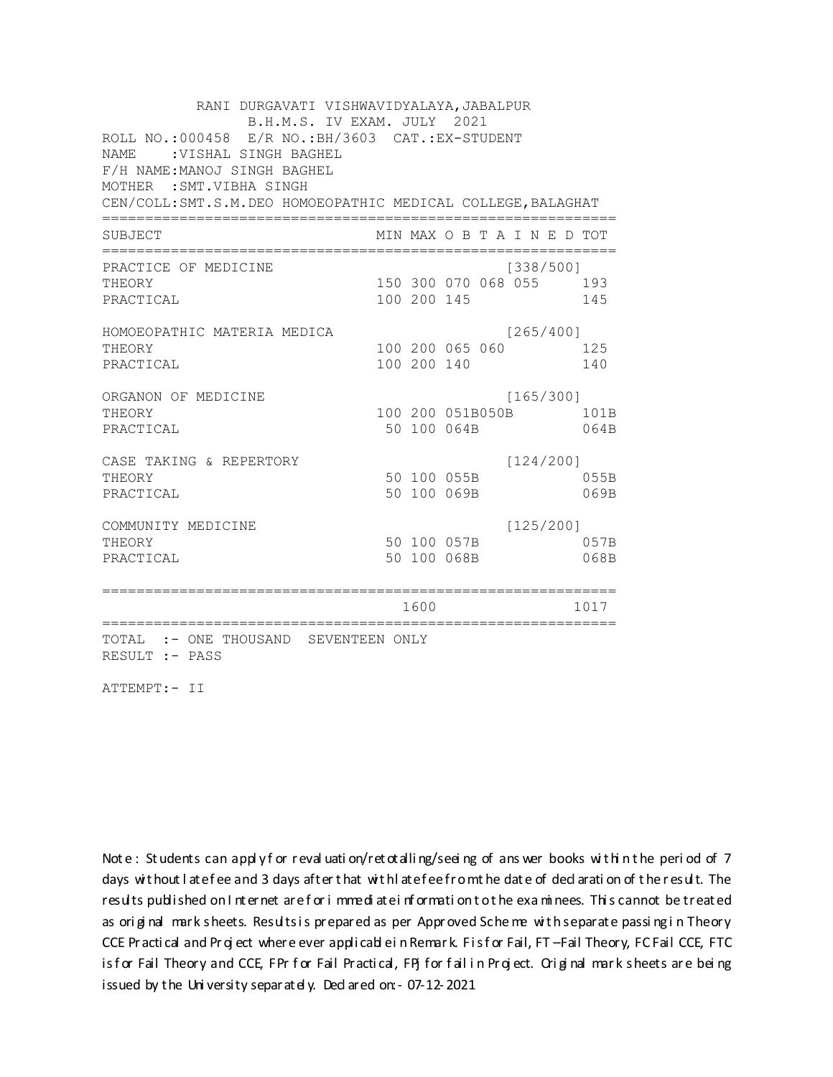RANI DURGAVATI VISHWAVIDYALAYA, JABALPUR B.H.M.S. IV EXAM. JULY 2021 ROLL NO.:000458 E/R NO.: BH/3603 CAT.: EX-STUDENT NAME : VISHAL SINGH BAGHEL F/H NAME: MANOJ SINGH BAGHEL MOTHER : SMT. VIBHA SINGH CEN/COLL: SMT.S.M. DEO HOMOEOPATHIC MEDICAL COLLEGE, BALAGHAT MIN MAX O B T A I N E D TOT SUBJECT PRACTICE OF MEDICINE  $[338/500]$ THEORY 150 300 070 068 055 193 PRACTICAL 100 200 145 145 HOMOEOPATHIC MATERIA MEDICA  $[265/400]$ 100 200 065 060 125 THEORY PRACTICAL 100 200 140 140 ORGANON OF MEDICINE  $[165/300]$ THEORY 100 200 051B050B 101B PRACTICAL 50 100 064B 064B  $[124/200]$ CASE TAKING & REPERTORY 50 100 055B THEORY 055B PRACTICAL 50 100 069B 069B  $[125/200]$ COMMUNITY MEDICINE 50 100 057B 057B THEORY PRACTICAL 50 100 068B 068B 1600 1600 1017 TOTAL :- ONE THOUSAND SEVENTEEN ONLY RESULT :- PASS

ATTEMPT:- II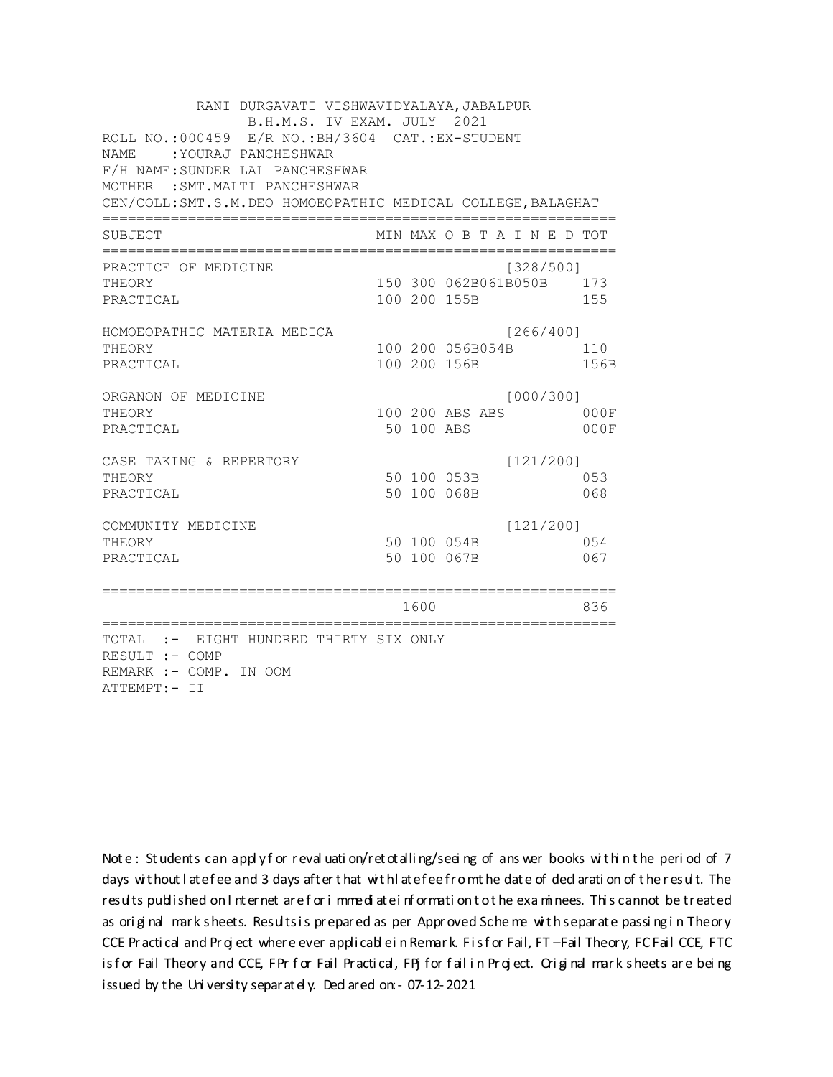RANI DURGAVATI VISHWAVIDYALAYA, JABALPUR B.H.M.S. IV EXAM. JULY 2021 ROLL NO.:000459 E/R NO.:BH/3604 CAT.:EX-STUDENT NAME :YOURAJ PANCHESHWAR F/H NAME:SUNDER LAL PANCHESHWAR MOTHER :SMT.MALTI PANCHESHWAR CEN/COLL:SMT.S.M.DEO HOMOEOPATHIC MEDICAL COLLEGE,BALAGHAT ============================================================ SUBJECT MIN MAX O B T A I N E D TOT ============================================================ PRACTICE OF MEDICINE (328/500] THEORY 150 300 062B061B050B 173 PRACTICAL 100 200 155B 155 HOMOEOPATHIC MATERIA MEDICA [266/400] THEORY 100 200 056B054B 110 PRACTICAL 100 200 156B 156B ORGANON OF MEDICINE [000/300] THEORY 100 200 ABS ABS 000F PRACTICAL 50 100 ABS 000F CASE TAKING & REPERTORY [121/200] THEORY 50 100 053B 053 PRACTICAL 50 100 068B 068 COMMUNITY MEDICINE [121/200] THEORY 50 100 054B 054 PRACTICAL 50 100 067B 067 ============================================================ 1600 836 ============================================================ TOTAL :- EIGHT HUNDRED THIRTY SIX ONLY RESULT :- COMP REMARK :- COMP. IN OOM ATTEMPT:- II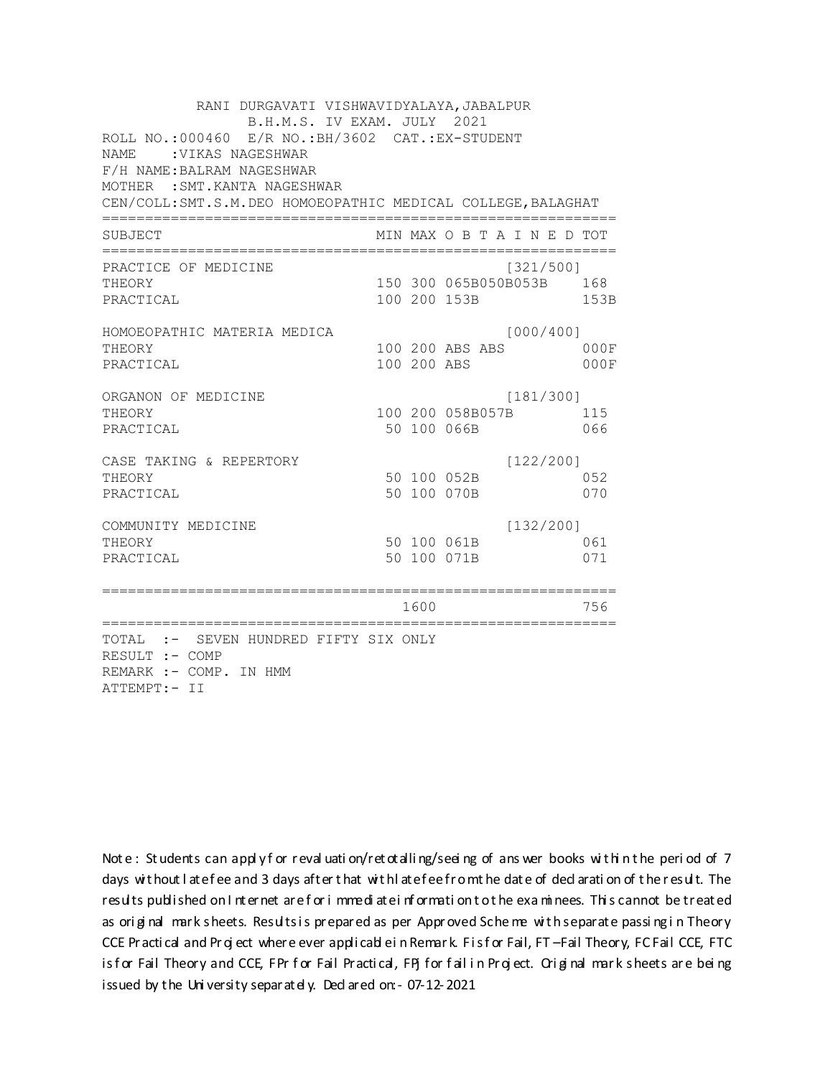RANI DURGAVATI VISHWAVIDYALAYA, JABALPUR B.H.M.S. IV EXAM. JULY 2021 ROLL NO.:000460 E/R NO.:BH/3602 CAT.:EX-STUDENT NAME : VIKAS NAGESHWAR F/H NAME:BALRAM NAGESHWAR MOTHER :SMT.KANTA NAGESHWAR CEN/COLL:SMT.S.M.DEO HOMOEOPATHIC MEDICAL COLLEGE,BALAGHAT ============================================================ SUBJECT MIN MAX O B T A I N E D TOT ============================================================ PRACTICE OF MEDICINE [321/500] THEORY 150 300 065B050B053B 168 PRACTICAL 100 200 153B 153B HOMOEOPATHIC MATERIA MEDICA [000/400] THEORY 100 200 ABS ABS 000F PRACTICAL 100 200 ABS 000F ORGANON OF MEDICINE [181/300] THEORY 100 200 058B057B 115 PRACTICAL 50 100 066B 066 CASE TAKING & REPERTORY [122/200] THEORY 50 100 052B 052 PRACTICAL 50 100 070B 070 COMMUNITY MEDICINE [132/200] THEORY 061 000 061B 061 PRACTICAL 50 100 071B 071 ============================================================ 1600 756 ============================================================ TOTAL :- SEVEN HUNDRED FIFTY SIX ONLY RESULT :- COMP REMARK :- COMP. IN HMM ATTEMPT:- II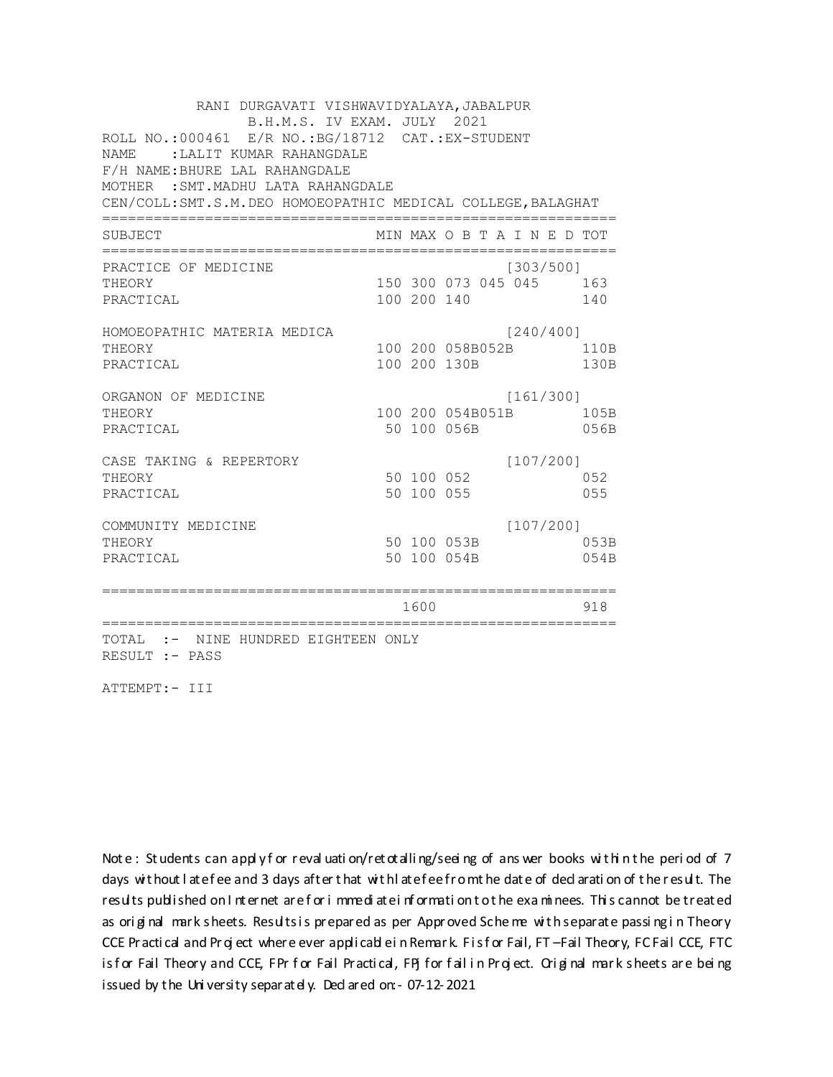RANI DURGAVATI VISHWAVIDYALAYA, JABALPUR B.H.M.S. IV EXAM. JULY 2021 ROLL NO.:000461 E/R NO.:BG/18712 CAT.:EX-STUDENT NAME :LALIT KUMAR RAHANGDALE F/H NAME:BHURE LAL RAHANGDALE MOTHER :SMT.MADHU LATA RAHANGDALE CEN/COLL:SMT.S.M.DEO HOMOEOPATHIC MEDICAL COLLEGE,BALAGHAT ============================================================ SUBJECT MIN MAX O B T A I N E D TOT ============================================================ PRACTICE OF MEDICINE [303/500] THEORY 150 300 073 045 045 163 PRACTICAL 100 200 140 140 HOMOEOPATHIC MATERIA MEDICA [240/400] THEORY 100 200 058B052B 110B PRACTICAL 100 200 130B 130B ORGANON OF MEDICINE [161/300] THEORY 100 200 054B051B 105B PRACTICAL 50 100 056B 056B CASE TAKING & REPERTORY [107/200] THEORY 50 100 052 052 PRACTICAL 50 100 055 055 COMMUNITY MEDICINE [107/200] THEORY 50 100 053B 053B PRACTICAL 50 100 054B 054B ============================================================ 1600 918 ============================================================ TOTAL :- NINE HUNDRED EIGHTEEN ONLY RESULT :- PASS

ATTEMPT:- III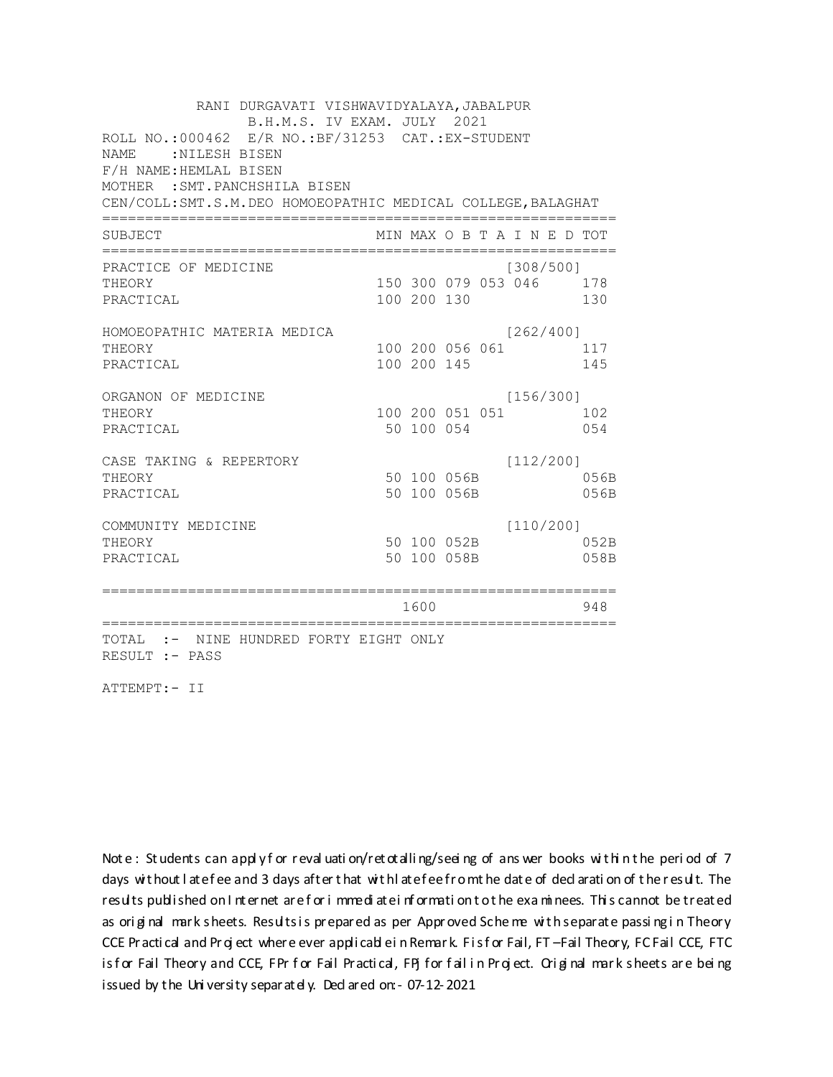RANI DURGAVATI VISHWAVIDYALAYA, JABALPUR B.H.M.S. IV EXAM. JULY 2021 ROLL NO.:000462 E/R NO.:BF/31253 CAT.:EX-STUDENT NAME :NILESH BISEN F/H NAME:HEMLAL BISEN MOTHER :SMT.PANCHSHILA BISEN CEN/COLL:SMT.S.M.DEO HOMOEOPATHIC MEDICAL COLLEGE,BALAGHAT ============================================================ SUBJECT MIN MAX O B T A I N E D TOT ============================================================ PRACTICE OF MEDICINE [308/500] THEORY 150 300 079 053 046 178 PRACTICAL 100 200 130 130 HOMOEOPATHIC MATERIA MEDICA [262/400] THEORY 100 200 056 061 117 PRACTICAL 100 200 145 145 ORGANON OF MEDICINE [156/300] THEORY 100 200 051 051 102 PRACTICAL 650 100 054 054 CASE TAKING & REPERTORY [112/200] THEORY 50 100 056B 056B PRACTICAL 50 100 056B 056B COMMUNITY MEDICINE [110/200] THEORY 50 100 052B 052B PRACTICAL 50 100 058B 058B ============================================================ 1600 948 ============================================================ TOTAL :- NINE HUNDRED FORTY EIGHT ONLY RESULT :- PASS

ATTEMPT:- II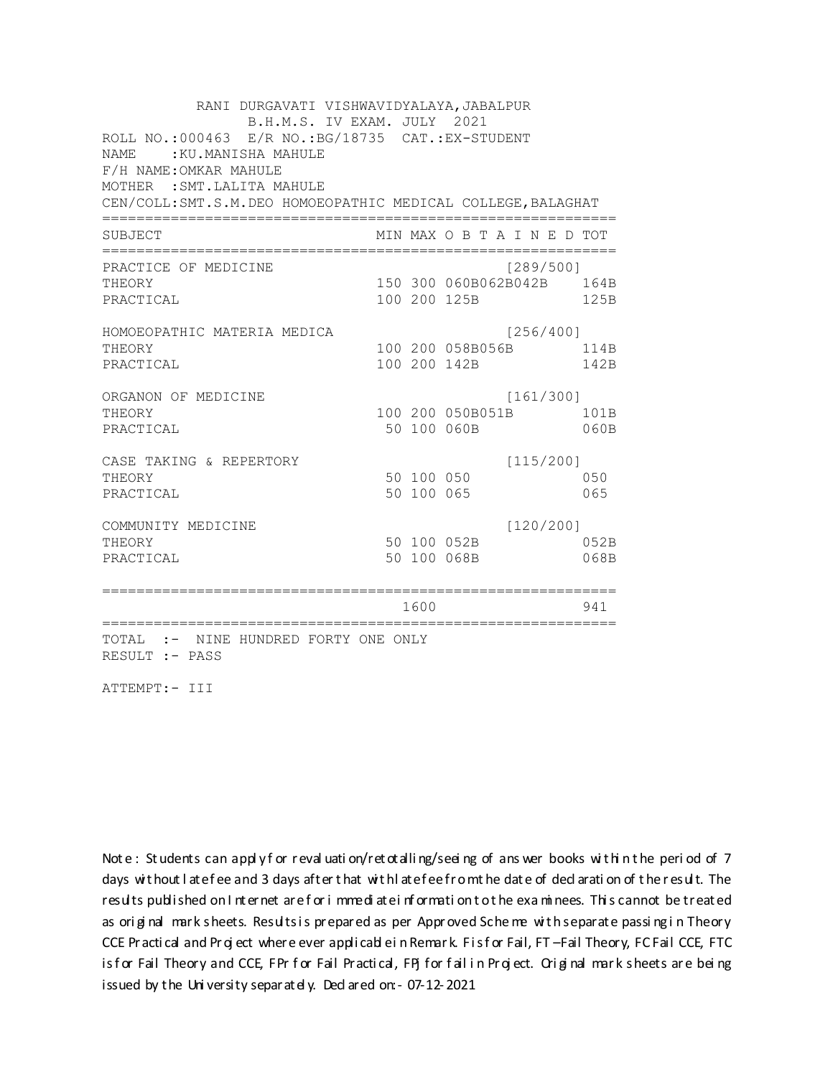RANI DURGAVATI VISHWAVIDYALAYA, JABALPUR B.H.M.S. IV EXAM. JULY 2021 ROLL NO.: 000463 E/R NO.: BG/18735 CAT.: EX-STUDENT NAME: : KU. MANISHA MAHULE F/H NAME: OMKAR MAHULE MOTHER : SMT. LALITA MAHULE CEN/COLL: SMT.S.M. DEO HOMOEOPATHIC MEDICAL COLLEGE, BALAGHAT MIN MAX O B T A I N E D TOT SUBJECT PRACTICE OF MEDICINE  $[289/500]$ 150 300 060B062B042B 164B THEORY PRACTICAL 100 200 125B 125B HOMOEOPATHIC MATERIA MEDICA [256/400] 100 200 058B056B 114B THEORY PRACTICAL 100 200 142B 142B ORGANON OF MEDICINE  $[161/300]$ THEORY 100 200 050B051B 101B PRACTICAL 50 100 060B 060B CASE TAKING & REPERTORY  $[115/200]$ 50 100 050 THEORY 050 50 100 065 PRACTICAL 065  $[120/200]$ COMMUNITY MEDICINE 50 100 052B 052B THEORY PRACTICAL 50 100 068B 068B 1600 1600 941 TOTAL :- NINE HUNDRED FORTY ONE ONLY RESULT :- PASS

ATTEMPT:- III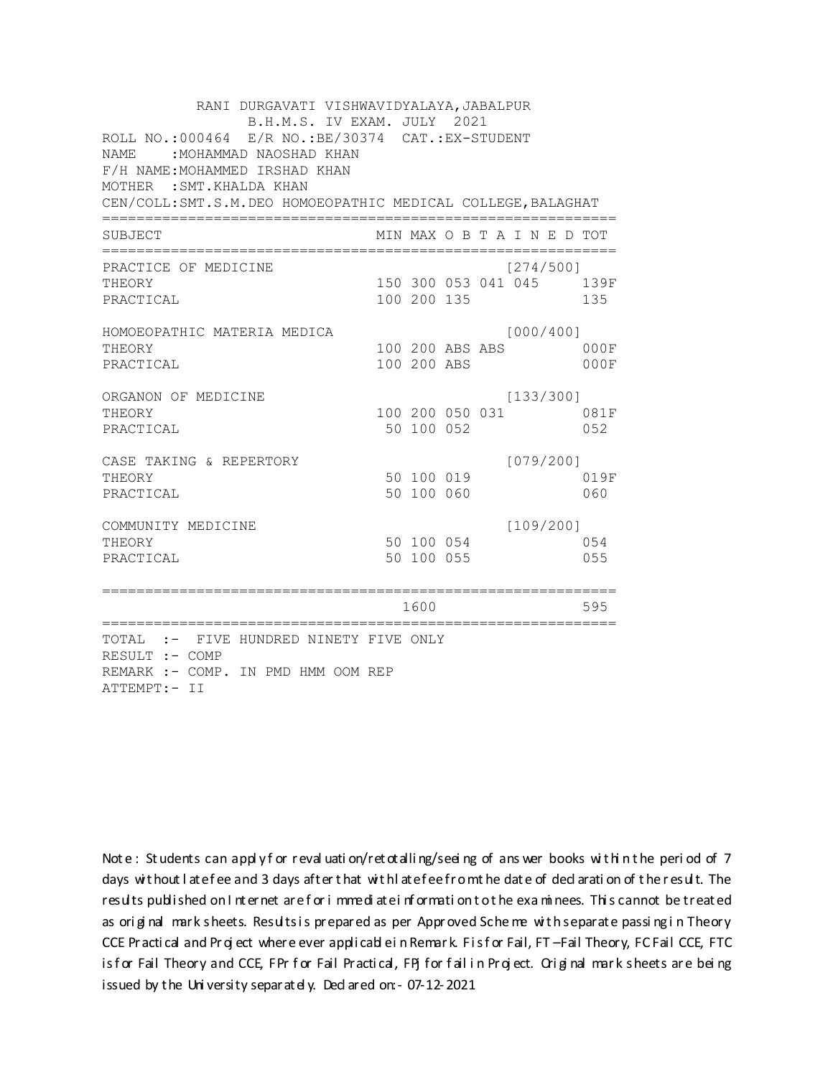| RANI DURGAVATI VISHWAVIDYALAYA, JABALPUR<br>B.H.M.S. IV EXAM. JULY 2021<br>ROLL NO.:000464 E/R NO.:BE/30374 CAT.:EX-STUDENT<br><b>NAME</b><br>: MOHAMMAD NAOSHAD KHAN<br>F/H NAME: MOHAMMED IRSHAD KHAN<br>MOTHER : SMT. KHALDA KHAN<br>CEN/COLL: SMT.S.M.DEO HOMOEOPATHIC MEDICAL COLLEGE, BALAGHAT |                |                                |  |                              |                                 |
|------------------------------------------------------------------------------------------------------------------------------------------------------------------------------------------------------------------------------------------------------------------------------------------------------|----------------|--------------------------------|--|------------------------------|---------------------------------|
| SUBJECT                                                                                                                                                                                                                                                                                              |                |                                |  | MIN MAX O B T A I N E D TOT  |                                 |
| PRACTICE OF MEDICINE<br>THEORY<br>PRACTICAL                                                                                                                                                                                                                                                          |                | 100 200 135                    |  | [274/500]                    | 150 300 053 041 045 139F<br>135 |
| HOMOEOPATHIC MATERIA MEDICA<br>THEORY<br>PRACTICAL                                                                                                                                                                                                                                                   |                | 100 200 ABS ABS<br>100 200 ABS |  | [000/400]                    | 000F<br>000F                    |
| ORGANON OF MEDICINE<br>THEORY<br>PRACTICAL                                                                                                                                                                                                                                                           |                | 50 100 052                     |  | [133/300]<br>100 200 050 031 | 081F<br>052                     |
| CASE TAKING & REPERTORY<br>THEORY<br>PRACTICAL                                                                                                                                                                                                                                                       |                | 50 100 019<br>50 100 060       |  | [079/200]                    | 019F<br>060                     |
| COMMUNITY MEDICINE<br>THEORY<br>PRACTICAL                                                                                                                                                                                                                                                            |                | 50 100 054<br>50 100 055       |  | [109/200]                    | 054<br>055                      |
| ==================<br>========================                                                                                                                                                                                                                                                       | .============= | 1600                           |  |                              | 595                             |
| TOTAL :- FIVE HUNDRED NINETY FIVE ONLY<br>RESULT :- COMP<br>REMARK :- COMP. IN PMD HMM OOM REP<br>ATTEMPT:- II                                                                                                                                                                                       |                |                                |  |                              |                                 |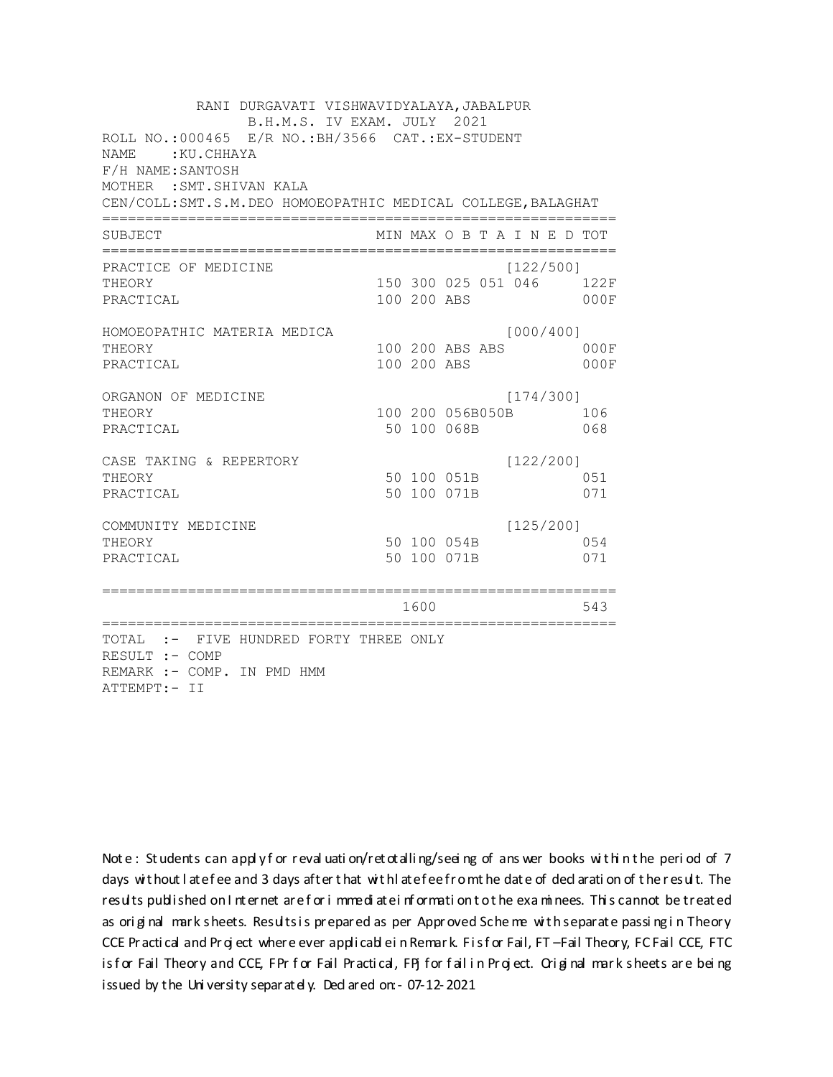RANI DURGAVATI VISHWAVIDYALAYA, JABALPUR B.H.M.S. IV EXAM. JULY 2021 ROLL NO.:000465 E/R NO.: BH/3566 CAT.: EX-STUDENT NAME: KU.CHHAYA F/H NAME: SANTOSH MOTHER : SMT. SHIVAN KALA CEN/COLL: SMT.S.M. DEO HOMOEOPATHIC MEDICAL COLLEGE, BALAGHAT MIN MAX O B T A I N E D TOT SUBJECT  $[122/500]$ PRACTICE OF MEDICINE THEORY 150 300 025 051 046 122F PRACTICAL 100 200 ABS  $000F$ HOMOEOPATHIC MATERIA MEDICA [000/400] 100 200 ABS ABS 000F THEORY PRACTICAL 100 200 ABS 000F ORGANON OF MEDICINE  $[174/300]$ THEORY 100 200 056B050B 106 PRACTICAL 50 100 068B 068  $[122/200]$ CASE TAKING & REPERTORY 50 100 051B THEORY 051 PRACTICAL 50 100 071B 071  $[125/200]$ COMMUNITY MEDICINE 50 100 054B 054 THEORY PRACTICAL 50 100 071B 071 1600 1600 543 TOTAL :- FIVE HUNDRED FORTY THREE ONLY RESULT :- COMP REMARK :- COMP. IN PMD HMM ATTEMPT:- II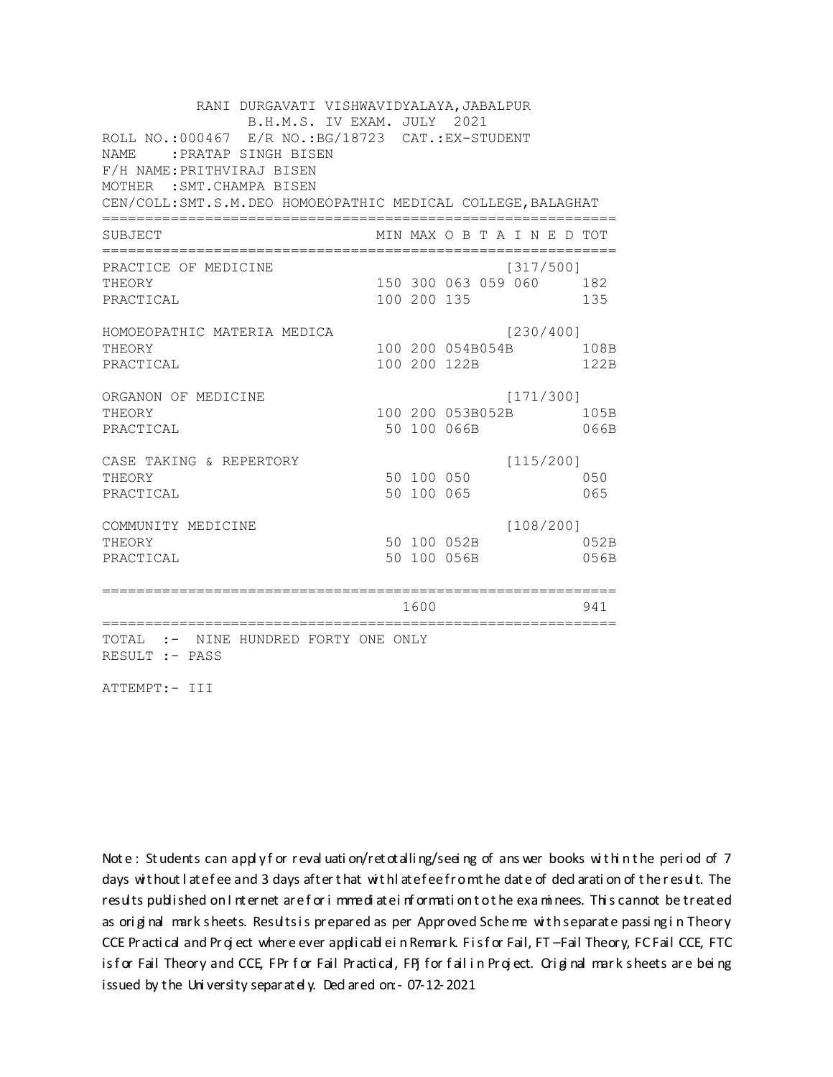RANI DURGAVATI VISHWAVIDYALAYA, JABALPUR B.H.M.S. IV EXAM. JULY 2021 ROLL NO.:000467 E/R NO.: BG/18723 CAT.: EX-STUDENT NAME: PRATAP SINGH BISEN F/H NAME: PRITHVIRAJ BISEN MOTHER : SMT. CHAMPA BISEN CEN/COLL: SMT.S.M. DEO HOMOEOPATHIC MEDICAL COLLEGE, BALAGHAT MIN MAX O B T A I N E D TOT SUBJECT PRACTICE OF MEDICINE  $[317/500]$ 150 300 063 059 060 182 THEORY PRACTICAL 100 200 135 135 HOMOEOPATHIC MATERIA MEDICA  $[230/400]$ 100 200 054B054B 108B THEORY PRACTICAL 100 200 122B 122B ORGANON OF MEDICINE  $[171/300]$ THEORY 100 200 053B052B 105B PRACTICAL 50 100 066B 066B CASE TAKING & REPERTORY  $[115/200]$ 50 100 050 THEORY 050 50 100 065 PRACTICAL 065  $[108/200]$ COMMUNITY MEDICINE 50 100 052B 052B THEORY PRACTICAL 50 100 056B 056B 1600 1600 941 TOTAL :- NINE HUNDRED FORTY ONE ONLY RESULT :- PASS

ATTEMPT:- III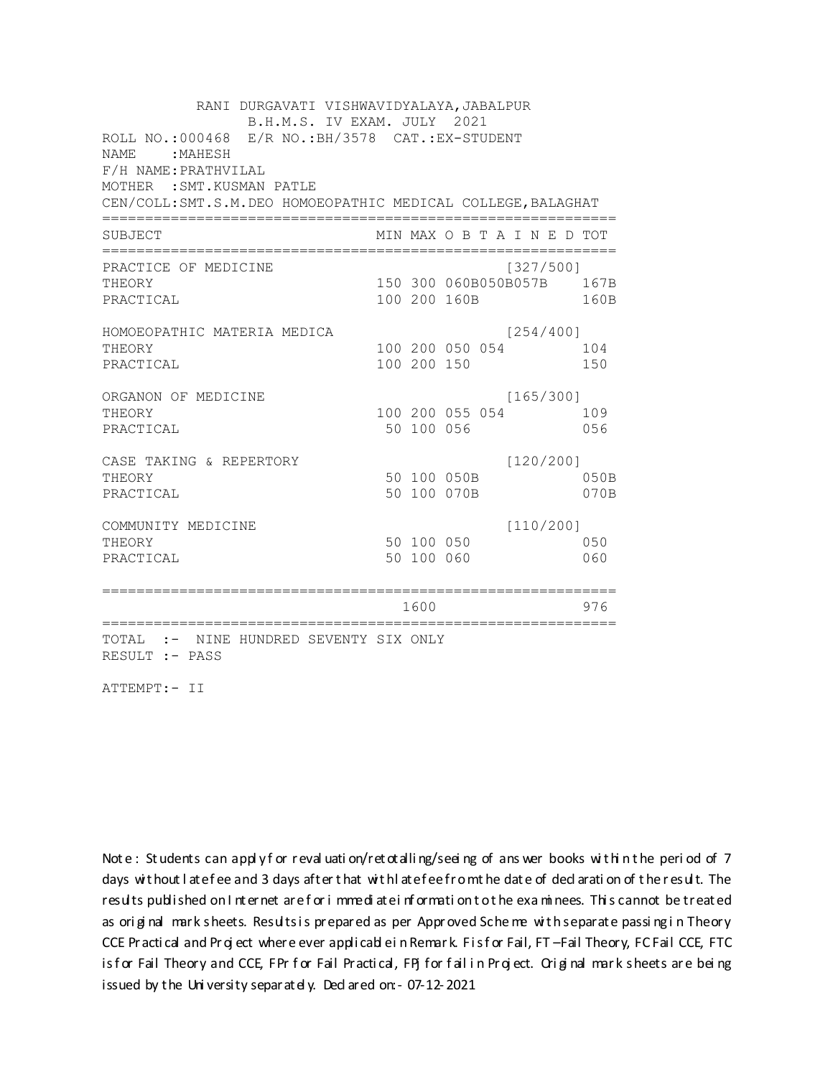RANI DURGAVATI VISHWAVIDYALAYA, JABALPUR B.H.M.S. IV EXAM. JULY 2021 ROLL NO.:000468 E/R NO.: BH/3578 CAT.: EX-STUDENT NAME: MAHESH F/H NAME: PRATHVILAL MOTHER : SMT. KUSMAN PATLE CEN/COLL: SMT.S.M. DEO HOMOEOPATHIC MEDICAL COLLEGE, BALAGHAT MIN MAX O B T A I N E D TOT SUBJECT PRACTICE OF MEDICINE  $[327/500]$ THEORY 150 300 060B050B057B 167B PRACTICAL 100 200 160B 160B HOMOEOPATHIC MATERIA MEDICA  $[254/400]$ 100 200 050 054 104 THEORY PRACTICAL 100 200 150 150 ORGANON OF MEDICINE  $[165/300]$ THEORY 100 200 055 054 109 PRACTICAL 50 100 056 056 CASE TAKING & REPERTORY  $[120/200]$ 50 100 050B THEORY 050B PRACTICAL 50 100 070B 070B  $[110/200]$ COMMUNITY MEDICINE 50 100 050 050 THEORY PRACTICAL 50 100 060 060 1600 1600 976 TOTAL :- NINE HUNDRED SEVENTY SIX ONLY RESULT :- PASS

ATTEMPT:- II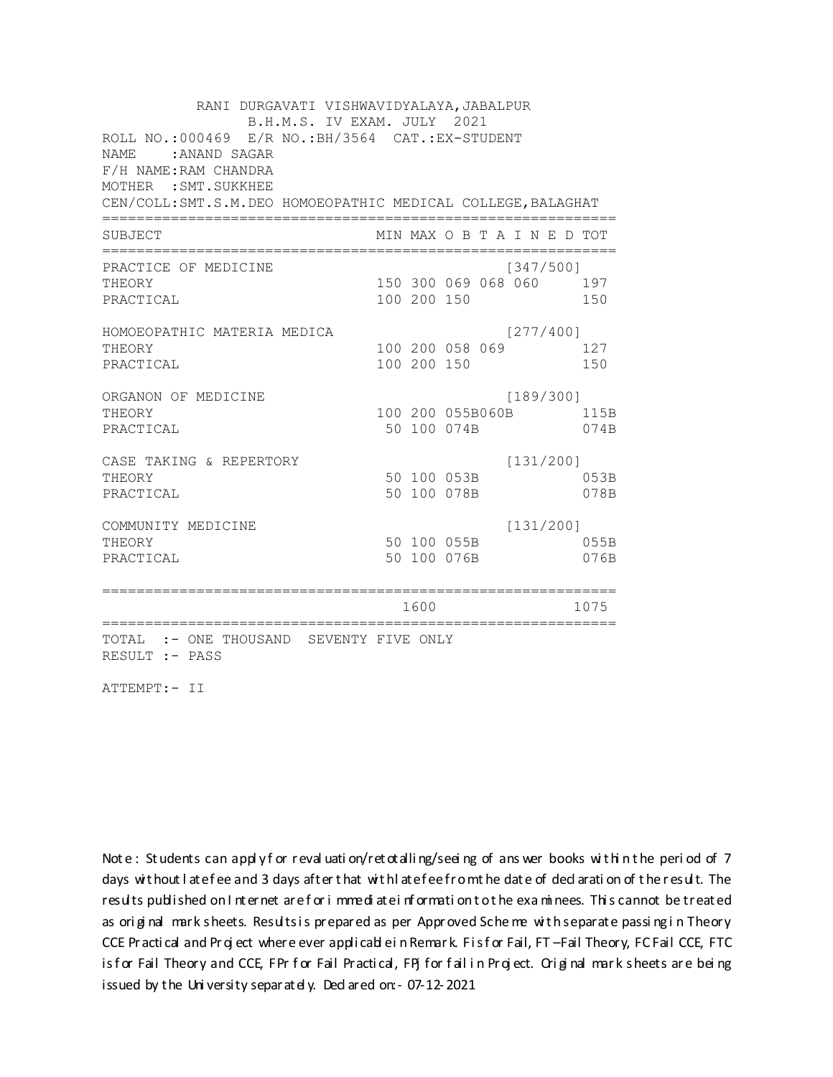RANI DURGAVATI VISHWAVIDYALAYA, JABALPUR B.H.M.S. IV EXAM. JULY 2021 ROLL NO.:000469 E/R NO.: BH/3564 CAT.: EX-STUDENT NAME: ANAND SAGAR F/H NAME: RAM CHANDRA MOTHER : SMT. SUKKHEE CEN/COLL: SMT.S.M. DEO HOMOEOPATHIC MEDICAL COLLEGE, BALAGHAT MIN MAX O B T A I N E D TOT SUBJECT PRACTICE OF MEDICINE  $[347/500]$ THEORY 150 300 069 068 060 197 PRACTICAL 100 200 150 150 HOMOEOPATHIC MATERIA MEDICA  $[277/400]$ 100 200 058 069 127 THEORY PRACTICAL 100 200 150 150 ORGANON OF MEDICINE  $[189/300]$ THEORY 100 200 055B060B 115B PRACTICAL 50 100 074B 074B  $[131/200]$ CASE TAKING & REPERTORY 50 100 053B THEORY 053B PRACTICAL 50 100 078B 078B  $[131/200]$ COMMUNITY MEDICINE 50 100 055B 055B THEORY PRACTICAL 50 100 076B 076B 1600 1600 1075 TOTAL :- ONE THOUSAND SEVENTY FIVE ONLY RESULT :- PASS

ATTEMPT:- II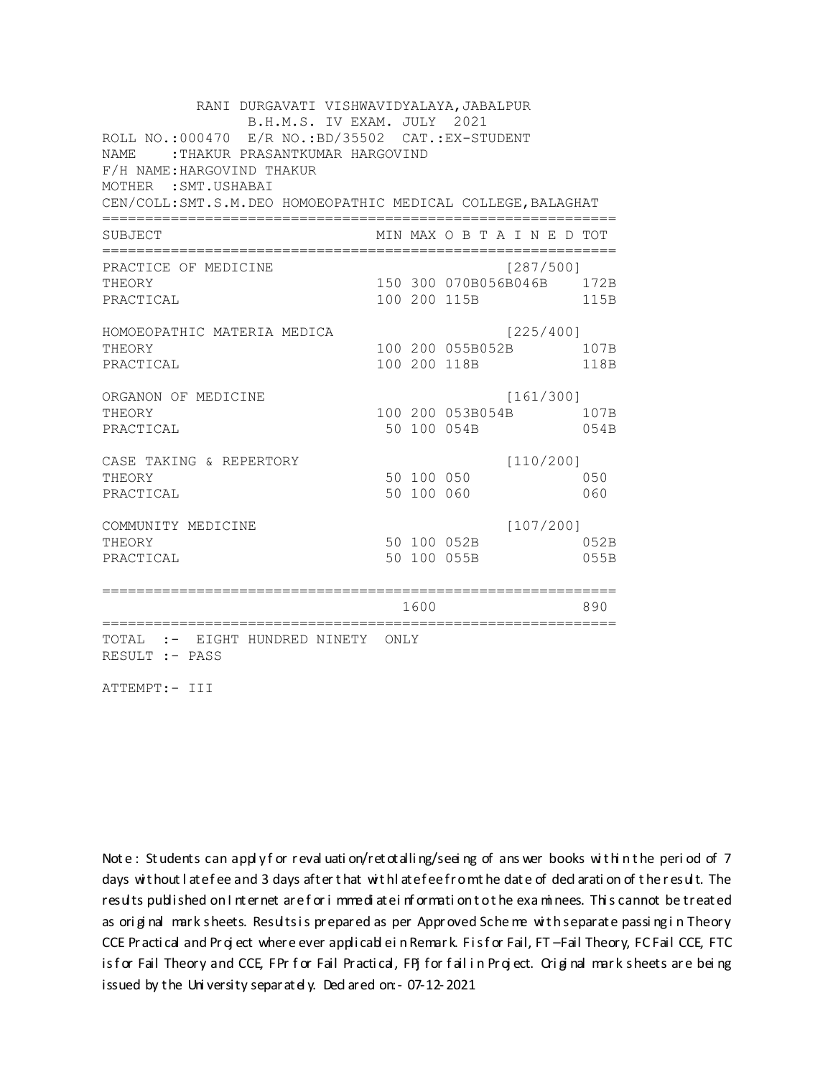RANI DURGAVATI VISHWAVIDYALAYA, JABALPUR B.H.M.S. IV EXAM. JULY 2021 ROLL NO.:000470 E/R NO.:BD/35502 CAT.:EX-STUDENT NAME: : THAKUR PRASANTKUMAR HARGOVIND F/H NAME: HARGOVIND THAKUR MOTHER : SMT. USHABAI CEN/COLL: SMT.S.M. DEO HOMOEOPATHIC MEDICAL COLLEGE, BALAGHAT MIN MAX O B T A I N E D TOT SUBJECT PRACTICE OF MEDICINE  $[287/500]$ 150 300 070B056B046B 172B THEORY PRACTICAL 100 200 115B 115B HOMOEOPATHIC MATERIA MEDICA  $[225/400]$ 100 200 055B052B 107B THEORY PRACTICAL 100 200 118B 118B ORGANON OF MEDICINE  $[161/300]$ THEORY 100 200 053B054B 107B PRACTICAL 50 100 054B 054B  $[110/200]$ CASE TAKING & REPERTORY 50 100 050 THEORY 050 50 100 060 PRACTICAL 060  $[107/200]$ COMMUNITY MEDICINE 50 100 052B 052B THEORY PRACTICAL 50 100 055B 055B 1600 1600 890 TOTAL :- EIGHT HUNDRED NINETY ONLY RESULT :- PASS

ATTEMPT:- III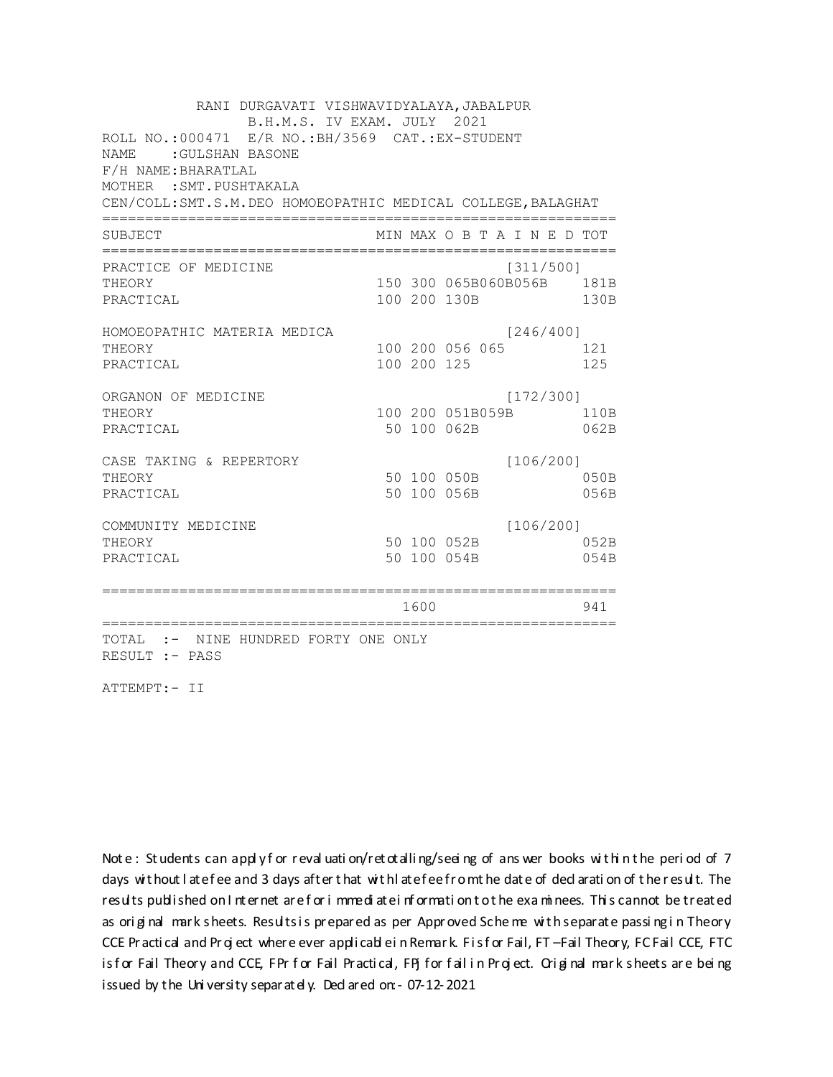RANI DURGAVATI VISHWAVIDYALAYA, JABALPUR B.H.M.S. IV EXAM. JULY 2021 ROLL NO.:000471 E/R NO.: BH/3569 CAT.: EX-STUDENT NAME : GULSHAN BASONE F/H NAME: BHARATLAL MOTHER : SMT. PUSHTAKALA CEN/COLL: SMT.S.M. DEO HOMOEOPATHIC MEDICAL COLLEGE, BALAGHAT MIN MAX O B T A I N E D TOT SUBJECT PRACTICE OF MEDICINE  $[311/500]$ 150 300 065B060B056B 181B **THEORY** PRACTICAL 100 200 130B 130B HOMOEOPATHIC MATERIA MEDICA  $[246/400]$ 100 200 056 065 121 THEORY PRACTICAL 100 200 125 125 ORGANON OF MEDICINE  $[172/300]$ THEORY 100 200 051B059B 110B PRACTICAL 50 100 062B 062B CASE TAKING & REPERTORY  $[106/200]$ 50 100 050B THEORY 050B PRACTICAL 50 100 056B 056B  $[106/200]$ COMMUNITY MEDICINE 50 100 052B 052B THEORY PRACTICAL 50 100 054B 054B 1600 1600 941 TOTAL :- NINE HUNDRED FORTY ONE ONLY RESULT :- PASS

ATTEMPT:- II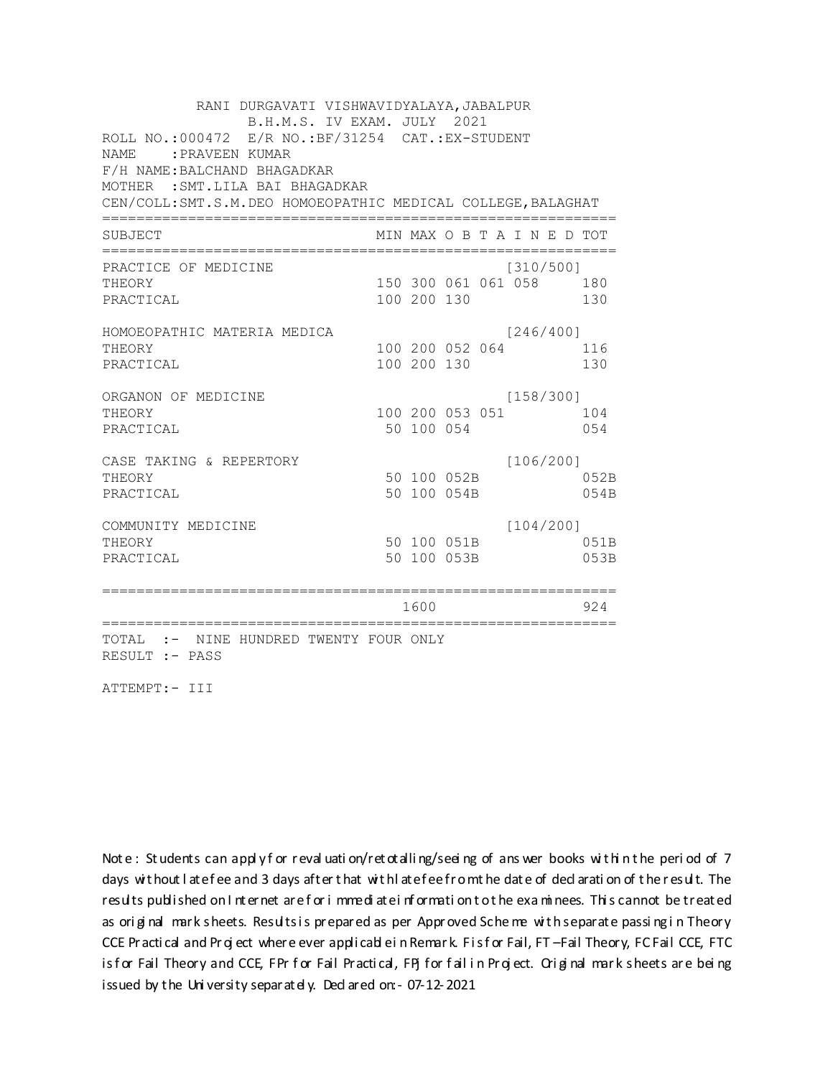RANI DURGAVATI VISHWAVIDYALAYA, JABALPUR B.H.M.S. IV EXAM. JULY 2021 ROLL NO.:000472 E/R NO.:BF/31254 CAT.:EX-STUDENT NAME :PRAVEEN KUMAR F/H NAME:BALCHAND BHAGADKAR MOTHER :SMT.LILA BAI BHAGADKAR CEN/COLL:SMT.S.M.DEO HOMOEOPATHIC MEDICAL COLLEGE,BALAGHAT ============================================================ SUBJECT MIN MAX O B T A I N E D TOT ============================================================ PRACTICE OF MEDICINE [310/500] THEORY 150 300 061 061 058 180 PRACTICAL 100 200 130 130 HOMOEOPATHIC MATERIA MEDICA [246/400] THEORY 100 200 052 064 116 PRACTICAL 100 200 130 130 ORGANON OF MEDICINE [158/300] THEORY 100 200 053 051 104 PRACTICAL 650 100 054 054 CASE TAKING & REPERTORY [106/200] THEORY 3 3 3 3 4 50 100 052B PRACTICAL 50 100 054B 054B COMMUNITY MEDICINE [104/200] THEORY 50 100 051B 051B PRACTICAL 50 100 053B 053B ============================================================ 1600 924 ============================================================ TOTAL :- NINE HUNDRED TWENTY FOUR ONLY RESULT :- PASS

ATTEMPT:- III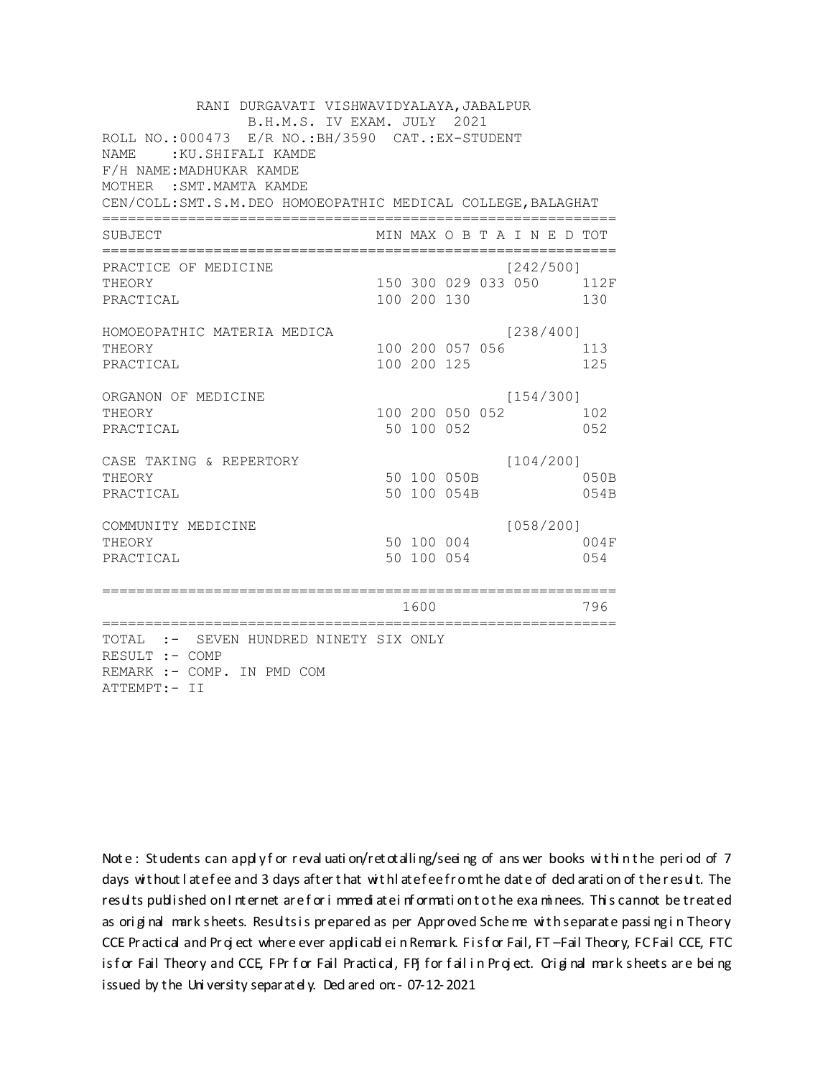| RANI DURGAVATI VISHWAVIDYALAYA, JABALPUR<br>B.H.M.S. IV EXAM. JULY 2021<br>ROLL NO.:000473 E/R NO.: BH/3590 CAT.: EX-STUDENT<br><b>NAME</b><br>:KU.SHIFALI KAMDE<br>F/H NAME: MADHUKAR KAMDE<br>MOTHER : SMT. MAMTA KAMDE<br>CEN/COLL: SMT.S.M. DEO HOMOEOPATHIC MEDICAL COLLEGE, BALAGHAT |             |                                  |           |                                 |
|--------------------------------------------------------------------------------------------------------------------------------------------------------------------------------------------------------------------------------------------------------------------------------------------|-------------|----------------------------------|-----------|---------------------------------|
| SUBJECT                                                                                                                                                                                                                                                                                    |             | MIN MAX O B T A I N E D TOT      |           |                                 |
| PRACTICE OF MEDICINE<br>THEORY<br>PRACTICAL                                                                                                                                                                                                                                                | 100 200 130 |                                  | [242/500] | 150 300 029 033 050 112F<br>130 |
| HOMOEOPATHIC MATERIA MEDICA<br>THEORY<br>PRACTICAL                                                                                                                                                                                                                                         | 100 200 125 | 100 200 057 056                  | [238/400] | 113<br>125                      |
| ORGANON OF MEDICINE<br>THEORY<br>PRACTICAL                                                                                                                                                                                                                                                 | 50 100 052  | 100 200 050 052                  | [154/300] | 102<br>052                      |
| CASE TAKING & REPERTORY<br>THEORY<br>PRACTICAL                                                                                                                                                                                                                                             |             | 50 100 050B<br>50 100 054B       | [104/200] | 050B<br>054B                    |
| COMMUNITY MEDICINE<br>THEORY<br>PRACTICAL                                                                                                                                                                                                                                                  | 50 100 054  | 50 100 004                       | [058/200] | 004F<br>0.54                    |
| =========================                                                                                                                                                                                                                                                                  | 1600        | -=============================== |           | 796                             |
| TOTAL :- SEVEN HUNDRED NINETY SIX ONLY<br>RESULT :- COMP<br>REMARK :- COMP. IN PMD COM<br>ATTEMPT:- II                                                                                                                                                                                     |             |                                  |           |                                 |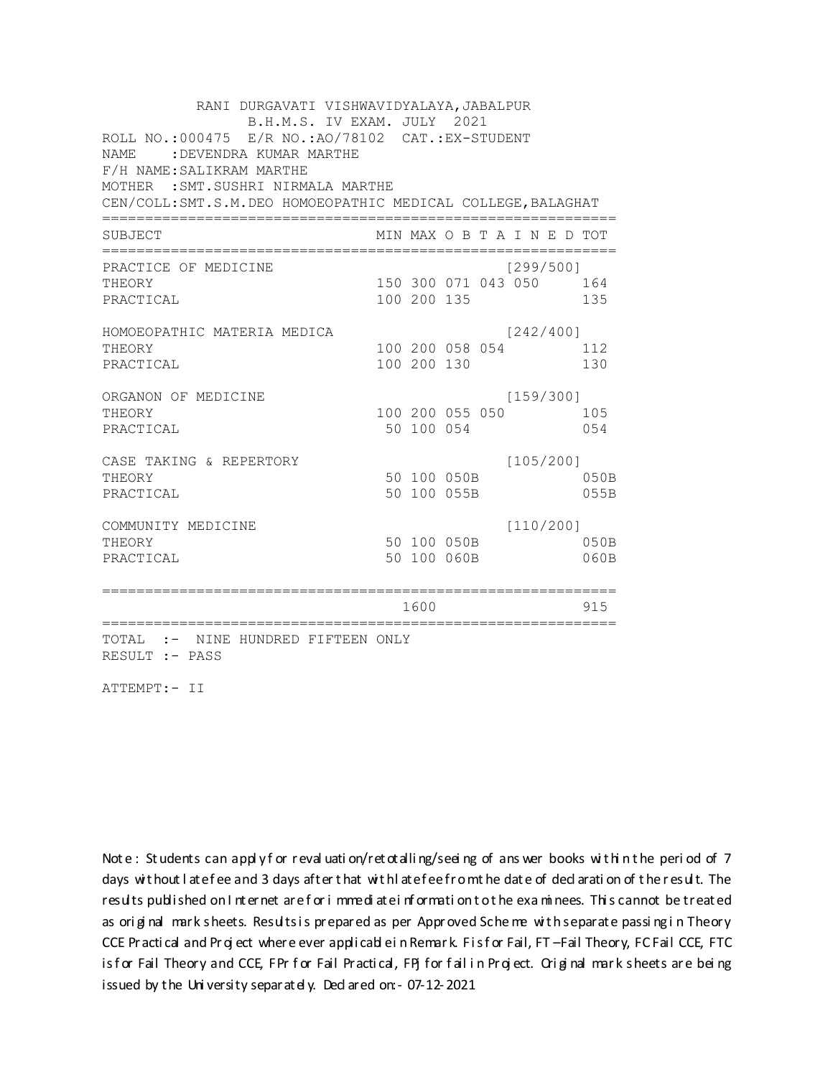RANI DURGAVATI VISHWAVIDYALAYA, JABALPUR B.H.M.S. IV EXAM. JULY 2021 ROLL NO.:000475 E/R NO.:AO/78102 CAT.:EX-STUDENT NAME :DEVENDRA KUMAR MARTHE F/H NAME:SALIKRAM MARTHE MOTHER :SMT.SUSHRI NIRMALA MARTHE CEN/COLL:SMT.S.M.DEO HOMOEOPATHIC MEDICAL COLLEGE,BALAGHAT ============================================================ SUBJECT MIN MAX O B T A I N E D TOT ============================================================ PRACTICE OF MEDICINE [299/500] THEORY 150 300 071 043 050 164 PRACTICAL 100 200 135 135 HOMOEOPATHIC MATERIA MEDICA [242/400] THEORY 100 200 058 054 112 PRACTICAL 100 200 130 130 ORGANON OF MEDICINE [159/300] THEORY 100 200 055 050 105 PRACTICAL 650 100 054 054 CASE TAKING & REPERTORY [105/200] THEORY 3 - 2012 - 2022 - 2022 - 2022 - 2023 - 2023 - 2023 - 2023 - 2023 - 2023 - 2023 - 2023 - 2023 - 2023 - 2023 - 2023 - 2023 - 2023 - 2023 - 2023 - 2023 - 2023 - 2023 - 2023 - 2023 - 2023 - 2023 - 2023 - 2023 - 2023 - 2 PRACTICAL 50 100 055B 055B COMMUNITY MEDICINE [110/200] THEORY 50 100 050B 050B PRACTICAL 50 100 060B 060B ============================================================ 1600 915 ============================================================ TOTAL :- NINE HUNDRED FIFTEEN ONLY RESULT :- PASS

ATTEMPT:- II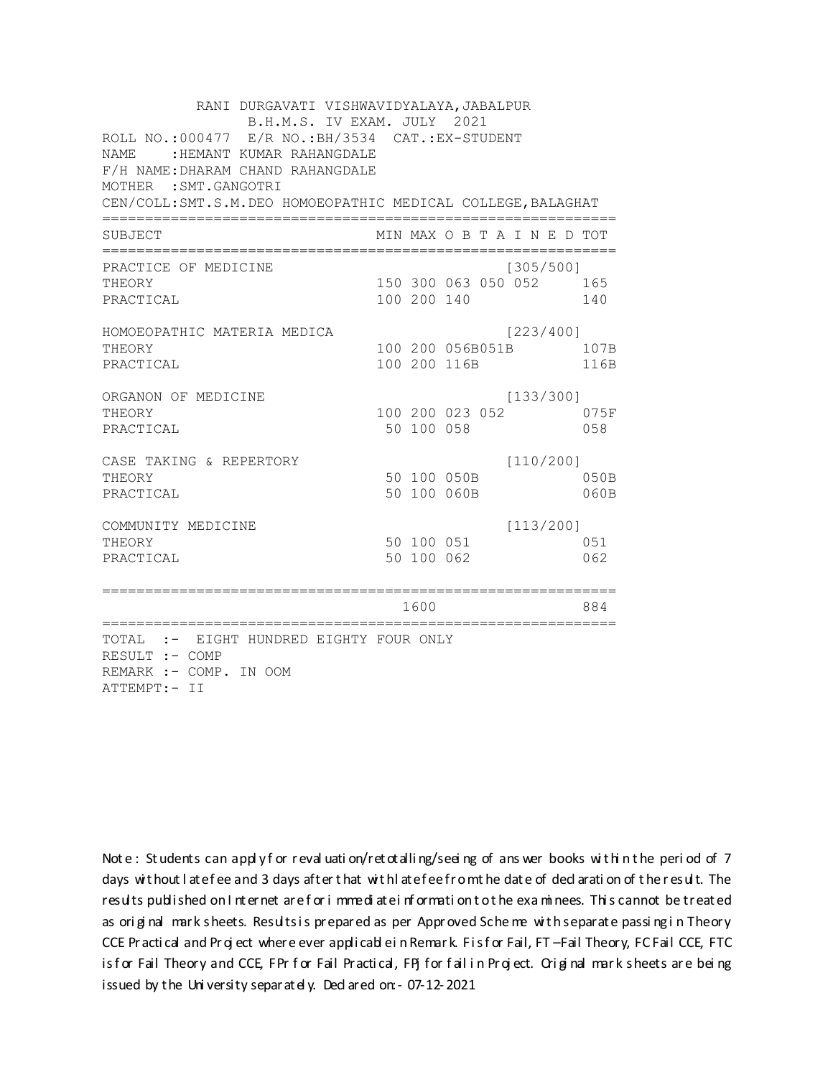RANI DURGAVATI VISHWAVIDYALAYA, JABALPUR B.H.M.S. IV EXAM. JULY 2021 ROLL NO.:000477 E/R NO.: BH/3534 CAT.: EX-STUDENT NAME: : HEMANT KUMAR RAHANGDALE F/H NAME: DHARAM CHAND RAHANGDALE MOTHER : SMT. GANGOTRI CEN/COLL: SMT.S.M. DEO HOMOEOPATHIC MEDICAL COLLEGE, BALAGHAT MIN MAX O B T A I N E D TOT SUBJECT PRACTICE OF MEDICINE  $[305/500]$ 150 300 063 050 052 165 THEORY PRACTICAL 100 200 140 140 HOMOEOPATHIC MATERIA MEDICA [223/400] 100 200 056B051B 107B THEORY PRACTICAL 100 200 116B 116B ORGANON OF MEDICINE  $[133/300]$ THEORY 100 200 023 052 075F PRACTICAL 50 100 058 058 CASE TAKING & REPERTORY  $[110/200]$ 50 100 050B THEORY 050B PRACTICAL 50 100 060B 060B  $[113/200]$ COMMUNITY MEDICINE 50 100 051 051 THEORY PRACTICAL 50 100 062 062 1600 1600 884 TOTAL :- EIGHT HUNDRED EIGHTY FOUR ONLY RESULT :- COMP REMARK :- COMP. IN OOM ATTEMPT:- II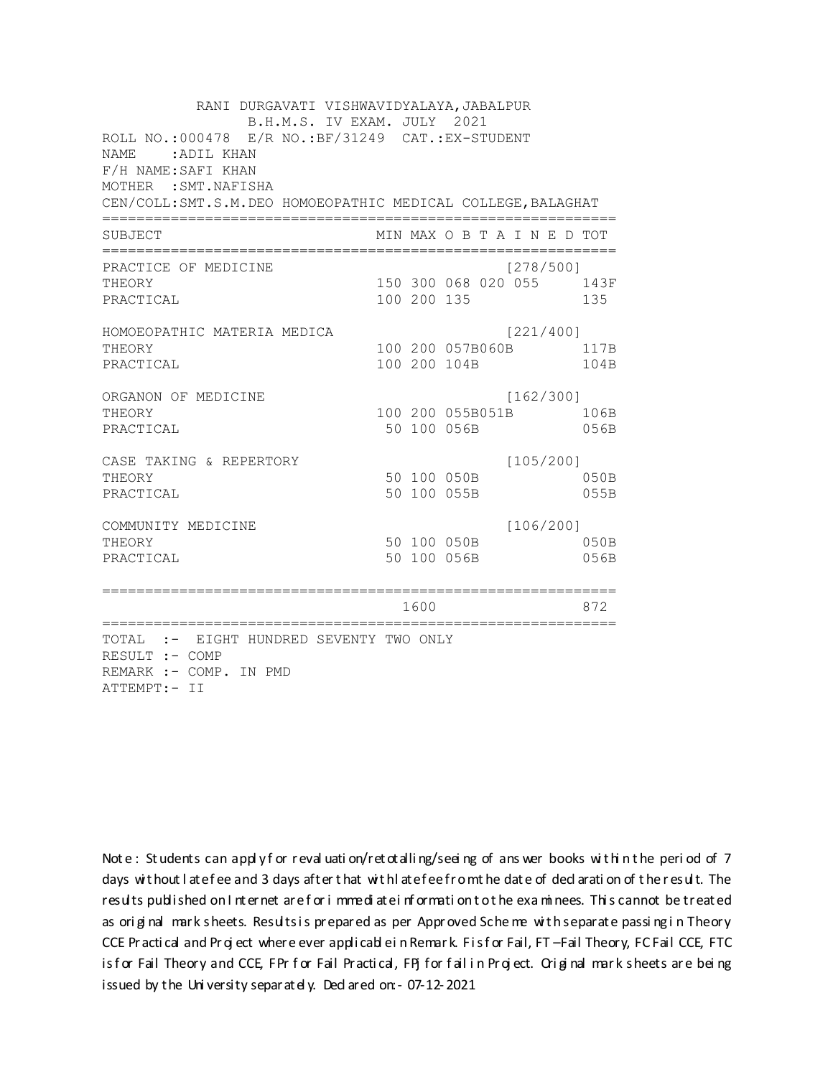RANI DURGAVATI VISHWAVIDYALAYA, JABALPUR B.H.M.S. IV EXAM. JULY 2021 ROLL NO.: 000478 E/R NO.: BF/31249 CAT.: EX-STUDENT NAME: ADIL KHAN F/H NAME: SAFI KHAN MOTHER : SMT. NAFISHA CEN/COLL: SMT.S.M. DEO HOMOEOPATHIC MEDICAL COLLEGE, BALAGHAT MIN MAX O B T A I N E D TOT SUBJECT  $[278/5001]$ PRACTICE OF MEDICINE 150 300 068 020 055 143F **THEORY** PRACTICAL 100 200 135 135 HOMOEOPATHIC MATERIA MEDICA [221/400] 100 200 057B060B 117B THEORY PRACTICAL 100 200 104B 104B ORGANON OF MEDICINE  $[162/300]$ THEORY 100 200 055B051B 106B PRACTICAL 50 100 056B 056B  $[105/200]$ CASE TAKING & REPERTORY 50 100 050B THEORY  $050B$ PRACTICAL 50 100 055B 055B  $[106/200]$ COMMUNITY MEDICINE 50 100 050B 050B THEORY 50 100 056B PRACTICAL 056B 1600 000 872 TOTAL :- EIGHT HUNDRED SEVENTY TWO ONLY RESULT :- COMP REMARK :- COMP. IN PMD ATTEMPT:- II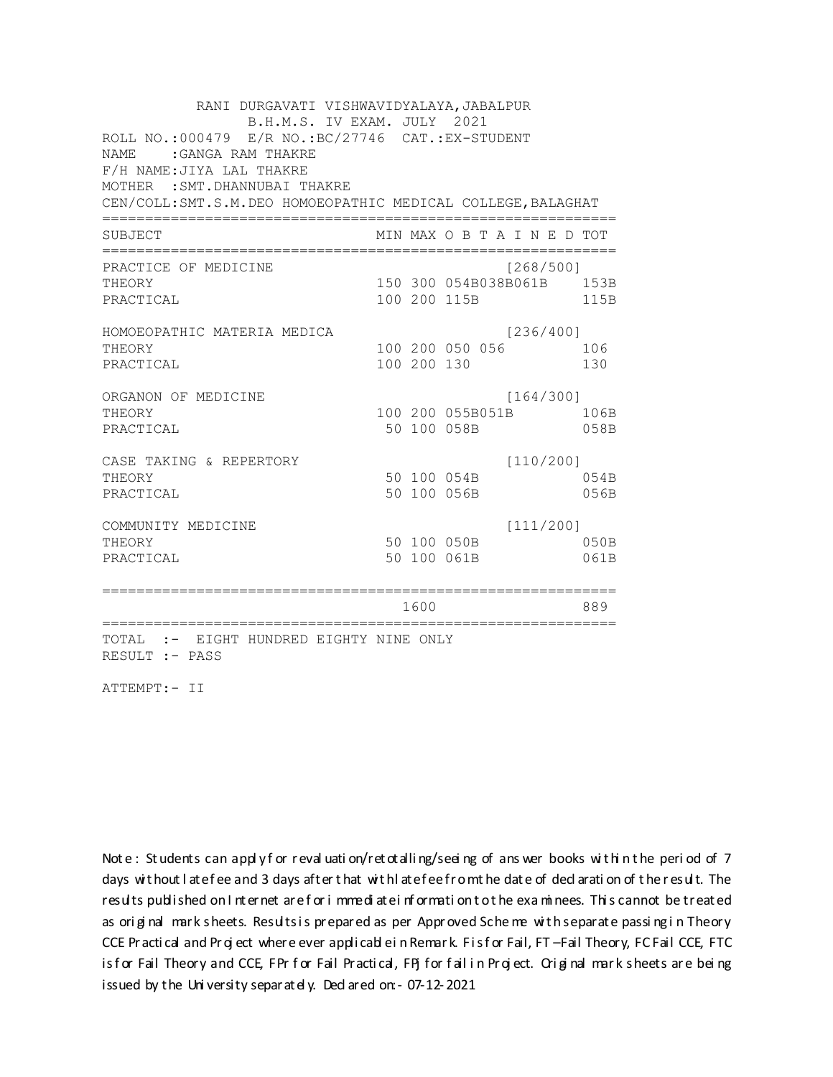RANI DURGAVATI VISHWAVIDYALAYA, JABALPUR B.H.M.S. IV EXAM. JULY 2021 ROLL NO.:000479 E/R NO.: BC/27746 CAT.: EX-STUDENT NAME : GANGA RAM THAKRE F/H NAME: JIYA LAL THAKRE MOTHER : SMT. DHANNUBAI THAKRE CEN/COLL: SMT.S.M. DEO HOMOEOPATHIC MEDICAL COLLEGE, BALAGHAT MIN MAX O B T A I N E D TOT SUBJECT PRACTICE OF MEDICINE  $[268/500]$ 150 300 054B038B061B 153B THEORY PRACTICAL 100 200 115B 115B HOMOEOPATHIC MATERIA MEDICA  $[236/400]$ 100 200 050 056 106 THEORY PRACTICAL 100 200 130 130 ORGANON OF MEDICINE  $[164/300]$ THEORY 100 200 055B051B 106B PRACTICAL 50 100 058B 058B  $[110/200]$ CASE TAKING & REPERTORY 50 100 054B THEORY 054B PRACTICAL 50 100 056B 056B  $[111/200]$ COMMUNITY MEDICINE 50 100 050B  $050B$ THEORY PRACTICAL 50 100 061B 061B 1600 1600 889 TOTAL :- EIGHT HUNDRED EIGHTY NINE ONLY RESULT :- PASS

ATTEMPT:- II